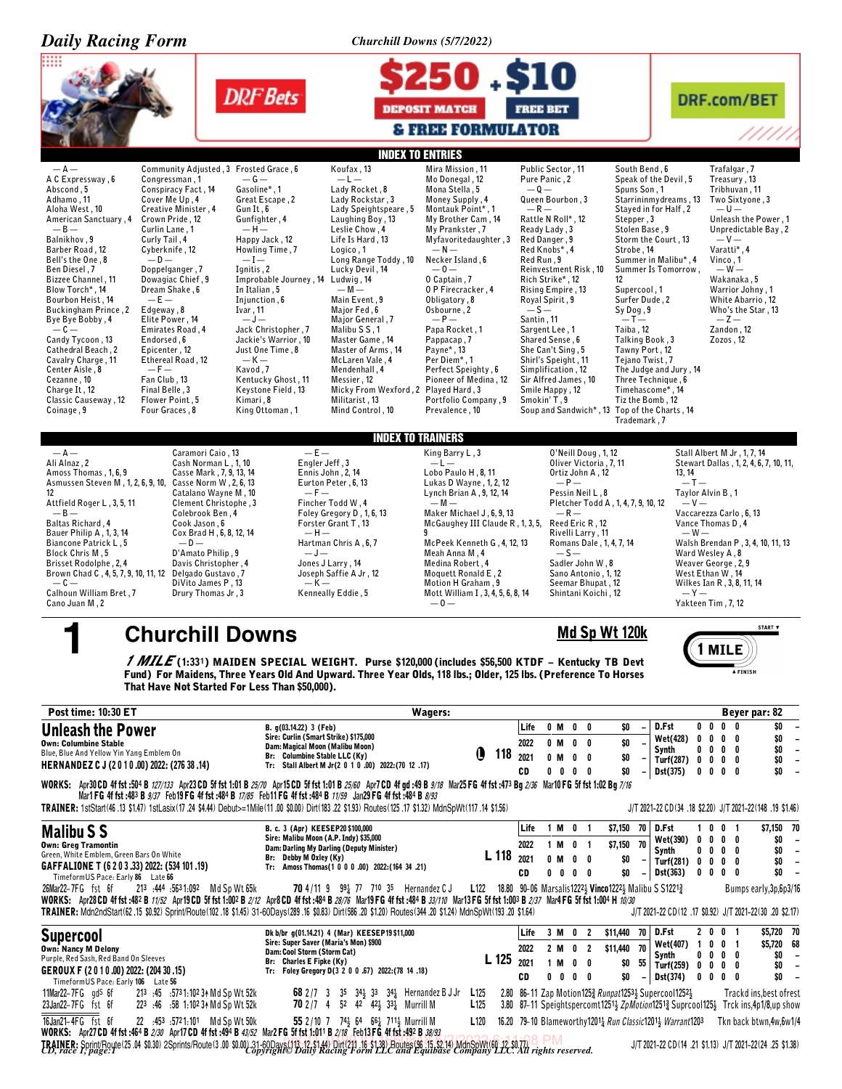| <b>Daily Racing Form</b>                                                                                                                                                                                                                                                                                                                                                                                                                                                                                                                                                                                                                                                                                                                                                                                                                                                                                                                          |                                                                                                                                                                                                                                                                                                                                                                                                                                                                                                                                                                                                                                                                                                                                                                                                                                                                              | Churchill Downs (5/7/2022)                                                                                                                                                                                                                                                                                                                                                                                                                   |                                                                                                                                                                                                                                                                                                                                                                                                                                                                                                    |                                                                                                                                                                                                                                                                                                                                                                                                                                                                   |                                                                                                                                                                                                                                                                                            |
|---------------------------------------------------------------------------------------------------------------------------------------------------------------------------------------------------------------------------------------------------------------------------------------------------------------------------------------------------------------------------------------------------------------------------------------------------------------------------------------------------------------------------------------------------------------------------------------------------------------------------------------------------------------------------------------------------------------------------------------------------------------------------------------------------------------------------------------------------------------------------------------------------------------------------------------------------|------------------------------------------------------------------------------------------------------------------------------------------------------------------------------------------------------------------------------------------------------------------------------------------------------------------------------------------------------------------------------------------------------------------------------------------------------------------------------------------------------------------------------------------------------------------------------------------------------------------------------------------------------------------------------------------------------------------------------------------------------------------------------------------------------------------------------------------------------------------------------|----------------------------------------------------------------------------------------------------------------------------------------------------------------------------------------------------------------------------------------------------------------------------------------------------------------------------------------------------------------------------------------------------------------------------------------------|----------------------------------------------------------------------------------------------------------------------------------------------------------------------------------------------------------------------------------------------------------------------------------------------------------------------------------------------------------------------------------------------------------------------------------------------------------------------------------------------------|-------------------------------------------------------------------------------------------------------------------------------------------------------------------------------------------------------------------------------------------------------------------------------------------------------------------------------------------------------------------------------------------------------------------------------------------------------------------|--------------------------------------------------------------------------------------------------------------------------------------------------------------------------------------------------------------------------------------------------------------------------------------------|
|                                                                                                                                                                                                                                                                                                                                                                                                                                                                                                                                                                                                                                                                                                                                                                                                                                                                                                                                                   | <b>DRF</b> Bets                                                                                                                                                                                                                                                                                                                                                                                                                                                                                                                                                                                                                                                                                                                                                                                                                                                              | 50.S10<br><b>DEPOSIT MATCH</b><br><b>&amp; FREE FORMULATOR</b>                                                                                                                                                                                                                                                                                                                                                                               | <b>FREE BET</b>                                                                                                                                                                                                                                                                                                                                                                                                                                                                                    |                                                                                                                                                                                                                                                                                                                                                                                                                                                                   | <b>DRF.com/BET</b><br>//////                                                                                                                                                                                                                                                               |
|                                                                                                                                                                                                                                                                                                                                                                                                                                                                                                                                                                                                                                                                                                                                                                                                                                                                                                                                                   | <b>INDEX TO ENTRIES</b>                                                                                                                                                                                                                                                                                                                                                                                                                                                                                                                                                                                                                                                                                                                                                                                                                                                      |                                                                                                                                                                                                                                                                                                                                                                                                                                              |                                                                                                                                                                                                                                                                                                                                                                                                                                                                                                    |                                                                                                                                                                                                                                                                                                                                                                                                                                                                   |                                                                                                                                                                                                                                                                                            |
| $-A-$<br>Community Adjusted, 3 Frosted Grace, 6<br>A C Expressway, 6<br>Congressman, 1<br>Abscond, 5<br>Conspiracy Fact, 14<br>Adhamo, 11<br>Cover Me Up, 4<br>Creative Minister, 4<br>Aloha West, 10<br>Crown Pride, 12<br>American Sanctuary, 4<br>$-B-$<br>Curlin Lane, 1<br>Balnikhov, 9<br>Curly Tail, 4<br>Cyberknife, 12<br>Barber Road, 12<br>Bell's the One, 8<br>$-0-$<br>Doppelganger, 7<br>Ben Diesel, 7<br>Bizzee Channel, 11<br>Dowagiac Chief, 9<br>Blow Torch*, 14<br>Dream Shake, 6<br>Bourbon Heist. 14<br>$-E-$<br><b>Buckingham Prince, 2</b><br>Edgeway, 8<br>Bye Bye Bobby, 4<br>Elite Power, 14<br>$-c-$<br>Emirates Road, 4<br>Endorsed, 6<br>Candy Tycoon, 13<br>Cathedral Beach, 2<br>Epicenter, 12<br>Ethereal Road, 12<br>Cavalry Charge, 11<br>Center Aisle, 8<br>$-F-$<br>Fan Club, 13<br>Cezanne, 10<br>Final Belle, 3<br>Charge It, 12<br>Classic Causeway, 12<br>Flower Point, 5<br>Four Graces, 8<br>Coinage, 9 | Koufax, 13<br>$-G-$<br>$-l-$<br>Gasoline*.1<br>Lady Rocket, 8<br>Great Escape, 2<br>Lady Rockstar, 3<br>Lady Speightspeare, 5<br>Gun It, 6<br>Gunfighter, 4<br>Laughing Boy, 13<br>$-H-$<br>Leslie Chow, 4<br>Happy Jack, 12<br>Life Is Hard, 13<br>Howling Time, 7<br>Logico, 1<br>$-I-$<br>Long Range Toddy, 10<br>Ignitis, 2<br>Lucky Devil, 14<br>Improbable Journey, 14 Ludwig, 14<br>In Italian, 5<br>$-M -$<br>Injunction, 6<br>Main Event, 9<br>Ivar, 11<br>Major Fed, 6<br>$-J-$<br>Major General, 7<br>Jack Christopher, 7<br>Malibu S S, 1<br>Jackie's Warrior, 10<br>Master Game. 14<br>Just One Time, 8<br>Master of Arms, 14<br>$-K-$<br>McLaren Vale, 4<br>Kavod, 7<br>Mendenhall, 4<br>Kentucky Ghost, 11<br>Messier, 12<br>Keystone Field, 13<br>Micky From Wexford, 2 Played Hard, 3<br>Kimari, 8<br>Militarist. 13<br>Mind Control, 10<br>King Ottoman, 1 | Mira Mission, 11<br>Mo Donegal, 12<br>Mona Stella, 5<br>Money Supply, 4<br>Montauk Point*, 1<br>My Brother Cam, 14<br>My Prankster, 7<br>Myfavoritedaughter, 3<br>$-N-$<br>Necker Island, 6<br>$-0-$<br>0 Captain, 7<br>0 P Firecracker, 4<br>Obligatory, 8<br>Osbourne, 2<br>$-P-$<br>Papa Rocket, 1<br>Pappacap, 7<br>Payne*, 13<br>Per Diem*, 1<br>Perfect Speighty, 6<br>Pioneer of Medina, 12<br>Portfolio Company, 9<br>Prevalence, 10 | Public Sector, 11<br>Pure Panic, 2<br>$-0-$<br>Queen Bourbon, 3<br>$-R-$<br>Rattle N Roll*, 12<br>Ready Lady, 3<br>Red Danger, 9<br>Red Knobs*, 4<br>Red Run, 9<br>Reinvestment Risk, 10<br>Rich Strike*, 12<br>12<br>Rising Empire, 13<br>Royal Spirit, 9<br>$-S-$<br>Santin, 11<br>Sargent Lee, 1<br>Shared Sense, 6<br>She Can't Sing. 5<br>Shirl's Speight, 11<br>Simplification, 12<br>Sir Alfred James, 10<br>Smile Happy, 12<br>Smokin' T.9<br>Soup and Sandwich*, 13 Top of the Charts, 14 | South Bend. 6<br>Speak of the Devil, 5<br>Spuns Son, 1<br>Starrininmydreams, 13<br>Stayed in for Half, 2<br>Stepper, 3<br>Stolen Base, 9<br>Storm the Court, 13<br>Strobe, 14<br>Summer in Malibu*, 4<br>Summer Is Tomorrow,<br>Supercool, 1<br>Surfer Dude, 2<br>Sy Dog, 9<br>$-I -$<br>Taiba, 12<br>Talking Book, 3<br>Tawny Port, 12<br>Tejano Twist, 7<br>The Judge and Jury, 14<br>Three Technique, 6<br>Timehascome*, 14<br>Tiz the Bomb, 12<br>Trademark.7 | Trafalgar, 7<br>Treasury, 13<br>Tribhuvan, 11<br>Two Sixtyone, 3<br>$-U-$<br>Unleash the Power, 1<br>Unpredictable Bay, 2<br>$-V -$<br>Varatti*, 4<br>Vinco, 1<br>$-W -$<br>Wakanaka, 5<br>Warrior Johny, 1<br>White Abarrio, 12<br>Who's the Star, 13<br>$-Z-$<br>Zandon, 12<br>Zozos, 12 |
|                                                                                                                                                                                                                                                                                                                                                                                                                                                                                                                                                                                                                                                                                                                                                                                                                                                                                                                                                   | <b>INDEX TO TRAINERS</b>                                                                                                                                                                                                                                                                                                                                                                                                                                                                                                                                                                                                                                                                                                                                                                                                                                                     |                                                                                                                                                                                                                                                                                                                                                                                                                                              |                                                                                                                                                                                                                                                                                                                                                                                                                                                                                                    |                                                                                                                                                                                                                                                                                                                                                                                                                                                                   |                                                                                                                                                                                                                                                                                            |
| $-A-$<br>Caramori Caio, 13<br>Ali Alnaz, 2<br>Cash Norman L, 1, 10<br>Amoss Thomas, 1, 6, 9<br>Casse Mark, 7, 9, 13, 14<br>Asmussen Steven M, 1, 2, 6, 9, 10, Casse Norm W, 2, 6, 13<br>Catalano Wayne M, 10<br>12<br>Attfield Roger L, 3, 5, 11<br>Clement Christophe, 3<br>$-B-$<br>Colebrook Ben, 4<br>Cook Jason, 6<br>Baltas Richard, 4<br>Cox Brad H, 6, 8, 12, 14<br>Bauer Philip A, 1, 3, 14<br>Biancone Patrick L, 5<br>$-0-$<br>D'Amato Philip, 9<br>Block Chris M, 5<br>Davis Christopher, 4<br>Brisset Rodolphe, 2, 4<br>Brown Chad C, 4, 5, 7, 9, 10, 11, 12 Delgado Gustavo, 7<br>$-c-$<br>DiVito James P, 13<br>Calhoun William Bret, 7<br>Drury Thomas Jr, 3<br>Cano Juan M, 2                                                                                                                                                                                                                                                    | Engler Jeff, 3<br>Ennis John, 2, 14<br>Eurton Peter, 6, 13<br>$-F-$<br>Fincher Todd W, 4<br>Foley Gregory D, 1, 6, 13<br>Forster Grant T, 13<br>$-H-$<br>Hartman Chris A, 6, 7<br>$-J-$<br>Jones J Larry, 14<br>Joseph Saffie A Jr, 12<br>$-K-$<br>Kenneally Eddie, 5                                                                                                                                                                                                                                                                                                                                                                                                                                                                                                                                                                                                        | King Barry L, 3<br>$-l-$<br>Lobo Paulo H, 8, 11<br>Lukas D Wayne, 1, 2, 12<br>Lynch Brian A, 9, 12, 14<br>$-M -$<br>Maker Michael J, 6, 9, 13<br>McGaughey III Claude R, 1, 3, 5,<br>9<br>McPeek Kenneth G, 4, 12, 13<br>Meah Anna M, 4<br>Medina Robert, 4<br>Moquett Ronald E, 2<br>Motion H Graham . 9<br>Mott William I, 3, 4, 5, 6, 8, 14<br>$-0-$                                                                                      | 0'Neill Doug, 1, 12<br>Oliver Victoria , 7, 11<br>Ortiz John A, 12<br>$-P-$<br><b>Pessin Neil L . 8</b><br>Pletcher Todd A, 1, 4, 7, 9, 10, 12<br>$-R-$<br>Reed Eric R, 12<br>Rivelli Larry , 11<br>Romans Dale, 1, 4, 7, 14<br>$-S-$<br>Sadler John W, 8<br>Sano Antonio, 1, 12<br>Seemar Bhupat, 12<br>Shintani Koichi, 12                                                                                                                                                                       | 13, 14<br>$-I -$<br>Taylor Alvin B, 1<br>$-V-$<br>$-W -$<br>$-Y-$                                                                                                                                                                                                                                                                                                                                                                                                 | Stall Albert M Jr, 1, 7, 14<br>Stewart Dallas, 1, 2, 4, 6, 7, 10, 11,<br>Vaccarezza Carlo, 6, 13<br>Vance Thomas D, 4<br>Walsh Brendan P, 3, 4, 10, 11, 13<br>Ward Wesley A, 8<br>Weaver George, 2, 9<br>West Ethan W, 14<br>Wilkes Ian R, 3, 8, 11, 14<br>Yakteen Tim, 7, 12              |
| <b>Churchill Downs</b>                                                                                                                                                                                                                                                                                                                                                                                                                                                                                                                                                                                                                                                                                                                                                                                                                                                                                                                            |                                                                                                                                                                                                                                                                                                                                                                                                                                                                                                                                                                                                                                                                                                                                                                                                                                                                              |                                                                                                                                                                                                                                                                                                                                                                                                                                              | Md Sp Wt 120k                                                                                                                                                                                                                                                                                                                                                                                                                                                                                      |                                                                                                                                                                                                                                                                                                                                                                                                                                                                   | START V                                                                                                                                                                                                                                                                                    |
| That Have Not Started For Less Than \$50,000).                                                                                                                                                                                                                                                                                                                                                                                                                                                                                                                                                                                                                                                                                                                                                                                                                                                                                                    | <i>1 MILE</i> (1:331) MAIDEN SPECIAL WEIGHT. Purse \$120,000 (includes \$56,500 KTDF – Kentucky TB Devt<br>Fund) For Maidens, Three Years Old And Upward. Three Year Olds, 118 lbs.; Older, 125 lbs. (Preference To Horses                                                                                                                                                                                                                                                                                                                                                                                                                                                                                                                                                                                                                                                   |                                                                                                                                                                                                                                                                                                                                                                                                                                              |                                                                                                                                                                                                                                                                                                                                                                                                                                                                                                    |                                                                                                                                                                                                                                                                                                                                                                                                                                                                   | <b>TMILE</b><br><b>A FINISH</b>                                                                                                                                                                                                                                                            |
| <b>Post time: 10:30 ET</b>                                                                                                                                                                                                                                                                                                                                                                                                                                                                                                                                                                                                                                                                                                                                                                                                                                                                                                                        |                                                                                                                                                                                                                                                                                                                                                                                                                                                                                                                                                                                                                                                                                                                                                                                                                                                                              | Wagers:                                                                                                                                                                                                                                                                                                                                                                                                                                      |                                                                                                                                                                                                                                                                                                                                                                                                                                                                                                    |                                                                                                                                                                                                                                                                                                                                                                                                                                                                   | Beyer par: 82                                                                                                                                                                                                                                                                              |
| Unleash the Power<br><b>Own: Columbine Stable</b><br>Blue, Blue And Yellow Yin Yang Emblem On<br>HERNANDEZ C J (2010.00) 2022: (276 38 .14)<br>WORKS: Apr30 CD 4f fst :504 B <i>127/133</i> Apr23 CD 5f fst 1:01 B <i>25/70</i> Apr15 CD 5f fst 1:01 B <i>25/60</i> Apr7 CD 4f gd :49 B 9/18 Mar25 FG 4f fst :473 Bg 2/36 Mar10 FG 5f fst 1:02 Bg 7/16                                                                                                                                                                                                                                                                                                                                                                                                                                                                                                                                                                                            | B. g(03.14.22) 3 (Feb)<br>Sire: Curlin (Smart Strike) \$175,000<br>Dam: Magical Moon (Malibu Moon)<br>Br: Columbine Stable LLC (Ky)<br>Tr: Stall Albert M Jr(2 0 1 0 .00) 2022: (70 12 .17)                                                                                                                                                                                                                                                                                                                                                                                                                                                                                                                                                                                                                                                                                  | Q<br>118                                                                                                                                                                                                                                                                                                                                                                                                                                     | 0 M<br>0<br>Life<br>0<br>2022<br>0 M<br>$\mathbf{0}$<br>0<br>2021<br>0 M<br>$0\quad 0$<br>$0\ 0\ 0\ 0$<br>CD                                                                                                                                                                                                                                                                                                                                                                                       | D.Fst<br>$0\quad 0$<br>\$0<br>Wet(428)<br>0 <sub>0</sub><br>\$0<br>Synth<br>00<br>\$0<br>Turf(287)<br>$0\quad 0$<br>\$0<br>Dst(375)                                                                                                                                                                                                                                                                                                                               | \$0<br>$\mathbf 0$<br>0<br>\$0<br>0<br>0<br>\$0<br>0<br>0<br>\$0<br>$\mathbf{0}$<br>0<br>$0\ 0\ 0\ 0$<br>SO.                                                                                                                                                                               |
| TRAINER: 1stStart(46.13 \$1.47) 1stLasix(17.24 \$4.44) Debut>=1Mile(11.00 \$0.00) Dirt(183.22 \$1.93) Routes(125.17 \$1.32) MdnSpWt(117.14 \$1.56)                                                                                                                                                                                                                                                                                                                                                                                                                                                                                                                                                                                                                                                                                                                                                                                                | Mar1FG 4f fst:483 B 9/37 Feb19FG 4f fst:484 B 17/85 Feb11FG 4f fst:484 B 11/59 Jan29FG 4f fst:484 B 8/93                                                                                                                                                                                                                                                                                                                                                                                                                                                                                                                                                                                                                                                                                                                                                                     |                                                                                                                                                                                                                                                                                                                                                                                                                                              |                                                                                                                                                                                                                                                                                                                                                                                                                                                                                                    |                                                                                                                                                                                                                                                                                                                                                                                                                                                                   | J/T 2021-22 CD(34 .18 \$2.20) J/T 2021-22(148 .19 \$1.46)                                                                                                                                                                                                                                  |
| <b>Malibu S S</b><br><b>Own: Greg Tramontin</b><br>Green, White Emblem, Green Bars On White<br>GAFFALIONE T (6 2 0 3 .33) 2022: (534 101 .19)<br>TimeformUS Pace: Early 86 Late 66<br>26Mar22-7FG fst 6f<br>213 :444 :5631:092 Md Sp Wt 65k<br>WORKS: Apr28 CD 4f fst :482 B 11/52 Apr19 CD 5f fst 1:002 B 2/12 Apr8 CD 4f fst :484 B 28/76 Mar19 FG 4f fst :484 B 33/110 Mar13 FG 5f fst 1:003 B 2/37 Mar4 FG 5f fst 1:004 H 10/30                                                                                                                                                                                                                                                                                                                                                                                                                                                                                                               | B. c. 3 (Apr) KEESEP20\$100,000<br>Sire: Malibu Moon (A.P. Indy) \$35,000<br>Dam: Darling My Darling (Deputy Minister)<br>Br: Debby M Oxley (Ky)<br>Tr: Amoss Thomas(1 0 0 0 .00) 2022:(164 34 .21)<br><b>70</b> 4/11 9 $99\frac{1}{4}$ 77 710 35 Hernandez CJ                                                                                                                                                                                                                                                                                                                                                                                                                                                                                                                                                                                                               | L 118                                                                                                                                                                                                                                                                                                                                                                                                                                        | Life<br>1 M<br>0<br>-1<br>2022<br>1 M<br>0 <sub>1</sub><br>2021<br>0 M<br>$0\quad 0$<br>CD<br>$0\ 0\ 0\ 0$<br>L122 18.80 90-06 Marsalis1222 $\frac{1}{2}$ Vinco1222 $\frac{1}{2}$ Malibu S S1221 $\frac{3}{4}$                                                                                                                                                                                                                                                                                     | \$7,150 70<br>D.Fst<br>1.<br>Wet(390)<br>0<br>\$7,150 70<br>Synth<br>$0\quad 0\quad$<br>\$0<br>Turf(281)<br>0 <sub>0</sub><br>Dst(363)<br>\$0                                                                                                                                                                                                                                                                                                                     | \$7,150 70<br>0<br>0<br>-1<br>$\mathbf{0}$<br>0<br>0<br>\$O<br>$\overline{\phantom{a}}$<br>$\mathbf 0$<br>0<br>\$0<br>$\overline{\phantom{a}}$<br>\$0<br>0<br>$\overline{\phantom{a}}$<br>0<br>$0\ 0\ 0$<br>\$0<br>0<br>Bumps early, 3p, 6p3/16                                            |
| TRAINER: Mdn2ndStart (62.15 \$0.92) Sprint/Route (102.18 \$1.45) 31-60Days (289.16 \$0.83) Dirt (586.20 \$1.20) Routes (344.20 \$1.24) MdnSpWt (193.20 \$1.64)                                                                                                                                                                                                                                                                                                                                                                                                                                                                                                                                                                                                                                                                                                                                                                                    |                                                                                                                                                                                                                                                                                                                                                                                                                                                                                                                                                                                                                                                                                                                                                                                                                                                                              |                                                                                                                                                                                                                                                                                                                                                                                                                                              |                                                                                                                                                                                                                                                                                                                                                                                                                                                                                                    |                                                                                                                                                                                                                                                                                                                                                                                                                                                                   | J/T 2021-22 CD (12 .17 \$0.92) J/T 2021-22 (30 .20 \$2.17)                                                                                                                                                                                                                                 |
| <b>Supercool</b><br><b>Own: Nancy M Delony</b><br>Purple, Red Sash, Red Band On Sleeves<br>GEROUX F (2010.00) 2022: (204 30 .15)<br>TimeformUS Pace: Early 106 Late 56<br>11Mar22-7FG gd <sup>s</sup> 6f<br>213 :45 :5731:102 34 Md Sp Wt 52k                                                                                                                                                                                                                                                                                                                                                                                                                                                                                                                                                                                                                                                                                                     | Dk b/br g(01.14.21) 4 (Mar) KEESEP19 \$11,000<br>Sire: Super Saver (Maria's Mon) \$900<br>Dam: Cool Storm (Storm Cat)<br>Br: Charles E Fipke (Ky)<br>Tr: Foley Gregory D(3 2 0 0 .67) 2022: (78 14 .18)<br>35 $34\frac{1}{2}$ 33 $34\frac{1}{4}$ Hernandez B J Jr<br>68 2 / 7 3                                                                                                                                                                                                                                                                                                                                                                                                                                                                                                                                                                                              | L 125<br>L <sub>125</sub>                                                                                                                                                                                                                                                                                                                                                                                                                    | Life<br>3 M O 2<br>2022<br>$\mathbf{0}$<br>$\overline{2}$<br>2 M<br>2021<br>1 M<br>0<br>0<br>CD<br>0<br>0<br>$0\quad 0$<br>2.80 86-11 Zap Motion1253 Runpat12531 Supercool12521                                                                                                                                                                                                                                                                                                                    | \$11,440 70<br>D.Fst<br>20<br>Wet(407)<br>$\overline{1}$<br>\$11,440 70<br>Synth<br>00<br>55<br>\$O<br>Turf(259) 0 0<br>\$0<br>Dst(374)                                                                                                                                                                                                                                                                                                                           | \$5,720 70<br>0 <sub>1</sub><br>\$5,720 68<br>0<br>0<br>-1<br>0<br>0<br>\$O<br>$\overline{\phantom{a}}$<br>\$0<br>$0\quad 0$<br>$\overline{\phantom{a}}$<br>$0\quad 0\quad 0$<br>\$0<br>$\overline{\phantom{a}}$<br>0<br>Trackd ins, best of rest                                          |
| 23Jan22-7FG fst 6f<br>223 :46 :58 1:102 31 Md Sp Wt 52k<br>16Jan21-4FG fst 6f<br>22 :453 :5721:101 Md Sp Wt 50k<br>WORKS: Apr27 CD 4f fst :464 B 2/30 Apr17 CD 4f fst :494 B 43/52 Mar2 FG 5f fst 1:011 B 2/18 Feb13 FG 4f fst :492 B 38/93<br>TRAINER: Sprint/Royte (25.04 \$0.30) 2Sprints/Route (3.00 \$0.00 31-60Days(113,12-\$144) Dirt(211,16-\$138) Routes(96,15,8214) MdpSpWt(60,12,\$0.71) Served.<br>CD, race F, page: 1                                                                                                                                                                                                                                                                                                                                                                                                                                                                                                                | 52 42 423 331 Murrill M<br>702/74<br>55 2/10 7 74 64 66 711 Murrill M                                                                                                                                                                                                                                                                                                                                                                                                                                                                                                                                                                                                                                                                                                                                                                                                        | L <sub>125</sub><br>L <sub>120</sub>                                                                                                                                                                                                                                                                                                                                                                                                         | 3.80 87-11 Speightspercomt1251} ZpMotion1251} Suprcool125} Trck ins,4p1/8,up show<br>16.20 79-10 Blameworthy 1201 <sub>4</sub> Run Classic1201 <sub>3</sub> Warrant1203                                                                                                                                                                                                                                                                                                                            |                                                                                                                                                                                                                                                                                                                                                                                                                                                                   | Tkn back btwn,4w,6w1/4<br>J/T 2021-22 CD (14 .21 \$1.13) J/T 2021-22 (24 .25 \$1.38)                                                                                                                                                                                                       |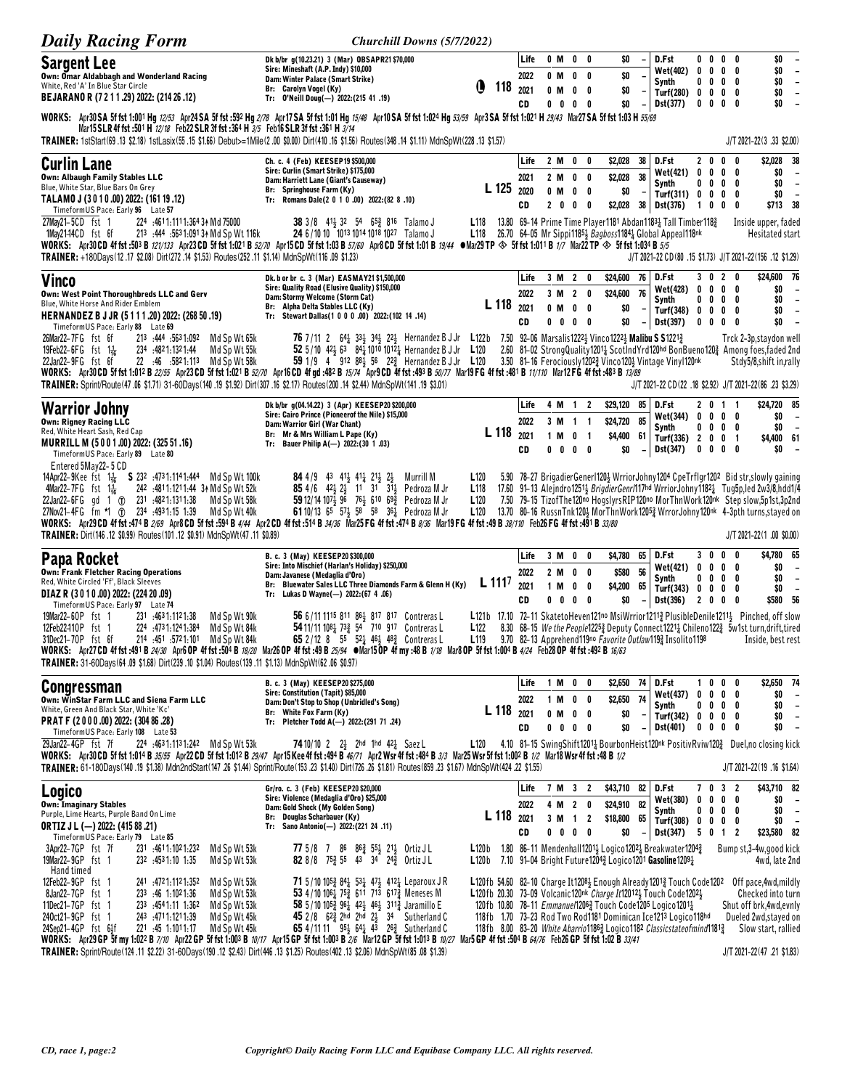| <b>Daily Racing Form</b>                                                                                                                                                                                                                                                                                                                                                                                                                     | Churchill Downs (5/7/2022)                                                                                                                                                                                                                                                    |                                                                                                                              |      |                |                                                        |                |                    |                          |                                                              |                                     |                         |                              |                                                                                                                                                                              |
|----------------------------------------------------------------------------------------------------------------------------------------------------------------------------------------------------------------------------------------------------------------------------------------------------------------------------------------------------------------------------------------------------------------------------------------------|-------------------------------------------------------------------------------------------------------------------------------------------------------------------------------------------------------------------------------------------------------------------------------|------------------------------------------------------------------------------------------------------------------------------|------|----------------|--------------------------------------------------------|----------------|--------------------|--------------------------|--------------------------------------------------------------|-------------------------------------|-------------------------|------------------------------|------------------------------------------------------------------------------------------------------------------------------------------------------------------------------|
| <b>Sargent Lee</b>                                                                                                                                                                                                                                                                                                                                                                                                                           | Dk b/br q(10.23.21) 3 (Mar) OBSAPR21 \$70,000<br>Sire: Mineshaft (A.P. Indy) \$10,000                                                                                                                                                                                         |                                                                                                                              | Life | 0 M            |                                                        | $0\quad 0$     | SO.                |                          | D.Fst                                                        |                                     |                         | $0\ 0\ 0\ 0$                 | \$0<br>$\overline{\phantom{a}}$                                                                                                                                              |
| Own: Omar Aldabbagh and Wonderland Racing<br>White, Red 'A' In Blue Star Circle                                                                                                                                                                                                                                                                                                                                                              | Dam: Winter Palace (Smart Strike)                                                                                                                                                                                                                                             | ß                                                                                                                            | 2022 | 0 M            |                                                        | $0\quad 0$     | \$0                |                          | Wet(402)<br>Synth                                            | $0\ 0\ 0$                           | $0\ 0\ 0$               | - 0<br>0                     | \$0<br>$\overline{\phantom{a}}$<br>\$0<br>$\overline{\phantom{a}}$                                                                                                           |
| BEJARANO R (7 2 1 1 .29) 2022: (214 26 .12)                                                                                                                                                                                                                                                                                                                                                                                                  | Br: Carolyn Vogel (Ky)<br>Tr: 0'Neill Doug(-) 2022: (215 41 .19)                                                                                                                                                                                                              | 118                                                                                                                          | 2021 | 0 M            |                                                        | $0\quad 0$     | \$0                | $\overline{\phantom{a}}$ | Turf(280) 0 0 0 0                                            |                                     | 0                       | 0                            | \$0<br>$\overline{\phantom{a}}$<br>\$0                                                                                                                                       |
| WORKS: Apr30SA 5f fst 1:001 Hg 12/53 Apr24SA 5f fst :592 Hg 2/78 Apr17SA 5f fst 1:01 Hg 15/48 Apr10SA 5f fst 1:024 Hg 53/59 Apr3SA 5f fst 1:021 H 29/43 Mar27SA 5f fst 1:03 H 55/69<br>Mar15 SLR 4f fst :501 H 12/18 Feb22 SLR 3f fst :364 H 3/5 Feb16 SLR 3f fst :361 H 3/14<br>TRAINER: 1stStart(69.13 \$2.18) 1stLasix(55.15 \$1.66) Debut>=1Mile(2.00 \$0.00) Dirt(410.16 \$1.56) Routes(348.14 \$1.11) MdnSpWt(228.13 \$1.57)           |                                                                                                                                                                                                                                                                               |                                                                                                                              | CD   | $0\quad 0$     |                                                        | $0\quad 0$     | \$0                | $\overline{\phantom{a}}$ | Dst(377)                                                     | 0                                   | $\mathbf 0$             |                              | $\overline{\phantom{a}}$<br>J/T 2021-22(3.33 \$2.00)                                                                                                                         |
|                                                                                                                                                                                                                                                                                                                                                                                                                                              | Ch. c. 4 (Feb) KEESEP19 \$500,000                                                                                                                                                                                                                                             |                                                                                                                              | Life | 2 M            | 0                                                      | 0              | \$2,028            | 38                       | D.Fst                                                        |                                     | 200                     | 0                            | \$2,028 38                                                                                                                                                                   |
| <b>Curlin Lane</b><br><b>Own: Albaugh Family Stables LLC</b>                                                                                                                                                                                                                                                                                                                                                                                 | Sire: Curlin (Smart Strike) \$175,000<br>Dam: Harriett Lane (Giant's Causeway)                                                                                                                                                                                                |                                                                                                                              | 2021 | 2 M            | 0                                                      | 0              | \$2,028            | 38                       | <b>Wet(421)</b>                                              | $0\quad 0\quad 0\quad$              |                         | 0                            | \$0<br>$\overline{\phantom{a}}$                                                                                                                                              |
| Blue, White Star, Blue Bars On Grey<br>TALAMO J (3010.00) 2022: (161 19.12)                                                                                                                                                                                                                                                                                                                                                                  | Br: Springhouse Farm (Ky)<br>Tr: Romans Dale(2 0 1 0 .00) 2022: (82 8 .10)                                                                                                                                                                                                    | L 125                                                                                                                        | 2020 | $0$ M          |                                                        | $0\quad 0$     | \$0                |                          | Synth<br>Turf(311) 0 0 0                                     |                                     | $0\ 0\ 0$               | 0<br>0                       | \$0<br>$\overline{\phantom{a}}$<br>\$0<br>$\overline{\phantom{a}}$                                                                                                           |
| Timeform US Pace: Early 96 Late 57                                                                                                                                                                                                                                                                                                                                                                                                           |                                                                                                                                                                                                                                                                               |                                                                                                                              | CD   | 2 <sub>0</sub> | 0                                                      | - 0            |                    |                          | $$2,028$ 38 Dst(376)                                         | 100                                 |                         | 0                            | \$713 38                                                                                                                                                                     |
| 27May21-5CD fst 1<br>224 .4611:1111:364 34 Md 75000<br>213 :444 :5631:0913+ Md Sp Wt 116k<br>1May21–14CD fst 6f<br>WORKS: Apr30CD 4f fst :503 B 121/133 Apr23CD 5f fst 1:021 B 52/70 Apr15CD 5f fst 1:03 B 57/60 Apr8CD 5f fst 1:01 B 19/44 $\bullet$ Mar23 TP $\otimes$ 5f fst 1:011 B 1/7 Mar22 TP $\otimes$ 5f fst 1:034 B 5/5<br>(1.23) TRAINER: +180Days(12.17 \$2.08) Dirt(272.14 \$1.53) Routes(252.11 \$1.14) MdnSpWt(116.09 \$1.23) | 38 3/8 41 32 54 65 $\frac{3}{4}$ 816 Talamo J<br>24 6/10 10 1013 1014 1018 1027 Talamo J                                                                                                                                                                                      | L118<br>L118 26.70 64-05 Mr Sippi1185 $\frac{1}{2}$ Bagboss1184 $\frac{1}{4}$ Global Appeal118nk                             |      |                |                                                        |                |                    |                          | 13.80 69-14 Prime Time Player1181 Abdan11831 Tall Timber1181 |                                     |                         |                              | Inside upper, faded<br>Hesitated start<br>J/T 2021-22 CD(80 .15 \$1.73) J/T 2021-22(156 .12 \$1.29)                                                                          |
| <b>Vinco</b>                                                                                                                                                                                                                                                                                                                                                                                                                                 | Dk. b or br c. 3 (Mar) EASMAY21 \$1,500,000                                                                                                                                                                                                                                   |                                                                                                                              | Life |                | 3 M 2                                                  | 0              | \$24,600           | 76                       | D.Fst                                                        |                                     | 3 0 2                   | 0                            | \$24,600 76                                                                                                                                                                  |
| Own: West Point Thoroughbreds LLC and Gerv                                                                                                                                                                                                                                                                                                                                                                                                   | Sire: Quality Road (Elusive Quality) \$150,000<br>Dam: Stormy Welcome (Storm Cat)                                                                                                                                                                                             |                                                                                                                              | 2022 |                | 3 M 2 0                                                |                | \$24,600           | 76                       | <b>Wet(428)</b>                                              | $0\ 0\ 0$                           |                         | 0                            | \$0<br>$\overline{\phantom{a}}$                                                                                                                                              |
| Blue, White Horse And Rider Emblem<br>HERNANDEZ B J JR (5 1 1 1 .20) 2022: (268 50 .19)                                                                                                                                                                                                                                                                                                                                                      | Br: Alpha Delta Stables LLC (Ky)<br>Tr: Stewart Dallas(1 0 0 0 .00) 2022:(102 14 .14)                                                                                                                                                                                         | L 118                                                                                                                        | 2021 |                | 0 M 0 0                                                |                | \$0                |                          | Synth<br>Turf(348) 0 0 0 0                                   |                                     |                         | $0\ 0\ 0\ 0$                 | \$O<br>$\overline{\phantom{a}}$<br>\$0<br>$\overline{\phantom{a}}$                                                                                                           |
| Timeform US Pace: Early 88 Late 69                                                                                                                                                                                                                                                                                                                                                                                                           |                                                                                                                                                                                                                                                                               |                                                                                                                              | CD   |                | $0\ 0\ 0\ 0$                                           |                | \$0                | $\overline{\phantom{m}}$ | Dst(397)                                                     | $0\quad 0\quad 0\quad 0$            |                         |                              | \$0<br>$\overline{\phantom{a}}$                                                                                                                                              |
| 26Mar22-7FG fst 6f<br>213 444 5631.092<br>Md Sp Wt 65k<br>19Feb22-6FG fst $1\frac{1}{16}$<br>234 :4821:1321:44<br>Md Sp Wt 55k                                                                                                                                                                                                                                                                                                               | <b>76</b> 7/11 2 64 $\frac{1}{2}$ 33 $\frac{1}{2}$ 34 $\frac{1}{2}$ 22 $\frac{1}{2}$ Hernandez B J Jr <b>L</b> 122b 7.50 92-06 Marsalis1222 $\frac{1}{2}$ Vinco1222 $\frac{1}{2}$ <b>Malibu S S</b> 1221 $\frac{3}{2}$<br>52 5/10 423 63 841 1010 10121 Hernandez B J Jr L120 |                                                                                                                              |      |                |                                                        |                |                    |                          |                                                              |                                     |                         |                              | Trck 2-3p, staydon well<br>2.60 81-02 StrongQuality12011 ScotIndYrd120hd BonBueno1202 Among foes, faded 2nd                                                                  |
| 22Jan22-9FG fst 6f<br>22 :46 :5821:113<br>Md Sp Wt 58k                                                                                                                                                                                                                                                                                                                                                                                       | 59 1/9 4 912 88 $\frac{1}{2}$ 56 22 $\frac{3}{4}$ Hernandez B J Jr L120                                                                                                                                                                                                       |                                                                                                                              |      |                |                                                        |                |                    |                          | 3.50 81-16 Ferociously 12023 Vinco 1203 Vintage Viny 120nk   |                                     |                         |                              | Stdy5/8,shift in,rally                                                                                                                                                       |
| WORKS: Apr30 CD 5f fst 1:012 B 22/55 Apr23 CD 5f fst 1:021 B 52/70 Apr16 CD 4f qd :482 B 15/74 Apr9 CD 4f fst :493 B 50/77 Mar19 FG 4f fst :481 B 11/110 Mar12 FG 4f fst :483 B 13/89<br>TRAINER: Sprint/Route (47 .06 \$1.71) 31-60Days (140 .19 \$1.92) Dirt (307 .16 \$2.17) Routes (200 .14 \$2.44) MdnSpWt (141 .19 \$3.01)                                                                                                             |                                                                                                                                                                                                                                                                               |                                                                                                                              |      |                |                                                        |                |                    |                          |                                                              |                                     |                         |                              | J/T 2021-22 CD (22 .18 \$2.92) J/T 2021-22 (86 .23 \$3.29)                                                                                                                   |
|                                                                                                                                                                                                                                                                                                                                                                                                                                              | Dk b/br q(04.14.22) 3 (Apr) KEESEP20 \$200,000                                                                                                                                                                                                                                |                                                                                                                              | Life |                | 4 M 1 2                                                |                | \$29,120           | 85                       | D.Fst                                                        |                                     | 2 0 1 1                 |                              | \$24,720 85                                                                                                                                                                  |
| <b>Warrior Johny</b><br><b>Own: Rigney Racing LLC</b>                                                                                                                                                                                                                                                                                                                                                                                        | Sire: Cairo Prince (Pioneerof the Nile) \$15,000                                                                                                                                                                                                                              |                                                                                                                              | 2022 |                | 3 M 1 1                                                |                | \$24,720 85        |                          | Wet(344)                                                     | $0\ 0\ 0\ 0$                        |                         |                              | \$0<br>$\overline{\phantom{a}}$                                                                                                                                              |
| Red, White Heart Sash, Red Cap                                                                                                                                                                                                                                                                                                                                                                                                               | Dam: Warrior Girl (War Chant)<br>Br: Mr & Mrs William L Pape (Ky)                                                                                                                                                                                                             | L 118                                                                                                                        | 2021 | 1 M            |                                                        | 0 <sub>1</sub> | \$4,400 61         |                          | Synth<br>Turf $(336)$ 2 0 0                                  | 0                                   | $0\quad 0$              | 0<br>$\overline{\mathbf{1}}$ | SO.<br>$\overline{\phantom{a}}$<br>\$4,400 61                                                                                                                                |
| MURRILL M (5001.00) 2022: (325 51.16)<br>TimeformUS Pace: Early 89 Late 80                                                                                                                                                                                                                                                                                                                                                                   | Tr: Bauer Philip A(-) 2022: (30 1.03)                                                                                                                                                                                                                                         |                                                                                                                              | CD   | $0\quad 0$     |                                                        | $0\quad 0$     | \$0                | $\overline{\phantom{a}}$ | Dst(347)                                                     | 0                                   | $0\quad 0\quad 0$       |                              | SO.<br>$\overline{\phantom{a}}$                                                                                                                                              |
| Entered 5May22-5 CD                                                                                                                                                                                                                                                                                                                                                                                                                          |                                                                                                                                                                                                                                                                               |                                                                                                                              |      |                |                                                        |                |                    |                          |                                                              |                                     |                         |                              |                                                                                                                                                                              |
| 14Apr22-9Kee fst $1\frac{1}{16}$ S 232 :4731:1141:444 Md Sp Wt 100k<br>4Mar22-7FG fst $1\frac{1}{16}$<br>242 :4811:1211:44 31 Md Sp Wt 52k                                                                                                                                                                                                                                                                                                   | 84 4/9 43 41 <sup>1</sup> / <sub>2</sub> 41 <sup>1</sup> / <sub>4</sub> 21 <sup>1</sup> / <sub>2</sub> 2 <sup>1</sup> / <sub>2</sub><br>Murrill M<br>85 4/6 42 23 11 31 31 Pedroza M Jr                                                                                       | L <sub>120</sub><br>L <sub>118</sub>                                                                                         |      |                |                                                        |                |                    |                          |                                                              |                                     |                         |                              | 5.90 78-27 BrigadierGenerl120} WrriorJohny1204 CpeTrflgr1202 Bid str, slowly gaining<br>17.60 91-13 Alejndro12513 BrigdierGenr/117hd WrriorJohny11821 Tug5p,led 2w3/8,hdd1/4 |
| 22Jan22-6FG gd 1 (f) 231 :4821:1311:38<br>Md Sp Wt 58k                                                                                                                                                                                                                                                                                                                                                                                       | 59 12/14 107 4 96 76 4 610 69 2 Pedroza M Jr                                                                                                                                                                                                                                  | L <sub>120</sub>                                                                                                             |      |                |                                                        |                |                    |                          |                                                              |                                     |                         |                              | 7.50 79-15 TizofThe120no HogslyrsRIP120no MorThnWork120nk Step slow,5p1st,3p2nd                                                                                              |
| 27Nov21-4FG fm *1 (f) 234 :4931:15 1:39<br>Md Sp Wt 40k<br>WORKS: Apr29CD 4f fst :474 B 2/69 Apr8CD 5f fst :594 B 4/44 Apr2CD 4f fst :514 B 34/36 Mar25 FG 4f fst :474 B 8/36 Mar19 FG 4f fst :49 B 38/110 Feb26 FG 4f fst :491 B 33/80                                                                                                                                                                                                      | 61 10/13 65 571 58 58 361 Pedroza M Jr                                                                                                                                                                                                                                        | L120                                                                                                                         |      |                |                                                        |                |                    |                          |                                                              |                                     |                         |                              | 13.70 80-16 RussnTnk1201 MorThnWork1205 2WrrorJohny120nk 4-3pth turns, stayed on                                                                                             |
| TRAINER: Dirt(146 .12 \$0.99) Routes(101 .12 \$0.91) MdnSpWt(47 .11 \$0.89)                                                                                                                                                                                                                                                                                                                                                                  |                                                                                                                                                                                                                                                                               |                                                                                                                              |      |                |                                                        |                |                    |                          |                                                              |                                     |                         |                              | $J/T 2021 - 22(1.00 $0.00)$                                                                                                                                                  |
| Papa Rocket                                                                                                                                                                                                                                                                                                                                                                                                                                  | B. c. 3 (May) KEESEP20 \$300,000                                                                                                                                                                                                                                              |                                                                                                                              | Life |                | 3 M 0                                                  | 0              | \$4,780 65         |                          | D.Fst                                                        |                                     | 3000                    |                              | \$4,780 65                                                                                                                                                                   |
| <b>Own: Frank Fletcher Racing Operations</b><br>Red, White Circled 'Ff', Black Sleeves                                                                                                                                                                                                                                                                                                                                                       | Sire: Into Mischief (Harlan's Holiday) \$250,000<br>Dam: Javanese (Medaglia d'Oro)                                                                                                                                                                                            |                                                                                                                              | 2022 |                | 2 M O O                                                |                | \$580 56           |                          | <b>Wet(421)</b><br>Synth                                     | 0                                   | $0\quad 0$<br>$0\ 0\ 0$ | 0<br>0                       | \$0<br>$\overline{\phantom{a}}$<br>\$0<br>$\overline{\phantom{a}}$                                                                                                           |
| DIAZ R (3010.00) 2022: (224 20.09)                                                                                                                                                                                                                                                                                                                                                                                                           | Br: Bluewater Sales LLC Three Diamonds Farm & Glenn H (Ky)<br>Tr: Lukas D Wayne(-) 2022:(67 4.06)                                                                                                                                                                             | $L$ 111 <sup>7</sup>                                                                                                         | 2021 | 1 M            | 0                                                      | 0              | \$4,200            | 65                       | Turf(343)                                                    | 0 <sub>0</sub>                      | $\mathbf 0$             | 0                            | \$O<br>$\overline{\phantom{a}}$                                                                                                                                              |
| TimeformUS Pace: Early 97 Late 74<br>19Mar22-60P fst 1<br>231 :4631:1121:38<br>Md Sp Wt 90k                                                                                                                                                                                                                                                                                                                                                  | 56 6/11 1115 811 861 817 817 Contreras L                                                                                                                                                                                                                                      |                                                                                                                              | CD   | $0\quad 0$     |                                                        | $0\quad 0$     | \$0                | $\overline{\phantom{a}}$ | Dst(396)                                                     | 200                                 |                         | 0                            | \$580 56<br>L121b 17.10 72-11 SkatetoHeven121no MsiWrrior1211} PlusibleDenile1211} Pinched, off slow                                                                         |
| 12Feb22410P fst 1<br>224 473 1:124 1:384<br>Md Sp Wt 84k                                                                                                                                                                                                                                                                                                                                                                                     | 54 11/11 1081 733 54 710 917 Contreras L                                                                                                                                                                                                                                      | L <sub>122</sub>                                                                                                             |      |                |                                                        |                |                    |                          |                                                              |                                     |                         |                              | 8.30 68-15 We the People12253 Deputy Connect12213 Chileno1223 5w1st turn, drift, tired                                                                                       |
| 31Dec21-70P fst 6f<br>214 451 5721.101<br>Md Sp Wt 84k<br>WORKS: Apr27 CD 4f fst :491 B 24/30 Apr6 OP 4f fst :504 B 18/20 Mar26 OP 4f fst :49 B 25/94 Mar15 OP 4f my :48 B 1/18 Mar8 OP 5f fst 1:004 B 4/24 Feb28 OP 4f fst :492 B 16/63                                                                                                                                                                                                     | 65 2/12 8 55 521 461 483 Contreras L                                                                                                                                                                                                                                          | L119                                                                                                                         |      |                |                                                        |                |                    |                          | 9.70 82–13 Apprehend 19no Favorite Outlaw 19 Insolite 1198   |                                     |                         |                              | Inside, best rest                                                                                                                                                            |
| TRAINER: 31-60Days(64.09 \$1.68) Dirt(239.10 \$1.04) Routes(139.11 \$1.13) MdnSpWt(62.06 \$0.97)                                                                                                                                                                                                                                                                                                                                             |                                                                                                                                                                                                                                                                               |                                                                                                                              |      |                |                                                        |                |                    |                          |                                                              |                                     |                         |                              |                                                                                                                                                                              |
| <b>Congressman</b>                                                                                                                                                                                                                                                                                                                                                                                                                           | B. c. 3 (May) KEESEP20 \$275,000                                                                                                                                                                                                                                              |                                                                                                                              | Life |                | 1 M 0 0                                                |                | \$2,650 74         |                          | D.Fst                                                        |                                     |                         | 1000                         | \$2,650 74                                                                                                                                                                   |
| Own: WinStar Farm LLC and Siena Farm LLC                                                                                                                                                                                                                                                                                                                                                                                                     | Sire: Constitution (Tapit) \$85,000<br>Dam: Don't Stop to Shop (Unbridled's Song)                                                                                                                                                                                             |                                                                                                                              | 2022 |                | 1 M 0 0                                                |                | \$2,650 74         |                          | <b>Wet(437)</b><br>Synth                                     |                                     |                         | $0\ 0\ 0\ 0$<br>$0\ 0\ 0\ 0$ | \$0<br>$\overline{\phantom{a}}$<br>\$0<br>$\overline{\phantom{a}}$                                                                                                           |
| White, Green And Black Star, White 'Kc'<br>PRAT F (2000.00) 2022: (304 86.28)                                                                                                                                                                                                                                                                                                                                                                | Br: White Fox Farm (Ky)<br>Tr: Pletcher Todd A(-) 2022:(291 71 .24)                                                                                                                                                                                                           | L 118 2021                                                                                                                   |      |                | $\begin{array}{ccccccccc}\n0 & M & 0 & 0\n\end{array}$ |                | \$0                |                          | Turf(342)                                                    | $0\ 0\ 0\ 0$                        |                         |                              | \$0<br>$\overline{\phantom{a}}$                                                                                                                                              |
| TimeformUS Pace: Early 108 Late 53                                                                                                                                                                                                                                                                                                                                                                                                           |                                                                                                                                                                                                                                                                               |                                                                                                                              | CD   |                | $0\ 0\ 0\ 0$                                           |                | \$0                |                          | <b>Dst(401)</b>                                              | $0\ 0\ 0$                           |                         | 0                            | \$0<br>$\overline{\phantom{a}}$                                                                                                                                              |
| 29Jan22-4GP fst 7f<br>224 :4631:1131:242 Md Sp Wt 53k<br>WORKS: Apr30 CD 5f fst 1:014 B 35/55 Apr22 CD 5f fst 1:012 B 29/47 Apr15 Kee 4f fst :494 B 46/71 Apr2 Wsr 4f fst :484 B 3/3 Mar25 Wsr 5f fst 1:002 B 1/2 Mar18 Wsr 4f fst :48 B 1/2<br>TRAINER: 61-180Days(140.19 \$1.38) Mdn2ndStart(147.26 \$1.44) Sprint/Route(153.23 \$1.40) Dirt(726.26 \$1.81) Routes(859.23 \$1.67) MdnSpWt(424.22 \$1.55)                                   | <b>74</b> 10/10 2 2 <sup>1</sup> / <sub>2</sub> 2hd 1hd 42 <sup>1</sup> / <sub>2</sub> Saez L                                                                                                                                                                                 |                                                                                                                              |      |                |                                                        |                |                    |                          |                                                              |                                     |                         |                              | L120 4.10 81-15 Swing Shift1201 <sub>4</sub> Bourbon Heist120 <sup>nk</sup> Positiv Rviw120 $\frac{3}{4}$ Duel, no closing kick<br>J/T 2021-22(19 .16 \$1.64)                |
| <b>Logico</b>                                                                                                                                                                                                                                                                                                                                                                                                                                | Gr/ro. c. 3 (Feb) KEESEP20 \$20,000                                                                                                                                                                                                                                           |                                                                                                                              | Life |                | 7 M 3 2                                                |                | \$43,710 82        |                          | D.Fst                                                        |                                     |                         | 7 0 3 2                      | \$43,710 82                                                                                                                                                                  |
| <b>Own: Imaginary Stables</b><br>Purple, Lime Hearts, Purple Band On Lime                                                                                                                                                                                                                                                                                                                                                                    | Sire: Violence (Medaglia d'Oro) \$25,000<br>Dam: Gold Shock (My Golden Song)                                                                                                                                                                                                  |                                                                                                                              | 2022 |                | 4 M 2 0                                                |                | \$24,910 82        |                          | Wet(380)<br>Synth                                            | 0 0 0 0                             |                         | 0000                         | \$0<br>$\overline{a}$<br>\$0<br>$\overline{\phantom{a}}$                                                                                                                     |
| ORTIZ J L (--) 2022: (415 88 .21)                                                                                                                                                                                                                                                                                                                                                                                                            | Br: Douglas Scharbauer (Ky)<br>Tr: Sano Antonio(-) 2022:(221 24 .11)                                                                                                                                                                                                          | L 118                                                                                                                        | 2021 |                | 3 M 1 2<br>$0\ 0\ 0\ 0$                                |                | \$18,800 65<br>\$0 |                          | Turf(308)<br>Dst(347)                                        | $0\quad 0\quad 0\quad 0$<br>5 0 1 2 |                         |                              | \$0<br>$\overline{a}$<br>\$23,580 82                                                                                                                                         |
| Timeform US Pace: Early 79 Late 85<br>3Apr22-7GP fst 7f<br>231 4611.1021.232<br>Md Sp Wt 53k                                                                                                                                                                                                                                                                                                                                                 | 77 5/8 7 86 863 553 213 Ortiz JL                                                                                                                                                                                                                                              | L120b 1.80 86-11 Mendenhall1201 $\frac{1}{2}$ Logico1202 $\frac{1}{4}$ Breakwater1204 $\frac{3}{4}$                          | CD   |                |                                                        |                |                    | $\overline{\phantom{a}}$ |                                                              |                                     |                         |                              | Bump st, 3-4w, good kick                                                                                                                                                     |
| 19Mar22-9GP fst 1<br>232 4531.10 1.35<br>Md Sp Wt 53k                                                                                                                                                                                                                                                                                                                                                                                        | <b>82</b> 8/8 7 <sup>53</sup> / <sub>2</sub> 55 43 34 24 <sup>3</sup> / <sub>2</sub> Ortiz JL                                                                                                                                                                                 | L120b 7.10 91-04 Bright Future1204 $\frac{3}{4}$ Logico1201 Gasoline1209 $\frac{1}{4}$                                       |      |                |                                                        |                |                    |                          |                                                              |                                     |                         |                              | 4wd, late 2nd                                                                                                                                                                |
| Hand timed<br>12Feb22-9GP fst 1<br>241 472 1:112 1:352<br>Md Sp Wt 53k                                                                                                                                                                                                                                                                                                                                                                       | 71 5/10 105 84 53 47 412 Leparoux J R                                                                                                                                                                                                                                         |                                                                                                                              |      |                |                                                        |                |                    |                          |                                                              |                                     |                         |                              | L120fb 54.60 82-10 Charge It12083 Enough Already12013 Touch Code1202 Off pace, 4wd, mildly                                                                                   |
| 8Jan22-7GP fst 1<br>233 46 1:1021:36<br>Md Sp Wt 53k                                                                                                                                                                                                                                                                                                                                                                                         | 53 4/10 1061 752 611 713 6173 Meneses M                                                                                                                                                                                                                                       | L120fb 20.30 73-09 Volcanic120nk Charge It120123 Touch Code12023                                                             |      |                |                                                        |                |                    |                          |                                                              |                                     |                         |                              | Checked into turn                                                                                                                                                            |
| 11Dec21-7GP fst 1<br>233 .4541.11 1.362<br>Md Sp Wt 53k<br>240ct21-9GP fst 1<br>243 .4711.1211.39<br>Md Sp Wt 45k                                                                                                                                                                                                                                                                                                                            | 58 5/10 105 $\frac{3}{2}$ 96 $\frac{1}{4}$ 42 $\frac{1}{2}$ 46 $\frac{1}{2}$ 311 $\frac{3}{4}$ Jaramillo E<br>45 2/8 623 2hd 2hd 23 34 Sutherland C                                                                                                                           | 120fb 10.80 78-11 Emmanue/12063 Touch Code1205 Logico12011<br>118fb 1.70 73-23 Rod Two Rod1181 Dominican Ice1213 Logico118hd |      |                |                                                        |                |                    |                          |                                                              |                                     |                         |                              | Shut off brk,4wd,evnly<br>Dueled 2wd, stayed on                                                                                                                              |
| 24Sep21-4GP fst 6}f<br>221 .45 1.1011.17<br>Md Sp Wt 45k                                                                                                                                                                                                                                                                                                                                                                                     | 65 4/11 11 95 $\frac{1}{2}$ 64 $\frac{1}{4}$ 4 <sup>3</sup> 26 $\frac{3}{4}$ Sutherland C                                                                                                                                                                                     | 118fb 8.00 83-20 White Abarrio11863 Logico1182 Classicstateofmind11813                                                       |      |                |                                                        |                |                    |                          |                                                              |                                     |                         |                              | Slow start, rallied                                                                                                                                                          |
| WORKS: Apr29 GP 5f my 1:022 B 7/10 Apr22 GP 5f fst 1:003 B 10/17 Apr15 GP 5f fst 1:003 B 2/6 Mar12 GP 5f fst 1:013 B 10/27 Mar5 GP 4f fst :504 B 64/76 Feb26 GP 5f fst 1:02 B 33/41<br>TRAINER: Sprint/Route(124 .11 \$2.22) 31-60Days(190 .12 \$2.43) Dirt(446 .13 \$1.25) Routes(402 .13 \$2.06) MdnSpWt(85 .08 \$1.39)                                                                                                                    |                                                                                                                                                                                                                                                                               |                                                                                                                              |      |                |                                                        |                |                    |                          |                                                              |                                     |                         |                              | J/T 2021-22(47 .21 \$1.83)                                                                                                                                                   |
|                                                                                                                                                                                                                                                                                                                                                                                                                                              |                                                                                                                                                                                                                                                                               |                                                                                                                              |      |                |                                                        |                |                    |                          |                                                              |                                     |                         |                              |                                                                                                                                                                              |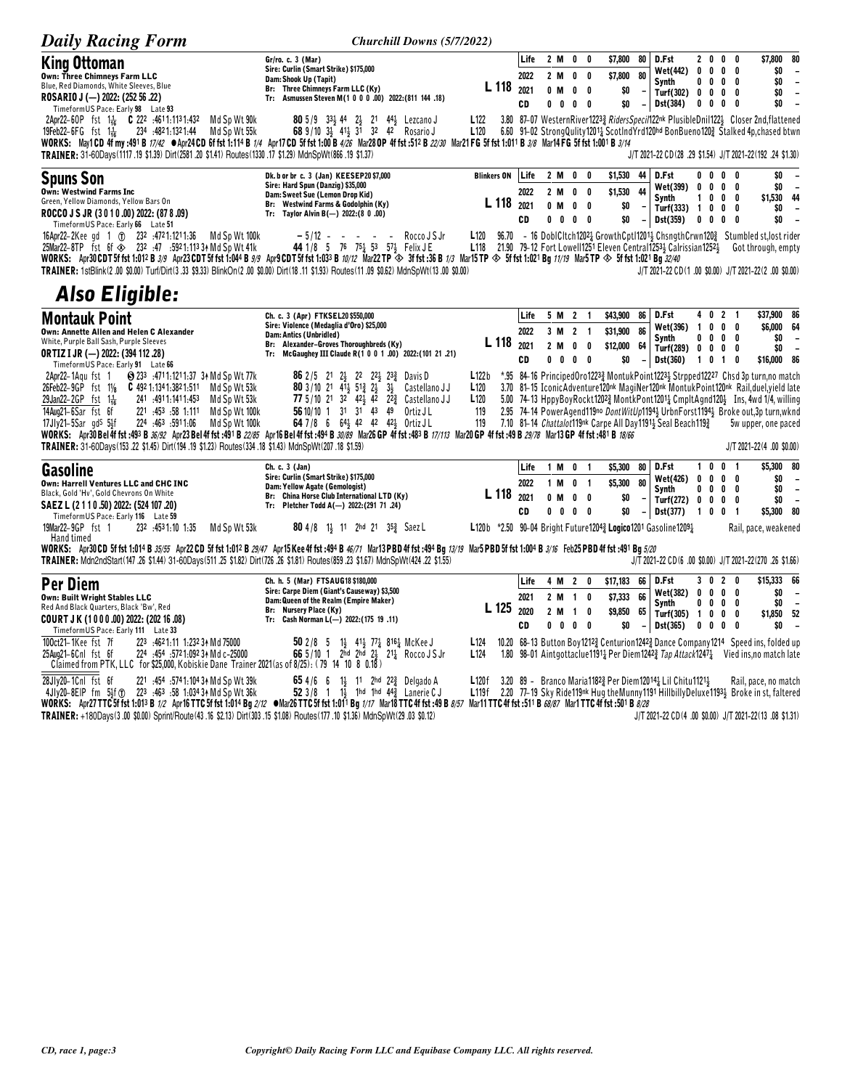| <b>Daily Racing Form</b>                                                                                                                                                                                                                                                                                                                                                                                                                                                                                                                                                                                                                                                                                                                                                                                                                                            | Churchill Downs (5/7/2022)                                                                                                                                                                                                                                                                                                                                                                                                                                                                                                                                                                               |                                                                                                  |                            |                                     |                                              |                                       |                                               |          |                                                                                                                                                                               |                                                           |                                |                                                        |                                                                                                                                                                                                                                                                                                                                                                                                                                                                                                      |
|---------------------------------------------------------------------------------------------------------------------------------------------------------------------------------------------------------------------------------------------------------------------------------------------------------------------------------------------------------------------------------------------------------------------------------------------------------------------------------------------------------------------------------------------------------------------------------------------------------------------------------------------------------------------------------------------------------------------------------------------------------------------------------------------------------------------------------------------------------------------|----------------------------------------------------------------------------------------------------------------------------------------------------------------------------------------------------------------------------------------------------------------------------------------------------------------------------------------------------------------------------------------------------------------------------------------------------------------------------------------------------------------------------------------------------------------------------------------------------------|--------------------------------------------------------------------------------------------------|----------------------------|-------------------------------------|----------------------------------------------|---------------------------------------|-----------------------------------------------|----------|-------------------------------------------------------------------------------------------------------------------------------------------------------------------------------|-----------------------------------------------------------|--------------------------------|--------------------------------------------------------|------------------------------------------------------------------------------------------------------------------------------------------------------------------------------------------------------------------------------------------------------------------------------------------------------------------------------------------------------------------------------------------------------------------------------------------------------------------------------------------------------|
| <b>King Ottoman</b><br><b>Own: Three Chimneys Farm LLC</b><br>Blue, Red Diamonds, White Sleeves, Blue<br>ROSARIO J (-) 2022: (252 56 .22)<br>TimeformUS Pace: Early 98 Late 93<br>2Apr22-60P fst 1 <sup>1</sup> / <sub>16</sub> C 222 :4611:1131:432<br>Md Sp Wt 90k<br>Md Sp Wt 55k<br>19Feb22-6FG fst $1\frac{1}{16}$<br>234 :4821:1321:44<br>WORKS: May1CD 4f my:491 B 17/42 CApr24CD 6f fst 1:114 B 1/4 Apr17CD 5f fst 1:00 B 4/26 Mar28 OP 4f fst :512 B 22/30 Mar21 FG 5f fst 1:011 B 3/8 Mar14 FG 5f fst 1:001 B 3/14<br>TRAINER: 31-60Days(1117 .19 \$1.39) Dirt(2581 .20 \$1.41) Routes(1330 .17 \$1.29) MdnSpWt(866 .19 \$1.37)                                                                                                                                                                                                                           | Gr/ro. c. 3 (Mar)<br>Sire: Curlin (Smart Strike) \$175,000<br>Dam: Shook Up (Tapit)<br>Br: Three Chimneys Farm LLC (Ky)<br>Tr: Asmussen Steven M(1 0 0 0 .00) 2022:(811 144 .18)<br><b>80</b> 5/9 33 <sup>1</sup> / <sub>2</sub> 44 2 <sup>1</sup> / <sub>2</sub> 21 44 <sup>1</sup> / <sub>2</sub> Lezcano J<br>68 9/10 $3\frac{1}{2}$ 41 $\frac{1}{2}$ 31 32 42 Rosario J                                                                                                                                                                                                                              | L 118<br>L122<br>L <sub>120</sub>                                                                | Life<br>2022<br>2021<br>CD | 2 M<br>2 M<br>$0$ M<br>$0\quad 0$   | 0<br>0<br>$0\quad 0$                         | 0<br>0<br>$0\quad 0$                  | \$7,800<br>\$7,800<br>\$0<br>\$0              | 80<br>80 | D.Fst<br>Wet(442)<br><b>Synth</b><br>Turf(302) 0 0 0<br>Dst(384)                                                                                                              | 20<br>0<br>$0\quad 0\quad$<br>0 <sub>0</sub>              | 0<br>0<br>0                    | 0<br>0<br>0<br>0<br>0<br>0<br>0                        | \$7,800<br>80<br>\$0<br>$\overline{\phantom{a}}$<br>\$0<br>$\overline{\phantom{a}}$<br>SO.<br>$\blacksquare$<br>\$0<br>$\overline{a}$<br>3.80 87-07 WesternRiver12233 RidersSpeci/122nk PlusibleDnil1223 Closer 2nd, flattened<br>6.60 91-02 StrongQulity12011 ScotIndYrd120hd BonBueno1202 Stalked 4p, chased btwn<br>J/T 2021-22 CD(28 .29 \$1.54) J/T 2021-22(192 .24 \$1.30)                                                                                                                     |
| <b>Spuns Son</b><br><b>Own: Westwind Farms Inc.</b><br>Green, Yellow Diamonds, Yellow Bars On<br>ROCCO J S JR (3010.00) 2022: (878.09)<br>TimeformUS Pace: Early 66 Late 51<br>Md Sp Wt 100k<br>16Apr22-2Kee gd 1 (1) 232 :4721:1211:36<br>25Mar22-8TP fst 6f $\otimes$ 232 :47 :5921:1133 + Md Sp Wt 41k<br>WORKS: Apr30 CDT 5f fst 1:012 B 3/9 Apr3 CDT 5f fst 1:044 B 3/9 Apr9 CDT 5f fst 1:033 B 10/12 Mar22 TP $\otimes$ 3f fst :36 B 1/3 Mar15 TP $\otimes$ 5f fst 1:021 Bg 11/19 Mar5 TP $\otimes$ 5f fst 1:021 Bg 32/40<br>TRAINER: 1stBlink(2.00 \$0.00) Turf/Dirt(3.33 \$9.33) BlinkOn(2.00 \$0.00) Dirt(18.11 \$1.93) Routes(11.09 \$0.62) MdnSpWt(13.00 \$0.00)                                                                                                                                                                                         | Dk. b or br c. 3 (Jan) KEESEP20 \$7,000<br>Sire: Hard Spun (Danzig) \$35,000<br>Dam: Sweet Sue (Lemon Drop Kid)<br>Br: Westwind Farms & Godolphin (Ky)<br>Tr: Taylor Alvin B(-) 2022: (8 0 .00)<br>$-5/12$ - - - - -<br>Rocco J S Jr<br>44 1/8 5 76 751 53 571 Felix JE                                                                                                                                                                                                                                                                                                                                  | <b>Blinkers ON</b><br>$L$ 118 $_{2021}$<br>L <sub>120</sub>                                      | Life<br>2022<br>CD         | 2 M<br>2 M<br>0 M<br>$0\quad 0$     | 0<br>0<br>$0\quad 0$                         | 0<br>0<br>$0\quad 0$                  | \$1,530<br>\$1,530<br>\$0<br>\$0              | 44<br>44 | D.Fst<br>Wet(399)<br>Synth<br>Turf(333) $1 \t0 \t0$<br><b>Dst(359)</b>                                                                                                        | 0 <sub>0</sub><br>$1\quad 0$<br>$0\quad 0\quad 0\quad$    | $0\quad 0\quad 0\quad$         | 0<br>0<br>0<br>0<br>0<br>0<br>0                        | \$0<br>\$O<br>$\overline{\phantom{a}}$<br>\$1,530 44<br>\$0<br>$\overline{\phantom{a}}$<br>\$0<br>$\overline{\phantom{a}}$<br>96.70 - 16 DoblCltch12024 GrowthCptl12014 ChsngthCrwn1203 Stumbled st, lost rider<br>L118 21.90 79-12 Fort Lowell1251 Eleven Central12534 Calrissian12524 Got through, empty<br>J/T 2021-22 CD(1.00 \$0.00) J/T 2021-22(2.00 \$0.00)                                                                                                                                   |
| <b>Also Eligible:</b><br><b>Montauk Point</b><br>Own: Annette Allen and Helen C Alexander<br>White, Purple Ball Sash, Purple Sleeves<br><b>ORTIZ I JR (-) 2022: (394 112 .28)</b><br>TimeformUS Pace: Early 91 Late 66<br>S 233 :4711:1211:37 3↑ Md Sp Wt 77k<br>2Apr22-1Aqu fst 1<br>26Feb22-9GP fst 11/8<br>C 492 1:134 1:382 1:511 Md Sp Wt 53k<br>241 .4911.1411.453<br>29Jan22-2GP fst $1\frac{1}{16}$<br>Md Sp Wt 53k<br>14Aug21-6Sar fst 6f<br>221 :453 :58 1:111<br>Md Sp Wt 100k<br>$17Jly21-5Sar$ gds $5\frac{1}{2}f$<br>224 :463 :5911:06<br>Md Sp Wt 100k<br>WORKS: Apr30 Bel4f fst :493 B 36/92 Apr23 Bel4f fst :491 B 22/85 Apr16 Bel4f fst :494 B 30/89 Mar26 GP 4f fst :493 B 17/113 Mar20 GP 4f fst :49 B 29/78 Mar13 GP 4f fst :481 B 18/66<br>TRAINER: 31-60Days(153.22 \$1.45) Dirt(194.19 \$1.23) Routes(334.18 \$1.43) MdnSpWt(207.18 \$1.59) | Ch. c. 3 (Apr) FTKSEL20 \$550,000<br>Sire: Violence (Medaglia d'Oro) \$25,000<br>Dam: Antics (Unbridled)<br>Br: Alexander-Groves Thoroughbreds (Ky)<br>Tr: McGaughey III Claude R(1 0 0 1 .00) 2022: (101 21 .21)<br><b>86</b> 2/5 21 2 <sup>1</sup> 2 <sup>2</sup> 2 <sup>2</sup> 2 <sup>2</sup> 2 <sup>3</sup> Davis D<br><b>80</b> 3/10 21 41 <sup>1</sup> / <sub>2</sub> 51 <sup>2</sup> / <sub>3</sub> 2 <sup>1</sup> / <sub>2</sub> 3 <sup>1</sup> / <sub>2</sub> Castellano JJ<br>77 5/10 21 32 423 42 223 Castellano JJ<br>56 10/10 1 31 31 43 49<br>Ortiz JL<br>64 7/8 6 641 42 42 421 Ortiz JL | L 118<br>L122b<br>L <sub>120</sub><br>L120<br>119<br>119                                         | Life<br>2022<br>2021<br>CD | 5 M 2<br>2 M                        | 3 M 2 1<br>$\mathbf 0$<br>$0\ 0\ 0\ 0$       | $\overline{1}$<br>0                   | \$43,900 86<br>\$31,900<br>\$12,000 64<br>\$0 | 86       | D.Fst<br>Wet(396)<br>Synth<br>Turf(289)<br><b>Dst(360)</b><br>7.10 81-14 Chattalot119nk Carpe All Day11914 Seal Beach1193                                                     | 1 0 0<br>00<br>$0\quad 0$<br>$\mathbf{1}$                 | 4 0 2<br>0<br>$\overline{1}$   | $\overline{1}$<br>0<br>0<br>0<br>$\mathbf 0$<br>0<br>0 | \$37,900 86<br>\$6,000 64<br>\$O<br>\$0<br>$\overline{\phantom{a}}$<br>\$16,000 86<br>*.95 84-16 PrincipedOro1223} MontukPoint1223} Strpped12227 Chsd 3p turn,no match<br>3.70 81-15 IconicAdventure120nk MagiNer120nk MontukPoint120nk Rail, duel, yield late<br>5.00 74-13 HppyBoyRockt12023 MontkPont12014 CmpltAgnd12012 Ins, 4wd 1/4, willing<br>2.95 74-14 PowerAgend119no DontWitUp1194} UrbnForst1194} Broke out,3p turn,wknd<br>5w upper, one paced<br>$J/T 2021 - 22(4 .00 $0.00)$         |
| <b>Gasoline</b><br>Own: Harrell Ventures LLC and CHC INC<br>Black, Gold 'Hv', Gold Chevrons On White<br>SAEZ L (2 1 1 0 .50) 2022: (524 107 .20)<br>TimeformUS Pace: Early 116 Late 59<br>Md Sp Wt 53k<br>19Mar22-9GP fst 1<br>232 :4531:10 1:35<br>Hand timed<br>WORKS: Apr30 CD 5f fst 1:014 B 35/55 Apr22 CD 5f fst 1:012 B 29/47 Apr15 Kee 4f fst :494 B 46/77 Mar13 PBD 4f fst :494 Bg 13/19 Mar5 PBD 5f fst 1:004 B 3/16 Feb25 PBD 4f fst :491 Bg 5/20<br>TRAINER: Mdn2ndStart(147 .26 \$1.44) 31-60Days(511 .25 \$1.82) Dirt(726 .26 \$1.81) Routes(859 .23 \$1.67) MdnSpWt(424 .22 \$1.55)                                                                                                                                                                                                                                                                  | Ch. c. 3 (Jan)<br>Sire: Curlin (Smart Strike) \$175,000<br>Dam: Yellow Agate (Gemologist)<br>Br: China Horse Club International LTD (Ky)<br>Tr: Pletcher Todd A(-) 2022: (291 71 .24)<br><b>80</b> 4/8 1 <sup>1</sup> 11 2 hd 21 3 $\frac{53}{4}$ Saez L                                                                                                                                                                                                                                                                                                                                                 | L 118<br>L120b *2.50 90-04 Bright Future1204 $\frac{3}{4}$ Logico1201 Gasoline1209 $\frac{1}{4}$ | Life<br>2022<br>2021<br>CD | 1 M 0<br>1 M<br>$0$ M<br>$0\quad 0$ | 0 <sub>1</sub><br>$0\quad 0$                 | $\overline{\mathbf{1}}$<br>$0\quad 0$ | \$5,300 80<br>\$5,300<br>\$0<br>\$0           | 80       | D.Fst<br>Wet(426)<br><b>Synth</b><br>Turf(272)<br><b>Dst(377)</b>                                                                                                             | $0\quad 0$<br>$0\quad 0$<br>$0\quad 0\quad 0\quad$<br>100 | 100                            | -1<br>0<br>0<br>$\mathbf{0}$<br>0<br>0<br>-1           | \$5,300 80<br>\$O<br>$\overline{\phantom{a}}$<br>\$0<br>$\overline{\phantom{a}}$<br>SO.<br>$\overline{\phantom{a}}$<br>\$5,300 80<br>Rail, pace, weakened<br>J/T 2021-22 CD (6 .00 \$0.00) J/T 2021-22 (270 .26 \$1.66)                                                                                                                                                                                                                                                                              |
| <b>Per Diem</b><br>Own: Built Wright Stables LLC<br>Red And Black Quarters, Black 'Bw', Red<br>COURT JK (1000.00) 2022: (202 16.08)<br>TimeformUS Pace: Early 111 Late 33<br>100ct21-1Kee fst 7f<br>223 .4621:11 1:232 34 Md 75000<br>25Aug21-6Cnl fst 6f<br>224 :454 :5721:092 34 Md c-25000<br>Claimed from PTK, LLC for \$25,000, Kobiskie Dane Trainer 2021 (as of 8/25): (79 14 10 8 0.18)<br>28Jlv20-1Cnl fst 6f<br>221 :454 :5741:104 34 Md Sp Wt 39k<br>4JIy20-8EIP fm 5}f (r) 223 :463 :58 1:034 34 Md Sp Wt 36k<br>WORKS: Apr27TTC5f fst 1:013 B 1/2 Apr16TTC5f fst 1:014 Bq 2/12 OMar26TTC5f fst 1:011 Bq 1/17 Mar18TTC4f fst :49 B 8/57 Mar11TTC4f fst :511 B 68/87 Mar1TTC4f fst :501 B 8/87 Mar1TTC4f fst :501 B 68/87<br>TRAINER: +180Days(3.00 \$0.00) Sprint/Route(43.16 \$2.13) Dirt(303.15 \$1.08) Routes(177.10 \$1.36) MdnSpWt(29.03 \$0.12)   | Ch. h. 5 (Mar) FTSAUG18 \$180,000<br>Sire: Carpe Diem (Giant's Causeway) \$3,500<br>Dam: Queen of the Realm (Empire Maker)<br>Br: Nursery Place (Ky)<br>Tr: Cash Norman L(-) 2022: (175 19 .11)<br>$1\frac{1}{2}$ 41 $\frac{1}{2}$ 77 $\frac{1}{4}$ 816 $\frac{1}{4}$ McKee J<br>$502/8$ 5<br>66 5/10 1 2hd 2hd 2 <sub>2</sub> 21 <sub>4</sub> Rocco J S Jr<br>65 4/6 6 1 <sup>1</sup> 11 2hd 22 <sup>3</sup> Delgado A<br>52 3/8 1 1} 1hd 1hd 44 <sup>3</sup> Lanerie CJ                                                                                                                                | L 125 2020<br>L124<br>L <sub>124</sub><br>L120 f<br>L119f                                        | Life<br>2021<br>CD         | 4 M 2<br>2 M<br>2 M<br>$0\quad 0$   | $\overline{1}$<br>$\mathbf{1}$<br>$0\quad 0$ | 0<br>0<br>0                           | \$17,183 66<br>\$7,333<br>\$9,850 65<br>\$0   | 66       | D.Fst<br><b>Wet(382)</b><br>Synth<br>Turf(305) $1 \t0 \t0$<br>Dst(365)<br>3.20 89 - Branco Maria 1182 $\frac{3}{4}$ Per Diem 12014 $\frac{1}{4}$ Lil Chitu 1121 $\frac{1}{4}$ | $0\quad 0\quad 0$                                         | $0\ 0\ 0$<br>$0\quad 0\quad 0$ | 3 0 2 0<br>0<br>0<br>0<br>0                            | \$15,333 66<br>\$0<br>$\overline{\phantom{a}}$<br>\$0<br>$\overline{\phantom{a}}$<br>\$1,850 52<br>\$0<br>10.20 68-13 Button Boy12123 Centurion12423 Dance Company1214 Speed ins, folded up<br>1.80 98-01 Aintgottaclue1191 <sub>4</sub> Per Diem1242 <sub>4</sub> Tap Attack1247 <sub>4</sub> Vied ins, no match late<br>Rail, pace, no match<br>2.20 77-19 Sky Ride119nk Hug the Munny 1191 Hillbilly Deluxe11934 Broke in st, faltered<br>J/T 2021-22 CD(4 .00 \$0.00) J/T 2021-22(13 .08 \$1.31) |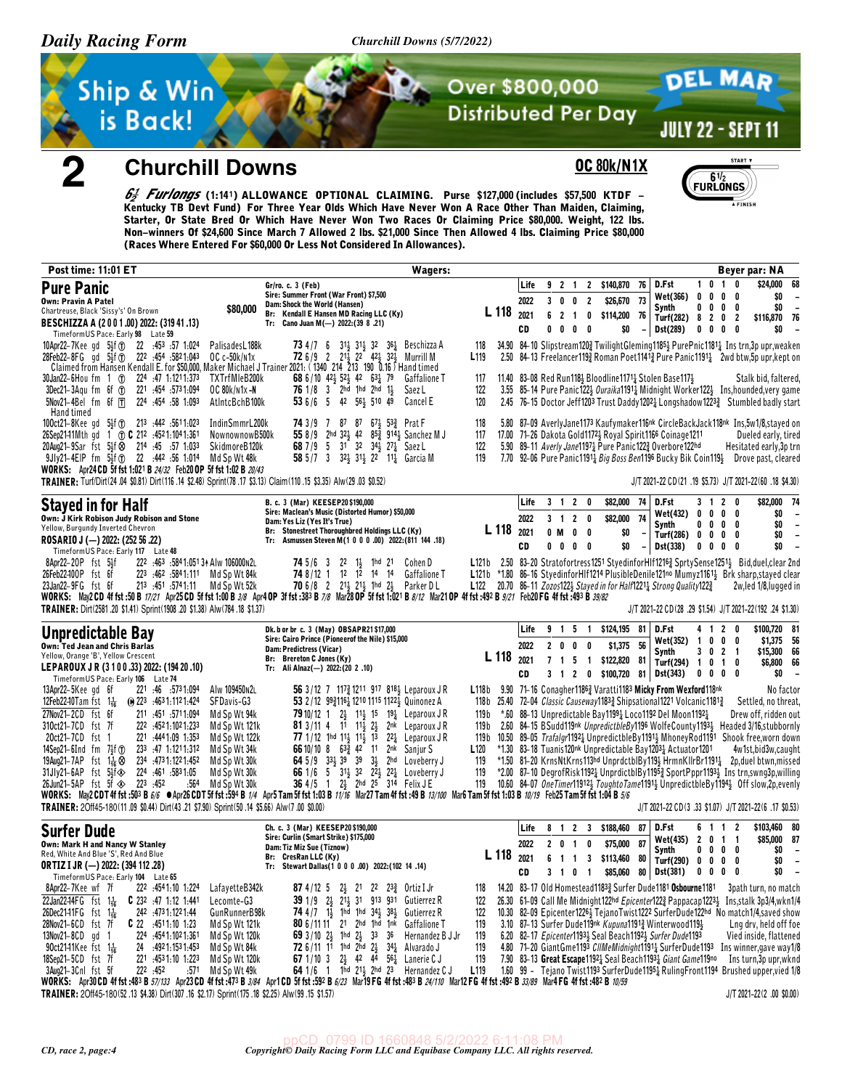2

Churchill Downs (5/7/2022)



**Churchill Downs** 

## **OC 80k/N1X**



**DEL MAR** 

JULY 22 - SEPT 11

6<sup>1</sup>/62 *Furlongs* (1:141) ALLOWANCE OPTIONAL CLAIMING. Purse \$127,000 (includes \$57,500 KTDF -Kentucky TB Devt Fund) For Three Year Olds Which Have Never Won A Race Other Than Maiden, Claiming, Starter, Or State Bred Or Which Have Never Won Two Races Or Claiming Price \$80,000. Weight, 122 lbs. Non-winners Of \$24,600 Since March 7 Allowed 2 lbs. \$21,000 Since Then Allowed 4 lbs. Claiming Price \$80,000 (Races Where Entered For \$60,000 Or Less Not Considered In Allowances).

| <b>Post time: 11:01 ET</b>                                                                                                                                                                                                                                                                                                                                                                                                                                                                                                                                                                                                 |                                                                                                                                  |                                                                                                                                                                                                                                  |                                                                                                                         | Wagers:                                                                                                                                                                                                                                                                                                                                                                                                                                                                                                                                                                                           |                                                                   |            |                            |                                                      |                                                  |                                                |                                                          |                      |                                                                                                                                                                                                                                                                                                                                                                   |                  |                           |                                                                       | Beyer par: NA                                                                                                                                                                                                                                                                                                                                                                                 |
|----------------------------------------------------------------------------------------------------------------------------------------------------------------------------------------------------------------------------------------------------------------------------------------------------------------------------------------------------------------------------------------------------------------------------------------------------------------------------------------------------------------------------------------------------------------------------------------------------------------------------|----------------------------------------------------------------------------------------------------------------------------------|----------------------------------------------------------------------------------------------------------------------------------------------------------------------------------------------------------------------------------|-------------------------------------------------------------------------------------------------------------------------|---------------------------------------------------------------------------------------------------------------------------------------------------------------------------------------------------------------------------------------------------------------------------------------------------------------------------------------------------------------------------------------------------------------------------------------------------------------------------------------------------------------------------------------------------------------------------------------------------|-------------------------------------------------------------------|------------|----------------------------|------------------------------------------------------|--------------------------------------------------|------------------------------------------------|----------------------------------------------------------|----------------------|-------------------------------------------------------------------------------------------------------------------------------------------------------------------------------------------------------------------------------------------------------------------------------------------------------------------------------------------------------------------|------------------|---------------------------|-----------------------------------------------------------------------|-----------------------------------------------------------------------------------------------------------------------------------------------------------------------------------------------------------------------------------------------------------------------------------------------------------------------------------------------------------------------------------------------|
| <b>Pure Panic</b><br>Own: Pravin A Patel<br>Chartreuse, Black 'Sissy's' On Brown<br>BESCHIZZA A (2001.00) 2022: (319 41.13)<br>Timeform US Pace: Early 98 Late 59                                                                                                                                                                                                                                                                                                                                                                                                                                                          | \$80,000                                                                                                                         | Gr/ro. c. 3 (Feb)<br>Sire: Summer Front (War Front) \$7,500<br>Dam: Shock the World (Hansen)<br>Br: Kendall E Hansen MD Racing LLC (Ky)<br>Tr: Cano Juan M(-) $2022:(39 8 .21)$                                                  |                                                                                                                         |                                                                                                                                                                                                                                                                                                                                                                                                                                                                                                                                                                                                   |                                                                   | L 118      | Life<br>2022<br>2021<br>CD | 9 2 1<br>30<br>6 <sub>2</sub><br>0<br>0              | 0<br>$\overline{\mathbf{1}}$<br>0                | $\overline{2}$<br>0<br>- 0                     | 2 \$140,870<br>\$26,670<br>\$114,200<br>\$0              | 76<br>- 73<br>- 76   | D.Fst<br>Wet(366)<br>Synth<br>Turf(282) 8 2 0 2<br>Dst(289)                                                                                                                                                                                                                                                                                                       | $\mathbf 0$<br>0 | 0                         | 1010<br>$\mathbf{0}$<br>0<br>$0\quad 0\quad 0$<br>$0\ 0\ 0\ 0$        | \$24,000<br>68<br>\$0<br>\$0<br>$\overline{\phantom{a}}$<br>\$116,870 76<br>\$0                                                                                                                                                                                                                                                                                                               |
| 10Apr22-7Kee gd 5 <sup>1</sup> / <sub>2</sub> f (r) 22 :453 :57 1:024<br>28Feb22-8FG gd 53f T 222 :454 :5821:043<br>Claimed from Hansen Kendall E. for \$50,000, Maker Michael J Trainer 2021: (1340 214 213 190 0.16) Hand timed<br>224 47 1:1211:373<br>30Jan22-6Hou fm 1 ①<br>$3$ Dec21-3Aqu fm 6f $1$<br>221 454 5731.094                                                                                                                                                                                                                                                                                              | PalisadesL188k<br>$OC c-50k/n1x$<br>TXTrfMleB200k<br>OC 80k/n1x-N                                                                | 73 4 / 7 6                                                                                                                                                                                                                       | 68 6/10 423 523 42 631 79<br>76 1/8 3 2hd 1hd 2hd 11                                                                    | 311 311 32 361 Beschizza A<br>72 6/9 2 213 22 423 323 Murrill M<br><b>Gaffalione T</b><br>Saez L                                                                                                                                                                                                                                                                                                                                                                                                                                                                                                  | 118<br>L <sub>119</sub><br>117<br>122                             |            |                            |                                                      |                                                  |                                                |                                                          |                      | 11.40 83-08 Red Run118} Bloodline1171} Stolen Base117}                                                                                                                                                                                                                                                                                                            |                  |                           |                                                                       | 34.90 84-10 Slipstream1202 TwilightGleming11852 PurePnic11811 Instrn,3pupr,weaken<br>2.50 84-13 Freelancer1193 Roman Poet11413 Pure Panic11911 2wd btw, 5p upr, kept on<br>Stalk bid, faltered,<br>3.55 85-14 Pure Panic1223 Ouraika1191 Midnight Worker1223 Ins, hounded, very game                                                                                                          |
| $5$ Nov21-4Bel fm 6f $\Box$<br>224 454 58 1:093<br>Hand timed<br>100ct21-8Kee gd 5 <sup>1</sup> <sub>2</sub> f <sup>o</sup> 213 :442 :5611:023<br>26Sep2141Mth gd 1 TO C 212 :4521:1041:361<br>20Aug21-9Sar fst 54f & 214 :45 :57 1:033                                                                                                                                                                                                                                                                                                                                                                                    | AtIntcBchB100k<br>IndinSmmrL200k<br>NownownowB500k<br>SkidmoreB120k                                                              | 74 3 / 9 7                                                                                                                                                                                                                       | 53 6/6 5 42 56 $\frac{1}{2}$ 510 49<br>87 87 67 453 Prat F<br>68 7/9 5 31 32 34 3 27 5 Saez L                           | Cancel E<br>55 8/9 2hd 321 42 853 9141 Sanchez M J                                                                                                                                                                                                                                                                                                                                                                                                                                                                                                                                                | 120<br>118<br>117<br>122                                          |            |                            |                                                      |                                                  |                                                |                                                          |                      | 17.00 71-26 Dakota Gold11721 Royal Spirit1166 Coinage1211<br>5.90 89-11 Averly Jane11974 Pure Panic1223 Overbore122hd                                                                                                                                                                                                                                             |                  |                           |                                                                       | 2.45 76-15 Doctor Jeff1203 Trust Daddy12021 Longshadow12232 Stumbled badly start<br>5.80 87-09 AverlyJane1173 Kaufymaker116nk CircleBackJack118nk Ins,5w1/8,stayed on<br>Dueled early, tired<br>Hesitated early, 3p trn                                                                                                                                                                       |
| 9Jly21-4EIP fm 5}f (f) 22 :442 :56 1:014 Md Sp Wt 48k<br>WORKS: Apr24 CD 5f fst 1:021 B 24/32 Feb20 OP 5f fst 1:02 B 20/43<br>TRAINER: Turf/Dirt(24.04 \$0.81) Dirt(116.14 \$2.48) Sprint(78.17 \$3.13) Claim(110.15 \$3.35) Alw(29.03 \$0.52)                                                                                                                                                                                                                                                                                                                                                                             |                                                                                                                                  |                                                                                                                                                                                                                                  |                                                                                                                         | 58 5/7 3 32 31 22 11 Garcia M                                                                                                                                                                                                                                                                                                                                                                                                                                                                                                                                                                     | 119                                                               |            |                            |                                                      |                                                  |                                                |                                                          |                      | D.Fst                                                                                                                                                                                                                                                                                                                                                             |                  |                           | 3120                                                                  | 7.70 92-06 Pure Panic1191 <sub>4</sub> Big Boss Ben1196 Bucky Bik Coin1194 Drove past, cleared<br>J/T 2021-22 CD(21 .19 \$5.73) J/T 2021-22(60 .18 \$4.30)                                                                                                                                                                                                                                    |
| <b>Stayed in for Half</b><br>Own: J Kirk Robison Judy Robison and Stone<br>Yellow, Burgundy Inverted Chevron<br>ROSARIO J (-) 2022: (252 56 .22)<br>TimeformUS Pace: Early 117 Late 48                                                                                                                                                                                                                                                                                                                                                                                                                                     |                                                                                                                                  | B. c. 3 (Mar) KEESEP20 \$190,000<br>Sire: Maclean's Music (Distorted Humor) \$50,000<br>Dam: Yes Liz (Yes It's True)<br>Br: Stonestreet Thoroughbred Holdings LLC (Ky)<br>Tr: Asmussen Steven M(1 0 0 0 .00) 2022: (811 144 .18) |                                                                                                                         |                                                                                                                                                                                                                                                                                                                                                                                                                                                                                                                                                                                                   |                                                                   | L 118      | Life<br>2022<br>2021<br>CD | 0 M<br>$0\quad 0$                                    | 3 1 2 0<br>3 1 2 0<br>$0\quad 0$<br>$0\quad 0$   |                                                | \$82,000 74<br>\$82,000<br>\$0<br>\$0                    | 74                   | Wet(432)<br>Synth<br>Turf(286) 0 0 0 0<br>Dst(338)                                                                                                                                                                                                                                                                                                                | 0<br>0           |                           | $0\quad 0\quad 0$<br>$0\,0\,0\,0$<br>$0\quad 0\quad 0$                | \$82,000 74<br>\$0<br>$\overline{\phantom{a}}$<br>\$0<br>$\overline{\phantom{a}}$<br>\$0<br>$\overline{\phantom{a}}$<br>\$0<br>$\overline{\phantom{a}}$                                                                                                                                                                                                                                       |
| 222 :463 :584 1:051 34 Alw 106000 N2L<br>8Apr22-20P fst 54f<br>26Feb22-100P fst 6f<br>223 :462 :5841:111 Md Sp Wt 84k<br>23Jan22-9FG fst 6f<br>213 .451 .5741.11 Md Sp Wt 52k<br>WORKS: May2CD 4f fst:50 B 17/21 Apr25CD 5f fst 1:00 B 3/8 Apr4 OP 3f fst :383 B 7/8 Mar28 OP 5f fst 1:021 B 8/12 Mar21 OP 4f fst :492 B 9/21 Feb20 FG 4f fst :493 B 3/82<br>TRAINER: Dirt(2581.20 \$1.41) Sprint(1908.20 \$1.38) Alw(784.18 \$1.37)                                                                                                                                                                                       |                                                                                                                                  |                                                                                                                                                                                                                                  | <b>74</b> $5/6$ 3 22 1 $\frac{1}{2}$ 1 hd 21 Cohen D                                                                    | <b>74</b> 8/12 1 12 12 14 14 Gaffalione T<br>70 6/8 2 213 213 1hd 23 Parker DL                                                                                                                                                                                                                                                                                                                                                                                                                                                                                                                    |                                                                   |            |                            |                                                      |                                                  |                                                |                                                          |                      | L122 20.70 86-11 Zozos122 $\frac{1}{2}$ Stayed in for Half1221 $\frac{1}{4}$ Strong Quality122 $\frac{3}{4}$                                                                                                                                                                                                                                                      |                  |                           |                                                                       | L121b 2.50 83-20 Stratofortress1251 StyedinforHIf12163 SprtySense12513 Bid, duel, clear 2nd<br>L121b *1.80 86-16 StyedinforHIf1214 PlusibleDenile121no Mumyz1161} Brk sharp, stayed clear<br>2w.led 1/8.lugged in<br>J/T 2021-22 CD(28 .29 \$1.54) J/T 2021-22(192 .24 \$1.30)                                                                                                                |
| Unpredictable Bay<br>Own: Ted Jean and Chris Barlas<br>Yellow, Orange 'B', Yellow Crescent<br>LEPAROUX JR (3 1 0 0 .33) 2022: (194 20 .10)<br>TimeformUS Pace: Early 106 Late 74                                                                                                                                                                                                                                                                                                                                                                                                                                           |                                                                                                                                  | Dk. b or br c. 3 (May) OBSAPR21\$17,000<br>Sire: Cairo Prince (Pioneerof the Nile) \$15,000<br>Dam: Predictress (Vicar)<br>Br: Brereton C Jones (Ky)<br>Tr: Ali Alnaz(-) 2022: (20 2 .10)                                        |                                                                                                                         |                                                                                                                                                                                                                                                                                                                                                                                                                                                                                                                                                                                                   |                                                                   | L 118 2021 | Life<br>2022<br>CD         | $2 \quad 0$<br>$7$ 1 5<br>$3 \quad 1$                | 9 1 5 1<br>$0\quad 0$                            | $\overline{\phantom{a}}$                       | \$124,195 81<br>\$1,375 56<br>\$122,820<br>2 0 \$100,720 | 81                   | D.Fst<br>Wet(352)<br>Synth<br>Turf(294) 1<br>81 Dst(343)                                                                                                                                                                                                                                                                                                          | $\overline{1}$   | 0<br>30<br>0 <sub>1</sub> | 4120<br>$0\quad 0$<br>2 <sub>1</sub><br>0<br>$0\quad 0\quad 0\quad 0$ | \$100,720 81<br>\$1,375 56<br>\$15,300 66<br>\$6,800 66<br>\$0<br>$\overline{\phantom{a}}$                                                                                                                                                                                                                                                                                                    |
| 13Apr22-5Keegd 6f<br>221 46 5731.094<br>12Feb22-10Tam fst $1\frac{1}{16}$<br>$\omega$ 223 :4631:1121:424<br>27Nov21-2CD fst 6f<br>211 .451 .5711.094<br>310ct21-7CD fst 7f<br>222 .4521.1021.233<br>20ct21-7CD fst 1<br>221 :4441:09 1:353                                                                                                                                                                                                                                                                                                                                                                                 | Alw 109450N2L<br>SFDavis-G3<br>Md Sp Wt 94k<br>Md Sp Wt 121k<br>Md Sp Wt 122k                                                    |                                                                                                                                                                                                                                  |                                                                                                                         | 56 3/12 7 1173 1211 917 8181 Leparoux JR<br>53 2/12 9931161 1210 1115 11221 Quinonez A<br>79 10/12 1 2} 11} 15 19} Leparoux JR<br><b>81</b> 3/11 4 11 11 $\frac{13}{5}$ 2 $\frac{1}{5}$ 2nk Leparoux JR<br>77 1/12 1hd 11 <sup>1</sup> / <sub>2</sub> 11 <sup>1</sup> / <sub>2</sub> 13 22 <sup>1</sup> / <sub>4</sub> Leparoux J R                                                                                                                                                                                                                                                               | 119 b<br>119 b                                                    |            |                            |                                                      |                                                  |                                                |                                                          |                      | L118b 9.90 71-16 Conagher11863 Varatti1183 Micky From Wexford118nk<br>118b 25.40 72-04 Classic Causeway11833 Shipsational1221 Volcanic11813<br>*.60 88-13 Unpredictable Bay1199 $\frac{1}{4}$ Loco1192 Del Moon1192 $\frac{1}{4}$                                                                                                                                 |                  |                           |                                                                       | No factor<br>Settled, no threat,<br>Drew off, ridden out<br>2.60 84-15 BSudd119nk <i>UnpredictbleBy</i> 1196 WolfeCounty11933 Headed 3/16,stubbornly<br>119b 10.50 89-05 Trafalgr11921 UnpredictbleBy11911 MhoneyRod1191 Shook free, worn down                                                                                                                                                |
| 14Sep21-6Ind fm $7\frac{1}{2}$ f $\textcircled{1}$<br>233 :47 1:1211:312<br>19Aug21-7AP fst $1\frac{1}{16}$<br>234 4731.1221.452<br>31Jly21-6AP fst 5 <sup>1</sup> / <sub>2</sub> f <><br>224 :461 :5831:05<br>26Jun21-5AP fst 5f $\otimes$ 223 :452<br>:564<br>WORKS: May2CDT 4f fst :503 B 6/6 ● Apr26 CDT 5f fst :594 B 1/4 Apr5 Tam 5f fst 1:03 B 11/16 Mar27 Tam 4f fst :49 B 13/100 Mar6 Tam 5f fst 1:03 B 10/19 Feb25 Tam 5f fst 1:04 B 5/6<br>TRAINER: 20ff45-180(11.09 \$0.44) Dirt(43.21 \$7.90) Sprint(50.14 \$5.66) Alw(7.00 \$0.00)                                                                           | Md Sp Wt 34k<br>Md Sp Wt 30k<br>Md Sp Wt 30k<br>Md Sp Wt 30k                                                                     |                                                                                                                                                                                                                                  | 66 10/10 8 633 42 11 2nk Sanjur S<br>36 4/5 1 2 <sup>1</sup> / <sub>2</sub> 2hd 2 <sup>5</sup> 3 <sup>14</sup> Felix JE | 64 5/9 $33\frac{1}{2}$ 39 39 $3\frac{1}{2}$ 2hd Loveberry J<br>66 1/6 5 31 $\frac{1}{2}$ 32 22 $\frac{1}{2}$ 22 $\frac{1}{4}$ Loveberry J                                                                                                                                                                                                                                                                                                                                                                                                                                                         | L <sub>120</sub><br>119<br>119<br>119                             |            |                            |                                                      |                                                  |                                                |                                                          |                      | *1.30 83-18 Tuanis 120 <sup>nk</sup> Unpredictable Bay 1203 <sup>1</sup> Actuator 1201                                                                                                                                                                                                                                                                            |                  |                           |                                                                       | 4w1st,bid3w,caught<br>*1.50 81-20 KrnsNtKrns113hd UnprdctblBy1193 HrmnKllrBr11913 2p,duel btwn,missed<br>*2.00 87-10 DegrofRisk11921 UnprdictblBy11952 SportPppr11931 Instrn,swng3p,willing<br>10.60 84-07 OneTimer11912} ToughtoTame1191} UnpredictbleBy1194} Off slow,2p,evenly<br>J/T 2021-22 CD(3 .33 \$1.07) J/T 2021-22(6 .17 \$0.53)                                                   |
| <b>Surfer Dude</b><br>Own: Mark H and Nancy W Stanley<br>Red, White And Blue 'S', Red And Blue<br><b>ORTIZ I JR (-) 2022: (394 112 .28)</b><br>TimeformUS Pace: Early 104 Late 65                                                                                                                                                                                                                                                                                                                                                                                                                                          |                                                                                                                                  | Ch. c. 3 (Mar) KEESEP20 \$190,000<br>Sire: Curlin (Smart Strike) \$175,000<br>Dam: Tiz Miz Sue (Tiznow)<br>Br: CresRan LLC (Ky)<br>Tr: Stewart Dallas(1 0 0 0 .00) 2022:(102 14 .14)                                             |                                                                                                                         |                                                                                                                                                                                                                                                                                                                                                                                                                                                                                                                                                                                                   |                                                                   | L 118 2021 | Life<br>2022<br>CD         | 2 <sub>0</sub><br>6<br>$\overline{1}$<br>$3 \quad 1$ | 8 1 2 3<br>$\overline{1}$<br>$\overline{1}$<br>0 | 0<br>$\overline{\mathbf{3}}$<br>$\overline{1}$ | \$188,460<br>\$75,000<br>\$113,460<br>\$85,060           | 87<br>87<br>80<br>80 | D.Fst<br>Wet(435) 2<br>Synth<br>Turf(290) $0 \t 0 \t 0 \t 0$<br>Dst(381)                                                                                                                                                                                                                                                                                          |                  |                           | 6 1 1 2<br>$0 \t1 \t1$<br>$0\,0\,0\,0$<br>$0\ 0\ 0\ 0$                | \$103,460 80<br>\$85,000 87<br>\$0<br>$\overline{\phantom{a}}$<br>\$0<br>$\overline{\phantom{a}}$<br>\$0<br>$\overline{\phantom{a}}$                                                                                                                                                                                                                                                          |
| 8Apr22-7Kee wf 7f<br>222 :4541:10 1:224<br>22Jan22-14FG $f_{5}t$ $1\frac{1}{16}$<br><b>C</b> 232 :47 1:12 1:441<br>26Dec2141FG fst 1 <sup>1</sup> <sub>16</sub><br>242 473 1:122 1:44<br>28Nov21-6CD fst 7f<br>$C$ 22 $.4511.10$ 1.23<br>13Nov21-8CD gd 1<br>224 :4541:1021:361<br>90ct2141Kee fst $1\frac{1}{16}$<br>: 492 1: 153 1: 453<br>24<br>18Sep21-5CD fst 7f<br>221 4531.10 1.223<br>222 :452<br>3Aug21-3Cnl fst 5f<br>:571<br>WORKS: Anr30 CD 4f fst :483 B 57/133 Anr23 CD 4f fst :473 B 3/84 Anr1 CD 5f fst :592 B 6/23 Mar19 FG 4f fst :483 B 24/110 Mar12 FG 4f fst :482 B 33/89 Mar4 FG 4f fst :482 B 10/59 | LafayetteB342k<br>Lecomte-G3<br>GunRunnerB98k<br>Md Sp Wt 121k<br>Md Sp Wt 120k<br>Md Sp Wt 84k<br>Md Sp Wt 120k<br>Md Sp Wt 49k |                                                                                                                                                                                                                                  |                                                                                                                         | 87 4/12 5 $2\frac{1}{2}$ 21 22 $23\frac{3}{4}$ Ortiz I Jr<br>39 1/9 2 <sup>1</sup> / <sub>2</sub> 2 <sup>1</sup> / <sub>2</sub> 3 <sup>1</sup> 9 <sup>13</sup> 9 <sup>31</sup> Gutierrez R<br>74 4/7 1 <sup>1</sup> 1hd 1hd 34 <sup>1</sup> 38 <sup>1</sup> Gutierrez R<br><b>80</b> 6/11 11 21 2hd 1hd 1nk Gaffalione T<br>69 3/10 2} 1hd 2} 33 36 Hernandez B J Jr<br><b>72</b> 6/11 11 1hd 2hd $2\frac{1}{2}$ 34 <sup>1</sup> / <sub>2</sub> Alvarado J<br><b>67</b> 1/10 3 $2\frac{1}{2}$ 42 44 $56\frac{1}{4}$ Lanerie C J<br>64 1/6 1 1 $\frac{1}{10}$ 21 <sub>2</sub> 2hd 23 Hernandez C J | 118<br>122<br>122<br>119<br>119<br>119<br>119<br>L <sub>119</sub> |            |                            |                                                      |                                                  |                                                |                                                          |                      | 14.20 83-17 Old Homestead11833 Surfer Dude1181 Osbourne1181<br>26.30 61-09 Call Me Midnight122hd Epicenter1223 Pappacap12234<br>3.10 87-13 Surfer Dude119 <sup>nk</sup> Kupuna1191 <sub>2</sub> Winterwood1194<br>6.20 82–17 <i>Epicenter</i> 11934, Seal Beach11924, Surfer Dude1193<br>7.90 83-13 Great Escape 1192 & Seal Beach 1193 <i>4 Giant Game</i> 119no |                  |                           |                                                                       | 3path turn, no match<br>Ins.stalk 3p3/4,wkn1/4<br>10.30 82-09 Epicenter12264 TejanoTwist1222 SurferDude122hd No match1/4, saved show<br>Lng drv, held off foe<br>Vied inside, flattened<br>4.80 71-20 Giant Gme1193 CllMeMidnight11911 SurferDude1193 Ins winner, gave way1/8<br>Ins turn, 3p upr, wknd<br>1.60 99 - Tejano Twist1193 SurferDude11951 RulingFront1194 Brushed upper, vied 1/8 |

TRAINER: 20ff45-180(52.13 \$4.38) Dirt(307.16 \$2.17) Sprint(175.18 \$2.25) Alw(99.15 \$1.57)

J/T 2021-22(2 .00 \$0.00)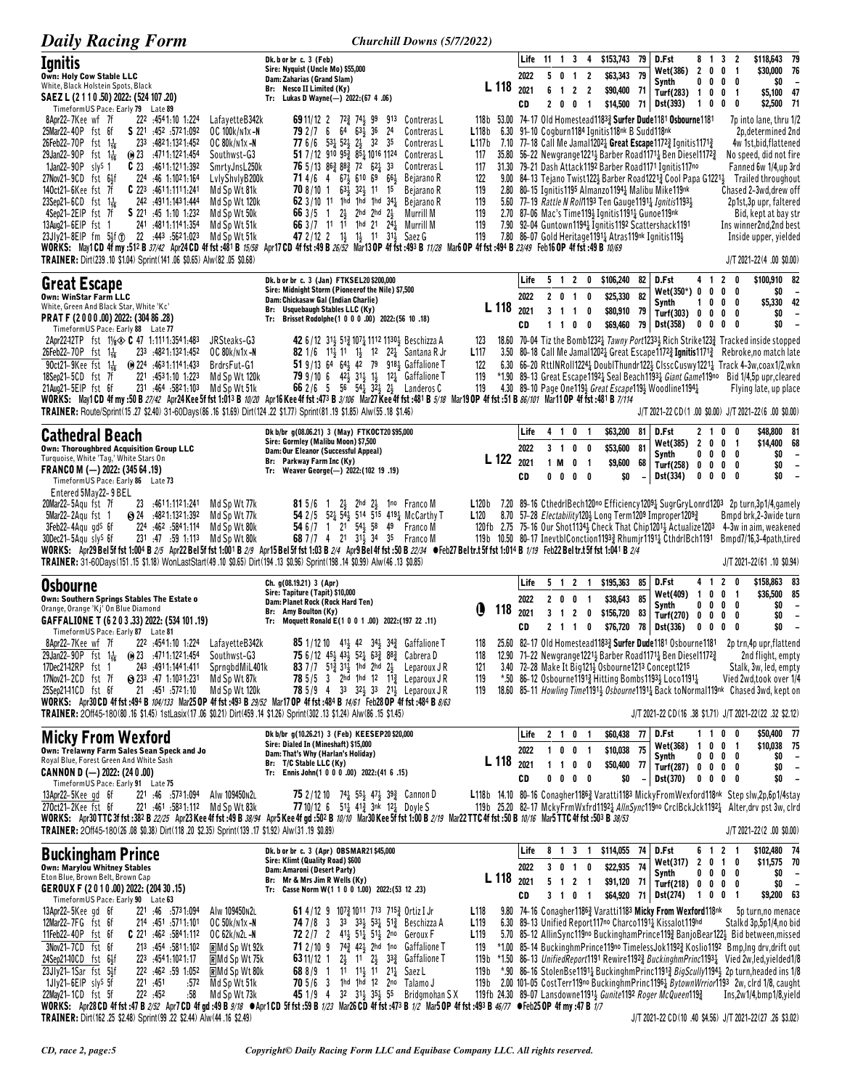| <b>Daily Racing Form</b>                                                                                                                                                                                                                                                                                                                                                                                                                                                                                                                                                                                                                                                                                                                                                                                                                                                                                                                                                                                                             | <b>Churchill Downs (5/7/2022)</b>                                                                                                                                                                                                                                                                                                                                                                                                                                                                                                                                                                                 |                                                                                                                                                 |                            |                                                              |                                                                                         |                                                                                                                                                                                                       |                |                                                                                                                                                                                                                                                                                                                                                                                                                                                                                             |                                                                   |                                                                                     |                                                                                                                                                                                                                                                                                                                                                                                                                                                                                                                           |
|--------------------------------------------------------------------------------------------------------------------------------------------------------------------------------------------------------------------------------------------------------------------------------------------------------------------------------------------------------------------------------------------------------------------------------------------------------------------------------------------------------------------------------------------------------------------------------------------------------------------------------------------------------------------------------------------------------------------------------------------------------------------------------------------------------------------------------------------------------------------------------------------------------------------------------------------------------------------------------------------------------------------------------------|-------------------------------------------------------------------------------------------------------------------------------------------------------------------------------------------------------------------------------------------------------------------------------------------------------------------------------------------------------------------------------------------------------------------------------------------------------------------------------------------------------------------------------------------------------------------------------------------------------------------|-------------------------------------------------------------------------------------------------------------------------------------------------|----------------------------|--------------------------------------------------------------|-----------------------------------------------------------------------------------------|-------------------------------------------------------------------------------------------------------------------------------------------------------------------------------------------------------|----------------|---------------------------------------------------------------------------------------------------------------------------------------------------------------------------------------------------------------------------------------------------------------------------------------------------------------------------------------------------------------------------------------------------------------------------------------------------------------------------------------------|-------------------------------------------------------------------|-------------------------------------------------------------------------------------|---------------------------------------------------------------------------------------------------------------------------------------------------------------------------------------------------------------------------------------------------------------------------------------------------------------------------------------------------------------------------------------------------------------------------------------------------------------------------------------------------------------------------|
| <b>Ignitis</b><br>Own: Holy Cow Stable LLC<br>White, Black Holstein Spots, Black<br>SAEZ L (2 1 1 0 .50) 2022: (524 107 .20)<br>Timeform US Pace: Early 79 Late 89                                                                                                                                                                                                                                                                                                                                                                                                                                                                                                                                                                                                                                                                                                                                                                                                                                                                   | Dk. b or br c. 3 (Feb)<br>Sire: Nyquist (Uncle Mo) \$55,000<br>Dam: Zaharias (Grand Slam)<br>Br: Nesco II Limited (Ky)<br>Tr: Lukas D Wayne(-) 2022:(67 4 .06)                                                                                                                                                                                                                                                                                                                                                                                                                                                    | L 118 2021                                                                                                                                      | Life<br>2022<br>CD         | $11 \t1 \t3$<br>50<br>6<br>$\overline{\mathbf{1}}$<br>2<br>0 | - 4<br>$\overline{2}$<br>$\overline{1}$<br>2 <sub>2</sub><br>0<br>$\overline{1}$        | \$153,743<br>\$63,343<br>\$90,400 71<br>\$14,500                                                                                                                                                      | 79<br>79       | D.Fst<br>Wet(386)<br>Synth<br>Turf(283) 1 0 0 1<br>71   Dst(393)                                                                                                                                                                                                                                                                                                                                                                                                                            | 2 <sub>0</sub><br>10                                              | 8 1 3 2<br>0 <sub>1</sub><br>$0\ 0\ 0\ 0$<br>$\pmb{0}$<br>0                         | \$118,643 79<br>\$30,000 76<br>\$0<br>$\overline{\phantom{a}}$<br>\$5,100 47<br>\$2,500 71                                                                                                                                                                                                                                                                                                                                                                                                                                |
| 8Apr22-7Kee wf 7f<br>222 :4541:10 1:224<br>LafayetteB342k<br>25Mar22-40P fst 6f<br>\$221 452 5721.092<br>OC 100k/n1x-N<br>26Feb22-70P fst $1\frac{1}{16}$<br>233 4821.1321.452<br>OC 80k/n1x-N<br>29Jan22-90P fst $1\frac{1}{16}$<br>$\omega$ 23 $\cdot$ 4711.1221.454<br>Southwst-G3<br>1Jan22-90P sly <sup>S</sup> 1<br>$C$ 23 $4611:1211:392$<br>SmrtyJnsL250k<br>27Nov21-9CD fst 64f<br>224 :46 1:1021:164<br>LvlyShvlyB200k<br>C 223 :4611:1111:241<br>140ct21-6Kee fst 7f<br>Md Sp Wt 81k<br>23Sep21-6CD fst 1 <sup>1</sup> / <sub>16</sub><br>242 .4911.1431.444<br>Md Sp Wt 120k<br>4Sep21-2EIP fst 7f<br>S 221 :45 1:10 1:232<br>Md Sp Wt 50k<br>241 :4811:1141:354<br>13Aug21-6EIP fst 1<br>Md Sp Wt 51k<br>23Jly21-8EIP fm 51f (1) 22 :443 :5621:023<br>Md Sp Wt 51k<br>WORKS: May1CD 4f my :512 B 37/42 Apr24CD 4f fst :481 B 15/58 Apr17CD 4f fst :49 B 26/52 Mar13OP 4f fst :493 B 11/28 Mar6OP 4f fst :494 B 23/49 Feb16OP 4f fst :49 B 10/69<br>TRAINER: Dirt(239.10 \$1.04) Sprint(141.06 \$0.65) Alw(82.05 \$0.68) | <b>69</b> 11/12 2 72 <sup>3</sup> 74 <sup>1</sup> 99<br>Contreras L<br>913<br>79 2 / 7 6 64 63 36<br>24<br>Contreras L<br>77 6/6 531 521 21 32 35<br>Contreras L<br>51 7/12 910 95 $\frac{3}{4}$ 8 <sup>5</sup> $\frac{1}{4}$ 1016 1124<br>Contreras L<br><b>76</b> 5/13 86 $\frac{3}{4}$ 88 $\frac{3}{4}$ 72 62 $\frac{1}{4}$ 33<br>Contreras L<br>71 4/6 4 67 4 610 69 66 4<br>Bejarano R<br>70 8/10 1 63 32 11 15<br>Bejarano R<br>62 $3/10$ 11 1hd 1hd 1hd $34\frac{1}{2}$ Bejarano R<br>66 3/5 1 2 2hd 2hd 2<br>Murrill M<br>66 3/7 11 11 1 1d 21 24 Murrill M<br>47 2/12 2 13 13 11 313 Saez G              | 118b 53.00 74-17 Old Homestead11833 Surfer Dude1181 Osbourne1181<br>L118b<br>L117b<br>117<br>117<br>122<br>119<br>119<br>119<br>119<br>119      |                            |                                                              |                                                                                         | 6.30 91-10 Cogburn1184 Ignitis118nk B Sudd118nk<br>2.70 87-06 Mac's Time 119 $\frac{1}{2}$ Ignitis 1191 $\frac{1}{4}$ Gunoe 119 <sup>nk</sup><br>7.80 86-07 Gold Heritage11911 Atras119nk Ignitis1191 |                | 7.10 77–18 Call Me Jamal1202 <sub>4</sub> Great Escape1172 <sub>4</sub> Ignitis1171 <sub>4</sub><br>35.80 56-22 Newgrange 1221 Barber Road 1171 Ben Diesel 1172 $\frac{3}{4}$<br>31.30 79-21 Dash Attack 1192 Barber Road 1171 Ignitis 117no<br>9.00 84-13 Tejano Twist1223 Barber Road12213 Cool Papa G12213<br>2.80 80-15 Ignitis 1195 Almanzo 1194 Malibu Mike 119nk<br>5.60 77-19 Rattle N Roll1193 Ten Gauge11914 Ignitis11931<br>7.90 92-04 Guntown11941 Ignitis1192 Scattershack1191 |                                                                   |                                                                                     | 7p into lane, thru 1/2<br>2p.determined 2nd<br>4w 1st, bid, flattened<br>No speed, did not fire<br>Fanned 6w 1/4,up 3rd<br>Trailed throughout<br>Chased 2-3wd, drew off<br>2p1st,3p upr, faltered<br>Bid, kept at bay str<br>Ins winner2nd,2nd best<br>Inside upper, yielded<br>J/T 2021-22(4.00 \$0.00)                                                                                                                                                                                                                  |
| <b>Great Escape</b><br><b>Own: WinStar Farm LLC</b><br>White, Green And Black Star, White 'Kc'<br>PRAT F (2000.00) 2022: (304 86.28)<br>TimeformUS Pace: Early 88 Late 77                                                                                                                                                                                                                                                                                                                                                                                                                                                                                                                                                                                                                                                                                                                                                                                                                                                            | Dk. b or br c. 3 (Jan) FTKSEL20 \$200,000<br>Sire: Midnight Storm (Pioneerof the Nile) \$7,500<br>Dam: Chickasaw Gal (Indian Charlie)<br>Br: Usquebaugh Stables LLC (Ky)<br>Tr: Brisset Rodolphe(1 0 0 0 .00) 2022: (56 10 .18)                                                                                                                                                                                                                                                                                                                                                                                   | L 118                                                                                                                                           | Life<br>2022<br>2021<br>CD | 5 1 2<br>$1\quad1$                                           | 0<br>2 0 1 0<br>3 1 1 0<br>$0\quad 0$                                                   | \$106,240<br>\$25,330<br>\$80,910<br>\$69,460                                                                                                                                                         | 82<br>82<br>79 | D.Fst<br>$Wet(350*) 0 0$<br>Synth<br>Turf(303)<br>79 Dst(358)                                                                                                                                                                                                                                                                                                                                                                                                                               | 41<br>$\mathbf{1}$<br>0<br>$\mathbf{0}$<br>0<br>$\mathbf{0}$<br>0 | 20<br>$\mathbf 0$<br>0<br>$\mathbf 0$<br>0<br>$\mathbf{0}$<br>0<br>$\mathbf 0$<br>0 | \$100,910 82<br>\$0<br>$\overline{\phantom{a}}$<br>42<br>\$5,330<br>\$0<br>$\overline{\phantom{a}}$<br>\$0<br>$\overline{\phantom{a}}$                                                                                                                                                                                                                                                                                                                                                                                    |
| 2Apr22-12TP fst 11/8 $\otimes$ C 47 1:1111:3541:483<br>JRSteaks-G3<br>26Feb22-70P fst 1 <sup>1</sup> / <sub>16</sub><br>233 :4821:1321:452<br>OC 80k/n1x -N<br>90ct21-9Kee fst $1\frac{1}{16}$<br>(a) 224 :4631:1141:433<br>BrdrsFut-G1<br>18Sep21-5CD fst 7f<br>221 :4531:10 1:223<br>Md Sp Wt 120k<br>21Aug21-5EIP fst 6f<br>231 :464 :5821:103 Md Sp Wt 51k<br>WORKS: May1CD 4fmy:50B 27/42 Apr24 Kee 5f fst 1:013 B 10/20 Apr16 Kee 4f fst :473 B 3/106 Mar27 Kee 4f fst :481 B 5/18 Mar19 OP 4f fst :51 B 86/101 Mar11 OP 4f fst :481 B 7/114<br>TRAINER: Route/Sprint(15.27 \$2.40) 31-60Days(86.16 \$1.69) Dirt(124.22 \$1.77) Sprint(81.19 \$1.85) Alw(55.18 \$1.46)                                                                                                                                                                                                                                                                                                                                                         | 42 6/12 313 513 1073 1112 11303 Beschizza A<br><b>82</b> 1/6 1 <sup>1</sup> / <sub>2</sub> 1 <sup>1</sup> 1 <sup>1</sup> / <sub>2</sub> 1 <sup>2</sup> 2 <sup>2</sup> / <sub>4</sub> Santana R Jr<br>51 9/13 64 64 42 79 918 3 Gaffalione T<br>79 9/10 6 42 31 1 12 Gaffalione T<br>66 2/6 5 56 54 $\frac{1}{4}$ 3 <sup>2</sup> / <sub>2</sub> 2 <sup>1</sup> / <sub>2</sub> Landeros C                                                                                                                                                                                                                           | 123<br>L117<br>122<br>119<br>119                                                                                                                |                            |                                                              |                                                                                         |                                                                                                                                                                                                       |                | 4.30 89-10 Page One119 <sub>2</sub> Great Escape119 <sub>2</sub> Woodline1194 <sub>4</sub>                                                                                                                                                                                                                                                                                                                                                                                                  |                                                                   |                                                                                     | 18.60 70-04 Tiz the Bomb12321 Tawny Port12331 Rich Strike1231 Tracked inside stopped<br>3.50 80-18 Call Me Jamal12024 Great Escape11723 Ignitis11713 Rebroke, no match late<br>6.30 66-20 RttlNRoll12241 DoublThundr1221 ClsscCuswy12211 Track 4-3w,coax1/2,wkn<br>*1.90 89-13 Great Escape11921 Seal Beach11931 Giant Game119no Bid 1/4,5p upr, cleared<br>Flying late, up place<br>J/T 2021-22 CD(1.00 \$0.00) J/T 2021-22(6.00 \$0.00)                                                                                 |
| <b>Cathedral Beach</b><br>Own: Thoroughbred Acquisition Group LLC<br>Turquoise, White 'Tag,' White Stars On<br>FRANCO M (-) 2022: (345 64 .19)<br>Timeform US Pace: Early 86 Late 73<br>Entered 5May22-9 BEL                                                                                                                                                                                                                                                                                                                                                                                                                                                                                                                                                                                                                                                                                                                                                                                                                         | Dk b/br g(08.06.21) 3 (May) FTKOCT20 \$95,000<br>Sire: Gormley (Malibu Moon) \$7,500<br>Dam: Our Eleanor (Successful Appeal)<br>Br: Parkway Farm Inc (Ky)<br>Tr: Weaver George(-) 2022: (102 19.19)                                                                                                                                                                                                                                                                                                                                                                                                               | L 122                                                                                                                                           | Life<br>2022<br>2021<br>CD | 4 1<br>$3 \quad 1$<br>1 M<br>0<br>0                          | 0<br>$\overline{\mathbf{1}}$<br>0<br>0<br>0<br>- 1<br>$0\quad 0$                        | \$63,200<br>\$53,600<br>\$9,600<br>\$0                                                                                                                                                                | 81<br>68       | 81 D.Fst<br>Wet(385)<br>Synth<br>Turf(258)<br>Dst(334)                                                                                                                                                                                                                                                                                                                                                                                                                                      | 2 <sub>1</sub><br>$\mathbf{2}$<br>0<br>0<br>0                     | 0<br>0<br>0 <sub>1</sub><br>$0\,$ 0 $\,$ 0 $\,$ 0<br>$0\ 0\ 0\ 0$<br>$0\quad 0$     | \$48,800 81<br>\$14,400 68<br>\$0<br>$\overline{\phantom{a}}$<br>\$0<br>$\overline{\phantom{a}}$<br>\$0                                                                                                                                                                                                                                                                                                                                                                                                                   |
| 20Mar22-5Aqu fst 7f<br>23 :4611:1121:241<br>Md Sp Wt 77k<br>$\bigotimes$ 24 $.4821:1321:392$<br>5Mar22-2Agu fst 1<br>Md Sp Wt 77k<br>3Feb22-4Aqu gd <sup>s</sup> 6f<br>114.1841.114. 224<br>Md Sp Wt 80k<br>30Dec21-5Agu sly <sup>s</sup> 6f<br>231 .47 .59 1.113 Md Sp Wt 80k<br>WORKS: Apr29 Bel 5f fst 1:004 B 2/5 Apr22 Bel 5f fst 1:001 B 2/9 Apr15 Bel 5f fst 1:03 B 2/4 Apr9 Bel 4f fst :50 B 22/34 • Feb27 Bel tr.t 5f fst 1:014 B 1/19 Feb22 Bel tr.t 5f fst 1:014 B 1/19<br>TRAINER: 31-60Days(151.15 \$1.18) WonLastStart(49.10 \$0.65) Dirt(194.13 \$0.96) Sprint(198.14 \$0.99) Alw(46.13 \$0.85)                                                                                                                                                                                                                                                                                                                                                                                                                       | <b>81</b> 5/6 1 2 <sup>1</sup> / <sub>3</sub> 2hd 2 <sup>1</sup> / <sub>3</sub> 1no Franco M<br>54 2/5 52 54 54 514 515 419 McCarthy T<br>54 6/7 1 21 54 58 49 Franco M<br><b>68</b> 7/7 4 21 31 34 35 Franco M                                                                                                                                                                                                                                                                                                                                                                                                   | L120<br>120fb 2.75 75-16 Our Shot11343 Check That Chip12013 Actualize1203<br>119b 10.50 80-17 InevtblConction11933 Rhumjr11911 CthdrlBch1191    |                            |                                                              |                                                                                         |                                                                                                                                                                                                       |                | 8.70 57-28 Electability120} Long Term1209 Improper12093                                                                                                                                                                                                                                                                                                                                                                                                                                     |                                                                   |                                                                                     | L120b 7.20 89-16 CthedrlBech120no Efficiency1209 $\frac{1}{4}$ SugrGryLonrd1203 2p turn,3p1/4,gamely<br>Bmpd brk, 2-3 wide turn<br>4-3w in aim, weakened<br>Bmpd7/16,3-4path,tired<br>J/T 2021-22(61 .10 \$0.94)                                                                                                                                                                                                                                                                                                          |
| <b>Osbourne</b><br>Own: Southern Springs Stables The Estate o<br>Orange, Orange 'Kj' On Blue Diamond<br>GAFFALIONE T (6 2 0 3 .33) 2022: (534 101 .19)<br>TimeformUS Pace: Early 87 Late 81                                                                                                                                                                                                                                                                                                                                                                                                                                                                                                                                                                                                                                                                                                                                                                                                                                          | Ch. g(08.19.21) 3 (Apr)<br>Sire: Tapiture (Tapit) \$10,000<br>Dam: Planet Rock (Rock Hard Ten)<br>Br: Amy Boulton (Ky)<br>Tr: Moquett Ronald E(1 0 0 1 .00) 2022: (197 22 .11)                                                                                                                                                                                                                                                                                                                                                                                                                                    | O<br>118                                                                                                                                        | Life<br>2022<br>2021<br>CD | 5<br>2 <sub>0</sub><br>3 <sub>1</sub><br>$2 \t1 \t1$         | 1 2 1<br>0<br>$\overline{\mathbf{1}}$<br>$\overline{2}$<br>$\overline{\mathbf{0}}$<br>0 | \$195,363 85<br>\$38,643<br>\$156,720<br>\$76,720                                                                                                                                                     | 85<br>83       | D.Fst<br>Wet(409)<br>Synth<br>Turf(270) 0<br>78 Dst(336)                                                                                                                                                                                                                                                                                                                                                                                                                                    | 41<br>$\overline{1}$<br>00<br>0<br>$\mathbf{0}$                   | $2\quad 0$<br>$0 \t0 \t1$<br>$0\quad 0$<br>$\mathbf 0$<br>0<br>$0\quad 0\quad$<br>0 | \$158,863 83<br>\$36,500 85<br>\$0<br>$\overline{\phantom{a}}$<br>\$0<br>$\overline{\phantom{a}}$<br>\$0<br>$\overline{\phantom{a}}$                                                                                                                                                                                                                                                                                                                                                                                      |
| 222 :4541:10 1:224 LafayetteB342k<br>8Apr22–7Kee wf 7f<br>29Jan22-90P fst 1 <sup>1</sup> / <sub>16</sub><br>(0) 23 :4711:1221:454<br>Southwst-G3<br>17Dec21-12RP fst 1<br>243 .4911.1441.411<br>SprngbdMiL401k<br>17Nov21-2CD fst 7f<br>$\bullet$ 233 :47 1:1031:231<br>Md Sp Wt 87k<br>21 :451 :5721:10<br>25Sep2141CD fst 6f<br>Md Sp Wt 120k<br>WORKS: Apr30 CD 4f fst :494 B 104/133 Mar25 OP 4f fst :493 B 29/52 Mar17 OP 4f fst :484 B 14/61 Feb28 OP 4f fst :484 B 8/63<br>TRAINER: 20ff45-180(80 .16 \$1.45) 1stLasix(17 .06 \$0.21) Dirt(459 .14 \$1.26) Sprint(302 .13 \$1.24) Alw(86 .15 \$1.45)                                                                                                                                                                                                                                                                                                                                                                                                                          | <b>85</b> 1/12 10 41 <sup>1</sup> / <sub>3</sub> 42 34 <sup>1</sup> / <sub>3</sub> 34 <sup>2</sup> / <sub>4</sub> Gaffalione T<br>75 6/12 45 <sup>1</sup> / <sub>2</sub> 43 <sup>1</sup> / <sub>2</sub> 52 <sup>1</sup> / <sub>4</sub> 63 <sup>2</sup> / <sub>4</sub> 88 <sup>2</sup> / <sub>4</sub> Cabrera D<br>83 7/7 51} 31} 1hd 2hd 2} Leparoux JR<br><b>78</b> $5/5$ 3 $2hd$ 1 <sup>d</sup> 1 <sup>2</sup> 1 <sup>1</sup> / <sub>2</sub> Leparoux J R<br><b>78</b> 5/9 4 3 <sup>3</sup> 3 <sup>2</sup> / <sub>2</sub> 3 <sup>3</sup> 2 <sup>1</sup> / <sub>2</sub> Leparoux J R                             | 118<br>118<br>121<br>119<br>119                                                                                                                 |                            |                                                              |                                                                                         |                                                                                                                                                                                                       |                | 12.90 71-22 Newgrange 1221 <sup>1</sup> / <sub>2</sub> Barber Road 1171 <sup>1</sup> / <sub>4</sub> Ben Diesel 1172 <sup>3</sup> / <sub>4</sub><br>3.40 72-28 Make It Big121} Osbourne1213 Concept1215<br>*.50 86-12 Osbourne11913 Hitting Bombs11933 Loco11913                                                                                                                                                                                                                             |                                                                   |                                                                                     | 25.60 82-17 Old Homestead11833 Surfer Dude1181 Osbourne1181 2ptrn,4pupr,flattend<br>2nd flight, empty<br>Stalk, 3w, led, empty<br>Vied 2wd, took over 1/4<br>18.60 85-11 Howling Time11914 Osbourne11914 Back toNormal119nk Chased 3wd, kept on<br>J/T 2021-22 CD (16 .38 \$1.71) J/T 2021-22 (22 .32 \$2.12)                                                                                                                                                                                                             |
| <b>Micky From Wexford</b><br>Own: Trelawny Farm Sales Sean Speck and Jo<br>Royal Blue, Forest Green And White Sash<br>CANNON D $(-)$ 2022: (24 0.00)<br>TimeformUS Pace: Early 91 Late 75                                                                                                                                                                                                                                                                                                                                                                                                                                                                                                                                                                                                                                                                                                                                                                                                                                            | Dk b/br q(10.26.21) 3 (Feb) KEESEP20\$20,000<br>Sire: Dialed In (Mineshaft) \$15,000<br>Dam: That's Why (Harlan's Holiday)<br>Br: T/C Stable LLC (Ky)<br>Tr: Ennis John(1 0 0 0 .00) 2022: (41 6 .15)                                                                                                                                                                                                                                                                                                                                                                                                             | L 118 2021                                                                                                                                      | Life<br>2022<br>CD         | $2 \t1 \t0$<br>$1\quad1$<br>0<br>0                           | - 1<br>1 0 0 1<br>$0\quad 0$<br>$0\quad 0$                                              | \$60,438<br>\$10,038<br>\$50,400<br>\$0                                                                                                                                                               | 75<br>77       | 77   D.Fst<br>Wet(368)<br>Synth<br>Turf(287) $0 \t 0 \t 0 \t 0$<br>$-$ Dst(370)                                                                                                                                                                                                                                                                                                                                                                                                             |                                                                   | 1100<br>1001<br>$0\,0\,0\,0$<br>$0\ 0\ 0\ 0$                                        | \$50,400 77<br>\$10,038 75<br>\$0<br>$\overline{\phantom{a}}$<br>\$0<br>$\overline{\phantom{a}}$<br>\$0<br>$\overline{\phantom{a}}$                                                                                                                                                                                                                                                                                                                                                                                       |
| 13Apr22-5Keegd 6f<br>221 :46 :5731:094 Alw 109450N2L<br>270ct21-2Kee fst 6f<br>221 .461 .5831.112 Md Sp Wt 83k<br>WORKS: Apr30TTC3ffst:382 B 22/25 Apr23 Kee 4ffst:49 B 38/94 Apr5 Kee 4f qd:502 B 10/10 Mar30 Kee 5ffst 1:00 B 2/19 Mar22 TTC 4ffst:50 B 10/16 Mar5 TTC 4ffst:503 B 38/53<br>TRAINER: 2Off45-180(26.08 \$0.38) Dirt(118.20 \$2.35) Sprint(139.17 \$1.92) Alw(31.19 \$0.89)                                                                                                                                                                                                                                                                                                                                                                                                                                                                                                                                                                                                                                          | <b>75</b> 2/12 10 74 <sup>1</sup> / <sub>2</sub> 55 <sup>1</sup> / <sub>3</sub> 47 <sup>1</sup> / <sub>3</sub> 39 <sup>2</sup> / <sub>2</sub> Cannon D<br>77 10/12 6 51 41 $\frac{3}{4}$ 1 <sup>3</sup> k 12 boyle S                                                                                                                                                                                                                                                                                                                                                                                              |                                                                                                                                                 |                            |                                                              |                                                                                         |                                                                                                                                                                                                       |                |                                                                                                                                                                                                                                                                                                                                                                                                                                                                                             |                                                                   |                                                                                     | L118b 14.10 80-16 Conagher11863 Varatti1183 MickyFromWexford118nk Step slw,2p,6p1/4stay<br>119b 25.20 82-17 MckyFrmWxfrd11921 AllnSync119no CrclBckJck11921 Alter, drv pst 3w, clrd<br>J/T 2021-22(2 .00 \$0.00)                                                                                                                                                                                                                                                                                                          |
| <b>Buckingham Prince</b><br>Own: Marylou Whitney Stables<br>Eton Blue, Brown Belt, Brown Cap<br>GEROUX F (2010.00) 2022: (20430.15)<br>TimeformUS Pace: Early 90 Late 63                                                                                                                                                                                                                                                                                                                                                                                                                                                                                                                                                                                                                                                                                                                                                                                                                                                             | Dk. b or br c. 3 (Apr) OBSMAR21\$45,000<br>Sire: Klimt (Quality Road) \$600<br>Dam: Amaroni (Desert Party)<br>Br: Mr & Mrs Jim R Wells (Ky)<br>Tr: Casse Norm W(1 1 0 0 1.00) 2022: (53 12 .23)                                                                                                                                                                                                                                                                                                                                                                                                                   | L 118 2021                                                                                                                                      | Life<br>2022<br>CD         | 8 1 3<br>3 0 1                                               | $\blacksquare$<br>0<br>$5 \quad 1 \quad 2 \quad 1$<br>3 1 0 1                           | \$114,055<br>\$22,935<br>\$91,120 71<br>\$64,920                                                                                                                                                      | 74<br>74       | D.Fst<br>Wet(317) 2 0 1<br>Synth<br>Turf(218) 0 0 0 0<br>71 Dst(274)                                                                                                                                                                                                                                                                                                                                                                                                                        | 1001                                                              | 6 1 2 1<br>0<br>$0\,0\,0\,0$                                                        | \$102,480 74<br>\$11,575 70<br>\$0<br>$\overline{\phantom{a}}$<br>\$0<br>$\overline{\phantom{a}}$<br>\$9,200 63                                                                                                                                                                                                                                                                                                                                                                                                           |
| 13Apr22-5Kee gd 6f<br>Alw 109450N2L<br>221 :46 :5731:094<br>12Mar22-7FG fst 6f<br>101: 451. 451. 214<br>OC 50k/n1x-N<br>11Feb22-40P fst 6f<br>$C$ 221 :462 :5841:112<br>OC 62k/n2l -N<br>3Nov21-7CD fst 6f<br>213 454 5811 102<br>RMd Sp Wt 92k<br>24Sep2140CD fst 6 <sup>1</sup><br>223 :4541:1021:17<br><b>RMd Sp Wt 75k</b><br>23Jly21-1Sar fst 5}f<br>222 :462 :59 1:052<br><b>RMd Sp Wt 80k</b><br>221 .451<br>1Jly21-6EIP sly <sup>s</sup> 5f<br>:572<br>Md Sp Wt 51k<br>222 :452<br>22May21-1CD fst 5f<br>:58<br>Md Sp Wt 73k<br>WORKS: Apr28 CD 4f fst :47 B 2/52 Apr7 CD 4f gd :49 B 9/18 ● Apr1 CD 5f fst :59 B 1/23 Mar26 CD 4f fst :473 B 1/2 Mar5 OP 4f fst :438 B 46/77 ● Feb25 OP 4f my :47 B 1/7                                                                                                                                                                                                                                                                                                                     | 61 4/12 9 107 $\frac{3}{4}$ 1011 713 715 $\frac{3}{4}$ Ortiz I Jr<br><b>74</b> 7/8 3 33 33 <sup>1</sup> / <sub>2</sub> 53 <sup>1</sup> / <sub>4</sub> Beschizza A<br>72 2 / 7 2 $41\frac{1}{2}$ 51 $\frac{1}{4}$ 51 $\frac{1}{2}$ 2no Geroux F<br>71 2/10 9 743 42 <sub>2</sub> 2hd 1no Gaffalione T<br><b>63</b> 11/12 1 2 <sup>1</sup> / <sub>2</sub> 11 2 <sup>1</sup> / <sub>2</sub> 3 <sup>3</sup> / <sub>4</sub> Gaffalione T<br><b>68</b> 8/9 1 11 11 <sup>1</sup> / <sub>2</sub> 11 21 <sup>1</sup> / <sub>4</sub> Saez L<br>70 5/6 3 1hd 1hd 12 2no Talamo J<br>45 1/9 4 32 313 353 55<br>Bridgmohan S X | L118<br>L <sub>119</sub><br>L <sub>119</sub><br>119<br>119 b<br>119 b<br>119 b<br>119fb 24.30 89-07 Lansdowne11913 Gunite1192 Roger McQueen1193 |                            |                                                              |                                                                                         |                                                                                                                                                                                                       |                | 9.80 74-16 Conagher11863 Varatti1183 Micky From Wexford118nk<br>6.30 89-13 Unified Report117no Charco11914 Kissalot119hd                                                                                                                                                                                                                                                                                                                                                                    |                                                                   |                                                                                     | 5p turn, no menace<br>Stalkd 3p,5p1/4,no bid<br>5.70 85-12 AllinSync119no BuckinghamPrince1193 BanjoBear122 Bid between, missed<br>*1.00 85–14 BuckinghmPrince119no TimelessJok1192} Koslio1192 Bmp, Ing drv, drift out<br>*1.50 86-13 UnifiedReport1191 Rewire1192} BuckinghmPrinc1193} Vied 2w, led, yielded1/8<br>*.90 86-16 StolenBse11911 BuckinghmPrinc1191 BigScully11941 2p turn, headed ins 1/8<br>2.00 101-05 CostTerr119no BuckinghmPrinc11961 BytownWrrior1193 2w, clrd 1/8, caught<br>Ins,2w1/4,bmp1/8,yield |
| TRAINER: Dirt(162.25 \$2.48) Sprint(99.22 \$2.44) Alw(44.16 \$2.49)                                                                                                                                                                                                                                                                                                                                                                                                                                                                                                                                                                                                                                                                                                                                                                                                                                                                                                                                                                  |                                                                                                                                                                                                                                                                                                                                                                                                                                                                                                                                                                                                                   |                                                                                                                                                 |                            |                                                              |                                                                                         |                                                                                                                                                                                                       |                |                                                                                                                                                                                                                                                                                                                                                                                                                                                                                             |                                                                   |                                                                                     | J/T 2021-22 CD(10 .40 \$4.56) J/T 2021-22(27 .26 \$3.02)                                                                                                                                                                                                                                                                                                                                                                                                                                                                  |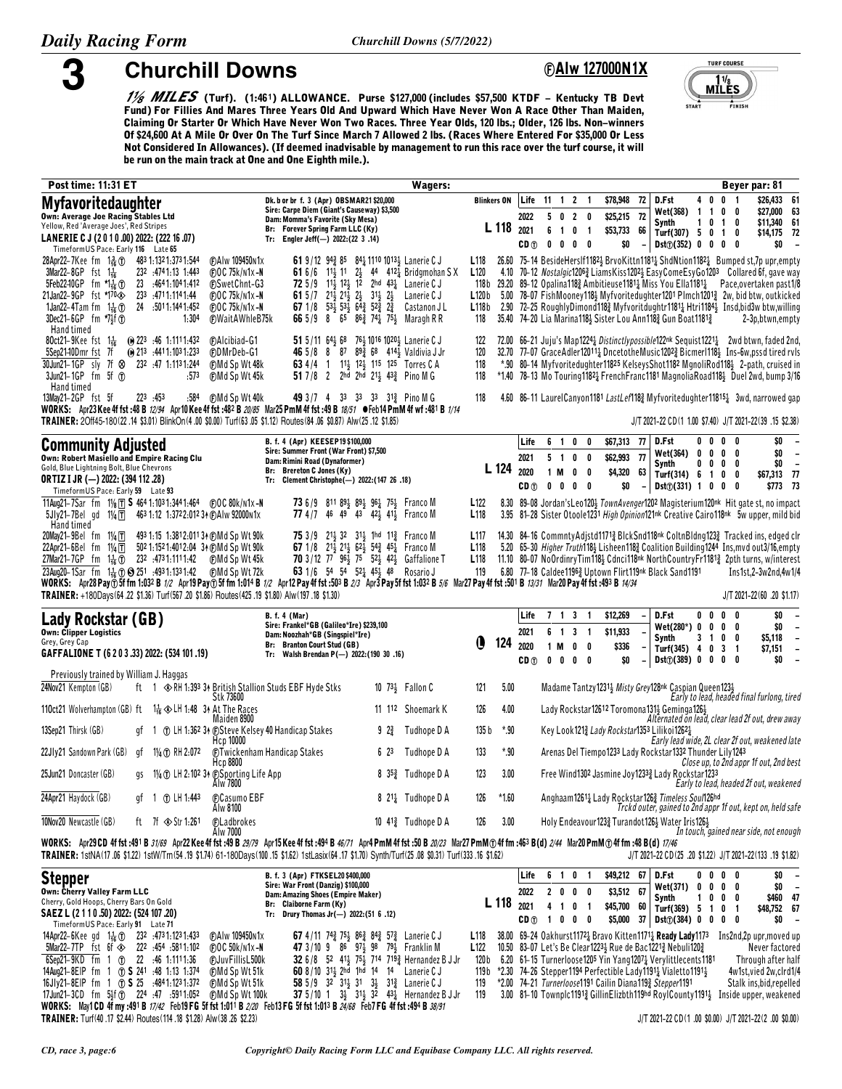**Churchill Downs** 

## *<u><b>OAIw 127000N1X</u>*



*1/<sub>8</sub> MILES* (Turf). (1:461) ALLOWANCE. Purse \$127,000 (includes \$57,500 KTDF – Kentucky TB Devt Fund) For Fillies And Mares Three Years Old And Upward Which Have Never Won A Race Other Than Maiden, Claiming Or Starter Or Which Have Never Won Two Races. Three Year Olds, 120 lbs.; Older, 126 lbs. Non-winners Of \$24,600 At A Mile Or Over On The Turf Since March 7 Allowed 2 lbs. (Races Where Entered For \$35,000 Or Less Not Considered In Allowances). (If deemed inadvisable by management to run this race over the turf course, it will be run on the main track at One and One Eighth mile.).

| Post time: 11:31 ET                                                                                                                                                                                                                                                                                                                                                         | <b>Wagers:</b>                                                                                                                                                                                                                                                                                                                                                                                                                                                                                                                                                                                                                                                                 |                                                                      |                                         |                   |                                                                                        |                   |                                        |                   |                                                                                                                                                                                                                                                                                                                                                                       |                                       |              |                                                               | Beyer par: 81                                                                                                                                                                                                                                                                                                                                                                                                                                                                |
|-----------------------------------------------------------------------------------------------------------------------------------------------------------------------------------------------------------------------------------------------------------------------------------------------------------------------------------------------------------------------------|--------------------------------------------------------------------------------------------------------------------------------------------------------------------------------------------------------------------------------------------------------------------------------------------------------------------------------------------------------------------------------------------------------------------------------------------------------------------------------------------------------------------------------------------------------------------------------------------------------------------------------------------------------------------------------|----------------------------------------------------------------------|-----------------------------------------|-------------------|----------------------------------------------------------------------------------------|-------------------|----------------------------------------|-------------------|-----------------------------------------------------------------------------------------------------------------------------------------------------------------------------------------------------------------------------------------------------------------------------------------------------------------------------------------------------------------------|---------------------------------------|--------------|---------------------------------------------------------------|------------------------------------------------------------------------------------------------------------------------------------------------------------------------------------------------------------------------------------------------------------------------------------------------------------------------------------------------------------------------------------------------------------------------------------------------------------------------------|
| Myfavoritedaughter<br><b>Own: Average Joe Racing Stables Ltd</b><br>Yellow, Red 'Average Joes', Red Stripes                                                                                                                                                                                                                                                                 | Dk. b or br f. 3 (Apr) OBSMAR21 \$20,000<br>Sire: Carpe Diem (Giant's Causeway) \$3,500<br>Dam: Momma's Favorite (Sky Mesa)<br>Br: Forever Spring Farm LLC (Ky)                                                                                                                                                                                                                                                                                                                                                                                                                                                                                                                | <b>Blinkers ON</b><br>L 118                                          | 2022<br>2021                            | Life 11 1 2 1     | 5 0 2 0<br>6 1 0 1                                                                     |                   | \$78,948<br>\$25,215 72<br>\$53,733 66 | 72                | D.Fst<br>Wet(368) 1 1<br>Synth<br>Turf(307) $5 \t0 \t1 \t0$                                                                                                                                                                                                                                                                                                           | 40<br>1 0 1 0                         | 0            | 0 <sub>1</sub><br>0                                           | \$26,433 61<br>\$27,000 63<br>\$11,340 61<br>\$14,175 72                                                                                                                                                                                                                                                                                                                                                                                                                     |
| LANERIE C J (2010.00) 2022: (222 16.07)<br>TimeformUS Pace: Early 116 Late 65                                                                                                                                                                                                                                                                                               | Tr: Engler Jeff(-) 2022:(22 3 .14)                                                                                                                                                                                                                                                                                                                                                                                                                                                                                                                                                                                                                                             |                                                                      | CD <sub>(1)</sub>                       |                   | $\begin{array}{ccccccccccccccccc} 0 & 0 & 0 & 0 & 0 \end{array}$                       |                   | \$0                                    |                   | Dist(j(352) 0 0 0 0                                                                                                                                                                                                                                                                                                                                                   |                                       |              |                                                               | \$0<br>$\overline{\phantom{a}}$                                                                                                                                                                                                                                                                                                                                                                                                                                              |
| $28$ Apr22–7Kee fm $1\frac{3}{16}$ (T)<br>483 1:132 1:373 1:544<br>3Mar22-8GP fst $1\frac{1}{16}$<br>232 :4741:13 1:443<br>23 :4641:1041:412<br>5Feb2240GP fm $\frac{1}{16}$ T<br>21 Jan 22 - 9 GP fst *170 <<<br>233 4711.1141.44<br>24 :5011:1441:452<br>1 Jan 22 – 4 Tam fm $1\frac{1}{16}$ T<br>$3Dec21-6GP$ fm $7\frac{1}{2}f$ (f)<br>1.304<br>Hand timed              | (F) A I w 109450 N 1 x<br>61 9/12 94 <sup>3</sup> 85 84 <sup>1</sup> 110 1013 <sup>1</sup> Lanerie C J<br>$FOC$ 75 $k/N1x - N$<br>61 6/6 11 11 2 44 412 Bridgmohan SX<br>72 5/9 113 123 12 2hd 431 Lanerie CJ<br><b>C</b> SwetChnt-G3<br>61 5/7 $21\frac{1}{2}$ $21\frac{1}{2}$ $2\frac{1}{2}$ $31\frac{1}{2}$ $2\frac{1}{2}$ Lanerie C J<br>$F$ <sub>D</sub> OC 75k/n1x-N<br>67 1/8 $53\frac{1}{2}$ $53\frac{1}{2}$ $6\frac{1}{4}$ $52\frac{3}{4}$ $2\frac{3}{4}$<br>$\bigoplus$ OC 75k/n1x-N<br>Castanon J L<br><b>F)WaitAWhleB75k</b><br>66 $5/9$ 8<br>65 86 $\frac{3}{4}$ 74 $\frac{1}{4}$ 75 $\frac{1}{2}$ Maragh R R                                                     | L118<br>L120<br>L120 <sub>b</sub><br>L118b<br>118                    |                                         |                   |                                                                                        |                   |                                        |                   | 35.40 74-20 Lia Marina1184 Sister Lou Ann1183 Gun Boat11813                                                                                                                                                                                                                                                                                                           |                                       |              |                                                               | 26.60 75-14 BesideHersIf11823 BrvoKittn11811 ShdNtion11821 Bumped st, 7p upr, empty<br>4.10 70-12 Nostalgic12063 LiamsKiss12023 EasyComeEsyGo1203 Collared 6f, gave way<br>118b 29.20 89-12 Opalina118} Ambitieuse1181} Miss You Ella1181} Pace, overtaken past1/8<br>5.00 78-07 FishMooney118} Myfvoritedughter1201 Plmch1201 <sub>2</sub> 2w, bid btw, outkicked<br>2.90 72-25 RoughlyDimond1183 Myfvoritdughtr11813 Htri11843 Insd,bid3w btw,willing<br>2-3p, btwn, empty |
| 80ct21-9Kee fst 1 <sup>1</sup> / <sub>16</sub> (0) 223 :46 1:1111:432<br>$@$ 213 :4411:1031:233<br>5Sep2140Dmr fst 7f<br>30Jun21-1GP sly 7f & 232 :47 1:1131:244<br>$3$ Jun21-1GP fm 5f $1$<br>:573<br>Hand timed                                                                                                                                                           | 51 5/11 64 68 76 1016 1020 Lanerie C J<br><b>CAlcibiad-G1</b><br><b>CDMrDeb-G1</b><br><b>46</b> 5/8 8 87 89 $\frac{3}{4}$ 68 414 $\frac{1}{2}$ Valdivia J Jr<br>63 4/4 1 1 <sup>1</sup> / <sub>2</sub> 1 <sup>2</sup> / <sub>2</sub> 1 <sup>15</sup> 1 <sup>25</sup> Torres C A<br>(F)Md Sp Wt 48k<br>51 7/8 2 2hd 2hd $2^{11}$ 43 <sup>3</sup> / <sub>2</sub> Pino M G<br>⊕Md Sp Wt 45k                                                                                                                                                                                                                                                                                       | 122<br>120<br>118<br>118                                             |                                         |                   |                                                                                        |                   |                                        |                   |                                                                                                                                                                                                                                                                                                                                                                       |                                       |              |                                                               | 72.00 66-21 Juju's Map12241 Distinctlypossible122nk Sequist12211 2wd btwn, faded 2nd,<br>32.70 77-07 GraceAdler120111 DncetotheMusic12023 Bicmer11184 Ins-6w.pssd tired rvls<br>*.90 80-14 Myfvoritedughter11825 KelseysShot1182 MgnoliRod1183 2-path, cruised in<br>*1.40 78-13 Mo Touring 1182 + French Franc1181 Magnolia Road118 + Duel 2wd, bump 3/16                                                                                                                   |
| 13May21-2GP fst 5f<br>223 .453<br>:584                                                                                                                                                                                                                                                                                                                                      | ⊕Md Sp Wt 40k<br>49 3 /7 4 33 33 33 313 Pino M G<br>WORKS: Apr23 Kee 4f fst:48 B 12/94 Apr10 Kee 4f fst:482 B 20/85 Mar25 PmM 4f fst:49 B 18/51 OFeb14 PmM 4f wf:481 B 1/14<br>TRAINER: 20ff45-180(22.14 \$3.01) BlinkOn(4.00 \$0.00) Turf(63.05 \$1.12) Routes(84.06 \$0.87) Alw(25.12 \$1.85)                                                                                                                                                                                                                                                                                                                                                                                | 118                                                                  |                                         |                   |                                                                                        |                   |                                        |                   |                                                                                                                                                                                                                                                                                                                                                                       |                                       |              |                                                               | 4.60 86-11 LaurelCanyon1181 LastLef1183 Myfvoritedughter118151 3wd, narrowed gap<br>J/T 2021-22 CD(1 1.00 \$7.40) J/T 2021-22(39 .15 \$2.38)                                                                                                                                                                                                                                                                                                                                 |
|                                                                                                                                                                                                                                                                                                                                                                             |                                                                                                                                                                                                                                                                                                                                                                                                                                                                                                                                                                                                                                                                                |                                                                      |                                         |                   |                                                                                        |                   |                                        |                   |                                                                                                                                                                                                                                                                                                                                                                       |                                       |              |                                                               |                                                                                                                                                                                                                                                                                                                                                                                                                                                                              |
| <b>Community Adjusted</b><br>Own: Robert Masiello and Empire Racing Clu<br>Gold, Blue Lightning Bolt, Blue Chevrons<br><b>ORTIZ I JR (-) 2022: (394 112 .28)</b><br>Timeform US Pace: Early 59 Late 93                                                                                                                                                                      | B. f. 4 (Apr) KEESEP19 \$100,000<br>Sire: Summer Front (War Front) \$7,500<br>Dam: Rimini Road (Dynaformer)<br>Br: Brereton C Jones (Ky)<br>Tr: Clement Christophe(-) 2022: (147 26 .18)                                                                                                                                                                                                                                                                                                                                                                                                                                                                                       | L 124 2020                                                           | Life<br>2021<br>CD <sub>(1)</sub>       | 1 M<br>$0\quad 0$ | 6 1 0 0<br>5 1 0 0<br>0                                                                | - 0<br>$0\quad 0$ | \$67,313 77<br>\$62,993 77             | \$4,320 63<br>\$0 | D.Fst<br>Wet(364)<br>Synth<br>Turf $(314)$ 6 1<br>Dist(j(331) 1 0 0 0                                                                                                                                                                                                                                                                                                 | 0 <sub>0</sub><br>0<br>0<br>$0\ 0\ 0$ | 0<br>0       | 0<br>$0\quad 0$<br>0<br>0                                     | \$0<br>$\overline{\phantom{a}}$<br>\$0<br>$\overline{\phantom{a}}$<br>\$0<br>$\overline{\phantom{a}}$<br>\$67,313 77<br>\$773 73                                                                                                                                                                                                                                                                                                                                             |
| 5JIy21-7Bel gd 11/4 1 463 1:12 1:3722:012 34 @AIw 92000 n1x<br>Hand timed                                                                                                                                                                                                                                                                                                   | <b>73</b> 6/9 811 89 89 89 96 75 Franco M<br><b>77</b> 4/7 46 49 43 42 <sup>1</sup> / <sub>2</sub> 41 <sup>1</sup> / <sub>2</sub> Franco M                                                                                                                                                                                                                                                                                                                                                                                                                                                                                                                                     | L <sub>122</sub><br>L <sub>118</sub>                                 |                                         |                   |                                                                                        |                   |                                        |                   |                                                                                                                                                                                                                                                                                                                                                                       |                                       |              |                                                               | 8.30 89-08 Jordan's Leo 1203 Town Avenger 1202 Magisterium 120 <sup>nk</sup> Hit gate st, no impact<br>3.95 81-28 Sister Otoole1231 High Opinion121nk Creative Cairo118nk 5w upper, mild bid                                                                                                                                                                                                                                                                                 |
| 20May21-9Bel fm 1¼∏<br>493 1:15 1:381 2:011 3 A (F) Md Sp Wt 90 k<br>22Apr21-6Bel fm $1\frac{1}{4}$ $\boxed{1}$<br>502 1:152 1:401 2:04 34 (DMd Sp Wt 90k<br>27Mar21-7GP fm 1 $\frac{1}{16}$ (f) 232 :4731:1111:42<br>23Aug20-1Sar fm 1 <sup>1</sup> / <sub>16</sub> (i) (e) 251 :4931:1331:42 (i) Md Sp Wt 72k                                                             | <b>75</b> 3/9 21 <sup>1</sup> / <sub>3</sub> 32 31 <sup>1</sup> / <sub>3</sub> 1hd 11 <sup>3</sup> / <sub>4</sub> Franco M<br>67 1/8 213 213 623 543 453 Franco M<br>70 3/12 77 964 75 524 424 Gaffalione T<br>⊕Md Sp Wt 45k<br>63 1/6 54 54 52 45 48 Rosario J<br>WORKS: Apr28 Pay ① 5f fm 1:032 B 1/2 Apr19 Pay ① 5f fm 1:014 B 1/2 Apr12 Pay 4f fst :503 B 2/3 Apr3 Pay 5f fst 1:032 B 5/6 Mar27 Pay 4f fst :501 B 13/31 Mar20 Pay 4f fst :493 B 14/34                                                                                                                                                                                                                      | L <sub>117</sub><br>L <sub>118</sub><br>L <sub>118</sub><br>119      |                                         |                   |                                                                                        |                   |                                        |                   | 6.80 77-18 Caldee11963 Uptown Flirt119nk Black Sand1191                                                                                                                                                                                                                                                                                                               |                                       |              |                                                               | 14.30 84-16 Commnty Adjstd11713 Blck Snd118nk Coltn Bldng1233 Tracked ins, edged clr<br>5.20 65-30 Higher Truth118} Lisheen118} Coalition Building1244 Ins, mvd out3/16, empty<br>11.10 80-07 NoOrdinryTim118} Cdnci118 <sup>nk</sup> NorthCountryFr1181 <sub>3</sub> 2pth turns, w/interest<br>Ins1st,2-3w2nd,4w1/4                                                                                                                                                         |
| TRAINER: +180Days(64.22 \$1.36) Turf(567.20 \$1.86) Routes(425.19 \$1.80) Alw(197.18 \$1.30)                                                                                                                                                                                                                                                                                |                                                                                                                                                                                                                                                                                                                                                                                                                                                                                                                                                                                                                                                                                |                                                                      |                                         |                   |                                                                                        |                   |                                        |                   |                                                                                                                                                                                                                                                                                                                                                                       |                                       |              |                                                               | J/T 2021-22(60 .20 \$1.17)                                                                                                                                                                                                                                                                                                                                                                                                                                                   |
| Lady Rockstar (GB)<br><b>Own: Clipper Logistics</b><br>Grey, Grey Cap<br>GAFFALIONE T (6 2 0 3 .33) 2022: (534 101 .19)                                                                                                                                                                                                                                                     | <b>B.</b> f. 4 (Mar)<br>Sire: Frankel*GB (Galileo*Ire) \$239,100<br>Dam: Noozhah*GB (Singspiel*Ire)<br>Br: Branton Court Stud (GB)<br>Tr: Walsh Brendan P(-) 2022: (190 30 .16)                                                                                                                                                                                                                                                                                                                                                                                                                                                                                                | O<br>124                                                             | Life<br>2021<br>2020<br>CD <sub>①</sub> | 1 M               | 7 1 3 1<br>6 1 3 1<br>$\begin{array}{ccccccccccccccccc} 0 & 0 & 0 & 0 & 0 \end{array}$ | $0\quad 0$        | \$12,269<br>\$11,933<br>\$336<br>\$0   |                   | D.Fst<br>$Wet(280*) 0 0$<br>Synth<br>Turf(345) 4 0<br>$Dist()$ (389) 0 0                                                                                                                                                                                                                                                                                              | $0\quad 0$<br>3 <sub>1</sub>          | 0            | $0\quad 0$<br>$0\quad 0$<br>0<br>3 <sub>1</sub><br>$0\quad 0$ | \$0<br>\$0<br>\$5,118<br>$\overline{\phantom{a}}$<br>\$7,151<br>$\overline{\phantom{a}}$<br>\$0<br>$\overline{\phantom{a}}$                                                                                                                                                                                                                                                                                                                                                  |
| Previously trained by William J. Haggas<br>24Nov21 Kempton (GB)                                                                                                                                                                                                                                                                                                             | ft 1 $\otimes$ RH 1:393 34 British Stallion Studs EBF Hyde Stks<br>10 $73\frac{1}{2}$ Fallon C                                                                                                                                                                                                                                                                                                                                                                                                                                                                                                                                                                                 | 5.00<br>121                                                          |                                         |                   |                                                                                        |                   |                                        |                   | Madame Tantzy12313 Misty Grey128nk Caspian Queen1233                                                                                                                                                                                                                                                                                                                  |                                       |              |                                                               |                                                                                                                                                                                                                                                                                                                                                                                                                                                                              |
| 110ct21 Wolverhampton (GB) ft 1 <sup>1</sup> / <sub>16</sub> $\otimes$ LH 1:48 3 <sup>*</sup> At The Races                                                                                                                                                                                                                                                                  | Stk 73600<br>11 112 Shoemark K                                                                                                                                                                                                                                                                                                                                                                                                                                                                                                                                                                                                                                                 | 126<br>4.00                                                          |                                         |                   |                                                                                        |                   |                                        |                   | Lady Rockstar12612 Toromona13112 Geminga1262                                                                                                                                                                                                                                                                                                                          |                                       |              |                                                               | Early to lead, headed final furlong, tired                                                                                                                                                                                                                                                                                                                                                                                                                                   |
| 13Sep21 Thirsk (GB)<br>qt 1                                                                                                                                                                                                                                                                                                                                                 | Maiden 8900<br>① LH 1:362 34 ① Steve Kelsey 40 Handicap Stakes<br>$9 \t2\frac{3}{4}$<br>Tudhope D A                                                                                                                                                                                                                                                                                                                                                                                                                                                                                                                                                                            | 135 b<br>*.90                                                        |                                         |                   |                                                                                        |                   |                                        |                   | Key Look 1213 Lady Rockstar 1353 Lilikoi 12623                                                                                                                                                                                                                                                                                                                        |                                       |              |                                                               | Alternated on lead, clear lead 2f out, drew away                                                                                                                                                                                                                                                                                                                                                                                                                             |
| 22Jly21 Sandown Park (GB)<br>1¼ ① RH 2:072<br>qf                                                                                                                                                                                                                                                                                                                            | Hcp 10000<br><b>C</b> Twickenham Handicap Stakes<br>6 23<br>Tudhope D A                                                                                                                                                                                                                                                                                                                                                                                                                                                                                                                                                                                                        | *.90<br>133                                                          |                                         |                   |                                                                                        |                   |                                        |                   | Arenas Del Tiempo1233 Lady Rockstar1332 Thunder Lily1243                                                                                                                                                                                                                                                                                                              |                                       |              |                                                               | Early lead wide, 2L clear 2f out, weakened late                                                                                                                                                                                                                                                                                                                                                                                                                              |
| 25Jun21 Doncaster (GB)                                                                                                                                                                                                                                                                                                                                                      | Hcp 8800<br>gs 11/4 T LH 2:102 34 @Sporting Life App<br>8 35 <sup>3</sup> Tudhope D A<br>Alw 7800                                                                                                                                                                                                                                                                                                                                                                                                                                                                                                                                                                              | 123<br>3.00                                                          |                                         |                   |                                                                                        |                   |                                        |                   | Free Wind1302 Jasmine Joy12333 Lady Rockstar1233                                                                                                                                                                                                                                                                                                                      |                                       |              |                                                               | Close up, to 2nd appr 1f out, 2nd best<br>Early to lead, headed 2f out, weakened                                                                                                                                                                                                                                                                                                                                                                                             |
| 24Apr21 Haydock (GB)<br>gf 1 1 LH 1:443                                                                                                                                                                                                                                                                                                                                     | 8 2 <sup>1</sup> <sup>4</sup> Tudhope D A<br><b>CCasumo EBF</b><br>Alw 8100                                                                                                                                                                                                                                                                                                                                                                                                                                                                                                                                                                                                    | 126<br>$*1.60$                                                       |                                         |                   |                                                                                        |                   |                                        |                   | Anghaam12614 Lady Rockstar1264 Timeless Soul126hd                                                                                                                                                                                                                                                                                                                     |                                       |              |                                                               | Trckd outer, gained to 2nd appr 1f out, kept on, held safe                                                                                                                                                                                                                                                                                                                                                                                                                   |
| 10Nov20 Newcastle (GB)<br>ft 7f $\otimes$ Str 1:261                                                                                                                                                                                                                                                                                                                         | 10 41 <sup>3</sup> Tudhope D A<br><b>C</b> Ladbrokes<br>Alw 7000                                                                                                                                                                                                                                                                                                                                                                                                                                                                                                                                                                                                               | 126<br>3.00                                                          |                                         |                   |                                                                                        |                   |                                        |                   | Holy Endeavour 1233 Turandot 1263 Water Iris 1263                                                                                                                                                                                                                                                                                                                     |                                       |              |                                                               | In touch, gained near side, not enough                                                                                                                                                                                                                                                                                                                                                                                                                                       |
|                                                                                                                                                                                                                                                                                                                                                                             | WORKS: Apr29CD 4f fst :491 B 31/69 Apr22 Kee 4f fst :49 B 29/79 Apr15 Kee 4f fst :494 B 46/71 Apr4 PmM 4f fst :50 B 20/23 Mar27 PmM ① 4f fm :463 B(d) 2/44 Mar20 PmM ① 4f fm :48 B (d) 17/46<br>TRAINER: 1stNA(17.06 \$1.22) 1stW/Tm(54.19 \$1.74) 61-180Days(100.15 \$1.62) 1stLasix(64.17 \$1.70) Synth/Turf(25.08 \$0.31) Turf(333.16 \$1.62)                                                                                                                                                                                                                                                                                                                               |                                                                      |                                         |                   |                                                                                        |                   |                                        |                   |                                                                                                                                                                                                                                                                                                                                                                       |                                       |              |                                                               | J/T 2021-22 CD(25 .20 \$1.22) J/T 2021-22(133 .19 \$1.82)                                                                                                                                                                                                                                                                                                                                                                                                                    |
| <b>Stepper</b><br>Own: Cherry Valley Farm LLC<br>Cherry, Gold Hoops, Cherry Bars On Gold<br>SAEZ L (2 1 1 0 .50) 2022: (524 107 .20)<br>TimeformUS Pace: Early 91 Late 71                                                                                                                                                                                                   | B. f. 3 (Apr) FTKSEL20 \$400,000<br>Sire: War Front (Danzig) \$100,000<br>Dam: Amazing Shoes (Empire Maker)<br>Br: Claiborne Farm (Ky)<br>Tr: Drury Thomas Jr(-) 2022: (51 6 .12)                                                                                                                                                                                                                                                                                                                                                                                                                                                                                              | L 118 2021                                                           | Life<br>2022                            | CD(0) 1 0 0 0     | 6 1 0 1<br>2000<br>4 1 0 1                                                             |                   | \$49,212 67<br>\$45,700 60             | \$3,512 67        | D.Fst<br><b>Wet(371)</b><br>Synth<br>Turf(369) 5 1 0 1<br>$$5,000$ 37 Dst $\textcircled{1}$ (384) 0 0 0                                                                                                                                                                                                                                                               | 00<br>$0\quad 0$<br>$1\quad 0$        | $\mathbf{0}$ | $0\quad 0$<br>0<br>$0\quad 0$<br>0                            | \$0<br>$\overline{\phantom{a}}$<br>\$0<br>$\overline{\phantom{a}}$<br>\$460 47<br>\$48,752 67<br>\$0<br>$\overline{\phantom{a}}$                                                                                                                                                                                                                                                                                                                                             |
| 14Apr22–6Kee gd 1 $\frac{1}{16}$ (f) 232 :4731:1231:433<br>5811:102 5Mar22-7TP fst 6f $\otimes$ 222 :454 :5811:102<br>6Sep21-9KD fm 1 (t) 22 :46 1:1111:36<br>14Aug21-8EIP fm 1 (f) S 241 :48 1:13 1:374<br>16Jly21-8EIP fm 1 (1) S 25 :4841:1231:372<br>17Jun21-3CD fm 5}f (f) 224 :47 :5911:052<br>TRAINER: Turf(40 .17 \$2.44) Routes(114 .18 \$1.28) Alw(38 .26 \$2.23) | <b>67</b> 4/11 74 $\frac{3}{4}$ 75 $\frac{1}{2}$ 86 $\frac{3}{4}$ 84 $\frac{3}{4}$ 57 $\frac{3}{4}$ Lanerie C J<br><b>CAIw 109450n1x</b><br>$FOC$ 50 $k/N1x - N$<br>47 3/10 9 86 97 98 79 Franklin M<br>32 6/8 52 413 753 714 7193 Hernandez B J Jr<br><b>CJuvFillisL500k</b><br>60 8/10 311 2hd 1hd 14 14 Lanerie CJ<br><b>CMd Sp Wt 51k</b><br>58 5/9 32 312 31 32 313 Lanerie CJ<br><b>CMd Sp Wt 51k</b><br>37 5/10 1 $3\frac{1}{2}$ 3 <sup>1</sup> / <sub>2</sub> 3 <sup>2</sup> 43 <sup>1</sup> / <sub>4</sub> Hernandez B J Jr<br>⊕Md Sp Wt 100k<br>WORKS: May1CD 4f my :491 B 17/42 Feb19FG 5f fst 1:011 B 2/20 Feb13FG 5f fst 1:013 B 24/68 Feb7FG 4f fst :494 B 38/91 | L <sub>118</sub><br>L <sub>122</sub><br>120 b<br>119 b<br>119<br>119 |                                         |                   |                                                                                        |                   |                                        |                   | 10.50 83-07 Let's Be Clear1223 <sup>1</sup> / <sub>2</sub> Rue de Bac1221 <sup>2</sup> / <sub>4</sub> Nebuli120 <sup>2</sup> / <sub>4</sub><br>6.20 61-15 Turnerloose1205 Yin Yang12074 Verylittlecents1181<br>$*2.30$ 74-26 Stepper 1194 Perfectible Lady 1191 $\frac{1}{4}$ Vialetto 1191 $\frac{1}{2}$<br>*2.00 74-21 Turnerloose1191 Cailin Diana119} Stepper1191 |                                       |              |                                                               | 38.00 69-24 Oakhurst1172 <sup>1</sup> Bravo Kitten1171 <sup>1</sup> Ready Lady1173 Ins2nd, 2p upr, moved up<br>Never factored<br>Through after half<br>4w1st,vied 2w,clrd1/4<br>Stalk ins, bid, repelled<br>3.00 81-10 Townplc1191} GillinElizbth119hd RoylCounty1191} Inside upper, weakened<br>J/T 2021-22 CD(1.00 \$0.00) J/T 2021-22(2.00 \$0.00)                                                                                                                        |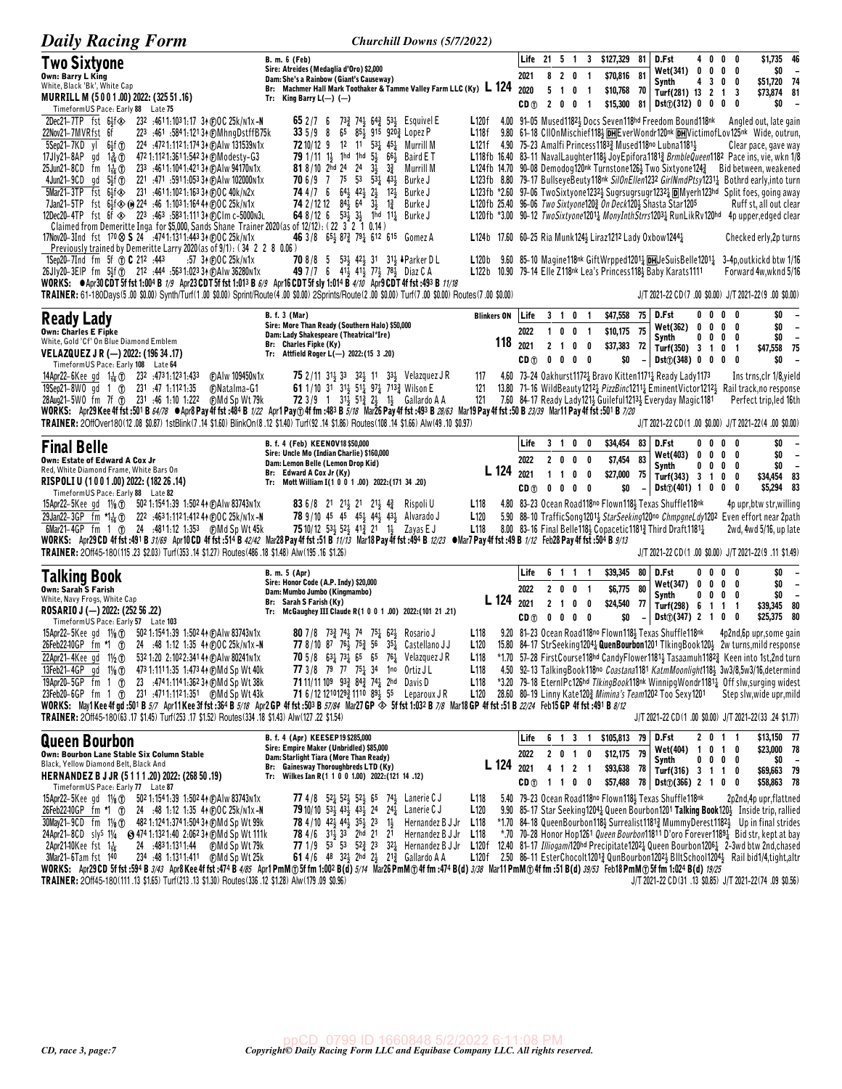| <b>Daily Racing Form</b>                                                                                                                                                                                                                                                                                                                                                                                                                                                                                                                                                                                                                                                                                                                                                                                                                                                                                                                                                                                                                                                                                                                                                                                                                                                                                                                                                                                                        | Churchill Downs (5/7/2022)                                                                                                                                                                                                                                                                                                                                                                                                                                                                                                                                                                                                                                                                                                                                                                                                        |                                                                                                                                                                                                                                                                                                                                          |                                         |                                            |                                                      |                                                                        |                            |                                                                                                                                                                                             |                                |                          |                                                   |                                                                                                                                                                                                                                                                                                                                                                                                                                                                                                                                                                                                                                                                                                                                                                                                                                            |
|---------------------------------------------------------------------------------------------------------------------------------------------------------------------------------------------------------------------------------------------------------------------------------------------------------------------------------------------------------------------------------------------------------------------------------------------------------------------------------------------------------------------------------------------------------------------------------------------------------------------------------------------------------------------------------------------------------------------------------------------------------------------------------------------------------------------------------------------------------------------------------------------------------------------------------------------------------------------------------------------------------------------------------------------------------------------------------------------------------------------------------------------------------------------------------------------------------------------------------------------------------------------------------------------------------------------------------------------------------------------------------------------------------------------------------|-----------------------------------------------------------------------------------------------------------------------------------------------------------------------------------------------------------------------------------------------------------------------------------------------------------------------------------------------------------------------------------------------------------------------------------------------------------------------------------------------------------------------------------------------------------------------------------------------------------------------------------------------------------------------------------------------------------------------------------------------------------------------------------------------------------------------------------|------------------------------------------------------------------------------------------------------------------------------------------------------------------------------------------------------------------------------------------------------------------------------------------------------------------------------------------|-----------------------------------------|--------------------------------------------|------------------------------------------------------|------------------------------------------------------------------------|----------------------------|---------------------------------------------------------------------------------------------------------------------------------------------------------------------------------------------|--------------------------------|--------------------------|---------------------------------------------------|--------------------------------------------------------------------------------------------------------------------------------------------------------------------------------------------------------------------------------------------------------------------------------------------------------------------------------------------------------------------------------------------------------------------------------------------------------------------------------------------------------------------------------------------------------------------------------------------------------------------------------------------------------------------------------------------------------------------------------------------------------------------------------------------------------------------------------------------|
| Two Sixtyone<br><b>Own: Barry L King</b><br>White, Black 'Bk', White Cap<br>MURRILL M (5001.00) 2022: (325 51.16)<br>TimeformUS Pace: Early 88 Late 75                                                                                                                                                                                                                                                                                                                                                                                                                                                                                                                                                                                                                                                                                                                                                                                                                                                                                                                                                                                                                                                                                                                                                                                                                                                                          | <b>B. m. 6 (Feb)</b><br>Sire: Atreides (Medaglia d'Oro) \$2,000<br>Dam: She's a Rainbow (Giant's Causeway)<br>Br: Machmer Hall Mark Toothaker & Tamme Valley Farm LLC (Ky) L 124 2020<br>Tr: King Barry $L(-)$ (-)                                                                                                                                                                                                                                                                                                                                                                                                                                                                                                                                                                                                                |                                                                                                                                                                                                                                                                                                                                          | 2021                                    | $5$ 1 0<br>$CD(0)$ 2 0 0                   | 8 2 0 1<br>$\overline{1}$<br>$\overline{\mathbf{1}}$ | Life 21 5 1 3 \$127,329 81  <br>\$70.816 81<br>\$10,768 70<br>\$15,300 |                            | D.Fst<br>Wet(341)<br>Synth<br>Turf(281) 13 2 1<br>81 $Dist(\hat{D})(312)$ 0 0 0                                                                                                             | 4000<br>$0\ 0\ 0$<br>4 3 0     |                          | 0<br>0<br>3<br>0                                  | \$1,735 46<br>\$0<br>\$51,720 74<br>\$73,874 81<br>\$0                                                                                                                                                                                                                                                                                                                                                                                                                                                                                                                                                                                                                                                                                                                                                                                     |
| $2$ Dec $21 - 7$ TP fst $6\frac{1}{2}$<br>232 .4611:1031:17 34 @OC 25k/n1x-N<br>22Nov21-7MVRfst 6f<br>223 .461 .5841.12134 @MhngDstffB75k<br>5Sep21-7KD yl<br>6}f (T)<br>224 .472 1:112 1:174 34 (F) A lw 131539 N 1x<br>17Jly21-8AP gd $1\frac{3}{16}$ ①<br>472 1:112 1:361 1:542 34 @Modesty-G3<br>25Jun21-8CD fm<br>$1\frac{1}{16}$ $\circledR$<br>233 :4611:1041:4213 + CAIw 94170 n1x<br>4Jun21-9CD gd<br>5}f (T)<br>221 .471 .5911.053 34 (F) A lw 102000 n 1x<br>5Mar21-3TP fst 64f > 231 :4611:1021:16334 @DC 40k/n2x<br>7Jan21-5TP fst 6ff $\otimes$ (0) 224 :46 1:1031:164 44 (F)OC 25k/N1x<br>12Dec20-4TP fst 6f $\otimes$ 223 :463 :5831:1113+ @Clm c-5000N3L<br>Claimed from Demeritte Inga for \$5,000, Sands Shane Trainer 2020 (as of 12/12): (22, 3, 2, 1, 0.14)<br>17Nov20-3Ind fst 170 $\otimes$ S 24 :4741:1311:443 34 @OC 25k/n1x<br>Previously trained by Demeritte Larry 2020 (as of 9/1): (34 2 2 8 0.06)<br>1Sep20-7Ind fm 5f 1 C 212 :443<br>:57 34 (F) O C 25k/n1x<br>26JIy20-3EIP fm 5th (1) 212 :444 :5631:02334 (E)AIw 36280N1x<br><code>WORKS: <math>\bullet</math>Apr30 CDT</code> 5f fst 1:004 B <i>1/9</i> Apr23 <b>CDT</b> 5f fst 1:013 B <i>6/9</i> Apr16 <b>CDT</b> 5f sly 1:014 B 4/10 Apr9 <b>CDT</b> 4f fst :493 B <i>11/18</i><br>TRAINER: 61-180Days(5.00 \$0.00) Synth/Turf(1.00 \$0.00) Sprint/Route(4.00 \$0.00) 2Sprints/Route(2.00 \$0.00) Turf(7.00 \$0.00) Routes(7.00 \$0.00) | 733 743 643 533 Esquivel E<br>65 $2/7$ 6<br>65 85 <sup>1</sup> / <sub>2</sub> 915 920 <sup>2</sup> / <sub>4</sub> Lopez P<br>335/98<br><b>72</b> 10/12 9 12 11 53 <sup>1</sup> / <sub>2</sub> 45 <sup>1</sup> / <sub>4</sub> Murrill M<br>79 1/11 1 <sub>2</sub> 1hd 1hd $5\frac{1}{2}$<br>Baird E T<br>$66\frac{1}{2}$<br>$3\frac{1}{2}$<br>81 8/10 2hd 24 24<br>$3\frac{3}{4}$<br>Murrill M<br><b>70</b> 6/9 7 75 53 $5\frac{3}{4}$ 43 <sup>1</sup> / <sub>2</sub><br>Burke J<br><b>74</b> 4/7 6 $64\frac{1}{2}$ 42 $\frac{1}{2}$ 2 $\frac{1}{2}$<br>$12\frac{1}{2}$<br>Burke J<br><b>74</b> 2/12 12 $84\frac{1}{2}$ 64 $3\frac{1}{2}$ 1 $\frac{3}{4}$<br>Burke J<br>64 8/12 6 53 33 1hd 11 Burke J<br>46 3/8 65 87 79 612 615 Gomez A<br><b>70</b> 8/8 5 53 42 31 31 Parker DL<br>49 7 / 7 6 4 1 4 1 4 1 7 7 7 7 8 1 2 3 2 6 A | L120f<br>L118f<br>L121f<br>L124fb 14.70 90-08 Demodog120nk Turnstone126} Two Sixtyone1243<br>L120fb 25.40 96-06 Two Sixtyone1203 On Deck1203 Shasta Star1205<br><b>L124b</b> 17.60 60-25 Ria Munk124 $\frac{1}{2}$ Liraz1212 Lady 0xbow1244 $\frac{1}{2}$<br>L120 b<br>L122b 10.90 79-14 Elle Z118nk Lea's Princess 118 Baby Karats 1111 |                                         |                                            |                                                      |                                                                        |                            | 4.00 91-05 Mused11823 Docs Seven118hd Freedom Bound118nk<br>4.90 75-23 Amalfi Princess1183} Mused118no Lubna1181}                                                                           |                                |                          |                                                   | Angled out, late gain<br>9.80 61-18 CIIOnMischief1183 DHEverWondr120nk DH VictimofLov125nk Wide, outrun,<br>Clear pace, gave way<br>L118fb 16.40 83-11 NavalLaughter118} JoyEpifora1181} BrmbleQueen1182 Pace ins, vie, wkn 1/8<br>Bid between, weakened<br>L123fb 8.80 79-17 BullseyeBeuty118nk SilOnEllen1232 GirlNmdPtsy1231 <sub>4</sub> Bothrd early, into turn<br>L123fb *2.60 97-06 Two Sixtyone 1232 3 Sugrsugrsugr 1232 b Myerh 123hd Split foes, going away<br>Ruff st, all out clear<br>L120fb *3.00 90-12 TwoSixtyone12011 MonyInthStrrs12031 RunLikRv120hd 4p upper, edged clear<br>Checked erly,2p turns<br>9.60 85–10 Magine 118 <sup>nk</sup> Gift Wrpped 1201 $\frac{1}{4}$ DHJe Suis Belle 1201 $\frac{1}{4}$ 3–4p, outkickd btw 1/16<br>Forward 4w, wknd 5/16<br>J/T 2021-22 CD(7 .00 \$0.00) J/T 2021-22(9 .00 \$0.00) |
| Ready Lady                                                                                                                                                                                                                                                                                                                                                                                                                                                                                                                                                                                                                                                                                                                                                                                                                                                                                                                                                                                                                                                                                                                                                                                                                                                                                                                                                                                                                      | <b>B.</b> f. 3 (Mar)<br>Sire: More Than Ready (Southern Halo) \$50,000                                                                                                                                                                                                                                                                                                                                                                                                                                                                                                                                                                                                                                                                                                                                                            | <b>Blinkers ON</b>                                                                                                                                                                                                                                                                                                                       | Life                                    |                                            | 3 1 0 1                                              | \$47,558 75                                                            |                            | D.Fst<br>Wet(362)                                                                                                                                                                           | 00<br>$0\quad 0\quad 0\quad 0$ |                          | $0\quad 0$                                        | \$0<br>$\sim$<br>\$0<br>$\overline{\phantom{a}}$                                                                                                                                                                                                                                                                                                                                                                                                                                                                                                                                                                                                                                                                                                                                                                                           |
| <b>Own: Charles E Finke</b><br>White, Gold 'Cf' On Blue Diamond Emblem<br>VELAZQUEZ J R (-) 2022: (196 34 .17)<br>Timeform US Pace: Early 108 Late 64<br><b>CAIw 109450n1x</b><br>14Apr22-6Kee gd 1 $\frac{1}{16}$ (1) 232 :4731:1231:433<br>19Sep21-8WO gd 1 (r) 231 :47 1:1121:35<br>(F)Natalma-G1                                                                                                                                                                                                                                                                                                                                                                                                                                                                                                                                                                                                                                                                                                                                                                                                                                                                                                                                                                                                                                                                                                                            | Dam: Lady Shakespeare (Theatrical*Ire)<br>Br: Charles Fipke (Ky)<br>Tr: Attfield Roger L(-) 2022: (15 3 .20)<br>75 2/11 31 33 32 11 33 Velazquez J R<br>61 1/10 31 313 513 973 7133 Wilson E                                                                                                                                                                                                                                                                                                                                                                                                                                                                                                                                                                                                                                      | 118<br>117<br>121                                                                                                                                                                                                                                                                                                                        | 2022<br>2021<br>CD <sub>1</sub>         | 2 <sub>1</sub><br>$0\quad 0$               | 1 0 0 1<br>$0\quad 0$<br>$0\quad 0$                  | \$10,175<br>\$37,383 72<br>\$0                                         | 75                         | Synth<br>Turf(350) 3 1 0<br>$Dist()$ (348) 0 0 0<br>4.60 73-24 Oakhurst11721 Bravo Kitten11711 Ready Lady1173                                                                               | $0\quad 0\quad 0\quad$         |                          | - 0<br>-1<br>0                                    | \$O<br>$\overline{a}$<br>\$47,558 75<br>\$0<br>$\overline{\phantom{a}}$<br>Ins trns, clr 1/8, yield<br>13.80 71-16 WildBeauty12121 PizzBinc12111 EminentVictor12121 Rail track, no response                                                                                                                                                                                                                                                                                                                                                                                                                                                                                                                                                                                                                                                |
| 28Aug21-5W0 fm 7f (f) 231 :46 1:10 1:222 (F)Md Sp Wt 79k<br>WORKS: Apr29Kee4f fst:501 B 64/78 •Apr8 Pay 4f fst:484 B 1/22 Apr1 Pay①4f fm:483 B 5/18 Mar26 Pay 4f fst:493 B 28/63 Mar19 Pay 4f fst:50 B 23/39 Mar11 Pay 4f fst:501 B 7/20<br>TRAINER: 2OffOver180(12.08 \$0.87) 1stBlink(7.14 \$1.60) BlinkOn(8.12 \$1.40) Turf(92.14 \$1.86) Routes(108.14 \$1.66) Alw(49.10 \$0.97)                                                                                                                                                                                                                                                                                                                                                                                                                                                                                                                                                                                                                                                                                                                                                                                                                                                                                                                                                                                                                                            | <b>72</b> 3/9 1 3 <sup>1</sup> / <sub>2</sub> 5 <sup>1</sup> / <sub>3</sub> 2 <sup>1</sup> / <sub>2</sub> 1 <sup>1</sup> / <sub>2</sub> Gallardo A A                                                                                                                                                                                                                                                                                                                                                                                                                                                                                                                                                                                                                                                                              | 121                                                                                                                                                                                                                                                                                                                                      |                                         |                                            |                                                      |                                                                        |                            | 7.60 84-17 Ready Lady 121 & Guileful 1213 Everyday Magic 1181                                                                                                                               |                                |                          |                                                   | Perfect trip, led 16th<br>J/T 2021-22 CD(1.00 \$0.00) J/T 2021-22(4.00 \$0.00)                                                                                                                                                                                                                                                                                                                                                                                                                                                                                                                                                                                                                                                                                                                                                             |
| <b>Final Belle</b><br>Own: Estate of Edward A Cox Jr<br>Red, White Diamond Frame, White Bars On<br>RISPOLI U (1001.00) 2022: (182 26.14)<br>TimeformUS Pace: Early 88 Late 82<br>15Apr22-5Kee gd 11/ <sub>8</sub> (f) 502 1:154 1:39 1:502 4 h (F) Alw 83743 n1 x<br>29Jan22-3GP fm *1 <sup>1</sup> / <sub>16</sub> (f) 222 :4631:1121:41244 @OC 25k/n1x-N<br>6Mar21-4GP fm 1 (f) 24 :4811:12 1:353 (F)Md Sp Wt 45k<br>WORKS: Apr29 CD 4f fst :491 B 31/69 Apr10 CD 4f fst :514 B 42/42 Mar28 Pay 4f fst :51 B 11/13 Mar18 Pay 4f fst :494 B 12/23 OMar7 Pay 4f fst :49 B 1/12 Feb28 Pay 4f fst :504 B 9/13<br>TRAINER: 2Off45-180(115.23 \$2.03) Turf(353.14 \$1.27) Routes(486.18 \$1.48) Alw(195.16 \$1.26)                                                                                                                                                                                                                                                                                                                                                                                                                                                                                                                                                                                                                                                                                                                  | B. f. 4 (Feb) KEENOV18 \$50,000<br>Sire: Uncle Mo (Indian Charlie) \$160,000<br>Dam: Lemon Belle (Lemon Drop Kid)<br>Br: Edward A Cox Jr (Ky)<br>Tr: Mott William I(1 0 0 1 .00) 2022: (171 34 .20)<br><b>83</b> 6/8 21 21 21 21 21 $\frac{1}{2}$ 4 Rispoli U<br><b>78</b> 9/10 45 45 45 44 44 43 Alvarado J<br>75 10/12 53 52 41 21 1 5 Zayas E J                                                                                                                                                                                                                                                                                                                                                                                                                                                                                | L 124<br>L118<br>L <sub>120</sub><br>L118                                                                                                                                                                                                                                                                                                | Life<br>2022<br>2021<br>CD <sub>①</sub> | 3 1 0<br>$1\quad1$<br>$0\quad 0$           | 2 0 0 0<br>$0\quad 0$<br>$0\quad 0$                  | \$34,454<br>0<br>\$7,454<br>\$27,000<br>\$0                            | 83<br>75<br>$\overline{a}$ | 83 D.Fst<br>Wet(403)<br>Synth<br>Turf(343) 3 1<br>Dist@(401) 1 0 0<br>4.80 83-23 Ocean Road118no Flown1182 Texas Shuffle118nk<br>8.00 83-16 Final Belle118} Copacetic1181} Third Draft1181} | 0000<br>0<br>0<br>$0\quad 0$   | 0<br>0<br>0              | 0<br>- 0<br>0<br>0                                | \$0<br>$\sim$<br>\$O<br>$\overline{a}$<br>\$O<br>$\overline{\phantom{a}}$<br>\$34,454 83<br>\$5,294 83<br>4p upr, btw str, willing<br>5.90 88-10 TrafficSong12013 StarSeeking120no ChmpgneLdy1202 Even effort near 2path<br>2wd, 4wd 5/16, up late<br>J/T 2021-22 CD(1.00 \$0.00) J/T 2021-22(9.11 \$1.49)                                                                                                                                                                                                                                                                                                                                                                                                                                                                                                                                 |
| <b>Talking Book</b><br><b>Own: Sarah S Farish</b><br>White, Navy Frogs, White Cap<br>ROSARIO J (-) 2022: (252 56 .22)<br>Timeform US Pace: Early 57 Late 103                                                                                                                                                                                                                                                                                                                                                                                                                                                                                                                                                                                                                                                                                                                                                                                                                                                                                                                                                                                                                                                                                                                                                                                                                                                                    | <b>B. m. 5 (Apr)</b><br>Sire: Honor Code (A.P. Indy) \$20,000<br>Dam: Mumbo Jumbo (Kingmambo)<br>Br: Sarah S Farish (Ky)<br>Tr: McGaughey III Claude R(1 0 0 1 .00) 2022: (101 21 .21)                                                                                                                                                                                                                                                                                                                                                                                                                                                                                                                                                                                                                                            | L 124                                                                                                                                                                                                                                                                                                                                    | Life<br>2022<br>2021                    | 6<br>2 <sub>1</sub><br>$CD \oplus 0 0 0 0$ | 1 1<br>2 0 0 1<br>0                                  | \$39,345<br>\$6,775 80<br>0<br>\$24,540<br>\$0                         | 80<br>- 77                 | D.Fst<br>Wet(347) 0 0 0 0<br>Synth<br>Turf(298) 6 1<br>$Dist()$ (347) 2 1                                                                                                                   | 0<br>0<br>$0\quad 0$           | 0<br>0<br>$\overline{1}$ | - 0<br>0<br>$\overline{\mathbf{1}}$<br>$0\quad 0$ | \$0<br>$\overline{\phantom{a}}$<br>\$0<br>$\overline{\phantom{a}}$<br>\$0<br>$\sim$<br>\$39,345 80<br>\$25,375 80                                                                                                                                                                                                                                                                                                                                                                                                                                                                                                                                                                                                                                                                                                                          |
| 15Apr22-5Kee gd 11/8 1 502 1:154 1:39 1:502 44 @ Alw 83743N1x<br>26Feb2240GP fm *1 ① 24 :48 1:12 1:35 44 @OC 25k/n1x-N<br>$22$ Apr21-4Kee gd 1½ $\circled$<br>532 1:20 2:1022:341 44 (F) A Iw 80241 N 1x<br>13Feb21-4GP gd 11/8 10<br>473 1:1111:35 1:473 44 (F) Md Sp Wt 40k<br>19Apr20-5GP fm 1 1<br>23 :4741:1141:362 34 (F) Md Sp Wt 38k<br>23Feb20-6GP fm 1 (r) 231 :4711:1121:351 (F)Md Sp Wt 43k<br>WORKS: May1Kee4f gd :501 B 5/7 Apr11Kee 3f fst :364 B 5/18 Apr2 GP 4f fst :503 B 57/84 Mar27 GP $\otimes$ 5f fst 1:032 B 7/8 Mar18 GP 4f fst :51 B 22/24 Feb15 GP 4f fst :491 B 8/12<br>TRAINER: 20ff45-180(63.17 \$1.45) Turf(253.17 \$1.52) Routes(334.18 \$1.43) Alw(127.22 \$1.54)                                                                                                                                                                                                                                                                                                                                                                                                                                                                                                                                                                                                                                                                                                                               | <b>80</b> 7/8 73 $\frac{3}{4}$ 74 $\frac{1}{2}$ 74 75 $\frac{1}{4}$ 62 $\frac{1}{2}$ Rosario J<br>77 8/10 87 76 $\frac{1}{2}$ 75 $\frac{3}{4}$ 56 35 $\frac{1}{4}$ Castellano JJ<br><b>70</b> 5/8 $63\frac{1}{4}$ 73 $\frac{1}{4}$ 65 65 76 $\frac{1}{4}$ Velazquez JR<br>77 3/8 79 77 751 34 1no Ortiz JL<br>71 11/11 109 933 843 741 2hd Davis D<br>71 6/12 12101293 1110 891 55 Leparoux JR                                                                                                                                                                                                                                                                                                                                                                                                                                    | L <sub>118</sub><br>L <sub>118</sub><br>L <sub>118</sub><br>L <sub>118</sub><br>L120                                                                                                                                                                                                                                                     |                                         |                                            |                                                      |                                                                        |                            | 9.20 81-23 Ocean Road118no Flown1183 Texas Shuffle118nk<br>28.60 80-19 Linny Kate1203 Mimina's Team1202 Too Sexy1201                                                                        |                                |                          |                                                   | 4p2nd, 6p upr, some gain<br>L120 15.80 84-17 Str Seeking12044 QuenBourbon1201 TlkingBook1204 2w turns, mild response<br>*1.70 57-28 FirstCourse118hd CandyFlower11811 Tasaamuh1182 <sup>3</sup> Keen into 1st,2nd turn<br>4.50 92-13 TalkingBook118no Coastana1181 KatmMoonlight118} 3w3/8,5w3/16,determind<br>*3.20 79-18 EternIPc126hd TlkingBook118nk WinnipqWondr1181 2 Off slw, surging widest<br>Step slw,wide upr,mild<br>J/T 2021-22 CD(1 .00 \$0.00) J/T 2021-22(33 .24 \$1.77)                                                                                                                                                                                                                                                                                                                                                   |
| <b>Queen Bourbon</b><br>Own: Bourbon Lane Stable Six Column Stable<br>Black, Yellow Diamond Belt, Black And<br>HERNANDEZ B J JR (5 1 1 1 .20) 2022: (268 50 .19)<br>TimeformUS Pace: Early 77 Late 87                                                                                                                                                                                                                                                                                                                                                                                                                                                                                                                                                                                                                                                                                                                                                                                                                                                                                                                                                                                                                                                                                                                                                                                                                           | B. f. 4 (Apr) KEESEP19 \$285,000<br>Sire: Empire Maker (Unbridled) \$85,000<br>Dam: Starlight Tiara (More Than Ready)<br>Gainesway Thoroughbreds LTD (Ky)<br>Br:<br>Tr: Wilkes Ian R(1 1 0 0 1.00) 2022: (121 14 .12)                                                                                                                                                                                                                                                                                                                                                                                                                                                                                                                                                                                                             | L 124 2021                                                                                                                                                                                                                                                                                                                               | Life<br>2022                            | CD@1100                                    | 6 1 3 1<br>2010<br>4 1 2 1                           | \$105,813 79<br>\$12,175 79<br>\$93,638 78                             |                            | D.Fst<br>Wet(404) 1 0 1 0<br>Synth<br>Turf(316) 3 1 1 0<br>$$57,488$ 78 Dst $\textcircled{1}(366)$ 2 1 0 0                                                                                  | 2011<br>$0\ 0\ 0\ 0$           |                          |                                                   | \$13,150 77<br>\$23,000 78<br>\$0<br>\$69,663 79<br>\$58,863 78                                                                                                                                                                                                                                                                                                                                                                                                                                                                                                                                                                                                                                                                                                                                                                            |
| 15Apr22-5Kee gd 11/ <sub>8</sub> (f) 502 1:154 1:39 1:502 4 A (F) A lw 83743 N 1 x<br>30May21-9CD fm 11/8 T 482 1:124 1:374 1:504 34 @Md Sp Wt 99k<br>24Apr21-8CD sly <sup>s</sup> 11/ <sub>4</sub> <b>@</b> 474 1:132 1:40 2:062 34 <b>@Md Sp Wt 111k</b><br>2Apr2140Kee fst $1\frac{1}{16}$<br>3Mar21-6Tam fst 140<br>WORKS: Apr29 CD 5f fst :594 B 3/43 Apr8Kee 4f fst :474 B 4/85 Apr1 PmM ①5f fm 1:002 B(d) 5/14 Mar26 PmM ① 4f fm :474 B(d) 3/38 Mar11 PmM ①4f fm :51 B(d) 39/33 Feb18 PmM ① 5f fm 1:024 B(d) 3/35<br>TRAINER: 20ff45-180(111.13 \$1.65) Turf(213.13 \$1.30) Routes(336.12 \$1.28) Alw(179.09 \$0.96)                                                                                                                                                                                                                                                                                                                                                                                                                                                                                                                                                                                                                                                                                                                                                                                                     | 77 4/8 52 523 523 65 743 Lanerie CJ<br>79 10/10 53 <sup>1</sup> / <sub>2</sub> 43 <sup>1</sup> / <sub>2</sub> 43 <sup>1</sup> / <sub>2</sub> 24 24 <sup>1</sup> / <sub>4</sub> Lanerie C J<br><b>78</b> 4/10 42 <sup>1</sup> / <sub>2</sub> 44 <sup>1</sup> / <sub>2</sub> 35 <sup>1</sup> / <sub>2</sub> 23 1 <sup>1</sup> / <sub>2</sub><br>Hernandez B J Jr<br><b>78</b> 4/6 31 <sup>1</sup> / <sub>3</sub> 33 2hd 21 21<br>Hernandez B J Jr<br><b>77</b> 1/9 53 53 52 <sup>3</sup> 23 32 <sup>1</sup> Hernandez B J Jr L120f<br>61 4/6 48 32 2hd 2 21 21 Gallardo A A                                                                                                                                                                                                                                                         | L <sub>118</sub><br>L <sub>120</sub><br>L <sub>118</sub><br>L <sub>118</sub><br>L120f                                                                                                                                                                                                                                                    |                                         |                                            |                                                      |                                                                        |                            | 5.40 79-23 Ocean Road118no Flown1183 Texas Shuffle118nk                                                                                                                                     |                                |                          |                                                   | 2p2nd,4p upr,flattned<br>9.90 85-17 Star Seeking1204 <sub>2</sub> Queen Bourbon1201 Talking Book120} Inside trip, rallied<br>*1.70 84-18 QueenBourbon118} Surrealist1181} MummyDerest1182} Up in final strides<br>*.70 70–28 Honor Hop1261 <i>Queen Bourbon</i> 11811 D'oro Forever1189 <sub>4</sub> Bid str, kept at bay<br>12.40 81-17 Illiogami120hd Precipitate1202 $\frac{1}{4}$ Queen Bourbon1206 $\frac{1}{4}$ 2-3wd btw 2nd, chased<br>2.50 86-11 EsterChocolt12013 QunBourbon12023 BlltSchool12043 Rail bid1/4,tight,altr<br>J/T 2021-22 CD(31 .13 \$0.85) J/T 2021-22(74 .09 \$0.56)                                                                                                                                                                                                                                             |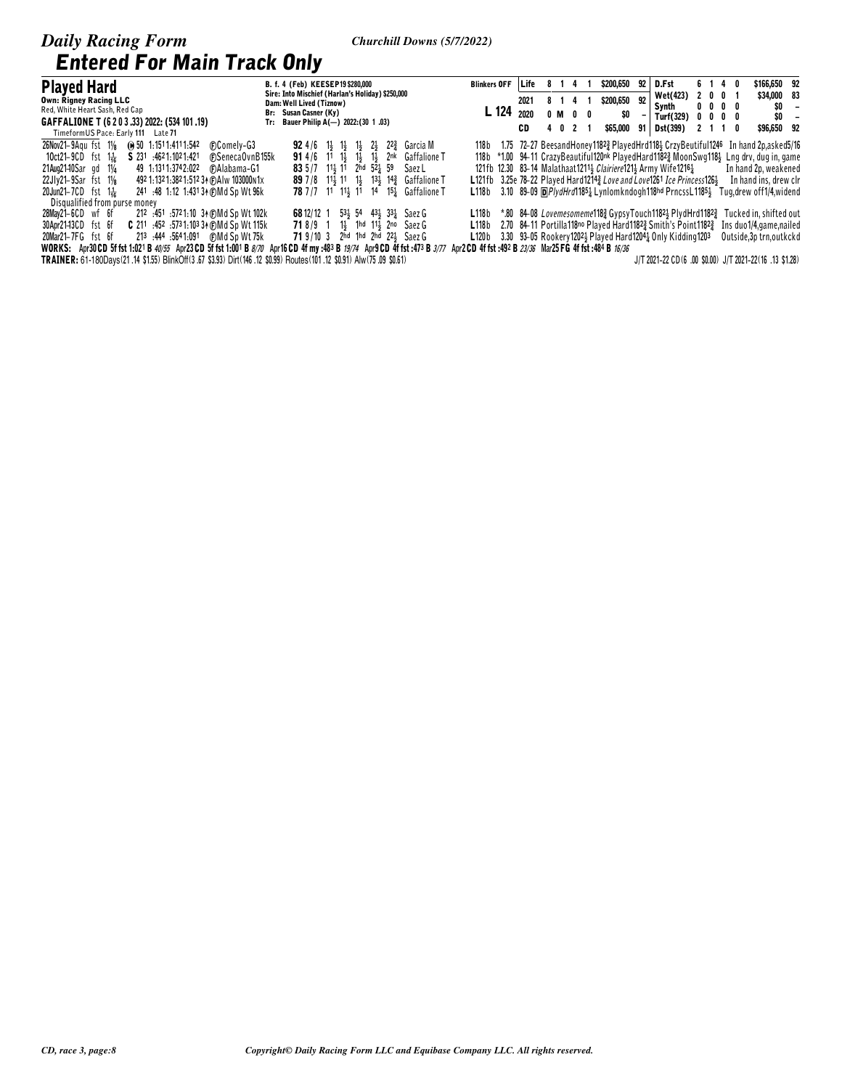| <b>Played Hard</b>                                                                                                       | B. f. 4 (Feb) KEESEP19 \$280,000                                                                                                                                                          | <b>Blinkers OFF</b>                                                                                                                 | l Life | 814     |         | \$200,650 | 92. | D.Fst                                                             |  | 6 1 4 0                 | \$166,650 92                                                                         |                          |
|--------------------------------------------------------------------------------------------------------------------------|-------------------------------------------------------------------------------------------------------------------------------------------------------------------------------------------|-------------------------------------------------------------------------------------------------------------------------------------|--------|---------|---------|-----------|-----|-------------------------------------------------------------------|--|-------------------------|--------------------------------------------------------------------------------------|--------------------------|
| <b>Own: Rigney Racing LLC</b>                                                                                            | Sire: Into Mischief (Harlan's Holiday) \$250,000<br>Dam: Well Lived (Tiznow)                                                                                                              |                                                                                                                                     | 2021   | 8 1 4 1 |         | \$200,650 | 92  | <b>Wet(423)</b>                                                   |  | 2001                    | \$34,000 83                                                                          |                          |
| Red, White Heart Sash, Red Cap                                                                                           | Br: Susan Casner (Ky)                                                                                                                                                                     | L 124                                                                                                                               | 2020   |         | 0 M 0 0 |           |     | Synth                                                             |  | $0\,0\,0\,0$            | \$0                                                                                  | $\overline{\phantom{a}}$ |
| GAFFALIONE T (6 2 0 3 .33) 2022: (534 101 .19)                                                                           | Tr: Bauer Philip A(-) $2022:(30 1.03)$                                                                                                                                                    |                                                                                                                                     |        |         |         | \$O       |     | Turf(329)                                                         |  | $0\,$ $0\,$ $0\,$ $0\,$ | \$0                                                                                  | $\overline{\phantom{a}}$ |
| TimeformUS Pace: Early 111 Late 71                                                                                       |                                                                                                                                                                                           |                                                                                                                                     | CD     |         | 4 0 2 1 | \$65,000  | 91  | Dst(399)                                                          |  | 2110                    | \$96,650 92                                                                          |                          |
| 26Nov21-9Agu fst 11/ <sub>8</sub><br>(a) 50 1:1511:4111:542<br>(F)Comely-G3                                              | <b>92</b> 4/6 1 <sup>1</sup> / <sub>3</sub> 1 <sup>1</sup> / <sub>3</sub> 1 <sup>1</sup> / <sub>3</sub> 2 <sup>1</sup> / <sub>3</sub> 2 <sup>2</sup> / <sub>4</sub> <sup>2</sup> Garcia M | 118b 1.75 72-27 BeesandHoney1182 <sup>3</sup> PlayedHrd118 <sup>1</sup> CrzyBeutiful1246                                            |        |         |         |           |     |                                                                   |  |                         | In hand 2p,asked5/16                                                                 |                          |
| S 231 4621.1021.421<br>10 $ct21 - 9CD$ fst $1\frac{1}{16}$<br><b>FSenecaOvnB155k</b>                                     | <b>91</b> 4/6 11 1 <sup>1</sup> 1 <sup>1</sup> 1 <sup>1</sup> 1 <sup>1</sup> 1 <sup>1</sup> 2 <sup>nk</sup> Gaffalione T                                                                  |                                                                                                                                     |        |         |         |           |     |                                                                   |  |                         | 118b *1.00 94-11 CrazyBeautiful120nk PlayedHard1182 MoonSwg118 Lng drv, dug in, game |                          |
| 49 1:1311:3742:022<br>$21$ Aug $21$ -10 $S$ ar qd $1\frac{1}{4}$<br><b>FAlabama-G1</b>                                   | 83 5 /7 11 41 2hd 52 4 59<br>Saez L                                                                                                                                                       | 121fb 12.30 83-14 Malathaat 1211 3 Clairiere 121 3Army Wife 1216 3                                                                  |        |         |         |           |     |                                                                   |  |                         | In hand 2p, weakened                                                                 |                          |
| 492 1:132 1:382 1:512 34 (F) A Iw 103000 n 1x<br>$22Jly21-9Sar$ fst $1\frac{1}{8}$                                       | <b>89</b> 7/8 11 11 1 13 13 14 Gaffalione T                                                                                                                                               | L121fb 3.25e 78-22 Played Hard1214 <sup>3</sup> Love and Love1261 Ice Princess126 <sup>1</sup>                                      |        |         |         |           |     |                                                                   |  |                         | In hand ins, drew clr                                                                |                          |
| 20Jun21-7CD fst 1 $\frac{1}{16}$<br>241 .48 1:12 1:431 34 (F) Md Sp Wt 96k                                               | <b>78</b> 7/7 11 11 11 14 15 Gaffalione T                                                                                                                                                 | L118b                                                                                                                               |        |         |         |           |     | 3.10 89-09 @ <i>PlydHrd</i> 11851 Lynlomkndogh118hd PrncssL11851  |  |                         | Tug, drew off1/4, widend                                                             |                          |
| Disqualified from purse money                                                                                            |                                                                                                                                                                                           |                                                                                                                                     |        |         |         |           |     |                                                                   |  |                         |                                                                                      |                          |
| 28May21-6CD wf 6f<br>212 :451 :5721:10 34 (F) Md Sp Wt 102k                                                              | 68 12/12 1 53 54 43 33 54 5 aez G                                                                                                                                                         | $\textsf{L}118\,\mathrm{b}$ *.80 84-08 <i>Lovemesomeme</i> 118 $\frac{3}{2}$ GypsyTouch1182 $\frac{1}{2}$ PlydHrd1182 $\frac{3}{2}$ |        |         |         |           |     |                                                                   |  |                         | Tucked in. shifted out                                                               |                          |
| <b>C</b> 211 :452 :5731:10334 (DMd Sp Wt 115k<br>30Apr2143CD fst 6f                                                      | 718/9 1 1} 1hd 11} 2no Saez G                                                                                                                                                             | L118b                                                                                                                               |        |         |         |           |     | 2.70 84-11 Portilla 118no Played Hard 1182 3 Smith's Point 1182 3 |  |                         | Ins duo 1/4, game, nailed                                                            |                          |
| 20Mar21-7FG fst 6f<br>213 :444 :5641:091 (F)Md Sp Wt 75k                                                                 | 71 9/10 3 2hd 1hd 2hd 221 Saez G                                                                                                                                                          | <b>L120b</b> 3.30 93–05 Rookery 1202 Played Hard 1204 2 Only Kidding 1203                                                           |        |         |         |           |     |                                                                   |  |                         | Outside, 3p trn, outkokd                                                             |                          |
| WORKS: Apr30 CD 5f fst 1:021 B 40/55 Apr23 CD 5f fst 1:001 B 8/70 Apr16 CD 4f my :483 B 19/74 Apr9 CD 4f fst :473 B 3/77 |                                                                                                                                                                                           | Apr2 CD 4f fst:492 B 23/36 Mar25 FG 4f fst:484 B 16/36                                                                              |        |         |         |           |     |                                                                   |  |                         |                                                                                      |                          |
| TRAINER: 61-180Davs(21 .14 \$1.55) BlinkOff(3 .67 \$3.93) Dirt(146 .12 \$0.99) Routes(101 .12 \$0.91) Alw(75 .09 \$0.61) |                                                                                                                                                                                           |                                                                                                                                     |        |         |         |           |     |                                                                   |  |                         | J/T 2021-22 CD(6 .00 \$0.00) J/T 2021-22(16 .13 \$1.28)                              |                          |

### CD, race 3, page:8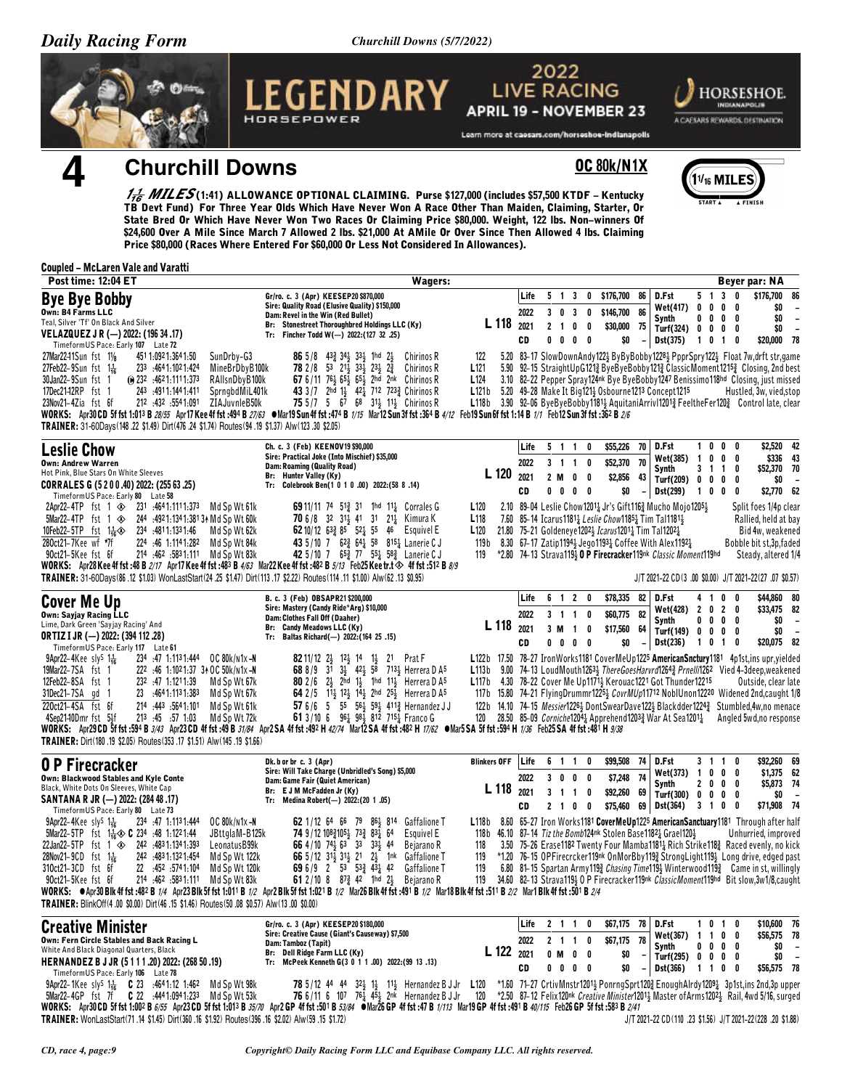Churchill Downs (5/7/2022)



**OC 80k/N1X** 

 $1\frac{1}{16}$  MI

## **Churchill Downs**

 $\frac{1}{16}$  MILES (1:41) ALLOWANCE OPTIONAL CLAIMING. Purse \$127,000 (includes \$57,500 KTDF – Kentucky TB Devt Fund) For Three Year Olds Which Have Never Won A Race Other Than Maiden, Claiming, Starter, Or State Bred Or Wh \$24,600 Over A Mile Since March 7 Allowed 2 lbs. \$21,000 At AMile Or Over Since Then Allowed 4 lbs. Claiming Price \$80,000 (Races Where Entered For \$60,000 Or Less Not Considered In Allowances).

### **Coupled - McLaren Vale and Varatti**

| Post time: 12:04 ET                                                                                                                                                                                                                                                                                                                                                                                                                                                                                                                                                                                   | <b>Wagers:</b>                                                                                                                                                                                                                                                                                                                                                                                                                                                                                                                                                  |                                                                                                                                                                                                                                                                                                                                                                                                                                                                                                |                            |                   |                                                               |                   |                                                     |                                            |                                                                                                                                                                                                                                                                                      |         |                                            |                      | <b>Beyer par: NA</b>                                                                                                                                                                                                                                                                                                                                                                                                                           |                                                                                        |
|-------------------------------------------------------------------------------------------------------------------------------------------------------------------------------------------------------------------------------------------------------------------------------------------------------------------------------------------------------------------------------------------------------------------------------------------------------------------------------------------------------------------------------------------------------------------------------------------------------|-----------------------------------------------------------------------------------------------------------------------------------------------------------------------------------------------------------------------------------------------------------------------------------------------------------------------------------------------------------------------------------------------------------------------------------------------------------------------------------------------------------------------------------------------------------------|------------------------------------------------------------------------------------------------------------------------------------------------------------------------------------------------------------------------------------------------------------------------------------------------------------------------------------------------------------------------------------------------------------------------------------------------------------------------------------------------|----------------------------|-------------------|---------------------------------------------------------------|-------------------|-----------------------------------------------------|--------------------------------------------|--------------------------------------------------------------------------------------------------------------------------------------------------------------------------------------------------------------------------------------------------------------------------------------|---------|--------------------------------------------|----------------------|------------------------------------------------------------------------------------------------------------------------------------------------------------------------------------------------------------------------------------------------------------------------------------------------------------------------------------------------------------------------------------------------------------------------------------------------|----------------------------------------------------------------------------------------|
| <b>Bye Bye Bobby</b><br>Own: B4 Farms LLC<br>Teal, Silver 'Tf' On Black And Silver<br>VELAZQUEZ J R (-) 2022: (196 34 .17)<br>TimeformUS Pace: Early 107 Late 72                                                                                                                                                                                                                                                                                                                                                                                                                                      | Gr/ro. c. 3 (Apr) KEESEP20 \$870,000<br>Sire: Quality Road (Elusive Quality) \$150,000<br>Dam: Revel in the Win (Red Bullet)<br>Br: Stonestreet Thoroughbred Holdings LLC (Ky)<br>Tr: Fincher Todd W(-) 2022:(127 32 .25)                                                                                                                                                                                                                                                                                                                                       | L 118                                                                                                                                                                                                                                                                                                                                                                                                                                                                                          | Life<br>2022<br>2021<br>CD | 2 <sub>1</sub>    | 5 1 3<br>$3 \t0 \t3$<br>0<br>$0\quad 0\quad 0\quad 0$         | $\mathbf 0$<br>0  | 0 \$176,700 86<br>\$146,700 86<br>\$30,000<br>\$0   | - 75<br>$\overline{\phantom{a}}$           | D.Fst<br>Wet(417) 0 0 0 0<br>Synth<br>Turf(324) 0 0 0 0<br>Dst(375)                                                                                                                                                                                                                  |         | 5 1 3 0<br>$0\,$ $0\,$ $0\,$ $0\,$<br>1010 |                      | \$176,700<br>\$0<br>\$0<br>\$0<br>\$20,000 78                                                                                                                                                                                                                                                                                                                                                                                                  | 86<br>$\overline{\phantom{a}}$<br>$\overline{\phantom{a}}$<br>$\overline{\phantom{a}}$ |
| 27Mar2241Sun fst 11/8<br>451 1:092 1:364 1:50<br>SunDrby-G3<br>27Feb22-9Sun fst $1\frac{1}{16}$<br>233 :4641:1021:424<br>MineBrDbyB100k<br>RAIIsnDbyB100k<br>30Jan22-9Sun fst 1<br>$\omega$ 232 :4621:1111:373<br>17Dec21-12RP fst 1<br>243 .4911.1441.411<br>SprngbdMiL401k<br>212 432 5541.091<br>23Nov21-4Zia fst 6f<br>ZIAJuvnleB50k<br>TRAINER: 31-60Days(148.22 \$1.49) Dirt(476.24 \$1.74) Routes(94.19 \$1.37) Alw(123.30 \$2.05)                                                                                                                                                             | 86 5/8 433 342 332 1hd 22<br>Chirinos R<br><b>78</b> 2/8 53 21 <sup>1</sup> / <sub>2</sub> 33 <sup>1</sup> / <sub>2</sub> 23 <sup>1</sup> / <sub>2</sub> 2 <sup>3</sup><br>Chirinos R<br>67 6/11 763 653 653 2hd 2nk Chirinos R<br>43 3/7 2hd 1} 421 712 723 2 Chirinos R<br>75 5/7 5 67 68 31 $\frac{1}{2}$ 11 $\frac{1}{2}$ Chirinos R<br>WORKS: Apr30 CD 5f fst 1:013 B 28/55 Apr17 Kee 4f fst :494 B 27/63 . Mar19 Sun 4f fst :474 B 1/15 Mar12 Sun 3f fst :364 B 4/12 Feb19 Sun 6f fst 1:14 B 1/1 Feb12 Sun 3f fst :362 B 2/6                              | 122<br>L <sub>121</sub><br>L124<br>L121b 5.20 49-28 Make It Big1211 Osbourne1213 Concept1215<br>L118b 3.90 92-06 ByeByeBobby11813 AquitaniArriv112013 FeeltheFer1203 Control late, clear                                                                                                                                                                                                                                                                                                       |                            |                   |                                                               |                   |                                                     |                                            |                                                                                                                                                                                                                                                                                      |         |                                            |                      | 5.20 83-17 SlowDownAndy1221 ByByBobby12281 PpprSpry1221 Float 7w, drft str, game<br>5.90 92–15 StraightUpG1213 ByeByeBobby1213 ClassicMoment12153 Closing, 2nd best<br>3.10 82-22 Pepper Spray124nk Bye ByeBobby1247 Benissimo118hd Closing, just missed<br>Hustled, 3w, vied, stop                                                                                                                                                            |                                                                                        |
| <b>Leslie Chow</b><br><b>Own: Andrew Warren</b><br>Hot Pink, Blue Stars On White Sleeves<br>CORRALES G (5 2 0 0 .40) 2022: (255 63 .25)<br>TimeformUS Pace: Early 80 Late 58                                                                                                                                                                                                                                                                                                                                                                                                                          | Ch. c. 3 (Feb) KEENOV19 \$90,000<br>Sire: Practical Joke (Into Mischief) \$35,000<br>Dam: Roaming (Quality Road)<br>Br: Hunter Valley (Ky)<br>Tr: Colebrook Ben(1 0 1 0 .00) 2022: (58 8 .14)                                                                                                                                                                                                                                                                                                                                                                   | L <sub>120</sub>                                                                                                                                                                                                                                                                                                                                                                                                                                                                               | Life<br>2022<br>2021<br>CD | 2 M<br>$0\quad 0$ | 5 1 1 0<br>3 1 1 0<br>0<br>$0\quad 0$                         | 0                 | \$55,226<br>\$52,370<br>\$2,856<br>\$0              | 70<br>70<br>43<br>$\overline{\phantom{a}}$ | D.Fst<br>Wet(385)<br>Synth<br>Turf(209) 0 0 0<br>Dst(299)                                                                                                                                                                                                                            |         | 1000<br>100<br>$3 \t1 \t1$<br>100          | - 0<br>- 0<br>0<br>0 | \$2,520 42<br>\$52,370 70<br>\$0<br>\$2,770 62                                                                                                                                                                                                                                                                                                                                                                                                 | \$336 43                                                                               |
| 2Apr22-4TP fst 1 $\otimes$ 231 :4641:1111:373<br>Md Sp Wt 61k<br>5Mar22-4TP fst 1 $\otimes$<br>244 .4921:1341:38134 Md Sp Wt 60k<br>10Feb22-5TP fst $1\frac{1}{16}$<br>234 .4811.1331.46<br>Md Sp Wt 62k<br>280ct21-7Kee wf *7f<br>224 :46 1:1141:282 Md Sp Wt 84k<br>90ct21-5Kee fst 6f<br>214 :462 :5831:111 Md Sp Wt 83k<br>WORKS: Apr28 Kee 4f fst:48 B 2/17 Apr17 Kee 4f fst:483 B 4/63 Mar22 Kee 4f fst:482 B 5/13 Feb25 Kee tr.t $\Leftrightarrow$ 4f fst:512 B 8/9<br>TRAINER: 31-60Days(86.12 \$1.03) WonLastStart(24.25 \$1.47) Dirt(113.17 \$2.22) Routes(114.11 \$1.00) Alw(62.13 \$0.95) | <b>69</b> 11/11 74 51 <sup>3</sup> 31 1hd 11 <sup>1</sup> / <sub>2</sub> Corrales G<br><b>70</b> 6/8 32 314 41 31 214 Kimura K<br>62 10/12 $63\frac{3}{4}$ 85 $52\frac{1}{4}$ 55 46 Esquivel E<br>43 5/10 7 62 <sup>3</sup> / <sub>4</sub> 58 8 <sup>15</sup> <sup>4</sup> Lanerie C J<br>42 5/10 7 65 <sup>3</sup> / <sub>2</sub> 77 55 <sup>1</sup> / <sub>2</sub> 58 <sup>3</sup> / <sub>2</sub> Lanerie C J                                                                                                                                                 | L <sub>120</sub><br>L <sub>118</sub><br>L120<br>119 b<br>119                                                                                                                                                                                                                                                                                                                                                                                                                                   |                            |                   |                                                               |                   | 21.80 75-21 Goldeneye12021 Icarus12011 Tim Tal12021 |                                            | 2.10 89-04 Leslie Chow12014 Jr's Gift1162 Mucho Mojo12051<br>7.60 85-14 Icarus 1181 <sub>4</sub> Leslie Chow 1185 <sub>4</sub> Tim Tal 1181 <sub>3</sub><br>8.30 67-17 Zatip11944 Jego11934 Coffee With Alex11924<br>*2.80 74-13 Strava1193 0 P Firecracker119nk Classic Moment119hd |         |                                            |                      | Split foes 1/4p clear<br>Rallied, held at bay<br>Bid 4w, weakened<br>Bobble bit st, 3p, faded<br>Steady, altered 1/4<br>J/T 2021-22 CD(3 .00 \$0.00) J/T 2021-22(27 .07 \$0.57)                                                                                                                                                                                                                                                                |                                                                                        |
| <b>Cover Me Up</b><br>Own: Sayjay Racing LLC<br>Lime, Dark Green 'Sayjay Racing' And<br><b>ORTIZ I JR (-) 2022: (394 112 .28)</b><br>TimeformUS Pace: Early 117 Late 61                                                                                                                                                                                                                                                                                                                                                                                                                               | B. c. 3 (Feb) OBSAPR21 \$200,000<br>Sire: Mastery (Candy Ride*Arg) \$10,000<br>Dam: Clothes Fall Off (Daaher)<br>Br: Candy Meadows LLC (Ky)<br>Tr: Baltas Richard(-) 2022: (164 25 .15)                                                                                                                                                                                                                                                                                                                                                                         | L 118 2021                                                                                                                                                                                                                                                                                                                                                                                                                                                                                     | Life<br>2022<br>CD         | 3 M               | 6 1 2 0<br>3 1 1<br>$\overline{1}$<br>$0 \t0 \t0 \t0$         | 0<br>0            | \$78,335<br>\$60,775<br>\$17,560<br>\$0             | 82<br>82<br>64                             | D.Fst<br>Wet(428) 2 0 2 0<br>Synth<br>Turf(149) 0 0 0 0<br><b>Dst(236)</b>                                                                                                                                                                                                           |         | 4 1 0<br>$0\ 0\ 0\ 0$<br>1010              | $\mathbf{0}$         | \$44,860 80<br>\$33,475 82<br>\$0<br>\$0<br>\$20,075 82                                                                                                                                                                                                                                                                                                                                                                                        | $\overline{\phantom{a}}$<br>$\overline{\phantom{a}}$                                   |
| 234 :47 1:1131:444 0C 80k/n1x-N<br>$9$ Apr22-4Kee sly <sup>s</sup> 1 <sup>1</sup> / <sub>16</sub><br>19Mar22-7SA fst 1<br>222 :46 1:1021:37 34 OC 50k/n1x-N<br>12Feb22-8SA fst 1<br>232 .47 1.1211.39<br>Md Sp Wt 67k<br>31Dec21-7SA gd 1<br>23 :4641:1131:383<br>Md Sp Wt 67k<br>220ct21-4SA fst 6f<br>214 :443 :5641:101<br>Md Sp Wt 61k<br>213 :45 :57 1:03<br>Md Sp Wt 72k<br>4Sep2140Dmr fst 5½f<br>TRAINER: Dirt(180 .19 \$2.05) Routes(353 .17 \$1.51) Alw(145 .19 \$1.66)                                                                                                                     | 82 11/12 2 312 13 14 1 32 1 Prat F<br>68 8/9 31 34 424 58 7134 Herrera D A <sup>5</sup><br><b>80</b> 2/6 $2\frac{1}{2}$ 2hd 1 <sup>1</sup> / <sub>2</sub> 1hd 11 <sup>1</sup> / <sub>2</sub> Herrera D A <sup>5</sup><br>64 2/5 113 123 143 2hd 253 Herrera D A5<br>57 6/6 5 55 56 59 411 Hernandez JJ<br>61 3/10 6 $96\frac{1}{4}$ $98\frac{1}{2}$ 812 715 $\frac{1}{4}$ Franco G<br>WORKS: Apr29CD 5f fst :594 B 3/43 Apr23CD 4f fst :49 B 31/84 Apr2SA 4f fst :492 H 42/74 Mar12SA 4f fst :482 H 17/62 @Mar5SA 5f fst :594 H 1/36 Feb25SA 4f fst :481 H 9/38 | L122b 17.50 78-27 IronWorks1181 CoverMeUp1225 AmericanSnctury1181 4p1st, ins upr, yielded<br>L113b 9.00 74-13 LoudMouth12634 ThereGoesHarvrd12643 Prnelli1262 Vied 4-3deep, weakened<br><b>L117b</b> 4.30 78-22 Cover Me Up117 <sup>11</sup> / <sub>3</sub> Kerouac1221 Got Thunder12215<br>117b 15.80 74-21 FlyingDrummr12252 CovrMUp11712 NobIUnon12220 Widened 2nd, caught 1/8<br>122b 14.10 74-15 Messier12264 DontSwearDave1224 Blackdder1224 <sup>3</sup> Stumbled, 4w, no menace<br>120 |                            |                   |                                                               |                   |                                                     |                                            |                                                                                                                                                                                                                                                                                      |         |                                            |                      | Outside, clear late<br>28.50 85-09 <i>Corniche</i> 1204 <sub>2</sub> Apprehend1203 <sub>2</sub> War At Sea1201 <sub>2</sub> Angled 5wd, no response                                                                                                                                                                                                                                                                                            |                                                                                        |
| <b>0 P Firecracker</b><br>Own: Blackwood Stables and Kyle Conte<br>Black, White Dots On Sleeves, White Cap<br>SANTANA R JR (-) 2022: (284 48 .17)<br>TimeformUS Pace: Early 80 Late 73                                                                                                                                                                                                                                                                                                                                                                                                                | Dk. b or br c. 3 (Apr)<br>Sire: Will Take Charge (Unbridled's Song) \$5,000<br>Dam: Game Fair (Quiet American)<br>Br: E J M McFadden Jr (Ky)<br>Tr: Medina Robert(-) 2022:(20 1.05)                                                                                                                                                                                                                                                                                                                                                                             | <b>Blinkers OFF</b><br>$L 118$ 2021                                                                                                                                                                                                                                                                                                                                                                                                                                                            | Life<br>2022<br>CD         |                   | 6 1 1<br>3 0 0 0<br>3 1 1 0<br>$2 \quad 1 \quad 0$            | 0<br>$\mathbf{0}$ | \$99,508<br>\$7,248<br>\$92,260                     | 74<br>74<br>69                             | D.Fst<br>Wet(373) 1 0 0 0<br>Synth<br>Turf(300) 0 0 0 0<br>\$75,460 69 Dst(364)                                                                                                                                                                                                      | 3 1 0 0 | 3 1 1 0<br>2000                            |                      | \$92,260 69<br>\$1,375 62<br>\$5,873 74<br>\$0<br>\$71,908 74                                                                                                                                                                                                                                                                                                                                                                                  | $\overline{\phantom{a}}$                                                               |
| $9$ Apr22-4Kee sly <sup>S</sup> $1\frac{1}{16}$<br>234 .47 1.1131.444<br>OC 80k/n1x-N<br>JBttglaM-B125k<br>5Mar22-5TP fst 1 <sup>1</sup> / <sub>16</sub> $\circ$ <b>C</b> 234 :48 1:1221:44<br>22Jan22-5TP fst 1 $\otimes$ 242 4831.1341.393<br>LeonatusB99k<br>28Nov21-9CD fst $1\frac{1}{16}$<br>242 4831.1321.454<br>Md Sp Wt 122k<br>310ct21-3CD fst 6f<br>22 :452 :5741:104<br>Md Sp Wt 120k<br>214 :462 :5831:111<br>90ct21-5Kee fst 6f<br>Md Sp Wt 83k<br>TRAINER: BlinkOff(4.00 \$0.00) Dirt(46.15 \$1.46) Routes(50.08 \$0.57) Alw(13.00 \$0.00)                                             | <b>62</b> 1/12 64 66 79 86 3 814<br><b>Gaffalione T</b><br>74 9/12 108 4105 4 73 83 64<br>Esquivel E<br>66 4/10 74 63 33 33 44<br>Bejarano R<br>66 5/12 313 313 21 23 1nk Gaffalione T<br>69 6/9 2 53 533 431 42<br><b>Gaffalione T</b><br>61 2/10 8 $87\frac{3}{4}$ 42 1hd 21<br>Bejarano R<br>WORKS: $\bullet$ Apr30 Blk 4f fst :482 B 1/4 Apr23 Blk 5f fst 1:011 B 1/2 Apr2 Blk 5f fst 1:021 B 1/2 Mar26 Blk 4f fst :491 B 1/2 Mar18 Blk 4f fst :511 B 2/2 Mar1 Blk 4f fst :501 B 2/4                                                                        | L118b 8.60 65-27 Iron Works1181 CoverMeUp1225 AmericanSanctuary1181 Through after half<br>118b 46.10 87-14 Tiz the Bomb124nk Stolen Base11821 Grael1201<br>118<br>119<br>119<br>119                                                                                                                                                                                                                                                                                                            |                            |                   |                                                               |                   |                                                     |                                            |                                                                                                                                                                                                                                                                                      |         |                                            |                      | Unhurried, improved<br>3.50 75-26 Erase1182 Twenty Four Mamba1181 <sub>4</sub> Rich Strike118 <sub>4</sub> Raced evenly, no kick<br>*1.20 76-15 OPFirecrcker119nk OnMorBby1193 StrongLight1193 Long drive, edged past<br>6.80 81-15 Spartan Army 119 $\frac{3}{4}$ Chasing Time 119 $\frac{1}{2}$ Winterwood 119 $\frac{3}{4}$ Came in st, willingly<br>34.60 82-13 Strava1193 O P Firecracker119nk ClassicMoment119hd Bit slow, 3w1/8, caught |                                                                                        |
| <b>Creative Minister</b><br>Own: Fern Circle Stables and Back Racing L<br>White And Black Diagonal Quarters, Black<br>HERNANDEZ B J JR (5111.20) 2022: (268 50.19)<br>TimeformUS Pace: Early 106 Late 78                                                                                                                                                                                                                                                                                                                                                                                              | Gr/ro. c. 3 (Apr) KEESEP20 \$180,000<br>Sire: Creative Cause (Giant's Causeway) \$7,500<br>Dam: Tamboz (Tapit)<br>Br: Dell Ridge Farm LLC (Ky)<br>Tr: McPeek Kenneth G(3 0 1 1 .00) 2022: (99 13 .13)                                                                                                                                                                                                                                                                                                                                                           | L 122                                                                                                                                                                                                                                                                                                                                                                                                                                                                                          | Life<br>2022<br>2021<br>CD |                   | $2 \t1 \t1$<br>2 1 1 0<br>0 M 0 0<br>$0\quad 0\quad 0\quad 0$ | 0                 | \$67,175 78<br>\$67,175 78<br>\$0<br>\$0            | $\overline{\phantom{a}}$                   | D.Fst<br>Wet(367) 1 1 0 0<br>Synth<br>Turf(295) $0 \t 0 \t 0 \t 0$<br>Dst(366)                                                                                                                                                                                                       |         | 1010<br>$0\quad 0\quad 0\quad 0$<br>1100   |                      | \$10,600 76<br>\$56,575 78<br>\$0<br>\$0<br>\$56,575 78                                                                                                                                                                                                                                                                                                                                                                                        | $\overline{\phantom{a}}$<br>$\overline{\phantom{a}}$                                   |
| 9Apr22-1Kee sly <sup>S</sup> 1 <sup>1</sup> / <sub>16</sub> C 23 :4641:12 1:462 Md Sp Wt 98k<br>5Mar22-4GP fst 7f C 22 :4441:0941:233 Md Sp Wt 53k<br>TRAINER: WonLastStart(71.14 \$1.45) Dirt(360.16 \$1.92) Routes(396.16 \$2.02) Alw(59.15 \$1.72)                                                                                                                                                                                                                                                                                                                                                 | <b>78</b> 5/12 44 44 32 11 11 Hernandez B J Jr<br>76 6/11 6 107 76 $\frac{1}{4}$ 45 <sup>1</sup> / <sub>2</sub> 2nk Hernandez B J Jr<br>WORKS: Apr30 CD 5f fst 1:002 B 6/55 Apr23 CD 5f fst 1:013 B 35/70 Apr2 GP 4f fst :501 B 53/84 @Mar26 GP 4f fst :47 B 1/113 Mar19 GP 4f fst :491 B 40/115 Feb26 GP 5f fst :583 B 2/41                                                                                                                                                                                                                                    | L <sub>120</sub><br>120                                                                                                                                                                                                                                                                                                                                                                                                                                                                        |                            |                   |                                                               |                   |                                                     |                                            |                                                                                                                                                                                                                                                                                      |         |                                            |                      | *1.60 71-27 CrtivMnstr12014 PonrngSprt120} EnoughAlrdy12091 3p1st,ins 2nd,3p upper<br>*2.50 87-12 Felix120nk Creative Minister12011 Master of Arms12021 Rail, 4wd 5/16, surged<br>J/T 2021-22 CD(110 .23 \$1.56) J/T 2021-22(228 .20 \$1.88)                                                                                                                                                                                                   |                                                                                        |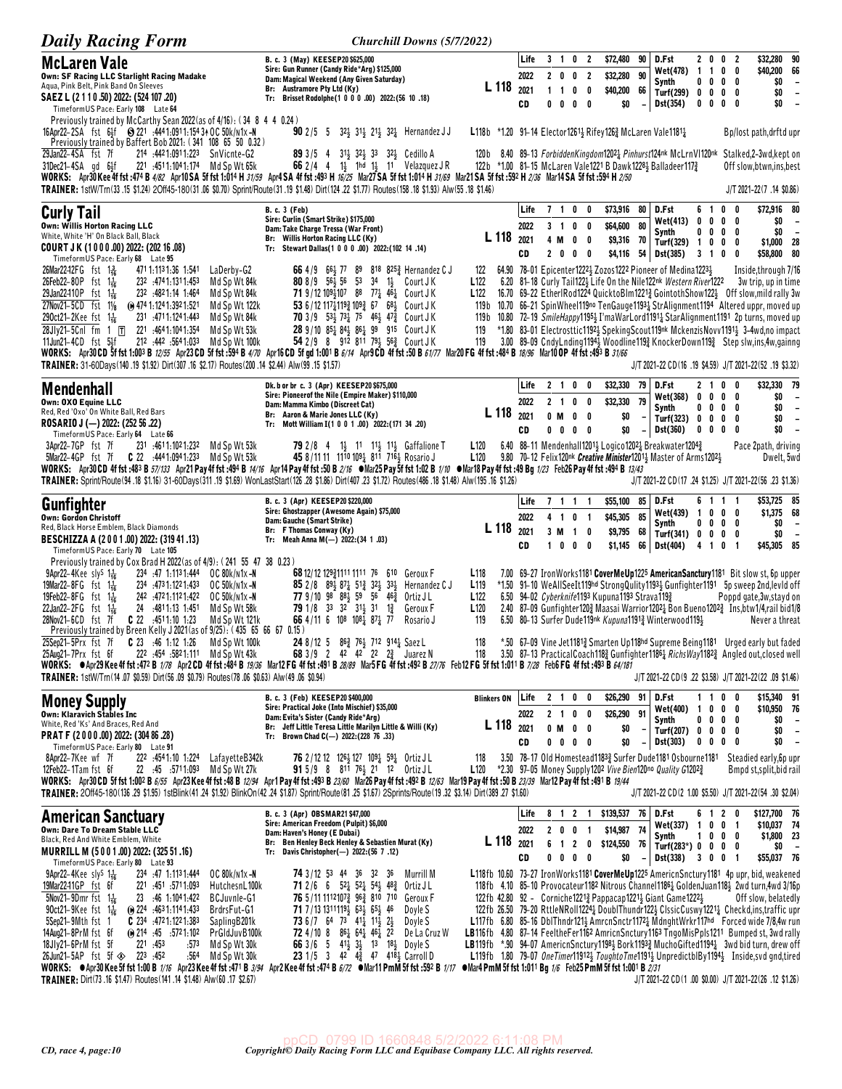| <b>Daily Racing Form</b>                                                                                                                                                                                                                                                                                                                                                                                                                                                                                                                                                                                                                                                                                                                                                                                                                                                                                                                                                                                                                                                 | <b>Churchill Downs (5/7/2022)</b>                                                                                                                                                                                                                                                                                                                                                                                                                                                                                                                                                                                                                                                       |                                                                                                                                                                        |                            |                              |                                                                           |   |                                                       |                            |                                                                                                                                                                                                                                                                      |                                                        |   |                                         |                                                                                                                                                                                                                                                                                                                                                                                                                                                                                                                                                                                                                                                                                                                                                                                                                                                                                    |
|--------------------------------------------------------------------------------------------------------------------------------------------------------------------------------------------------------------------------------------------------------------------------------------------------------------------------------------------------------------------------------------------------------------------------------------------------------------------------------------------------------------------------------------------------------------------------------------------------------------------------------------------------------------------------------------------------------------------------------------------------------------------------------------------------------------------------------------------------------------------------------------------------------------------------------------------------------------------------------------------------------------------------------------------------------------------------|-----------------------------------------------------------------------------------------------------------------------------------------------------------------------------------------------------------------------------------------------------------------------------------------------------------------------------------------------------------------------------------------------------------------------------------------------------------------------------------------------------------------------------------------------------------------------------------------------------------------------------------------------------------------------------------------|------------------------------------------------------------------------------------------------------------------------------------------------------------------------|----------------------------|------------------------------|---------------------------------------------------------------------------|---|-------------------------------------------------------|----------------------------|----------------------------------------------------------------------------------------------------------------------------------------------------------------------------------------------------------------------------------------------------------------------|--------------------------------------------------------|---|-----------------------------------------|------------------------------------------------------------------------------------------------------------------------------------------------------------------------------------------------------------------------------------------------------------------------------------------------------------------------------------------------------------------------------------------------------------------------------------------------------------------------------------------------------------------------------------------------------------------------------------------------------------------------------------------------------------------------------------------------------------------------------------------------------------------------------------------------------------------------------------------------------------------------------------|
| <b>McLaren Vale</b><br>Own: SF Racing LLC Starlight Racing Madake<br>Aqua, Pink Belt, Pink Band On Sleeves<br>SAEZ L (2 1 1 0 .50) 2022: (524 107 .20)<br>Timeform US Pace: Early 108 Late 64                                                                                                                                                                                                                                                                                                                                                                                                                                                                                                                                                                                                                                                                                                                                                                                                                                                                            | B. c. 3 (May) KEESEP20 \$625,000<br>Sire: Gun Runner (Candy Ride*Arg) \$125,000<br>Dam: Magical Weekend (Any Given Saturday)<br>Br: Austramore Pty Ltd (Ky)<br>Tr: Brisset Rodolphe(1 0 0 0 .00) 2022: (56 10 .18)                                                                                                                                                                                                                                                                                                                                                                                                                                                                      | L 118                                                                                                                                                                  | Life<br>2022<br>2021<br>CD | $1\quad1$<br>0<br>0          | 3 1 0 2<br>2 0 0 2<br>$0\quad 0$<br>$0\quad 0$                            |   | \$72,480<br>\$32,280<br>\$40,200<br>\$0               | 90<br>90<br>66             | D.Fst<br><b>Wet(478)</b><br>Synth<br>Turf(299) 0 0 0 0<br>Dst(354)                                                                                                                                                                                                   | 2 0 0 2<br>$1\quad1$<br>$0\ 0\ 0\ 0$<br>$0\ 0\ 0\ 0$   |   | $0\quad 0$                              | \$32,280 90<br>\$40,200 66<br>\$0<br>$\overline{\phantom{a}}$<br>\$0<br>$\overline{\phantom{a}}$<br>\$0<br>$\overline{\phantom{a}}$                                                                                                                                                                                                                                                                                                                                                                                                                                                                                                                                                                                                                                                                                                                                                |
| Previously trained by McCarthy Sean 2022 (as of 4/16): (34 8 4 4 0.24)<br>16Apr22-2SA fst 61f @ 221 :4441:0911:1543 + OC 50k/n1x-N<br>Previously trained by Baffert Bob 2021: (341 108 65 50 0.32)<br>29Jan22-4SA fst 7f<br>214 :4421:0911:223 SnVicnte-G2<br>31Dec21-4SA gd 64f<br>221 :4511:1041:174 Md Sp Wt 65k<br>WORKS: Apr30Kee4f fst:474 B 4/82 Apr10SA 5f fst 1:014 H 31/59 Apr4 SA 4f fst:493 H 16/25 Mar27SA 5f fst 1:014 H 31/69 Mar21SA 5f fst:592 H 2/36 Mar14SA 5f fst:594 H 2/50<br>TRAINER: 1stW/Tm(33.15 \$1.24) 2Off45-180(31.06 \$0.70) Sprint/Route(31.19 \$1.48) Dirt(124.22 \$1.77) Routes(158.18 \$1.93) Alw(55.18 \$1.46)                                                                                                                                                                                                                                                                                                                                                                                                                       | $902/5$ 5<br>32 <sup>1</sup> / <sub>2</sub> 31 <sup>1</sup> / <sub>2</sub> 21 <sup>1</sup> / <sub>2</sub> 32 <sup>1</sup> / <sub>4</sub> Hernandez JJ<br>89 3/5 4 313 323 32 323 Cedillo A<br>66 2/4 4 $1\frac{1}{2}$ 1ha $1\frac{1}{2}$ 11 Velazquez JR                                                                                                                                                                                                                                                                                                                                                                                                                                | L118b *1.20 91-14 Elector1261 <sub>3</sub> Rifey126 <sub>2</sub> McLaren Vale1181 <sub>2</sub><br>120 b<br>122b *1.00 81-15 McLaren Vale1221 B Dawk12284 Balladeer1173 |                            |                              |                                                                           |   |                                                       |                            |                                                                                                                                                                                                                                                                      |                                                        |   |                                         | Bp/lost path, drftd upr<br>8.40 89-13 ForbiddenKingdom1202 <sub>4</sub> Pinhurst124nk McLrnVI120nk Stalked,2-3wd, kept on<br>Off slow.btwn.ins.best<br>J/T 2021-22(7 .14 \$0.86)                                                                                                                                                                                                                                                                                                                                                                                                                                                                                                                                                                                                                                                                                                   |
| <b>Curly Tail</b><br><b>Own: Willis Horton Racing LLC</b><br>White, White 'H' On Black Ball, Black<br>COURT JK (1000.00) 2022: (202 16.08)<br>TimeformUS Pace: Early 68 Late 95<br>26Mar22–12FG fst 1 용<br>471 1:113 1:36 1:541<br>LaDerby-G2<br>Md Sp Wt 84k<br>26Feb22-80P fst $1\frac{1}{16}$<br>232 .4741.1311.453<br>29Jan22410P fst 1<br>232 .4821.14 1.464<br>Md Sp Wt 84k<br>27Nov21-5CD fst 11/8<br>(a) 474 1:124 1:392 1:521<br>Md Sp Wt 122k<br>231 :4711:1241:443<br>Md Sp Wt 84k<br>290ct21–2Kee fst 1ᢛ<br>28Jly21-5Cnl fm 1 $\overline{1}$ 221 :4641:1041:354<br>Md Sp Wt 53k<br>212 :442 :564 1:033<br>11Jun21-4CD fst 5½f<br>Md Sp Wt 100k<br>WORKS: Apr30 CD 5f fst 1:003 B 12/55 Apr23 CD 5f fst :594 B 4/70 Apr16 CD 5f gd 1:001 B 6/14 Apr9 CD 4f fst :50 B 61/77 Mar20 FG 4f fst :484 B 18/96 Mar10 OP 4f fst :493 B 31/66<br>TRAINER: 31-60Days(140 .19 \$1.92) Dirt(307 .16 \$2.17) Routes(200 .14 \$2.44) Alw(99 .15 \$1.57)                                                                                                                     | <b>B. c. 3 (Feb)</b><br>Sire: Curlin (Smart Strike) \$175,000<br>Dam: Take Charge Tressa (War Front)<br>Br: Willis Horton Racing LLC (Ky)<br>Tr: Stewart Dallas(1 0 0 0 .00) 2022:(102 14 .14)<br>66 4/9 66 77 89 818 825 Hernandez C J<br><b>80</b> 8/9 56 56 53 34<br>$1\frac{1}{2}$<br>Court J K<br><b>71</b> 9/12 1094107 88 774 464 Court JK<br>53 6/12 1171193 1093 67 681 Court JK<br>70 3/9 53 73 75 46 47 <sup>3</sup> Court JK<br>28 9/10 854 84 864 99 915 Court JK<br>54 2/9 8 912 811 793 563 Court JK                                                                                                                                                                     | L 118<br>122<br>L <sub>122</sub><br>L <sub>122</sub><br>119 b<br>119 b<br>119<br>119                                                                                   | Life<br>2022<br>2021<br>CD | $3 \quad 1$                  | 710<br>$0\quad 0$<br>4 M O O<br>2 0 0 0                                   | 0 | \$73,916<br>\$64,600<br>\$9,316 70<br>\$4,116         | 80<br>80                   | D.Fst<br><b>Wet(413)</b><br>Synth<br>Turf(329) 1 0 0<br>54 Dst(385)<br>64.90 78-01 Epicenter12221 Zozos1222 Pioneer of Medina12231                                                                                                                                   | 61<br>$0\ 0\ 0$<br>$0\,0\,0\,0$<br>3 1 0               | 0 | 0<br>0<br>0<br>$\overline{\phantom{a}}$ | \$72,916 80<br>\$0<br>$\overline{\phantom{a}}$<br>\$0<br>$\overline{\phantom{a}}$<br>\$1,000 28<br>\$58,800 80<br>Inside, through 7/16<br>6.20 81-18 Curly Tail1222 Life On the Nile122nk Western River1222 3w trip, up in time<br>16.70 69-22 EtherlRod1224 QuicktoBlm12213 GointothShow1223 Off slow, mild rally 3w<br>10.70 66-21 SpinWheel119no TenGauge11931 StrAlignment1194 Altered uppr, moved up<br>10.80 72-19 SmileHappy11954 I'maWarLord11914 StarAlignment1191 2p turns, moved up<br>*1.80 83-01 Electrosttic1192} SpekingScout119nk MckenzisNovv1191} 3-4wd,no impact<br>3.00 89-09 CndyLnding1194 <sub>2</sub> Woodline119 <sub>4</sub> KnockerDown119 <sub>4</sub> Step slw,ins,4w,gainng<br>J/T 2021-22 CD(16 .19 \$4.59) J/T 2021-22(52 .19 \$3.32)                                                                                                              |
| Mendenhall<br>Own: OXO Equine LLC<br>Red, Red 'Oxo' On White Ball, Red Bars<br>ROSARIO J (-) 2022: (252 56 .22)<br>TimeformUS Pace: Early 64 Late 66<br>3Apr22-7GP fst 7f<br>231 4611.1021.232<br>Md Sp Wt 53k<br>5Mar22-4GP fst 7f C 22 :4441:0941:233<br>Md Sp Wt 53k<br>WORKS: Apr30 CD 4f fst :483 B 57/133 Apr21 Pay 4f fst :494 B 14/16 Apr14 Pay 4f fst :50 B 2/16 . Mar25 Pay 5f fst 1:02 B 1/10 . Mar18 Pay 4f fst :49 Bg 1/23 Feb26 Pay 4f fst :494 B 13/43<br>TRAINER: Sprint/Route (94 .18 \$1.16) 31-60Days (311 .19 \$1.69) WonLastStart (126 .28 \$1.86) Dirt (407 .23 \$1.72) Routes (486 .18 \$1.48) Alw (195 .16 \$1.26)                                                                                                                                                                                                                                                                                                                                                                                                                               | Dk. b or br c. 3 (Apr) KEESEP20 \$675,000<br>Sire: Pioneerof the Nile (Empire Maker) \$110,000<br>Dam: Mamma Kimbo (Discreet Cat)<br>Br: Aaron & Marie Jones LLC (Ky)<br>Tr: Mott William I(1 0 0 1 .00) 2022: (171 34 .20)<br><b>79</b> 2/8 4 1 <sup>1</sup> / <sub>3</sub> 1 <sup>1</sup> 1 <sup>1</sup> / <sub>3</sub> 1 <sup>1</sup> / <sub>3</sub> Gaffalione T<br>45 8/11 11 11 <sup>10</sup> 10 <sup>91</sup> 8 <sup>11</sup> 7 <sup>161</sup> Rosario J                                                                                                                                                                                                                         | L 118<br>L <sub>120</sub><br>L <sub>120</sub>                                                                                                                          | Life<br>2022<br>2021<br>CD | 2 1<br>2 <sub>1</sub><br>0 M | 0<br>$0\quad 0$<br>$0\quad 0$<br>$0\ 0\ 0\ 0$                             | 0 | \$32,330<br>\$32,330<br>\$0<br>\$0                    | 79<br>79<br>$\overline{a}$ | D.Fst<br>Wet(368)<br>Synth<br>Turf(323) 0 0 0 0<br>Dst(360)<br>6.40 88-11 Mendenhall1201 $\frac{1}{2}$ Logico1202 $\frac{1}{4}$ Breakwater1204 $\frac{3}{4}$<br>9.80 70-12 Felix120 <sup>nk</sup> Creative Minister1201 <sub>3</sub> Master of Arms1202 <sub>3</sub> | 21<br>$0\ 0\ 0\ 0$<br>0<br>0<br>$0\ 0\ 0$              |   | 00<br>$0\quad 0$<br>0                   | \$32,330 79<br>\$0<br>$\overline{\phantom{a}}$<br>\$O<br>$\overline{\phantom{a}}$<br>\$0<br>$\overline{\phantom{a}}$<br>\$0<br>$\overline{\phantom{a}}$<br>Pace 2path, driving<br>Dwelt, 5wd<br>J/T 2021-22 CD(17 .24 \$1.25) J/T 2021-22(56 .23 \$1.36)                                                                                                                                                                                                                                                                                                                                                                                                                                                                                                                                                                                                                           |
| Gunfighter<br><b>Own: Gordon Christoff</b><br>Red, Black Horse Emblem, Black Diamonds<br>BESCHIZZA A (2001.00) 2022: (319 41.13)<br>TimeformUS Pace: Early 70 Late 105<br>Previously trained by Cox Brad H 2022 (as of 4/9): (241 55 47 38 0.23)                                                                                                                                                                                                                                                                                                                                                                                                                                                                                                                                                                                                                                                                                                                                                                                                                         | B. c. 3 (Apr) KEESEP20 \$220,000<br>Sire: Ghostzapper (Awesome Again) \$75,000<br>Dam: Gauche (Smart Strike)<br>Br: F Thomas Conway (Ky)<br>Tr: Meah Anna M(-) 2022: (34 1.03)                                                                                                                                                                                                                                                                                                                                                                                                                                                                                                          | L 118                                                                                                                                                                  | Life<br>2022<br>2021<br>CD | 41<br>3 M                    | 7 1 1 1<br>0 <sub>1</sub><br>$1\quad 0$<br>1000                           |   | \$55,100<br>\$45,305 85<br>\$9,795 68<br>\$1,145      | -85  <br>66                | D.Fst<br>Wet(439)<br>Synth<br>Turf(341) 0 0 0 0<br>Dst(404)                                                                                                                                                                                                          | 6111<br>1000<br>$0\,$ 0 $\,$ 0 $\,$ 0<br>4 1 0         |   | $\overline{\mathbf{1}}$                 | \$53,725 85<br>\$1,375 68<br>\$0<br>$\overline{\phantom{a}}$<br>\$0<br>$\overline{\phantom{0}}$<br>\$45,305 85                                                                                                                                                                                                                                                                                                                                                                                                                                                                                                                                                                                                                                                                                                                                                                     |
| $9$ Apr22-4Kee sly <sup>S</sup> 1 <sup>1</sup> / <sub>16</sub><br>234 .47 1.1131.444<br>OC 80k/n1x-N<br>19Mar22-8FG fst 1 <sup>1</sup> / <sub>16</sub><br>234 473 1:122 1:433<br>OC 50k/n1x-N<br>19Feb22-8FG fst 1 <sup>1</sup> <sub>16</sub><br>242 .4721.1121.422<br>OC 50k/n1x-N<br>22Jan22-2FG $f$ st $1\frac{1}{16}$<br>24 :4811:13 1:451<br>Md Sp Wt 58k<br>Md Sp Wt 121k<br>Previously trained by Breen Kelly J 2021 (as of 9/25): (435 65 66 67 0.15)<br>25Sep21-5Prx fst 7f C 23 :46 1:12 1:26<br>Md Sp Wt 100k<br>222 :454 :5821:111 Md Sp Wt 43k<br>25Aug21-7Prx fst 6f<br>WORKS: ●Apr29 Kee 4f fst :472 B 1/78 Apr2 CD 4f fst :484 B 19/36 Mar12 FG 4f fst :491 B 28/89 Mar5 FG 4f fst :492 B 27/76 Feb12 FG 5f fst 1:011 B 7/28 Feb6 FG 4f fst :493 B 64/181<br>TRAINER: 1stW/Trn(14.07 \$0.59) Dirt(56.09 \$0.79) Routes(78.06 \$0.63) Alw(49.06 \$0.94)                                                                                                                                                                                                   | 68 12/12 12931111 1111 76 610 Geroux F<br><b>85</b> 2 / 8 $89\frac{1}{2}$ $87\frac{1}{4}$ 51 $\frac{3}{4}$ 32 $\frac{1}{2}$ 33 $\frac{1}{2}$<br>Hernandez C J<br>77 9/10 98 881 59 56 462<br>Ortiz J L<br>79 1/8 33 32 31 31 1 31<br>Geroux F<br>66 4/11 6 108 108 1 87 17<br>Rosario J<br>24 8/12 5 86 <sup>3</sup> / <sub>2</sub> 712 914 <sup>1</sup> / <sub>4</sub> Saez L<br><b>68</b> 3/9 2 42 42 22 $2\frac{3}{4}$ Juarez N                                                                                                                                                                                                                                                      | L <sub>118</sub><br>L <sub>119</sub><br>L <sub>122</sub><br>L <sub>120</sub><br>119<br>118<br>118                                                                      |                            |                              |                                                                           |   | 6.50 94-02 Cyberknife1193 Kupuna1193 Strava1193       |                            | 6.50 80-13 Surfer Dude119nk Kupuna1191} Winterwood119}                                                                                                                                                                                                               |                                                        |   |                                         | 7.00 69-27 IronWorks1181 CoverMeUp1225 AmericanSanctury1181 Bit slow st, 6p upper<br>*1.50 91-10 WeAllSeeIt119hd StrongQulity11934 Gunfighter1191 5p sweep 2nd, levid off<br>Poppd gate, 3w, stayd on<br>2.40 87-09 Gunfighter1203 Maasai Warrior12021 Bon Bueno12023 Ins, btw1/4, rail bid1/8<br>Never a threat<br>*.50 67-09 Vine Jet11813 Smarten Up118hd Supreme Being1181 Urged early but faded<br>3.50 87-13 Practical Coach1182 Gunfighter11861 Richs Way 1822 Angled out closed well<br>J/T 2021-22 CD(9 .22 \$3.58) J/T 2021-22(22 .09 \$1.46)                                                                                                                                                                                                                                                                                                                            |
| <b>Money Supply</b><br><b>Own: Klaravich Stables Inc</b><br>White, Red 'Ks' And Braces, Red And<br>PRAT F (2000.00) 2022: (304 86.28)<br>TimeformUS Pace: Early 80 Late 91<br>8Apr22-7Kee wf 7f<br>222 :4541:10 1:224<br>LafayetteB342k<br>12Feb22-1Tam fst 6f<br>22 .45 .5711.093 Md Sp Wt 27k<br>WORKS: Apr30 CD 5f fst 1:002 B 6/55 Apr23 Kee 4f fst :48 B 12/94 Apr1 Pay 4f fst :493 B 23/60 Mar26 Pay 4f fst :492 B 12/63 Mar19 Pay 4f fst :50 B 23/39 Mar12 Pay 4f fst :491 B 19/44<br>TRAINER: 20ff45-180(136.29 \$1.95) 1stBlink(41.24 \$1.92) BlinkOn(42.24 \$1.87) Sprint/Route(81.25 \$1.67) 2Sprints/Route(19.32 \$3.14) Dirt(389.27 \$1.60)                                                                                                                                                                                                                                                                                                                                                                                                                 | B. c. 3 (Feb) KEESEP20 \$400,000<br>Sire: Practical Joke (Into Mischief) \$35,000<br>Dam: Evita's Sister (Candy Ride*Arg)<br>Br: Jeff Little Teresa Little Marilyn Little & Willi (Ky)<br>Tr: Brown Chad C(-) 2022:(228 76 .33)<br>76 2/12 12 126 <sup>1</sup> / <sub>2</sub> 127 109 <sup>1</sup> / <sub>4</sub> 59 <sup>1</sup> / <sub>4</sub> Ortiz JL<br>91 5/9 8 811 761 21 12 Ortiz JL                                                                                                                                                                                                                                                                                            | <b>Blinkers ON</b><br>L 118 2021<br>118<br>L120                                                                                                                        | Life<br>2022<br>CD         | 0 M                          | 2 1 0 0<br>2 1 0 0<br>$0\quad 0$<br>$0\ 0\ 0\ 0$                          |   | \$26,290 91 D.Fst<br>\$26,290<br>\$0<br>\$0           | 91<br>$-1$                 | <b>Wet(400)</b><br>Synth<br>Turf(207) 0 0 0 0<br><b>Dst(303)</b><br>3.50 78-17 Old Homestead11833 Surfer Dude1181 Osbourne1181<br>*2.30 97–05 Money Supply 1202 Vive Bien120no Quality G12023                                                                        | 1100<br>$\overline{1}$<br>$0\,0\,0\,0$<br>$0\ 0\ 0\ 0$ |   | $0\quad 0\quad 0$                       | \$15,340 91<br>\$10,950 76<br>\$0<br>$\overline{\phantom{a}}$<br>\$0<br>$\overline{\phantom{a}}$<br>\$0<br>$\overline{\phantom{a}}$<br>Steadied early, 6p upr<br>Bmpd st, split, bid rail<br>J/T 2021-22 CD(2 1.00 \$5.50) J/T 2021-22(54 .30 \$2.04)                                                                                                                                                                                                                                                                                                                                                                                                                                                                                                                                                                                                                              |
| <b>American Sanctuary</b><br>Own: Dare To Dream Stable LLC<br>Black, Red And White Emblem, White<br>MURRILL M (5001.00) 2022: (325 51.16)<br>TimeformUS Pace: Early 80 Late 93<br>$9$ Apr22-4Kee sly <sup>S</sup> 1 <sup>1</sup> / <sub>16</sub><br>234 .47 1.1131.444<br>OC 80k/n1x-N<br>19Mar2241GP fst 6f<br>1.093 .451 .5711.093<br>HutchesnL100k<br>5Nov21-9Dmr fst $1\frac{1}{16}$<br>23 .46 1:104 1:422<br>BCJuvnle-G1<br>90ct21-9Kee fst $1\frac{1}{16}$<br>$\omega$ 224 4631.1141.433<br>BrdrsFut-G1<br>5Sep21-9Mth fst 1<br><b>C</b> 234 $.4721:1221:383$<br>SaplingB201k<br>14Aug21-8PrM fst 6f<br>$\omega$ 214 $\cdot$ 45 $\cdot$ 5721 102<br>PrGIdJuvB100k<br>221 .453<br>18Jly21-6PrM fst 5f<br>:573<br>Md Sp Wt 30k<br>26Jun21-5AP fst 5f $\otimes$ 223 :452<br>:564<br>Md Sp Wt 30k<br>WORKS: ● Apr30 Kee 5f fst 1:00 B 1/16 Apr23 Kee 4f fst :471 B 3/94 Apr2 Kee 4f fst :474 B 6/72 ● Mar11 PmM 5f fst :592 B 1/17 ● Mar4 PmM 5f fst 1:011 Bg 1/6 Feb25 PmM 5f fst 1:001 B 2/31<br>TRAINER: Dirt(73.16 \$1.47) Routes(141.14 \$1.48) Alw(60.17 \$2.67) | B. c. 3 (Apr) OBSMAR21 \$47,000<br>Sire: American Freedom (Pulpit) \$6,000<br>Dam: Haven's Honey (E Dubai)<br>Br: Ben Henley Beck Henley & Sebastien Murat (Ky)<br>Tr: Davis Christopher(-) 2022: (56 7.12)<br><b>74</b> 3/12 53 44 36 32 36<br>Murrill M<br><b>71</b> 2/6 6 $52\frac{1}{4}$ $52\frac{1}{4}$ $54\frac{1}{2}$ $48\frac{3}{4}$<br>Ortiz J L<br>76 5/11 11121073 963 810 710<br>Geroux F<br>71 7/13 13111191 631 651 46<br>Doyle S<br>73 6 /7 64 73 411 112 21<br>Doyle S<br><b>72</b> 4/10 8 $86\frac{1}{4}$ 6 <sup>4</sup> 46 <sup>1</sup> / <sub>4</sub> 22<br>De La Cruz W<br>66 3/6 5 41 33 13 18 Doyle S<br>23 1/5 3 42 $4\frac{3}{4}$ 47 $418\frac{1}{2}$ Carroll D | L 118<br>122fb 42.80 92 - Corniche 12213 Pappacap 12213 Giant Game 12223                                                                                               | Life<br>2022<br>2021<br>CD | 6<br>$\overline{1}$          | 8 1 2 1<br>2 0 0 1<br>$\overline{\mathbf{2}}$<br>$0\quad 0\quad 0\quad 0$ | 0 | \$139,537 76 D.Fst<br>\$14,987 74<br>\$124,550<br>\$0 | - 76                       | Wet(337) 1 0 0 1<br>Synth<br>Turf(283*) $0 \t 0 \t 0 \t 0$<br>$-$ Dst(338) 3 0 0 1                                                                                                                                                                                   | 6120<br>1000                                           |   |                                         | \$127,700 76<br>\$10,037 74<br>\$1,800 23<br>\$0<br>$\overline{\phantom{a}}$<br>\$55,037 76<br>L118fb 10.60 73-27 IronWorks1181 CoverMeUp1225 AmericnSnctury1181 4p upr, bid, weakened<br>118fb 4.10 85-10 Provocateur1182 Nitrous Channel11861 GoldenJuan1181 2wd turn, 4wd 3/16p<br>Off slow, belatedly<br>122fb 26.50 79-20 RttleNRoll1224 <sub>2</sub> DoublThundr122 <sup>1</sup> ClssicCuswy1221 <sub>2</sub> Checkd,ins,traffic upr<br>L117fb 6.80 85-16 DbIThndr121} AmrcnSnctr1172} MdnghtWrkr117hd Forced wide 7/8,4w run<br>LB116fb 4.80 87-14 FeeltheFer1162 AmricnSnctury1163 TngoMisPpls1211 Bumped st, 3wd rally<br>LB119fb *.90 94-07 AmericnSnctury1198} Bork1193} MuchoGifted1194} 3wd bid turn, drew off<br>L119fb 1.80 79-07 OneTimer119123 ToughtoTme11913 UnpredictblBy11943 Inside, svd gnd, tired<br>J/T 2021-22 CD(1.00 \$0.00) J/T 2021-22(26.12 \$1.26) |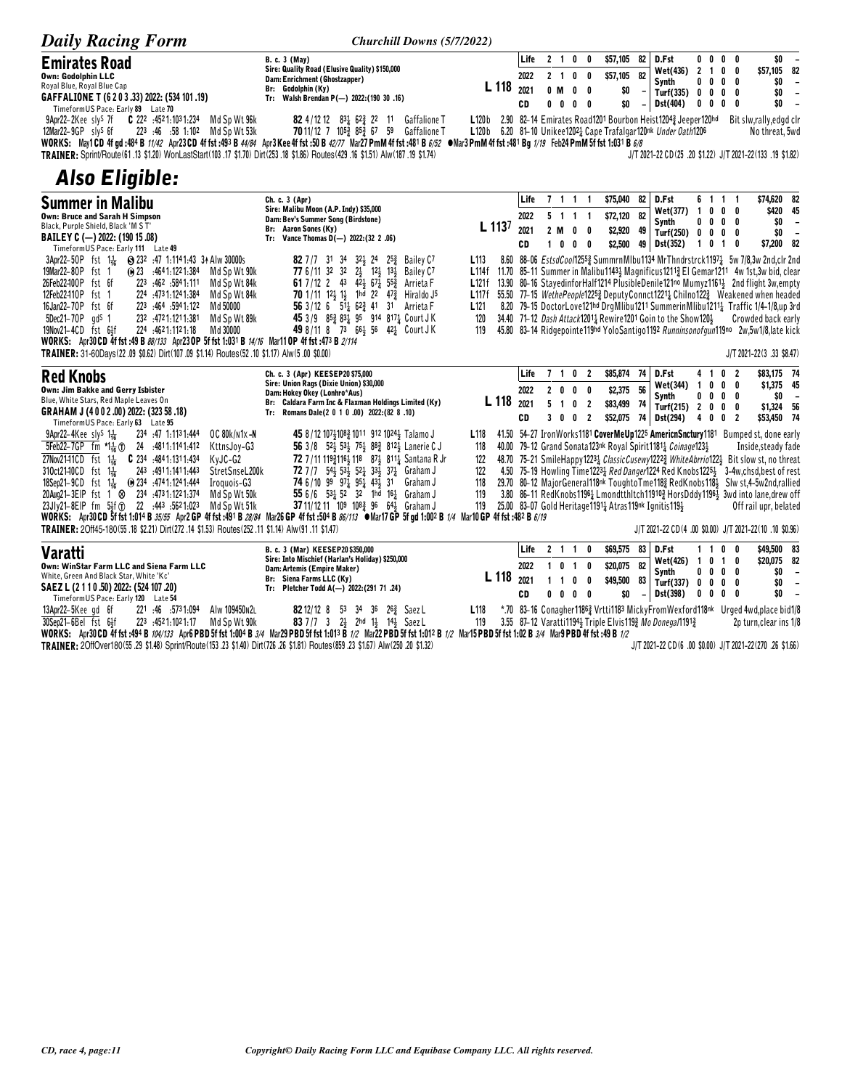| <b>Daily Racing Form</b>                                                                                                                                                                                                                                                                                                                                                                                                                                                                                                                                                                                                                                                                                                                                                                        | Churchill Downs (5/7/2022)                                                                                                                                                                                                                                                                                                                                                                                                                                                                                                                                                             |                                                          |                            |                           |                                                                      |                                      |                                                  |                                                                  |                                                                                                                                                                                 |                                                                                       |              |                                                             |                                                                                                                                                                                                                                                                                                                                                                                                                                                                                                                                                                                                     |
|-------------------------------------------------------------------------------------------------------------------------------------------------------------------------------------------------------------------------------------------------------------------------------------------------------------------------------------------------------------------------------------------------------------------------------------------------------------------------------------------------------------------------------------------------------------------------------------------------------------------------------------------------------------------------------------------------------------------------------------------------------------------------------------------------|----------------------------------------------------------------------------------------------------------------------------------------------------------------------------------------------------------------------------------------------------------------------------------------------------------------------------------------------------------------------------------------------------------------------------------------------------------------------------------------------------------------------------------------------------------------------------------------|----------------------------------------------------------|----------------------------|---------------------------|----------------------------------------------------------------------|--------------------------------------|--------------------------------------------------|------------------------------------------------------------------|---------------------------------------------------------------------------------------------------------------------------------------------------------------------------------|---------------------------------------------------------------------------------------|--------------|-------------------------------------------------------------|-----------------------------------------------------------------------------------------------------------------------------------------------------------------------------------------------------------------------------------------------------------------------------------------------------------------------------------------------------------------------------------------------------------------------------------------------------------------------------------------------------------------------------------------------------------------------------------------------------|
| <b>Emirates Road</b><br><b>Own: Godolphin LLC</b><br>Royal Blue, Royal Blue Cap<br>GAFFALIONE T (6 2 0 3 .33) 2022: (534 101 .19)<br>TimeformUS Pace: Early 89 Late 70<br>$C$ 222 :4521:1031:234<br>9Apr22-2Kee sly <sup>s</sup> 7f<br>Md Sp Wt 96k<br>12Mar22-9GP sly <sup>S</sup> 6f<br>223 :46 :58 1:102 Md Sp Wt 53k<br>WORKS: May1CD 4f gd :484 B 11/42 Apr23CD 4f fst :493 B 44/84 Apr3Kee 4f fst :50 B 42/77 Mar27 PmM 4f fst :481 B 6/82 • Mar3 PmM 4f fst :481 Bg 1/19 Feb24 PmM 5f fst 1:031 B 6/8<br>\$1.74) 19. 31. 18/ 1651.31 16. 429.16 1651.88 18. 551.38 16. 17. \$1.70 17.41 17.41 17.41 17.42 17.42 17.42 17.4                                                                                                                                                               | <b>B. c. 3 (May)</b><br>Sire: Quality Road (Elusive Quality) \$150,000<br>Dam: Enrichment (Ghostzapper)<br>Br: Godolphin (Ky)<br>Tr: Walsh Brendan P(-) 2022: (190 30 .16)<br>82 4/12 12 831 623 22 11 Gaffalione T<br><b>70</b> 11/12 7 105 $\frac{3}{4}$ 85 $\frac{3}{4}$ 67 59 Gaffalione T                                                                                                                                                                                                                                                                                         | L <sub>118</sub><br>L120b<br>L120 <sub>b</sub>           | Life<br>2022<br>2021<br>CD | $2 \quad 1$<br>$0$ M<br>0 | 2 1 0<br>0<br>0<br>0<br>0                                            | 0<br>- 0<br>0<br>- 0                 | \$57,105<br>\$57,105<br>\$0<br>\$0               | 82<br>82<br>$\overline{\phantom{a}}$<br>$\overline{\phantom{a}}$ | D.Fst<br>Wet(436)<br>Svnth<br>Turf(335)<br>Dst(404)<br>2.90 82-14 Emirates Road1201 Bourbon Heist12043 Jeeper120hd<br>6.20 81-10 Unikee12021 Cape Trafalgar120nk Under Oath1206 | $0\quad 0$<br>$\mathbf{2}$<br>$\overline{1}$<br>0<br>0<br>0<br>$\mathbf{0}$<br>0<br>0 | $\mathbf{0}$ | $0\quad 0$<br>0<br>$0\quad 0$<br>$0\quad 0$<br>$0\quad 0$   | \$0<br>$\overline{\phantom{a}}$<br>\$57,105 82<br>\$0<br>$\overline{\phantom{a}}$<br>\$0<br>$\blacksquare$<br>\$0<br>$\overline{\phantom{a}}$<br>Bit slw,rally,edgd clr<br>No threat, 5wd<br>J/T 2021-22 CD(25 .20 \$1.22) J/T 2021-22(133 .19 \$1.82)                                                                                                                                                                                                                                                                                                                                              |
| <b>Also Eligible:</b>                                                                                                                                                                                                                                                                                                                                                                                                                                                                                                                                                                                                                                                                                                                                                                           |                                                                                                                                                                                                                                                                                                                                                                                                                                                                                                                                                                                        |                                                          |                            |                           |                                                                      |                                      |                                                  |                                                                  |                                                                                                                                                                                 |                                                                                       |              |                                                             |                                                                                                                                                                                                                                                                                                                                                                                                                                                                                                                                                                                                     |
| <b>Summer in Malibu</b><br><b>Own: Bruce and Sarah H Simpson</b><br>Black, Purple Shield, Black 'M S T'<br>BAILEY C (-) 2022: (190 15.08)<br>TimeformUS Pace: Early 111 Late 49                                                                                                                                                                                                                                                                                                                                                                                                                                                                                                                                                                                                                 | Ch. c. 3 (Apr)<br>Sire: Malibu Moon (A.P. Indy) \$35,000<br>Dam: Bev's Summer Song (Birdstone)<br>Br: Aaron Sones (Ky)<br>Tr: Vance Thomas $D(-)$ 2022:(32 2 .06)                                                                                                                                                                                                                                                                                                                                                                                                                      | $L$ 1137                                                 | Life<br>2022<br>2021<br>CD | 2 M                       | 0<br>1000                                                            | 7 1 1 1<br>5 1 1 1<br>0              | \$75,040 82<br>\$72,120 82<br>\$2,920<br>\$2,500 | 49<br>49                                                         | <b>D.Fst</b><br>Wet(377)<br>Synth<br>Turf(250)<br>Dst(352)                                                                                                                      | 6 1 1 1<br>$\mathbf{1}$<br>0<br>0<br>1010                                             |              | $0\quad 0\quad 0$<br>$0\quad 0\quad 0$<br>$0\quad 0\quad 0$ | \$74,620<br>- 82<br>\$420 45<br>\$0<br>$\overline{\phantom{a}}$<br>\$0<br>$\overline{\phantom{a}}$<br>\$7,200 82                                                                                                                                                                                                                                                                                                                                                                                                                                                                                    |
| 3Apr22-50P fst 11 6 232 47 1.1141.43 34 Alw 30000s<br>$\omega$ 23 :4641:1221:384<br>19Mar22-80P fst 1<br>Md Sp Wt 90k<br>26Feb22-100P fst 6f<br>223 462 5841.111<br>Md Sp Wt 84k<br>12Feb22-110P fst 1<br>224 :473 1:124 1:384<br>Md Sp Wt 84k<br>16Jan22-70P fst 6f<br>223 464 5941.122<br>Md 50000<br>$5Dec21-70P$ gd <sup>s</sup> 1<br>232 .4721.1211.381<br>Md Sp Wt 89k<br>224 .4621:1121:18<br>Md 30000<br>19Nov21-4CD fst 6샭<br>WORKS: Apr30 CD 4f fst:49 B 88/133 Apr23 OP 5f fst 1:031 B 14/16 Mar11 OP 4f fst:473 B 2/114<br>TRAINER: 31-60Days(22.09 \$0.62) Dirt(107.09 \$1.14) Routes(52.10 \$1.17) Alw(5.00 \$0.00)                                                                                                                                                               | $32\frac{1}{2}$ 24<br><b>82</b> 7/7 31<br>-34<br>$25\frac{3}{4}$<br>Bailey C <sub>7</sub><br>$2\frac{1}{2}$ $12\frac{1}{2}$ $13\frac{1}{2}$<br>77 6/11 32<br>32<br>Bailey C <sub>7</sub><br>$4\overline{2}$ $\frac{1}{2}$ $6\overline{7}$ $\overline{4}$ $55\overline{3}$<br>61 7/12 2 43<br>Arrieta F<br><b>70</b> 1/11 $12\frac{1}{2}$ 1 <sup>1</sup> / <sub>2</sub><br>1hd 22 $47\frac{3}{4}$<br>Hiraldo J <sup>5</sup><br>56 3/12 6 $51\frac{1}{4}$ 6 <sup>2</sup> / <sub>3</sub> 41<br>Arrieta F<br>31<br>45 3/9 853 831 95 914 8171 Court JK<br>49 8/11 8 73 661 56 421 Court JK | L113<br>L114f<br>L117f<br>L <sub>121</sub><br>120<br>119 |                            |                           |                                                                      |                                      |                                                  |                                                                  | 34.40 71-12 Dash Attack12011 Rewire1201 Goin to the Show12013                                                                                                                   |                                                                                       |              |                                                             | 8.60 88-06 EstsdCoo/1255} SummrnMlbu1134 MrThndrstrck1197} 5w 7/8,3w 2nd,clr 2nd<br>11.70 85-11 Summer in Malibu1143} Magnificus1211} El Gemar1211 4w 1st, 3w bid, clear<br>L121f 13.90 80-16 StayedinforHalf1214 PlusibleDenile121no Mumyz1161 3 2nd flight 3w, empty<br>55.50 77-15 WethePeople12253 DeputyConnct12211 Chilno1223 Weakened when headed<br>8.20 79-15 DoctorLove121hd DrgMlibu1211 SummerinMlibu1211 <sup>1</sup> Traffic 1/4-1/8,up 3rd<br>Crowded back early<br>45.80 83-14 Ridgepointe119hd YoloSantigo1192 Runninsonofgun119no 2w,5w1/8, late kick<br>J/T 2021-22(3.33 \$8.47) |
| <b>Red Knobs</b><br>Own: Jim Bakke and Gerry Isbister<br>Blue, White Stars, Red Maple Leaves On<br>GRAHAM J (4002.00) 2022: (323 58.18)<br>TimeformUS Pace: Early 63 Late 95                                                                                                                                                                                                                                                                                                                                                                                                                                                                                                                                                                                                                    | Ch. c. 3 (Apr) KEESEP20 \$75,000<br>Sire: Union Rags (Dixie Union) \$30,000<br>Dam: Hokey Okey (Lonhro*Aus)<br>Caldara Farm Inc & Flaxman Holdings Limited (Ky)<br>Br:<br>Tr: Romans Dale(2 0 1 0 .00) 2022:(82 8 .10)                                                                                                                                                                                                                                                                                                                                                                 | L <sub>118</sub>                                         | Life<br>2022<br>2021<br>CD |                           | 2 0 0 0<br>3 0 0                                                     | 7 1 0 2<br>5 1 0 2<br>$\overline{2}$ | \$85,874 74<br>\$2,375<br>\$83,499<br>\$52,075   | - 56<br>- 74<br>74                                               | D.Fst<br>Wet(344)<br><b>Synth</b><br><b>Turf(215)</b><br>Dst(294)                                                                                                               | 41<br>0<br>-1<br>0<br>2000<br>4 0 0 2                                                 |              | 0 <sub>2</sub><br>$0\quad 0$<br>$0\quad 0\quad 0$           | \$83,175 74<br>\$1,375 45<br>\$0<br>$\overline{\phantom{a}}$<br>\$1,324 56<br>\$53,450 74                                                                                                                                                                                                                                                                                                                                                                                                                                                                                                           |
| OC 80k/n1x-N<br>$9$ Apr22-4Kee sly <sup>S</sup> $1\frac{1}{16}$<br>234 .47 1:1131:444<br>5Feb22-7GP fm *1. (1) 24 :4811:1141:412<br>KttnsJoy-G3<br>27Nov21-11CD fst 1 <sup>1</sup> / <sub>16</sub><br>$C$ 234 :4841:1311:434<br>KyJC-G2<br>310ct2140CD fst 1 <sup>1</sup> / <sub>16</sub><br>243 .4911:1411:443<br>StretSnseL200k<br>(i) 234 :4741:1241:444<br>18Sep21-9CD fst $1\frac{1}{16}$<br>Iroquois-G3<br>20Aug21-3EIP fst 1 8 234 :4731:1221:374<br>Md Sp Wt 50k<br>23Jly21-8EIP fm 5}f (T) 22 :443 :5621:023<br>Md Sp Wt 51k<br>WORKS: Apr30 CD 5f fst 1:014 B 35/55 Apr2 GP 4f fst :491 B 28/84 Mar26 GP 4f fst :504 B 86/13 OMar17 GP 5f gd 1:002 B 1/4 Mar10 GP 4f fst :482 B 6/19<br>TRAINER: 20ff45-180(55.18 \$2.21) Dirt(272.14 \$1.53) Routes(252.11 \$1.14) Alw(91.11 \$1.47) | 45 8/12 10741083 1011 912 10244 Talamo J<br>56 3/8 523 533 753 883 8123 Lanerie C J<br>72 7/11 11931163 118 873 8113 Santana R Jr<br>72 7/7 54 53 52 33 37 6raham J<br>74 6/10 99 971 951 431 31 Graham J<br>55 6/6 531 52 32 1hd 161 Graham J<br>37 11/12 11 109 108 3 96 64 Graham J                                                                                                                                                                                                                                                                                                 | L118<br>118<br>122<br>122<br>118<br>119<br>119           |                            |                           |                                                                      |                                      |                                                  |                                                                  | 40.00 79-12 Grand Sonata123nk Royal Spirit11811 Coinage1231<br>25.00 83-07 Gold Heritage11911 Atras119nk Ignitis1194                                                            |                                                                                       |              |                                                             | 41.50 54-27 IronWorks1181 CoverMeUp1225 AmericnSnctury1181 Bumped st, done early<br>Inside, steady fade<br>48.70 75-21 SmileHappy12231 ClassicCusewy12223 WhiteAbrrio1223 Bit slow st, no threat<br>4.50 75-19 Howling Time12231 Red Danger1224 Red Knobs12251 3-4w, chsd, best of rest<br>29.70 80-12 MajorGeneral118nk ToughtoTme118} RedKnobs118} Slw st,4-5w2nd,rallied<br>3.80 86-11 RedKnobs11961 Lmondtthltch119102 HorsDddy11961 3wd into lane, drew off<br>Off rail upr, belated<br>J/T 2021-22 CD(4 .00 \$0.00) J/T 2021-22(10 .10 \$0.96)                                                |
| Varatti<br>Own: WinStar Farm LLC and Siena Farm LLC<br>White, Green And Black Star, White 'Kc'<br>SAEZ L (2 1 1 0 .50) 2022: (524 107 .20)<br>TimeformUS Pace: Early 120 Late 54                                                                                                                                                                                                                                                                                                                                                                                                                                                                                                                                                                                                                | B. c. 3 (Mar) KEESEP20 \$350,000<br>Sire: Into Mischief (Harlan's Holiday) \$250,000<br>Dam: Artemis (Empire Maker)<br>Br: Siena Farms LLC (Ky)<br>Tr: Pletcher Todd A(-) 2022: (291 71 .24)                                                                                                                                                                                                                                                                                                                                                                                           | L <sub>118</sub>                                         | Life<br>2022<br>2021<br>CD | $1\quad 0$                | 2 1 1<br>$\overline{1}$<br>$1\quad1\quad0$<br>$0\quad 0\quad 0\quad$ | 0<br>0<br>0<br>- 0                   | \$69,575<br>\$20,075<br>\$49,500<br>\$0          | 83<br>82<br>83<br>$\overline{\phantom{a}}$                       | D.Fst<br>Wet(426)<br><b>Synth</b><br>Turf(337)<br>Dst(398)                                                                                                                      | $1\quad1$<br>$\overline{1}$<br>0<br>$0\ 0\ 0\ 0$<br>0<br>0                            | $\mathbf{1}$ | $0\quad 0$<br>0<br>$0\quad 0\quad 0$<br>$0\quad 0\quad 0$   | \$49,500<br>- 83<br>\$20,075 82<br>\$0<br>$\overline{\phantom{a}}$<br>\$0<br>$\overline{\phantom{a}}$<br>\$0<br>$\overline{\phantom{a}}$                                                                                                                                                                                                                                                                                                                                                                                                                                                            |
| 13Apr22-5Kee gd 6f<br>221 46 :5731:094<br>Alw 109450N2L<br>30Sep21-6Bel fst 64f<br>223 :4521:1021:17<br>Md Sp Wt 90k                                                                                                                                                                                                                                                                                                                                                                                                                                                                                                                                                                                                                                                                            | $26\frac{3}{2}$ Saez L<br>82 12/12 8<br>34<br>36<br>53<br>83 7/7 3 2} 2hd 1} 14} Saez L                                                                                                                                                                                                                                                                                                                                                                                                                                                                                                | L <sub>118</sub><br>119                                  |                            |                           |                                                                      |                                      |                                                  |                                                                  | 3.55 87-12 Varatti1194 <sup>1</sup> / <sub>2</sub> Triple Elvis 119 <sup>2</sup> / <sub>4</sub> Mo Donegal1191 <sup>2</sup> / <sub>4</sub>                                      |                                                                                       |              |                                                             | *.70 83-16 Conagher1186} Vrtti1183 MickyFromWexford118nk Urged 4wd, place bid1/8<br>2p turn, clear ins 1/8                                                                                                                                                                                                                                                                                                                                                                                                                                                                                          |

00113020122013014754.1201220120120130120120120120130120120130120120130120120130120120130120120130120130120120<br>WORKS: Apr30CD 4f fst :499 B 04/133 Apr6 PBD 5f fst 1:004 B 3/4 Mar29 PBD 5f fst 1:013 B 1/2 Mar2PBD 5f fst 1:01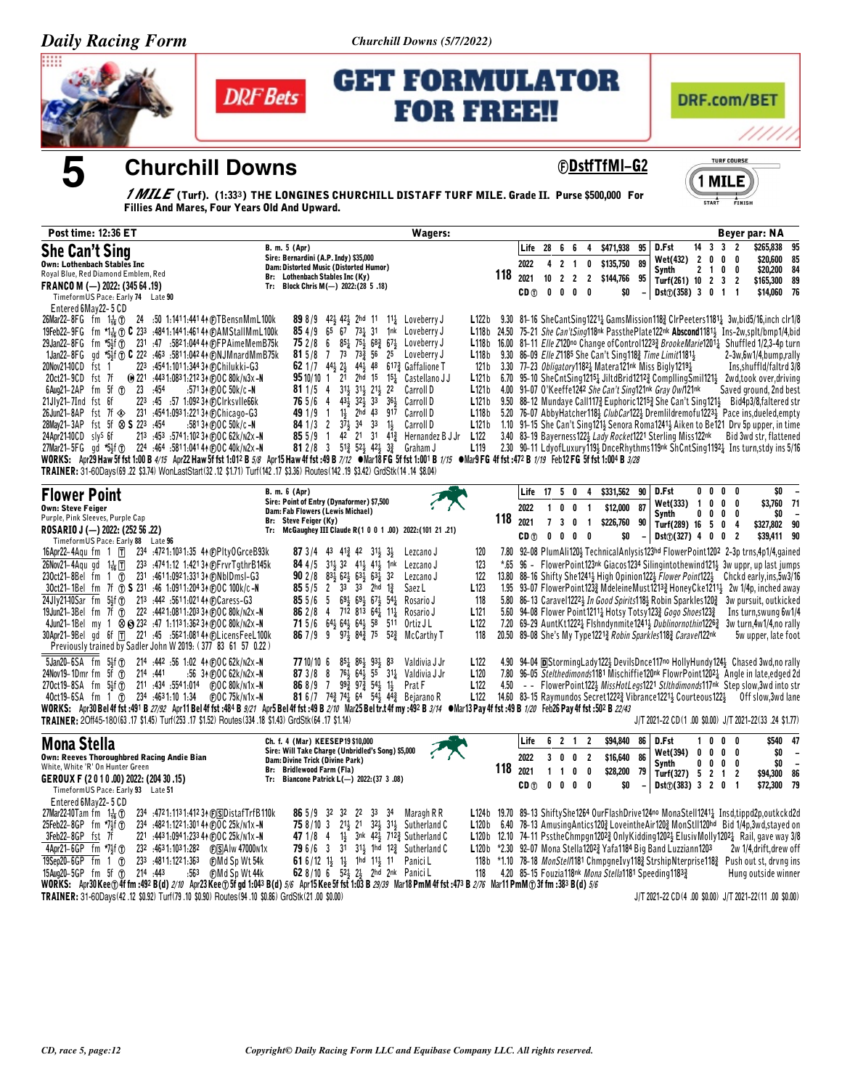Churchill Downs (5/7/2022)





**Churchill Downs** 

# **GET FORMULATOR FOR FREE!!**



**©DstfTfMI-G2** 



*1 MILE* (Turf). (1:33<sup>3</sup>) THE LONGINES CHURCHILL DISTAFF TURF MILE. Grade II. Purse \$500,000 For<br>Fillies And Mares, Four Years Old And Upward.

| <b>Post time: 12:36 ET</b>                                                                                                                                                                                                                                            | <b>Wagers:</b>                                                                                                                                                                            |                            |             |                 |                                |                |                                                                                                                                                                                                                                         |    |                                      |                     |                |                                                                      | Beyer par: NA                                          |                          |
|-----------------------------------------------------------------------------------------------------------------------------------------------------------------------------------------------------------------------------------------------------------------------|-------------------------------------------------------------------------------------------------------------------------------------------------------------------------------------------|----------------------------|-------------|-----------------|--------------------------------|----------------|-----------------------------------------------------------------------------------------------------------------------------------------------------------------------------------------------------------------------------------------|----|--------------------------------------|---------------------|----------------|----------------------------------------------------------------------|--------------------------------------------------------|--------------------------|
| <b>She Can't Sing</b>                                                                                                                                                                                                                                                 | B. m. 5 (Apr)<br>Sire: Bernardini (A.P. Indy) \$35,000                                                                                                                                    |                            |             | Life            | 28 6 6                         |                | \$471,938<br>4                                                                                                                                                                                                                          | 95 | D.Fst<br>Wet(432)                    | $\overline{2}$      | 0              | $14 \quad 3 \quad 3 \quad 2$<br>0<br>0                               | \$265,838<br>\$20,600                                  | 95<br>85                 |
| <b>Own: Lothenbach Stables Inc</b><br>Royal Blue, Red Diamond Emblem, Red                                                                                                                                                                                             | Dam: Distorted Music (Distorted Humor)<br>Br: Lothenbach Stables Inc (Ky)                                                                                                                 |                            | 118<br>2021 | 2022            | 4 2 1<br>$10$ 2 2              | $\overline{2}$ | \$135,750<br>0                                                                                                                                                                                                                          | 89 | <b>Synth</b>                         | $\mathbf{2}$        | $\overline{1}$ | 0<br>0                                                               | \$20,200                                               | 84                       |
| FRANCO M $(-)$ 2022: (345 64 .19)<br>TimeformUS Pace: Early 74 Late 90                                                                                                                                                                                                | Tr: Block Chris M(-) 2022:(28 5.18)                                                                                                                                                       |                            |             | CD <sub>1</sub> | 0 <sub>0</sub>                 | $\mathbf 0$    | \$144,766<br>0<br>\$0                                                                                                                                                                                                                   | 95 | Turf(261) 10 2<br>Dist() (358) 3 0 1 |                     |                | $\overline{\mathbf{3}}$<br>$\overline{2}$<br>$\overline{\mathbf{1}}$ | \$165,300<br>\$14,060 76                               | 89                       |
| Entered 6May22-5 CD                                                                                                                                                                                                                                                   |                                                                                                                                                                                           |                            |             |                 |                                |                |                                                                                                                                                                                                                                         |    |                                      |                     |                |                                                                      |                                                        |                          |
| 26Mar22-8FG fm $1\frac{1}{16}$ (T)<br>24 :50 1:1411:441 44 @TBensnMmL100k                                                                                                                                                                                             | 898/9<br>423 423 2hd 11<br>$11\frac{1}{4}$ Loveberry J                                                                                                                                    | L122b                      |             |                 |                                |                | 9.30 81-16 SheCantSing1221 <sup>1</sup> GamsMission118 <sup>2</sup> ClrPeeters1181 <sup>1</sup> 3w,bid5/16,inch clr1/8                                                                                                                  |    |                                      |                     |                |                                                                      |                                                        |                          |
| 19Feb22-9FG fm *1 = 0 C 233 :4841:1441:4614 + CAMStallMmL100k<br>29Jan22-8FG fm *5\;f @ 231 .47 .5821.044 4 @FPAimeMemB75k                                                                                                                                            | $65\overline{67}$ $73\frac{1}{4}$ 31<br>854/9<br>1nk Loveberry J<br>752/86<br>851 751 682 671 Loveberry J                                                                                 | L <sub>118</sub> b 24.50   |             |                 |                                |                | 75-21 She Can't Sing118nk Passthe Plate122nk Abscond11811 Ins-2w, splt/bmp1/4, bid<br>L118b 16.00 81-11 <i>Elle Z</i> 120 <sup>no</sup> Change of Control1223 $\frac{3}{2}$ <i>BrookeMarie</i> 1201 <sub>4</sub> Shuffled 1/2,3-4p turn |    |                                      |                     |                |                                                                      |                                                        |                          |
| 1Jan22-8FG gd *5}f @ C 222 :463 :5811:042 44 @NJMnardMmB75k                                                                                                                                                                                                           | 73 733 56 25 Loveberry J<br>81 5/8<br>$\overline{1}$                                                                                                                                      | L118b                      |             |                 |                                |                | 9.30 86-09 Elle Z1185 She Can't Sing 118 <sup>2</sup> Time Limit 1181 <sup>1</sup> / <sub>3</sub>                                                                                                                                       |    |                                      |                     |                |                                                                      | 2-3w,6w1/4,bump,rally                                  |                          |
| 20Nov2140CD fst 1<br>223 :4541:1011:34434 @Chilukki-G3<br>20ct21-9CD fst 7f<br>(e) 221 :443 1:083 1:212 34 @OC 80k/n3x -N                                                                                                                                             | 62 1/7 44 $\frac{1}{2}$ 2 $\frac{1}{2}$ 44 $\frac{1}{2}$ 48 617 $\frac{3}{4}$ Gaffalione T<br>95 10/10 1 21 2hd 15 15 $\frac{1}{4}$ Castellano JJ                                         | 121 b<br>L121b             |             |                 |                                |                | 3.30 77-23 Obligatory1182 $\frac{1}{4}$ Matera121nk Miss Bigly1219 $\frac{1}{4}$                                                                                                                                                        |    |                                      |                     |                |                                                                      | Ins, shuffld/faltrd 3/8                                |                          |
| 6Aug21-2AP fm 5f 1 23 :454<br>:571 34 (F) OC 50k/c-N                                                                                                                                                                                                                  | 31} 31} 21}<br>$811/5$ 4<br>$^{22}$<br>Carroll D                                                                                                                                          | L121b                      |             |                 |                                |                | 6.70 95-10 SheCntSing12154 JiltdBrid12124 CompllingSmil1214 2wd,took over, driving<br>4.00 91-07 O'Keeffe1242 She Can't Sing121nk Gray Ow/121nk                                                                                         |    |                                      |                     |                |                                                                      | Saved ground, 2nd best                                 |                          |
| 223 :45 :57 1:092 34 CCIrksvIIe66k<br>21Jly21-7Ind fst 6f                                                                                                                                                                                                             | 433 323 33<br>$36\frac{1}{2}$<br>76 5/6<br>$\overline{4}$<br>Carroll D                                                                                                                    | L121b                      |             |                 |                                |                | 9.50 88-12 Mundaye Call1173 Euphoric12153 She Can't Sing1213 Bid4p3/8, faltered str                                                                                                                                                     |    |                                      |                     |                |                                                                      |                                                        |                          |
| 26Jun21-8AP fst 7f $\otimes$ 231 :4541:0931:22134 @Chicago-G3<br>28May21-3AP fst 5f $\otimes$ S 223 :454<br>:581 34 (F) O C 50k/c -N                                                                                                                                  | 49 1/9 1<br>$1\frac{1}{2}$ 2hd 43<br>917<br>Carroll D<br>84 1/3 2 37 34 33<br>$1\frac{1}{2}$<br>Carroll D                                                                                 | L118 <sub>b</sub><br>L121b |             |                 |                                |                | 5.20 76-07 Abby Hatcher 118} ClubCar122} Dremlildremofu1223} Pace ins, dueled, empty<br>1.10 91–15 She Can't Sing121 $\frac{1}{2}$ Senora Roma1241 $\frac{1}{2}$ Aiken to Be121 Drv 5p upper, in time                                   |    |                                      |                     |                |                                                                      |                                                        |                          |
| 213 :453 :5741:102 34 @OC 62k/N2x-N<br>24Apr2140CD slys 6f                                                                                                                                                                                                            | 85 5/9 1 42 21 31 413 Hernandez B J Jr L122                                                                                                                                               |                            |             |                 |                                |                | 3.40 83-19 Bayerness1223 Lady Rocket1221 Sterling Miss122nk                                                                                                                                                                             |    |                                      |                     |                |                                                                      | Bid 3wd str, flattened                                 |                          |
| 27Mar21-5FG qd *54f @ 224 :464 :5811:0414 4 @ OC 40k/n2x -N<br>WORKS: Apr29 Haw 5f fst 1:00 B 4/15 Apr22 Haw 5f fst 1:012 B 5/8 Apr15 Haw 4f fst :49 B 7/12 ●Mar18 FG 5f fst 1:0001 B 1/15 ●Mar9 FG 4f fst :472 B 1/19 Feb12 FG 5f fst 1:004 B 3/28                   | 81 2/8 3 513 524 424 33 Graham J                                                                                                                                                          | L <sub>119</sub>           |             |                 |                                |                | 2.30 90-11 LdyofLuxury119} DnceRhythms119nk ShCntSing11921 Insturn, stdy ins 5/16                                                                                                                                                       |    |                                      |                     |                |                                                                      |                                                        |                          |
| TRAINER: 31-60Days (69 .22 \$3.74) WonLastStart (32 .12 \$1.71) Turf (142 .17 \$3.36) Routes (142 .19 \$3.42) GrdStk (14 .14 \$8.04)                                                                                                                                  |                                                                                                                                                                                           |                            |             |                 |                                |                |                                                                                                                                                                                                                                         |    |                                      |                     |                |                                                                      |                                                        |                          |
| <b>Flower Point</b>                                                                                                                                                                                                                                                   | B. m. 6 (Apr)                                                                                                                                                                             |                            |             | Life            |                                |                | 17 5 0 4 \$331,562                                                                                                                                                                                                                      | 90 | D.Fst                                |                     |                | $0\ 0\ 0\ 0$                                                         | \$0                                                    | $\overline{\phantom{a}}$ |
| <b>Own: Steve Feiger</b>                                                                                                                                                                                                                                              | Sire: Point of Entry (Dynaformer) \$7,500<br>Dam: Fab Flowers (Lewis Michael)                                                                                                             |                            |             | 2022            | 100                            | $\blacksquare$ | \$12,000                                                                                                                                                                                                                                | 87 | Wet(333)                             | $\overline{1}$<br>0 | 0<br>0         | 0<br>0<br>0<br>0                                                     | \$3,760 71<br>\$0                                      |                          |
| Purple, Pink Sleeves, Purple Cap<br>ROSARIO J (-) 2022: (252 56 .22)                                                                                                                                                                                                  | Br: Steve Feiger (Ky)<br>McGaughey III Claude R(1 0 0 1 .00) 2022: (101 21 .21)<br>Tr:                                                                                                    |                            | 118<br>2021 |                 | 7 3 0 1                        |                | \$226,760                                                                                                                                                                                                                               | 90 | <b>Synth</b><br>Turf(289) 16         |                     | - 5            | 0<br>4                                                               | \$327,802 90                                           |                          |
| TimeformUS Pace: Early 88 Late 96                                                                                                                                                                                                                                     |                                                                                                                                                                                           |                            |             | CD (T)          | $0\quad 0\quad 0\quad 0$       |                | \$0                                                                                                                                                                                                                                     |    | $Dist()$ (327) 4 0 0                 |                     |                | $\overline{2}$                                                       | \$39,411 90                                            |                          |
| 16Apr22-4Agu fm $1 \top$<br>234 .4721.1031.35 44 @PltyOGrceB93k                                                                                                                                                                                                       | <b>87</b> 3/4 43 41 <sup>3</sup> 42 31 <sup>1</sup> / <sub>3</sub> 3 <sup>1</sup> / <sub>3</sub><br>Lezcano J                                                                             | 120                        |             |                 |                                |                | 7.80 92-08 PlumAli120} TechnicalAnlysis123hd FlowerPoint1202 2-3p trns,4p1/4,gained                                                                                                                                                     |    |                                      |                     |                |                                                                      |                                                        |                          |
| 26Nov21-4Aqu gd 1ᢛ1<br>233 .4741.12 1.421 34 (F) Frvr Tgthr B145k<br>231 :4611:0921:33134 (F) NbID msI-G3<br>230ct21-8Bel fm 1 ①                                                                                                                                      | 84 4/5<br>$31\frac{1}{2}$ $32$ $41\frac{1}{2}$ $41\frac{1}{2}$<br>1 <sup>nk</sup> Lezcano J<br><b>90</b> 2/8 83 62 63 63 63 $\frac{1}{4}$<br>32<br>Lezcano J                              | 123<br>122                 | *.65        |                 |                                |                | 96 - FlowerPoint123nk Giacos1234 Silingintothewind1214 3w uppr, up last jumps<br>13.80 88–16 Shifty She12414 High Opinion1224 Flower Point1224 Chckd early,ins,5w3/16                                                                   |    |                                      |                     |                |                                                                      |                                                        |                          |
| 30ct21-1Bel fm 7f (r) S 231 :46 1:0911:204 34 @OC 100k/c-N                                                                                                                                                                                                            | 85 5/5 2 33 33 2hd 1 $\frac{3}{4}$<br>Saez L                                                                                                                                              | L <sub>123</sub>           |             |                 |                                |                | 1.95 93-07 FlowerPoint123} MdeleineMust1213} HoneyCke1211} 2w 1/4p, inched away                                                                                                                                                         |    |                                      |                     |                |                                                                      |                                                        |                          |
| 24Jly2140Sar fm 5}f (r) 213 :442 :5611:02144 (F)Caress-G3<br>19Jun21-3Bel fm 7f (f) 222 :4421:0811:20334 (F)OC 80k/n2x-N                                                                                                                                              | 85 5/6 5 69 <sup>1</sup> / <sub>2</sub> 69 <sup>1</sup> / <sub>2</sub> 67 <sup>1</sup> / <sub>2</sub> 54 <sup>1</sup> / <sub>4</sub> Rosario J<br>86 2 / 8 4 712 813 64 4 11<br>Rosario J | 118<br>L <sub>121</sub>    |             |                 |                                |                | 5.80 86-13 Caravel1222 In Good Spirits 18 Robin Sparkles 120 3 3w pursuit, outkicked<br>5.60 94-08 Flower Point12111 Hotsy Totsy1233 Gogo Shoes1233                                                                                     |    |                                      |                     |                |                                                                      | Ins turn, swung 6w1/4                                  |                          |
| 4Jun21-1Bel my 1 $\otimes$ 32 :47 1:1131:36234 (F)OC 80k/n2x-N                                                                                                                                                                                                        | 71 5/6 64 564 54 58 511<br>Ortiz J L                                                                                                                                                      | L <sub>122</sub>           |             |                 |                                |                | 7.20 69-29 AuntKt12221 Flshndynmite1241 <i>Dublinornothin</i> 1226 3w turn.4w1/4.no rally                                                                                                                                               |    |                                      |                     |                |                                                                      |                                                        |                          |
| 30Apr21-9Bel gd 6f TT 221 :45 :5621:08144 (F)LicensFeeL100k                                                                                                                                                                                                           | <b>86</b> 7 / 9 9 9 $\frac{1}{2}$ 84 $\frac{3}{4}$ 75<br>52 <sup>3</sup> McCarthy T                                                                                                       | 118                        |             |                 |                                |                | 20.50 89-08 She's My Type 1221 <sup>3</sup> Robin Sparkles 118 <sup>3</sup> Carave/122nk                                                                                                                                                |    |                                      |                     |                |                                                                      | 5w upper, late foot                                    |                          |
| Previously trained by Sadler John W 2019: (377 83 61 57 0.22)<br>$5$ Jan20-6SA fm $5\frac{1}{2}$ f $\textcircled{r}$<br>214 :442 :56 1:02 44 @OC 62k/n2x-N                                                                                                            | 77 10/10 6<br>$85\frac{1}{4}$ $86\frac{1}{2}$ $93\frac{1}{2}$<br>83<br>Valdivia J Jr                                                                                                      | L <sub>122</sub>           |             |                 |                                |                | 4.90 94-04 DStorming Lady 122} Devils Dnce 117no Holly Hundy 124} Chased 3wd, no rally                                                                                                                                                  |    |                                      |                     |                |                                                                      |                                                        |                          |
| 24Nov19-1Dmr fm 5f (r)<br>214 .441<br>$:56$ 34 (F) O C 62k/n2x -N                                                                                                                                                                                                     | 873/88<br>$76\frac{1}{2}$<br>$64\frac{1}{2}$ 55 $31\frac{1}{4}$ Valdivia J Jr                                                                                                             | L120                       |             |                 |                                |                | 7.80 96-05 Stelthedimonds1181 Mischiffie120nk FlowrPoint12021 Angle in late, edged 2d                                                                                                                                                   |    |                                      |                     |                |                                                                      |                                                        |                          |
| 270ct19-8SA fm 5∯f                                                                                                                                                                                                                                                    | $99\frac{3}{4}$ $97\frac{3}{4}$ $54\frac{1}{4}$ $1\frac{1}{2}$<br>868/97<br>Prat F                                                                                                        | L <sub>122</sub>           | 4.50        |                 |                                |                | - FlowerPoint122} MissHotLegs1221 Stlthdimonds117nk Step slow, 3wd into str                                                                                                                                                             |    |                                      |                     |                |                                                                      |                                                        |                          |
| 40ct19-6SA fm 1 (f) 234 :4631:10 1:34<br>(F) O C 75k/n1x-N<br>WORKS: Apr30 Bel4f fst :491 B 27/92 Apr11 Bel4f fst :484 B 9/21 Apr5 Bel4f fst :49 B 2/10 Mar25 Beltr.t4f my :492 B 3/14 • Mar13 Pay 4f fst :49 B 1/20 Feb26 Pay 4f fst :502 B 2/43                     | 81 6/7 74 $\frac{3}{4}$ 74 $\frac{1}{4}$ 64 54 $\frac{1}{2}$ 44 $\frac{3}{4}$ Bejarano R                                                                                                  | L122                       |             |                 |                                |                | 14.60 83-15 Raymundos Secret12223 Vibrance12213 Courteous1223                                                                                                                                                                           |    |                                      |                     |                |                                                                      | Off slow,3wd lane                                      |                          |
| TRAINER: 20ff45-180(63.17 \$1.45) Turf(253.17 \$1.52) Routes(334.18 \$1.43) GrdStk(64.17 \$1.14)                                                                                                                                                                      |                                                                                                                                                                                           |                            |             |                 |                                |                |                                                                                                                                                                                                                                         |    |                                      |                     |                |                                                                      | J/T 2021-22 CD(1.00 \$0.00) J/T 2021-22(33 .24 \$1.77) |                          |
| <b>Mona Stella</b>                                                                                                                                                                                                                                                    | Ch. f. 4 (Mar) KEESEP19 \$10,000                                                                                                                                                          |                            |             | Life            | 6 2 1                          |                | \$94,840<br>$\overline{2}$                                                                                                                                                                                                              | 86 | D.Fst                                | 1.                  | 0              | 0<br>0                                                               |                                                        | \$540 47                 |
| <b>Own: Reeves Thoroughbred Racing Andie Bian</b>                                                                                                                                                                                                                     | Sire: Will Take Charge (Unbridled's Song) \$5,000<br>Dam: Divine Trick (Divine Park)                                                                                                      |                            |             | 2022            | 3 0 0 2                        |                | \$16,640                                                                                                                                                                                                                                | 86 | Wet(394)<br>Synth                    | 0<br>0              | 0              | $0\quad 0\quad 0$<br>$0\quad 0$                                      | \$0<br>\$0                                             |                          |
| White, White 'R' On Hunter Green<br>GEROUX F (2010.00) 2022: (204 30 .15)                                                                                                                                                                                             | Br: Bridlewood Farm (Fla)<br>Tr: Biancone Patrick L(-) 2022: (37 3 .08)                                                                                                                   |                            | 118<br>2021 |                 | $\mathbf{1}$<br>$\overline{1}$ | $\mathbf 0$    | \$28,200<br>0                                                                                                                                                                                                                           | 79 | Turf(327) 5 2                        |                     |                | $\overline{2}$<br>$\overline{1}$                                     | \$94,300 86                                            |                          |
| TimeformUS Pace: Early 93 Late 51                                                                                                                                                                                                                                     |                                                                                                                                                                                           |                            |             | CD <sub>1</sub> | $0\quad 0$                     | $0\quad 0$     | \$0                                                                                                                                                                                                                                     |    | $Dist()$ (383) 3 2 0                 |                     |                | $\overline{\mathbf{1}}$                                              | \$72,300 79                                            |                          |
| Entered 6May22-5 CD<br>27Mar2240Tam fm $1\frac{1}{16}$ ①<br>234 :4721:1131:412 34 (F) SDistafTrfB110k                                                                                                                                                                 | <b>86</b> 5/9 32 32 22 33 34<br>Maragh R R                                                                                                                                                |                            |             |                 |                                |                | L124b 19.70 89-13 ShiftyShe1264 OurFlashDrive124no MonaStell1241 <sub>2</sub> Insd.tippd2p.outkckd2d                                                                                                                                    |    |                                      |                     |                |                                                                      |                                                        |                          |
| 25Feb22-8GP fm *7}f (T)<br>234 :482 1:122 1:301 44 @OC 25k/n1x-N                                                                                                                                                                                                      | <b>75</b> 8/10 3 213 21 323 313 Sutherland C                                                                                                                                              |                            |             |                 |                                |                | L120b 6.40 78-13 Amusing Antics 120 & Love in the Air 120 & MonStll 120hd Bid 1/4p, 3wd, stayed on                                                                                                                                      |    |                                      |                     |                |                                                                      |                                                        |                          |
| 3Feb22-8GP fst 7f<br>221 :443 1:094 1:233 44 (F) OC 25k/N 1x -N                                                                                                                                                                                                       | 1½ 3nk 42½ 712 $\frac{3}{4}$ Sutherland C<br>47 1/8 4                                                                                                                                     |                            |             |                 |                                |                | L120b 12.10 74-11 Pssthe Chmpgn1202 $\frac{3}{2}$ Only Kidding 1202 $\frac{1}{2}$ Elusiv Molly 1202 $\frac{1}{4}$ Rail, gave way 3/8                                                                                                    |    |                                      |                     |                |                                                                      |                                                        |                          |
| 4Apr21-6GP fm *71f 1<br>232 :4631:1031:282 (F)SAIw 47000N1x<br>19Sep20-6GP fm 1 (T)<br>233 .4811:1221:363<br><b>CMd Sp Wt 54k</b>                                                                                                                                     | 31 313 1hd 123 Sutherland C<br>796/63<br>61 6/12 13 13 1hd 113 11 PaniciL                                                                                                                 |                            |             |                 |                                |                | L120b *2.30 92-07 Mona Stella12023 Yafa1184 Big Band Luzziann1203<br>118b *1.10 78-18 MonStel/1181 ChmpgneIvy1183 StrshipNterprise1183 Push out st, drvng ins                                                                           |    |                                      |                     |                |                                                                      | 2w 1/4.drift.drew off                                  |                          |
| 15Aug20-5GP fm 5f 1<br>214 :443<br>.563<br>∩FMd So Wt 44k                                                                                                                                                                                                             | 62 8/10 6 52 23 2hd 2nk PaniciL                                                                                                                                                           | 118                        |             |                 |                                |                | 4.20 85-15 Fouzia118nk Mona Stella1181 Speeding11833                                                                                                                                                                                    |    |                                      |                     |                |                                                                      | Hung outside winner                                    |                          |
| WORKS: Apr30Kee @4f fm :492 B(d) 2/10 Apr23Kee @5f gd 1:043 B(d) 5/6 Apr15Kee 5f fst 1:03 B 29/39 Mar18 PmM 4f fst :473 B 2/76 Mar11 PmM @3f fm :383 B(d) 5/6<br>TRAINER: 31-60Davs(42,12, \$0.92) Turf(79, 10, \$0.90) Routes(94, 10, \$0.86) GrdStk(21, 00, \$0.00) |                                                                                                                                                                                           |                            |             |                 |                                |                |                                                                                                                                                                                                                                         |    |                                      |                     |                |                                                                      | J/T 2021-22 CD(4,00 \$0.00) J/T 2021-22(11,00 \$0.00)  |                          |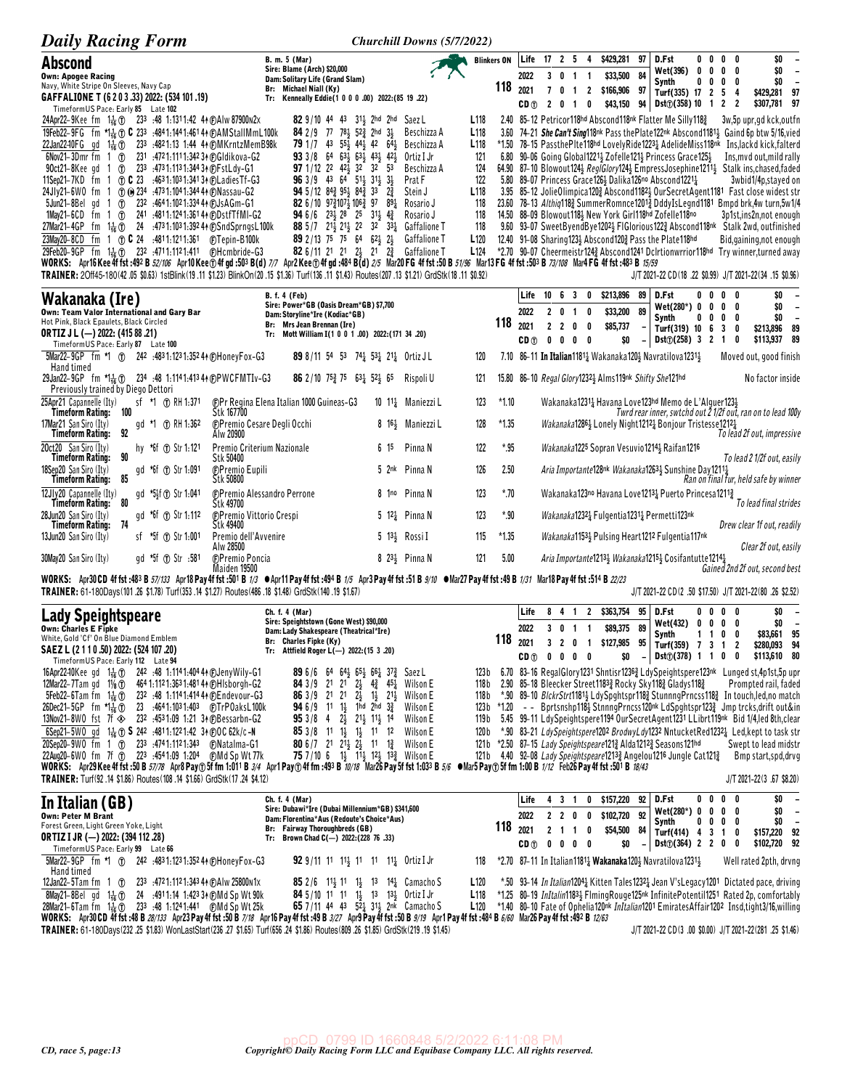| <b>Daily Racing Form</b>                                                                                                                                                                                                                                                                                                                                       |                                                                                                                                                                                                       |                                          | Churchill Downs (5/7/2022)                  |                                      |                 |                                          |                                   |                                                                                                              |                                |                                         |            |                                     |                                                                                                                                                                                     |
|----------------------------------------------------------------------------------------------------------------------------------------------------------------------------------------------------------------------------------------------------------------------------------------------------------------------------------------------------------------|-------------------------------------------------------------------------------------------------------------------------------------------------------------------------------------------------------|------------------------------------------|---------------------------------------------|--------------------------------------|-----------------|------------------------------------------|-----------------------------------|--------------------------------------------------------------------------------------------------------------|--------------------------------|-----------------------------------------|------------|-------------------------------------|-------------------------------------------------------------------------------------------------------------------------------------------------------------------------------------|
| Abscond                                                                                                                                                                                                                                                                                                                                                        | B. m. 5 (Mar)<br>Sire: Blame (Arch) \$20,000                                                                                                                                                          |                                          |                                             | <b>Blinkers ON</b>                   | Life            | 17 2 5 4                                 |                                   | \$429,281                                                                                                    | 97<br>D.Fst                    |                                         |            | $0\,$ 0 $\,$ 0 $\,$ 0               | \$0                                                                                                                                                                                 |
| <b>Own: Apogee Racing</b><br>Navy, White Stripe On Sleeves, Navy Cap                                                                                                                                                                                                                                                                                           | Dam: Solitary Life (Grand Slam)                                                                                                                                                                       |                                          |                                             | 118                                  | 2022            |                                          | 3 0 1 1                           | \$33,500                                                                                                     | 84<br>Synth                    | Wet(396)<br>0<br>0                      | 0          | 0 <sub>0</sub><br>$0\quad 0\quad 0$ | \$0<br>$\overline{\phantom{a}}$<br>\$0<br>$\overline{\phantom{a}}$                                                                                                                  |
| GAFFALIONE T (6 2 0 3 .33) 2022: (534 101 .19)<br>Timeform US Pace: Early 85 Late 102                                                                                                                                                                                                                                                                          | Br: Michael Niall (Ky)<br>Tr: Kenneally Eddie(1 0 0 0 .00) 2022: (85 19 .22)                                                                                                                          |                                          |                                             |                                      | 2021<br>CD (T)  | 7 <sub>0</sub><br>20                     | $1\quad 2$<br>0<br>$\overline{1}$ | \$166,906 97<br>\$43,150                                                                                     | 94 I                           | Turf(335) 17 2<br>Dist(7)(358) 10 1 2 2 |            | - 5<br>-4                           | \$429,281 97<br>\$307,781 97                                                                                                                                                        |
| 24Apr22-9Kee fm 11 (1) 233 .48 1.1311.42 44 (F)Alw 87900n2x<br>19Feb22-9FG fm *14 to C 233 :4841:1441:46144 @AMStallMmL100k                                                                                                                                                                                                                                    | 82 9/10 44 43 311 2hd 2hd Saez L<br>84 2 / 9 77 78 3 52 $\frac{3}{4}$ 2hd                                                                                                                             | $3\frac{1}{2}$                           | Beschizza A                                 | L <sub>118</sub><br>L <sub>118</sub> |                 |                                          |                                   | 2.40 85-12 Petricor118hd Abscond118nk Flatter Me Silly1183                                                   |                                |                                         |            |                                     | 3w,5p upr,gd kck,outfn<br>3.60 74-21 She Can't Sing 18nk Pass the Plate 122nk Abscond 1181 4 Gaind 6p btw 5/16, vied                                                                |
| 22Jan2240FG gd 1 <sup>1</sup> / <sub>16</sub> (f) 233 :4821:13 1:44 44 (f) MKrntz Mem B98k                                                                                                                                                                                                                                                                     | 79 1/7 43 553 443 42 643                                                                                                                                                                              |                                          | Beschizza A                                 | L <sub>118</sub>                     |                 |                                          |                                   |                                                                                                              |                                |                                         |            |                                     | *1.50 78-15 PassthePIte118hd LovelyRide12234 AdelideMiss118nk Ins,lackd kick,falterd                                                                                                |
| 6Nov21-3Dmr fm 1 (f) 231 :4721:1111:34234 (F)Gldikova-G2<br>90ct21-8Kee gd 1 (f) 233 :4731:1131:34434 @FstLdy-G1                                                                                                                                                                                                                                               | <b>93</b> 3/8 64 63 63 43 43 42<br><b>97</b> 1/12 22 42 <sub>3</sub> 32 32 53                                                                                                                         |                                          | Ortiz I Jr<br>Beschizza A                   | 121<br>124                           |                 |                                          |                                   | 6.80 90-06 Going Global12211 Zofelle1211 Princess Grace1251                                                  |                                |                                         |            |                                     | Ins, myd out, mild rally<br>64.90 87-10 Blowout1243 RegIGlory1243 EmpressJosephine12113 Stalk ins, chased, faded                                                                    |
| 11Sep21-7KD fm 1 ① C 23 :4631:1031:341 34 @ Ladies Tf-G3                                                                                                                                                                                                                                                                                                       | 96 3/9 43 64 51 31 31 31                                                                                                                                                                              |                                          | Prat F                                      | 122                                  |                 |                                          |                                   | 5.80 89-07 Princess Grace 126 3 Dalika 126no Abscond 1221 }                                                  |                                |                                         |            |                                     | 3wbid1/4p,stayed on                                                                                                                                                                 |
| 24JJv21-6WO fm 1 1 234 :4731:1041:344 44 @Nassau-G2<br>5Jun21-8Bel gd 1 1 232 :4641:1021:33444 (BJsAGm-G1                                                                                                                                                                                                                                                      | <b>94</b> 5/12 84 $\frac{3}{4}$ 95 $\frac{1}{4}$ 84 $\frac{3}{4}$ 33<br><b>82</b> 6/10 $97\frac{3}{4}107\frac{1}{2}106\frac{3}{4}97$                                                                  | $2\frac{3}{4}$<br>$89\frac{1}{4}$        | Stein J<br>Rosario J                        | L118<br>118                          |                 |                                          |                                   |                                                                                                              |                                |                                         |            |                                     | 3.95 85-12 JolieOlimpica1203 Abscond11823 OurSecretAgent1181 Fast close widest str<br>23.60 78-13 Althig1183 SummerRomnce12013 DddyIsLegnd1181 Bmpd brk.4w turn.5w1/4               |
| 1May21-6CD fm 1 (1) 241 :4811:1241:3614 (PDstfTfMI-G2<br>27Mar21-4GP fm 11 (1) 24 :4731:1031:39244 (DSndSprngsL100k)                                                                                                                                                                                                                                           | <b>94</b> 6/6 23 <sup>1</sup> / <sub>2</sub> 28 25 31 <sup>1</sup> / <sub>2</sub> 4 <sup>2</sup> / <sub>4</sub><br>88 5 /7 21 321 21 22 32 33 3                                                       |                                          | Rosario J<br>Gaffalione T                   | 118<br>118                           |                 |                                          |                                   | 14.50 88-09 Blowout 118 New York Girl 118hd Zofelle 118ho                                                    |                                |                                         |            |                                     | 3p1st,ins2n,not enough<br>9.60 93-07 SweetByendBye1202 <sup>3</sup> FIGlorious122 <sup>3</sup> Abscond118 <sup>nk</sup> Stalk 2wd, outfinished                                      |
|                                                                                                                                                                                                                                                                                                                                                                | 89 2/13 75 75 64 62 3 2 3                                                                                                                                                                             |                                          | <b>Gaffalione T</b>                         | L <sub>120</sub>                     |                 |                                          |                                   | 12.40 91-08 Sharing1233 Abscond1202 Pass the Plate118hd                                                      |                                |                                         |            |                                     | Bid,gaining,not enough                                                                                                                                                              |
| 29Feb20-9GP fm 1 <sup>1</sup> / <sub>16</sub> (f) 232 :4711:1121:411 (f)Hcmbride-G3<br>WORKS: Apr16Kee4f fst:492 B 52/106 Apr10Kee①4f gd:503 B(d) 7/7 Apr2Kee①4f gd:484 B(d) 2/5 Mar20 FG 4f fst:50 B 51/96 Mar13 FG 4f fst:503 B 73/108 Mar4 FG 4f fst:483 B 15/59                                                                                            | <b>82</b> 6/11 21 21 23 21 23                                                                                                                                                                         |                                          | Gaffalione T                                | L <sub>124</sub>                     |                 |                                          |                                   |                                                                                                              |                                |                                         |            |                                     | *2.70 90-07 Cheermeistr124% Abscond1241 Dclrtionwrrior118hd Try winner, turned away                                                                                                 |
| TRAINER: 20ff45-180(42.05 \$0.63) 1stBlink(19.11 \$1.23) BlinkOn(20.15 \$1.36) Turf(136.11 \$1.43) Routes(207.13 \$1.21) GrdStk(18.11 \$0.92)                                                                                                                                                                                                                  |                                                                                                                                                                                                       |                                          |                                             |                                      |                 |                                          |                                   |                                                                                                              |                                |                                         |            |                                     | J/T 2021-22 CD(18 .22 \$0.99) J/T 2021-22(34 .15 \$0.96)                                                                                                                            |
| Wakanaka (Ire)                                                                                                                                                                                                                                                                                                                                                 | <b>B.</b> f. 4 (Feb)<br>Sire: Power*GB (Oasis Dream*GB) \$7,700                                                                                                                                       |                                          |                                             |                                      | Life            |                                          | $10 \t6 \t3 \t0$                  | \$213,896                                                                                                    | D.Fst<br>89                    | $Wet(280*)$ 0                           | 0          | $0\,$ 0 $\,$ 0 $\,$ 0<br>$0\quad 0$ | \$0<br>\$0                                                                                                                                                                          |
| Own: Team Valor International and Gary Bar<br>Hot Pink, Black Epaulets, Black Circled                                                                                                                                                                                                                                                                          | Dam: Storyline*Ire (Kodiac*GB)<br>Br: Mrs Jean Brennan (Ire)                                                                                                                                          |                                          |                                             | 118                                  | 2022<br>2021    | 2 0 1                                    | 0                                 | \$33,200                                                                                                     | 89<br>Synth                    | 0                                       | 0          | $0\quad 0$                          | \$0                                                                                                                                                                                 |
| ORTIZ J L (-) 2022: (415 88 .21)<br>TimeformUS Pace: Early 87 Late 100                                                                                                                                                                                                                                                                                         | Tr: Mott William I(1 0 0 1 .00) 2022: (171 34 .20)                                                                                                                                                    |                                          |                                             |                                      | CD (f)          | $\mathbf{2}$<br>$\overline{2}$<br>0<br>0 | 0<br>0<br>$0\quad 0$              | \$85,737<br>\$0                                                                                              |                                | Turf(319) 10<br>Dist() (258) 3 2 1      | 6          | $\mathbf{3}$<br>0<br>0              | \$213,896<br>89<br>\$113,937 89                                                                                                                                                     |
| Hand timed                                                                                                                                                                                                                                                                                                                                                     | <b>89</b> 8/11 54 53 741 531 211 Ortiz JL                                                                                                                                                             |                                          |                                             | 120                                  |                 |                                          |                                   | 7.10 86-11 In Italian1181 $\frac{1}{4}$ Wakanaka120 $\frac{1}{2}$ Navratilova1231 $\frac{1}{2}$              |                                |                                         |            |                                     | Moved out, good finish                                                                                                                                                              |
| 29Jan22-9GP fm *1 - 0 234 .48 1.1141.413 4 + CPW CFM TIv-G3<br>Previously trained by Diego Dettori                                                                                                                                                                                                                                                             | 86 2/10 753 75 631 521 65                                                                                                                                                                             |                                          | Rispoli U                                   | 121                                  |                 |                                          |                                   | 15.80 86-10 Regal Glory12323 Alms119nk Shifty She121hd                                                       |                                |                                         |            |                                     | No factor inside                                                                                                                                                                    |
| 25Apr21 Capannelle (Ity)<br>sf *1 ① RH 1:371<br>Stk 167700<br>Timeform Rating:<br>100                                                                                                                                                                                                                                                                          | <b>CPr Regina Elena Italian 1000 Guineas-G3</b>                                                                                                                                                       |                                          | 10 $11\frac{1}{4}$ Maniezzi L               | 123<br>$*1.10$                       |                 |                                          |                                   | Wakanaka12311 Havana Love123hd Memo de L'Alguer1231                                                          |                                |                                         |            |                                     | Twrd rear inner, swtchd out 2 1/2f out, ran on to lead 100y                                                                                                                         |
| 17Mar21 San Siro (Ity)<br><b>T</b> RH 1:362<br>$^{\star}1$<br>gd<br>92<br>Alw 20900<br>Timeform Rating:                                                                                                                                                                                                                                                        | <b>C</b> Premio Cesare Degli Occhi                                                                                                                                                                    |                                          | 8 16 <sup>1</sup> / <sub>3</sub> Maniezzi L | 128<br>$*1.35$                       |                 |                                          |                                   | Wakanaka12863 Lonely Night12121 Bonjour Tristesse12121                                                       |                                |                                         |            |                                     | To lead 2f out, impressive                                                                                                                                                          |
| 20ct20 San Siro (Ity)<br>*6f (m) Str 1:121<br>hy<br>90<br><b>Timeform Rating:</b><br>Stk 50400                                                                                                                                                                                                                                                                 | Premio Criterium Nazionale                                                                                                                                                                            | 6 15                                     | Pinna N                                     | 122<br>*.95                          |                 |                                          |                                   | <i>Wakanaka</i> 1225 Sopran Vesuvio1214 <del>1</del> Raifan1216                                              |                                |                                         |            |                                     | To lead 2 1/2f out, easily                                                                                                                                                          |
| 18Sep20 San Siro (Ity)<br>gd *6f 1:091<br><b><i>CPremio</i></b> Eupili<br>85<br>Timeform Rating:<br>Stk 50800                                                                                                                                                                                                                                                  |                                                                                                                                                                                                       | 5 2nk Pinna N                            |                                             | 126<br>2.50                          |                 |                                          |                                   | Aria Importante128nk Wakanaka12633 Sunshine Day12113                                                         |                                |                                         |            |                                     | Ran on final fur, held safe by winner                                                                                                                                               |
| 12Jly20 Capannelle (Ity)<br>gd *5 <sup>1</sup> / <sub>2</sub> f <sup>o</sup> Str 1:041<br>Timeform Rating:<br>80<br>Stk 49700                                                                                                                                                                                                                                  | <b><i>CPremio Alessandro Perrone</i></b>                                                                                                                                                              | 8 1 <sup>no</sup> Pinna N                |                                             | 123<br>$*70$                         |                 |                                          |                                   | Wakanaka123no Havana Love12131 Puerto Princesa12113                                                          |                                |                                         |            |                                     | To lead final strides                                                                                                                                                               |
| 28Jun20 San Siro (Ity)<br>gd *6f <sub>1</sub> Str 1:112<br><b><i>CPremio Vittorio Crespi</i></b><br>74<br><b>Timeform Rating:</b><br>Stk 49400                                                                                                                                                                                                                 |                                                                                                                                                                                                       | 5 $12\frac{1}{4}$ Pinna N                |                                             | 123<br>$*90$                         |                 |                                          |                                   | <i>Wakanaka</i> 12321 Fulgentia12311 Permetti123nk                                                           |                                |                                         |            |                                     | Drew clear 1f out, readily                                                                                                                                                          |
| 13Jun20 San Siro (Ity)<br>sf *5f $\circ$ Str 1:001<br>Premio dell'Avvenire<br>Alw 28500                                                                                                                                                                                                                                                                        |                                                                                                                                                                                                       | 5 13 <sup>1</sup> / <sub>3</sub> Rossi I |                                             | 115<br>$*1.35$                       |                 |                                          |                                   | <i>Wakanaka</i> 1153 <sub>3</sub> Pulsing Heart1212 Fulgentia117nk                                           |                                |                                         |            |                                     | Clear 2f out, easily                                                                                                                                                                |
| 30May20 San Siro (Ity)<br>gd *5f @ Str :581<br><b>CPremio Poncia</b><br>Maiden 19500                                                                                                                                                                                                                                                                           |                                                                                                                                                                                                       | 8 23 Pinna N                             |                                             | 121<br>5.00                          |                 |                                          |                                   | Aria Importante1213} Wakanaka1215} Cosifantutte1214}                                                         |                                |                                         |            |                                     | Gained 2nd 2f out, second best                                                                                                                                                      |
| WORKS: Apr30 CD 4f fst :483 B 57/133 Apr18 Pay 4f fst :501 B 1/3 $\bullet$ Apr11 Pay 4f fst :494 B 1/5 Apr3 Pay 4f fst :51 B 9/10 $\bullet$ Mar27 Pay 4f fst :49 B 1/31 Mar18 Pay 4f fst :514 B 22/23<br>TRAINER: 61-180Days(101.26 \$1.78) Turf(353.14 \$1.27) Routes(486.18 \$1.48) GrdStk(140.19 \$1.67)                                                    |                                                                                                                                                                                                       |                                          |                                             |                                      |                 |                                          |                                   |                                                                                                              |                                |                                         |            |                                     | J/T 2021-22 CD(2 .50 \$17.50) J/T 2021-22(80 .26 \$2.52)                                                                                                                            |
| Lady Speightspeare                                                                                                                                                                                                                                                                                                                                             | Ch. f. 4 (Mar)<br>Sire: Speightstown (Gone West) \$90,000                                                                                                                                             |                                          |                                             |                                      | Life            |                                          |                                   | 8 4 1 2 \$363,754                                                                                            | 95<br>D.Fst                    | 0                                       | 0          | $\mathbf{0}$<br>0                   | \$0                                                                                                                                                                                 |
| <b>Own: Charles E Fipke</b><br>White, Gold 'Cf' On Blue Diamond Emblem                                                                                                                                                                                                                                                                                         | Dam: Lady Shakespeare (Theatrical*Ire)                                                                                                                                                                |                                          |                                             | 118                                  | 2022<br>2021    |                                          | 3 0 1 1                           | \$89,375                                                                                                     | 89<br>Synth                    | Wet(432)<br>$\mathbf{0}$                | 0<br>1 1 0 | $\mathbf 0$<br>0<br>0               | \$0<br>\$83,661 95                                                                                                                                                                  |
| SAEZ L (2 1 1 0 .50) 2022: (524 107 .20)<br>TimeformUS Pace: Early 112 Late 94                                                                                                                                                                                                                                                                                 | Br: Charles Fipke (Ky)<br>Tr: Attfield Roger L(-) 2022: (15 3 .20)                                                                                                                                    |                                          |                                             |                                      |                 | $CD \oplus 0 0 0 0$                      | $3 \quad 2 \quad 0 \quad 1$       | \$127,985<br>ŞO.                                                                                             | 95<br>$\overline{\phantom{a}}$ | Turf(359) 7 3 1 2<br>Dist([378) 1 1 0 0 |            |                                     | \$280,093 94<br>\$113,610 80                                                                                                                                                        |
| 16Apr2240Kee gd 1 $\frac{1}{16}$ (f) 242 :48 1:1141:404 44 (F)Jeny Wily-G1                                                                                                                                                                                                                                                                                     | <b>89</b> 6/6 64 64 <sup>1</sup> / <sub>2</sub> 65 <sup>1</sup> / <sub>2</sub> 66 <sup>1</sup> / <sub>4</sub> 37 <sup>2</sup> / <sub>4</sub> Saez L                                                   |                                          |                                             | 123 b                                |                 |                                          |                                   |                                                                                                              |                                |                                         |            |                                     | 6.70 83-16 RegalGlory1231 Shntisr12363 LdySpeightspere123nk Lunged st,4p1st,5p upr                                                                                                  |
| 12Mar22-7Tam gd $1\frac{1}{8}$ $\circled{1}$<br>464 1:112 1:363 1:481 44 (DHIsborgh-G2<br>5Feb22-6Tam fm $1\frac{1}{16}$ T<br>232 :48 1:1141:414 44 (F) Endevour-G3                                                                                                                                                                                            | <b>84</b> 3/9 21 21 $2\frac{1}{2}$ $4\frac{3}{4}$ $45\frac{1}{4}$ Wilson E<br><b>86</b> 3/9 21 21 2 <sup>1</sup> / <sub>2</sub> 1 <sup>1</sup> / <sub>2</sub> 21 <sup>1</sup> / <sub>2</sub> Wilson E |                                          |                                             | 118 b<br>118 b                       |                 |                                          |                                   | 2.90 85-18 Bleecker Street11833 Rocky Sky1183 Gladys1183                                                     |                                |                                         |            |                                     | Prompted rail, faded<br>*.90 89–10 BlckrStrt1181 <sub>3</sub> LdySpghtspr118 <sup>3</sup> StunnngPrncss118 <sup>3</sup> In touch, led, no match                                     |
| 26Dec21-5GP fm *14(1) 23 :4641:1031:403 (DTrPOaksL100k)                                                                                                                                                                                                                                                                                                        | <b>94</b> 6/9 11 1 <sup>1</sup> / <sub>2</sub> 1hd 2hd $3\frac{3}{4}$                                                                                                                                 |                                          | Wilson E                                    |                                      |                 |                                          |                                   |                                                                                                              |                                |                                         |            |                                     | 123b *1.20 - - Bprtsnshp1181 StnnngPrncss120nk LdSpghtspr1233 Jmp trcks, drift out∈                                                                                                 |
| 13Nov21-8WO fst 7f $\otimes$ 232 :4531:09 1:21 34 @Bessarbn-G2<br>6Sep21-5WO gd 1 <sup>1</sup> / <sub>16</sub> (r) <b>S</b> 242 :4811:1221:42 34 (r)OC 62k/c-N                                                                                                                                                                                                 | <b>95</b> 3/8 4 $2\frac{1}{2}$ $21\frac{1}{2}$ 11 <sup>1</sup> / <sub>2</sub> 14<br><b>85</b> 3/8 11 1 <sup>1</sup> / <sub>2</sub> 1 <sup>1</sup> / <sub>2</sub> 11 12                                |                                          | Wilson E<br>Wilson E                        | 119 b<br>120 b                       |                 |                                          |                                   |                                                                                                              |                                |                                         |            |                                     | 5.45 99-11 LdySpeightspere1194 OurSecretAgent1231 LLibrt119nk Bid 1/4, led 8th, clear<br>*.90 83-21 LdySpeightspere1202 BrodwyLdy1232 NntucketRed12321 Led, kept to task str        |
|                                                                                                                                                                                                                                                                                                                                                                | <b>80</b> 6 /7 21 2 <sup>1</sup> / <sub>2</sub> 2 <sup>1</sup> / <sub>2</sub> 11 1 <sup>3</sup> / <sub>4</sub>                                                                                        |                                          | Wilson E                                    |                                      |                 |                                          |                                   | 121b *2.50 87-15 Lady Speightspeare1213 Alda12123 Seasons121hd                                               |                                |                                         |            |                                     | Swept to lead midstr                                                                                                                                                                |
| 22Aug20-6WO fm 7f (r) 223 :4541:09 1:204 (r) Md Sp Wt 77k<br>WORKS: Apr29 Kee 4f fst :50 B 57/78 Apr8 Pay ①5f fm 1:011 B 3/4 Apr1 Pay ①4f fm :493 B 70/18 Mar26 Pay 5f fst 1:033 B 5/6 ●Mar5 Pay ①5f fm 1:00 B 7/12 Feb26 Pay 4f fst :501 B 78/43                                                                                                              | <b>75</b> 7/10 6 1 <sup>1</sup> / <sub>2</sub> 1 <sup>1</sup> / <sub>2</sub> 1 <sup>2</sup> / <sub>2</sub> 1 <sup>3</sup> / <sub>4</sub> Wilson E                                                     |                                          |                                             |                                      |                 |                                          |                                   | 121b 4.40 92-08 Lady Speightspeare12133 Angelou1216 Jungle Cat1213                                           |                                |                                         |            |                                     | Bmp start, spd, drvg                                                                                                                                                                |
| TRAINER: Turf(92,14 \$1.86) Routes(108,14 \$1.66) GrdStk(17,24 \$4.12)                                                                                                                                                                                                                                                                                         |                                                                                                                                                                                                       |                                          |                                             |                                      |                 |                                          |                                   |                                                                                                              |                                |                                         |            |                                     | J/T 2021-22(3.67 \$8.20)                                                                                                                                                            |
| In Italian (GB)                                                                                                                                                                                                                                                                                                                                                | Ch. f. 4 (Mar)<br>Sire: Dubawi*Ire (Dubai Millennium*GB) \$341,600                                                                                                                                    |                                          |                                             |                                      | Life            |                                          |                                   | 4 3 1 0 \$157,220<br>\$102,720                                                                               | D.Fst<br>92                    | $Wet(280*) 0 0 0 0$                     |            | $0\,0\,0\,0$                        | \$0<br>$\overline{\phantom{a}}$<br>\$0<br>$\overline{\phantom{a}}$                                                                                                                  |
| <b>Own: Peter M Brant</b><br>Forest Green, Light Green Yoke, Light                                                                                                                                                                                                                                                                                             | Dam: Florentina*Aus (Redoute's Choice*Aus)<br>Br: Fairway Thoroughbreds (GB)                                                                                                                          |                                          |                                             | 118                                  | 2022<br>2021    | 220                                      | 0<br>2 1 1 0                      | \$54,500                                                                                                     | 92<br>Synth<br>84              | Turf(414) $4 \t3 \t1 \t0$               | 0<br>0     | $0\quad 0$                          | \$0<br>$\overline{\phantom{a}}$<br>\$157,220 92                                                                                                                                     |
| <b>ORTIZ I JR (—) 2022: (394 112 .28)</b><br>TimeformUS Pace: Early 99 Late 66                                                                                                                                                                                                                                                                                 | Tr: Brown Chad C(-) 2022:(228 76 .33)                                                                                                                                                                 |                                          |                                             |                                      | CD <sub>1</sub> | $0\quad 0$                               | $0\quad 0$                        | \$0                                                                                                          |                                | Dist(j(364) 2 2 0 0                     |            |                                     | \$102,720 92                                                                                                                                                                        |
| 5Mar22-9GP fm *1 (1) 242 :4831:1231:3524 (6)HoneyFox-G3<br>Hand timed                                                                                                                                                                                                                                                                                          | <b>92</b> 9/11 11 11, 11 11 11 11 0rtiz I Jr                                                                                                                                                          |                                          |                                             | 118                                  |                 |                                          |                                   | *2.70 87-11 In Italian1181 <sup>1</sup> Wakanaka120 <sup>1</sup> Navratilova1231 <sup>1</sup> / <sub>3</sub> |                                |                                         |            |                                     | Well rated 2pth, drvng                                                                                                                                                              |
| 12 Jan 22 – 5 T am fm 1 $\sigma$<br>233 :4721:1121:343 44 @AIw 25800n1x                                                                                                                                                                                                                                                                                        | <b>85</b> 2/6 1 <sup>1</sup> / <sub>2</sub> 1 <sup>1</sup> 1 <sup>1</sup> / <sub>2</sub> 1 <sup>3</sup> 1 <sup>4</sup> / <sub>4</sub> Camacho S                                                       |                                          |                                             | L <sub>120</sub>                     |                 |                                          |                                   |                                                                                                              |                                |                                         |            |                                     | *.50 93–14 In Italian1204 <sub>4</sub> Kitten Tales1232 <sub>4</sub> Jean V'sLegacy1201 Dictated pace, driving                                                                      |
| 8May21-8Bel gd 11-6 ① 24 :4911:14 1:423 34 ① Md Sp Wt 90k<br>28Mar21-6Tam fm 1 <sup>1</sup> / <sub>16</sub> (f) 233 :48 1:1241:441 (f) Md Sp Wt 25k                                                                                                                                                                                                            | 84 5/10 11 11 1 <sub>2</sub> 13 13 <sub>2</sub> Ortiz I Jr<br>65 7/11 44 43 52 31 2nk Camacho S                                                                                                       |                                          |                                             | L118<br>L <sub>120</sub>             |                 |                                          |                                   |                                                                                                              |                                |                                         |            |                                     | *1.25 80-19 InItalin11831 FlmingRouge125nk InfinitePotentil1251 Rated 2p, comfortably<br>*1.40 80-10 Fate of Ophelia120nk InItalian1201 Emirates Affair1202 Insd,tight3/16, willing |
| WORKS:   Apr30 CD 4f fst :48 B <i>28/133</i> Apr23 Pay 4f fst :50 B <i>7/18</i> Apr16 Pay 4f fst :49 B <i>3/27</i> Apr9 Pay 4f fst :50 B <i>9/19</i> Apr1 Pay 4f fst :484 B <i>6/60</i> Mar26 Pay 4f fst :492 B <i>12/63</i><br>TRAINER: 61-180Days(232.25 \$1.83) WonLastStart(236.27 \$1.65) Turf(656.24 \$1.86) Routes(809.26 \$1.85) GrdStk(219.19 \$1.45) |                                                                                                                                                                                                       |                                          |                                             |                                      |                 |                                          |                                   |                                                                                                              |                                |                                         |            |                                     | J/T 2021-22 CD(3 .00 \$0.00) J/T 2021-22(281 .25 \$1.46)                                                                                                                            |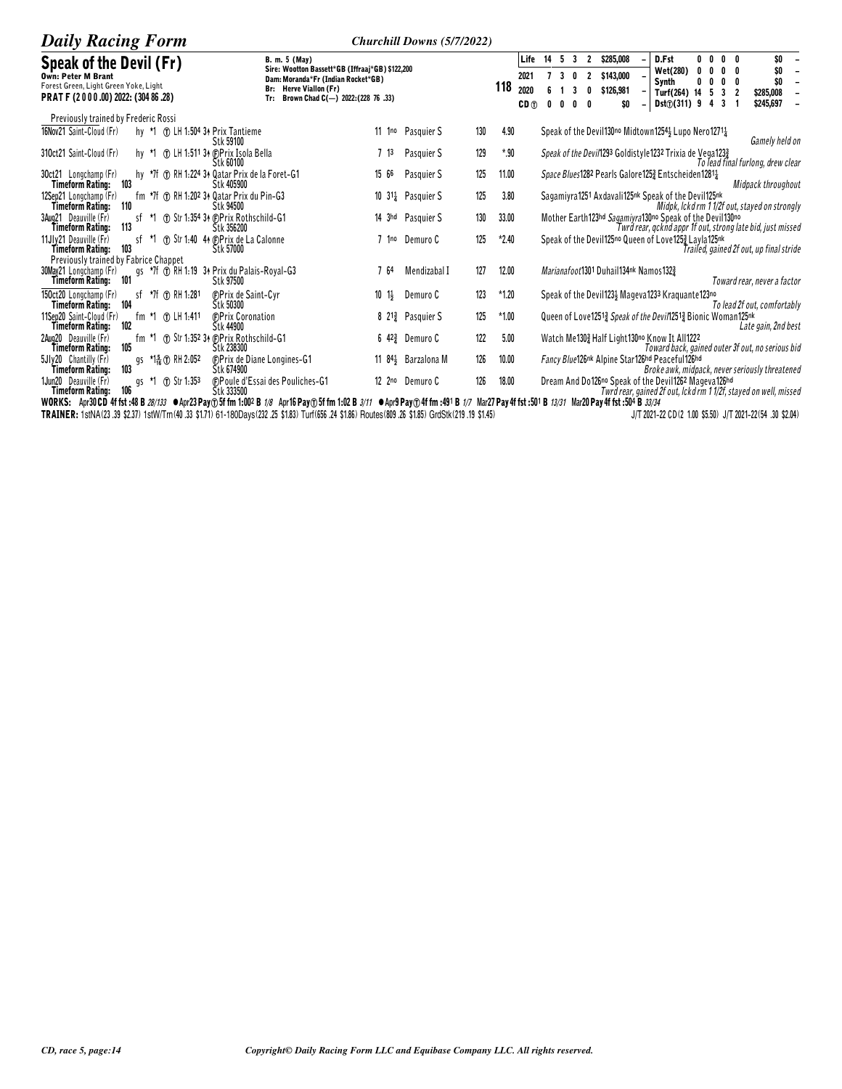| <b>Daily Racing Form</b>                                                                                                                                      |                                                                                                                                                                            | Churchill Downs (5/7/2022)            |                                            |                        |                                                          |                                                                                      |                                                                                 |                 |                                                         |                                                                  |
|---------------------------------------------------------------------------------------------------------------------------------------------------------------|----------------------------------------------------------------------------------------------------------------------------------------------------------------------------|---------------------------------------|--------------------------------------------|------------------------|----------------------------------------------------------|--------------------------------------------------------------------------------------|---------------------------------------------------------------------------------|-----------------|---------------------------------------------------------|------------------------------------------------------------------|
| Speak of the Devil (Fr)<br><b>Own: Peter M Brant</b><br>Forest Green, Light Green Yoke, Light<br>PRAT F (2000.00) 2022: (304 86.28)                           | B. m. 5 (May)<br>Sire: Wootton Bassett*GB (Iffraaj*GB) \$122,200<br>Dam: Moranda*Fr (Indian Rocket*GB)<br>Br: Herve Viallon (Fr)<br>Tr: Brown Chad C(-) 2022: (228 76 .33) |                                       | Life<br>2021<br>118<br>2020<br>$CD \oplus$ | 5<br>14<br>3<br>0<br>n | $\overline{\mathbf{3}}$<br>$\overline{2}$<br>0<br>3<br>0 | \$285,008<br>\$143,000<br>\$126,981<br>SO                                            | D.Fst<br>Wet(280)<br>Synth<br>Turf(264) 14<br><b>Dst</b> $\textcircled{1311}$ 9 | $0\quad 0$<br>4 | $\mathbf{0}$<br>0<br>0<br>0<br>3<br>$\overline{2}$<br>3 | \$0<br>\$0<br>\$0<br>\$285,008<br>\$245,697                      |
| Previously trained by Frederic Rossi<br>16Nov21 Saint-Cloud (Fr)<br>n LH 1:504 34 Prix Tantieme<br>hy *1<br>Stk 59100                                         |                                                                                                                                                                            | 11 1 <sup>no</sup> Pasquier S<br>130  | 4.90                                       |                        |                                                          | Speak of the Devil130 <sup>no</sup> Midtown1254} Lupo Nero1271}                      |                                                                                 |                 |                                                         | Gamely held on                                                   |
| 310ct21 Saint-Cloud (Fr)<br>1.511 34 (DPrix Isola Bella<br>Stk 60100                                                                                          | 7 <sup>13</sup>                                                                                                                                                            | 129<br>Pasquier S                     | $*90$                                      |                        |                                                          | Speak of the Devil1293 Goldistyle1232 Trixia de Vega1233                             |                                                                                 |                 |                                                         | To lead final furlong, drew clear                                |
| hy *7f ① RH 1:224 34 Qatar Prix de la Foret-G1<br>30ct21 Longchamp (Fr)<br>103<br><b>Timeform Rating:</b><br>Stk 405900                                       | 15 66                                                                                                                                                                      | 125<br>Pasquier S                     | 11.00                                      |                        |                                                          | <i>Space Blues</i> 1282 Pearls Galore 125 <sup>3</sup> Entscheiden 1281 <sup>1</sup> |                                                                                 |                 |                                                         | Midpack throughout                                               |
| fm $*7f$ $\oplus$ RH 1:202 34 Qatar Prix du Pin-G3<br>12Sep21 Longchamp (Fr)<br>Timeform Rating: 110<br>Stk 94500                                             |                                                                                                                                                                            | 125<br>10 $31\frac{1}{4}$ Pasquier S  | 3.80                                       |                        |                                                          | Sagamiyra1251 Axdavali125nk Speak of the Devil125nk                                  |                                                                                 |                 |                                                         | Midpk, Ickd rm 1 1/2f out, stayed on strongly                    |
| The Str 1:354 34 (F)Prix Rothschild-G1<br>3Aug21 Deauville (Fr)<br>st *1<br>113<br>Stk 356200<br>Timeform Ratinu:                                             |                                                                                                                                                                            | 130<br>14 3hd Pasquier S              | 33.00                                      |                        |                                                          | Mother Earth123hd Sagamiyra130no Speak of the Devil130no                             |                                                                                 |                 |                                                         | Twrd rear, gcknd appr 1f out, strong late bid, just missed       |
| 11Jlv21 Deauville (Fr)<br><b>1</b> Str 1:40 44 <b>OPrix de La Calonne</b><br>sf *1<br>103<br>Timeform Rating:<br>Stk 57000                                    |                                                                                                                                                                            | 125<br>7 1 <sup>no</sup> Demuro C     | $*2.40$                                    |                        |                                                          | Speak of the Devil125no Queen of Love1253 Layla125nk                                 |                                                                                 |                 |                                                         | Trailed, gained 2f out, up final stride                          |
| Previously trained by Fabrice Chappet<br>30May21 Longchamp (Fr)<br>gs *7f ① RH 1:19 34 Prix du Palais-Royal-G3<br>101<br>Stk 97500<br><b>Timeform Rating:</b> | - 64                                                                                                                                                                       | 127<br>Mendizabal I                   | 12.00                                      |                        |                                                          | Marianafoot1301 Duhail134nk Namos1323                                                |                                                                                 |                 |                                                         | Toward rear, never a factor                                      |
| sf *7f $\bigcirc$ RH 1.281<br>150ct20 Longchamp (Fr)<br><b>C</b> Prix de Saint-Cyr<br>Štk 50300<br>Timeform Rating: 104                                       | $10 \t1\frac{1}{2}$                                                                                                                                                        | 123<br>Demuro C                       | $*1.20$                                    |                        |                                                          | Speak of the Devil123} Mageva1233 Kraquante123no                                     |                                                                                 |                 |                                                         | To lead 2f out, comfortably                                      |
| 11Sep20 Saint-Cloud (Fr)<br>fm *1 ① LH 1:411<br><b><i>C</i></b> Prix Coronation<br>102<br>Timeform Rating:<br>Stk 44900                                       |                                                                                                                                                                            | 125<br>8 $21\frac{3}{4}$ Pasquier S   | $*1.00$                                    |                        |                                                          | Queen of Love12513 Speak of the Devi/12513 Bionic Woman125nk                         |                                                                                 |                 |                                                         | Late gain, 2nd best                                              |
| 1 Str 1:352 34 (DPrix Rothschild-G1)<br>2Aug20 Deauville (Fr)<br>tm *1<br>105<br>Timeform Rating:<br>Stk 238300                                               |                                                                                                                                                                            | 122<br>6 $42\frac{3}{4}$ Demuro C     | 5.00                                       |                        |                                                          | Watch Me1303 Half Light130no Know It All1222                                         |                                                                                 |                 |                                                         | Toward back, gained outer 3f out, no serious bid                 |
| 5JIv20 Chantilly (Fr)<br>gs *1 <sup>5</sup> <sub>16</sub> (f) RH 2:052<br>103<br>Stk 674900<br>Timeform Rating:                                               | <b>CPrix de Diane Longines-G1</b>                                                                                                                                          | 126<br>11 84 <sup>3</sup> Barzalona M | 10.00                                      |                        |                                                          | Fancy Blue126nk Alpine Star126hd Peaceful126hd                                       |                                                                                 |                 |                                                         | Broke awk, midpack, never seriously threatened                   |
| 1Jun20 Deauville (Fr)<br><b>1.353</b><br>gs<br>106<br>Štk 333500<br>Timeform Rating:                                                                          | (F)Poule d'Essai des Pouliches-G1                                                                                                                                          | 126<br>12 2 <sup>no</sup> Demuro C    | 18.00                                      |                        |                                                          | Dream And Do126no Speak of the Devil1262 Mageva126hd                                 |                                                                                 |                 |                                                         | Twrd rear, gained 2f out, lckd rm 1 1/2f, stayed on well, missed |

HIREIDENTIFRATING: 100<br>WORKS: Apr3OD 4f fst:48 B 28/133 ●Apr23 Pay①5f fm 1:002 B 1/8 Apr16 Pay①5f fm 1:02 B 3/11 ●Apr9 Pay①4f fm :491 B 1/7 Mar27 Pay 4f fst:501 B 13/31 Mar20 Pay 4f fst:504 B 3/34<br>TRAINER: 1stNA(23.39 \$2 J/T 2021-22 CD (2 1.00 \$5.50) J/T 2021-22 (54 .30 \$2.04)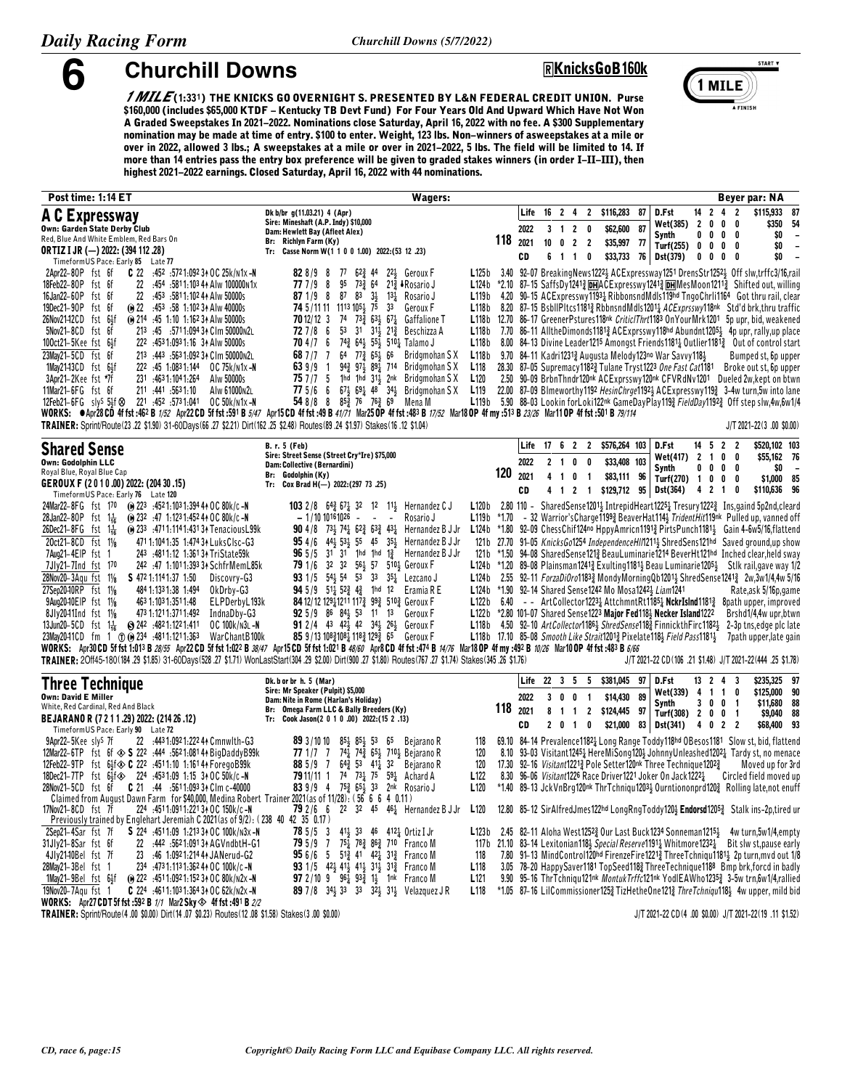## **6 Churchill Downs <sup>Ë</sup>KnicksGoB160k**



*1 MILE* **(1:33¦) THE KNICKS GO OVERNIGHT S. PRESENTED BY L&N FEDERAL CREDIT UNION. Purse \$160,000 (includes \$65,000 KTDF - Kentucky TB Devt Fund) For Four Years Old And Upward Which Have Not Won A Graded Sweepstakes In 2021-2022. Nominations close Saturday, April 16, 2022 with no fee. A \$300 Supplementary nomination may be made at time of entry. \$100 to enter. Weight, 123 lbs. Non-winners of asweepstakes at a mile or over in 2022, allowed 3 lbs.; A sweepstakes at a mile or over in 2021-2022, 5 lbs. The field will be limited to 14. If more than 14 entries pass the entry box preference will be given to graded stakes winners (in order I-II-III), then highest 2021-2022 earnings. Closed Saturday, April 16, 2022 with 44 nominations.**

| Post time: 1:14 ET                                                                                                                                                                                                                                                                                                                              | Wagers:                                                                                                                                                                                                                                            |                                      |         |           |              |                                  |                     |                |    |                                                                                                                                     |                                 |                              | Beyer par: NA                                                                                                                                                                                                         |
|-------------------------------------------------------------------------------------------------------------------------------------------------------------------------------------------------------------------------------------------------------------------------------------------------------------------------------------------------|----------------------------------------------------------------------------------------------------------------------------------------------------------------------------------------------------------------------------------------------------|--------------------------------------|---------|-----------|--------------|----------------------------------|---------------------|----------------|----|-------------------------------------------------------------------------------------------------------------------------------------|---------------------------------|------------------------------|-----------------------------------------------------------------------------------------------------------------------------------------------------------------------------------------------------------------------|
| A C Expressway                                                                                                                                                                                                                                                                                                                                  | Dk b/br g(11.03.21) 4 (Apr)                                                                                                                                                                                                                        |                                      |         | Life      | 16           | 24                               | $\mathbf{2}$        | \$116,283      | 87 | D.Fst                                                                                                                               | 14<br>$\overline{2}$            | $\overline{2}$<br>4          | \$115.933<br>87                                                                                                                                                                                                       |
| Own: Garden State Derby Club                                                                                                                                                                                                                                                                                                                    | Sire: Mineshaft (A.P. Indy) \$10,000<br>Dam: Hewlett Bay (Afleet Alex)                                                                                                                                                                             |                                      |         | 2022      | 3            | $\overline{2}$<br>$\overline{1}$ | - 0                 | \$62,600       | 87 | Wet(385)                                                                                                                            | $\overline{2}$<br>0             | 0<br>0                       | \$350<br>54                                                                                                                                                                                                           |
| Red, Blue And White Emblem, Red Bars On                                                                                                                                                                                                                                                                                                         | Br: Richlyn Farm (Ky)                                                                                                                                                                                                                              |                                      | 118     | 2021      |              | $10 \quad 0 \quad 2$             | $\overline{2}$      | \$35,997 77    |    | Synth<br>Turf(255)                                                                                                                  | $0\quad 0$<br>$0\quad 0\quad 0$ | 0<br>0<br>0                  | \$0<br>$\overline{\phantom{a}}$<br>\$0<br>$\qquad \qquad \blacksquare$                                                                                                                                                |
| <b>ORTIZ I JR (-) 2022: (394 112 .28)</b>                                                                                                                                                                                                                                                                                                       | Tr: Casse Norm W(1 1 0 0 1.00) 2022: (53 12 .23)                                                                                                                                                                                                   |                                      |         | <b>CD</b> | 6            | $\overline{1}$<br>$\overline{1}$ | 0                   | \$33,733       | 76 | Dst(379)                                                                                                                            | 0<br>$\mathbf 0$                | 0<br>0                       | \$0<br>$\overline{a}$                                                                                                                                                                                                 |
| TimeformUS Pace: Early 85 Late 77<br>2Apr22-80P fst 6f<br>.452 .572 1:092 3↑ OC 25k/n1x -N<br>C 22                                                                                                                                                                                                                                              | 828/98<br>77 62 <sup>3</sup> 44<br>2 <sup>2</sup> <sup>3</sup> Geroux F                                                                                                                                                                            | L125b                                |         |           |              |                                  |                     |                |    |                                                                                                                                     |                                 |                              | 3.40 92-07 BreakingNews1222} ACExpressway1251 DrensStr12523 Off slw,trffc3/16,rail                                                                                                                                    |
| 22<br>:454 :5811:103 44 Alw 100000n1x<br>18Feb22-80P fst 6f                                                                                                                                                                                                                                                                                     | 77 7/9<br>95<br>$73\frac{3}{4}$<br>$64$ $21\frac{3}{4}$ JR osario J<br>- 8                                                                                                                                                                         | L124b                                |         |           |              |                                  |                     |                |    |                                                                                                                                     |                                 |                              | *2.10 87-15 SaffsDy12413 DHACExpresswy12413 DHMesMoon12113 Shifted out, willing                                                                                                                                       |
| 22<br>16Jan22-60P fst 6f<br>:453 :5811:102 44 Alw 50000s                                                                                                                                                                                                                                                                                        | ${\bf 87}$<br>871/98<br>83<br>$3\frac{1}{2}$<br>$13\frac{1}{4}$<br>Rosario J                                                                                                                                                                       | L119 <sub>b</sub>                    |         |           |              |                                  |                     |                |    |                                                                                                                                     |                                 |                              | 4.20 90-15 ACExpresswy11934 RibbonsndMdls119hd TngoChrli1164 Got thru rail, clear                                                                                                                                     |
| 19Dec21-90P fst 6f<br>(ii) 22 :453 :58 1:102 34 Alw 40000s                                                                                                                                                                                                                                                                                      | 74 5/11 11 1113 1054 75<br>3 <sup>3</sup><br>Geroux F                                                                                                                                                                                              | L118 <sub>b</sub>                    |         |           |              |                                  |                     |                |    |                                                                                                                                     |                                 |                              | 8.20 87–15 BsbllPltcs11813 RbbnsndMdls12011 <i>ACExprsswy</i> 118nk Std'd brk, thru traffic                                                                                                                           |
| 26Nov21-12CD fst 61f<br>(a) 214 :45 1:10 1:162 34 Alw 50000s                                                                                                                                                                                                                                                                                    | 74<br>$73\frac{3}{7}$<br>$63\frac{1}{2}$ $67\frac{1}{4}$<br>70 12/12 3<br>Gaffalione T                                                                                                                                                             | L118b                                |         |           |              |                                  |                     |                |    |                                                                                                                                     |                                 |                              | 12.70 86-17 GreenerPstures118nk CriticlThrt1183 OnYourMrk1201 5p upr, bid, weakened                                                                                                                                   |
| 5Nov21-8CD fst 6f<br>213 :45 :5711:094 34 Clm 50000 n2L                                                                                                                                                                                                                                                                                         | 53<br>727/86<br>31 31 321 3<br>Beschizza A                                                                                                                                                                                                         | L118 <sub>b</sub>                    |         |           |              |                                  |                     |                |    |                                                                                                                                     |                                 |                              | 7.70 86-11 AlltheDimonds11813 ACExprsswy118hd Abundnt12051 4p upr, rally,up place                                                                                                                                     |
| 100ct21-5Kee fst 6}f<br>222 :453 1:093 1:16 34 Alw 50000s<br>213 :443 :563 1:092 34 Clm 50000 n2L                                                                                                                                                                                                                                               | 743 643 553 5103 Talamo J<br>704/76<br>$64$ $77\frac{3}{7}$ $65\frac{1}{2}$                                                                                                                                                                        | L118 <sub>b</sub>                    |         |           |              |                                  |                     |                |    |                                                                                                                                     |                                 |                              | 8.00 84-13 Divine Leader1215 Amongst Friends11811 Qutlier11811 Qut of control start                                                                                                                                   |
| 23May21-5CD fst 6f<br>222 :45 1:0831:144 0C 75k/n1x-N<br>1May21-13CD fst 64f                                                                                                                                                                                                                                                                    | 68 7 / 7<br>66<br>Bridgmohan S X<br>639//9<br>943 974 894 714<br>$\mathbf{1}$<br>Bridgmohan S X                                                                                                                                                    | L118 <sub>b</sub><br>L118            |         |           |              |                                  |                     |                |    | 9.70 84-11 Kadri12313 Augusta Melody123no War Savvy1183<br>28.30 87-05 Supremacy1182 <sup>3</sup> Tulane Tryst1223 One Fast Cat1181 |                                 |                              | Bumped st, 6p upper<br>Broke out st, 6p upper                                                                                                                                                                         |
| 231 :4631:1041:264<br>3Apr21-2Kee fst *7f<br>Alw 50000s                                                                                                                                                                                                                                                                                         | 757/75<br>1hd 1hd $31\frac{1}{2}$<br>2nk<br>Bridgmohan SX                                                                                                                                                                                          | L <sub>120</sub>                     |         |           |              |                                  |                     |                |    |                                                                                                                                     |                                 |                              | 2.50 90-09 BrbnThndr120nk ACExprsswy120nk CFVRdNv1201 Dueled 2w, kept on btwn                                                                                                                                         |
| 11Mar21-6FG fst 6f<br>211 :441 :5631:10<br>Alw 61000N2L                                                                                                                                                                                                                                                                                         | 775/66<br>$67\frac{1}{2}$ $69\frac{1}{4}$ 48 34 <sup>1</sup> / <sub>2</sub><br>Bridgmohan SX                                                                                                                                                       | L <sub>119</sub>                     |         |           |              |                                  |                     |                |    |                                                                                                                                     |                                 |                              | 22.00 87-09 Blmeworthy1192 HesinChrge11923 ACExpresswy1193 3-4w turn, 5w into lane                                                                                                                                    |
| 221 :452 :5731:041<br>12Feb21-6FG sly <sup>s</sup> 54f $\otimes$<br>OC 50k/n1x -N                                                                                                                                                                                                                                                               | 54 8/8 8 85 $\frac{3}{4}$ 76 76 $\frac{3}{4}$ 69 Mena M                                                                                                                                                                                            | L119 <sub>b</sub>                    |         |           |              |                                  |                     |                |    |                                                                                                                                     |                                 |                              | 5.90 88-03 Lookin for Loki122nk GameDayPlay1193 FieldDay11923 Off step slw,4w,6w1/4                                                                                                                                   |
| WORKS: CApr28CD 4f fst:462 B 1/52 Apr22 CD 5f fst:591 B 5/47 Apr15 CD 4f fst:49 B 41/71 Mar25 OP 4f fst:493 B 17/52 Mar18 OP 4f my :513 B 23/26 Mar11 OP 4f fst :501 B 79/114                                                                                                                                                                   |                                                                                                                                                                                                                                                    |                                      |         |           |              |                                  |                     |                |    |                                                                                                                                     |                                 |                              |                                                                                                                                                                                                                       |
| TRAINER: Sprint/Route (23 .22 \$1.00) 31-60Days (66 .27 \$2.21) Dirt (162 .25 \$2.48) Routes (89 .24 \$1.97) Stakes (16 .12 \$1.04)                                                                                                                                                                                                             |                                                                                                                                                                                                                                                    |                                      |         |           |              |                                  |                     |                |    |                                                                                                                                     |                                 |                              | $J/T 2021 - 22(3 .00 $0.00)$                                                                                                                                                                                          |
| Shared Sense                                                                                                                                                                                                                                                                                                                                    | B. r. 5 (Feb)                                                                                                                                                                                                                                      |                                      |         | Life      | 1762         |                                  | $\overline{2}$      | \$576,264 103  |    | D.Fst                                                                                                                               | $14 \quad 5 \quad 2 \quad 2$    |                              | \$520,102 103                                                                                                                                                                                                         |
| Own: Godolphin LLC                                                                                                                                                                                                                                                                                                                              | Sire: Street Sense (Street Cry*Ire) \$75,000<br>Dam: Collective (Bernardini)                                                                                                                                                                       |                                      |         | 2022      | $\mathbf{2}$ | $\blacksquare$                   | 0<br>0              | \$33,408 103   |    | Wet(417)                                                                                                                            | $2 \t1 \t0$                     | 0                            | \$55,162 76                                                                                                                                                                                                           |
| Royal Blue, Royal Blue Cap                                                                                                                                                                                                                                                                                                                      | Br: Godolphin (Ky)                                                                                                                                                                                                                                 |                                      | 120     | 2021      | 4            | $\mathbf{1}$                     | 0<br>$\overline{1}$ | \$83,111 96    |    | <b>Synth</b><br>Turf(270)                                                                                                           | $\mathbf 0$<br>0<br>10          | 0<br>0<br>0<br>0             | \$0<br>\$1,000 85                                                                                                                                                                                                     |
| GEROUX F (2010.00) 2022: (20430.15)                                                                                                                                                                                                                                                                                                             | Tr: Cox Brad H(-) 2022:(297 73 .25)                                                                                                                                                                                                                |                                      |         | CD        |              | 4 1 2                            |                     | 1 \$129,712 95 |    | <b>Dst(364)</b>                                                                                                                     | 4 2                             | $\overline{1}$<br>0          | \$110,636 96                                                                                                                                                                                                          |
| TimeformUS Pace: Early 76 Late 120<br>(a) 223 :4521:1031:394 44 OC 80k/c-N<br>24Mar22-8FG fst 170                                                                                                                                                                                                                                               | <b>103</b> 2/8 $64\frac{3}{4}$ 67 $\frac{1}{4}$ 32 12 11 Hernandez C J                                                                                                                                                                             | L120 <sub>b</sub>                    |         |           |              |                                  |                     |                |    |                                                                                                                                     |                                 |                              | 2.80 110 - SharedSense12011 IntrepidHeart12251 Tresury12222 Ins, gaind 5p2nd, cleard                                                                                                                                  |
| (e) 232 :47 1:123 1:452 44 OC 80k/c -N<br>$28$ Jan22-80P fst 1 <sup>1</sup> / <sub>16</sub>                                                                                                                                                                                                                                                     | Rosario J<br>$-1/1010161026 -$<br>$\sim$                                                                                                                                                                                                           | L119 <sub>b</sub>                    | $*1.70$ |           |              |                                  |                     |                |    |                                                                                                                                     |                                 |                              | - 32 Warrior's Charge 1199 <sub>2</sub> Beaver Hat 114 <sup>3</sup> Trident Hit 119nk Pulled up, vanned off                                                                                                           |
| 26Dec21-8FG $fst = 1\frac{1}{16}$<br>(e) 233 :4711:1141:4313 + Tenacious L99k                                                                                                                                                                                                                                                                   | <b>90</b> 4/8 73 <sub>3</sub> 74 <sub>4</sub> 62 <sub>3</sub> 63 <sub>3</sub> 43 <sub>4</sub><br>Hernandez B J Jr                                                                                                                                  |                                      |         |           |              |                                  |                     |                |    |                                                                                                                                     |                                 |                              | L124b *1.80 92-09 ChessChif124no HppyAmricn1191 <sub>3</sub> PirtsPunch1181 <sub>3</sub> Gain 4-6w5/16, flattend                                                                                                      |
| 20ct21-8CD fst 11/8<br>471 1:104 1:35 1:474 34 Luks Clsc-G3                                                                                                                                                                                                                                                                                     | 44} 53} 55 45 35}<br>954/6<br>Hernandez B J Jr                                                                                                                                                                                                     | 121 b                                |         |           |              |                                  |                     |                |    |                                                                                                                                     |                                 |                              | 27.70 91-05 KnicksGo1254 IndependenceHIM2113 ShredSens121hd Saved ground,up show                                                                                                                                      |
| 7Aug21-4EIP fst 1<br>243 .4811.12 1.36134 TriState59k                                                                                                                                                                                                                                                                                           | $31$ 1hd 1hd 1 $\frac{3}{4}$<br>965/5<br>31<br>Hernandez B J Jr                                                                                                                                                                                    | 121 b                                |         |           |              |                                  |                     |                |    |                                                                                                                                     |                                 |                              | *1.50 94-08 Shared Sense 121 & Beau Luminarie 1214 Bever Ht 121hd Inched clear, held sway                                                                                                                             |
| 7Jly21-7Ind fst 170<br>242 :47 1:1011:393 34 Schfr Mem L85k                                                                                                                                                                                                                                                                                     | 32 32 563 57 5103 Geroux F<br>79 1/6                                                                                                                                                                                                               |                                      |         |           |              |                                  |                     |                |    |                                                                                                                                     |                                 |                              | L124b *1.20 89-08 Plainsman1241 <sup>3</sup> Exulting 1181 <sup>1</sup> Beau Luminarie 1205 Stlk rail, gave way 1/2                                                                                                   |
| 28Nov20-3Agu fst 11/8<br>S 472 1:114 1:37 1:50<br>Discovry-G3                                                                                                                                                                                                                                                                                   | 93 1/5 54 54 53 33 35 Lezcano J<br>94 5/9 512 523 43 1hd 12 Eramia R E                                                                                                                                                                             | L124b<br>L124 <sub>b</sub>           |         |           |              |                                  |                     |                |    | *1.90 92-14 Shared Sense1242 Mo Mosa12423 Liam1241                                                                                  |                                 |                              | 2.55 92-11 ForzaDiOro11833 MondyMorningQb12013 ShredSense12413 2w,3w1/4,4w 5/16                                                                                                                                       |
| 27Sep20-10RP fst 11/8<br>484 1:133 1:38 1:494<br>OkDrby-G3<br>9Aug2040EIP fst 11/8<br>463 1:103 1:351 1:48<br>ELPDerbyL193k                                                                                                                                                                                                                     | 84 12/12 12911211 1173 993 5103 Geroux F                                                                                                                                                                                                           | L122b                                |         |           |              |                                  |                     |                |    |                                                                                                                                     |                                 |                              | Rate,ask 5/16p, game<br>6.40 - ArtCollector12231 AttchmntRt11851 NckrIsInd1181 <sup>3</sup> 8path upper, improved                                                                                                     |
| 473 1:121 1:371 1:492<br>IndnaDby-G3<br>8Jly2041Ind fst 11/ <sub>8</sub>                                                                                                                                                                                                                                                                        | 92 5/9 86 841 53 11 13<br>Geroux F                                                                                                                                                                                                                 |                                      |         |           |              |                                  |                     |                |    | L122b *2.80 101-07 Shared Sense1223 Major Fed118} Necker Island1222                                                                 |                                 |                              | Brshd1/4,4w upr,btwn                                                                                                                                                                                                  |
| 13Jun20-5CD fst $1\frac{1}{16}$<br>6) 242 :4821:1221:411<br>OC 100k/N3L-N                                                                                                                                                                                                                                                                       | <b>91</b> 2/4 43 42 42 34 26 26 34<br>Geroux F                                                                                                                                                                                                     | L118b                                |         |           |              |                                  |                     |                |    |                                                                                                                                     |                                 |                              | 4.50 92-10 ArtCollector1186 <sub>3</sub> ShredSense118 <sub>3</sub> FinnickthFirc1182 <sub>3</sub> 2-3p tns,edge plc late                                                                                             |
| 23May2041CD fm 1 ① (i) 234 :4811:1211:363<br>War Chant B100k                                                                                                                                                                                                                                                                                    | 85 9/13 10831081 1183 1293 65 Geroux F                                                                                                                                                                                                             |                                      |         |           |              |                                  |                     |                |    |                                                                                                                                     |                                 |                              | L118b 17.10 85-08 Smooth Like Strait12013 Pixelate118 Field Pass1181 3 7path upper, late gain                                                                                                                         |
| WORKS: Apr30 CD 5f fst 1:013 B 28/55 Apr22 CD 5f fst 1:022 B 38/47 Apr15 CD 5f fst 1:021 B 48/60 Apr8 CD 4f fst :474 B 14/76 Mar18 OP 4f my :492 B 10/26 Mar10 OP 4f fst :483 B 6/66<br>TRAINER: 20ff45-180(184.29 \$1.85) 31-60Days(528.27 \$1.71) WonLastStart(304.29 \$2.00) Dirt(900.27 \$1.80) Routes(767.27 \$1.74) Stakes(345.26 \$1.76) |                                                                                                                                                                                                                                                    |                                      |         |           |              |                                  |                     |                |    |                                                                                                                                     |                                 |                              | J/T 2021-22 CD(106 .21 \$1.48) J/T 2021-22(444 .25 \$1.78)                                                                                                                                                            |
|                                                                                                                                                                                                                                                                                                                                                 |                                                                                                                                                                                                                                                    |                                      |         |           |              |                                  |                     |                |    |                                                                                                                                     |                                 |                              |                                                                                                                                                                                                                       |
| <b>Three Technique</b>                                                                                                                                                                                                                                                                                                                          | Dk. b or br h. 5 (Mar)<br>Sire: Mr Speaker (Pulpit) \$5,000                                                                                                                                                                                        |                                      |         | Life      | 22           | 3 <sub>5</sub>                   | -5                  | \$381,045      | 97 | D.Fst                                                                                                                               | 13 2                            | 4<br>3                       | \$235,325 97                                                                                                                                                                                                          |
| <b>Own: David E Miller</b>                                                                                                                                                                                                                                                                                                                      | Dam: Nite in Rome (Harlan's Holiday)                                                                                                                                                                                                               |                                      |         | 2022      | 3            | 0<br>0                           | $\overline{1}$      | \$14,430       | 89 | Wet(339)<br><b>Synth</b>                                                                                                            | 41<br>30                        | $\mathbf{1}$<br>0<br>0<br>-1 | \$125,000 90<br>\$11,680 88                                                                                                                                                                                           |
| White, Red Cardinal, Red And Black<br>BEJARANO R (7 2 1 1 .29) 2022: (214 26 .12)                                                                                                                                                                                                                                                               | Br: Omega Farm LLC & Bally Breeders (Ky)<br>Tr: Cook Jason(2 0 1 0 .00) 2022:(15 2 .13)                                                                                                                                                            |                                      | 118     | 2021      | 8            | $1\quad1$                        |                     | 2 \$124,445 97 |    | Turf(308)                                                                                                                           | 2 0 0                           | $\overline{1}$               | \$9,040 88                                                                                                                                                                                                            |
| TimeformUS Pace: Early 90 Late 72                                                                                                                                                                                                                                                                                                               |                                                                                                                                                                                                                                                    |                                      |         | CD        | 2            | $\mathbf 0$<br>$\overline{1}$    | 0                   |                |    | $$21,000$ 83 Dst(341)                                                                                                               | 4 0 2                           | $\overline{2}$               | 93<br>\$68,400                                                                                                                                                                                                        |
| 9Apr22-5Kee sly <sup>s</sup> 7f<br>22 :4431:0921:22244 Cmnwlth-G3                                                                                                                                                                                                                                                                               | 89 3/10 10<br>$85\frac{1}{2}$ $85\frac{1}{2}$ 53<br>65<br>Bejarano R                                                                                                                                                                               | 118                                  |         |           |              |                                  |                     |                |    |                                                                                                                                     |                                 |                              | 69.10 84-14 Prevalence1182 Long Range Toddy118hd OBesos1181 Slow st, bid, flattend                                                                                                                                    |
| 12Mar22-6TP fst 6f $\otimes$ S 222 :444 :5621:0814 A BigDaddyB99k                                                                                                                                                                                                                                                                               | $74\frac{1}{4}$<br>$74\frac{3}{8}$ 651<br>7101 Bejarano R<br>77 1/7 7                                                                                                                                                                              | 120                                  |         |           |              |                                  |                     |                |    |                                                                                                                                     |                                 |                              | 8.10 93-03 Visitant1245 HereMiSong120 3 Johnny Unleashed 1202 Tardy st, no menace                                                                                                                                     |
| 12Feb22-9TP fst 6}f $\otimes$ C 222 :4511:10 1:1614 ForegoB99k                                                                                                                                                                                                                                                                                  | $64\frac{3}{4}$ 53 $41\frac{1}{4}$<br>885/97<br>32<br>Bejarano R                                                                                                                                                                                   | 120                                  |         |           |              |                                  |                     |                |    | 17.30 92-16 Visitant1221 <sup>3</sup> Pole Setter120nk Three Technique1202 <sup>3</sup>                                             |                                 |                              | Moved up for 3rd                                                                                                                                                                                                      |
| 18Dec21-7TP fst 64f<br>224 :4531:09 1:15 34 OC 50k/c-N                                                                                                                                                                                                                                                                                          | 79 11/11 1<br>74 731 75<br>$59\frac{1}{4}$<br>Achard A<br><b>83</b> 9/9 4 7 <sup>53</sup> 6 <sup>51</sup> / <sub>3</sub> 33                                                                                                                        | L <sub>122</sub><br>L <sub>120</sub> | 8.30    |           |              |                                  |                     |                |    | 96-06 Visitant1226 Race Driver1221 Joker On Jack12221                                                                               |                                 |                              | Circled field moved up<br>*1.40 89-13 JckVnBrg120 <sup>nk</sup> ThrTchniqu12033 Ourntiononprd1203 Rolling late,not enuff                                                                                              |
| 28Nov21-5CD fst 6f<br><b>C</b> 21 $:44$ $:5611:0933*$ Clm c-40000<br>Claimed from August Dawn Farm for \$40,000, Medina Robert Trainer 2021(as of 11/28): (56 6 6 4 0.11)                                                                                                                                                                       | 2 <sup>nk</sup> Rosario J                                                                                                                                                                                                                          |                                      |         |           |              |                                  |                     |                |    |                                                                                                                                     |                                 |                              |                                                                                                                                                                                                                       |
| 17Nov21-8CD fst 7f<br>224 :4511:0911:22134 OC 150k/c-N                                                                                                                                                                                                                                                                                          | <b>79</b> 2/6 6 22 32 45 46 <sup>1</sup> / <sub>2</sub> Hernandez B J Jr                                                                                                                                                                           | L <sub>120</sub>                     |         |           |              |                                  |                     |                |    |                                                                                                                                     |                                 |                              | 12.80 85-12 SirAlfredJmes122hd LongRngToddy120} Endorsd1205} Stalk ins-2p,tired ur                                                                                                                                    |
| Previously trained by Englehart Jeremiah C 2021(as of 9/2): (238 40 42 35 0.17)                                                                                                                                                                                                                                                                 |                                                                                                                                                                                                                                                    |                                      |         |           |              |                                  |                     |                |    |                                                                                                                                     |                                 |                              |                                                                                                                                                                                                                       |
| S 224 :4511:09 1:213 34 OC 100k/n3x-N<br>2Sep21-4Sar fst 7f                                                                                                                                                                                                                                                                                     | 785/53<br>41 $\frac{1}{2}$ 33 46 412 $\frac{1}{4}$ Ortiz I Jr                                                                                                                                                                                      | L123b                                |         |           |              |                                  |                     |                |    |                                                                                                                                     |                                 |                              | 2.45 82-11 Aloha West1252 <sup>3</sup> Our Last Buck1234 Sonneman1215 <sup>1</sup> 4w turn, 5w1/4, empty                                                                                                              |
| 22<br>:442 :5621:0913+AGVndbtH-G1<br>31Jly21-8Sar fst 6f<br>23<br>:46 1:0921:214 44 JANerud-G2<br>4Jly2140Bel fst 7f                                                                                                                                                                                                                            | 75 <sup>1</sup> / <sub>4</sub> 78 <sup>3</sup> / <sub>4</sub> 86 <sup>3</sup> / <sub>4</sub> 710 Franco M<br>795/97<br><b>95</b> 6/6 5 51 <sup>3</sup> / <sub>2</sub> 41 42 <sup>1</sup> / <sub>2</sub> 31 <sup>3</sup> / <sub>2</sub><br>Franco M | 118                                  |         |           |              |                                  |                     |                |    |                                                                                                                                     |                                 |                              | 117b 21.10 83–14 Lexitonian118 <sup>3</sup> Special Reserve1191 <sup>1</sup> Whitmore1232 <sup>1</sup> Bit slw st, pause early<br>7.80 91-13 MindControl120hd FirenzeFire12213 ThreeTchniqu11813 2p turn, mvd out 1/8 |
| 234 :473 1:113 1:362 44 OC 100k/c-N<br>28May21-3Bel fst 1                                                                                                                                                                                                                                                                                       | <b>93</b> 1/5 42 $\frac{1}{2}$ 41 $\frac{1}{2}$ 41 $\frac{1}{2}$ 31 $\frac{1}{2}$<br>$31\frac{3}{4}$<br>Franco M                                                                                                                                   | L <sub>118</sub>                     |         |           |              |                                  |                     |                |    |                                                                                                                                     |                                 |                              | 3.05 78-20 HappySaver1181 TopSeed118} Three Technique 1188 Bmp brk, forcd in badly                                                                                                                                    |
| 1May21-9Bel fst $6\frac{1}{2}$ f<br>(a) 222 :4511:0921:152 34 OC 80k/n2x -N                                                                                                                                                                                                                                                                     | <b>97</b> 2/10 9 $96\frac{1}{4}$ $93\frac{3}{4}$ 1 <sup>1</sup> / <sub>2</sub> 1 <sup>nk</sup> Franco M                                                                                                                                            | L121                                 |         |           |              |                                  |                     |                |    |                                                                                                                                     |                                 |                              | 9.90 95-16 Thr Tchniqu 121 <sup>nk</sup> Montuk Trffc121 <sup>nk</sup> YodIEAWho1235 <sup>3</sup> 3-5w trn,6w1/4,rallied                                                                                              |
| 19Nov20-7Agu fst 1<br>C 224 :4611:1031:36434 OC 62k/n2x-N                                                                                                                                                                                                                                                                                       | 89 7/8 34 33 33 32 31 Velazquez JR                                                                                                                                                                                                                 | L <sub>118</sub>                     |         |           |              |                                  |                     |                |    |                                                                                                                                     |                                 |                              | *1.05 87–16 LilCommissioner125 <sub>2</sub> TizHetheOne121 <sub>2</sub> <i>ThreTchniqu</i> 1184 4w upper, mild bid                                                                                                    |
| <b>WORKS:</b> Apr27 CDT 5f fst :592 B $1/1$ Mar2 Sky $\otimes$ 4f fst :491 B $2/2$                                                                                                                                                                                                                                                              |                                                                                                                                                                                                                                                    |                                      |         |           |              |                                  |                     |                |    |                                                                                                                                     |                                 |                              |                                                                                                                                                                                                                       |

**TRAINER:** Sprint/Route(4 .00 \$0.00) Dirt(14 .07 \$0.23) Routes(12 .08 \$1.58) Stakes(3 .00 \$0.00) J/T2021-22 CD(4 .00 \$0.00) J/T2021-22(19 .11 \$1.52)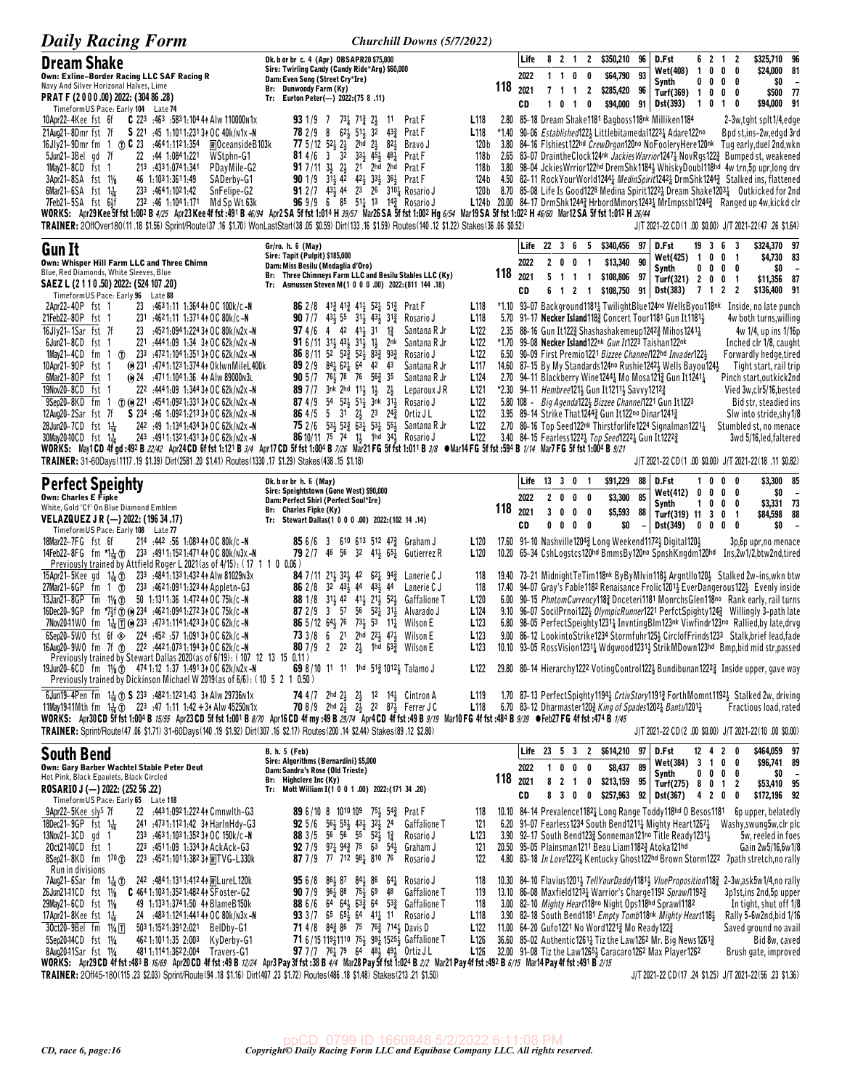| <b>Daily Racing Form</b>                                                                                                                                                                                                                                                                                                  | <b>Churchill Downs (5/7/2022)</b>                                                                                                                                                                                                                  |                                      |         |              |                |                    |                                                        |                                 |                                                                                                                                                    |                                                                  |                                 |                                                                                                                                                                                                                                 |                                                  |
|---------------------------------------------------------------------------------------------------------------------------------------------------------------------------------------------------------------------------------------------------------------------------------------------------------------------------|----------------------------------------------------------------------------------------------------------------------------------------------------------------------------------------------------------------------------------------------------|--------------------------------------|---------|--------------|----------------|--------------------|--------------------------------------------------------|---------------------------------|----------------------------------------------------------------------------------------------------------------------------------------------------|------------------------------------------------------------------|---------------------------------|---------------------------------------------------------------------------------------------------------------------------------------------------------------------------------------------------------------------------------|--------------------------------------------------|
| <b>Dream Shake</b>                                                                                                                                                                                                                                                                                                        | Dk. b or br c. 4 (Apr) OBSAPR20 \$75,000<br>Sire: Twirling Candy (Candy Ride*Arg) \$60,000                                                                                                                                                         |                                      |         | Life         |                | 8 2 1              | $\mathbf{2}$<br>\$350,210                              | 96<br>93                        | D.Fst<br>Wet(408)                                                                                                                                  | $\mathbf{1}$<br>0                                                | 6 2 1 2<br>$\mathbf 0$          | 0                                                                                                                                                                                                                               | \$325,710 96<br>\$24,000 81                      |
| Own: Exline-Border Racing LLC SAF Racing R<br>Navy And Silver Horizonal Halves, Lime                                                                                                                                                                                                                                      | Dam: Even Song (Street Cry*Ire)<br>Br: Dunwoody Farm (Ky)                                                                                                                                                                                          |                                      | 118     | 2022<br>2021 |                | 1 1 0 0<br>7 1 1 2 | \$64,790<br>\$285,420                                  | 96                              | Synth<br>Turf(369) 1 0                                                                                                                             |                                                                  | $0\,0\,0\,0$<br>$0\quad 0$      |                                                                                                                                                                                                                                 | \$0<br>$\overline{\phantom{a}}$<br>\$500<br>- 77 |
| PRAT F (2000.00) 2022: (304 86.28)<br>TimeformUS Pace: Early 104 Late 74                                                                                                                                                                                                                                                  | Tr: Eurton Peter(-) 2022:(75 8.11)                                                                                                                                                                                                                 |                                      |         | CD           | 10             | $\blacksquare$     | \$94,000<br>0                                          |                                 | 91 Dst(393)                                                                                                                                        | 1 0 1                                                            |                                 | \$94,000<br>0                                                                                                                                                                                                                   | 91                                               |
| 10Apr22-4Kee fst 6f<br><b>C</b> 223 :463 :5831:104 44 Alw 110000 N1x<br>S 221 :45 1:1011:231 34 OC 40k/n1x-N<br>21Aug21-8Dmr fst 7f                                                                                                                                                                                       | Prat F<br><b>93</b> 1/9 7 7 <sup>3</sup> $\frac{1}{4}$ 7 <sup>1</sup> $\frac{3}{4}$ 2 <sup>1</sup><br>11<br>$62\frac{1}{2}$ 51 $\frac{1}{2}$ 32<br>78 2 / 9 8<br>$43\frac{3}{4}$<br>Prat F                                                         | L <sub>118</sub><br>L <sub>118</sub> | $*1.40$ |              |                |                    |                                                        |                                 | 2.80 85-18 Dream Shake1181 Bagboss118nk Milliken1184<br>90–06 Established 122} Littlebitamedal 1223 <sub>4</sub> Adare 122no                       |                                                                  |                                 | 2-3w,tght splt1/4,edge<br>Bpd st.ins-2w.edgd 3rd                                                                                                                                                                                |                                                  |
| 16Jly21-9Dmr fm 1 ① C 23 :4641:1121:354<br>ROceansideB103k<br>22 :44 1:0841:221<br>5Jun21-3Bel gd 7f<br>WStphn-G1                                                                                                                                                                                                         | $2h\bar{d}$ $2\frac{1}{2}$<br><b>77</b> 5/12 52 $\frac{1}{2}$ 2 $\frac{1}{2}$<br>$82\frac{1}{2}$<br>Bravo J<br><b>81</b> 4/6 3 3 <sup>2</sup><br>$33\frac{1}{2}$ $45\frac{1}{2}$ $48\frac{1}{4}$<br>Prat F                                         | 120 b<br>118 b                       |         |              |                |                    |                                                        |                                 |                                                                                                                                                    |                                                                  |                                 | 3.80 84-16 Flshiest122hd CrewDrgon120no NoFooleryHere120nk Tug early, duel 2nd, wkn<br>2.65 83-07 DraintheClock124nk Jackies Warrior12471 NovRgs1223 Bumped st, weakened                                                        |                                                  |
| 1May21-8CD fst 1<br>213 .4331.0741.341<br>PDayMile-G2<br>46 1:1031:3611:49<br>3Apr21-8SA fst 11/8<br>SADerby-G1                                                                                                                                                                                                           | $917/113$ ; $2\frac{1}{2}21$ $2$ hd $2$ hd<br>Prat F<br>90 1/9 313 42 423 333 363 Prat F                                                                                                                                                           | 118 b<br>124 b                       |         |              |                |                    |                                                        |                                 |                                                                                                                                                    |                                                                  |                                 | 3.80 98-04 Jckies Wrrior122hd Drem Shk11843 Whisky Doubl118hd 4w trn, 5p upr, long drv<br>4.50 82-11 Rock Your World 1244 Medin Spirit 1242 Drm Shk 1244 Stalked ins, flattened                                                 |                                                  |
| 233 :464 1:102 1:42<br>SnFelipe-G2<br>$6$ Mar21-6SA fst 1 $\frac{1}{16}$                                                                                                                                                                                                                                                  | 91 2 / 7 43 44 23 26 310 1 Rosario J                                                                                                                                                                                                               | 120 b                                |         |              |                |                    |                                                        |                                 |                                                                                                                                                    |                                                                  |                                 | 8.70 85-08 Life Is Good1228 Medina Spirit1222 Dream Shake1203 lutkicked for 2nd                                                                                                                                                 |                                                  |
| 7Feb21-5SA fst 64f<br>232 :46 1:1041:171 Md Sp Wt 63k<br>WORKS: Apr29 Kee 5f fst 1:002 B 4/25 Apr23 Kee 4f fst :491 B 46/94 Apr2 SA 5f fst 1:014 H 39/57 Mar26 SA 5f fst 1:002 Hg 6/54 Mar19 SA 5f fst 1:022 H 46/60 Mar12 SA 5f fst 1:012 H 26/44                                                                        | 96 9/9 6 85 51 13 14 Rosario J                                                                                                                                                                                                                     |                                      |         |              |                |                    |                                                        |                                 |                                                                                                                                                    |                                                                  |                                 | L124b 20.00 84-17 DrmShk12443 HrbordMmors12433 MrImpssbl12443 Ranged up 4w, kickd clr                                                                                                                                           |                                                  |
| TRAINER: 2OffOver180(11.18 \$1.56) Sprint/Route(37.16 \$1.70) WonLastStart(38.05 \$0.59) Dirt(133.16 \$1.59) Routes(140.12 \$1.22) Stakes(36.06 \$0.52)                                                                                                                                                                   |                                                                                                                                                                                                                                                    |                                      |         |              |                |                    |                                                        |                                 |                                                                                                                                                    |                                                                  |                                 | J/T 2021-22 CD(1.00 \$0.00) J/T 2021-22(47.26 \$1.64)                                                                                                                                                                           |                                                  |
| <b>Gun It</b><br>Own: Whisper Hill Farm LLC and Three Chimn                                                                                                                                                                                                                                                               | Gr/ro. h. 6 (May)<br>Sire: Tapit (Pulpit) \$185,000                                                                                                                                                                                                |                                      |         | 2022         |                | 200                | Life 22 3 6 5 \$340,456<br>\$13,340                    | 97<br>90                        | D.Fst<br><b>Wet(425)</b>                                                                                                                           | 19 3 6<br>- 1<br>0                                               | 0                               | - 3<br>- 1                                                                                                                                                                                                                      | \$324,370 97<br>\$4,730 83                       |
| Blue, Red Diamonds, White Sleeves, Blue<br>SAEZ L (2 1 1 0 .50) 2022: (524 107 .20)                                                                                                                                                                                                                                       | Dam: Miss Besilu (Medaglia d'Oro)<br>Br: Three Chimneys Farm LLC and Besilu Stables LLC (Ky)<br>Tr: Asmussen Steven M(1 0 0 0 .00) 2022:(811 144 .18)                                                                                              |                                      | 118     | 2021         |                | 5 1 1 1            | \$108,806                                              | 97                              | Synth<br>Turf(321) 2                                                                                                                               | 0<br>0<br>0                                                      | $\mathbf 0$<br>0                | 0<br>\$11,356<br>- 1                                                                                                                                                                                                            | \$0<br>87                                        |
| TimeformUS Pace: Early 96 Late 88<br>2Apr22-40P fst 1<br>23 $:4631:11$ 1:364 44 OC 100k/c -N                                                                                                                                                                                                                              | 86 2/8 413 413 414 521 513 Prat F                                                                                                                                                                                                                  | L <sub>118</sub>                     |         | CD           |                |                    | 6 1 2 1 \$108,750                                      |                                 | 91 Dst(383)                                                                                                                                        | 712                                                              |                                 | $\overline{2}$<br>*1.10 93-07 Background11811 TwilightBlue124no WellsByou118nk Inside, no late punch                                                                                                                            | \$136,400 91                                     |
| 21Feb22-80P fst 1<br>231 .4621:11 1:371 44 OC 80k/c -N                                                                                                                                                                                                                                                                    | <b>90</b> 7/7 43 $\frac{1}{2}$ 55 31 $\frac{1}{2}$ 43 $\frac{1}{2}$ 31 $\frac{3}{4}$ Rosario J                                                                                                                                                     | L <sub>118</sub>                     |         |              |                |                    |                                                        |                                 | 5.70 91-17 Necker Island 1183 Concert Tour 1181 Gun It 1181 }                                                                                      |                                                                  |                                 | 4w both turns,willing                                                                                                                                                                                                           |                                                  |
| 16Jly21-1Sar fst 7f<br>23<br>:452 1:094 1:224 34 OC 80k/n2x -N<br>6Jun21-8CD fst 1<br>221 :444 1:09 1:34 34 OC 62k/n2x -N                                                                                                                                                                                                 | <b>97</b> 4/6 4 42 41 31<br>$1\frac{3}{4}$<br>Santana R Jr<br><b>91</b> 6/11 31, 43, 31, 1,<br>2nk<br>Santana R Jr                                                                                                                                 | L <sub>122</sub><br>L <sub>122</sub> |         |              |                |                    |                                                        |                                 | 2.35 88-16 Gun It1223 Shashashakemeup12423 Mihos1241 $\frac{1}{4}$<br>*1.70 99–08 Necker Island 122nk Gun It 1223 Taishan 122nk                    |                                                                  |                                 | 4w 1/4, up ins 1/16p<br>Inched clr 1/8, caught                                                                                                                                                                                  |                                                  |
| $1$ May $21 - 4$ CD<br>1 (f) 233 :4721:1041:35134 OC 62k/n2x-N<br>fm<br>10Apr21-90P<br>fst<br>(e) 231 :474 1:123 1:374 41 OklwnMileL400k                                                                                                                                                                                  | 86 8/11 52 52 352 83 93<br>Rosario J<br><b>89</b> 2/9 $84\frac{1}{4}$ 6 <sup>2</sup> 5 <sup>2</sup> 64 42 43<br>Santana R Jr                                                                                                                       | L <sub>122</sub><br>L117             |         |              |                |                    |                                                        |                                 | 6.50 90-09 First Premio 1221 Bizzee Channel 122hd Invader 1223<br>14.60 87–15 By My Standards 124no Rushie 1242 Wells Bayou 124                    |                                                                  |                                 | Forwardly hedge, tired<br>Tight start, rail trip                                                                                                                                                                                |                                                  |
| 6Mar21-80P fst 1<br>(e) 24 :4711:1041:36 44 Alw 89000 N3L<br>19Nov20-8CD fst 1<br>222 :4441:09 1:344 34 OC 62k/n2x-N                                                                                                                                                                                                      | <b>90</b> $5/7$ 76 $\frac{1}{2}$ 78 76 56 $\frac{3}{4}$ 35<br>Santana R Jr<br>89 7/7 3nk 2hd 113 13 23<br>Leparoux J R                                                                                                                             | L <sub>124</sub><br>L <sub>121</sub> |         |              |                |                    | *2.30 94-11 Hembree121} Gun It1211} Savvy1212}         |                                 | 2.70 94-11 Blackberry Wine1244 $\frac{1}{4}$ Mo Mosa121 $\frac{3}{4}$ Gun It1241 $\frac{1}{4}$                                                     |                                                                  |                                 | Pinch start, outkick 2nd<br>Vied 3w, clr5/16, bested                                                                                                                                                                            |                                                  |
| 9Sep20-8KD fm<br>1 (f) (e) 221 :4541:0921:33134 OC 62k/n2x -N                                                                                                                                                                                                                                                             | 87 4/9 54 523 513 3nk 313 Rosario J                                                                                                                                                                                                                | L <sub>122</sub>                     |         |              |                |                    |                                                        |                                 | 5.80 108 - Big Agenda1223 Bizzee Channel1221 Gun It1223                                                                                            |                                                                  |                                 | Bid str, steadied ins                                                                                                                                                                                                           |                                                  |
| 12Aug20-2Sar fst 7f<br>S 234 :46 1:0921:213 34 OC 62k/n2x-N<br>28Jun20-7CD fst 1 <sup>1</sup> / <sub>16</sub><br>242 :49 1:1341:434 34 OC 62k/n2x-N                                                                                                                                                                       | 86 4/5 5 31 2 <sup>1</sup> / <sub>2</sub> 23 24 <sup>3</sup> / <sub>4</sub> Ortiz JL<br><b>75</b> 2/6 534 52 <sup>3</sup> / <sub>2</sub> 63 <sup>1</sup> / <sub>2</sub> 53 <sup>1</sup> / <sub>2</sub> 55 <sup>1</sup> / <sub>3</sub> Santana R Jr | L <sub>122</sub><br>L <sub>122</sub> |         |              |                |                    | 3.95 89-14 Strike That 12443 Gun It 122no Dinar 12413  |                                 | 2.70 80-16 Top Seed122 <sup>nk</sup> Thirstforlife1224 Signalman1221 <sup>1</sup> / <sub>2</sub>                                                   |                                                                  |                                 | Slw into stride, shy 1/8<br>Stumbled st, no menace                                                                                                                                                                              |                                                  |
| 30May2040CD fst 1 <sup>1</sup> / <sub>16</sub><br>243 4911:1321:43134 OC 62k/n2x-N<br>WORKS: May1CD 4f gd :492 B 22/42 Apr24CD 6f fst 1:121 B 3/4 Apr17CD 5f fst 1:004 B 7/26 Mar21 FG 5f fst 1:011 B 3/8 ●Mar14 FG 5f fst :594 B 1/14 Mar7 FG 5f fst 1:004 B 9/21                                                        | 86 10/11 75 74 13 1hd 343 Rosario J                                                                                                                                                                                                                | L <sub>122</sub>                     |         |              |                |                    | 3.40 84-15 Fearless 1222 7op Seed 1222 1 Gun It 1222 3 |                                 |                                                                                                                                                    |                                                                  |                                 | 3wd 5/16, led, faltered                                                                                                                                                                                                         |                                                  |
| TRAINER: 31-60Days(1117.19 \$1.39) Dirt(2581.20 \$1.41) Routes(1330.17 \$1.29) Stakes(438.15 \$1.18)                                                                                                                                                                                                                      |                                                                                                                                                                                                                                                    |                                      |         |              |                |                    |                                                        |                                 |                                                                                                                                                    |                                                                  |                                 | J/T 2021-22 CD(1.00 \$0.00) J/T 2021-22(18.11 \$0.82)                                                                                                                                                                           |                                                  |
| <b>Perfect Speighty</b><br><b>Own: Charles E Fipke</b>                                                                                                                                                                                                                                                                    | Dk. b or br h. 6 (May)<br>Sire: Speightstown (Gone West) \$90,000                                                                                                                                                                                  |                                      |         |              | Life 13 3 0 1  |                    | \$91,229                                               | 88<br>85                        | D.Fst<br><b>Wet(412)</b>                                                                                                                           | 0<br>1<br>0                                                      | $0\quad 0$<br>$0\quad 0\quad 0$ |                                                                                                                                                                                                                                 | \$3,300 85<br>\$0<br>$\overline{\phantom{a}}$    |
| White, Gold 'Cf' On Blue Diamond Emblem                                                                                                                                                                                                                                                                                   | Dam: Perfect Shirl (Perfect Soul*Ire)<br>Br: Charles Fipke (Ky)                                                                                                                                                                                    |                                      | 118     | 2022<br>2021 | 3 <sub>0</sub> | 2000<br>$0\quad 0$ | \$3,300<br>\$5,593                                     | 88                              | Synth<br>Turf(319) 11 3 0 1                                                                                                                        | 1.<br>0                                                          | 0                               | 0                                                                                                                                                                                                                               | \$3,331 73<br>\$84,598 88                        |
| VELAZQUEZ J R (-) 2022: (196 34 .17)<br>Timeform US Pace: Early 108 Late 77                                                                                                                                                                                                                                               | Tr: Stewart Dallas(1 0 0 0 .00) 2022:(102 14 .14)                                                                                                                                                                                                  |                                      |         | CD           |                | $0\ 0\ 0\ 0$       |                                                        | \$0<br>$\overline{\phantom{0}}$ | Dst(349)                                                                                                                                           | $\begin{array}{ccccccccccccccccc} 0 & 0 & 0 & 0 & 0 \end{array}$ |                                 |                                                                                                                                                                                                                                 | \$0                                              |
| 214 :442 :56 1:083 44 OC 80k/c -N<br>18Mar22-7FG fst 6f<br>14Feb22-8FG fm *1.1 (1) 233 .4911.1521.4714 + OC 80k/n3x - N                                                                                                                                                                                                   | <b>85</b> 6/6 3 610 613 512 47 <sup>3</sup> / <sub>2</sub> Graham J<br><b>79</b> 2/7 46 56 32 41 <sub>3</sub> 65 <sup>1</sup> <sub>2</sub> Gutierrez R                                                                                             | L <sub>120</sub><br>L <sub>120</sub> |         |              |                |                    |                                                        |                                 | 17.60 91-10 Nashville12043 Long Weekend11723 Digital1203                                                                                           |                                                                  |                                 | 3p, 6p upr, no menace<br>10.20 65–34 CshLogstcs120hd BmmsBy120no SpnshKngdm120hd Ins,2w1/2,btw2nd,tired                                                                                                                         |                                                  |
| Previously trained by Attfield Roger L 2021(as of 4/15): (17 1 1 0 0.06)<br>15Apr21-5Kee gd 1 $\frac{1}{16}$ (f) 233 :4841:1331:4324 Alw 81029 n3x                                                                                                                                                                        | <b>84</b> 7/11 21 <sub>3</sub> 32 <sub>3</sub> 42 62 <sub>4</sub> 94 <sub>4</sub> Lanerie C J                                                                                                                                                      | 118                                  |         |              |                |                    |                                                        |                                 |                                                                                                                                                    |                                                                  |                                 | 19.40 73–21 MidnightTeTim118nk ByByMlvin118} Argntllo120} Stalked 2w-ins,wkn btw                                                                                                                                                |                                                  |
| 27Mar21-6GP fm 1 ① 233 :4621:0911:323 44 Appletn-G3<br>13Jan21-8GP fm 11/8 (f) 50 1:1311:36 1:472 44 OC 75k/c-N                                                                                                                                                                                                           | $3^2$ $4^3$ , $4^4$ $4^3$ , $4^4$<br>86 2/8<br>Lanerie C J<br>88 1/8 31 <sup>1</sup> / <sub>2</sub> 42 41 <sup>1</sup> / <sub>2</sub> 21 <sup>1</sup> / <sub>2</sub> 52 <sup>1</sup> / <sub>2</sub> Gaffalione T                                   | 118<br>L <sub>120</sub>              |         |              |                |                    |                                                        |                                 |                                                                                                                                                    |                                                                  |                                 | 17.40 94-07 Gray's Fable1182 Renaisance Frolic1201 <sup>1</sup> / <sub>2</sub> EverDangerous122 <sup>1</sup> / <sub>2</sub> Evenly inside<br>6.00 90-15 PhntomCurrency1182 Dnceteri1181 MonrchsGlen118no Rank early, rail turns |                                                  |
| 16Dec20-9GP fm *7\$f (f) (0) 234 :4621:0941:2723 + 0 C 75k/c - N<br>7Nov20-11WO fm 14 Ti (0) 233 :4731:1141:4233 + OC 62k/c - N                                                                                                                                                                                           | <b>87</b> 2/9 3 57 56 52 $\frac{1}{4}$ 31 $\frac{1}{5}$<br>Alvarado J<br>86 5/12 64 76 73 53 11 Wilson E                                                                                                                                           | L <sub>124</sub><br>L <sub>123</sub> |         |              |                |                    |                                                        |                                 |                                                                                                                                                    |                                                                  |                                 | 9.10 96-07 SocilPrnoi122} <i>OlympicRunner</i> 1221 PerfctSpighty124 <sub>2</sub> Willingly 3-path late<br>6.80 98-05 PerfectSpeighty12311 InvntingBlm123nk Viwfindr123no Rallied, by late, drvg                                |                                                  |
| 6Sep20-5WO fst 6f $\otimes$ 224 :452 :57 1:0913 + OC 62k/c -N                                                                                                                                                                                                                                                             | 73 3/8 6 21 2hd 221 471 Wilson E                                                                                                                                                                                                                   | L123                                 |         |              |                |                    |                                                        |                                 |                                                                                                                                                    |                                                                  |                                 | 9.00 86-12 LookintoStrike1234 Stormfuhr125} CirclofFrinds1233 Stalk, brief lead, fade                                                                                                                                           |                                                  |
| 16Aug20-9W0 fm 7f To 222 :4421:0731:1943+0C 62k/c-N<br>Previously trained by Stewart Dallas 2020 (as of 6/19): (107 12 13 15 0.11)                                                                                                                                                                                        | <b>80</b> 7/9 2 22 $2\frac{1}{2}$ 1hd $63\frac{3}{4}$ Wilson E                                                                                                                                                                                     | L <sub>123</sub>                     |         |              |                |                    |                                                        |                                 |                                                                                                                                                    |                                                                  |                                 | 10.10 93-05 RossVision12311 Wdgwood12311 StrikMDown123hd Bmp, bid mid str, passed                                                                                                                                               |                                                  |
| 19Jun20-6CD fm $1\frac{1}{8}$ (1) 474 1:12 1:37 1:491 34 OC 62k/n2x -N<br>Previously trained by Dickinson Michael W 2019 (as of 6/6): (10 5 2 1 0.50)                                                                                                                                                                     | <b>69</b> 8/10 11 11 1hd $51\frac{3}{4}$ 1012 Talamo J                                                                                                                                                                                             | L <sub>122</sub>                     |         |              |                |                    |                                                        |                                 |                                                                                                                                                    |                                                                  |                                 | 29.80 80–14 Hierarchy1222 VotingControl122 <sup>1</sup> Bundibunan1222 <sup>3</sup> Inside upper, gave way                                                                                                                      |                                                  |
| 6Jun19-4Pen fm $1\frac{1}{16}$ ① S 233 :4821:1221:43 34 Alw 29736n1x<br>11May1941Mth fm $1\frac{1}{16}$ (1) 223 :47 1:11 1:42 + 34 Alw 45250n1x                                                                                                                                                                           | <b>74</b> 4/7 2hd 2 <sup>1</sup> / <sub>2</sub> 2 <sup>1</sup> / <sub>2</sub> 12 1 <sup>4</sup> / <sub>2</sub> Cintron A<br><b>70</b> 8/9 2hd $2\frac{1}{2}$ $2\frac{1}{2}$ 22 87 $\frac{1}{2}$ Ferrer J C                                         | L <sub>119</sub><br>L <sub>118</sub> |         |              |                |                    |                                                        |                                 | 6.70 83-12 Dharmaster120 $\frac{3}{4}$ King of Spades1202 $\frac{1}{4}$ Bantu1201 $\frac{1}{4}$                                                    |                                                                  |                                 | 1.70 87–13 PerfectSpighty1194 <sub>3</sub> CrtivStory1191 <sub>3</sub> ForthMomnt1192 <sub>3</sub> Stalked 2w, driving<br>Fractious load, rated                                                                                 |                                                  |
| WORKS: Apr30 CD 5f fst 1:004 B 15/55 Apr23 CD 5f fst 1:001 B 8/70 Apr16 CD 4f my :49 B 29/74 Apr4 CD 4f fst :49 B 9/19 Mar10 FG 4f fst :484 B 9/39 • Feb27 FG 4f fst :474 B 1/45<br>TRAINER: Sprint/Route (47 .06 \$1.71) 31-60Days (140 .19 \$1.92) Dirt (307 .16 \$2.17) Routes (200 .14 \$2.44) Stakes (89 .12 \$2.80) |                                                                                                                                                                                                                                                    |                                      |         |              |                |                    |                                                        |                                 |                                                                                                                                                    |                                                                  |                                 | J/T 2021-22 CD(2 .00 \$0.00) J/T 2021-22(10 .00 \$0.00)                                                                                                                                                                         |                                                  |
| <b>South Bend</b>                                                                                                                                                                                                                                                                                                         | <b>B. h. 5 (Feb)</b>                                                                                                                                                                                                                               |                                      |         |              |                |                    | Life 23 5 3 2 \$614,210 97                             |                                 | D.Fst                                                                                                                                              | 12 4                                                             | 20                              |                                                                                                                                                                                                                                 | \$464,059 97                                     |
| Own: Gary Barber Wachtel Stable Peter Deut                                                                                                                                                                                                                                                                                | Sire: Algorithms (Bernardini) \$5,000<br>Dam: Sandra's Rose (Old Trieste)                                                                                                                                                                          |                                      |         | 2022         |                | 100                | \$8,437<br>0                                           | 89                              | Wet(384) 3 1 0 0<br>Synth                                                                                                                          |                                                                  | $0\,0\,0\,0$                    |                                                                                                                                                                                                                                 | \$96,741 89<br>\$O                               |
| Hot Pink, Black Epaulets, Black Circled<br>ROSARIO J (-) 2022: (252 56 .22)                                                                                                                                                                                                                                               | Br: Highclere Inc (Ky)<br>Tr: Mott William I(1 0 0 1 .00) 2022: (171 34 .20)                                                                                                                                                                       |                                      | 118     | 2021<br>CD   |                | 8 2 1 0<br>8 3 0 0 | \$213,159<br>\$257,963                                 | 95                              | Turf(275) 8 0 1 2<br>92 Dst(367)                                                                                                                   | 4 2 0 0                                                          |                                 |                                                                                                                                                                                                                                 | \$53,410 95<br>\$172,196 92                      |
| TimeformUS Pace: Early 65 Late 118<br>9Apr22-5Kee sly <sup>s</sup> 7f<br>22 :443 1:092 1:222 44 Cmnwlth-G3                                                                                                                                                                                                                | <b>89</b> 6/10 8 1010 109 75 $\frac{1}{2}$ 54 $\frac{3}{4}$ Prat F                                                                                                                                                                                 | 118                                  |         |              |                |                    |                                                        |                                 | 10.10 84-14 Prevalence11821 Long Range Toddy118hd 0 Besos1181                                                                                      |                                                                  |                                 | <b>6p upper, belatedly</b>                                                                                                                                                                                                      |                                                  |
| 18Dec21-9GP fst $1\frac{1}{16}$<br>241 .4731.1121.42 34 HarlnHdy-G3<br>13Nov21-3CD gd 1<br>233 $.4631:1031:3523*$ OC 150k/c -N                                                                                                                                                                                            | <b>92</b> 5/6 $56\frac{1}{2}$ 55 $\frac{1}{2}$ 43 $\frac{1}{2}$ 32 $\frac{1}{2}$ 24<br>Gaffalione T<br>88 3/5 56 56 55 521 13<br>Rosario J                                                                                                         | 121<br>L <sub>123</sub>              |         |              |                |                    |                                                        |                                 | 6.20 91-07 Fearless 1234 South Bend 1211 $\frac{1}{4}$ Mighty Heart 1267 $\frac{1}{4}$<br>3.90 92-17 South Bend1233 Sonneman121no Title Ready12313 |                                                                  |                                 | Washy, swung 5w, clr plc<br>5w, reeled in foes                                                                                                                                                                                  |                                                  |
| 20ct2140CD fst 1<br>223 :4511:09 1:334 34 AckAck-G3<br>8Sep21-8KD fm 170 T<br>$223$ :4521:1011:3823 + RTVG-L330 k                                                                                                                                                                                                         | 92 7/9 $97\frac{1}{4}$ 94 $\frac{3}{4}$ 75 63 54 $\frac{1}{5}$ Graham J<br>87 7/9 77 712 981 810 76<br>Rosario J                                                                                                                                   | 121<br>122                           |         |              |                |                    |                                                        |                                 | 20.50 95-05 Plainsman1211 Beau Liam11823 Atoka121hd                                                                                                |                                                                  |                                 | Gain 2w5/16,6w1/8<br>4.80 83-18 In Love12221 Kentucky Ghost122hd Brown Storm1222 7path stretch, no rally                                                                                                                        |                                                  |
| Run in divisions<br>7Aug21-6Sar fm 1 <sup>1</sup> / <sub>16</sub> (1) 242 :4841:1311:412 4 R Lure L120k                                                                                                                                                                                                                   | <b>95</b> 6/8 8 <sup>6</sup> 8 <sup>7</sup> 8 <sup>4</sup> 8 <sup>6</sup> 6 <sup>4</sup> Rosario J                                                                                                                                                 | 118                                  |         |              |                |                    |                                                        |                                 |                                                                                                                                                    |                                                                  |                                 | 10.30 84-10 Flavius 1201 <sub>3</sub> TellYourDaddy1181 <sub>3</sub> VlueProposition118 <sub>3</sub> 2-3w, ask5w1/4, no rally                                                                                                   |                                                  |
| 26Jun2141CD fst 11/8<br>$C$ 464 1:103 1:352 1:482 44 SF oster-G2<br>29May21-6CD fst 11/8<br>49 1:133 1:374 1:50 4 Blame B 150 k                                                                                                                                                                                           | 90 7 / 9 96 2 88 75 2 69 48<br><b>Gaffalione T</b><br><b>88</b> 6/6 64 64 64 63 64 53 64 Gaffalione T                                                                                                                                              | 119<br>118                           |         |              |                |                    |                                                        |                                 | 13.10 86-08 Maxfield 1213 Warrior's Charge 1192 Spraw 1192 $\frac{3}{2}$<br>3.00 82–10 Mighty Heart118no Night Ops118hd Sprawl1182                 |                                                                  |                                 | 3p1st,ins 2nd,5p upper<br>In tight, shut off 1/8                                                                                                                                                                                |                                                  |
| 17Apr21-8Kee fst $1\frac{1}{16}$<br>24 :483 1:124 1:441 44 OC 80k/n3x -N                                                                                                                                                                                                                                                  | 93 3/7 65 65 $\frac{1}{2}$ 64 41 $\frac{1}{4}$ 11 Rosario J                                                                                                                                                                                        | L118                                 |         |              |                |                    |                                                        |                                 | 3.90 82-18 South Bend1181 Empty Tomb118nk Mighty Heart1181                                                                                         |                                                                  |                                 | Rally 5-6w2nd, bid 1/16                                                                                                                                                                                                         |                                                  |
| 30ct20-9Bel fm 11/4 T<br>503 1:152 1:391 2:021<br>BelDby-G1<br>462 1:101 1:35 2:003<br>5Sep20-14CD fst 11/4<br>KyDerby-G1                                                                                                                                                                                                 | <b>71</b> 4/8 84 $\frac{3}{4}$ 86 75 76 $\frac{3}{4}$ 714 $\frac{1}{2}$ Davis D<br>71 6/15 119 110 75 99 1525 > Gaffalione T                                                                                                                       | L <sub>122</sub><br>L <sub>126</sub> |         |              |                |                    | 11.00 64-20 Gufo1221 No Word12213 Mo Ready1223         |                                 | 36.60 85-02 Authentic 1261 $\frac{1}{4}$ Tiz the Law 1262 Mr. Big News 1261 $\frac{3}{4}$                                                          |                                                                  |                                 | Saved ground no avail                                                                                                                                                                                                           | Bid 8w, caved                                    |
| 8Aug2041Sar fst 11/4<br>4811:1141:3622:004 Travers-G1<br>WORKS: Apr29CD 4f fst :483 B 16/69 Apr20CD 4f fst :49 B 12/24 Apr3 Pay 3f fst :38 B 4/4 Mar28 Pay 5f fst 1:024 B 2/2 Mar21 Pay 4f fst :492 B 6/15 Mar14 Pay 4f fst :491 B 2/15                                                                                   | 97 7/7 761 79 64 481 491 Ortiz JL                                                                                                                                                                                                                  | L126                                 |         |              |                |                    |                                                        |                                 | 32.00 91-08 Tiz the Law12651 Caracaro 1262 Max Player 1262                                                                                         |                                                                  |                                 | Brush gate, improved                                                                                                                                                                                                            |                                                  |
| TRAINER: 20ff45-180(115.23 \$2.03) Sprint/Route (94.18 \$1.16) Dirt (407.23 \$1.72) Routes (486.18 \$1.48) Stakes (213.21 \$1.50)                                                                                                                                                                                         |                                                                                                                                                                                                                                                    |                                      |         |              |                |                    |                                                        |                                 |                                                                                                                                                    |                                                                  |                                 | J/T 2021-22 CD (17 .24 \$1.25) J/T 2021-22 (56 .23 \$1.36)                                                                                                                                                                      |                                                  |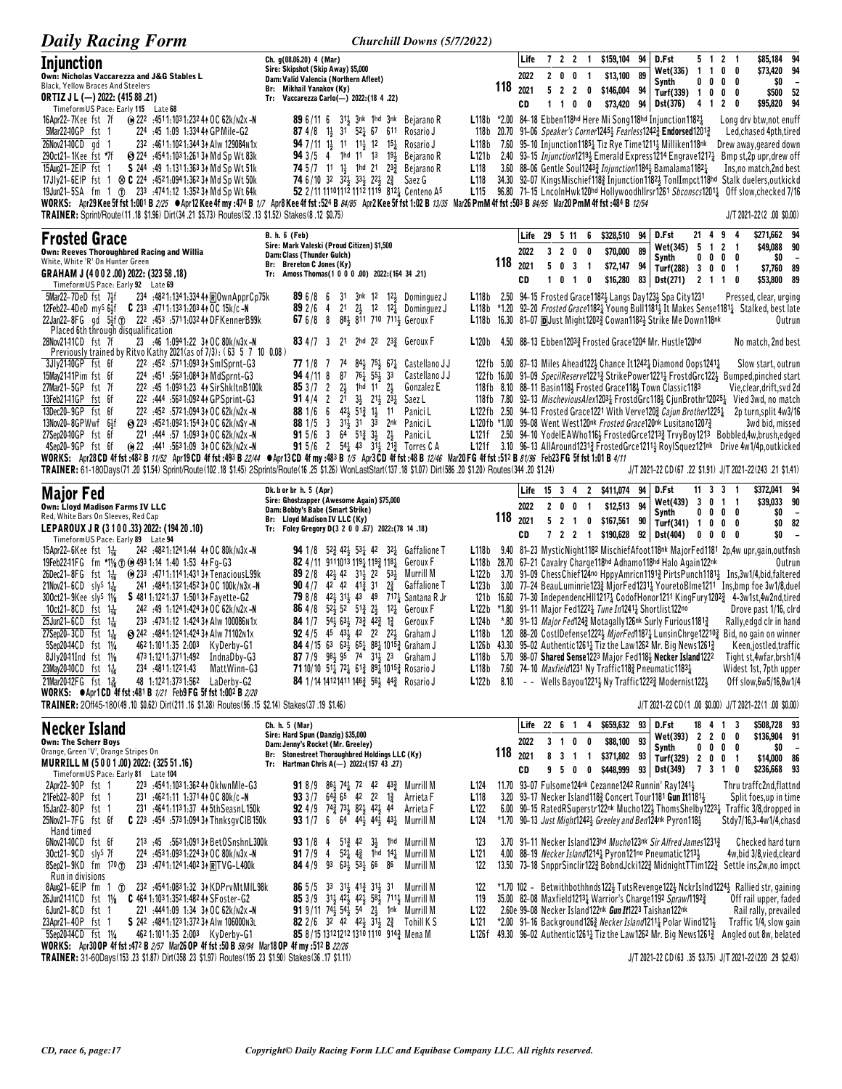| <b>Daily Racing Form</b>                                                                                                                                                                                                                                                                                                                                                                                                                                                                                                                                                                                                                                                                                                                                                                                                                                                                                                                                                                                                                  | Churchill Downs (5/7/2022)                                                                                                                                                                                                                                                                                                                                                                                                                                                                                                                                                                                                                                                                                                                                                                                       |                                                                              |                 |                            |                    |                          |                                                         |                                                              |          |                                                                                                                                                                                                                                                                                                                                                                                                                                                                                                                                               |                                   |              |                                                                                                                                                                                                                                                                                                                                                                                                                                                                                                                                                                                                                                                                                                                          |
|-------------------------------------------------------------------------------------------------------------------------------------------------------------------------------------------------------------------------------------------------------------------------------------------------------------------------------------------------------------------------------------------------------------------------------------------------------------------------------------------------------------------------------------------------------------------------------------------------------------------------------------------------------------------------------------------------------------------------------------------------------------------------------------------------------------------------------------------------------------------------------------------------------------------------------------------------------------------------------------------------------------------------------------------|------------------------------------------------------------------------------------------------------------------------------------------------------------------------------------------------------------------------------------------------------------------------------------------------------------------------------------------------------------------------------------------------------------------------------------------------------------------------------------------------------------------------------------------------------------------------------------------------------------------------------------------------------------------------------------------------------------------------------------------------------------------------------------------------------------------|------------------------------------------------------------------------------|-----------------|----------------------------|--------------------|--------------------------|---------------------------------------------------------|--------------------------------------------------------------|----------|-----------------------------------------------------------------------------------------------------------------------------------------------------------------------------------------------------------------------------------------------------------------------------------------------------------------------------------------------------------------------------------------------------------------------------------------------------------------------------------------------------------------------------------------------|-----------------------------------|--------------|--------------------------------------------------------------------------------------------------------------------------------------------------------------------------------------------------------------------------------------------------------------------------------------------------------------------------------------------------------------------------------------------------------------------------------------------------------------------------------------------------------------------------------------------------------------------------------------------------------------------------------------------------------------------------------------------------------------------------|
| Injunction<br>Own: Nicholas Vaccarezza and J&G Stables L<br><b>Black, Yellow Braces And Steelers</b><br><b>ORTIZ J L (-) 2022: (415 88 .21)</b><br>TimeformUS Pace: Early 115 Late 68                                                                                                                                                                                                                                                                                                                                                                                                                                                                                                                                                                                                                                                                                                                                                                                                                                                     | Ch. g(08.06.20) 4 (Mar)<br>Sire: Skipshot (Skip Away) \$5,000<br>Dam: Valid Valencia (Northern Afleet)<br>Br: Mikhail Yanakov (Ky)<br>Tr: Vaccarezza Carlo(-) 2022: (18 4 .22)                                                                                                                                                                                                                                                                                                                                                                                                                                                                                                                                                                                                                                   |                                                                              | 118             | Life<br>2022<br>2021<br>CD | 7 2 2<br>$1\quad1$ | $2 \t0 \t0$<br>$\pmb{0}$ | $\mathbf{1}$<br>$\overline{\mathbf{1}}$<br>$\mathbf{0}$ | \$159,104<br>\$13,100 89<br>5 2 2 0 \$146,004 94<br>\$73,420 | 94<br>94 | D.Fst<br>Wet(336) 1 1 0<br>Synth<br>Turf(339) $1 \t0 \t0 \t0$<br>Dst(376)                                                                                                                                                                                                                                                                                                                                                                                                                                                                     | $0\quad 0\quad 0\quad$<br>4 1 2 0 | 5 1 2 1      | \$85,184 94<br>\$73,420 94<br>0<br>0<br>SO.<br>$\overline{\phantom{a}}$<br>\$500 52<br>\$95,820 94                                                                                                                                                                                                                                                                                                                                                                                                                                                                                                                                                                                                                       |
| 16Apr22-7Kee fst 7f<br>(∩ 222 :4511:1031:232 4∧ OC 62k/n2x – N<br>5Mar2240GP fst 1<br>224 :45 1:09 1:334 44 GPMile-G2<br>26Nov21-10CD gd 1<br>232 :4611:1021:344 34 Alw 129084N1x<br>290ct21–1Kee fst *7f<br>Sol 224 :454 1:103 1:261 3↑ Md Sp Wt 83k<br>15Aug21-2EIP fst 1 S 244 :49 1:1311:363 34 Md Sp Wt 51k<br>17Jly21-6EIP fst 1 $\otimes$ C 224 :4521:0941:36234 Md Sp Wt 50k<br>19Jun21-5SA fm 1 T 233 :4741:12 1:352 34 Md Sp Wt 64k<br>WORKS: Apr29 Kee 5f fst 1:001 B 2/25 ●Apr12 Kee 4f my :474 B 1/7 Apr8 Kee 4f fst :524 B 84/85 Apr2 Kee 5f fst 1:02 B 13/35 Mar26 PmM 4f fst :503 B 84/95 Mar20 PmM 4f fst :484 B 12/54<br>TRAINER: Sprint/Route (11 .18 \$1.96) Dirt (34 .21 \$5.73) Routes (52 .13 \$1.52) Stakes (8 .12 \$0.75)                                                                                                                                                                                                                                                                                        | <b>89</b> 6/11 6 31 <sub>3</sub> 3nk 1hd 3nk Bejarano R<br>87 4/8 1 <sup>1</sup> / <sub>2</sub> 31 52 <sup>1</sup> / <sub>4</sub> 67 611 Rosario J<br><b>94</b> 7/11 1 <sup>1</sup> / <sub>3</sub> 1 <sup>1</sup> 1 <sup>1</sup> / <sub>3</sub> 1 <sup>2</sup> 1 <sup>5</sup> <sup>1</sup> / <sub>4</sub> Rosario J<br>94 3/5 4 1hd 11 13 19} Bejarano R<br>74 5/7 11 11 1 <sup>1</sup> 1 <sup>hd</sup> 21 23 <sup>3</sup> Bejarano R<br>74 6/10 32 323 333 223 23 Saez G<br>52 2/11 11101112 1112 1119 8121 Centeno A5                                                                                                                                                                                                                                                                                          | L118b<br>L <sub>118</sub><br>L <sub>118</sub><br>L <sub>115</sub>            |                 |                            |                    |                          |                                                         |                                                              |          | L118b *2.00 84-18 Ebben118hd Here Mi Song118hd Injunction11821<br>118b 20.70 91-06 Speaker's Corner12454 Fearless12422 Endorsed12012<br>7.60 95–10 Injunction1185 <sup>1</sup> Tiz Rye Time1211 <sup>1</sup> Milliken118 <sup>nk</sup><br>3.60 88-06 Gentle Soul12433 Injunction11843 Bamalama11821                                                                                                                                                                                                                                           |                                   |              | Long dry btw, not enuff<br>Led, chased 4pth, tired<br>Drew away, geared down<br>L121b 2.40 93-15 Injunction1219 <sub>2</sub> Emerald Express1214 Engrave1217 <sub>4</sub> Bmp st, 2p upr, drew off<br>Ins, no match, 2nd best<br>34.30 92–07 KingsMischief118 <sub>2</sub> Injunction1182 <sub>3</sub> TonlImpct118hd Stalk duelers,outkickd<br>96.80 71-15 LncolnHwk120hd Hollywoodhllrsr1261 Sbconscs12011 Off slow, checked 7/16<br>J/T 2021-22(2).00 \$0.00)                                                                                                                                                                                                                                                         |
| <b>Frosted Grace</b>                                                                                                                                                                                                                                                                                                                                                                                                                                                                                                                                                                                                                                                                                                                                                                                                                                                                                                                                                                                                                      | <b>B. h. 6 (Feb)</b>                                                                                                                                                                                                                                                                                                                                                                                                                                                                                                                                                                                                                                                                                                                                                                                             |                                                                              |                 |                            |                    |                          |                                                         | Life 29 5 11 6 \$328,510 94 D.Fst                            |          |                                                                                                                                                                                                                                                                                                                                                                                                                                                                                                                                               | 21 4 9                            |              | \$271,662 94<br>- 4                                                                                                                                                                                                                                                                                                                                                                                                                                                                                                                                                                                                                                                                                                      |
| Own: Reeves Thoroughbred Racing and Willia<br>White, White 'R' On Hunter Green<br>GRAHAM J (4002.00) 2022: (323 58.18)                                                                                                                                                                                                                                                                                                                                                                                                                                                                                                                                                                                                                                                                                                                                                                                                                                                                                                                    | Sire: Mark Valeski (Proud Citizen) \$1,500<br>Dam: Class (Thunder Gulch)<br>Br: Brereton C Jones (Ky)<br>Tr: Amoss Thomas(1 0 0 0 .00) 2022: (164 34 .21)                                                                                                                                                                                                                                                                                                                                                                                                                                                                                                                                                                                                                                                        |                                                                              | 118             | 2022<br>2021               |                    | 503                      | $3 \quad 2 \quad 0 \quad 0$<br>$\overline{\mathbf{1}}$  | \$70,000<br>\$72,147 94                                      | 89       | Wet(345) 5 1 2 1<br>Synth<br>Turf(288) 3 0 0 1                                                                                                                                                                                                                                                                                                                                                                                                                                                                                                |                                   | $0\ 0\ 0\ 0$ | \$49,088 90<br>SO.<br>$\overline{\phantom{a}}$<br>\$7,760 89                                                                                                                                                                                                                                                                                                                                                                                                                                                                                                                                                                                                                                                             |
| Timeform US Pace: Early 92 Late 69<br>5Mar22-7DeD fst 7 <sup>1</sup><br>234 .4821:1341:3344 ROwnApprCp75k<br>12Feb22-4DeD myS 64f C 233 :4711:1331:203 44 OC 15k/c-N                                                                                                                                                                                                                                                                                                                                                                                                                                                                                                                                                                                                                                                                                                                                                                                                                                                                      | 31 3nk 12 12} Dominguez J<br>896/86<br>$2\frac{1}{2}$ 12 12 Dominguez J<br>892/64<br>21                                                                                                                                                                                                                                                                                                                                                                                                                                                                                                                                                                                                                                                                                                                          |                                                                              |                 | CD                         |                    |                          | 1 0 1 0                                                 | \$16,280                                                     |          | 83   Dst(271) 2 1 1 0<br>L118b 2.50 94-15 Frosted Grace 1182 <sup>1</sup> Langs Day 123 <sup>1</sup> Spa City 1231                                                                                                                                                                                                                                                                                                                                                                                                                            |                                   |              | \$53,800 89<br>Pressed, clear, urging<br>L118b *1.20 92-20 Frosted Grace11821 Young Bull11811 It Makes Sense11811 Stalked, best late                                                                                                                                                                                                                                                                                                                                                                                                                                                                                                                                                                                     |
| 22Jan22-8FG gd 5 <sup>5</sup> <sub>2</sub> f <sup>o</sup> 222 :453 :5711:032 44 DFKennerB99k<br>Placed 6th through disqualification<br>23 :46 1:0941:22 34 OC 80k/n3x-N<br>28Nov2141CD fst 7f                                                                                                                                                                                                                                                                                                                                                                                                                                                                                                                                                                                                                                                                                                                                                                                                                                             | 67 $6/8$ 8<br>881 811 710 7111 Geroux F<br>83 4/7 3 21 2hd 22 233 Geroux F                                                                                                                                                                                                                                                                                                                                                                                                                                                                                                                                                                                                                                                                                                                                       | L120b                                                                        |                 |                            |                    |                          |                                                         |                                                              |          | <b>L118b</b> 16.30 81-07 <b>p</b> Uust Might1202 <sup>3</sup> Cowan1182 <sup>1</sup> / <sub>2</sub> Strike Me Down118 <sup>nk</sup><br>4.50 88-13 Ebben12033 Frosted Grace1204 Mr. Hustle120hd                                                                                                                                                                                                                                                                                                                                                |                                   |              | Outrun<br>No match, 2nd best                                                                                                                                                                                                                                                                                                                                                                                                                                                                                                                                                                                                                                                                                             |
| Previously trained by Ritvo Kathy 2021 (as of 7/3): (63 5 7 10 0.08)<br>3Jlv2140GP fst 6f<br>222 :452 :5711:093 34 SmlSprnt-G3<br>15May2141Pim fst 6f<br>224 :451 :5631:084 34 MdSprnt-G3<br>27Mar21-5GP fst 7f<br>222 :45 1:0931:23 44 SirShkltnB100k<br>13Feb2141GP fst 6f<br>222 :444 :5631:092 44 GPSprint-G3<br>13Dec20-9GP fst 6f<br>222 :452 :5721:094 34 OC 62k/n2x -N<br>13Nov20-8GPWwf 64f<br>S 223 :4521:0921:154 3↑ OC 62k/N\$Y -N<br>27Sep2040GP fst 6f<br>221 :444 :57 1:093 34 OC 62k/n2x -N<br>(e) 22 :441 :563 1:09 34 OC 62k/n2x -N<br>4Sep20-9GP fst 6f<br>WORKS: Apr28CD 4f fst:482 B 11/52 Apr19CD 4f fst:493 B 22/44 Apr13CD 4f my:483 B 1/5 Apr3CD 4f fst:48 B 12/46 Mar20 FG 4f fst:512 B 81/96 Feb23 FG 5f fst 1:01 B 4/11<br>TRAINER: 61-180Days(71.20 \$1.54) Sprint/Route(102.18 \$1.45) 2Sprints/Route(16.25 \$1.26) WonLastStart(137.18 \$1.07) Dirt(586.20 \$1.20) Routes(344.20 \$1.24)                                                                                                                   | 77 1/8 7<br>$84\frac{1}{2}$ 75 $\frac{1}{2}$ 67 $\frac{1}{4}$ Castellano JJ<br>74<br>$76\overline{4}$ 55 $\overline{1}$ 33<br>94 4/11 8<br>87<br>Castellano J J<br>$2\frac{1}{2}$ 1hd 11 $2\frac{1}{2}$<br>853/72<br>Gonzalez E<br><b>91</b> 4/4 2 21 3 <sup>1</sup> / <sub>2</sub> 2 <sup>1</sup> / <sub>2</sub> 2 <sup>3</sup> / <sub>4</sub><br>Saez L<br>881/66<br>$42\frac{1}{2}$ 51 $\frac{3}{4}$ 1 $\frac{1}{2}$ 11<br>Panici L<br>88 1/5 3 31 31 33<br>2nk PaniciL<br>$915/6$ 3<br>$64$ $51\frac{3}{4}$ $3\frac{1}{2}$ $2\frac{1}{2}$ Panici L<br>91 5/6 2 54 $\frac{1}{4}$ 43 31 $\frac{1}{2}$ 21 $\frac{3}{4}$ Torres C A                                                                                                                                                                              |                                                                              |                 |                            |                    |                          |                                                         |                                                              |          | 122fb 5.00 87-13 Miles Ahead 122 $\frac{1}{2}$ Chance It 1242 $\frac{1}{4}$ Diamond Oops 1241 $\frac{1}{4}$<br>118fb 8.10 88-11 Basin118} Frosted Grace118} Town Classic1183<br>L122fb 2.50 94-13 Frosted Grace1221 With Verve1203 Cajun Brother12251<br>L120fb *1.00 99-08 Went West120nk Frosted Grace120nk Lusitano1207 $\frac{3}{4}$                                                                                                                                                                                                      |                                   |              | Slow start, outrun<br>122fb 16.00 91-09 SpecilReserve12213 StrikePower12213 FrostdGrc1223 Bumped,pinched start<br>Vie,clear,drift,svd 2d<br>118fb 7.80 92-13 MischeviousAlex12031 FrostdGrc1181 CjunBrothr120251 Vied 3wd, no match<br>2p turn, split 4w3/16<br>3wd bid, missed<br>L121f 2.50 94-10 YodelEAWho1162 FrostedGrce12132 TrvyBoy1213 Bobbled,4w,brush,edged<br>L121f 3.10 96-13 AllAround12313 FrostedGrce12113 RoylSquez121nk Drive 4w1/4p, outkicked<br>J/T 2021-22 CD (67 .22 \$1.91) J/T 2021-22 (243 .21 \$1.41)                                                                                                                                                                                         |
| <b>Major Fed</b>                                                                                                                                                                                                                                                                                                                                                                                                                                                                                                                                                                                                                                                                                                                                                                                                                                                                                                                                                                                                                          | Dk. b or br h. 5 (Apr)<br>Sire: Ghostzapper (Awesome Again) \$75,000                                                                                                                                                                                                                                                                                                                                                                                                                                                                                                                                                                                                                                                                                                                                             |                                                                              |                 |                            |                    |                          |                                                         | Life 15 3 4 2 \$411,074                                      | 94       | D.Fst<br>Wet(439) 3 0 1 1                                                                                                                                                                                                                                                                                                                                                                                                                                                                                                                     | 11 3 3 1                          |              | \$372,041 94<br>\$39,033 90                                                                                                                                                                                                                                                                                                                                                                                                                                                                                                                                                                                                                                                                                              |
| Own: Lloyd Madison Farms IV LLC<br>Red, White Bars On Sleeves, Red Cap<br>LEPAROUX JR (3 1 0 0 .33) 2022: (194 20 .10)                                                                                                                                                                                                                                                                                                                                                                                                                                                                                                                                                                                                                                                                                                                                                                                                                                                                                                                    | Dam: Bobby's Babe (Smart Strike)<br>Br: Lloyd Madison IV LLC (Ky)<br>Tr: Foley Gregory D(3 2 0 0 .67) 2022: (78 14 .18)                                                                                                                                                                                                                                                                                                                                                                                                                                                                                                                                                                                                                                                                                          |                                                                              | 118             | 2022<br>2021<br>CD         |                    | 521                      | 2 0 0 1                                                 | \$12,513 94<br>0 \$167,561 90                                |          | Synth<br>Turf(341) $1 \t0 \t0 \t0$<br>7 2 2 1 \$190,628 92 Dst(404)                                                                                                                                                                                                                                                                                                                                                                                                                                                                           | $0\quad 0\quad 0\quad$            | $0\ 0\ 0\ 0$ | \$0<br>$\sim$<br>\$0 82<br>\$O<br>0                                                                                                                                                                                                                                                                                                                                                                                                                                                                                                                                                                                                                                                                                      |
| TimeformUS Pace: Early 89 Late 94<br>242 :4821:1241:44 44 OC 80k/n3x-N<br>15Apr22-6Kee fst $1\frac{1}{16}$<br>19Feb22-11FG fm *11/ <sub>8</sub> 10 (0) 493 1:14 1:40 1:53 4 + Fg-G3<br>26Dec21-8FG fst 11 (0233 .4711.1141.4313 + Tenacious L99k<br>21Nov21-6CD sly <sup>S</sup> $1\frac{1}{16}$<br>241 :484 1:132 1:452 34 OC 100k/N3x-N<br>$300ct21 - 9Kee$ sly <sup>s</sup> $1\frac{1}{8}$<br>S 481 1:122 1:37 1:501 34 Fayette-G2<br>10 $ct21 - 8CD$ fst $1\frac{1}{16}$<br>242 :49 1:1241:424 34 OC 62k/n2x -N<br>25Jun21-6CD fst $1\frac{1}{16}$<br>233 :4731:12 1:424 34 Alw 100086N1x<br>27Sep20-3CD fst 1 <sup>1</sup> / <sub>6</sub><br>S 242 :4841:1241:424 3↑ Alw 71102N1x<br>5Sep20-14CD fst 11/4<br>462 1:1011:35 2:003 KyDerby-G1<br>8Jly2041Ind fst 11/8<br>473 1:121 1:371 1:492 India Dby-G3<br>23May20-10CD fst 1 <sup>1</sup> / <sub>16</sub><br>234 :4811:1221:43<br>MattWinn-G3<br>21Mar20-12FG fst 1 용<br>48 1:1221:3731:562 LaDerby-G2<br>WORKS: $\bullet$ Apr1 CD 4f fst :481 B 1/21 Feb9 FG 5f fst 1:002 B 2/20 | <b>94</b> 1/8 $5^{24}$ 42 <sup>1</sup> 53 <sup>1</sup> 42 32 <sup>1</sup> Gaffalione T<br>82 4/11 9111013 1191 1193 1181 Geroux F<br>89 2/8 42 42 31 22 53 Murrill M<br><b>90</b> 4/7 42 42 41 <sup>3</sup> 31<br>$2\frac{3}{4}$<br><b>Gaffalione T</b><br>79 8/8 42 31 43 49 717 5 Santana R Jr<br><b>86</b> 4/8 $52\frac{1}{2}$ 52 $51\frac{3}{4}$ $2\frac{1}{2}$<br>12½ Geroux F<br><b>84</b> 1/7 $54\frac{1}{2}$ 63 <sub>2</sub> 73 <sub>4</sub> 42 <sub>4</sub> 1 <sub>4</sub> Geroux F<br><b>92</b> 4/5 45 43 <sup>1</sup> / <sub>3</sub> 42 22 22 <sup>1</sup> / <sub>3</sub> Graham J<br>84 4/15 63 63 $\frac{1}{2}$ 65 $\frac{1}{4}$ 88 $\frac{1}{4}$ 1015 $\frac{3}{4}$ Graham J<br>87 7/9 984 95 74 314 23 Graham J<br>71 10/10 51 72 61 89 1015 Rosario J<br>84 1/14 14121411 1463 561 443 Rosario J | L124b                                                                        |                 |                            |                    |                          |                                                         |                                                              |          | L118b 28.70 67-21 Cavalry Charge118hd Adhamo118hd Halo Again122nk<br><b>L122b</b> *1.80 91-11 Major Fed1222 $\frac{1}{4}$ Tune In1241 $\frac{1}{4}$ Shortlist122no<br>*.80 91-13 Major Fed1243 Motagally 126nk Surly Furious 11813<br>L118b 5.70 98-07 Shared Sense 1223 Major Fed1184 Necker Island 1222<br><b>L118b</b> 7.60 74-10 <i>Maxfield</i> 1231 Ny Traffic118 <sup>3</sup> Pneumatic1183 <sup>1</sup> / <sub>2</sub><br><b>L122b</b> 8.10 - - Wells Bayou1221 $\frac{1}{2}$ Ny Traffic1222 $\frac{3}{4}$ Modernist122 $\frac{1}{2}$ |                                   |              | L118b 9.40 81-23 MysticNight1182 MischiefAfoot118nk MajorFed1181 2p,4w upr,gain,outfnsh<br>Outrun<br>L122b 3.70 91-09 ChessChief124no HppyAmricn11913 PirtsPunch11811 Ins.3w1/4.bid.faltered<br>L123b 3.00 77-24 BeauLuminrie1233 MjorFed1231 YouretoBlme1211 Ins.bmp foe 3w1/8.duel<br>121b 16.60 71-30 IndependencHII12174 CodofHonor1211 KingFury12023 4-3w1st,4w2nd,tired<br>Drove past 1/16, cird<br>Rally, edgd cir in hand<br>L118b 1.20 88-20 CostIDefense12223 MjorFed11873 LunsinChrge122103 Bid, no gain on winner<br>L126b 43.30 95-02 Authentic12614 Tiz the Law1262 Mr. Big News1261 $\frac{3}{4}$ Keen, jostled, traffic<br>Tight st, 4wfar, brsh1/4<br>Widest 1st, 7pth upper<br>Off slow, 6w5/16, 8w1/4 |
| TRAINER: 20ff45-180(49 .10 \$0.62) Dirt(211 .16 \$1.38) Routes (96 .15 \$2.14) Stakes (37 .19 \$1.46)                                                                                                                                                                                                                                                                                                                                                                                                                                                                                                                                                                                                                                                                                                                                                                                                                                                                                                                                     |                                                                                                                                                                                                                                                                                                                                                                                                                                                                                                                                                                                                                                                                                                                                                                                                                  |                                                                              |                 |                            | Life 22 6 1        |                          | 4                                                       | \$659,632 93 D.Fst                                           |          |                                                                                                                                                                                                                                                                                                                                                                                                                                                                                                                                               |                                   |              | J/T 2021-22 CD(1.00 \$0.00) J/T 2021-22(1.00 \$0.00)<br>\$508,728 93                                                                                                                                                                                                                                                                                                                                                                                                                                                                                                                                                                                                                                                     |
| <b>Necker Island</b><br><b>Own: The Scherr Boys</b><br>Orange, Green 'V', Orange Stripes On<br>MURRILL M (5001.00) 2022: (325 51.16)                                                                                                                                                                                                                                                                                                                                                                                                                                                                                                                                                                                                                                                                                                                                                                                                                                                                                                      | Ch. h. 5 (Mar)<br>Sire: Hard Spun (Danzig) \$35,000<br>Dam: Jenny's Rocket (Mr. Greeley)<br>Br: Stonestreet Thoroughbred Holdings LLC (Ky)<br>Tr: Hartman Chris A(-) 2022: (157 43 .27)                                                                                                                                                                                                                                                                                                                                                                                                                                                                                                                                                                                                                          |                                                                              | $118$ $_{2021}$ | 2022<br>CD                 |                    | 3 1 0 0<br>950           |                                                         | \$88,100 93                                                  |          | Wet(393) 2 2 0 0<br>Synth<br>8 3 1 1 \$371,802 93 Turf(329) 2 0 0 1<br>0 \$448,999 93 Dst(349) 7 3 1 0                                                                                                                                                                                                                                                                                                                                                                                                                                        | 18 4 1 3                          | $0\ 0\ 0\ 0$ | \$136,904 91<br>$\frac{1}{20}$ –<br>\$14,000 86<br>\$236,668 93                                                                                                                                                                                                                                                                                                                                                                                                                                                                                                                                                                                                                                                          |
| TimeformUS Pace: Early 81 Late 104<br>2Apr22-90P fst 1<br>223 :4541:1031:36244 OklwnMle-G3<br>21Feb22-80P fst 1<br>231 :4621:11 1:371 44 OC 80k/c-N<br>15Jan22-80P fst 1<br>231 :4641:1131:37 44 5thSeasnL150k<br>25Nov21-7FG fst 6f<br>C 223 :454 :573 1:094 34 Thnksgy CIB 150k<br>Hand timed                                                                                                                                                                                                                                                                                                                                                                                                                                                                                                                                                                                                                                                                                                                                           | <b>91</b> 8/9 86 $\frac{1}{2}$ 74 $\frac{1}{4}$ 72 42 43 $\frac{3}{4}$ Murrill M<br><b>93</b> 3/7 $64\frac{3}{4}$ 65 42 22 $1\frac{3}{4}$<br>Arrieta F<br><b>92</b> 4/9 74 <sup>3</sup> / <sub>2</sub> 73 <sup>1</sup> / <sub>3</sub> 82 <sup>1</sup> / <sub>3</sub> 42 <sup>1</sup> / <sub>3</sub> 44<br>Arrieta F<br>93 1/7 6 64 44 $\frac{1}{2}$ 44 $\frac{1}{2}$ 43 $\frac{1}{4}$ Murrill M                                                                                                                                                                                                                                                                                                                                                                                                                  | L <sub>124</sub><br>L <sub>118</sub><br>L <sub>122</sub><br>L <sub>124</sub> |                 |                            |                    |                          |                                                         |                                                              |          | 11.70 93-07 Fulsome124nk Cezanne1242 Runnin' Ray12413<br>3.20 93-17 Necker Island1183 Concert Tour1181 Gun It11813<br>*1.70 90-13 Just Might1242 <sub>2</sub> Greeley and Ben124nk Pyron118 <sub>2</sub>                                                                                                                                                                                                                                                                                                                                      |                                   |              | Thru traffc2nd,flattnd<br>Split foes, up in time<br>6.00 90-15 RatedRSuperstr122nk Mucho122} ThomsShelby1223} Traffic 3/8, dropped in<br>Stdy7/16,3-4w1/4,chasd                                                                                                                                                                                                                                                                                                                                                                                                                                                                                                                                                          |
| 6Nov2140CD fst 6f<br>213 :45 :5631:09134 BetOSnshnL300k<br>224 :453 1:093 1:224 34 OC 80k/n3x -N<br>30ct21-9CD slys 7f<br>$8$ Sep21-9KD fm 170 $\sigma$<br>233 :4741:1241:4023+RTVG-L400k<br>Run in divisions                                                                                                                                                                                                                                                                                                                                                                                                                                                                                                                                                                                                                                                                                                                                                                                                                             | <b>93</b> 1/8 4 5 <sup>13</sup> / <sub>2</sub> 42 3 <sup>1</sup> / <sub>3</sub> 1hd Murrill M<br><b>91</b> 7/9 4 $52\frac{1}{4}$ 4 <sup>3</sup> 1hd 14 <sup>1</sup> Murrill M<br>84 4/9 93 631 531 66 86<br>Murrill M                                                                                                                                                                                                                                                                                                                                                                                                                                                                                                                                                                                            | 123<br>L <sub>121</sub><br>122                                               |                 |                            |                    |                          |                                                         |                                                              |          | 3.70 91-11 Necker Island123hd Mucho123nk Sir Alfred James1231 <sup>3</sup><br>4.00 88-19 Necker Island12141 Pyron121no Pneumatic12131                                                                                                                                                                                                                                                                                                                                                                                                         |                                   |              | Checked hard turn<br>4w,bid 3/8,vied,cleard<br>13.50 73-18 SnpprSinclir1223 BobndJcki1223 MidnightTTim1223 Settle ins,2w,no impct                                                                                                                                                                                                                                                                                                                                                                                                                                                                                                                                                                                        |
| 8Aug21-6EIP fm 1 1 232 :4541:0831:32 34 KDPrvMtMIL98k<br>26Jun2141CD fst 11/8 C 464 1:103 1:352 1:482 44 SFoster-G2<br>$6$ Jun21-8 $CD$ fst 1<br>221 :4441:09 1:34 34 OC 62k/n2x -N<br>23Apr21-40P fst 1<br>S 242 :4841:1231:3723 Alw 106000 N3L<br>5Sep2044CD fst 11/4<br>4621:1011:35 2:003 KyDerby-G1<br>WORKS: Apr30 OP 4f fst :472 B 2/57 Mar26 OP 4f fst :50 B 58/94 Mar18 OP 4f my :512 B 22/26                                                                                                                                                                                                                                                                                                                                                                                                                                                                                                                                                                                                                                    | <b>86</b> $5/5$ 3 <sup>3</sup> 3 <sup>1</sup> / <sub>3</sub> 4 <sup>1</sup> / <sub>3</sub> 3 <sup>1</sup> / <sub>3</sub> 3 <sup>1</sup> Murrill M<br>85 3/9 313 423 423 583 7113 Murrill M<br><b>91</b> 9/11 74 $\frac{1}{2}$ 54 $\frac{1}{2}$ 54 2 $\frac{1}{2}$ 1nk Murrill M<br><b>82</b> 2/6 32 42 42 31 2 <sup>3</sup> Tohill K S<br>85 8/15 13121212 1310 1110 9143 Mena M                                                                                                                                                                                                                                                                                                                                                                                                                                 | 122<br>119<br>L <sub>122</sub><br>L121<br>L126f                              |                 |                            |                    |                          |                                                         |                                                              |          | 35.00 82-08 Maxfield12131 Warrior's Charge1192 Spraw/11921<br>2.60e 99-08 Necker Island122nk Gun It1223 Taishan122nk<br>*2.00 91-16 Background 126 Necker Island 1211 Polar Wind 121 }                                                                                                                                                                                                                                                                                                                                                        |                                   |              | *1.70 102 - Betwithbothhnds122} TutsRevenge122} NckrIslnd1224} Rallied str, gaining<br>Off rail upper, faded<br>Rail rally, prevailed<br>Traffic 1/4, slow gain<br>49.30 96-02 Authentic 1261 $\frac{1}{4}$ Tiz the Law 126 <sup>2</sup> Mr. Big News 1261 $\frac{3}{4}$ Angled out 8w, belated                                                                                                                                                                                                                                                                                                                                                                                                                          |
| (11.11) TRAINER: 31-60Days (153 .23 \$1.87) Dirt (358 .23 \$1.97) Routes (195 .23 \$1.90) Stakes (36 .17 \$1.11)                                                                                                                                                                                                                                                                                                                                                                                                                                                                                                                                                                                                                                                                                                                                                                                                                                                                                                                          |                                                                                                                                                                                                                                                                                                                                                                                                                                                                                                                                                                                                                                                                                                                                                                                                                  |                                                                              |                 |                            |                    |                          |                                                         |                                                              |          |                                                                                                                                                                                                                                                                                                                                                                                                                                                                                                                                               |                                   |              | J/T 2021-22 CD(63 .35 \$3.75) J/T 2021-22(220 .29 \$2.43)                                                                                                                                                                                                                                                                                                                                                                                                                                                                                                                                                                                                                                                                |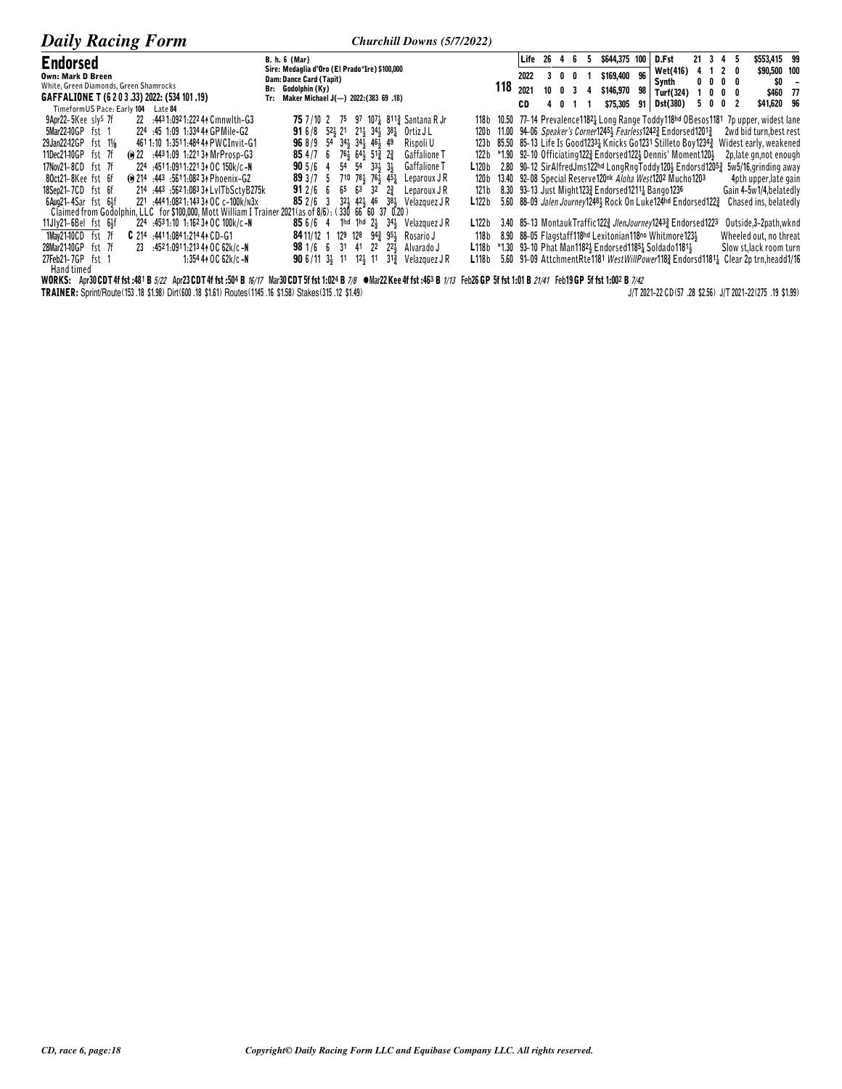| <b>Daily Racing Form</b>                                                                                | <b>Churchill Downs (5/7/2022)</b>                                                       |        |         |    |     |               |    |                                                               |    |   |                              |                                                                                                           |
|---------------------------------------------------------------------------------------------------------|-----------------------------------------------------------------------------------------|--------|---------|----|-----|---------------|----|---------------------------------------------------------------|----|---|------------------------------|-----------------------------------------------------------------------------------------------------------|
| <b>Endorsed</b>                                                                                         | <b>B. h. 6 (Mar)</b>                                                                    |        | Life 26 |    |     | \$644,375 100 |    | D.Fst                                                         |    |   | 21 3 4 5                     | \$553.415 99                                                                                              |
| <b>Own: Mark D Breen</b>                                                                                | Sire: Medaglia d'Oro (El Prado*Ire) \$100,000<br>Dam: Dance Card (Tapit)                |        | 2022    |    |     | \$169,400     | 96 | Wet(416)                                                      |    |   | 4 1 2 0                      | \$90,500 100                                                                                              |
| White, Green Diamonds, Green Shamrocks                                                                  | Br: Godolphin (Ky)                                                                      | 118    | 2021    | 10 |     | \$146,970     | 98 | Synth<br>Turf(324)                                            |    |   | $0\,0\,0\,0$                 | SO.                                                                                                       |
| GAFFALIONE T (6 2 0 3 .33) 2022: (534 101 .19)                                                          | Tr: Maker Michael J(-) 2022: (383 69 .18)                                               |        |         |    |     |               |    |                                                               |    |   | $0\quad 0\quad 0\quad$       | \$460 77                                                                                                  |
| TimeformUS Pace: Early 104 Late 84                                                                      |                                                                                         |        | CD      |    | 401 | \$75,305      |    | 91 Dst(380)                                                   | 5. | 0 | 0<br>$\overline{\mathbf{2}}$ | \$41,620 96                                                                                               |
| 22 :4431:0921:22244 Cmnwlth-G3<br>9Apr22-5Kee sly <sup>s</sup> 7f                                       | 75 7/10 2 75 97 107 811 & Santana R Jr                                                  | 118 b  |         |    |     |               |    |                                                               |    |   |                              | 10.50 77-14 Prevalence1182 Long Range Toddy118hd OBesos1181 7p upper, widest lane                         |
| 5Mar2240GP fst 1<br>224 :45 1:09 1:334 44 GPMile-G2                                                     | <b>91</b> 6/8 52 21 21 34 38<br>Ortiz J L                                               | 120 b  |         |    |     |               |    | 11.00 94-06 Speaker's Corner12453 Fearless12423 Endorsed12013 |    |   |                              | 2wd bid turn, best rest                                                                                   |
| 29Jan22-12GP fst 11/8<br>4611:10 1:3511:484 44 PWCInvit-G1                                              | 96 8/9 54 341 341 461 49<br>Rispoli U                                                   | 123 b  |         |    |     |               |    | 85.50 85-13 Life Is Good12331 Knicks Go1231 Stilleto Boy12343 |    |   |                              | Widest early, weakened                                                                                    |
| (e) 22 :4431:09 1:2213 + MrProsp-G3<br>11Dec21-10GP fst 7f                                              | 85 4 / 7 6 76 4 64 51 $\frac{3}{4}$ 2<br>Gaffalione T                                   | 122 b  |         |    |     |               |    | *1.90 92–10 Officiating122} Endorsed122} Dennis' Moment120}   |    |   |                              | 2p, late gn, not enough                                                                                   |
| 17Nov21-8CD fst 7f<br>224 :4511:0911:22134 OC 150k/c-N                                                  | $54$ $54$ $33\frac{1}{2}$ $3\frac{1}{2}$<br><b>Gaffalione T</b><br>$905/6$ 4            | L120 b |         |    |     |               |    | 2.80 90-12 SirAlfredJms122hd LongRngToddy1204 Endorsd12053    |    |   |                              | 5w5/16, grinding away                                                                                     |
| (ii) 214 :443 :5611:082 34 Phoenix-G2<br>80ct21-8Kee fst 6f                                             | <b>89</b> 3 /7 5 710 78 $\frac{1}{2}$ 76 $\frac{1}{2}$ 45 $\frac{1}{4}$<br>Leparoux J R | 120 b  |         |    |     |               |    | 13.40 92-08 Special Reserve120nk Aloha West1202 Mucho1203     |    |   |                              | 4pth upper, late gain                                                                                     |
| 214 :443 :5621:083 34 LvITbSctyB275k<br>18Sep21-7CD fst 6f                                              | 91 2/6 6 65 63 32<br>$2\frac{3}{7}$<br>Leparoux J R                                     | 121 b  |         |    |     |               |    | 8.30 93-13 Just Might1233 Endorsed1211 Bango1236              |    |   |                              | Gain 4-5w1/4, belatedly                                                                                   |
| 221 :444 1:082 1:143 34 OC c-100k/N3x<br>6Aug21-4Sar fst 64f                                            | 384 Velazquez JR<br>321, 421, 46<br>852/63                                              | L122b  |         |    |     |               |    | 5.60 88-09 Jalen Journey1248 Rock On Luke124hd Endorsed1223   |    |   |                              | Chased ins, belatedly                                                                                     |
| Claimed from Godolphin, LLC for \$100,000, Mott William I Trainer 2021 (as of 8/6): (330 66 60 37 0.20) |                                                                                         |        |         |    |     |               |    |                                                               |    |   |                              |                                                                                                           |
| 224 :4531:10 1:162 34 OC 100k/c-N<br>11Jly21-6Bel fst 64f                                               | <b>85</b> 6/6 4 1hd 1hd $2\frac{1}{2}$ 34 $\frac{1}{2}$ Velazquez JR                    | L122b  |         |    |     |               |    | 3.40 85-13 MontaukTraffic1223 JlenJourney12433 Endorsed1223   |    |   |                              | Outside, 3-2path, wknd                                                                                    |
| 1Mav21-10CD fst 7f<br>C 214 :4411:0841:214 44 CD-G1                                                     | 129 128 943 953<br>Rosario J<br>84 11/12 1                                              | 118 b  |         |    |     |               |    | 8.90 88-05 Flagstaff118hd Lexitonian118no Whitmore1231        |    |   |                              | Wheeled out, no threat                                                                                    |
| 23 4521:0911:213 44 OC 62k/c-N<br>28Mar2140GP fst 7f                                                    | $22\frac{1}{2}$<br><b>98</b> 1/6 6 31 41 22<br>Alvarado J                               | L118b  |         |    |     |               |    | *1.30 93-10 Phat Man11824 Endorsed11854 Soldado11814          |    |   |                              | Slow st, lack room turn                                                                                   |
| 27Feb21-7GP fst 1<br>$1:354440C62k/c-N$                                                                 | <b>90</b> 6/11 34 11 124 11 313<br>Velazquez J R                                        | L118b  |         |    |     |               |    |                                                               |    |   |                              | 5.60 91-09 AttchmentRte1181 WestWillPower118 <sup>3</sup> Endorsd1181 <sup>1</sup> Clear 2p trn,headd1/16 |
| Hand timed                                                                                              |                                                                                         |        |         |    |     |               |    |                                                               |    |   |                              |                                                                                                           |

WORKS: Apr30CDT4f fst:481 B 5/22 Apr23CDT4f fst:504 B 16/17 Mar30CDT5f fst 1:024 B 7/8 WORKS: Apr30CDT4f fst:483 B 1/13 Feb26 GP 5f fst 1:01 B 21/41 Feb19 GP 5f fst 1:002 B 7/42<br>TRAINER: Sprint/Route(153.18 \$1.98) Dirt(600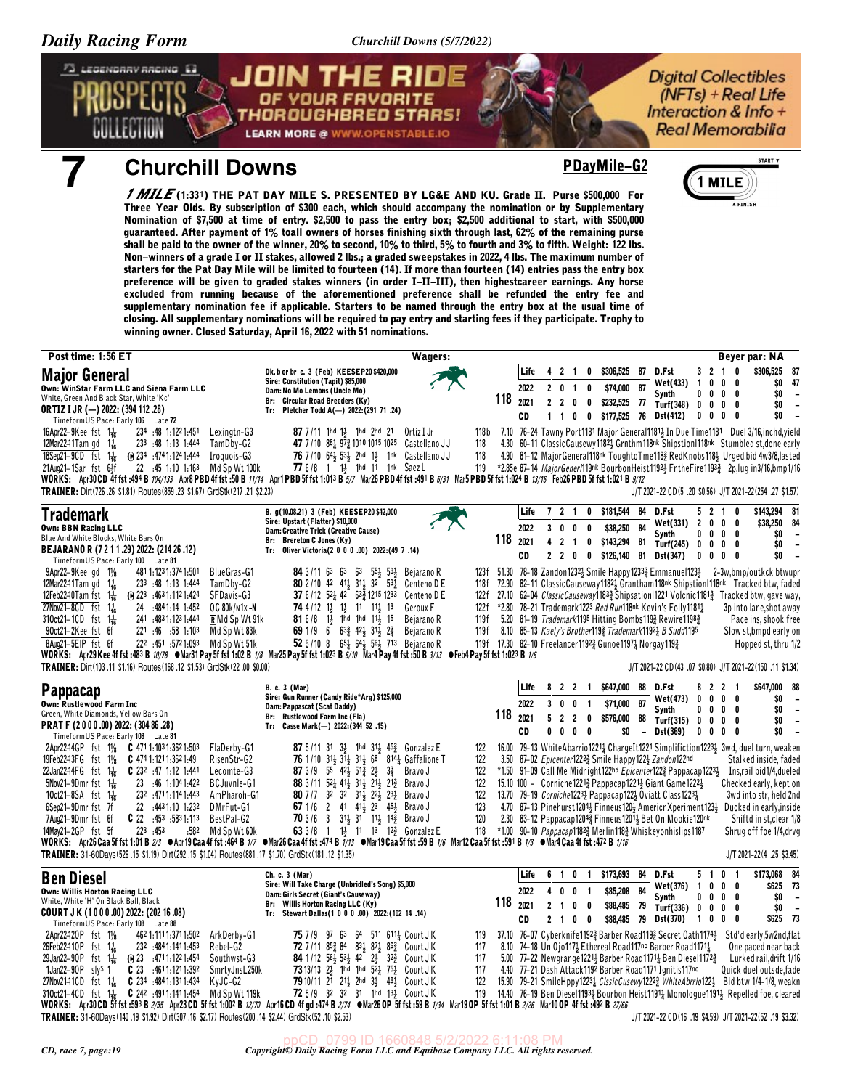73 LEGENDARY RACING E3

**Digital Collectibles**  $(NFTs) + Real Life$ Interaction & Info + **Real Memorabilia** 

## *Churchill Downs* **PDayMile-G2**



*1 MILE* **(1:33¦) THE PAT DAY MILE S. PRESENTED BY LG&E AND KU. Grade II. Purse \$500,000 For Three Year Olds. By subscription of \$300 each, which should accompany the nomination or by Supplementary Nomination of \$7,500 at time of entry. \$2,500 to pass the entry box; \$2,500 additional to start, with \$500,000 guaranteed. After payment of 1% toall owners of horses finishing sixth through last, 62% of the remaining purse shall be paid to the owner of the winner, 20% to second, 10% to third, 5% to fourth and 3% to fifth. Weight: 122 lbs. Non-winners of a grade I or II stakes, allowed 2 lbs.; a graded sweepstakes in 2022, 4 lbs. The maximum number of starters for the Pat Day Mile will be limited to fourteen (14). If more than fourteen (14) entries pass the entry box preference will be given to graded stakes winners (in order I-II-III), then highestcareer earnings. Any horse excluded from running because of the aforementioned preference shall be refunded the entry fee and supplementary nomination fee if applicable. Starters to be named through the entry box at the usual time of closing. All supplementary nominations will be required to pay entry and starting fees if they participate. Trophy to winning owner. Closed Saturday, April 16, 2022 with 51 nominations.**

THOROUGHBRED STARS!

**LEARN MORE @ WWW.OPENSTABLE.IO** 

| Post time: 1:56 ET                                                                                                                                                                                                                                                                                                                                                                                                                                                                                                                                                                                                                                                                                                                                                                                                                                                | Wagers:                                                                                                                                                                                                                                                                                                                                                                                                                 |                                                      |                            |                                                                                   |                                                                          |                                                                           |                                                                                                                                                                                                                                                                        | <b>Beyer par: NA</b>                                                                                                                                                                                                                                                                                                                                                                                                                                                                                                                                    |
|-------------------------------------------------------------------------------------------------------------------------------------------------------------------------------------------------------------------------------------------------------------------------------------------------------------------------------------------------------------------------------------------------------------------------------------------------------------------------------------------------------------------------------------------------------------------------------------------------------------------------------------------------------------------------------------------------------------------------------------------------------------------------------------------------------------------------------------------------------------------|-------------------------------------------------------------------------------------------------------------------------------------------------------------------------------------------------------------------------------------------------------------------------------------------------------------------------------------------------------------------------------------------------------------------------|------------------------------------------------------|----------------------------|-----------------------------------------------------------------------------------|--------------------------------------------------------------------------|---------------------------------------------------------------------------|------------------------------------------------------------------------------------------------------------------------------------------------------------------------------------------------------------------------------------------------------------------------|---------------------------------------------------------------------------------------------------------------------------------------------------------------------------------------------------------------------------------------------------------------------------------------------------------------------------------------------------------------------------------------------------------------------------------------------------------------------------------------------------------------------------------------------------------|
| <b>Major General</b><br>Own: WinStar Farm LLC and Siena Farm LLC<br>White, Green And Black Star, White 'Kc'<br><b>ORTIZ I JR (-) 2022: (394 112 .28)</b><br>TimeformUS Pace: Early 106 Late 72                                                                                                                                                                                                                                                                                                                                                                                                                                                                                                                                                                                                                                                                    | Dk. b or br c. 3 (Feb) KEESEP20\$420,000<br>Sire: Constitution (Tapit) \$85,000<br>Dam: No Mo Lemons (Uncle Mo)<br><b>Circular Road Breeders (Ky)</b><br>Br:<br>Pletcher Todd A(-) 2022: (291 71 .24)<br>Tr:                                                                                                                                                                                                            | 118                                                  | Life<br>2022<br>2021<br>CD | $\overline{2}$<br>4<br>2 0 1<br>$\mathbf{2}$<br>$\overline{2}$<br>$1\quad1\quad0$ | -1<br>0<br>0<br>0<br>0                                                   | \$306,525<br>87<br>\$74,000<br>87<br>\$232,525<br>- 77<br>0 \$177,525 76  | $3 \t2 \t1$<br>D.Fst<br>$\overline{1}$<br>0<br>Wet(433)<br>Synth<br>0<br>0<br>Turf(348)<br>0<br>0<br><b>Dst(412)</b><br>0<br>0                                                                                                                                         | \$306,525<br>0<br>87<br>\$0<br>47<br>$\mathbf{0}$<br>0<br>\$0<br>$0\quad 0$<br>$\overline{\phantom{a}}$<br>\$0<br>$0\quad 0$<br>$\sim$<br>\$0<br>$0\quad 0$                                                                                                                                                                                                                                                                                                                                                                                             |
| 16Apr22-9Kee fst $1\frac{1}{16}$<br>234 48 1:1221:451<br>Lexingtn-G3<br>233 :48 1:13 1:444<br>TamDby-G2<br>12Mar2241Tam gd $1\frac{1}{16}$<br>18Sep21-9CD fst $1\frac{1}{16}$<br>$\omega$ 234 $\cdot$ 4741.1241.444<br>Iroguois-G3<br>22 :45 1:10 1:163<br>21Aug21-1Sar fst 6}f<br>Md Sp Wt 100k<br>WORKS: Apr30 CD 4f fst:494 B 104/133 Apr8 PBD 4f fst:50 B 11/14 Apr1 PBD 5f fst 1:013 B 5/7 Mar26 PBD 4f fst:491 B 6/31 Mar5 PBD 5f fst 1:024 B 13/16 Feb26 PBD 5f fst 1:021 B 9/12<br>TRAINER: Dirt(726 .26 \$1.81) Routes(859 .23 \$1.67) GrdStk(217 .21 \$2.23)                                                                                                                                                                                                                                                                                            | 87 7/11 1hd 1½ 1hd 2hd 21<br>Ortiz I Jr<br>47 7/10 8 <sup>8</sup> <sup>1</sup> <sub>2</sub> 97 <sup>2</sup> <sub>2</sub> 1010 1015 1025 Castellano JJ<br>76 7/10 64  53  2hd 1  1nk Castellano JJ<br>77 6/8 1 1} 1hd 11 1nk Saez L                                                                                                                                                                                      | 118 b<br>118<br>118<br>119                           |                            |                                                                                   |                                                                          |                                                                           |                                                                                                                                                                                                                                                                        | 7.10 76-24 Tawny Port1181 Major General1181 In Due Time1181 Duel 3/16, inchd, yield<br>4.30 60-11 ClassicCausewy1182} Grnthm118nk Shipstion1118nk Stumbled st, done early<br>4.90 81-12 Major General118nk Toughto Tme1183 RedKnobs1183 Urged, bid 4w3/8, lasted<br>*2.85e 87-14 MajorGener/119nk BourbonHeist1192 <sub>2</sub> FntheFire1193 <sub>4</sub> 2p,lug in3/16,bmp1/16<br>J/T 2021-22 CD (5 .20 \$0.56) J/T 2021-22 (254 .27 \$1.57)                                                                                                          |
| Trademark<br><b>Own: BBN Racing LLC</b><br>Blue And White Blocks, White Bars On<br>BEJARANO R (7 2 1 1 .29) 2022: (214 26 .12)<br>TimeformUS Pace: Early 100 Late 81<br>481 1:123 1:374 1:501<br>$9$ Apr22- $9$ Kee qd $1\%$<br><b>BlueGras-G1</b><br>12Mar22-11Tam gd $1\frac{1}{16}$<br>233 :48 1:13 1:444<br>TamDby-G2<br>SFDavis-G3<br>12Feb22-10Tam fst $1\frac{1}{16}$<br>$\omega$ 223 .4631.1121.424<br>27Nov21-8CD fst $1\frac{1}{16}$<br>24 :4841:14 1:452<br>OC 80k/n1x-N                                                                                                                                                                                                                                                                                                                                                                               | B. g(10.08.21) 3 (Feb) KEESEP20 \$42,000<br>Sire: Upstart (Flatter) \$10,000<br>Dam: Creative Trick (Creative Cause)<br>Br: Brereton C Jones (Ky)<br>Tr: Oliver Victoria(2 0 0 0 .00) 2022: (49 7 .14)<br><b>84</b> 3/11 63 63 63 554 594<br>Bejarano R<br>80 2/10 42 411 311 32 531<br>Centeno D E<br>37 6/12 52 42 63 21215 1233<br>Centeno D E<br>74 4/12 $1\frac{1}{2}$<br>1} 11 11} 13<br>Geroux F                 | 118<br>123f<br>72.90<br>118f<br>122f<br>122f         | Life<br>2022<br>2021<br>CD | 7 <sub>2</sub><br>3<br>0<br>$\overline{2}$<br>4<br>$\mathbf{2}$<br>$\mathbf{2}$   | $\overline{1}$<br>$\mathbf 0$<br>0<br>0<br>$\overline{1}$<br>0<br>0<br>0 | \$181,544<br>84<br>84<br>\$38,250<br>\$143,294<br>81<br>\$126,140<br>81   | D.Fst<br>52<br>Wet(331)<br>$\overline{2}$<br>0<br>Synth<br>0<br>0<br>Turf $(245)$ 0<br>0<br>Dst(347)<br>0<br>0<br>*2.80 78-21 Trademark1223 Red Run118nk Kevin's Folly11811                                                                                            | \$143,294 81<br>10<br>$0\quad 0$<br>\$38,250<br>84<br>\$0<br>0<br>0<br>$\overline{\phantom{a}}$<br>\$0<br>$0\quad 0$<br>$\overline{\phantom{a}}$<br>\$0<br>0<br>0<br>$\overline{\phantom{a}}$<br>51.30 78–18 Zandon1232 Smile Happy1233 Emmanuel123 $\frac{1}{2}$ 2–3w, bmp/outkck btwupr<br>82–11 Classic Causeway 1182 + Grantham 118 <sup>nk</sup> Shipstion 118 <sup>nk</sup> Tracked btw, faded<br>27.10 62-04 <i>ClassicCauseway</i> 1183 <sub>2</sub> Shipsation11221 Volcnic1181 <sub>2</sub> Tracked btw, gave way,<br>3p into lane, shot away |
| 310ct21-1CD fst 1 <sup>1</sup> / <sub>16</sub><br>241 4831.1231.444<br><b>RMd Sp Wt 91k</b><br>90ct21-2Kee fst 6f<br>221 :46 :58 1:103<br>Md Sp Wt 83k<br>8Aug21-5EIP fst 6f<br>222 451 5721.093<br>Md Sp Wt 51k<br>WORKS: Apr29 Kee 4f fst :483 B 10/78 • Mar31 Pay 5f fst 1:02 B 1/8 Mar25 Pay 5f fst 1:023 B 6/10 Mar4 Pay 4f fst :50 B 3/13 • Feb4 Pay 5f fst 1:023 B 1/6<br>TRAINER: Dirt(103.11 \$1.16) Routes(168.12 \$1.53) GrdStk(22.00 \$0.00)                                                                                                                                                                                                                                                                                                                                                                                                          | <b>81</b> 6/8 1 <sup>1</sup> / <sub>2</sub><br>1hd 1hd 111, 15<br>Bejarano R<br>69 1/9 6 $63\frac{3}{4}$ 42 $31\frac{1}{2}$ 2 $\frac{3}{4}$<br>Bejarano R<br>52 5/10 8 651 641 561 713 Bejarano R<br>B. c. 3 (Mar)                                                                                                                                                                                                      | 119f<br>119 f                                        | Life                       | 8<br>$\mathbf{2}$                                                                 | $\overline{2}$<br>-1                                                     | 119f 17.30 82-10 Freelancer11923 Gunoe11971 Norgay1193<br>\$647,000<br>88 | 5.20 81-19 Trademark1195 Hitting Bombs1193 Rewire11983<br>8.10 85-13 Kaely's Brother 193 Trademark 11921 B Sudd 1195<br>D.Fst<br>8<br>$\overline{2}$                                                                                                                   | Pace ins, shook free<br>Slow st, bmpd early on<br>Hopped st, thru 1/2<br>J/T 2021-22 CD(43 .07 \$0.80) J/T 2021-22(150 .11 \$1.34)<br>\$647,000<br>88<br>$\mathbf{2}$<br>- 1                                                                                                                                                                                                                                                                                                                                                                            |
| <b>Pappacap</b><br>Own: Rustlewood Farm Inc<br>Green, White Diamonds, Yellow Bars On<br>PRAT F (2000.00) 2022: (304 86.28)<br>TimeformUS Pace: Early 108 Late 81                                                                                                                                                                                                                                                                                                                                                                                                                                                                                                                                                                                                                                                                                                  | Sire: Gun Runner (Candy Ride*Arg) \$125,000<br>Dam: Pappascat (Scat Daddy)<br><b>Rustlewood Farm Inc (Fla)</b><br>Br:<br>Tr: Casse Mark(-) 2022: (344 52 .15)                                                                                                                                                                                                                                                           | 118                                                  | 2022<br>2021<br>CD         | 3<br>0<br>5<br>0<br>Λ                                                             | 0<br>-1<br>2 2<br>0<br>0<br>0                                            | 87<br>\$71,000<br>\$576,000<br>88<br>\$0                                  | Wet(473)<br>0<br>0<br>Synth<br>0<br>0<br>Turf(315)<br>$\mathbf{0}$<br>0<br>Dst(369)<br>0<br>0                                                                                                                                                                          | \$0<br>0<br>0<br>$\overline{\phantom{a}}$<br>\$0<br>$0\quad 0$<br>$\overline{\phantom{a}}$<br>\$0<br>$0\quad 0$<br>$\overline{\phantom{a}}$<br>\$0<br>$\mathbf{0}$<br>0                                                                                                                                                                                                                                                                                                                                                                                 |
| 2Apr22-14GP fst 11/8 C 471 1:103 1:362 1:503<br>FlaDerby-G1<br>19Feb2243FG fst 11/8<br><b>C</b> 474 1:121 1:362 1:49<br>RisenStr-G2<br>22Jan22-14FG $f$ st $1\frac{1}{16}$<br><b>C</b> 232 $\cdot$ 47 1:12 1:441<br>Lecomte-G3<br>$5$ Nov21-9Dmr fst 1 $\frac{1}{16}$<br>23 :46 1:104 1:422<br>BCJuvnle-G1<br>10ct21-8SA fst $1\frac{1}{16}$<br>232 :4711:1141:443<br>AmPharoh-G1<br>6Sep21-9Dmr fst 7f<br>22<br>4431.10 1.232<br>DMrFut-G1<br>$C$ 22 $.453$ $.5831.113$<br>7Aug21-9Dmrfst 6f<br>BestPal-G2<br>223 .453<br>14Mav21-2GP fst 5f<br>:582 Md Sp Wt 60k<br>WORKS: Apr26 Caa 5f fst 1:01 B 2/3 @ Apr19 Caa 4f fst :464 B 1/7 @ Mar26 Caa 4f fst :474 B 1/13 @ Mar19 Caa 5f fst :59 B 1/6 Mar12 Caa 5f fst :591 B 1/3 @ Mar4 Caa 4f fst :472 B 1/16<br>TRAINER: 31-60Days(526.15 \$1.19) Dirt(292.15 \$1.04) Routes(881.17 \$1.70) GrdStk(181.12 \$1.35) | 87 5/11 31 33 1hd 313 453 Gonzalez E<br>76 1/10 314 314 314 68 8144 Gaffalione T<br>87 3/9 55 42 51 24<br>$3\frac{3}{4}$<br>Bravo J<br>88 3/11 52 41 31 21 21 21 Brave J<br>80 7 / 7 32 32 31 32 22 331<br>Bravo J<br>67 1/6 2 41 41 23 45 Brave J<br>70 3/6 3 31 <sup>1</sup> / <sub>2</sub> 31 <sup>1</sup> 11 <sup>1</sup> / <sub>2</sub> 14 <sup>2</sup> / <sub>4</sub> Bravo J<br>63 3/8 1 1 11 13 12 & Gonzalez E | 122<br>122<br>122<br>122<br>122<br>123<br>120<br>118 |                            |                                                                                   |                                                                          | 3.50 87-02 Epicenter12223 Smile Happy1223 Zandon122hd                     | 15.10 100 - Corniche12213 Pappacap12213 Giant Game12223<br>13.70 79-19 Corniche12231 Pappacap1223 Oviatt Class12231<br>2.30 83-12 Pappacap1204 $\frac{3}{4}$ Finneus1201 $\frac{1}{2}$ Bet On Mookie120nk<br>*1.00 90-10 Pappacap11823 Merlin1183 Whiskeyonhislips1187 | 16.00 79-13 WhiteAbarrio1221} ChargeIt1221 Simplifiction1223} 3wd, duel turn, weaken<br>Stalked inside, faded<br>*1.50 91-09 Call Me Midnight122hd <i>Epicenter</i> 122 <sub>2</sub> Pappacap122 <sup>31</sup> Ins,rail bid1/4,dueled<br>Checked early, kept on<br>3wd into str, held 2nd<br>4.70 87–13 Pinehurst12044 Finneus1204 AmericnXperiment1234 Ducked in early, inside<br>Shiftd in st, clear 1/8<br>Shrug off foe 1/4, drvg<br>J/T 2021-22(4 .25 \$3.45)                                                                                      |
| <b>Ben Diesel</b><br><b>Own: Willis Horton Racing LLC</b><br>White, White 'H' On Black Ball, Black<br>COURT JK (1000.00) 2022: (202 16.08)<br>TimeformUS Pace: Early 108 Late 88                                                                                                                                                                                                                                                                                                                                                                                                                                                                                                                                                                                                                                                                                  | Ch. c. 3 (Mar)<br>Sire: Will Take Charge (Unbridled's Song) \$5,000<br>Dam: Girls Secret (Giant's Causeway)<br><b>Willis Horton Racing LLC (Ky)</b><br>Br:<br>Stewart Dallas(1 0 0 0 .00) 2022:(102 14 .14)<br>Tr:                                                                                                                                                                                                      | 118                                                  | Life<br>2022<br>2021<br>CD | 61<br>0<br>4<br>$\overline{2}$<br>-1                                              | 0<br>$\overline{1}$<br>0<br>$\overline{\mathbf{1}}$<br>0<br>0<br>2 1 0 0 | \$173,693<br>84<br>\$85,208<br>84<br>\$88,485<br>- 79<br>\$88,485 79      | D.Fst<br>5 <sub>1</sub><br>Wet(376)<br>$\overline{1}$<br>0<br>0<br>0<br>Synth<br>0<br>Turf(336)<br>0<br><b>Dst(370)</b><br>$\mathbf{1}$<br>0                                                                                                                           | 0 <sub>1</sub><br>\$173,068<br>84<br>\$625<br>- 73<br>$0\quad 0$<br>0 <sub>0</sub><br>\$O<br>$\overline{\phantom{a}}$<br>\$0<br>$0\quad 0$<br>$\overline{a}$<br>\$625 73<br>$0\quad 0$                                                                                                                                                                                                                                                                                                                                                                  |
| 2Apr22-120P fst 11/8<br>462 1:111 1:371 1:502<br>ArkDerby-G1<br>26Feb22410P fst $1\frac{1}{16}$<br>232 :484 1:141 1:453<br>Rebel-G2<br>29Jan22-90P fst $1\frac{1}{16}$<br>$\omega$ 23 4711.1221.454<br>Southwst-G3<br>$1$ Jan22-90 $P$ slys 1<br>$C$ 23 $.4611.1211.392$<br>SmrtyJnsL250k<br>27Nov2141CD fst 1 $\frac{1}{16}$<br>$C$ 234 :4841:1311:434<br>KyJC-G2<br>$C$ 242 :4911:1411:454<br>Md Sp Wt 119k<br>310ct21-4CD fst $1\frac{1}{16}$<br>WORKS: Apr30CD 5f fst :593 B 2/55 Apr23CD 5f fst 1:002 B 12/70 Apr16CD 4f gd :474 B 2/74 War26 OP 5f fst :59 B 1/34 Mar19 OP 5f fst 1:01 B 2/26 Mar10 OP 4f fst :492 B 27/66<br>TRAINER: 31-60Days(140.19 \$1.92) Dirt(307.16 \$2.17) Routes(200.14 \$2.44) GrdStk(52.10 \$2.53)                                                                                                                              | 64 511 6111 CourtJK<br>75 7 / 9 9 7 6 3<br>72 7/11 853 84 833 873 863 CourtJK<br><b>84</b> 1/12 $56\frac{1}{2}$ 53 $\frac{1}{2}$ 42<br>$2\frac{1}{2}$<br>32½ CourtJK<br>73 13/13 24 1hd 1hd $52\frac{1}{4}$ 75 $\frac{1}{4}$ Court J K<br>79 10/11 21 213 2hd 33 463 Court JK<br>72 5/9 32 32 31 1hd 131 Court JK                                                                                                       | 119<br>37.10<br>117<br>117<br>117<br>122<br>119      |                            |                                                                                   |                                                                          |                                                                           | 8.10 74-18 Un Ojo1173 Ethereal Road117no Barber Road11713<br>5.00 77-22 Newgrange1221 Barber Road1171 Ren Diesel1172 3<br>4.40 77-21 Dash Attack 1192 Barber Road 1171 Ignitis 117no                                                                                   | 76-07 Cyberknife11923 Barber Road1193 Secret Oath11743 Std'd early, 5w2nd, flat<br>One paced near back<br>Lurked rail, drift 1/16<br>Quick duel outsde, fade<br>15.90 79-21 SmileHppy12231 ClssicCusewy12223 WhiteAbrrio1221 Bid btw 1/4-1/8, weakn<br>14.40 76-19 Ben Diesel11934 Bourbon Heist11914 Monologue11914 Repelled foe, cleared<br>J/T 2021-22 CD(16.19 \$4.59) J/T 2021-22(52.19 \$3.32)                                                                                                                                                    |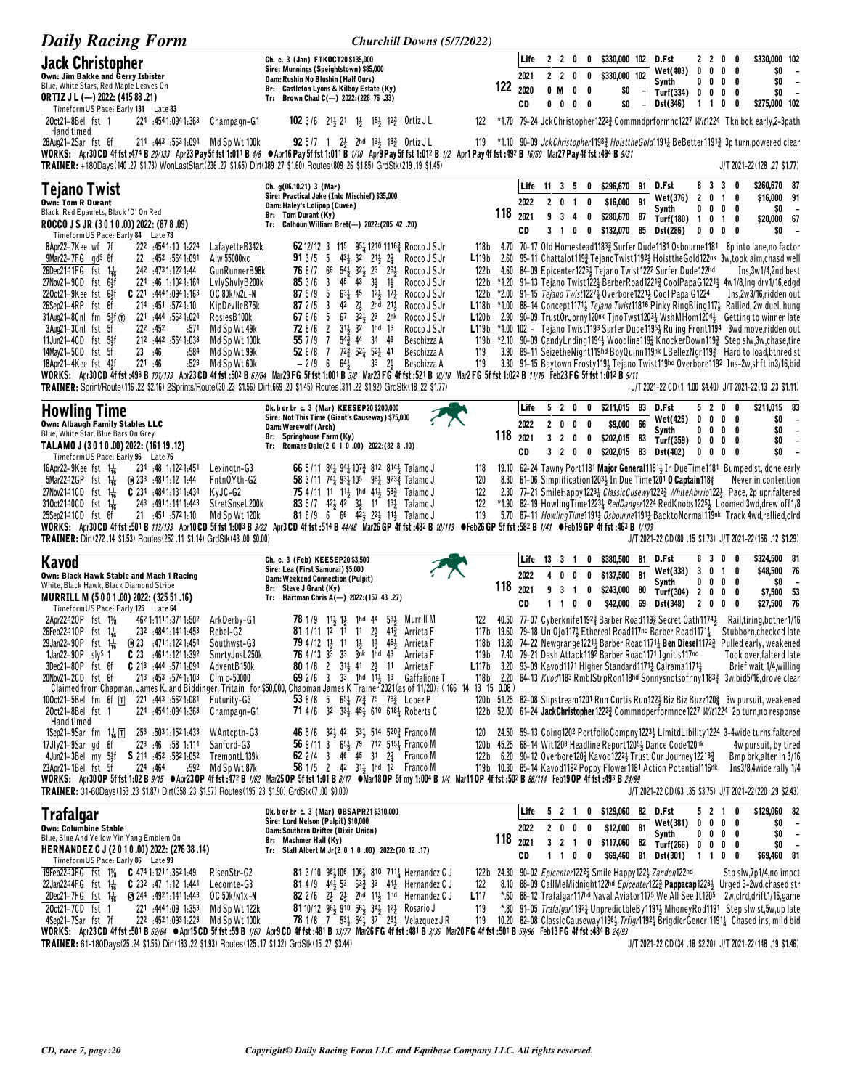| <b>Daily Racing Form</b>                                                                                                                                                                                                                                                                                                                                                                                                                                                                                                                                                                                                                                                                                                                                                                                                                                                                                                                                                                                                                                                                                 | Churchill Downs (5/7/2022)                                                                                                                                                                                                                                                                                                                                                                                                                                                                                                                                                                                                                                                                                                                                                                                                    |                                                                     |                            |                                                           |                       |                                                      |                                                         |                      |                                                                                                                                                                                                                                              |                                    |                                       |                                                                                                                                                                                                                                                                                                                                                                                                                                                                                                                                                                                                                                                                                                                                                                                                                                                                                                                                           |
|----------------------------------------------------------------------------------------------------------------------------------------------------------------------------------------------------------------------------------------------------------------------------------------------------------------------------------------------------------------------------------------------------------------------------------------------------------------------------------------------------------------------------------------------------------------------------------------------------------------------------------------------------------------------------------------------------------------------------------------------------------------------------------------------------------------------------------------------------------------------------------------------------------------------------------------------------------------------------------------------------------------------------------------------------------------------------------------------------------|-------------------------------------------------------------------------------------------------------------------------------------------------------------------------------------------------------------------------------------------------------------------------------------------------------------------------------------------------------------------------------------------------------------------------------------------------------------------------------------------------------------------------------------------------------------------------------------------------------------------------------------------------------------------------------------------------------------------------------------------------------------------------------------------------------------------------------|---------------------------------------------------------------------|----------------------------|-----------------------------------------------------------|-----------------------|------------------------------------------------------|---------------------------------------------------------|----------------------|----------------------------------------------------------------------------------------------------------------------------------------------------------------------------------------------------------------------------------------------|------------------------------------|---------------------------------------|-------------------------------------------------------------------------------------------------------------------------------------------------------------------------------------------------------------------------------------------------------------------------------------------------------------------------------------------------------------------------------------------------------------------------------------------------------------------------------------------------------------------------------------------------------------------------------------------------------------------------------------------------------------------------------------------------------------------------------------------------------------------------------------------------------------------------------------------------------------------------------------------------------------------------------------------|
| <b>Jack Christopher</b><br>Own: Jim Bakke and Gerry Isbister<br>Blue, White Stars, Red Maple Leaves On<br><b>ORTIZ J L (-) 2022: (415 88 .21)</b><br>TimeformUS Pace: Early 131 Late 83                                                                                                                                                                                                                                                                                                                                                                                                                                                                                                                                                                                                                                                                                                                                                                                                                                                                                                                  | Ch. c. 3 (Jan) FTKOCT20 \$135,000<br>Sire: Munnings (Speightstown) \$85,000<br>Dam: Rushin No Blushin (Half Ours)<br>Br: Castleton Lyons & Kilboy Estate (Ky)<br>Tr: Brown Chad C(-) 2022: (228 76 .33)                                                                                                                                                                                                                                                                                                                                                                                                                                                                                                                                                                                                                       | 122                                                                 | Life<br>2021<br>2020<br>CD | 2<br>2 <sub>2</sub><br>0 M<br>$0\quad 0$                  | $\overline{2}$        | 0<br>0<br>0<br>0<br>0<br>0<br>$0\quad 0$             | \$330,000 102<br>\$330,000 102                          | \$0<br>\$0           | D.Fst<br>Wet(403)<br>Synth<br>Turf(334) 0 0 0<br>Dst(346)                                                                                                                                                                                    | 22<br>$0\ 0\ 0$<br>$1\quad1$       | 0<br>$0\ 0\ 0\ 0$<br>0                | \$330,000 102<br>0<br>\$0<br>$\overline{\phantom{a}}$<br>\$0<br>$\overline{\phantom{a}}$<br>0<br>\$0<br>$\overline{\phantom{a}}$<br>0<br>\$275,000 102<br>0                                                                                                                                                                                                                                                                                                                                                                                                                                                                                                                                                                                                                                                                                                                                                                               |
| 224 :4541:0941:363<br>20ct21-8Bel fst 1<br>Champagn-G1<br>Hand timed<br>214 :443 :5631:094 Md Sp Wt 100k<br>28Aug21-2Sar fst 6f<br>WORKS: Apr30 CD 4f fst :474 B 20/133 Apr23 Pay 5f fst 1:011 B 4/8 $\bullet$ Apr16 Pay 5f fst 1:011 B 1/10 Apr9 Pay 5f fst 1:012 B 1/2 Apr1 Pay 4f fst :492 B 16/60 Mar27 Pay 4f fst :494 B 9/31<br>TRAINER: +180Days(140.27 \$1.73) WonLastStart(236.27 \$1.65) Dirt(389.27 \$1.60) Routes(809.26 \$1.85) GrdStk(219.19 \$1.45)                                                                                                                                                                                                                                                                                                                                                                                                                                                                                                                                                                                                                                       | <b>102</b> 3/6 $21\frac{1}{2}$ 21 $1\frac{1}{2}$ 15 <sup>1</sup> / <sub>2</sub> 12 <sup>3</sup> / <sub>4</sub> Ortiz JL<br><b>92</b> 5/7 1 $2\frac{1}{2}$ 2hd $13\frac{1}{2}$ 18 $\frac{3}{4}$ Ortiz JL                                                                                                                                                                                                                                                                                                                                                                                                                                                                                                                                                                                                                       | 122<br>119                                                          |                            |                                                           |                       |                                                      |                                                         |                      |                                                                                                                                                                                                                                              |                                    |                                       | *1.70 79-24 JckChristopher1222} Commndprformnc1227 Wit1224 Tkn bck early, 2-3path<br>*1.10 90-09 JckChristopher1198 <sub>4</sub> HoisttheGold1191 <sub>4</sub> BeBetter1191 <sub>4</sub> 3p turn, powered clear                                                                                                                                                                                                                                                                                                                                                                                                                                                                                                                                                                                                                                                                                                                           |
| Tejano Twist<br><b>Own: Tom R Durant</b><br>Black, Red Epaulets, Black 'D' On Red<br>ROCCO J S JR (3010.00) 2022: (878.09)                                                                                                                                                                                                                                                                                                                                                                                                                                                                                                                                                                                                                                                                                                                                                                                                                                                                                                                                                                               | Ch. g(06.10.21) 3 (Mar)<br>Sire: Practical Joke (Into Mischief) \$35,000<br>Dam: Haley's Lolipop (Cuvee)<br>Br: Tom Durant (Ky)<br>Tr: Calhoun William Bret(-) 2022:(205 42 .20)                                                                                                                                                                                                                                                                                                                                                                                                                                                                                                                                                                                                                                              | 118                                                                 | Life<br>2022<br>2021<br>CD | $11 \t3 \t5$<br>9 <sub>3</sub><br>3 <sub>1</sub>          |                       | 0<br>2 0 1 0<br>4<br>0<br>0                          | \$296,670<br>\$16,000 91<br>\$280,670<br>\$132,070<br>0 | 91<br>87             | D.Fst<br>Wet(376)<br>Synth<br>Turf(180) 1 0 1<br>85 Dst(286)                                                                                                                                                                                 | 201<br>0 <sub>0</sub>              | 8 3 3 0<br>$0\,$ 0 $\,$ 0 $\,$ 0<br>0 | J/T 2021-22(128 .27 \$1.77)<br>\$260,670 87<br>\$16,000 91<br>0<br>\$0<br>\$20,000 67<br>0<br>\$0<br>0<br>$\overline{\phantom{a}}$                                                                                                                                                                                                                                                                                                                                                                                                                                                                                                                                                                                                                                                                                                                                                                                                        |
| TimeformUS Pace: Early 84 Late 78<br>8Apr22-7Kee wf 7f<br>222 4541.10 1.224<br>LafayetteB342k<br>$9$ Mar22-7FG $g$ d <sup>s</sup> 6f<br>1.091. 452. 452. 22<br>Alw 55000NC<br>26Dec21-11FG $f$ st 1 $\frac{1}{16}$<br>242 .4731.1221.44<br>GunRunnerB98k<br>27Nov21-9CD fst 6}f<br>224 :46 1:1021:164<br>LvlyShvlyB200k<br>220ct21-9Kee fst 64f<br>$C$ 221 :444 1:094 1:163<br>OC 80k/n2l-N<br>26Sep21-4RP fst 6f<br>214 :451 :5721:10<br>KipDevlleB75k<br>31Aug21-8Cnl fm 51f 1<br>221 :444 :563 1:024<br>RosiesB100k<br>3Aug21-3Cnl fst 5f<br>222.452<br>:571<br>Md Sp Wt 49k<br>11Jun21-4CD fst 5}f<br>212 :442 :5641:033<br>Md Sp Wt 100k<br>23 : 46<br>14May21-5CD fst 5f<br>:584<br>Md Sp Wt 99k<br>221 :46<br>18Apr21-4Kee fst 4}f<br>:523<br>Md Sp Wt 60k<br>WORKS: Apr30 CD 4f fst :493 B 101/133 Apr23 CD 4f fst :502 B 67/84 Mar29 FG 5f fst 1:001 B 3/8 Mar23 FG 4f fst :521 B 10/10 Mar2 FG 5f fst 1:022 B 11/18 Feb23 FG 5f fst 1:012 B 9/11<br>TRAINER: Sprint/Route (116 .22 \$2.16) 2Sprints/Route (30 .23 \$1.56) Dirt (669 .20 \$1.45) Routes (311 .22 \$1.92) GrdStk (18 .22 \$1.77) | 62 12/12 3 115 95 $\frac{1}{4}$ 1210 1116 $\frac{3}{4}$ Rocco J S Jr<br>913/55<br>$43\frac{1}{2}$ 32 $21\frac{1}{2}$ $2\frac{3}{4}$<br>Rocco J S Jr<br>76 6 /7 66<br>54} 32} 23 26} Rocco J S Jr<br>853/63<br>45 43<br>$3\frac{1}{2}$<br>$1\frac{1}{2}$<br>Rocco J S Jr<br>$63\frac{1}{4}$ 45 $1\frac{2}{2}$ $1\frac{7}{4}$<br>875/95<br>Rocco J S Jr<br>42 2 <sup>1</sup> / <sub>2</sub> 2hd 21 <sup>1</sup> / <sub>2</sub><br>872/5<br>Rocco J S Jr<br>- 3<br>67 $3\overline{2}$ 23 $2n\overline{k}$<br>67 6/6 5<br>Rocco J S Jr<br>72 6/6 2 31 32 1hd 13<br>Rocco J S Jr<br>557/97<br>$54\frac{3}{4}$ 44 34 46<br>Beschizza A<br>526/87<br>$72\frac{3}{4}$ 521 521 41<br>Beschizza A<br>119<br>$-2/9$ 6<br>$64\frac{1}{2}$<br>$3^3$ $2^1$<br>Beschizza A                                                                   | 118 b<br>L119b<br>122 b<br>122 b<br>122 b<br>L120 b<br>L119b<br>119 |                            |                                                           |                       |                                                      |                                                         |                      | 4.60 84-09 Epicenter1226} Tejano Twist1222 Surfer Dude122hd<br>$*2.00$ 91–15 <i>Tejano Twist</i> 1227 <sup>1</sup> Overbore 1221 <sup>1</sup> / <sub>3</sub> Cool Papa G1224                                                                 |                                    |                                       | 4.70 70-17 Old Homestead11833 Surfer Dude1181 Osbourne1181 8p into lane,no factor<br>2.60 95-11 Chattalot119} TejanoTwist1192} HoisttheGold122nk 3w,took aim,chasd well<br>Ins, 3w1/4, 2nd best<br>*1.20 91-13 Tejano Twist1223 BarberRoad12213 CoolPapaG12213 4w1/8,Ing drv1/16,edgd<br>Ins,2w3/16,ridden out<br>L118b *1.00 88-14 Concept1171} Tejano Twist11816 Pinky RingBling117} Rallied, 2w duel, hung<br>2.90 90-09 TrustOrJorny120nk TinoTwst12031 WshMHom12041 Getting to winner late<br>$*1.00$ 102 - Tejano Twist1193 Surfer Dude1195 $\frac{1}{4}$ Ruling Front1194 3wd move, ridden out<br>119b *2.10 90-09 CandyLnding1194} Woodline119} KnockerDown119} Step slw,3w,chase,tire<br>3.90 89-11 SeizetheNight119hd BbyQuinn119hk LBellezNgr1193 Hard to load, bthred st<br>3.30 91-15 Baytown Frosty119} Tejano Twist119hd Overbore1192 Ins-2w, shft in3/16, bid<br>J/T 2021-22 CD(1 1.00 \$4.40) J/T 2021-22(13 .23 \$1.11) |
| <b>Howling Time</b><br>Own: Albaugh Family Stables LLC<br>Blue, White Star, Blue Bars On Grey<br>TALAMO J (3010.00) 2022: (161 19.12)                                                                                                                                                                                                                                                                                                                                                                                                                                                                                                                                                                                                                                                                                                                                                                                                                                                                                                                                                                    | Dk. b or br c. 3 (Mar) KEESEP20 \$200,000<br>Sire: Not This Time (Giant's Causeway) \$75,000<br>Dam: Werewolf (Arch)<br>Br: Springhouse Farm (Ky)<br>Tr: Romans Dale(2 0 1 0 .00) 2022:(82 8 .10)                                                                                                                                                                                                                                                                                                                                                                                                                                                                                                                                                                                                                             | 118                                                                 | Life<br>2022<br>2021<br>CD | 2 <sub>0</sub><br>3 <sub>2</sub><br>3 <sub>2</sub>        | 5 2 0                 | 0<br>0<br>0<br>0<br>$\bf{0}$<br>0                    | \$211.015<br>0<br>\$9,000<br>\$202,015 83               | 83<br>66             | D.Fst<br>Wet(425)<br>Synth<br>Turf(359) 0 0 0<br>\$202,015 83 Dst(402)                                                                                                                                                                       | 52<br>0 <sub>0</sub><br>$0\quad 0$ | 0<br>0<br>$0\,$ 0 $\,$ 0 $\,$ 0<br>0  | \$211,015 83<br>0<br>\$0<br>- 0<br>$\overline{\phantom{a}}$<br>\$0<br>$\overline{\phantom{a}}$<br>\$0<br>$\overline{\phantom{a}}$<br>0<br>\$0<br>$\overline{\phantom{a}}$<br>0                                                                                                                                                                                                                                                                                                                                                                                                                                                                                                                                                                                                                                                                                                                                                            |
| TimeformUS Pace: Early 96 Late 76<br>16Apr22-9Kee fst $1\frac{1}{16}$<br>234 .48 1:1221.451<br>Lexingtn-G3<br>5Mar22-12GP fst 1 <sup>1</sup> <sub>16</sub><br>Fntn0Yth-G2<br>$\omega$ 233 :4811:12 1:44<br>27Nov2141CD fst $1\frac{1}{16}$<br>$C$ 234 :484 1:131 1:434<br>KyJC-G2<br>310ct2140CD fst 1 <sup>1</sup> / <sub>6</sub><br>243 .4911.1411.443<br>StretSnseL200k<br>25Sep2141CD fst 6f<br>21 : 451 : 5721.10<br>Md Sp Wt 120k<br>WORKS: Apr30CD 4f fst :501 B 113/133 Apr10CD 5f fst 1:003 B 3/22 Apr3CD 4f fst :514 B 44/46 Mar26 GP 4f fst :482 B 10/113 · Feb26 GP 5f fst :582 B 1/41 · Feb19 GP 4f fst :463 B 1/103<br>TRAINER: Dirt(272.14 \$1.53) Routes(252.11 \$1.14) GrdStk(43.00 \$0.00)                                                                                                                                                                                                                                                                                                                                                                                             | 66 5/11 84 $\frac{1}{4}$ 94 $\frac{1}{4}$ 107 $\frac{3}{4}$ 812 814 $\frac{1}{4}$ Talamo J<br>118<br>58 3/11 74 $\frac{1}{4}$ 93 $\frac{1}{4}$ 10 <sup>5</sup> 98 $\frac{1}{4}$ 923 $\frac{3}{4}$ Talamo J<br><b>75</b> 4/11 11 11 11 11 41 58 Talamo J<br>122<br>83 5/7 42 $\frac{1}{2}$ 42 3 $\frac{1}{2}$ 11 13 $\frac{1}{4}$ Talamo J<br><b>81</b> 6/9 6 66 42 $\frac{1}{2}$ 22 $\frac{1}{2}$ 11 $\frac{1}{2}$ Talamo J                                                                                                                                                                                                                                                                                                                                                                                                   | 120<br>122<br>119                                                   |                            |                                                           |                       |                                                      |                                                         |                      | 8.30 61-06 Simplification 1203 $\frac{1}{2}$ In Due Time 1201 0 Captain 118 $\frac{3}{4}$                                                                                                                                                    |                                    |                                       | 19.10 62-24 Tawny Port1181 Major General1181 3 In Due Time 1181 Bumped st, done early<br>Never in contention<br>2.30 77-21 SmileHappy12231 ClassicCusewy12223 WhiteAbrrio1221 Pace, 2p upr, faltered<br>*1.90 82-19 HowlingTime12231 RedDanger1224 RedKnobs12251 Loomed 3wd, drew off1/8<br>5.70 87-11 HowlingTime11913 Osbourne11911 BacktoNormal119nk Track 4wd,rallied,clrd<br>J/T 2021-22 CD(80 .15 \$1.73) J/T 2021-22(156 .12 \$1.29)                                                                                                                                                                                                                                                                                                                                                                                                                                                                                               |
| Kavod<br>Own: Black Hawk Stable and Mach 1 Racing<br>White, Black Hawk, Black Diamond Stripe<br>MURRILL M (5001.00) 2022: (325 51.16)<br>Timeform US Pace: Early 125 Late 64                                                                                                                                                                                                                                                                                                                                                                                                                                                                                                                                                                                                                                                                                                                                                                                                                                                                                                                             | Ch. c. 3 (Feb) KEESEP20\$3,500<br>Sire: Lea (First Samurai) \$5,000<br><b>Dam: Weekend Connection (Pulpit)</b><br>Br: Steve J Grant (Ky)<br>Tr: Hartman Chris A(-) 2022: (157 43 .27)                                                                                                                                                                                                                                                                                                                                                                                                                                                                                                                                                                                                                                         | 118                                                                 | Life<br>2022<br>2021<br>CD | $13 \quad 3 \quad 1$<br>40<br>9 <sub>3</sub><br>$1\quad1$ |                       | 0<br>0<br>$\overline{1}$<br>0<br>$0\quad 0$          | \$380,500<br>0<br>\$137,500<br>\$243,000<br>\$42,000    | 81<br>81<br>80<br>69 | D.Fst<br>Wet(338)<br>Synth<br>Turf(304) 2 0 0 0<br>Dst(348)                                                                                                                                                                                  | 830<br>3010<br>200                 | $0\ 0\ 0\ 0$                          | \$324,500 81<br>0<br>\$48,500 76<br>\$0<br>$\overline{\phantom{a}}$<br>\$7,500 53<br>\$27,500 76<br>0                                                                                                                                                                                                                                                                                                                                                                                                                                                                                                                                                                                                                                                                                                                                                                                                                                     |
| 2Apr22-120P fst 11/8<br>462 1:111 1:371 1:502<br>ArkDerby-G1<br>26Feb22-110P fst 1 <sup>1</sup> <sub>16</sub><br>232 .4841:1411.453<br>Rebel-G2<br>29Jan22-90P fst $1\frac{1}{16}$<br>$\omega$ 23 $\omega$ 4711.1221.454<br>Southwst-G3<br>1Jan22-90P sly <sup>s</sup> 1<br>$C$ 23 $.4611.1211.392$<br>SmrtyJnsL250k<br>C 213 :444 :5711:094<br>3Dec21-80P fst 6f<br>AdventB150k<br>20Nov21-2CD fst 6f<br>213 453 5741.103<br>Clm c-50000<br>221 :443 :5621:081<br>100ct21-5Bel fm 6f $\overline{T}$<br>Futurity-G3<br>20ct21-8Bel fst 1<br>454 1:094 1:363<br>Champagn-G1                                                                                                                                                                                                                                                                                                                                                                                                                                                                                                                               | 59 <sub>3</sub> Murrill M<br>$781/9$ $11\frac{1}{2}1\frac{1}{2}$ 1 hd 44<br><b>81</b> 1/11 12 11 11 $2\frac{1}{2}$ 41 <sup>3</sup><br>Arrieta F<br><b>79</b> 4/12 1 <sup>1</sup> / <sub>2</sub> 1 <sup>1</sup> 1 <sup>1</sup> / <sub>2</sub> 1 <sup>1</sup> / <sub>2</sub> 4 <sup>5</sup> / <sub>2</sub> Arrieta F<br><b>76</b> 4/13 33 33 3nk 1hd 43 Arrieta F<br>80 1/8 2 31 <sup>1</sup> / <sub>2</sub> 41 2 <sup>1</sup> / <sub>2</sub> 11 Arrieta F<br>69 2/6 3 3 <sup>3</sup> 1hd $1\frac{1}{2}$ 13 Gaffalione T<br>Claimed from Chapman, James K. and Biddinger, Tritain for \$50,000, Chapman James K Trainer 2021 (as of 11/20): (166 14 13 15 0.08)<br>53 6/8 5 65 $1/2^3$ 75 79 2 Lopez P<br>71 4/6 32 33 <sup>1</sup> / <sub>2</sub> 45 <sup>1</sup> / <sub>2</sub> 610 618 <sup>1</sup> / <sub>4</sub> Roberts C | 122<br>119 b                                                        |                            |                                                           |                       |                                                      |                                                         |                      | 7.40 79–21 Dash Attack 1192 Barber Road 1171 Ignitis 117 <sup>no</sup><br>L117b 3.20 93-09 Kavod1171 Higher Standard1171 $\frac{1}{4}$ Cairama1171 $\frac{1}{2}$                                                                             |                                    |                                       | 40.50 77-07 Cyberknife11923 Barber Road1193 Secret Oath11743 Rail,tiring,bother1/16<br>117b 19.60 79-18 Un Ojo117} Ethereal Road117no Barber Road1171 <sub>4</sub> Stubborn, checked late<br>118b 13.80 74-22 Newgrange1221 3Barber Road1171 3Ben Diesel1172 3Pulled early, weakened<br>Took over,falterd late<br>Brief wait 1/4, willing<br>118b 2.20 84-13 Kvod1183 RmblStrpRon118hd Sonnysnotsofnny11833 3w,bid5/16,drove clear<br>120b 51.25 82-08 Slipstream1201 Run Curtis Run122} Biz Biz Buzz120} 3w pursuit, weakened<br>122b 52.00 61-24 JackChristopher12223 Commndperformnce1227 Wit1224 2p turn,no response                                                                                                                                                                                                                                                                                                                  |
| Hand timed<br>1Sep21-9Sar fm $1\frac{1}{16}$ $\boxed{1}$<br>253 .5031:1521:433<br>WAntcptn-G3<br>17Jly21-9Sar gd 6f<br>223 :46 :58 1:111<br>Sanford-G3<br>4Jun21-3Bel my 5½f<br>S 214 .452 .5821.052<br>TremontL139k<br>224:464<br>23Apr21-1Bel fst 5f<br>:592<br>Md Sp Wt 87k<br>WORKS: Apr30 OP 5f fst 1:02 B 9/15 Apr23 OP 4f fst :472 B 1/62 Mar25 OP 5f fst 1:01 B 8/17 Mar18 OP 5f my 1:004 B 1/4 Mar11 OP 4f fst :502 B 86/114 Feb19 OP 4f fst :493 B 24/89<br>TRAINER: 31-60Days(153.23 \$1.87) Dirt(358.23 \$1.97) Routes(195.23 \$1.90) GrdStk(7.00 \$0.00)                                                                                                                                                                                                                                                                                                                                                                                                                                                                                                                                    | 46 5/6 32 42 53 514 520 Franco M<br>56 9/11 3 654 79 712 5154 Franco M<br>62 2/4 3 46 45 31 2 <sup>3</sup> Franco M<br>58 1/5 2 42 31 1hd 12 Franco M                                                                                                                                                                                                                                                                                                                                                                                                                                                                                                                                                                                                                                                                         | 120                                                                 |                            |                                                           |                       |                                                      |                                                         |                      | 120b 45.25 68-14 Wit1208 Headline Report12051 Dance Code120nk<br>122b 6.20 90-12 Overbore120 $\frac{3}{4}$ Kavod1222 $\frac{1}{2}$ Trust Our Journey12213 $\frac{3}{4}$<br>119b 10.30 85-14 Kavod1192 Poppy Flower1181 Action Potential116nk |                                    |                                       | 24.50 59-13 Coing1202 PortfolioCompny12234 LimitdLibility1224 3-4wide turns, faltered<br>4w pursuit, by tired<br>Bmp brk, alter in 3/16<br>Ins3/8,4wide rally 1/4<br>J/T 2021-22 CD(63 .35 \$3.75) J/T 2021-22(220 .29 \$2.43)                                                                                                                                                                                                                                                                                                                                                                                                                                                                                                                                                                                                                                                                                                            |
| <b>Trafalgar</b><br><b>Own: Columbine Stable</b><br>Blue, Blue And Yellow Yin Yang Emblem On<br>HERNANDEZ C J (2010.00) 2022: (276 38 .14)<br>Timeform US Pace: Early 86 Late 99                                                                                                                                                                                                                                                                                                                                                                                                                                                                                                                                                                                                                                                                                                                                                                                                                                                                                                                         | Dk. b or br c. 3 (Mar) OBSAPR21\$310,000<br>Sire: Lord Nelson (Pulpit) \$10,000<br>Dam: Southern Drifter (Dixie Union)<br>Br: Machmer Hall (Ky)<br>Tr: Stall Albert M Jr(2 0 1 0 .00) 2022:(70 12 .17)                                                                                                                                                                                                                                                                                                                                                                                                                                                                                                                                                                                                                        | 118                                                                 | Life<br>2022<br>2021<br>CD |                                                           | 5 2 1<br>200<br>1 1 0 | $\overline{\phantom{a}}$<br>$\overline{\phantom{a}}$ | $0$ \$129,060 82<br>\$12,000 81<br>3 2 1 0 \$117,060 82 |                      | D.Fst<br>Wet(381)<br>Synth<br>Turf(266) 0 0 0 0<br>\$69,460 81 Dst(301)                                                                                                                                                                      | $0\quad 0\quad 0\quad 0$<br>1 1 0  | 5 2 1 0<br>$0\ 0\ 0\ 0$               | \$129,060 82<br>\$0<br>$\sim$<br>\$0<br>$\overline{\phantom{a}}$<br>\$0<br>$\overline{\phantom{a}}$<br>\$69,460 81<br>0                                                                                                                                                                                                                                                                                                                                                                                                                                                                                                                                                                                                                                                                                                                                                                                                                   |
| 19Feb22-13FG fst 11/8 C 474 1:121 1:362 1:49<br>RisenStr-G2<br>22Jan22-14FG $f$ st $1\frac{1}{16}$<br><b>C</b> 232 :47 1:12 1:441<br>Lecomte-G3<br>2Dec21-7FG fst $1\frac{1}{16}$<br>$\bigcirc$ 244 :4921:1411:443<br>OC 50k/n1x-N<br>20ct21-7CD fst 1<br>221 4441.09 1.353<br>Md Sp Wt 122k<br>4Sep21-7Sar fst 7f<br>222:4521:0931:223<br>Md Sp Wt 100k<br>WORKS: Apr23CD 4f fst:501 B 62/84 CApr15CD 5f fst:59 B 1/60 Apr9 CD 4f fst:481 B 13/77 Mar26 FG 4f fst:481 B 3/36 Mar20 FG 4f fst:501 B 59/96 Feb13 FG 4f fst:484 B 24/93<br>(17 \$1.32) GrdStk (15 .27 \$3.44) TRAINER: 61-180Days (25 .24 \$1.56) Dirt (183 .22 \$1.93) Routes (125 .17 \$1.32) GrdStk (15 .27 \$3.44)                                                                                                                                                                                                                                                                                                                                                                                                                     | <b>81</b> 3/10 96 $\frac{1}{2}$ 106 106 $\frac{1}{2}$ 8 <sup>10</sup> 7 <sup>11</sup> $\frac{1}{4}$ Hernandez C J<br><b>81</b> 4/9 44 <sup>1</sup> / <sub>2</sub> 53 63 <sup>2</sup> / <sub>2</sub> 33 44 <sup>1</sup> / <sub>2</sub> Hernandez C J<br><b>82</b> 2/6 $2\frac{1}{2}$ $2\frac{1}{2}$ 2hd 11 <sup>1</sup> / <sub>2</sub> 1hd Hernandez C J<br>L117<br>81 10/12 963 910 563 343 121 Rosario J<br>119<br>78 1/8 7 531 541 37 261 Velazquez J R                                                                                                                                                                                                                                                                                                                                                                     | 122<br>119                                                          |                            |                                                           |                       |                                                      |                                                         |                      | 122b 24.30 90-02 Epicenter12223 Smile Happy1221 Zandon122hd                                                                                                                                                                                  |                                    |                                       | Stp slw,7p1/4,no impct<br>8.10 88-09 CallMeMidnight122hd <i>Epicenter</i> 122 $\frac{3}{2}$ <b>Pappacap</b> 122 <sup>31</sup> Urged 3-2wd, chased str<br>*.60 88-12 Trafalgar117hd Naval Aviator1175 We All See It1205 2w, clrd, drift1/16, game<br>*.80 91-05 Trafalgar11921 UnpredictbleBy11911 MhoneyRod1191 Step slw st, 5w, up late<br>10.20 82-08 ClassicCauseway1196} Trflgr11921 BrigdierGenerl11911 Chased ins, mild bid<br>J/T 2021-22 CD(34 .18 \$2.20) J/T 2021-22(148 .19 \$1.46)                                                                                                                                                                                                                                                                                                                                                                                                                                            |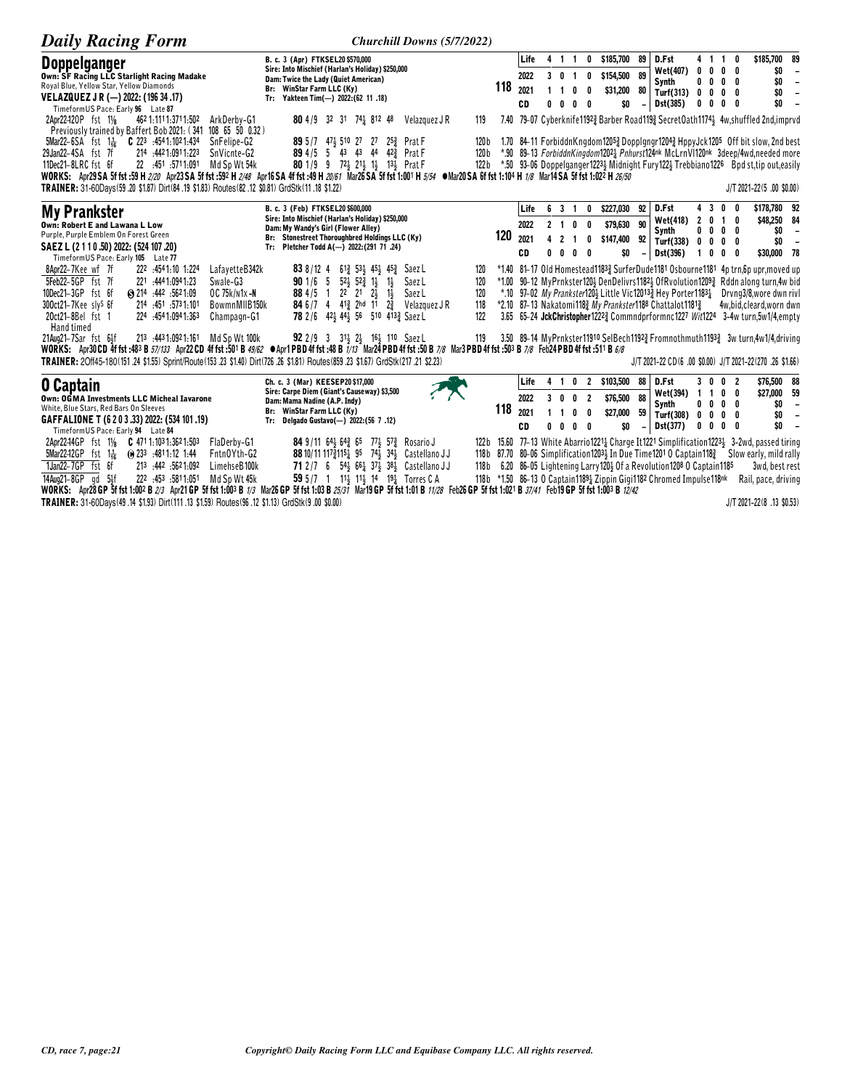| <b>Daily Racing Form</b>                                                                                                                                                        | Churchill Downs (5/7/2022)                                                               |       |      |    |                |                          |                           |                          |                                                                                    |                |                |                                        |                                                                                                                    |                                                      |
|---------------------------------------------------------------------------------------------------------------------------------------------------------------------------------|------------------------------------------------------------------------------------------|-------|------|----|----------------|--------------------------|---------------------------|--------------------------|------------------------------------------------------------------------------------|----------------|----------------|----------------------------------------|--------------------------------------------------------------------------------------------------------------------|------------------------------------------------------|
| <b>Doppelganger</b>                                                                                                                                                             | B. c. 3 (Apr) FTKSEL20 \$570,000                                                         |       | Life |    | 4 1 1          |                          | 0 \$185,700               | 89                       | D.Fst                                                                              |                |                | 4 1 1 0                                | \$185,700 89                                                                                                       |                                                      |
| <b>Own: SF Racing LLC Starlight Racing Madake</b>                                                                                                                               | Sire: Into Mischief (Harlan's Holiday) \$250,000<br>Dam: Twice the Lady (Quiet American) |       | 2022 |    | 3 0 1          | 0                        | \$154,500 89              |                          | Wet(407)                                                                           | 0              | $0\quad 0$     | 0                                      | \$O                                                                                                                | $\overline{\phantom{a}}$                             |
| Royal Blue, Yellow Star, Yellow Diamonds                                                                                                                                        | Br: WinStar Farm LLC (Ky)                                                                | 118   | 2021 |    |                | n                        | \$31,200                  | 80                       | Synth<br>Turf(313)                                                                 | 0<br>0         | 0              | $0\quad 0\quad 0$<br>$\mathbf{0}$<br>0 | \$0<br>\$O                                                                                                         | $\overline{\phantom{a}}$<br>$\overline{\phantom{a}}$ |
| VELAZQUEZ J R (-) 2022: (196 34 .17)                                                                                                                                            | Tr: Yakteen Tim(-) 2022: (62 11 .18)                                                     |       | CD   | 0  | 0              | 0<br>$\bf{0}$            | \$O                       | $\overline{\phantom{a}}$ | Dst(385)                                                                           | 0              | $0\quad 0$     | 0                                      | \$O                                                                                                                | $\sim$                                               |
| TimeformUS Pace: Early 96 Late 87                                                                                                                                               |                                                                                          |       |      |    |                |                          |                           |                          |                                                                                    |                |                |                                        |                                                                                                                    |                                                      |
| 2Apr22-120P fst 11/8<br>462 1:111 1:371 1:502 Ark Derby-G1<br>Previously trained by Baffert Bob 2021: (341 108 65 50 0.32)                                                      | 80 4/9 32 31 74 812 48<br>Velazquez J R                                                  | 119   |      |    |                |                          |                           |                          |                                                                                    |                |                |                                        | 7.40 79-07 Cyberknife11923 Barber Road1193 SecretOath11743 4w, shuffled 2nd, imprvd                                |                                                      |
| 5Mar22-6SA fst 1 $\frac{1}{16}$ C 22 <sup>3</sup> :4541:1021:434<br>SnFelipe-G2                                                                                                 | 89 5 /7 47 510 27 27<br>253 Prat F                                                       | 120 b |      |    |                |                          |                           |                          |                                                                                    |                |                |                                        | 1.70 84-11 ForbiddnKngdom12053 Dopplgngr12043 HppyJck1205 Off bit slow, 2nd best                                   |                                                      |
| 214 4421.0911.223<br>SnVicnte-G2<br>29Jan22-4SA fst 7f                                                                                                                          | 89 4/5 5 43 43 44 42 <sup>3</sup> Prat F                                                 | 120 b |      |    |                |                          |                           |                          |                                                                                    |                |                |                                        | *.90 89-13 ForbiddnKingdom12023 Pnhurst124nk McLrnVI120nk 3deep/4wd.needed more                                    |                                                      |
| 11Dec21-8LRC fst 6f<br>22 :451 :5711:091<br>Md Sp Wt 54k                                                                                                                        | 80 1/9 9 72 3 21 3 13 Prat F                                                             | 122 b |      |    |                |                          |                           |                          |                                                                                    |                |                |                                        | *.50 93-06 Doppelganger12234 Midnight Fury1224 Trebbiano1226 Bpd st,tip out, easily                                |                                                      |
| WORKS: Apr29SA 5f fst :59 H 2/20 Apr23SA 5f fst :592 H 2/48 Apr16SA 4f fst :49 H 20/61 Mar26SA 5f fst 1:001 H 5/54 • Mar20SA 6f fst 1:104 H 1/8 Mar14SA 5f fst 1:022 H 26/50    |                                                                                          |       |      |    |                |                          |                           |                          |                                                                                    |                |                |                                        |                                                                                                                    |                                                      |
| TRAINER: 31-60Days(59.20 \$1.87) Dirt(84.19 \$1.83) Routes(82.12 \$0.81) GrdStk(11.18 \$1.22)                                                                                   |                                                                                          |       |      |    |                |                          |                           |                          |                                                                                    |                |                |                                        | $J/T 2021 - 22(5.00$ \$0.00)                                                                                       |                                                      |
| <b>My Prankster</b>                                                                                                                                                             | B. c. 3 (Feb) FTKSEL20 \$600,000                                                         |       | Life | 6  | 31             |                          | \$227,030<br>$\mathbf{0}$ | 92                       | D.Fst                                                                              |                | 4 3 0          | 0                                      | \$178,780 92                                                                                                       |                                                      |
| Own: Robert E and Lawana L Low                                                                                                                                                  | Sire: Into Mischief (Harlan's Holiday) \$250,000                                         |       | 2022 |    | 210            | 0                        | \$79,630                  | 90                       | <b>Wet(418)</b>                                                                    |                |                | 2 0 1 0                                | \$48,250 84                                                                                                        |                                                      |
| Purple, Purple Emblem On Forest Green                                                                                                                                           | Dam: My Wandy's Girl (Flower Alley)<br>Br: Stonestreet Thoroughbred Holdings LLC (Ky)    | 120   |      |    |                |                          |                           |                          | <b>Synth</b>                                                                       | 0              |                | $0\quad 0\quad 0$                      | \$0                                                                                                                | $\overline{\phantom{a}}$                             |
| SAEZ L (2 1 1 0 .50) 2022: (524 107 .20)                                                                                                                                        | Tr: Pletcher Todd A(-) 2022: (291 71 .24)                                                |       | 2021 |    | $\overline{2}$ | 0<br>-1                  | \$147,400                 | 92                       | <b>Turf(338)</b>                                                                   | 0              |                | $0\quad 0\quad 0$                      | \$O                                                                                                                | $\overline{\phantom{a}}$                             |
| TimeformUS Pace: Early 105 Late 77                                                                                                                                              |                                                                                          |       | CD   |    |                | $0\quad 0\quad 0\quad 0$ | \$0                       |                          | Dst(396)                                                                           |                | $0\quad 0$     | 0                                      | \$30,000 78                                                                                                        |                                                      |
| 8Apr22-7Kee wf 7f<br>222 4541.10 1:224<br>LafayetteB342k                                                                                                                        | $61\frac{3}{4}$ 531 451 452 Saez L<br>838/124                                            | 120   |      |    |                |                          |                           |                          |                                                                                    |                |                |                                        | *1.40 81-17 Old Homestead1183} SurferDude1181 Osbourne1181 4p trn, 6p upr, moved up                                |                                                      |
| 5Feb22-5GP fst 7f<br>221 :444 1:094 1:23<br>Swale-G3                                                                                                                            | $901/6$ 5<br>$52\frac{1}{2}$ 52 $\frac{3}{4}$ 1<br>Saez L<br>$1\frac{1}{2}$              | 120   |      |    |                |                          |                           |                          |                                                                                    |                |                |                                        | *1.00 90-12 MyPrnkster120} DenDelivrs1182} OfRvolution1209} Rddn along turn,4w bid                                 |                                                      |
| 10Dec21-3GP fst 6f<br>6 214 442 5621.09<br>OC 75k/n1x-N                                                                                                                         | $1\frac{1}{2}$<br>88 4/5 1 22 21 2 <sup>1</sup> / <sub>2</sub><br>Saez L                 | 120   |      |    |                |                          |                           |                          | *.10 97-02 My Prankster1204 Little Vic120133 Hey Porter11831                       |                |                |                                        | Drvng3/8, wore dwn rivl                                                                                            |                                                      |
| 214 .451 .5731.101<br>300ct21-7Kee sly <sup>s</sup> 6f<br>BowmnMIIB150k                                                                                                         | 84 6 /7 4 41 $\frac{3}{4}$ 2hd 11 2 $\frac{3}{4}$<br>Velazquez J R                       | 118   |      |    |                |                          |                           |                          | *2.10 87-13 Nakatomi118 $\frac{3}{4}$ My Prankster1188 Chattalot1181 $\frac{3}{4}$ |                |                |                                        | 4w,bid,cleard,worn dwn                                                                                             |                                                      |
| 224 :4541:0941:363<br>20ct21-8Bel fst 1<br>Champagn-G1                                                                                                                          | 78 2 / 6 42 44 44 56 510 413 3 Saez L                                                    | 122   |      |    |                |                          |                           |                          | 3.65 65-24 JckChristopher12223 Commndprformnc1227 Wit1224                          |                |                |                                        | 3–4w turn,5w1/4,empty                                                                                              |                                                      |
| Hand timed                                                                                                                                                                      |                                                                                          |       |      |    |                |                          |                           |                          |                                                                                    |                |                |                                        |                                                                                                                    |                                                      |
| 213 :4431:0921:161 Md Sp Wt 100k<br>21Aug21-7Sar fst 64f                                                                                                                        | 92 2/9 3 31 23 16 110 Saez L                                                             | 119   |      |    |                |                          |                           |                          |                                                                                    |                |                |                                        | 3.50 89–14 MyPrnkster11910 SelBech1192 $\frac{3}{4}$ Fromnothmuth1193 $\frac{3}{4}$ 3w turn,4w1/4,driving          |                                                      |
| WORKS: Apr30 CD 4f fst :483 B 57/133 Apr22 CD 4f fst :501 B 49/62 OApr1 PBD 4f fst :48 B 7/13 Mar24 PBD 4f fst :50 B 7/8 Mar3 PBD 4f fst :503 B 7/8 Feb24 PBD 4f fst :511 B 6/8 |                                                                                          |       |      |    |                |                          |                           |                          |                                                                                    |                |                |                                        |                                                                                                                    |                                                      |
| TRAINER: 20ff45-180(151 .24 \$1.55) Sprint/Route (153 .23 \$1.40) Dirt(726 .26 \$1.81) Routes (859 .23 \$1.67) GrdStk (217 .21 \$2.23)                                          |                                                                                          |       |      |    |                |                          |                           |                          |                                                                                    |                |                |                                        | J/T 2021-22 CD (6 .00 \$0.00) J/T 2021-22 (270 .26 \$1.66)                                                         |                                                      |
| <b>0 Captain</b>                                                                                                                                                                | Ch. c. 3 (Mar) KEESEP20\$17,000                                                          |       | Life | 41 |                | 0 <sub>2</sub>           | \$103,500                 | 88                       | <b>D.Fst</b>                                                                       |                |                | 3 0 0 2                                | \$76,500 88                                                                                                        |                                                      |
| <b>Own: OGMA Investments LLC Micheal Iavarone</b>                                                                                                                               | Sire: Carpe Diem (Giant's Causeway) \$3,500<br>Dam: Mama Nadine (A.P. Indy)              |       | 2022 |    |                | 3 0 0 2                  | \$76,500 88               |                          | Wet(394)                                                                           | $\overline{1}$ | 1 <sub>0</sub> | 0                                      | \$27,000 59                                                                                                        |                                                      |
| White, Blue Stars, Red Bars On Sleeves                                                                                                                                          | Br: WinStar Farm LLC (Ky)                                                                | 118   | 2021 |    |                | 0<br>0                   | \$27,000                  | -59                      | Svnth                                                                              | 0              |                | $0\quad 0\quad 0$                      | \$O                                                                                                                | $\overline{\phantom{a}}$                             |
| GAFFALIONE T (6 2 0 3 .33) 2022: (534 101 .19)                                                                                                                                  | Tr: Delgado Gustavo(-) 2022: (56 7 .12)                                                  |       |      |    | $0\quad 0$     |                          |                           |                          | Turf(308)                                                                          | 0<br>0         |                | $0\quad 0\quad 0$<br>$0\quad 0\quad 0$ | \$0<br>\$O                                                                                                         | $\overline{\phantom{a}}$<br>$\overline{\phantom{a}}$ |
| TimeformUS Pace: Early 94 Late 84                                                                                                                                               |                                                                                          |       | CD   |    |                | $0\quad 0$               | \$0                       |                          | Dst(377)                                                                           |                |                |                                        |                                                                                                                    |                                                      |
| 2Apr22-14GP fst 11/8 C 471 1:103 1:362 1:503<br>FlaDerby-G1                                                                                                                     | 84 9/11 64 64 64 65 77 57 Rosario J                                                      |       |      |    |                |                          |                           |                          |                                                                                    |                |                |                                        | 122b 15.60 77-13 White Abarrio1221 <sub>4</sub> Charge It1221 Simplification1223 <sub>3</sub> 3-2wd, passed tiring |                                                      |
| 5Mar22–12GP<br>fst<br>$1\frac{1}{16}$<br>(ii) 233 :4811:12 1:44<br>Fntn0Yth-G2                                                                                                  | 88 10/11 11731151 95 741 341 Castellano JJ                                               | 118 b |      |    |                |                          |                           |                          |                                                                                    |                |                |                                        | 87.70 80-06 Simplification 1203 4 In Due Time 1201 0 Captain 118 3 Slow early, mild rally                          |                                                      |
| 1Jan22-7GP fst 6f<br>213 :442 :5621:092<br>LimehseB100k                                                                                                                         | 71 2/7 6 54 66 37 38 Castellano JJ                                                       | 118 b |      |    |                |                          |                           |                          | 6.20 86-05 Lightening Larry 120% Of a Revolution 1208 O Captain 1185               |                |                |                                        | 3wd, best rest                                                                                                     |                                                      |

<u>140ug21-8GP gd</u> 5if 222 .453 .5811.051 Md Sp Wt 45k 59 5/7 1 11<sup>2</sup> 11<sup>2</sup> 14 192 Torres CA 118b \*1.50 86-13 0 Captain11894 Zippin Gigi1182 Chromed Impulse118nk Rail, pace, driving<br>WORKS: Apr28GP 5f fst 1.002 B 2/3 Apr21G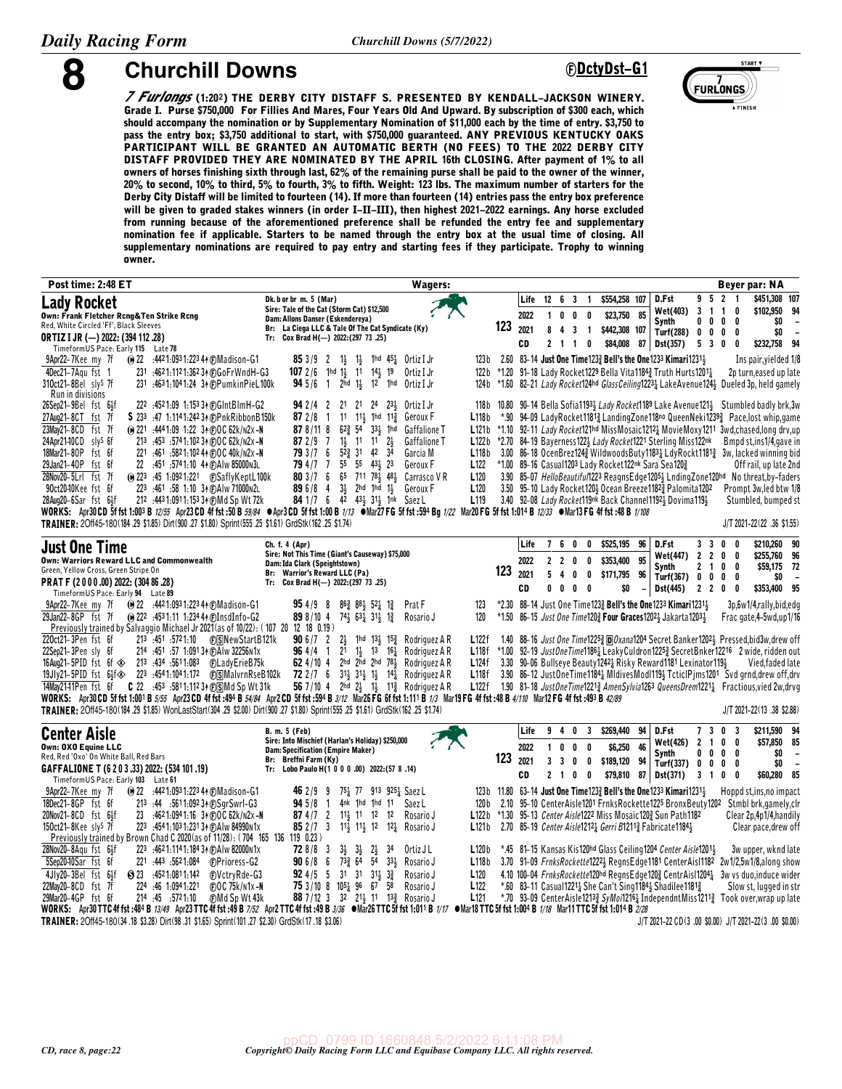

**8 Churchill Downs** *Churchill Downs Churchill Downs* 

*7 Furlongs* **(1:20§) THE DERBY CITY DISTAFF S. PRESENTED BY KENDALL-JACKSON WINERY. Grade I. Purse \$750,000 For Fillies And Mares, Four Years Old And Upward. By subscription of \$300 each, which should accompany the nomination or by Supplementary Nomination of \$11,000 each by the time of entry. \$3,750 to pass the entry box; \$3,750 additional to start, with \$750,000 guaranteed. ANY PREVIOUS KENTUCKY OAKS PARTICIPANT WILL BE GRANTED AN AUTOMATIC BERTH (NO FEES) TO THE 2022 DERBY CITY DISTAFF PROVIDED THEY ARE NOMINATED BY THE APRIL 16th CLOSING. After payment of 1% to all owners of horses finishing sixth through last, 62% of the remaining purse shall be paid to the owner of the winner, 20% to second, 10% to third, 5% to fourth, 3% to fifth. Weight: 123 lbs. The maximum number of starters for the Derby City Distaff will be limited to fourteen (14). If more than fourteen (14) entries pass the entry box preference will be given to graded stakes winners (in order I-II-III), then highest 2021-2022 earnings. Any horse excluded from running because of the aforementioned preference shall be refunded the entry fee and supplementary nomination fee if applicable. Starters to be named through the entry box at the usual time of closing. All supplementary nominations are required to pay entry and starting fees if they participate. Trophy to winning owner.**

| Post time: 2:48 ET                                                                                                                                            | <b>Wagers:</b>                                                                                                                                                                                                                                                                                                           |                                               | Beyer par: NA                                          |                                                      |
|---------------------------------------------------------------------------------------------------------------------------------------------------------------|--------------------------------------------------------------------------------------------------------------------------------------------------------------------------------------------------------------------------------------------------------------------------------------------------------------------------|-----------------------------------------------|--------------------------------------------------------|------------------------------------------------------|
| <b>Lady Rocket</b>                                                                                                                                            | Life<br>\$554,258 107<br>D.Fst<br>Dk. b or br m. 5 (Mar)<br>12 6 3 1                                                                                                                                                                                                                                                     | 9521                                          | \$451,308 107                                          |                                                      |
| Own: Frank Fletcher Rcng&Ten Strike Rcng                                                                                                                      | Sire: Tale of the Cat (Storm Cat) \$12,500<br>Wet(403)<br>2022<br>100<br>\$23,750<br>85<br>0<br>Dam: Allons Danser (Eskendereya)                                                                                                                                                                                         | $3 \t1 \t1$                                   | \$102,950 94<br>0                                      |                                                      |
| Red, White Circled 'Ff', Black Sleeves                                                                                                                        | Synth<br>123<br>Br: La Ciega LLC & Tale Of The Cat Syndicate (Ky)<br>2021<br>8 4 3 1<br>\$442,308 107<br>Turf(288)                                                                                                                                                                                                       | $0\quad 0\quad 0\quad$<br>0<br>0 <sub>0</sub> | 0<br>\$0<br>\$0<br>0                                   | $\overline{\phantom{a}}$<br>$\overline{\phantom{a}}$ |
| <b>ORTIZ I JR (-) 2022: (394 112 .28)</b>                                                                                                                     | Tr: Cox Brad H(-) 2022: (297 73 .25)<br>\$84,008<br>CD<br>$2 \t1 \t1$<br>0<br>87<br>Dst(357)                                                                                                                                                                                                                             | 530                                           | \$232,758 94<br>0                                      |                                                      |
| TimeformUS Pace: Early 115 Late 78                                                                                                                            | 2.60 83-14 Just One Time 123 $\frac{3}{2}$ Bell's the One 1233 Kimari 1231 $\frac{1}{2}$<br>123 b                                                                                                                                                                                                                        |                                               |                                                        |                                                      |
| (ii) 22 :4421:0931:2234 (DMadison-G1<br>9Apr22-7Kee my 7f<br>4Dec21-7Agu fst 1<br>231 :4621:1121:36234 (F) Go Fr Wnd H-G3                                     | <b>85</b> 3/9 2 13 13 1hd 45 <sup>1</sup> / <sub>2</sub> Ortiz I Jr<br>107 2/6 1hd $1\frac{1}{2}$ 11 $14\frac{1}{2}$ 19<br>*1.20 91-18 Lady Rocket1229 Bella Vita11843 Truth Hurts12011<br>Ortiz I Jr<br>122 b                                                                                                           |                                               | Ins pair, yielded 1/8<br>2p turn, eased up late        |                                                      |
| 310ct21-8Bel sly <sup>S</sup> 7f<br>231 :4631:1041:24 34 @PumkinPieL100k                                                                                      | 94 5/6 1 2hd 1} 12 1hd Ortiz I Jr<br>*1.60 82–21 Lady Rocket124hd GlassCeiling1223 <sub>4</sub> LakeAvenue1244 Dueled 3p, held gamely<br>124 b                                                                                                                                                                           |                                               |                                                        |                                                      |
| Run in divisions                                                                                                                                              |                                                                                                                                                                                                                                                                                                                          |                                               |                                                        |                                                      |
| 222 :4521:09 1:153 34 (F) GInt BIm H-G2<br>26Sep21-9Bel fst 6 <sup>1</sup>                                                                                    | 10.80 90-14 Bella Sofia11934 Lady Rocket1189 Lake Avenue1214 Stumbled badly brk,3w<br><b>94</b> 2/4 2<br>21 21 24 233 Ortiz I Jr<br>118 b                                                                                                                                                                                |                                               |                                                        |                                                      |
| 27Aug21-8CT fst 7f<br>S 233 .47 1:1141:242 34 (F)PnkRibbonB150k                                                                                               | $11 \t11\frac{1}{2}$ 1hd $11\frac{3}{4}$<br>*.90 94-09 LadyRocket11813 LandingZone118no QueenNeki12393 Pace,lost whip, game<br>$872/8$ 1<br>Geroux F<br>L118b                                                                                                                                                            |                                               |                                                        |                                                      |
| 23May21-8CD fst 7f<br>(e) 221 :4441:09 1:22 34 @OC 62k/n2x-N                                                                                                  | $62\frac{3}{4}$ 54 $33\frac{1}{2}$ 1hd<br><b>Gaffalione T</b><br>L121b<br>*1.10 92-11 Lady Rocket121hd MissMosaic12121 MovieMoxy1211 3wd, chased, long drv, up<br>87 8/11 8                                                                                                                                              |                                               |                                                        |                                                      |
| 24Apr2140CD slys 6f<br>213 :453 :5741:102 34 (F) O C 62k/ N 2x -N                                                                                             | $1\frac{1}{2}$ 11 11 $2\frac{1}{2}$<br>L122b *2.70 84-19 Bayerness1223 Lady Rocket1221 Sterling Miss122nk<br>87 2 / 9 7<br><b>Gaffalione T</b>                                                                                                                                                                           |                                               | Bmpd st, ins1/4, gave in                               |                                                      |
| 18Mar21-80P fst 6f<br>221 :461 :5821:102 44 (F) O C 40k/n2x -N<br>29Jan21-40P fst 6f                                                                          | 793/76<br>$52\frac{3}{4}$ 31 42<br>34<br>Garcia M<br>L118 <sub>b</sub><br>3.00 86-18 OcenBrez1243 WildwoodsButy11831 LdyRockt11813 3w, lacked winning bid<br><b>79</b> 4/7 7 55 55 43 <sub>2</sub> 23<br>L <sub>122</sub><br>*1.00 89-16 Casual1203 Lady Rocket122nk Sara Sea1203                                        |                                               |                                                        |                                                      |
| 22 :451 :5741:10 44 (DAIw 85000N3L<br>28Nov20-5Lrl fst 7f                                                                                                     | Geroux F<br>80 3/7 6 65 711 78 48 Carrasco V R<br>3.90 85-07 HelloBeautiful1223 ReagnsEdge12052 LndingZone120hd No threat, by-faders<br>L <sub>120</sub>                                                                                                                                                                 |                                               | Off rail, up late 2nd                                  |                                                      |
| 90ct2040Kee fst 6f<br>223 :461 :58 1:10 34 @AIw 71000N2L                                                                                                      | $3\frac{1}{2}$<br>896/8<br>$\overline{4}$<br>2hd 1hd 1 <sup>1</sup> / <sub>2</sub> Geroux F<br>L <sub>120</sub><br>3.50 95-10 Lady Rocket120} Ocean Breeze1182 <sup>3</sup> Palomita1202                                                                                                                                 |                                               | Prompt 3w, led btw 1/8                                 |                                                      |
| 212 :443 1:091 1:153 34 (F) Md Sp Wt 72k<br>28Aug20-6Sar fst 6 <sup>1</sup>                                                                                   | 84 1/7 6 $4^{\frac{1}{2}}$ 43 $3^{1\frac{1}{2}}$ 1 <sup>nk</sup> Saez L<br>3.40 92-08 Lady Rocket119nk Back Channel11923 Dovima1193<br>L <sub>119</sub>                                                                                                                                                                  |                                               | Stumbled, bumped st                                    |                                                      |
|                                                                                                                                                               | WORKS: Apr30 CD 5f fst 1:003 B 12/55 Apr23 CD 4f fst :50 B 59/84 ●Apr3 CD 5f fst 1:00 B 1/13 ●Mar27 FG 5f fst :594 Bg 1/22 Mar20 FG 5f fst 1:014 B 12/33 ●Mar13 FG 4f fst :48 B 1/108                                                                                                                                    |                                               |                                                        |                                                      |
| TRAINER: 20ff45-180(184 .29 \$1.85) Dirt(900 .27 \$1.80) Sprint(555 .25 \$1.61) GrdStk(162 .25 \$1.74)                                                        |                                                                                                                                                                                                                                                                                                                          |                                               | J/T 2021-22(22 .36 \$1.55)                             |                                                      |
|                                                                                                                                                               | Life<br>7600<br>\$525,195<br>96<br>D.Fst<br>Ch. f. 4 (Apr)                                                                                                                                                                                                                                                               | 3 <sup>3</sup>                                | \$210,260 90<br>0<br>0                                 |                                                      |
| <b>Just One Time</b><br>Own: Warriors Reward LLC and Commonwealth                                                                                             | Sire: Not This Time (Giant's Causeway) \$75,000<br><b>Wet(447)</b><br>220<br>$\mathbf 0$<br>\$353,400<br>95<br>2022                                                                                                                                                                                                      | $\overline{2}$<br>$\overline{2}$              | \$255.760 96<br>0<br>0                                 |                                                      |
| Green, Yellow Cross, Green Stripe On                                                                                                                          | Dam: Ida Clark (Speightstown)<br>Synth<br>123<br>Br: Warrior's Reward LLC (Pa)<br>2021                                                                                                                                                                                                                                   | 2 <sub>1</sub>                                | \$59,175 72<br>0<br>0                                  |                                                      |
| PRAT F (2000.00) 2022: (304 86.28)<br>TimeformUS Pace: Early 94 Late 89                                                                                       | 5400<br>\$171,795 96<br>Turf(367)<br>Tr: Cox Brad H(-) 2022: (297 73 .25)<br>CD<br>$0\quad 0\quad 0\quad 0$<br>\$0<br>Dst(445)                                                                                                                                                                                           | $0\quad 0\quad 0$<br>$2 \quad 2 \quad 0$      | SO.<br>0<br>0<br>\$353,400 95                          | $\overline{\phantom{a}}$                             |
| (∩ 22 .4421:0931:2234 (n) Madison-G1<br>9Apr22-7Kee my 7f                                                                                                     | *2.30 88-14 Just One Time1232 Bell's the One1233 Kimari123113<br>954/98<br>$86\frac{3}{4}$ $88\frac{1}{2}$ $52\frac{1}{4}$ $1\frac{3}{4}$<br>Prat F<br>123                                                                                                                                                               |                                               | 3p,6w1/4,rally,bid,edg                                 |                                                      |
| 29Jan22-8GP fst 7f<br>(e) 222 :4531:11 1:234 44 (f) Insd Info-G2                                                                                              | *1.50 86-15 Just One Time1203 Four Graces12023 Jakarta12033<br>898/104<br>74 <sub>3</sub> 63 <sub>4</sub> 31 <sub>3</sub> 1 <sub>4</sub><br>Rosario J<br>120                                                                                                                                                             |                                               | Frac gate, 4-5wd, up 1/16                              |                                                      |
| Previously trained by Salvaggio Michael Jr 2021 (as of 10/22): (107 20 12 18 0.19)                                                                            |                                                                                                                                                                                                                                                                                                                          |                                               |                                                        |                                                      |
| 220ct21-3Pen fst 6f                                                                                                                                           | 1hd $13\frac{1}{2}$ $15\frac{3}{4}$<br>906/72<br>$2\frac{1}{2}$<br>Rodriguez A R<br>L122f<br>1.40 88-16 Just One Time12253 DOxana1204 Secret Banker12021 Pressed, bid3w, drew off                                                                                                                                        |                                               |                                                        |                                                      |
| 214 :451 :57 1:091 34 (F) A lw 32256 N 1x<br>22Sep21-3Pen slv 6f                                                                                              | $964/4 \quad 1$<br>21<br>$1\frac{1}{2}$ 1 <sup>3</sup> 1 <sup>6</sup> $\frac{1}{4}$<br>*1.00 92–19 JustOneTime11861 LeakyCuldron12253 SecretBnker12216 2 wide, ridden out<br>Rodriguez A R<br>L118f                                                                                                                      |                                               |                                                        |                                                      |
| 19Jly21-5PID fst 6}f $\otimes$ 223 :4541:1041:172 $\circ$ SMalvrnRseB102k                                                                                     | 62 $4/10$ 4<br>2hd 2hd 2hd $78\frac{1}{2}$<br><b>L124f</b><br>3.30 90-06 Bullseye Beauty 1242 Risky Reward 1181 Lexinator 119<br>Rodriguez A R<br><b>72</b> 2/7 6 31} 31} 1} 14 <sup>1</sup> / <sub>2</sub> Rodriguez A R<br>L118f<br>3.90 86-12 JustOneTime11841 MIdivesModI1191 TcticlPjms1201 Svd grnd, drew off, drv |                                               | Vied, faded late                                       |                                                      |
| 14May2141Pen fst 6f C 22 :453 :5811:112 34 $\circledR$ Md Sp Wt 31k                                                                                           | 56 7/10 4 2hd 2} 1} 11} Rodriguez A R<br>L122f 1.90 81-18 JustOneTime12213 AmenSylvia1263 QueensDrem12211 Fractious, vied 2w, drvg                                                                                                                                                                                       |                                               |                                                        |                                                      |
|                                                                                                                                                               | WORKS: Apr30 CD 5f fst 1:001 B 5/55 Apr23 CD 4f fst :494 B 54/84 Apr2 CD 5f fst :594 B 3/12 Mar26 FG 6f fst 1:111 B 1/3 Mar19 FG 4f fst :48 B 4/110 Mar12 FG 4f fst :493 B 42/89                                                                                                                                         |                                               |                                                        |                                                      |
| TRAINER: 20ff45-180(184 .29 \$1.85) WonLastStart(304 .29 \$2.00) Dirt(900 .27 \$1.80) Sprint(555 .25 \$1.61) GrdStk(162 .25 \$1.74)                           |                                                                                                                                                                                                                                                                                                                          |                                               | J/T 2021-22(13 .38 \$2.88)                             |                                                      |
|                                                                                                                                                               | \$269,440<br>D.Fst<br>Life<br>9 4 0<br>3<br>94<br><b>B. m. 5 (Feb)</b>                                                                                                                                                                                                                                                   | 7 3 0 3                                       | \$211,590 94                                           |                                                      |
| <b>Center Aisle</b>                                                                                                                                           | Sire: Into Mischief (Harlan's Holiday) \$250,000<br><b>Wet(426)</b>                                                                                                                                                                                                                                                      | 2 <sub>1</sub>                                | \$57,850 85<br>0<br>0                                  |                                                      |
| Own: OXO Equine LLC<br>Red, Red 'Oxo' On White Ball, Red Bars                                                                                                 | 2022<br>1 0 0<br>\$6,250<br>46<br>0<br>Dam: Specification (Empire Maker)<br>Synth<br>123                                                                                                                                                                                                                                 | 0<br>0                                        | 0<br>\$O<br>0                                          | $\overline{\phantom{a}}$                             |
| GAFFALIONE T (6 2 0 3 .33) 2022: (534 101 .19)                                                                                                                | Br: Breffni Farm (Ky)<br>2021<br>\$189,120 94<br>$\mathbf{3}$<br>$\mathbf{3}$<br>$\mathbf{0}$<br>0<br>Turf(337) 0 0 0<br>Tr: Lobo Paulo H(1 0 0 0 .00) 2022: (57 8 .14)                                                                                                                                                  |                                               | \$0<br>0                                               | $\overline{\phantom{a}}$                             |
| TimeformUS Pace: Early 103 Late 61                                                                                                                            | \$79,810 87 Dst(371)<br>CD<br>2 1 0 0                                                                                                                                                                                                                                                                                    | 3 1                                           | \$60,280 85<br>$0\quad 0$                              |                                                      |
| 9Apr22-7Kee my 7f<br>(0 22 :442 1:093 1:223 4↑ © Madison-G 1                                                                                                  | 123b 11.80 63-14 Just One Time 1233 Bell's the One 1233 Kimari 1231 4<br>751 77 913 9251 Saez L<br>4652/99                                                                                                                                                                                                               |                                               | Hoppd st.ins.no impact                                 |                                                      |
| 18Dec21-8GP fst 6f<br>213 :44 :5611:092 34 (F) Sqr Swr I-G3                                                                                                   | 94 5/8<br>$\overline{1}$<br>4nk 1hd 1hd 11<br>Saez L<br>2.10 95-10 CenterAisle1201 FrnksRockette1225 BronxBeuty1202 Stmbl brk.gamely.clr<br>120 b                                                                                                                                                                        |                                               |                                                        |                                                      |
| 20Nov21-8CD fst 64f<br>23 :4621:0941:16 34 (F)OC 62k/n2x-N                                                                                                    | 87 4 /7 2 11 11 12 12<br>Rosario J<br>*1.30 95-13 Center Aisle1222 Miss Mosaic1202 Sun Path1182<br>L122b                                                                                                                                                                                                                 |                                               | Clear 2p, 4p1/4, handily                               |                                                      |
| 150ct21-8Kee sly <sup>S</sup> 7f<br>223 :4541:1031:23134 (F) A Iw 84990 n 1x<br>Previously trained by Brown Chad C 2020 (as of 11/28): (704 165 136 119 0.23) | <b>85</b> 2/7 3 114 114 12 12 <sup>1</sup> Rosario J<br>L121b<br>2.70 85-19 Center Aisle1212 <sub>4</sub> Gerri B1211 <sub>3</sub> Fabricate1184 <sub>3</sub>                                                                                                                                                            |                                               | Clear pace, drew off                                   |                                                      |
| 28Nov20-8Aqu fst 6 <sup>1</sup><br>223 :4621:1141:184 34 @ Alw 82000 n1x                                                                                      | *.45 81-15 Kansas Kis120hd Glass Ceiling1204 Center Aisle12013<br>728/83<br>$3\frac{1}{2}$ $3\frac{1}{2}$ $2\frac{1}{2}$<br>34<br>Ortiz J L<br>L120 <sub>b</sub>                                                                                                                                                         |                                               | 3w upper, wknd late                                    |                                                      |
| 5Sep2040Sar fst 6f<br>221 .443 .5621.084 (F)Prioress-G2                                                                                                       | <b>90</b> 6/8 6 73 $\frac{3}{4}$ 64 54<br>3.70 91-09 FrnksRockette12221 RegnsEdge1181 CenterAisl1182 2w1/2,5w1/8,along show<br>$33\frac{1}{2}$<br>Rosario J<br>L118 <sub>b</sub>                                                                                                                                         |                                               |                                                        |                                                      |
| 4Jly20-3Bel fst 6}f<br>◯ 23 4521.0811.142<br>@VctryRde-G3                                                                                                     | <b>92</b> 4/5 5 31 31 31 $\frac{1}{2}$ 3 <sup>3</sup><br>L120<br>4.10 100-04 FrnksRockette120hd RegnsEdge1203 CentrAis112041 3w vs duo, induce wider<br>Rosario J                                                                                                                                                        |                                               |                                                        |                                                      |
| 22May20-8CD fst 7f<br>224 :46 1:0941:221<br>$F$ <sub>D</sub> OC 75 $k$ /n1 $x$ -N                                                                             | <b>75</b> 3/10 8 10 <sup>51</sup> / <sub>2</sub> 96 67<br>58<br>Rosario J<br>L <sub>122</sub><br>*.60 83-11 Casual1221 3 She Can't Sing 1184 3 Shadilee 1181 2                                                                                                                                                           |                                               | Slow st, lugged in str                                 |                                                      |
| 29Mar20-4GP fst 6f<br>214 45 5721.10<br><b>CMd Sp Wt 43k</b>                                                                                                  | 88 7/12 3 32 21 <sup>1</sup> 11 13 <sup>3</sup> Rosario J<br>L <sub>121</sub><br>*.70 93-09 CenterAisle12133 SyMon12163 IndependntMiss12113 Took over, wrap up late                                                                                                                                                      |                                               |                                                        |                                                      |
|                                                                                                                                                               | WORKS: Apr30 TTC 4f fst :484 B 13/49 Apr23 TTC 4f fst :49 B 7/52 Apr2 TTC 4f fst :49 B 3/36 $\bullet$ Mar26 TTC 5f fst 1:011 B 1/17 $\bullet$ Mar18 TTC 5f fst 1:004 B 1/18 Mar11 TTC 5f fst 1:014 B 2/28                                                                                                                |                                               |                                                        |                                                      |
| TRAINER: 2Off45-180(34.18 \$3.28) Dirt(98.31 \$1.65) Sprint(101.27 \$2.30) GrdStk(17.18 \$3.06)                                                               |                                                                                                                                                                                                                                                                                                                          |                                               | J/T 2021-22 CD(3 .00 \$0.00) J/T 2021-22(3 .00 \$0.00) |                                                      |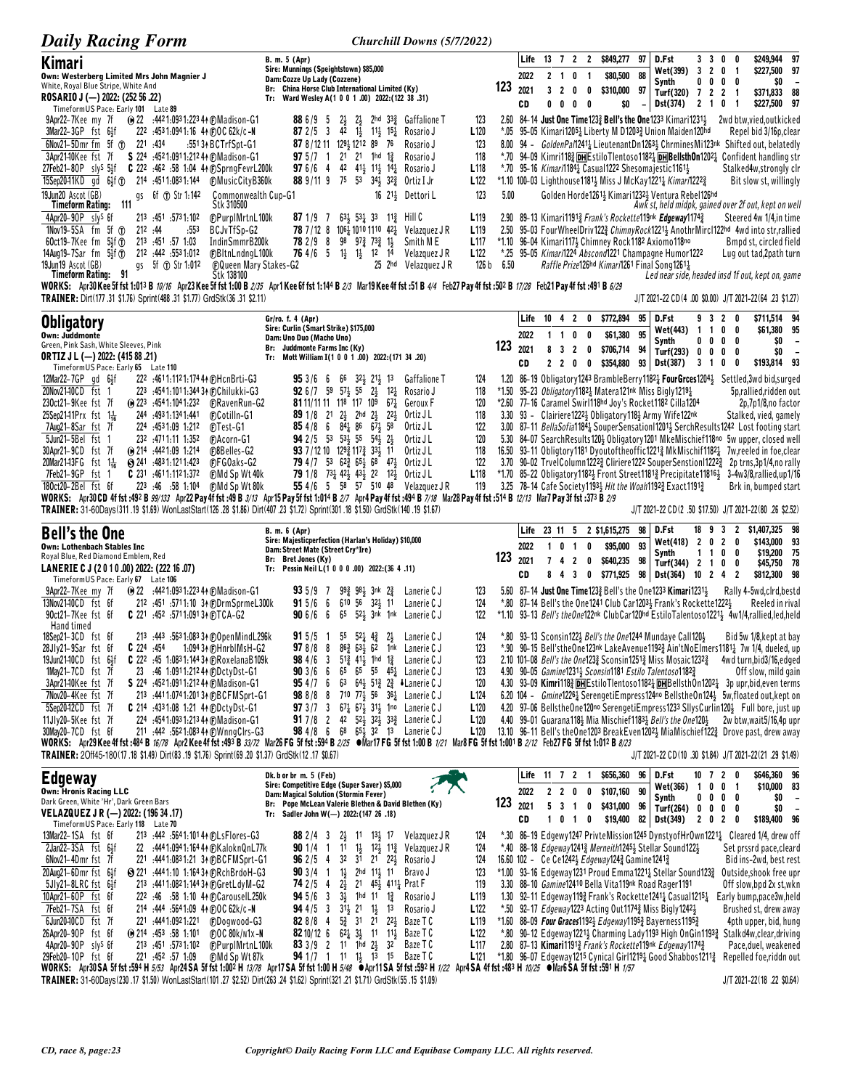| <b>Daily Racing Form</b>                                                                                                                                                                                                                                                                                                                                                                                                                                                                                                                                                                                                                                              |                                                                                                                                                                                                                                                                                                                                                                                                                                                                                                                                                                                                                                                                                                                                                                                                                                                                                                                                                                                      | Churchill Downs (5/7/2022)                                                                                                  |                            |                                                                  |                                                          |                                                                                                                                                                                                                                                                                                                                                                                                          |                |                                                                        |                                                                          |                                                                         |                                                                                                                                                                                                                                                                                                                                                                                                                                                                                                                                                                                                                                                                                                                                                                                                                                                                        |
|-----------------------------------------------------------------------------------------------------------------------------------------------------------------------------------------------------------------------------------------------------------------------------------------------------------------------------------------------------------------------------------------------------------------------------------------------------------------------------------------------------------------------------------------------------------------------------------------------------------------------------------------------------------------------|--------------------------------------------------------------------------------------------------------------------------------------------------------------------------------------------------------------------------------------------------------------------------------------------------------------------------------------------------------------------------------------------------------------------------------------------------------------------------------------------------------------------------------------------------------------------------------------------------------------------------------------------------------------------------------------------------------------------------------------------------------------------------------------------------------------------------------------------------------------------------------------------------------------------------------------------------------------------------------------|-----------------------------------------------------------------------------------------------------------------------------|----------------------------|------------------------------------------------------------------|----------------------------------------------------------|----------------------------------------------------------------------------------------------------------------------------------------------------------------------------------------------------------------------------------------------------------------------------------------------------------------------------------------------------------------------------------------------------------|----------------|------------------------------------------------------------------------|--------------------------------------------------------------------------|-------------------------------------------------------------------------|------------------------------------------------------------------------------------------------------------------------------------------------------------------------------------------------------------------------------------------------------------------------------------------------------------------------------------------------------------------------------------------------------------------------------------------------------------------------------------------------------------------------------------------------------------------------------------------------------------------------------------------------------------------------------------------------------------------------------------------------------------------------------------------------------------------------------------------------------------------------|
| Kimari<br>Own: Westerberg Limited Mrs John Magnier J<br>White, Royal Blue Stripe, White And<br>ROSARIO J (--) 2022: (252 56 .22)<br>Timeform US Pace: Early 101 Late 89                                                                                                                                                                                                                                                                                                                                                                                                                                                                                               | B. m. 5 (Apr)<br>Sire: Munnings (Speightstown) \$85,000<br>Dam: Cozze Up Lady (Cozzene)<br>Br: China Horse Club International Limited (Ky)<br>Tr: Ward Wesley A(1 0 0 1 .00) 2022: (122 38 .31)                                                                                                                                                                                                                                                                                                                                                                                                                                                                                                                                                                                                                                                                                                                                                                                      | 123                                                                                                                         | Life<br>2022<br>2021<br>CD | 13 7 2 2<br>$2 \quad 1 \quad 0$<br>3 <sub>2</sub><br>0<br>0      | $\overline{1}$<br>0<br>0<br>0<br>- 0                     | \$849,277<br>\$80,500<br>\$310,000<br>\$0                                                                                                                                                                                                                                                                                                                                                                | 97<br>88<br>97 | D.Fst<br>Wet(399)<br>Synth<br>Turf(320)<br>Dst(374)                    | 33<br>3 2 0 1<br>$0\ 0\ 0\ 0$<br>72<br>2 1 0 1                           | 0<br>0<br>2 1                                                           | \$249,944 97<br>\$227,500 97<br>\$0<br>$\overline{\phantom{a}}$<br>\$371,833 88<br>\$227,500 97                                                                                                                                                                                                                                                                                                                                                                                                                                                                                                                                                                                                                                                                                                                                                                        |
| 9Apr22-7Kee my 7f<br><b>0 22 :4421:0931:22344 @Madison-G1</b><br>$3$ Mar22-3GP fst $6\frac{1}{2}$ f<br>222 :4531:0941:16 44 @OC 62k/c-N<br>6Nov21-5Dmr fm 5f 1 221 :434<br>\$224 :4521:0911:21244 (F) Madison-G1<br>3Apr2140Kee fst 7f<br>27Feb21-80P sly <sup>s</sup> 54f C 222 :462 :58 1:04 44 (F)SprngFevrL200k<br>15Sep20-11KD gd 6 <sup>1</sup> / <sub>5</sub> (r) 214 :4511:0831:144<br>19Jun20 Ascot (GB)<br>gs 6f 1 Str 1:142<br>Timeform Rating: 111                                                                                                                                                                                                        | $2\frac{1}{2}$ 2hd $33\frac{3}{4}$ Gaffalione T<br>886/95<br>$2\frac{1}{2}$<br>42 1 <sup>1</sup> / <sub>2</sub> 1 <sup>1</sup> / <sub>2</sub> 1 <sup>5</sup> <sup>1</sup> / <sub>4</sub> Rosario J<br>87 $2/5$ 3<br>87 8/12 11 129 1212 89 76<br>:551 34 BCTrfSpt-G1<br>Rosario J<br>$975/7 \quad 1$<br>$21 \t21 \t1hd \t1\frac{3}{4}$<br>Rosario J<br>$976/6$ 4<br>42 41 <sup>1</sup> / <sub>2</sub> 11 <sup>1</sup> / <sub>2</sub> 14 <sup>1</sup> / <sub>4</sub> Rosario J<br>88 9/11 9 75 53 34 32 32 Ortiz I Jr<br><b>CMusicCityB360k</b><br>Commonwealth Cup-G1<br>16 21 <sup>1</sup> / <sub>2</sub> Dettori L<br>Stk 310500                                                                                                                                                                                                                                                                                                                                                   | 123<br>L <sub>120</sub><br>*.05<br>123<br>118<br>L <sub>118</sub><br>L <sub>122</sub><br>123<br>5.00                        |                            |                                                                  |                                                          | 2.60 84-14 Just One Time 1233 Bell's the One 1233 Kimari 12311<br>95–05 Kimari1205 $\frac{1}{4}$ Liberty M D1203 $\frac{3}{4}$ Union Maiden120hd<br>*.70 95-16 <i>Kimari</i> 184 <sub>4</sub> Casual 1222 Shesoma jestic 1161 <sub>3</sub><br>*1.10 100-03 Lighthouse11811 Miss J McKay12211 Kimari12223<br>Golden Horde12612 Kimari12322 Ventura Rebel126hd                                             |                |                                                                        |                                                                          |                                                                         | 2wd btw,vied,outkicked<br>Repel bid 3/16p, clear<br>8.00 94 - GoldenPan2414 LieutenantDn12631 ChrminesMi123nk Shifted out, belatedly<br>*.70 94-09 Kimri118} DHEstiloTlentoso1182 DHBellsthOn1202 Confident handling str<br>Stalked4w,strongly clr<br>Bit slow st, willingly<br>Awk st, held midpk, gained over 2f out, kept on well                                                                                                                                                                                                                                                                                                                                                                                                                                                                                                                                   |
| 4Apr20-90P slys 6f<br>213 451 5731.102<br>1Nov19-5SA $fm$ 5f $\textcircled{r}$<br>212.44<br>.553<br>60ct19-7Kee fm $5\frac{1}{2}$ f $\sigma$<br>213 451 57 1.03<br>212 :442 :553 1:012<br>14Aug19-7Sar fm $5\frac{1}{2}$ f $\sigma$<br>19Jun19 Ascot (GB)<br>gs 5f (T) Str 1:012<br>Timeform Rating: 91                                                                                                                                                                                                                                                                                                                                                               | <b><i>CPurpIMrtnL100k</i></b><br>$63\frac{1}{2}$ 53 $\frac{1}{2}$ 33 11 $\frac{3}{2}$ Hill C<br>871/97<br>78 7/12 8 106 1010 1110 42 Velazquez J R<br>BCJvTfSp-G2<br>98<br>IndinSmmrB200k<br>78 2 / 9 8<br>$97\frac{3}{4}$ 73 $\frac{3}{4}$ 1<br>764/65<br>$1\frac{1}{2}$<br>$1\frac{1}{2}$ 1 <sup>2</sup> 1 <sup>4</sup><br><b>@BltnLndngL100k</b><br>25 2hd Velazquez J R<br><b>COUCED Mary Stakes-G2</b><br>Stk 138100<br>WORKS: Apr30 Kee 5f fst 1:013 B 10/16 Apr23 Kee 5f fst 1:00 B 2/35 Apr1 Kee 6f fst 1:144 B 2/3 Mar19 Kee 4f fst :51 B 4/4 Feb27 Pay 4f fst :502 B 17/28 Feb21 Pay 4f fst :491 B 6/29                                                                                                                                                                                                                                                                                                                                                                    | L <sub>119</sub><br>L <sub>119</sub><br>Smith M E<br>L <sub>117</sub><br>L <sub>122</sub><br>Velazquez J R<br>126 b<br>6.50 |                            |                                                                  |                                                          | 2.90 89-13 Kimari11913 Frank's Rockette119nk Edgeway11743<br>*1.10 96–04 Kimari117} Chimney Rock1182 Axiomo118no<br>*.25 95-05 Kimari1224 Abscond1221 Champagne Humor1222<br>Raffle Prize126hd Kimari1261 Final Song12614                                                                                                                                                                                |                |                                                                        |                                                                          |                                                                         | Steered 4w 1/4, in time<br>2.50 95-03 FourWheelDriv1223 ChimnyRock12213 AnothrMircl122hd 4wd into str, rallied<br>Bmpd st, circled field<br>Lug out tad, 2path turn<br>Led near side, headed insd 1f out, kept on, game                                                                                                                                                                                                                                                                                                                                                                                                                                                                                                                                                                                                                                                |
| TRAINER: Dirt(177.31 \$1.76) Sprint(488.31 \$1.77) GrdStk(36.31 \$2.11)                                                                                                                                                                                                                                                                                                                                                                                                                                                                                                                                                                                               |                                                                                                                                                                                                                                                                                                                                                                                                                                                                                                                                                                                                                                                                                                                                                                                                                                                                                                                                                                                      |                                                                                                                             | Life                       |                                                                  |                                                          |                                                                                                                                                                                                                                                                                                                                                                                                          | 95             | D.Fst                                                                  | 932                                                                      | 0                                                                       | J/T 2021-22 CD(4 .00 \$0.00) J/T 2021-22(64 .23 \$1.27)<br>\$711,514 94                                                                                                                                                                                                                                                                                                                                                                                                                                                                                                                                                                                                                                                                                                                                                                                                |
| <b>Obligatory</b><br>Own: Juddmonte<br>Green, Pink Sash, White Sleeves, Pink<br><b>ORTIZ J L (-) 2022: (415 88 .21)</b><br>Timeform US Pace: Early 65 Late 110                                                                                                                                                                                                                                                                                                                                                                                                                                                                                                        | Gr/ro. f. 4 (Apr)<br>Sire: Curlin (Smart Strike) \$175,000<br>Dam: Uno Duo (Macho Uno)<br>Juddmonte Farms Inc (Ky)<br>Br:<br>Tr: Mott William I(1 0 0 1 .00) 2022: (171 34 .20)                                                                                                                                                                                                                                                                                                                                                                                                                                                                                                                                                                                                                                                                                                                                                                                                      | 123                                                                                                                         | 2022<br>2021<br>CD         | $10 \t 4 \t 2$<br>$1 \t1 \t0$<br>8<br>- 3<br>2 <sub>2</sub><br>0 | 0<br>0<br>$\overline{2}$<br>0<br>0                       | \$772,894<br>\$61,380<br>\$706,714<br>\$354,880                                                                                                                                                                                                                                                                                                                                                          | 95<br>94       | <b>Wet(443)</b><br>Synth<br>Turf(293)<br>93 Dst(387)                   | $\overline{1}$<br>-1<br>$0\quad 0$<br>$\mathbf 0$<br>0<br>3 <sub>1</sub> | 0<br>0<br>0<br>0<br>$\mathbf 0$<br>0<br>0<br>0                          | \$61,380 95<br>\$0<br>$\overline{\phantom{a}}$<br>\$0<br>$\overline{\phantom{a}}$<br>\$193,814 93                                                                                                                                                                                                                                                                                                                                                                                                                                                                                                                                                                                                                                                                                                                                                                      |
| $12$ Mar22-7GP gd $6\frac{1}{2}$ f<br>222 :4611:1121:174 44 (F) Hcn Brti-G3<br>20Nov21-10CD fst 1<br>223 :4541:1011:34434 (F)Chilukki-G3<br>230ct21-9Kee fst 7f<br>$\omega$ 223 4541.1041.232<br>$25$ Sep2141Prx fst 1 $\frac{1}{16}$<br>244 .493 1:134 1:441<br>7Aug21-8Sar fst 7f<br>224 4531.09 1.212<br>5Jun21-5Bel fst 1<br>232 :4711:11 1:352<br>30Apr21-9CD fst 7f<br>$\omega$ 214 :4421:09 1:214<br>$20$ Mar21-13FG fst 1 $\frac{1}{16}$<br>● 241 4831.1211.423<br>7Feb21-9GP fst<br>$C$ 231 :4611:1121:372<br>180ct20-2Bel fst 6f<br>223 46 58 1.104                                                                                                         | 953/66<br>$32\frac{1}{2}$ $21\frac{1}{2}$ 13<br>66<br>$926/7$ 59 57 $\frac{1}{2}$ 55<br>$2\frac{1}{2}$<br>$12\frac{1}{4}$<br>Rosario J<br>81 11/11 11 118 117 109<br>$67\frac{1}{4}$<br><b>FRavenRun-G2</b><br>Geroux F<br>$2\frac{1}{2}$ 2hd $2\frac{1}{2}$<br><b>89</b> 1/8 21<br>$22\frac{1}{2}$<br>(F)Cotilln-G1<br>Ortiz J L<br>854/86<br>$84\frac{1}{4}$ 86 67 <sup>1</sup> / <sub>3</sub> 58<br><b>©Test-G1</b><br>Ortiz J L<br>94 2 / 5 5 5 5 5 5 5 5 5 5 5 4 5 2 5<br>(F)Acorn-G1<br>Ortiz J L<br>93 7/12 10 129 $\frac{3}{4}$ 117 $\frac{3}{4}$ 33 $\frac{1}{2}$ 11<br>(F)8Belles-G2<br>Ortiz J L<br>79 4/7 53 623 653 68 473 Ortiz JL<br><b>C</b> FGOaks-G2<br>79 1/8 731 421 431 22 121<br><b>@MdSpWt40k</b><br>Ortiz J L<br>55 4/6 5 58 57 510 48 Velazquez JR<br>(F)Md Sp Wt 80k<br>WORKS: Apr30 CD 4f fst :492 B 99/133 Apr22 Pay 4f fst :49 B 3/13 Apr15 Pay 5f fst 1:014 B 2/7 Apr4 Pay 4f fst :494 B 7/18 Mar28 Pay 4f fst :514 B 12/13 Mar7 Pay 3f fst :373 B 2/9 | 124<br>Gaffalione T<br>118<br>120<br>118<br>122<br>120<br>118<br>122<br>L <sub>118</sub><br>119                             |                            |                                                                  |                                                          | *1.50 95-23 Obligatory11821 Matera121nk Miss Bigly12191<br>*2.60 77-16 Caramel Swirl118hd Joy's Rocket1182 Cilla1204<br>3.30 93 - Clairiere1222 bbligatory 118 mmy Wife122 <sup>nk</sup><br>3.70 90-02 TrvelColumn12223 Cliriere1222 SouperSenstion112223<br>*1.70 85-22 Obligatory1182} Front Street1181 <sup>3</sup> Precipitate11816}<br>3.25 78-14 Cafe Society 11933 Hit the Woah 11923 Exact 11913 |                |                                                                        |                                                                          |                                                                         | 1.20 86-19 Obligatory1243 BrambleBerry1182 <sub>2</sub> FourGrees1204 <sub>3</sub> Settled, 3wd bid, surged<br>5p,rallied,ridden out<br>2p,7p1/8,no factor<br>Stalked, vied, gamely<br>3.00 87-11 BellaSofia11844 SouperSensation112014 SerchResults1242 Lost footing start<br>5.30 84-07 Search Results 120} Obligatory 1201 Mke Mischief 118no 5w upper, closed well<br>16.50 93-11 Obligtory1181 Dyoutoftheoffic1221} MkMischif11821 7w, reeled in foe, clear<br>2p trns,3p1/4,no rally<br>3-4w3/8, rallied, up 1/16<br>Brk in, bumped start                                                                                                                                                                                                                                                                                                                        |
|                                                                                                                                                                                                                                                                                                                                                                                                                                                                                                                                                                                                                                                                       | TRAINER: 31-60Days(311.19 \$1.50) WonLastStart(126 .28 \$1.86) Dirt(407 .23 \$1.72) Sprint(301 .18 \$1.50) GrdStk(140 .19 \$1.67)                                                                                                                                                                                                                                                                                                                                                                                                                                                                                                                                                                                                                                                                                                                                                                                                                                                    |                                                                                                                             |                            |                                                                  |                                                          |                                                                                                                                                                                                                                                                                                                                                                                                          |                |                                                                        |                                                                          |                                                                         | J/T 2021-22 CD(2 .50 \$17.50) J/T 2021-22(80 .26 \$2.52)                                                                                                                                                                                                                                                                                                                                                                                                                                                                                                                                                                                                                                                                                                                                                                                                               |
| <b>Bell's the One</b><br><b>Own: Lothenbach Stables Inc</b><br>Royal Blue, Red Diamond Emblem, Red<br>LANERIE C J (2010.00) 2022: (222 16.07)                                                                                                                                                                                                                                                                                                                                                                                                                                                                                                                         | B. m. 6 (Apr)<br>Sire: Majesticperfection (Harlan's Holiday) \$10,000<br>Dam: Street Mate (Street Cry*Ire)<br>Br: Bret Jones (Ky)<br>Tr: Pessin Neil L(1 0 0 0 .00) 2022: (36 4 .11)                                                                                                                                                                                                                                                                                                                                                                                                                                                                                                                                                                                                                                                                                                                                                                                                 | 123                                                                                                                         | Life<br>2022<br>2021       | $\mathbf{1}$<br>0<br>$\overline{1}$<br>7 <sub>4</sub>            | 0<br>$\overline{2}$<br>0                                 | 23 11 5 2 \$1,615,275 98<br>\$95,000<br>\$640,235                                                                                                                                                                                                                                                                                                                                                        | 93<br>98       | D.Fst<br>Wet(418)<br>Synth<br>Turf(344) 2 1                            | 189<br>$\overline{2}$<br>1<br>$\overline{1}$                             | $\mathbf{3}$<br>$\mathbf{2}$<br>0 <sub>2</sub><br>0<br>0<br>0<br>0<br>0 | \$1,407,325 98<br>\$143,000 93<br>\$19,200 75<br>\$45,750 78                                                                                                                                                                                                                                                                                                                                                                                                                                                                                                                                                                                                                                                                                                                                                                                                           |
| TimeformUS Pace: Early 67 Late 106<br>9Apr22-7Kee my 7f<br>(e) 22 :4421:0931:22344 (DMadison-G1<br>13Nov2140CD fst 6f<br>212 :451 :5711:10 34 (DPrmSprmeL300k<br>90ct21-7Kee fst 6f<br>C $221$ :452 :5711:09134 (F)TCA-G2                                                                                                                                                                                                                                                                                                                                                                                                                                             | 99 <sub>4</sub> 98 <sub>2</sub> 3nk 2 <sub>4</sub><br>935/97<br>915/66<br>610 56 32 11 Lanerie CJ<br>52 <sub>3</sub> 3nk 1nk Lanerie CJ<br>906/66<br>65                                                                                                                                                                                                                                                                                                                                                                                                                                                                                                                                                                                                                                                                                                                                                                                                                              | 123<br>Lanerie C J<br>124<br>122                                                                                            | CD                         | 8 <sub>4</sub>                                                   | 30                                                       | \$771,925<br>5.60 87-14 Just One Time1233 Bell's the One1233 Kimari123113<br>*.80 87-14 Bell's the One1241 Club Car12031 Frank's Rockette12221                                                                                                                                                                                                                                                           |                | 98 Dst(364) 10 2 4 2                                                   |                                                                          |                                                                         | 98<br>\$812,300<br>Rally 4-5wd, cird, bestd<br>Reeled in rival<br>*1.10 93-13 Bell's theOne122nk ClubCar120nd EstiloTalentoso1221} 4w1/4,rallied,led,held                                                                                                                                                                                                                                                                                                                                                                                                                                                                                                                                                                                                                                                                                                              |
| Hand timed<br>213 :443 :5631:08334 @OpenMindL296k<br>18Sep21-3CD fst 6f<br>28Jly21-9Sar fst 6f<br>$C$ 224 :454<br>19Jun2140CD fst 6}f<br><b>C</b> 222 :45 1:0831:144 34 CRoxelanaB109k<br>1May21-7CD fst 7f<br>23 :46 1:0911:212 44 (F)DctyDst-G1<br>3Apr2140Kee fst 7f<br>S 224 :4521:0911:212 44 @Madison-G1<br>7Nov20-4Kee fst 7f<br>213 :4411:0741:2013+ @BCFMSprt-G1<br>5Sep2042CD fst 7f<br>C $214$ :4331:08 1:21 44 (F)DctyDst-G1<br>11Jly20-5Kee fst 7f<br>224 :4541:0931:213 44 (F) Madison-G1<br>211 :442 :5621:083 44 @WnngClrs-G3<br>30May20-7CD fst 6f<br>TRAINER: 20ff45-180(17.18 \$1.49) Dirt(83.19 \$1.76) Sprint(69.20 \$1.37) GrdStk(12.17 \$0.67) | 55<br>$52\frac{1}{4}$ $4\frac{3}{4}$ $2\frac{1}{2}$ Lanerie C J<br>$915/5$ 1<br>1:094 34 (F)HnrblMsH-G2<br>978/88<br>$86\frac{3}{4}$ 6 <sup>3</sup> / <sub>2</sub> 6 <sup>2</sup> 1 <sup>nk</sup> Lanerie C J<br>$5^{13}_{4}$ 41 <sup>1</sup> / <sub>2</sub> 1hd 1 <sup>3</sup> / <sub>4</sub> Lanerie C J<br>984/63<br>903/66<br>65 65 55 45 <sup>1</sup> Lanerie C J<br>63<br>954/76<br>64 <sup>1</sup> / <sub>2</sub> 51 <sup>2</sup> / <sub>4</sub> 2 <sup>2</sup> / <sub>4</sub> J <sub>L</sub> anerie C J<br>988/88<br>710 77 <sup>1</sup> / <sub>2</sub> 56 36 <sup>1</sup> / <sub>4</sub> Lanerie C J<br>97 3/7 3 67 4 67 31 1 10 Lanerie CJ<br>42 $52\frac{1}{2}$ $32\frac{1}{2}$ $33\frac{3}{4}$ Lanerie C J<br>$917/8$ 2<br>98 4/8 6 68 653 32 13 Lanerie CJ<br>WORKS: Apr29Kee4f fst:484 B 16/78 Apr2Kee4f fst:493 B 33/72 Mar26 FG 5f fst:594 B 2/25 WMar17 FG 5f fst 1:00 B 1/21 Mar8 FG 5f fst 1:001 B 2/12 Feb27 FG 5f fst 1:010 B 8/23                              | 124<br>123<br>123<br>123<br>120<br>L <sub>124</sub><br>L <sub>120</sub><br>L <sub>120</sub><br>L <sub>120</sub>             |                            |                                                                  |                                                          | *.80 93-13 Sconsin122 <sub>2</sub> Bell's the One1244 Mundaye Call120 <sub>2</sub><br>4.90 90-05 Gamine12311 Sconsin1181 Estilo Talentoso11823                                                                                                                                                                                                                                                           |                |                                                                        |                                                                          |                                                                         | Bid 5w 1/8, kept at bay<br>*.90 90-15 Bell'stheOne123nk LakeAvenue1192½ Ain'tNoElmers1181½ 7w 1/4, dueled, up<br>2.10 101-08 Bell's the One123 $\frac{3}{2}$ Sconsin1251 $\frac{3}{2}$ Miss Mosaic1232 $\frac{3}{2}$ 4wd turn, bid3/16, edged<br>Off slow, mild gain<br>4.30 93–09 Kimri118 $\frac{3}{4}$ DHE stilo Tlentoso1182 $\frac{1}{4}$ DHB ellsth On 1202 $\frac{1}{4}$ 3p upr, bid, even terms<br>6.20 104 - Gmine12261 SerengetiEmpress124no BellstheOn1243 5w, floated out, kept on<br>4.20 97-06 BellstheOne120no SerengetiEmpress1233 SllysCurlin1204 Full bore, just up<br>4.40 99-01 Guarana118 <sub>2</sub> Mia Mischief1183 <sub>4</sub> Bell's the One120 <sub>2</sub> 2w btw, wait5/16,4p upr<br>13.10 96-11 Bell's the One 1203 Break Even 1202 Mia Mischief 122 Prove past, drew away<br>J/T 2021-22 CD(10 .30 \$1.84) J/T 2021-22(21 .29 \$1.49) |
| <b>Edgeway</b><br><b>Own: Hronis Racing LLC</b><br>Dark Green, White 'Hr', Dark Green Bars<br>VELAZQUEZ J R (-) 2022: (196 34 .17)<br>Timeform US Pace: Early 118 Late 70                                                                                                                                                                                                                                                                                                                                                                                                                                                                                             | Dk. b or br m. 5 (Feb)<br>Sire: Competitive Edge (Super Saver) \$5,000<br>Dam: Magical Solution (Stormin Fever)<br>Br: Pope McLean Valerie Blethen & David Blethen (Ky)<br>Tr: Sadler John W(-) 2022: (147 26 .18)                                                                                                                                                                                                                                                                                                                                                                                                                                                                                                                                                                                                                                                                                                                                                                   | 123                                                                                                                         | Life<br>2022<br>2021<br>CD | $11 \quad 7 \quad 2$<br>220<br>5 <sub>3</sub><br>$1 \quad 0$     | $\overline{\mathbf{1}}$<br>0<br>$1\quad 0$<br>$1\quad 0$ | \$656,360<br>\$107,160<br>\$431,000<br>\$19,400                                                                                                                                                                                                                                                                                                                                                          | 96<br>90<br>96 | D.Fst<br>Wet(366) 1 0 0 1<br>Synth<br>Turf(264) 0 0 0 0<br>82 Dst(349) | $10$ 7 2 0<br>$0\ 0\ 0\ 0$<br>2020                                       |                                                                         | \$646,360 96<br>\$10,000 83<br>\$O<br>$\overline{\phantom{a}}$<br>\$0<br>$\overline{\phantom{a}}$<br>\$189,400 96                                                                                                                                                                                                                                                                                                                                                                                                                                                                                                                                                                                                                                                                                                                                                      |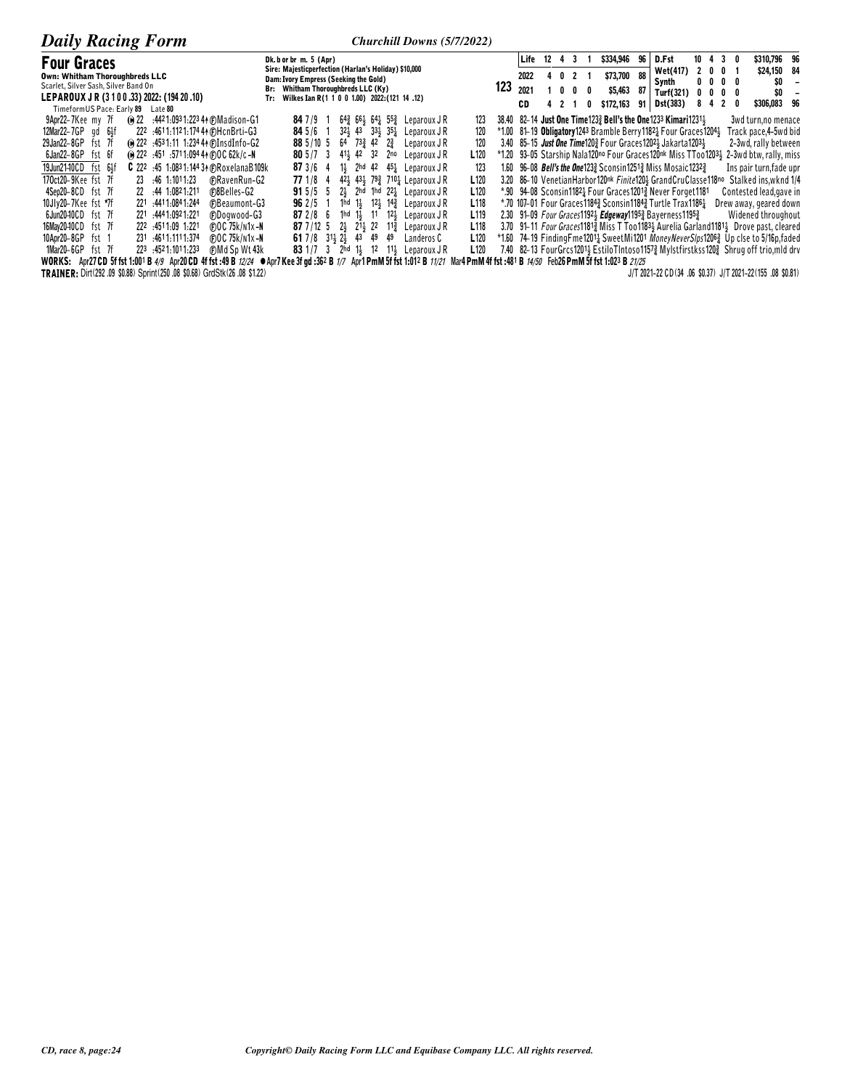| <b>Daily Racing Form</b>                                                                                                         | Churchill Downs (5/7/2022)                                                                                                 |     |         |     |                |                                                                                                                                         |      |                 |                |   |                  |                                                                                          |
|----------------------------------------------------------------------------------------------------------------------------------|----------------------------------------------------------------------------------------------------------------------------|-----|---------|-----|----------------|-----------------------------------------------------------------------------------------------------------------------------------------|------|-----------------|----------------|---|------------------|------------------------------------------------------------------------------------------|
| <b>Four Graces</b>                                                                                                               | Dk. b or br m. 5 (Apr)                                                                                                     |     | Life 12 |     | 43             | \$334,946                                                                                                                               | 96 I | D.Fst           |                |   | $10 \t4 \t3 \t0$ | \$310,796 96                                                                             |
| Own: Whitham Thoroughbreds LLC                                                                                                   | Sire: Majesticperfection (Harlan's Holiday) \$10,000<br>Dam: Ivory Empress (Seeking the Gold)                              |     | 2022    |     | 0 <sub>2</sub> | \$73,700                                                                                                                                | 88   | <b>Wet(417)</b> | 2 <sub>0</sub> |   | 0                | \$24,150 84                                                                              |
| Scarlet, Silver Sash, Silver Band On                                                                                             | Br: Whitham Thoroughbreds LLC (Ky)                                                                                         | 123 | 2021    |     | $0\quad 0$     | \$5,463<br>0                                                                                                                            | -87  | Synth           | $0\quad 0$     |   | $0\quad 0$       | \$0                                                                                      |
| LEPAROUX JR (3100.33) 2022: (194 20.10)                                                                                          | Wilkes Ian R(1 1 0 0 1.00) 2022: (121 14 .12)<br>Tr:                                                                       |     |         |     |                |                                                                                                                                         |      | Turf(321)       |                | 0 | 0<br>2<br>0      | \$0<br>\$306,083 96                                                                      |
| TimeformUS Pace: Early 89<br>Late 80                                                                                             |                                                                                                                            |     | CD      | 421 |                | \$172,163                                                                                                                               |      | $91$ Dst(383)   |                |   |                  |                                                                                          |
| (e) 22 :4421:0931:22344 (F) Madison-G1<br>9Apr22-7Kee my 7f                                                                      | $847/9$ 1<br>$64\frac{3}{4}$ 661 $64\frac{1}{4}$ 552 Leparoux JR<br>123                                                    |     |         |     |                | 38.40 82–14 Just One Time 1233 Bell's the One 1233 Kimari 12311                                                                         |      |                 |                |   |                  | 3wd turn.no menace                                                                       |
| $12$ Mar $22 - 7GP$ qd $6\frac{1}{2}f$<br>222 :4611:1121:174 44 (F)HcnBrti-G3                                                    | $32\frac{1}{2}$ 43 $33\frac{1}{2}$ 35 <sup>1</sup> / <sub>2</sub> Leparoux JR<br>120<br>$845/6$ 1                          |     |         |     |                | $*1.00$ 81-19 Obligatory 1243 Bramble Berry 1182 $\frac{1}{4}$ Four Graces 1204 $\frac{1}{2}$                                           |      |                 |                |   |                  | Track pace,4-5wd bid                                                                     |
| @ 222 :4531:11 1:234 4 DInsdInfo-G2<br>29Jan22-8GP fst 7f                                                                        | $64$ $73\frac{3}{4}$ $42$ $2\frac{3}{4}$<br>120<br>88 5/10 5<br>Leparoux J R                                               |     |         |     |                | 3.40 85-15 Just One Time120} Four Graces 1202} Jakarta 1203}                                                                            |      |                 |                |   |                  | 2-3wd, rally between                                                                     |
| 6Jan22-8GP fst 6f<br>(e) 222 :451 :5711:094 44 @OC 62k/c -N                                                                      | 80 $5/7$ 3 $41\frac{1}{2}$ 42 $32$ 2no<br>L 120<br>Leparoux J R                                                            |     |         |     |                |                                                                                                                                         |      |                 |                |   |                  | *1.20 93-05 Starship Nala120no Four Graces120nk Miss TToo12033 2-3wd btw, rally, miss    |
| 19Jun2140CD fst 64f<br><b>C</b> 222 :45 1:0831:144 34 (F)RoxelanaB109k                                                           | 11 <sub>3</sub> 2hd 42 45 <sup>1</sup> <sub>4</sub> Leparoux JR<br>123<br>873/64                                           |     |         |     |                | 1.60 96-08 <i>Bell's the One</i> 123 <sup>3</sup> Sconsin 125 <sup>13</sup> / <sub>2</sub> Miss Mosaic 1232 <sup>3</sup> / <sub>2</sub> |      |                 |                |   |                  | Ins pair turn, fade upr                                                                  |
| 170ct20-9Kee fst 7f<br>23 .46 1.1011.23<br><b>FRavenRun-G2</b>                                                                   | $42\frac{1}{2}$ $43\frac{1}{2}$ $79\frac{3}{4}$ 710 <sup>1</sup> <sub>4</sub> Leparoux J R<br>L <sub>120</sub><br>77 1/8 4 |     |         |     |                | 3.20 86-10 Venetian Harbor 120nk Finite 120 } Grand CruClasse 118no                                                                     |      |                 |                |   |                  | Stalked ins.wknd 1/4                                                                     |
| 4Sep20-8CD fst 7f<br><b>C</b> BBelles-G2<br>22 .44 1:0821:211                                                                    | $2\frac{1}{2}$ 2hd 1hd $22\frac{1}{2}$ Leparoux JR<br>L <sub>120</sub><br>$915/5$ 5                                        |     |         |     |                | *.90 94-08 Sconsin11821 Four Graces12012 Never Forget1181                                                                               |      |                 |                |   |                  | Contested lead, gave in                                                                  |
| 10Jly20-7Kee fst *7f<br>221 :4411:0841:244<br>(F)Beaumont-G3                                                                     | 1hd 1 $\frac{1}{2}$ 12 $\frac{1}{2}$ 14 $\frac{3}{4}$ Leparoux JR<br>L <sub>118</sub><br>$962/5$ 1                         |     |         |     |                | *.70 107-01 Four Graces11843 Sconsin11843 Turtle Trax11861                                                                              |      |                 |                |   |                  | Drew away, geared down                                                                   |
| 6Jun2040CD fst 7f<br>221 .444 1:092 1:221<br>(F)Dogwood-G3                                                                       | 1hd 1 $\frac{1}{2}$ 11 12 $\frac{1}{2}$ Leparoux JR<br>L <sub>119</sub><br>872/86                                          |     |         |     |                | 2.30 91-09 <i>Four Graces</i> 1192 <b>Edgeway</b> 1195 a Bayerness 1195 am                                                              |      |                 |                |   |                  | Widened throughout                                                                       |
| 16Mav20-10CD fst 7f<br>222 4511.09 1.221<br>(F)OC 75k/n1x-N                                                                      | L118<br>87 7/12 5 2 21 21 22 11 Leparoux JR                                                                                |     |         |     |                |                                                                                                                                         |      |                 |                |   |                  | 3.70 91-11 Four Graces11812 Miss T Too11834 Aurelia Garland11814 Drove past, cleared     |
| 10Apr20-8GP<br>231 :4611:1111:374<br>(F) O C 75k/n1x-N<br>fst 1                                                                  | 61 7/8 31 $\frac{1}{2}$ 2 $\frac{1}{2}$ 43 49 49<br>L <sub>120</sub><br>Landeros C                                         |     |         |     |                |                                                                                                                                         |      |                 |                |   |                  | *1.60 74-19 Finding Fme12011 Sweet Mi1201 Money Never Slps1206 3 Up clse to 5/16p, faded |
| $1$ Mar20-6GP fst 7f<br>223 4521.1011.233<br><b>CMd Sp Wt 43k</b>                                                                | 83 1/7 3 2hd 1} 12 11} Leparoux JR<br>L <sub>120</sub>                                                                     |     |         |     |                |                                                                                                                                         |      |                 |                |   |                  | 7.40 82-13 FourGrcs12014 EstiloTIntoso11574 Mylstfirstkss1204 Shrug off trio, mld drv    |
| WORKS: Apr27 CD 5f fst 1:001 B 4/9 Apr20 CD 4f fst :49 B 12/24 $\bullet$ Apr7 Kee 3f gd :362 B 1/7 Apr1 PmM 5f fst 1:012 B 11/21 |                                                                                                                            |     |         |     |                | Mar4 PmM 4f fst :481 B 14/50 Feb26 PmM 5f fst 1:023 B 21/25                                                                             |      |                 |                |   |                  |                                                                                          |
| TRAINER: Dirt(292 .09 \$0.88) Sprint(250 .08 \$0.68) GrdStk(26 .08 \$1.22)                                                       |                                                                                                                            |     |         |     |                |                                                                                                                                         |      |                 |                |   |                  | J/T 2021-22 CD(34 .06 \$0.37) J/T 2021-22(155 .08 \$0.81)                                |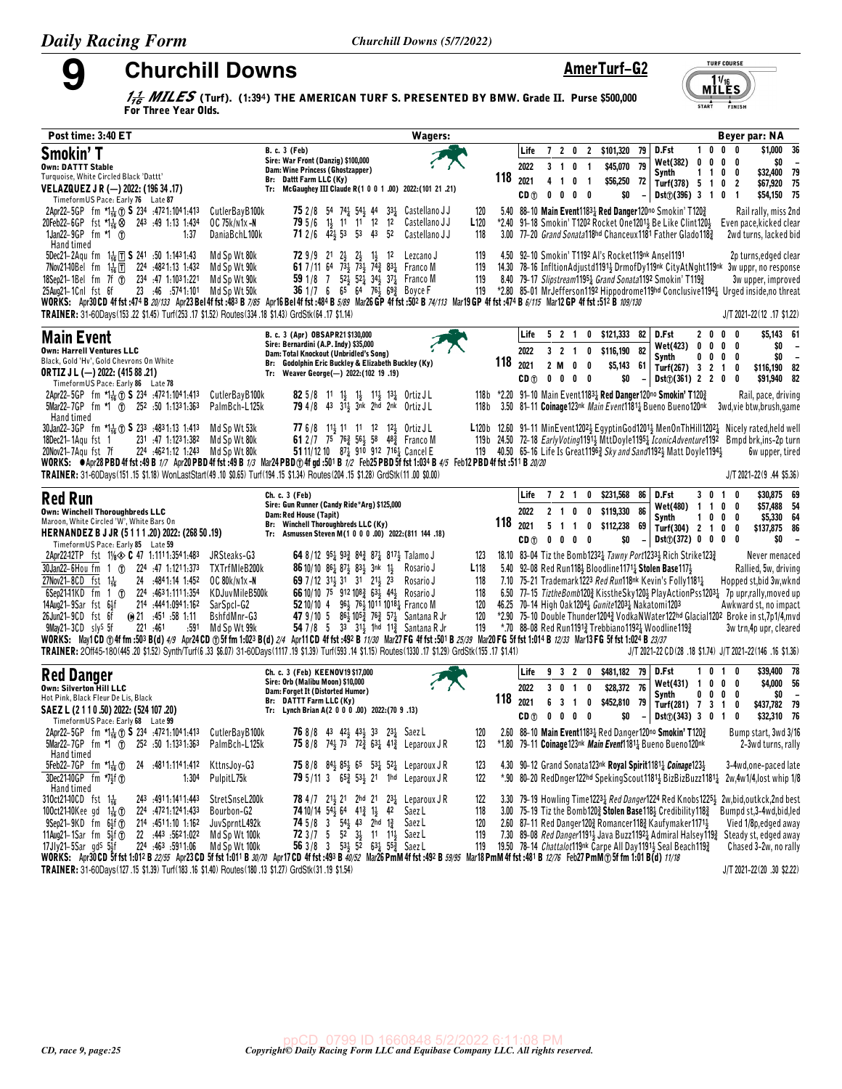9

**Churchill Downs** 

AmerTurf-G2

**TURF COURSE** 

 $M^{11/16}_{\text{LES}}$ 

FINISH

 $\overbrace{\text{START}}^{\overbrace{\text{A}}}$ 

 $\frac{1}{16}$  MILES (Turf). (1:394) THE AMERICAN TURF S. PRESENTED BY BMW. Grade II. Purse \$500,000 For Three Year Olds.

| Post time: 3:40 ET                                                                                                                                                                                                                                                                                                                                                                                                                                                                                                                                                                                                                                                                                            |                                                                                                                                                                                                                                                                                                                                                                                                                                                                                                              | <b>Wagers:</b>                                                                       |                                                 |                                                                                                             |                                                                                                                                                                                                                                                          |                                                                                                                       | Beyer par: NA                                                                                                                                                                                                                                                                                                                                                   |
|---------------------------------------------------------------------------------------------------------------------------------------------------------------------------------------------------------------------------------------------------------------------------------------------------------------------------------------------------------------------------------------------------------------------------------------------------------------------------------------------------------------------------------------------------------------------------------------------------------------------------------------------------------------------------------------------------------------|--------------------------------------------------------------------------------------------------------------------------------------------------------------------------------------------------------------------------------------------------------------------------------------------------------------------------------------------------------------------------------------------------------------------------------------------------------------------------------------------------------------|--------------------------------------------------------------------------------------|-------------------------------------------------|-------------------------------------------------------------------------------------------------------------|----------------------------------------------------------------------------------------------------------------------------------------------------------------------------------------------------------------------------------------------------------|-----------------------------------------------------------------------------------------------------------------------|-----------------------------------------------------------------------------------------------------------------------------------------------------------------------------------------------------------------------------------------------------------------------------------------------------------------------------------------------------------------|
| Smokin' T<br><b>Own: DATTT Stable</b><br>Turquoise, White Circled Black 'Dattt'<br>VELAZQUEZ J R (-) 2022: (196 34 .17)<br>TimeformUS Pace: Early 76 Late 87                                                                                                                                                                                                                                                                                                                                                                                                                                                                                                                                                  | <b>B. c. 3 (Feb)</b><br>Sire: War Front (Danzig) \$100,000<br>Dam: Wine Princess (Ghostzapper)<br>Br: Dattt Farm LLC (Ky)<br>Tr: McGaughey III Claude R(1 0 0 1 .00) 2022: (101 21 .21)                                                                                                                                                                                                                                                                                                                      |                                                                                      | Life<br>2022<br>118<br>2021<br>CD <sub>①</sub>  | 7 <sub>2</sub><br>3<br>0<br>$\overline{1}$<br>4<br>$\overline{1}$<br>0 <sub>1</sub><br>0<br>0<br>$0\quad 0$ | 0 2 \$101,320 79<br>\$45,070 79<br>$\overline{1}$<br>\$56,250<br>72<br>\$0                                                                                                                                                                               | $1\quad0$<br>D.Fst<br>Wet(382)<br>0<br>Synth<br>1 1 0 0<br>Turf(378) $5 \t1 \t0 \t2$<br>$Dist(\hat{J})$ (396) 3 1 0 1 | \$1,000<br>- 36<br>$0\quad 0$<br>\$0<br>$0\quad 0\quad 0$<br>\$32,400<br>79<br>\$67,920 75<br>\$54,150 75                                                                                                                                                                                                                                                       |
| 2Apr22-5GP fm *1. Test 3234 :4721:1041:413<br>20Feb22-6GP fst 치늖⊗ 243 :49 1:13 1:434<br>1Jan22-9GP fm *1 1<br>1:37<br>Hand timed                                                                                                                                                                                                                                                                                                                                                                                                                                                                                                                                                                              | CutlerBayB100k<br><b>75</b> 2/8 54 74 <sup>1</sup> / <sub>2</sub> 54 <sup>1</sup> / <sub>3</sub> 44 33 <sup>1</sup> / <sub>2</sub> Castellano JJ<br><b>79</b> 5/6 1 <sup>1</sup> / <sub>2</sub> 11 11 12 12<br>OC 75k/n1x-N<br><b>71</b> 2/6 $4\overline{2}$ 53 53 43<br>DaniaBchL100k<br>- 52                                                                                                                                                                                                               | 120<br>L120<br>Castellano J J<br>Castellano J J<br>118                               |                                                 |                                                                                                             | 5.40 88-10 Main Event11831 Red Danger120no Smokin' T1203<br>*2.40 91-18 Smokin' T1202 Rocket One12013 Be Like Clint1203                                                                                                                                  | 3.00 77-20 Grand Sonata118hd Chanceux1181 Father Glado1183                                                            | Rail rally, miss 2nd<br>Even pace, kicked clear<br>2wd turns, lacked bid                                                                                                                                                                                                                                                                                        |
| 5Dec21-2Aqu fm $1\frac{1}{16}$ T S 241 :50 1:1431:43<br>7Nov2140Bel fm 1 <sup>1</sup> <sub>16</sub> 1 224 :4821:13 1:432<br>18Sep21-1Bel fm 7f $\overline{0}$ 234 :47 1:1031:221<br>23 :46 :5741:101 Md Sp Wt 50k<br>25Aug21-1Cnl fst 6f<br>WORKS: Apr30CD 4f fst:474 B 20/133 Apr23 Bel 4f fst:483 B 7/85 Apr16 Bel 4f fst:484 B 5/89 Mar26 GP 4f fst :502 B 74/113 Mar19 GP 4f fst:474 B 6/115 Mar12 GP 4f fst :512 B 109/130<br>TRAINER: 31-60Days(153.22 \$1.45) Turf(253.17 \$1.52) Routes(334.18 \$1.43) GrdStk(64.17 \$1.14)                                                                                                                                                                           | Md Sp Wt 80k<br><b>72</b> 9/9 21 $2\frac{1}{2}$<br>$2\frac{1}{2}$ $1\frac{1}{2}$ 12<br>61 7/11 64 734 734 742 834 Franco M<br>Md Sp Wt 90k<br>Md Sp Wt 90k<br>59 1/8 7 52 $\frac{1}{2}$ 52 $\frac{1}{4}$ 34 $\frac{1}{2}$ 37 $\frac{1}{4}$ Franco M<br>36 1/7 6 65 64 76 <sup>1</sup> / <sub>3</sub> 69 <sup>3</sup> / <sub>3</sub> Boyce F                                                                                                                                                                  | 119<br>Lezcano J<br>119<br>119<br>119                                                |                                                 |                                                                                                             | 4.50 92-10 Smokin' T1192 Al's Rocket119nk Ansel1191<br>8.40 79-17 Slipstream11951 Grand Sonata1192 Smokin' T1193                                                                                                                                         |                                                                                                                       | 2p turns, edged clear<br>14.30 78-16 InfltionAdjustd1191} DrmofDy119nk CityAtNght119nk 3w uppr, no response<br>3w upper, improved<br>*2.80 85-01 MrJefferson1192 Hippodrome119hd Conclusive11941 Urged inside,no threat<br>J/T 2021-22(12 .17 \$1.22)                                                                                                           |
| <b>Main Event</b><br><b>Own: Harrell Ventures LLC</b><br>Black, Gold 'Hv', Gold Chevrons On White<br><b>ORTIZ J L (-) 2022: (415 88 .21)</b><br>TimeformUS Pace: Early 86 Late 78                                                                                                                                                                                                                                                                                                                                                                                                                                                                                                                             | B. c. 3 (Apr) OBSAPR21 \$130,000<br>Sire: Bernardini (A.P. Indy) \$35,000<br>Dam: Total Knockout (Unbridled's Song)<br>Br: Godolphin Eric Buckley & Elizabeth Buckley (Ky)<br>Tr: Weaver George(-) 2022:(102 19.19)                                                                                                                                                                                                                                                                                          |                                                                                      | Life<br>2022<br>118<br>2021<br>CD <sub>1</sub>  | 5 2 1<br>2 M<br>0<br>$0\quad 0\quad 0\quad 0$                                                               | $0$ \$121,333 82<br>3 2 1 0 \$116,190 82<br>\$5,143<br>0<br>- 61<br>\$0                                                                                                                                                                                  | D.Fst<br>2 <sub>0</sub><br><b>Wet(423)</b><br>0<br>Synth<br>0<br>Turf(267) 3 2 1<br>$Dist(\hat{U})$ (361) 2 2 0 0     | \$5,143 61<br>$0\quad 0$<br>$0\quad 0\quad 0$<br>\$0<br>$\overline{\phantom{a}}$<br>\$0<br>$0\quad 0\quad 0$<br>$\overline{\phantom{a}}$<br>\$116,190 82<br>0<br>\$91,940 82                                                                                                                                                                                    |
| 2Apr22-5GP fm *1 <sub>16</sub> (f) <b>S</b> 234 :4721:1041:413<br>5Mar22-7GP fm *1 (1) 252 :50 1:1331:363<br>Hand timed                                                                                                                                                                                                                                                                                                                                                                                                                                                                                                                                                                                       | CutlerBayB100k<br><b>82</b> 5/8 11 1 <sup>1</sup> 1 <sup>1</sup> 1 <sup>1</sup> 1 <sup>1</sup> 1 <sup>1</sup> 1 <sup>2</sup> 1 <sup>2</sup> Urtiz J L<br>79 4/8 43 311 3nk 2hd 2nk Ortiz JL<br>PalmBch-L125k                                                                                                                                                                                                                                                                                                 | 118 b                                                                                |                                                 |                                                                                                             | 118b *2.20 91-10 Main Event11831 Red Danger120no Smokin' T1203<br>3.50 81-11 Coinage123nk Main Event1181 $\frac{1}{4}$ Bueno Bueno120nk                                                                                                                  |                                                                                                                       | Rail, pace, driving<br>3wd,vie btw,brush,game                                                                                                                                                                                                                                                                                                                   |
| 30Jan22-3GP fm *14 1 S 233 :4831:13 1:413<br>231 :47 1:1231:382<br>18Dec21-1Agu fst 1<br>20Nov21-7Agu fst 7f<br>224 :4621:12 1:243 Md Sp Wt 80k<br>WORKS: ● Apr28 PBD 4f fst :49 B 1/7 Apr20 PBD 4f fst :49 B 1/3 Mar24 PBD ① 4f gd :501 B 1/2 Feb25 PBD 5f fst 1:034 B 4/5 Feb12 PBD 4f fst :511 B 20/20<br>TRAINER: 31-60Days(151.15 \$1.18) WonLastStart(49.10 \$0.65) Turf(194.15 \$1.34) Routes(204.15 \$1.28) GrdStk(11.00 \$0.00)                                                                                                                                                                                                                                                                      | Md Sp Wt 53k<br>77 6/8 113 11 11 12 123 Ortiz JL<br>Md Sp Wt 80k<br>61 2/7 75 76 3 56 48 58 48 58 Franco M<br>51 11/12 10 87 $\frac{1}{4}$ 910 912 716 $\frac{1}{4}$ Cancel E                                                                                                                                                                                                                                                                                                                                |                                                                                      |                                                 |                                                                                                             |                                                                                                                                                                                                                                                          | 119 40.50 65-16 Life Is Great 1196 $\frac{3}{4}$ Sky and Sand 1192 $\frac{1}{4}$ Matt Doyle 1194 $\frac{1}{2}$        | L120b 12.60 91-11 MinEvent12022 EgyptinGod12012 MenOnThHill12022 Nicely rated, held well<br>119b 24.50 72-18 Early Voting 11913 MttDoyle 11951 IconicAdventure 1192 Bmpd brk, ins-2p turn<br><b>6w</b> upper, tired<br>$J/T 2021 - 22(9.44$ \$5.36)                                                                                                             |
| <b>Red Run</b><br><b>Own: Winchell Thoroughbreds LLC</b><br>Maroon, White Circled 'W', White Bars On<br>HERNANDEZ B J JR (5 1 1 1 .20) 2022: (268 50 .19)<br>Timeform US Pace: Early 85 Late 59                                                                                                                                                                                                                                                                                                                                                                                                                                                                                                               | Ch. c. 3 (Feb)<br>Sire: Gun Runner (Candy Ride*Arg) \$125,000<br>Dam: Red House (Tapit)<br>Br: Winchell Thoroughbreds LLC (Ky)<br>Tr: Asmussen Steven M(1 0 0 0 .00) 2022: (811 144 .18)                                                                                                                                                                                                                                                                                                                     |                                                                                      | Life<br>2022<br>$118_{2021}$<br>CD <sub>1</sub> | 7 2 1<br>$2 \t1 \t0$<br>5<br>$\overline{1}$<br>$0\quad 0\quad 0\quad 0$                                     | 0 \$231,568 86<br>0 \$119,330<br>- 86<br>1 0 \$112,238<br>69<br>\$0<br>$\overline{\phantom{a}}$                                                                                                                                                          | D.Fst<br>3 0 1 0<br>Wet(480) 1 1 0 0<br>Synth<br>1000<br>Turf(304) 2 1 0 0<br>Dist(j(372) 0 0 0 0                     | \$30,875 69<br>\$57,488 54<br>\$5,330 64<br>\$137,875 86<br>\$0<br>$\overline{\phantom{a}}$                                                                                                                                                                                                                                                                     |
| 2Apr22-12TP fst $1\frac{1}{8}$ C 47 1.1111.3541.483<br>30Jan22-6Hou fm 1 (f) 224 :47 1:1211:373<br>27Nov21-8CD fst $1\frac{1}{16}$<br>24 :4841:14 1:452<br>6Sep21-11KD fm 1 (f) 224 :4631:1111:354<br>14Aug21-9Sar fst 6}f<br>214 :444 1:094 1:162<br>26Jun21-9CD fst 6f<br>(0, 21, 451, 58, 1.11)<br>$9$ May21-3CD sly <sup>S</sup> 5f<br>221 .461<br>:591<br>WORKS: May1CD ①4f fm :503 B(d) 4/9 Apr24CD ①5f fm 1:023 B(d) 2/4 Apr11CD 4f fst :492 B 11/30 Mar27 FG 4f fst :501 B 25/39 Mar20 FG 5f fst 1:014 B 12/33 Mar13 FG 5f fst 1:024 B 23/37<br>TRAINER: 20ff45-180(445.20 \$1.52) Synth/Turf(6.33 \$6.07) 31-60Days(1117.19 \$1.39) Turf(593.14 \$1.15) Routes(1330.17 \$1.29) GrdStk(155.17 \$1.41) | JRSteaks-G3<br>64 8/12 95 $\frac{1}{4}$ 93 $\frac{3}{4}$ 84 $\frac{3}{4}$ 87 $\frac{1}{4}$ 817 $\frac{1}{2}$ Talamo J<br>TXTrfMleB200k<br>86 10/10 861 871 831 3nk 11<br>OC 80k/n1x-N<br>69 7 / 12 3 13 31 31 213 23<br>KDJuvMileB500k<br>66 10/10 75 912 108 2 63 44 Rosario J<br>SarSpcl-G2<br>52 10/10 4 96 76 1011 1018 Franco M<br>47 9/10 5 861 1053 763 571 Santana R Jr<br>BshfdMnr-G3<br>54 7/8 5 33 31 <sup>1</sup> / <sub>2</sub> 1hd 11 <sup>3</sup> / <sub>4</sub> Santana R Jr<br>Md Sp Wt 99k | 123<br>L <sub>118</sub><br>Rosario J<br>118<br>Rosario J<br>118<br>120<br>120<br>119 |                                                 |                                                                                                             | 5.40 92-08 Red Run1183 Bloodline1171 3 Stolen Base1173<br>7.10 75-21 Trademark1223 Red Run118nk Kevin's Folly11811<br>46.25 70-14 High Oak 1204 <sub>4</sub> Gunite1203 <sub>4</sub> Nakatomi1203<br>*.70 88-08 Red Run11913 Trebbiano11921 Woodline1193 | 18.10 83-04 Tiz the Bomb12321 Tawny Port12331 Rich Strike1231                                                         | Never menaced<br>Rallied, 5w, driving<br>Hopped st, bid 3w, wknd<br>6.50 77-15 TiztheBomb1203 KisstheSky1203 PlayActionPss12031 7p upr,rally, moved up<br>Awkward st, no impact<br>*2.90 75-10 Double Thunder12043 VodkaNWater122hd Glacial1202 Broke in st,7p1/4, mvd<br>3w trn,4p upr, cleared<br>J/T 2021-22 CD (28 .18 \$1.74) J/T 2021-22 (146 .16 \$1.36) |
| <b>Red Danger</b><br>Own: Silverton Hill LLC<br>Hot Pink, Black Fleur De Lis, Black<br>SAEZ L (2 1 1 0 .50) 2022: (524 107 .20)<br>Timeform US Pace: Early 68 Late 99                                                                                                                                                                                                                                                                                                                                                                                                                                                                                                                                         | Ch. c. 3 (Feb) KEENOV19 \$17,000<br>Sire: Orb (Malibu Moon) \$10,000<br>Dam: Forget It (Distorted Humor)<br>Br: DATTT Farm LLC (Ky)<br>Tr: Lynch Brian A(2 0 0 0 .00) 2022: (70 9 .13)                                                                                                                                                                                                                                                                                                                       |                                                                                      | Life<br>2022<br>118<br>2021<br>CD <sub>1</sub>  | 3<br>$0 \quad 1 \quad 0$<br>6<br>3<br>$\mathbf{1}$<br>$0\quad 0$<br>$0\quad 0$                              | 9 3 2 0 \$481,182 79<br>\$28,372 76<br>\$452,810<br>$\mathbf 0$<br>79<br>\$0                                                                                                                                                                             | D.Fst<br>0<br>Wet(431) 1<br>Synth<br>$0\ 0\ 0\ 0$<br>Turf(281) 7 3 1 0<br>$Dist(7)(343)$ 3 0 1                        | \$39,400 78<br>10<br>\$4,000 56<br>$0\quad 0\quad 0$<br>\$0<br>$\overline{\phantom{a}}$<br>\$437,782 79<br>\$32,310 76<br>0                                                                                                                                                                                                                                     |
| 2Apr22-5GP fm *1 <sub>16</sub> (f) <b>S</b> 234 :4721:1041:413<br>5Mar22-7GP fm *1 (f)<br>252 .50 1.1331.363                                                                                                                                                                                                                                                                                                                                                                                                                                                                                                                                                                                                  | CutlerBayB100k<br><b>76</b> 8/8 43 42 <sup>1</sup> / <sub>2</sub> 43 <sup>1</sup> / <sub>2</sub> 33 23 <sup>1</sup> / <sub>4</sub> Saez L<br>75 8/8 74 <sup>1</sup> / <sub>2</sub> 73 72 <sup>3</sup> / <sub>4</sub> 63 <sup>1</sup> / <sub>4</sub> Leparoux J R<br>PalmBch-L125k                                                                                                                                                                                                                            | 120<br>123                                                                           |                                                 |                                                                                                             | 2.60 88-10 Main Event11834 Red Danger120no Smokin' T1203<br>*1.80 79-11 Coinage123nk Main Event11811 Bueno Bueno120nk                                                                                                                                    |                                                                                                                       | Bump start, 3wd 3/16<br>2-3wd turns, rally                                                                                                                                                                                                                                                                                                                      |
| Hand timed<br>5Feb22-7GP fm $\pi$ 1 <sup>4</sup> <sub>16</sub> ①<br>24 :4811:1141:412<br>3Dec21-10GP fm *7 <sup>1</sup> 2f <sup>1</sup><br>1:304<br>Hand timed                                                                                                                                                                                                                                                                                                                                                                                                                                                                                                                                                | KttnsJoy-G3<br><b>75</b> 8/8 $84\frac{1}{2}$ 8 <sup>5</sup> / <sub>2</sub> 6 <sup>5</sup> 5 <sup>3</sup> / <sub>4</sub> 5 <sup>2</sup> / <sub>4</sub> Leparoux J R<br>PulpitL75k<br>79 5/11 3 653 534 21 1hd Leparoux JR                                                                                                                                                                                                                                                                                     | 123<br>122                                                                           |                                                 |                                                                                                             | 4.30 90-12 Grand Sonata123 <sup>nk</sup> Royal Spirit1181 $\frac{1}{4}$ Coinage123 $\frac{1}{2}$                                                                                                                                                         |                                                                                                                       | 3-4wd,one-paced late<br>*.90 80-20 RedDnger122hd SpekingScout1181} BizBizBuzz1181} 2w,4w1/4,lost whip 1/8                                                                                                                                                                                                                                                       |
| 310ct21-10CD fst 1 <sup>1</sup> / <sub>6</sub><br>243 :4911:1411:443<br>100ct2140Kee gd $1\frac{1}{16}$ ①<br>224 :4721:1241:433<br>$9$ Sep21- $9$ KD fm $6\frac{1}{2}$ fm<br>214 .4511.10 1.162<br>11Aug21-1Sar fm $5\frac{1}{3}$ f (j)<br>22 :443 :5621:022<br>$17J$ J $v21-5$ Sar $qdS$ $54f$<br>224 463 5911.06<br>WORKS: Apr30 CD 5f fst 1:012 B 22/55 Apr23 CD 5f fst 1:011 B 30/70 Apr17 CD 4f fst :493 B 40/52 Mar26 PmM 4f fst :492 B 59/95 Mar18 PmM 4f fst :481 B 12/76 Feb27 PmM 105 f fm 1:01 B (d) 11/18                                                                                                                                                                                         | StretSnseL200k<br><b>78</b> 4/7 21 <sup>1</sup> / <sub>2</sub> 21 2hd 21 23 <sup>1</sup> / <sub>2</sub> Leparoux JR<br><b>74</b> 10/14 $54\frac{1}{2}$ 64 $41\frac{3}{4}$ 1 <sub>2</sub> 42<br>Bourbon-G2<br>JuvSprntL492k<br><b>74</b> 5/8 3 54 <sup>1</sup> / <sub>2</sub> 43 2hd 1 <sup>2</sup> / <sub>4</sub> Saez L<br>72 $3/7$ 5 $5^2$ $3^1$ 11 $1^1$ Saez L<br>Md Sp Wt 100k<br>56 3/8 3 53 $\frac{1}{2}$ 52 63 $\frac{1}{4}$ 55 $\frac{3}{4}$ Saez L<br>Md Sp Wt 100k                                | 122<br>Saez L<br>118<br>120<br>119<br>119                                            |                                                 |                                                                                                             | 3.00 75-19 Tiz the Bomb1202 Stolen Base1182 Credibility1182<br>2.60 87-11 Red Danger1203 Romancer1183 Kaufymaker11713<br>19.50 78-14 Chattalot119nk Carpe All Day11914 Seal Beach1193                                                                    |                                                                                                                       | 3.30 79-19 Howling Time12231 Red Danger1224 Red Knobs12251 2w, bid, outkck, 2nd best<br>Bumpd st, 3-4wd, bid, led<br>Vied 1/8p,edged away<br>7.30 89-08 Red Danger11914 Java Buzz11924 Admiral Halsey 1193 Steady st, edged away<br>Chased 3-2w, no rally                                                                                                       |
| TRAINER: 31-60Davs(127.15 \$1.39) Turf(183.16 \$1.40) Routes(180.13 \$1.27) GrdStk(31.19 \$1.54)                                                                                                                                                                                                                                                                                                                                                                                                                                                                                                                                                                                                              |                                                                                                                                                                                                                                                                                                                                                                                                                                                                                                              |                                                                                      |                                                 |                                                                                                             |                                                                                                                                                                                                                                                          |                                                                                                                       | J/T 2021-22(20 .30 \$2.22)                                                                                                                                                                                                                                                                                                                                      |

TRAINER: 31-60Days(127.15 \$1.39) Turf(183.16 \$1.40) Routes(180.13 \$1.27) GrdStk(31.19 \$1.54)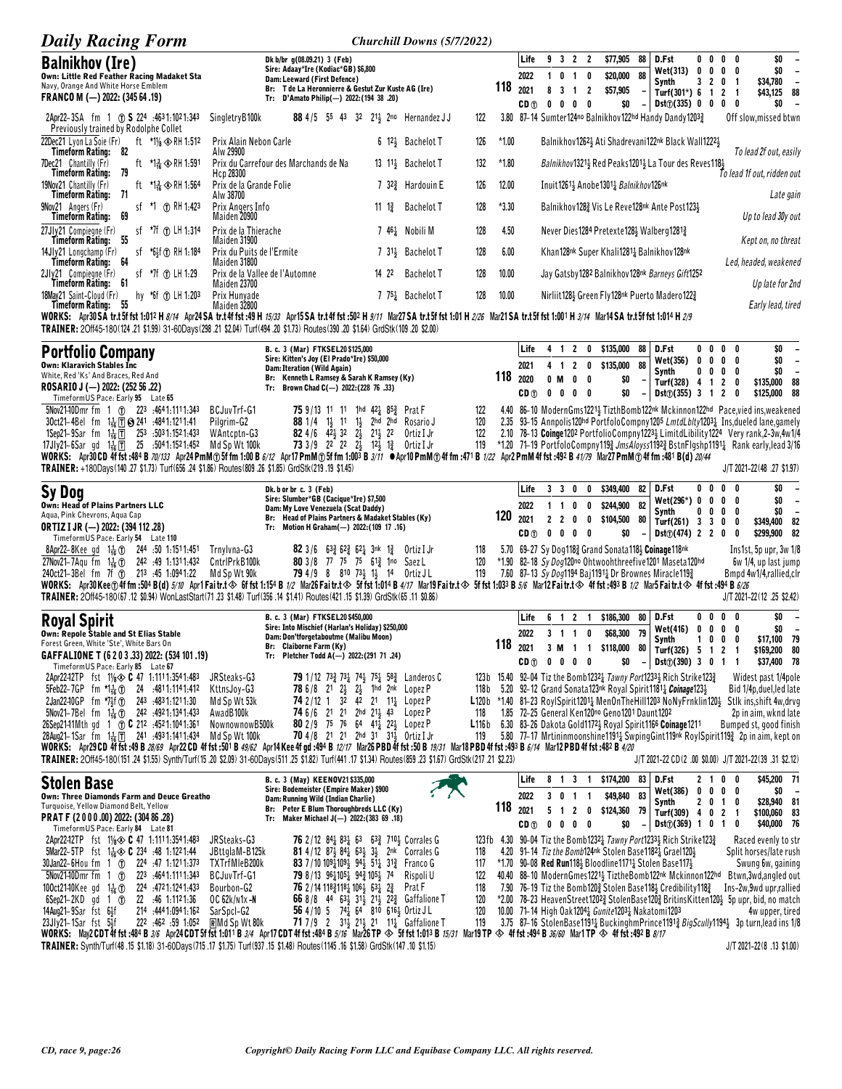| <b>Daily Racing Form</b>                                                                                                                                                                                                                                                                                                           |                                                    |                                                                                                                                                                  |                   | Churchill Downs (5/7/2022)                                                                                                                            |               |         |                         |                          |                          |                                                      |                                 |                                                                                                                                                                                                        |                             |                   |                          |                                                |                                  |
|------------------------------------------------------------------------------------------------------------------------------------------------------------------------------------------------------------------------------------------------------------------------------------------------------------------------------------|----------------------------------------------------|------------------------------------------------------------------------------------------------------------------------------------------------------------------|-------------------|-------------------------------------------------------------------------------------------------------------------------------------------------------|---------------|---------|-------------------------|--------------------------|--------------------------|------------------------------------------------------|---------------------------------|--------------------------------------------------------------------------------------------------------------------------------------------------------------------------------------------------------|-----------------------------|-------------------|--------------------------|------------------------------------------------|----------------------------------|
| <b>Balnikhov (Ire)</b><br>Own: Little Red Feather Racing Madaket Sta                                                                                                                                                                                                                                                               |                                                    | Dk b/br g(08.09.21) 3 (Feb)<br>Sire: Adaay*Ire (Kodiac*GB) \$6,800                                                                                               |                   |                                                                                                                                                       |               |         | Life<br>2022            |                          | 9 3 2 2<br>1 0 1 0       | \$77,905<br>\$20,000                                 | 88<br>88                        | D.Fst<br>Wet(313)                                                                                                                                                                                      | 00<br>0<br>0                | 0                 | $0\quad 0$<br>0          | \$0<br>\$0                                     | $\overline{\phantom{a}}$         |
| Navy, Orange And White Horse Emblem<br>FRANCO M (-) 2022: (345 64 .19)                                                                                                                                                                                                                                                             |                                                    | Dam: Leeward (First Defence)<br>Br: T de La Heronnierre & Gestut Zur Kuste AG (Ire)<br>Tr: D'Amato Philip(-) 2022: (194 38 .20)                                  |                   |                                                                                                                                                       |               | 118     | 2021<br>CD <sub>1</sub> | $0\quad 0$               | 8 3 1 2<br>$0\quad 0$    | \$57,905                                             | \$0                             | Synth<br>Turf(301*) 6 1<br>$Dist(\hat{v})$ (335) 0 0 0                                                                                                                                                 |                             | 3 2 0 1           | 2 <sub>1</sub><br>0      | \$34,780<br>\$43,125<br>\$0                    | $\overline{\phantom{a}}$<br>88   |
| 2Apr22-3SA fm 1 (1) S 224 :4631:1021:343<br>Previously trained by Rodolphe Collet                                                                                                                                                                                                                                                  | SingletryB100k                                     |                                                                                                                                                                  |                   | 88 4/5 55 43 32 211 2no Hernandez JJ                                                                                                                  | 122           |         |                         |                          |                          |                                                      |                                 | 3.80 87-14 Sumter124no Balnikhov122hd Handy Dandy12033                                                                                                                                                 |                             |                   |                          | Off slow, missed btwn                          |                                  |
| 22Dec21 Lyon La Soie (Fr)<br>ft *1% $\otimes$ RH 1:512<br>Timeform Rating: 82                                                                                                                                                                                                                                                      | Prix Alain Nebon Carle<br>Alw 29900                |                                                                                                                                                                  |                   | 6 12 <sup>3</sup> Bachelot T                                                                                                                          | 126           | *1.00   |                         |                          |                          |                                                      |                                 | Balnikhov 1262 Ati Shadrevani 122nk Black Wall 1222 }                                                                                                                                                  |                             |                   |                          | To lead 2f out, easily                         |                                  |
| 7Dec21 Chantilly (Fr)<br>ft $^{\star}1\frac{3}{16}$ $\otimes$ RH 1.591<br>Timeform Rating:<br>79                                                                                                                                                                                                                                   | Prix du Carrefour des Marchands de Na<br>Hcp 28300 |                                                                                                                                                                  |                   | 13 11 <sup>3</sup> Bachelot T                                                                                                                         | 132           | $*1.80$ |                         |                          |                          |                                                      |                                 | Balnikhov1321} Red Peaks1201} La Tour des Reves118}                                                                                                                                                    |                             |                   |                          | To lead 1f out, ridden out                     |                                  |
| 19Nov21 Chantilly (Fr)<br>ft *1 ≩∢ RH 1:564<br>- 71<br>Timeform Rating:                                                                                                                                                                                                                                                            | Prix de la Grande Folie<br>Alw 38700               |                                                                                                                                                                  |                   | 7 $32\frac{3}{4}$ Hardouin E                                                                                                                          | 126           | 12.00   |                         |                          |                          | Inuit 1261} Anobe 1301 <sub>4</sub> Balnikhov 126nk  |                                 |                                                                                                                                                                                                        |                             |                   |                          | Late gain                                      |                                  |
| 9Nov21 Angers (Fr)<br>sf *1 (f) RH 1:423<br>Timeform Rating:<br>69                                                                                                                                                                                                                                                                 | Prix Angers Info<br>Maiden 20900                   |                                                                                                                                                                  | 11 $1\frac{3}{4}$ | <b>Bachelot T</b>                                                                                                                                     | 128           | $*3.30$ |                         |                          |                          |                                                      |                                 | Balnikhov 1283 Vis Le Reve 128nk Ante Post 1233                                                                                                                                                        |                             |                   |                          | Up to lead 30y out                             |                                  |
| 27Jly21 Compiegne (Fr)<br>sf *7f (f) LH 1:314<br>Timeform Rating:<br>55                                                                                                                                                                                                                                                            | Prix de la Thierache<br>Maiden 31900               |                                                                                                                                                                  |                   | 746 <sup>1</sup> Nobili M                                                                                                                             | 128           | 4.50    |                         |                          |                          |                                                      |                                 | Never Dies 1284 Pretexte 128½ Walberg 1281½                                                                                                                                                            |                             |                   |                          | Kept on, no threat                             |                                  |
| 14Jly21 Longchamp (Fr)<br>sf *6}f ① RH 1:184<br>Timeform Rating: 64                                                                                                                                                                                                                                                                | Prix du Puits de l'Ermite<br>Maiden 31800          |                                                                                                                                                                  |                   | 7 31 Bachelot T                                                                                                                                       | 128           | 6.00    |                         |                          |                          |                                                      |                                 | Khan128nk Super Khali1281 <sub>4</sub> Balnikhov128nk                                                                                                                                                  |                             |                   |                          | Led, headed, weakened                          |                                  |
| 2Jly21 Compiegne (Fr)<br>sf *7f (f) LH 1:29<br>Timeform Rating: 61                                                                                                                                                                                                                                                                 | Prix de la Vallee de l'Automne<br>Maiden 23700     |                                                                                                                                                                  | 14 22             | <b>Bachelot T</b>                                                                                                                                     | 128           | 10.00   |                         |                          |                          |                                                      |                                 | Jay Gatsby 1282 Balnikhov 128nk Barneys Gift 1252                                                                                                                                                      |                             |                   |                          | Up late for 2nd                                |                                  |
| hy *6f (f) LH 1:203<br>18Mav21 Saint-Cloud (Fr)<br>Timeform Rating: 55<br>WORKS: Apr30SA tr.t5f fst 1:012 H <i>8/14</i> Apr24SA tr.t4f fst :49 H <i>15/33</i> Apr15SA tr.t4f fst :502 H <i>9/11</i> Mar27SA tr.t5f fst 1:01 H 2/26 Mar21SA tr.t5f fst 1:001 H 3/14 Mar14SA tr.t5f fst 1:004 H 2/9                                  | Prix Hunyade<br>Maiden 32800                       |                                                                                                                                                                  |                   | 7 7 <sup>5</sup> <sup>1</sup> Bachelot T                                                                                                              | 128           | 10.00   |                         |                          |                          |                                                      |                                 | Nirliit 128½ Green Fly 128nk Puerto Madero 122½                                                                                                                                                        |                             |                   |                          | Early lead, tired                              |                                  |
| TRAINER: 20ff45-180(124 .21 \$1.99) 31-60Days(298 .21 \$2.04) Turf(494 .20 \$1.73) Routes(390 .20 \$1.64) GrdStk(109 .20 \$2.00)                                                                                                                                                                                                   |                                                    |                                                                                                                                                                  |                   |                                                                                                                                                       |               |         |                         |                          |                          |                                                      |                                 |                                                                                                                                                                                                        |                             |                   |                          |                                                |                                  |
| <b>Portfolio Company</b>                                                                                                                                                                                                                                                                                                           |                                                    | B. c. 3 (Mar) FTKSEL20 \$125,000<br>Sire: Kitten's Joy (El Prado*Ire) \$50,000                                                                                   |                   |                                                                                                                                                       |               |         | Life                    |                          |                          | 4 1 2 0 \$135,000                                    | 88                              | D.Fst<br>Wet(356)                                                                                                                                                                                      | 0<br>0<br>0<br>0            |                   | $0\quad 0$<br>$0\quad 0$ | \$0<br>\$0                                     | $\overline{\phantom{a}}$         |
| Own: Klaravich Stables Inc<br>White, Red 'Ks' And Braces, Red And<br>ROSARIO J (--) 2022: (252 56 .22)                                                                                                                                                                                                                             |                                                    | Dam: Iteration (Wild Again)<br>Br: Kenneth L Ramsey & Sarah K Ramsey (Ky)                                                                                        |                   |                                                                                                                                                       |               | 118     | 2021<br>2020            | 0 M                      | 4 1 2 0<br>0<br>0        | \$135,000                                            | 88<br>\$0                       | Synth<br>Turf(328) $4 \t1 \t2 \t0$                                                                                                                                                                     | 0<br>0                      |                   | $0\quad 0$               | \$0<br>\$135,000                               | $\overline{\phantom{a}}$<br>- 88 |
| TimeformUS Pace: Early 95 Late 65<br>$5$ Nov21–10Dmr fm 1 (f) 22 <sup>3</sup> :4641:1111:343                                                                                                                                                                                                                                       | BCJuvTrf-G1                                        | Tr: Brown Chad C(-) 2022: (228 76 .33)<br>75 9/13 11 11 1hd 42 <sub>4</sub> 85 <sub>2</sub>                                                                      |                   | Prat F                                                                                                                                                | 122           |         | CD <sub>①</sub>         |                          | $0\quad 0\quad 0\quad 0$ |                                                      | \$0                             | $Dist()$ (355) 3 1 2<br>4.40 86-10 ModernGms12214 TizthBomb122nk Mckinnon122hd Pace, vied ins, weakened                                                                                                |                             |                   | 0                        | \$125,000                                      | 88                               |
| 30ct21-4Bel fm 1 <sub>ta</sub> 1 8 241 :4841:1211:41                                                                                                                                                                                                                                                                               | Pilgrim-G2<br>WAntcptn-G3                          | <b>88</b> 1/4 1 <sup>1</sup> / <sub>2</sub> 11 1 <sup>1</sup> / <sub>2</sub><br><b>82</b> 4/6 $4\overline{2}$ 32 $2\overline{1}$ 21 $\overline{2}$ 22            |                   | 2hd 2hd Rosario J<br>Ortiz I Jr                                                                                                                       | 120<br>122    |         |                         |                          |                          |                                                      |                                 | 2.35 93-15 Annpolis120hd PortfoloCompny1205 LmtdLblty12031 Ins, dueled lane, gamely                                                                                                                    |                             |                   |                          |                                                |                                  |
| 1Sep21-9Sar fm $1\frac{1}{16}$ 1 253 :5031:1521:433<br>17Jly21-6Sar gd $1\frac{7}{16}$ 1 $\overline{17}$ 25 :5041:1521:452<br>WORKS: Apr30CD 4f fst :484 B 70/133 Apr24 PmM ① 5f fm 1:00 B 6/12 Apr17 PmM ① 5f fm 1:003 B 3/11 ●Apr10 PmM ① 4f fm :471 B 1/22 Apr2 PmM 4f fst :492 B 41/79 Mar27 PmM ① 4f fm :481 B(d) 20/44       | Md Sp Wt 100k                                      | 73 3/9 22 22 23 123 13 Ortiz I Jr                                                                                                                                |                   |                                                                                                                                                       | 119           |         |                         |                          |                          |                                                      |                                 | 2.10 78-13 Coinge 1202 PortfolioCompny 1223 LimitdLibility 1224 Very rank, 2-3w, 4w 1/4<br>*1.20 71-19 PortfoloCompny1193 JmsAloyss11923 BstnFlgshp11911 Rank early, lead 3/16                         |                             |                   |                          |                                                |                                  |
| TRAINER: +180Days(140 .27 \$1.73) Turf(656 .24 \$1.86) Routes(809 .26 \$1.85) GrdStk(219 .19 \$1.45)                                                                                                                                                                                                                               |                                                    |                                                                                                                                                                  |                   |                                                                                                                                                       |               |         |                         |                          |                          |                                                      |                                 |                                                                                                                                                                                                        |                             |                   |                          | J/T 2021-22(48 .27 \$1.97)                     |                                  |
| Sy Dog<br>Own: Head of Plains Partners LLC                                                                                                                                                                                                                                                                                         |                                                    | Dk. b or br c. 3 (Feb)<br>Sire: Slumber*GB (Cacique*Ire) \$7,500                                                                                                 |                   |                                                                                                                                                       |               |         | Life<br>2022            | 3 3 O<br>$1\quad1\quad0$ |                          | \$349,400<br>$\mathbf 0$<br>\$244,900<br>$\mathbf 0$ | 82<br>82                        | D.Fst<br>Wet(296*) 0                                                                                                                                                                                   | 0<br>0<br>0                 | 0                 | 0<br>$0\quad 0$          | \$0<br>\$0                                     | $\overline{\phantom{a}}$         |
| Aqua, Pink Chevrons, Aqua Cap<br><b>ORTIZ I JR (-) 2022: (394 112 .28)</b>                                                                                                                                                                                                                                                         |                                                    | Dam: My Love Venezuela (Scat Daddy)<br>Br: Head of Plains Partners & Madaket Stables (Ky)<br>Tr: Motion H Graham(-) 2022: (109 17 .16)                           |                   |                                                                                                                                                       |               | 120     | 2021                    | 2 <sub>2</sub>           | 0                        | 0<br>\$104,500                                       | 80                              | Synth<br>Turf(261) 3 3 0                                                                                                                                                                               | 0<br>0                      | 0                 | 0<br>0                   | \$0<br>\$349,400                               | $\overline{\phantom{a}}$<br>82   |
| Timeform US Pace: Early 54 Late 110<br>8Apr22-8Kee gd $1\frac{1}{16}$ (1) 244 :50 1:1511:451 Trnylvna-G3                                                                                                                                                                                                                           |                                                    | 82 3/6 633 623 621 3nk 13                                                                                                                                        |                   | Ortiz I Jr                                                                                                                                            | 118           |         | CD <sub>①</sub>         |                          | $0\ 0\ 0\ 0$             |                                                      | \$0                             | Dist() (474) 2 2 0<br>5.70 69-27 Sy Dog1183 Grand Sonata1183 Coinage118nk                                                                                                                              |                             |                   | 0                        | \$299,900<br>Ins1st, 5p upr, 3w 1/8            | 82                               |
| 27Nov21-7Agu fm $1\frac{1}{16}$ (1) 242 :49 1:1311:432<br>240ct21-3Bel fm 7f (1) 213 :45 1:0941:22                                                                                                                                                                                                                                 | CntrlPrkB100k<br>Md Sp Wt 90k                      | 80 3/8 77 75 75 613 1no Saez L<br>79 4/9 8 810 731 11 14 Ortiz JL                                                                                                |                   |                                                                                                                                                       | 120<br>119    |         |                         |                          |                          |                                                      |                                 | *1.90 82-18 Sy Dog120no Ohtwoohthreefive1201 Maseta120hd<br>7.60 87-13 Sy Dog1194 Baj11911 Dr Brownes Miracle1193                                                                                      |                             |                   |                          | 6w 1/4, up last jump<br>Bmpd 4w1/4,rallied,clr |                                  |
| WORKS: Apr30Kee⊕4ffm:504B(d)5/10 Apr1Faitr.t◈ 6ffst1:154B1/2 Mar26Faitr.t◈ 5ffst1:014B4/17 Mar19Faitr.t◈ 5ffst1:033B5/6 Mar12Faitr.t◈ 4ffst:493B1/2 Mar5Faitr.t◈ 4ffst:494B6/26<br>TRAINER: 20ff45-180(67,12 \$0.94) WonLastStart(71,23 \$1.48) Turf(356,14 \$1.41) Routes(421,15 \$1.39) GrdStk(65,11 \$0.86)                     |                                                    |                                                                                                                                                                  |                   |                                                                                                                                                       |               |         |                         |                          |                          |                                                      |                                 |                                                                                                                                                                                                        |                             |                   |                          | J/T 2021-22(12 .25 \$2.42)                     |                                  |
| <b>Royal Spirit</b>                                                                                                                                                                                                                                                                                                                |                                                    | B. c. 3 (Mar) FTKSEL20 \$450,000                                                                                                                                 |                   |                                                                                                                                                       |               |         | Life                    |                          | 6 1 2 1                  | \$186,300                                            | 80                              | D.Fst                                                                                                                                                                                                  | 00                          |                   | $0\quad 0$               | \$0                                            |                                  |
| Own: Repole Stable and St Elias Stable<br>Forest Green, White 'Ste', White Bars On                                                                                                                                                                                                                                                 |                                                    | Sire: Into Mischief (Harlan's Holiday) \$250,000<br>Dam: Don'tforgetaboutme (Malibu Moon)<br>Br: Claiborne Farm (Ky)                                             |                   |                                                                                                                                                       |               | 118     | 2022                    |                          | 3 1 1 0                  | \$68,300                                             | 79                              | Wet(416)<br>Synth                                                                                                                                                                                      | 0<br>0<br>0<br>$\mathbf{1}$ | 0<br>0            | 0<br>0                   | \$0<br>\$17,100 79                             | $\overline{\phantom{a}}$         |
| GAFFALIONE T (6 2 0 3 .33) 2022: (534 101 .19)<br>TimeformUS Pace: Early 85 Late 67                                                                                                                                                                                                                                                |                                                    | Tr: Pletcher Todd A(-) 2022: (291 71 .24)                                                                                                                        |                   |                                                                                                                                                       |               |         | 2021<br>CD <sub>①</sub> |                          | $0\quad 0\quad 0\quad 0$ | 3 M 1 1 \$118,000                                    | ŏυ<br>\$0                       | Turf(326) $5 \t1 \t2 \t1$<br>Dist([390) 3 0 1 1                                                                                                                                                        |                             |                   |                          | \$169,200 80<br>\$37,400 78                    |                                  |
| 2Apr22-12TP fst 11/8 $\otimes$ C 47 1.1111.3541.483<br>5Feb22-7GP fm $\uparrow 1\frac{1}{16}$ (f) 24 :4811:1141:412                                                                                                                                                                                                                | JRSteaks-G3<br>KttnsJoy-G3                         | 78 6/8 21 2 <sup>1</sup> / <sub>2</sub> 2 <sup>1</sup> / <sub>2</sub> 1hd 2nk Lopez P                                                                            |                   | <b>79</b> 1/12 73 <sup>3</sup> / <sub>4</sub> 74 <sup>1</sup> / <sub>2</sub> 75 <sup>1</sup> / <sub>4</sub> 58 <sup>3</sup> / <sub>4</sub> Landeros C | 118 b         |         |                         |                          |                          |                                                      |                                 | 123b 15.40 92-04 Tiz the Bomb12321 Tawny Port12331 Rich Strike1231<br>5.20 92–12 Grand Sonata123nk Royal Spirit1181 <sub>4</sub> Coinage1233                                                           |                             |                   |                          | Widest past 1/4pole<br>Bid 1/4p,duel,led late  |                                  |
| 2Jan22-10GP fm *7 <sup>1</sup> / <sub>2</sub> f (1) 243 :4831:1211:30<br>5Nov21-7Bel fm $1\frac{1}{16}$ (1) 242 :4921:1341:433                                                                                                                                                                                                     | Md Sp Wt 53k<br>AwadB100k                          | 74 2/12 1 $3^2$ $4^2$ 21 $11^1$ Lopez P<br>74 6/6 21 21 2hd 21 43 Lopez P                                                                                        |                   |                                                                                                                                                       | 118           |         |                         |                          |                          | 1.85 72-25 General Ken120no Geno1201 Daunt1202       |                                 | L120b *1.40 81-23 RoylSpirit1201 <sub>4</sub> MenOnTheHill1203 NoNyFrnklin120 <sub>2</sub> Stlk ins, shift 4w, drvg                                                                                    |                             |                   |                          | 2p in aim, wknd late                           |                                  |
| 26Sep2141Mth qd 1 (f) C 212 :4521:1041:361<br>28Aug21-1Sar fm 1 1 Tm 241 : 493 1: 141 1: 434                                                                                                                                                                                                                                       | NownownowB500k<br>Md Sp Wt 100k                    | 80 2/9 75 76 64 411 221 Lopez P<br>70 4/8 21 21 2hd 31 31 30tiz I Jr                                                                                             |                   |                                                                                                                                                       | L116 b<br>119 |         |                         |                          |                          |                                                      |                                 | 6.30 83-26 Dakota Gold11724 Royal Spirit1166 Coinage1211<br>5.80 77-17 Mrtininmoonshine11911 SwpingGint119nk RoylSpirit119 2 2p in aim, kept on                                                        |                             |                   |                          | Bumped st, good finish                         |                                  |
| WORKS: Apr29CD 4f fst:49 B 28/69 Apr22CD 4f fst:501 B 49/62 Apr14 Kee 4f gd:494 B 12/17 Mar26 PBD 4f fst:50 B 19/31 Mar18 PBD 4f fst:493 B 6/14 Mar12 PBD 4f fst:493 B +20<br>TRAINER: 20ff45-180(151.24 \$1.55) Synth/Turf(15.20 \$2.09) 31-60Days(511.25 \$1.82) Turf(441.17 \$1.34) Routes(859.23 \$1.67) GrdStk(217.21 \$2.23) |                                                    |                                                                                                                                                                  |                   |                                                                                                                                                       |               |         |                         |                          |                          |                                                      |                                 | J/T 2021-22 CD(2 .00 \$0.00) J/T 2021-22(39 .31 \$2.12)                                                                                                                                                |                             |                   |                          |                                                |                                  |
| <b>Stolen Base</b>                                                                                                                                                                                                                                                                                                                 |                                                    | B. c. 3 (May) KEEN0V21 \$335,000<br>Sire: Bodemeister (Empire Maker) \$900                                                                                       |                   |                                                                                                                                                       |               |         | Life                    |                          |                          | 8 1 3 1 \$174,200 83                                 |                                 | D.Fst                                                                                                                                                                                                  |                             | 2100              |                          | \$45,200 71                                    |                                  |
| Own: Three Diamonds Farm and Deuce Greatho<br>Turquoise, Yellow Diamond Belt, Yellow                                                                                                                                                                                                                                               |                                                    | Dam: Running Wild (Indian Charlie)<br>Br: Peter E Blum Thoroughbreds LLC (Ky)                                                                                    |                   |                                                                                                                                                       |               | 118     | 2022<br>2021            |                          | 3 0 1 1<br>5 1 2 0       | \$49,840                                             | 83<br>\$124,360 79              | Wet(386)<br>Synth<br>Turf(309) 4 0 2 1                                                                                                                                                                 | $\mathbf{0}$<br>2 0 1 0     | $0\quad 0\quad 0$ |                          | \$0<br>\$28,940 81                             |                                  |
| PRAT F (2000.00) 2022: (304 86.28)<br>TimeformUS Pace: Early 84 Late 81                                                                                                                                                                                                                                                            |                                                    | Tr: Maker Michael J(-) 2022: (383 69 .18)                                                                                                                        |                   |                                                                                                                                                       |               |         | CD <sub>1</sub>         |                          | $0\ 0\ 0\ 0$             |                                                      | \$0<br>$\overline{\phantom{a}}$ | Dist (369) 1 0 1                                                                                                                                                                                       |                             |                   | 0                        | \$100,060 83<br>\$40,000 76                    |                                  |
| 2Apr22-12TP fst $1\frac{1}{8}$ C 47 1.1111.3541.483<br>5Mar22-5TP fst 1 $\frac{1}{16}$ C 234 :48 1:1221:44                                                                                                                                                                                                                         | JRSteaks-G3<br>JBttglaM-B125k                      |                                                                                                                                                                  |                   | 76 2/12 84 83 63 63 710 Corrales G<br><b>81</b> 4/12 87 $\frac{1}{2}$ 84 $\frac{1}{4}$ 63 $\frac{1}{2}$ 3 $\frac{1}{2}$ 2nk Corrales G                | 118           |         |                         |                          |                          |                                                      |                                 | 123fb 4.30 90-04 Tiz the Bomb12321 Tawny Port12331 Rich Strike1231<br>4.20 91-14 Tiz the Bomb124nk Stolen Base1182 $\frac{1}{4}$ Grael120 $\frac{1}{2}$                                                |                             |                   |                          | Raced evenly to str<br>Split horses/late rush  |                                  |
| 30Jan22-6Hou fm 1 1 224 :47 1:1211:373<br>$5$ Nov21–10Dmr fm 1 $1$<br>223 4641.1111.343                                                                                                                                                                                                                                            | TXTrfMleB200k<br>BCJuvTrf-G1                       | 83 7/10 109 $\frac{1}{4}$ 109 $\frac{1}{2}$ 94 $\frac{1}{2}$ 5 <sup>1</sup> $\frac{1}{4}$ 31 <sup>3</sup> / <sub>4</sub> Franco G<br>79 8/13 9611051 942 1051 74 |                   | Rispoli U                                                                                                                                             | 117<br>122    |         |                         |                          |                          |                                                      |                                 | *1.70 90-08 Red Run118 $\frac{1}{2}$ Bloodline1171 $\frac{1}{4}$ Stolen Base117 $\frac{1}{2}$<br>40.40 88-10 ModernGmes1221} TiztheBomb122nk Mckinnon122hd                                             |                             |                   |                          | Swung 6w, gaining<br>Btwn,3wd,angled out       |                                  |
| 100ct2140Kee gd $1\frac{1}{16}$ ①<br>224 .4721.1241.433<br>$6$ Sep21-2KD gd 1 $1$<br>22 .46 1:112 1:36                                                                                                                                                                                                                             | Bourbon-G2<br>OC 62k/n1x -N                        | 76 2/14 118 $\frac{3}{4}$ 118 $\frac{1}{4}$ 106 $\frac{1}{2}$ 63 $\frac{1}{4}$ 2 $\frac{3}{4}$                                                                   |                   | Prat F<br>66 8/8 44 631 311 211 222 Gaffalione T                                                                                                      | 118<br>120    |         |                         |                          |                          |                                                      |                                 | 7.90 76–19 Tiz the Bomb120 $\frac{3}{2}$ Stolen Base118 $\frac{1}{2}$ Credibility 118 $\frac{3}{4}$<br>*2.00 78-23 HeavenStreet12023 StolenBase1203 BritinsKitten1203 5p upr, bid, no match            |                             |                   |                          | Ins-2w,9wd upr,rallied                         |                                  |
| 14Aug21-9Sar fst 6}f<br>214 :444 1:094 1:162<br>$23Jly21-1Sar$ fst $5Jf$<br>1:052. 462. 222.                                                                                                                                                                                                                                       | SarSpcI-G2<br>RMd Sp Wt 80k                        | 56 4/10 5 741 64 810 6161 Ortiz JL                                                                                                                               |                   | <b>71</b> 7/9 2 3 <sup>1</sup> / <sub>2</sub> 2 <sup>1</sup> / <sub>2</sub> 2 <sup>1</sup> 1 <sup>1</sup> / <sub>4</sub> Gaffalione T                 | 120<br>119    |         |                         |                          |                          |                                                      |                                 | 10.00 71-14 High Oak1204 <sub>4</sub> Gunite1203 <sub>4</sub> Nakatomi1203<br>3.75 87–16 StolenBase1191 <sub>4</sub> BuckinghmPrince1191 <sub>4</sub> BigScully1194 <sub>3</sub> 3p turn, lead ins 1/8 |                             |                   |                          | 4w upper, tired                                |                                  |
| WORKS: May2CDT4ffst:484B3/6 Apr24CDT5ffst1:011B3/4 Apr17CDT4ffst:484B5/16 Mar26TP $\otimes$ 5ffst1:013B15/31 Mar19TP $\otimes$ 4ffst:494B36/60 Mar1TP $\otimes$ 4ffst:492B8/17<br>TRAINER: Synth/Turf(48.15 \$1.18) 31-60Days(715.17 \$1.75) Turf(937.15 \$1.48) Routes(1145.16 \$1.58) GrdStk(147.10 \$1.15)                      |                                                    |                                                                                                                                                                  |                   |                                                                                                                                                       |               |         |                         |                          |                          |                                                      |                                 |                                                                                                                                                                                                        |                             |                   |                          | J/T 2021-22(8 .13 \$1.00)                      |                                  |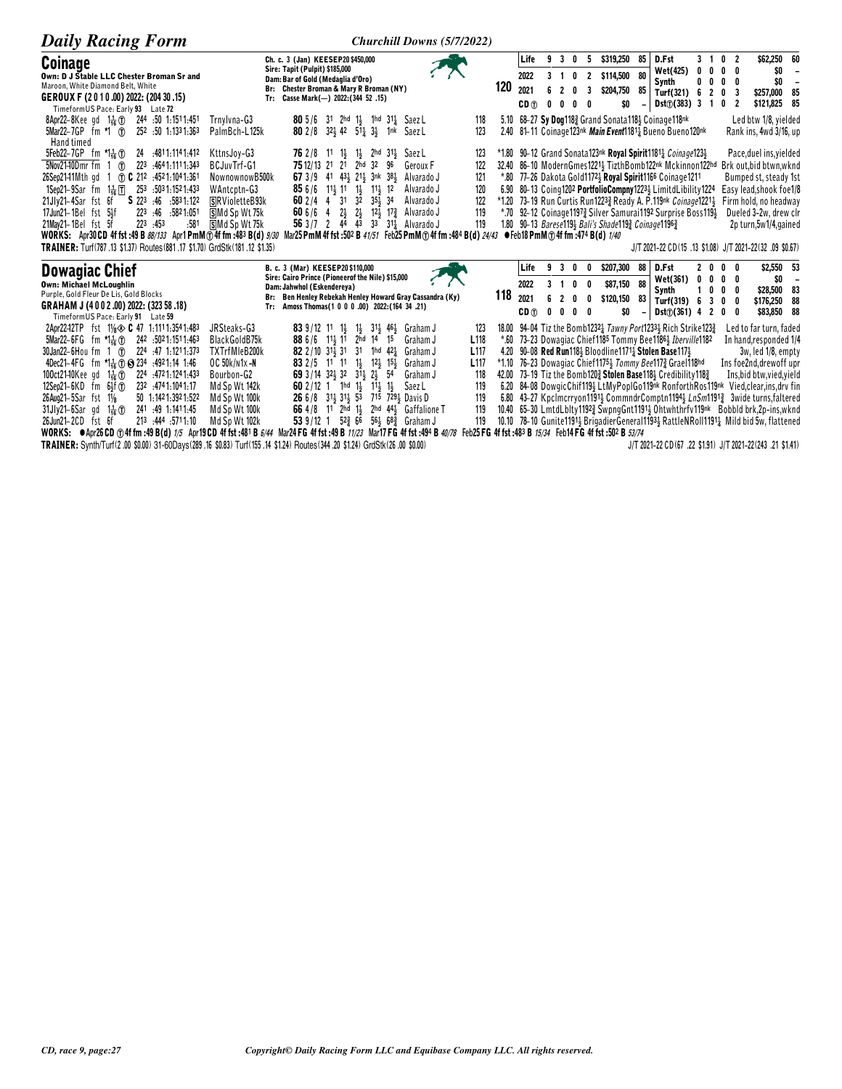| <b>Daily Racing Form</b>                                                                                                                                                                                                                                                                                                                                                                                                                                                                                                         | <b>Churchill Downs (5/7/2022)</b>                                                                                                                                                                                                                                                                                                                                                                                                                                                                                                                                                                                                                                                                                                                                                                                                                                                         |                                                                                                                                                                                                                                                                                                                                                                                                                                                                                                                                                                                                                                                                                                                                                                                                                                                                                                                                                                                                  |
|----------------------------------------------------------------------------------------------------------------------------------------------------------------------------------------------------------------------------------------------------------------------------------------------------------------------------------------------------------------------------------------------------------------------------------------------------------------------------------------------------------------------------------|-------------------------------------------------------------------------------------------------------------------------------------------------------------------------------------------------------------------------------------------------------------------------------------------------------------------------------------------------------------------------------------------------------------------------------------------------------------------------------------------------------------------------------------------------------------------------------------------------------------------------------------------------------------------------------------------------------------------------------------------------------------------------------------------------------------------------------------------------------------------------------------------|--------------------------------------------------------------------------------------------------------------------------------------------------------------------------------------------------------------------------------------------------------------------------------------------------------------------------------------------------------------------------------------------------------------------------------------------------------------------------------------------------------------------------------------------------------------------------------------------------------------------------------------------------------------------------------------------------------------------------------------------------------------------------------------------------------------------------------------------------------------------------------------------------------------------------------------------------------------------------------------------------|
| <b>Coinage</b><br>Own: D J Stable LLC Chester Broman Sr and<br>Maroon, White Diamond Belt, White<br>GEROUX F (2010.00) 2022: (204 30.15)<br>Timeform US Pace: Early 93 Late 72                                                                                                                                                                                                                                                                                                                                                   | Ch. c. 3 (Jan) KEESEP20 \$450,000<br>Sire: Tapit (Pulpit) \$185,000<br>Dam: Bar of Gold (Medaglia d'Oro)<br>Br: Chester Broman & Mary R Broman (NY)<br>Tr: Casse Mark(-) 2022: (344 52 .15)                                                                                                                                                                                                                                                                                                                                                                                                                                                                                                                                                                                                                                                                                               | \$319,250<br>85<br>\$62,250 60<br>9 3 0 5<br>D.Fst<br>$3 \quad 1$<br>$\mathbf{0}$<br>Life<br>-2<br>$0\quad 0\quad 0$<br>Wet(425)<br>0<br>\$O<br>$\overline{\phantom{a}}$<br>2022<br>$\overline{2}$<br>\$114,500 80<br>3 1 0<br>\$0<br>0<br>0<br>Synth<br>0<br>0<br>120<br>2021<br>6<br>3<br>\$204,750<br>$\overline{2}$<br>0<br>85<br>Turf(321)<br>6<br>\$257,000 85<br>$\mathbf{2}$<br>0<br>3<br>$Dist( )$ (383) 3<br>\$121,825 85<br>$\mathbf{1}$<br>$\boldsymbol{\mathsf{2}}$<br>CD <sub>1</sub><br>0<br>0<br>$0\quad 0$<br>\$0<br>0                                                                                                                                                                                                                                                                                                                                                                                                                                                          |
| 8Apr22-8Kee gd $1\frac{1}{16}$ (f) 244 :50 1:1511:451<br>5Mar22-7GP fm *1 (T)<br>252 .50 1.1331.363<br>Hand timed                                                                                                                                                                                                                                                                                                                                                                                                                | 80 $5/6$ 31 2hd 11 1hd $31\frac{1}{4}$ Saez L<br>Trnvlvna-G3<br>PalmBch-L125k<br>80 2/8 32 42 51 33 1nk Saez L                                                                                                                                                                                                                                                                                                                                                                                                                                                                                                                                                                                                                                                                                                                                                                            | 5.10 68-27 Sy Dog1183 Grand Sonata1181 Coinage118nk<br>Led btw 1/8, vielded<br>118<br>123<br>2.40 81-11 Coinage123nk Main Event11811 Bueno Bueno120nk<br>Rank ins, 4wd 3/16, up                                                                                                                                                                                                                                                                                                                                                                                                                                                                                                                                                                                                                                                                                                                                                                                                                  |
| 5Feb22-7GP fm *14 ①<br>24 .4811.1141.412<br>223 4641.1111.343<br>$5$ Nov21-10Dmr fm 1 $0$<br>26Sep2141Mth qd 1 (f) C 212 :4521:1041:361<br>253 .5031.1521.433<br>1Sep21-9Sar fm $1\frac{1}{16}$ $\overline{T}$<br>21Jly21-4Sar fst 6f <b>S</b> 223 .46 .5831.122<br>17Jun21-1Bel fst 5}f<br>223 46 5821.051<br>21Mav21-1Bel fst 5f<br>223 453<br>:581<br>TRAINER: Turf(787,13 \$1.37) Routes(881,17 \$1.70) GrdStk(181,12 \$1.35)                                                                                                | <b>76</b> 2/8 11 1 <sup>1</sup> / <sub>2</sub> 1 <sup>1</sup> / <sub>2</sub> 2hd 3 <sup>1</sup> <sup>1</sup> / <sub>2</sub> Saez L<br>KttnsJoy-G3<br>75 12/13 21 21 2hd 32 96<br>BCJuvTrf-G1<br>Geroux F<br>67 3/9 41 431 211 3nk 381<br>Alvarado J<br>NownownowB500k<br><b>85</b> 6/6 11 <sup>1</sup> / <sub>2</sub> 11 1 <sup>1</sup> / <sub>2</sub> 11 <sup>1</sup> / <sub>2</sub> 12<br>WAntcptn-G3<br>Alvarado J<br>60 2 /4 4 31 32 35 $\frac{1}{2}$ 34<br><b>SRVioletteB93k</b><br>Alvarado J<br>60 6/6 4 $2\frac{1}{2}$ $2\frac{1}{2}$ $12\frac{1}{2}$ $17\frac{3}{4}$ Alvarado J<br><b>SMd Sp Wt 75k</b><br>56 3/7 2 $4^{\overline{4}}$ $4^{\overline{3}}$ 3 <sup>3</sup> 3 <sup>1</sup> / <sub>2</sub> Alvarado J<br><b>SMd Sp Wt 75k</b><br>WORKS: Apr30 CD 4f fst :49 B 88/133 Apr1 PmM @ 4f fm :483 B(d) 9/30 Mar25 PmM 4f fst :502 B 41/51 Feb25 PmM @ 4f fm :484 B(d) 24/43 | *1.80 90-12 Grand Sonata123nk Royal Spirit1181 $\frac{1}{4}$ Coinage123 $\frac{1}{2}$<br>Pace, duel ins, yielded<br>123<br>122<br>32.40 86-10 Modern Gmes 1221 3 Tizth Bomb 122nk Mckinnon 122hd<br>Brk out, bid btwn, wknd<br>121<br>*.80 77-26 Dakota Gold1172 Royal Spirit1166 Coinage1211<br>Bumped st, steady 1st<br>120<br>6.90 80-13 Coing1202 PortfolioCompny12233 LimitdLibility1224<br>Easy lead, shook foe1/8<br>122<br>*1.20 73-19 Run Curtis Run 12233 Ready A. P.119nk Coinage 12213<br>Firm hold, no headway<br>119<br>*.70 92-12 Coinage11973 Silver Samurai1192 Surprise Boss1194<br>Dueled 3-2w, drew clr<br>119<br>1.80 90-13 Barese1194 Bali's Shade1193 Coinage11963<br>2p turn, 5w1/4, gained<br>●Feb18 PmM $oplus$ 4f fm :474 B(d) $1/40$<br>J/T 2021-22 CD(15 .13 \$1.08) J/T 2021-22(32 .09 \$0.67)                                                                                                                                                                     |
| <b>Dowagiac Chief</b><br><b>Own: Michael McLoughlin</b><br>Purple, Gold Fleur De Lis, Gold Blocks<br>GRAHAM J (4002.00) 2022: (323 58.18)<br>TimeformUS Pace: Early 91 Late 59                                                                                                                                                                                                                                                                                                                                                   | B. c. 3 (Mar) KEESEP20 \$110,000<br>Sire: Cairo Prince (Pioneerof the Nile) \$15,000<br>Dam: Jahwhol (Eskendereya)<br>Br: Ben Henley Rebekah Henley Howard Gray Cassandra (Ky)<br>Tr: Amoss Thomas(1 0 0 0 .00) 2022: (164 34 .21)                                                                                                                                                                                                                                                                                                                                                                                                                                                                                                                                                                                                                                                        | \$2,550 53<br>9 3 0 0<br>\$207,300<br>88<br>2 <sub>0</sub><br>Life<br>D.Fst<br>$0\quad 0$<br>Wet(361)<br>0<br>$0\quad 0\quad 0$<br>\$O<br>2022<br>3 1 0 0<br>\$87,150 88<br>\$28,500 83<br>Synth<br>0<br>0<br>0<br>1<br>118<br>2021<br>\$120,150<br>6.<br>$\overline{2}$<br>0<br>0<br>- 83<br>Turf(319)<br>6<br>3<br>\$176,250<br>88<br>0<br>0<br>\$83,850 88<br>CD <sub>(1)</sub><br>$0\quad 0\quad 0\quad 0$<br>\$0<br>Dst $\textcircled{1}$ (361) 4<br>$\overline{2}$<br>0<br>0<br>$\qquad \qquad$                                                                                                                                                                                                                                                                                                                                                                                                                                                                                            |
| 2Apr22-12TP fst $1\frac{1}{8}$ C 47 1.1111.3541.483<br>$5$ Mar22-6FG fm $\overline{1}$ <sub>14</sub> (f) 242 :5021:1511:463<br>30Jan22-6Hou fm 1 (f) 224 :47 1:1211:373<br>4Dec21-4FG fm *1 <sup>1</sup> <sub>16</sub> (1) (234 : 4921:14 1:46<br>224 :4721:1241:433<br>100ct21-10Kee gd $1\frac{1}{16}$ (T)<br>$12$ Sep21-6KD fm $6\frac{1}{2}$ fm<br>232 :4741:1041:17<br>50 1:1421:3921:522<br>26Aug21-5Sar fst 11/8<br>241 .49 1.1411.45<br>31Jly21-6Sar gd 1 $\frac{1}{16}$ T<br>213 .444 .5711.10<br>26Jun21-2CD<br>fst 6f | JRSteaks-G3<br>$1\frac{1}{2}$ 31 $\frac{1}{2}$ 46 $\frac{1}{2}$ Graham J<br><b>83</b> 9/12 11 1<br>BlackGoldB75k<br><b>88 6/6 11</b> 11<br>2hd 14 15<br>Graham J<br>TXTrfMleB200k<br>82 2/10 31 31 31 1 1d $42\frac{1}{4}$ Graham J<br>83 2/5 11 11 1 <sub>2</sub> 12 <sub>2</sub> 15 <sub>2</sub> Graham J<br>OC 50k/n1x-N<br>69 3/14 32 32 31 23 54<br>Bourbon-G2<br>Graham J<br>60 2/12 1 1hd $1\frac{1}{2}$ 1 $1\frac{1}{2}$ 1 $\frac{1}{2}$ Saez L<br>Md Sp Wt 142k<br>26 6/8 313 313 53 715 7293 Davis D<br>Md Sp Wt 100k<br>66 4/8 11 2hd 1} 2hd 44} Gaffalione T<br>Md Sp Wt 100k<br>53 9/12 1 52 $\frac{3}{4}$ 66 56 $\frac{1}{2}$ 68 $\frac{3}{4}$ Graham J<br>Md Sp Wt 102k                                                                                                                                                                                                    | 18.00 94-04 Tiz the Bomb1232 $\frac{1}{4}$ Tawny Port1233 $\frac{1}{2}$ Rich Strike123 $\frac{3}{4}$<br>Led to far turn, faded<br>123<br>L <sub>118</sub><br>*.60 73-23 Dowagiac Chief1185 Tommy Bee11864 Iberville1182<br>In hand, responded 1/4<br>L <sub>117</sub><br>4.20 90-08 Red Run118 $\frac{1}{2}$ Bloodline1171 $\frac{1}{4}$ Stolen Base117 $\frac{1}{2}$<br>3w, led 1/8, empty<br>L <sub>117</sub><br>*1.10 76-23 Dowagiac Chief11754 Tommy Bee1173 Grael118hd<br>Ins foe2nd, drew off upr<br>42.00 73-19 Tiz the Bomb1202 Stolen Base1183 Credibility1182<br>Ins, bid btw, vied, yield<br>118<br>119<br>6.20 84-08 DowgicChif1194 LtMyPopIGo119nk RonforthRos119nk Vied, clear, ins, drv fin<br>119<br>6.80 43-27 Kpclmcrryon11914 CommndrComptn11944 LnSm11913 3wide turns, faltered<br>119<br>10.40 65-30 LmtdLblty1192} SwpngGnt1191} Ohtwhthrfv119nk<br>Bobbld brk,2p-ins,wknd<br>119<br>10.10 78-10 Gunite11914 BrigadierGeneral11934 RattleNRoll11914 Mild bid 5w, flattened |

J/T 2021-22 CD(67 .22 \$1.91) J/T 2021-22(243 .21 \$1.41)

CD, race 9, page:27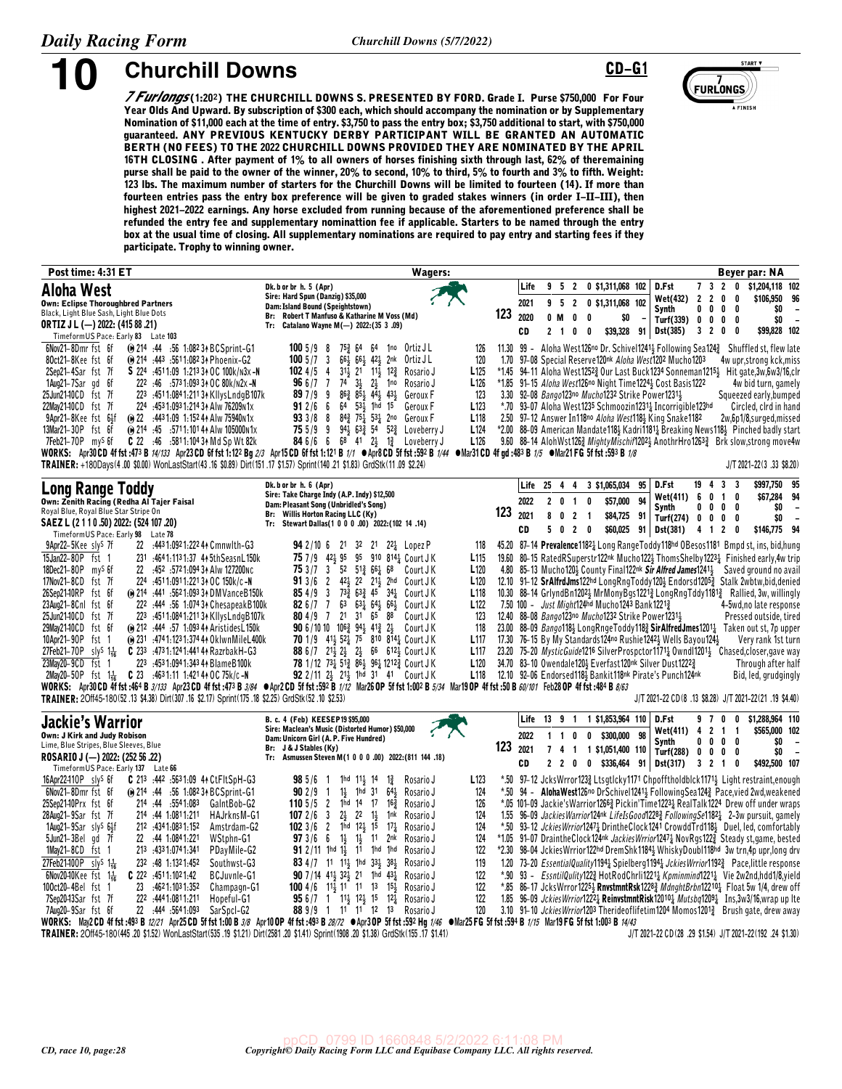

**10 Churchill Downs CD-G1** 

*7 Furlongs* **(1:20§) THE CHURCHILL DOWNS S. PRESENTED BY FORD. Grade I. Purse \$750,000 For Four Year Olds And Upward. By subscription of \$300 each, which should accompany the nomination or by Supplementary Nomination of \$11,000 each at the time of entry. \$3,750 to pass the entry box; \$3,750 additional to start, with \$750,000 guaranteed. ANY PREVIOUS KENTUCKY DERBY PARTICIPANT WILL BE GRANTED AN AUTOMATIC BERTH (NO FEES) TO THE 2022 CHURCHILL DOWNS PROVIDED THEY ARE NOMINATED BY THE APRIL 16TH CLOSING . After payment of 1% to all owners of horses finishing sixth through last, 62% of theremaining purse shall be paid to the owner of the winner, 20% to second, 10% to third, 5% to fourth and 3% to fifth. Weight: 123 lbs. The maximum number of starters for the Churchill Downs will be limited to fourteen (14). If more than fourteen entries pass the entry box preference will be given to graded stakes winners (in order I-II-III), then highest 2021-2022 earnings. Any horse excluded from running because of the aforementioned preference shall be refunded the entry fee and supplementary nominattion fee if applicable. Starters to be named through the entry box at the usual time of closing. All supplementary nominations are required to pay entry and starting fees if they participate. Trophy to winning owner.**

| Post time: 4:31 ET                                                                                                                                                                                      | Wagers:                                                                                                                                                               |                                      |            |                       |                               |                                                                                                                          |    |                             |                                                       |                              | Beyer par: NA                                                                                                                                                                                                                       |
|---------------------------------------------------------------------------------------------------------------------------------------------------------------------------------------------------------|-----------------------------------------------------------------------------------------------------------------------------------------------------------------------|--------------------------------------|------------|-----------------------|-------------------------------|--------------------------------------------------------------------------------------------------------------------------|----|-----------------------------|-------------------------------------------------------|------------------------------|-------------------------------------------------------------------------------------------------------------------------------------------------------------------------------------------------------------------------------------|
| <b>Aloha West</b>                                                                                                                                                                                       | Dk. b or br h. 5 (Apr)<br>Sire: Hard Spun (Danzig) \$35,000                                                                                                           |                                      | Life       | 9                     | 5 <sub>2</sub>                | 0 \$1,311,068 102                                                                                                        |    | D.Fst                       | 7 3 2                                                 | 0                            | \$1,204,118 102                                                                                                                                                                                                                     |
| <b>Own: Eclipse Thoroughbred Partners</b>                                                                                                                                                               | Dam: Island Bound (Speightstown)                                                                                                                                      |                                      | 2021       | 95                    | $\overline{2}$                | 0 \$1,311,068 102                                                                                                        |    | Wet(432)<br>Synth           | $\overline{2}$<br>$\overline{2}$<br>$0\,$ $0\,$ $0\,$ | 0<br>0<br>0                  | \$106,950 96<br>\$O<br>$\overline{\phantom{a}}$                                                                                                                                                                                     |
| Black, Light Blue Sash, Light Blue Dots<br>ORTIZ J L (-) 2022: (415 88 .21)                                                                                                                             | Br: Robert T Manfuso & Katharine M Voss (Md)<br>Tr: Catalano Wayne M(-) 2022: (35 3 .09)                                                                              | 123                                  | 2020       | 0 M                   | $\mathbf 0$                   | $\mathbf{0}$<br>\$0                                                                                                      |    | Turf(339)                   | $\mathbf{0}$                                          | $0\quad 0$<br>0              | \$0<br>$\overline{\phantom{a}}$                                                                                                                                                                                                     |
| Timeform US Pace: Early 83 Late 103                                                                                                                                                                     |                                                                                                                                                                       |                                      | CD         | 2 <sub>1</sub>        | 0                             | 0<br>\$39,328 91                                                                                                         |    | <b>Dst(385)</b>             | 3 2 0                                                 | 0                            | \$99,828 102                                                                                                                                                                                                                        |
| 6Nov21-8Dmr fst 6f<br>(ii) 214 .44 .56 1.082 34 BCSprint-G1                                                                                                                                             | 1005/98<br>753 64 64<br>1 <sup>no</sup> Ortiz J L                                                                                                                     | 126                                  |            |                       |                               |                                                                                                                          |    |                             |                                                       |                              | 11.30 99 - Aloha West126no Dr. Schivel1241 Following Sea124 3 Shuffled st, flew late                                                                                                                                                |
| 80ct21-8Kee fst 6f<br>(ii) 214 :443 :5611:082 34 Phoenix-G2<br>S 224 :4511:09 1:213 34 OC 100k/n3x-N<br>2Sep21-4Sar fst 7f                                                                              | $100 \frac{5}{7}$ 3<br>661<br>$66\frac{1}{2}$ $42\frac{1}{2}$<br>2nk<br>Ortiz J L<br>$31\frac{1}{2}$ $21$ $11\frac{1}{2}$ $12\frac{3}{4}$<br>1024/5<br>4<br>Rosario J | 120<br>1.70<br>L <sub>125</sub>      |            |                       |                               | 97-08 Special Reserve120nk Aloha West1202 Mucho1203                                                                      |    |                             |                                                       |                              | 4w upr, strong kck, miss<br>*1.45 94-11 Aloha West12523 Our Last Buck1234 Sonneman12154 Hit gate,3w,6w3/16,clr                                                                                                                      |
| 1Aug21-7Sar gd 6f<br>222 :46 :5731:09334 OC 80k/n2x-N                                                                                                                                                   | 966/77<br>74<br>$3\frac{1}{2}$<br>$2\frac{1}{2}$<br>1no<br>Rosario J                                                                                                  | L126                                 |            |                       |                               | *1.85 91-15 Aloha West126no Night Time1224 5 Cost Basis1222                                                              |    |                             |                                                       |                              | 4w bid turn, gamely                                                                                                                                                                                                                 |
| 25Jun21-10CD fst 7f<br>223 :4511:0841:21131 KllysLndgB107k                                                                                                                                              | $86\frac{3}{4}$ $85\frac{1}{3}$ $44\frac{1}{3}$<br>897/99<br>431<br>Geroux F                                                                                          | 123                                  |            |                       |                               | 3.30 92-08 Bango123no Mucho1232 Strike Power12311                                                                        |    |                             |                                                       |                              | Squeezed early, bumped                                                                                                                                                                                                              |
| 22May2140CD fst 7f<br>224 :453 1:093 1:214 34 Alw 76209 N1x                                                                                                                                             | 64 531 1hd 15<br>912/66<br>Geroux F                                                                                                                                   | L <sub>123</sub><br>L <sub>118</sub> |            |                       |                               | *.70 93-07 Aloha West1235 Schmoozin12311 Incorrigible123hd                                                               |    |                             |                                                       |                              | Circled, clrd in hand                                                                                                                                                                                                               |
| (a) 22 :443 1:09 1:152 44 Alw 75940 N 1x<br>9Apr21-8Kee fst 6}f<br>13Mar21-30P fst 6f<br>(e) 214 :45 :5711:101 4 Alw 105000 N1x                                                                         | 843 751 531 2no Geroux F<br>933/88<br>943 633 54 523 Loveberry J<br>755/99                                                                                            | L <sub>124</sub>                     |            |                       |                               | 2.50 97-12 Answer In118no Aloha West1183 King Snake1182                                                                  |    |                             |                                                       |                              | 2w,6p1/8,surged,missed<br>*2.00 88-09 American Mandate118 <sup>1</sup> Kadri1181 <sup>1</sup> Breaking News118 <sup>1</sup> Pinched badly start                                                                                     |
| 7Feb21-70P mys 6f<br><b>C</b> 22 :46 :5811:1043 AMd Sp Wt 82k                                                                                                                                           | <b>84</b> 6/6 6 68 41 2 $\frac{1}{2}$ 1 $\frac{3}{4}$ Loveberry J                                                                                                     | L <sub>126</sub>                     |            |                       |                               |                                                                                                                          |    |                             |                                                       |                              | 9.60 88-14 AlohWst1263 MightyMischif12023 AnothrHro12633 Brk slow, strong move4w                                                                                                                                                    |
| WORKS: Apr30CD 4f fst :473 B 14/133 Apr23 CD 6f fst 1:122 Bg 2/3 Apr15CD 6f fst 1:121 B 1/1 $\bullet$ Apr8CD 5f fst :592 B 1/4 $\bullet$ Mar31 CD 4f gd :483 B 1/5 $\bullet$ Mar21 FG 5f fst :593 B 1/8 |                                                                                                                                                                       |                                      |            |                       |                               |                                                                                                                          |    |                             |                                                       |                              |                                                                                                                                                                                                                                     |
| TRAINER: +180Days(4.00 \$0.00) WonLastStart(43.16 \$0.89) Dirt(151.17 \$1.57) Sprint(140.21 \$1.83) GrdStk(11.09 \$2.24)                                                                                |                                                                                                                                                                       |                                      |            |                       |                               |                                                                                                                          |    |                             |                                                       |                              | J/T 2021-22(3.33 \$8.20)                                                                                                                                                                                                            |
| Long Range Toddy                                                                                                                                                                                        | Dk. b or br h. 6 (Apr)<br>Sire: Take Charge Indy (A.P. Indy) \$12,500                                                                                                 |                                      | Life 25    |                       |                               | 4 4 3 \$1,065,034                                                                                                        | 95 | D.Fst<br>Wet(411)           | 19<br>4<br>6<br>0                                     | 3<br>3<br>$\mathbf{1}$<br>0  | \$997,750 95<br>\$67,284 94                                                                                                                                                                                                         |
| Own: Zenith Racing (Redha Al Tajer Faisal<br>Royal Blue, Royal Blue Star Stripe On                                                                                                                      | Dam: Pleasant Song (Unbridled's Song)                                                                                                                                 | 123                                  | 2022       |                       | $2 \t0 \t1$                   | 0<br>\$57,000                                                                                                            | 94 | <b>Synth</b>                | $0\ 0\ 0$                                             | 0                            | \$0<br>$\overline{\phantom{a}}$                                                                                                                                                                                                     |
| SAEZ L (2 1 1 0 .50) 2022: (524 107 .20)                                                                                                                                                                | Br: Willis Horton Racing LLC (Ky)<br>Tr: Stewart Dallas(1 0 0 0 .00) 2022:(102 14 .14)                                                                                |                                      | 2021<br>CD | 8<br>5<br>$\mathbf 0$ | 0 <sub>2</sub><br>$2 \quad 0$ | \$84,725 91<br>$\blacksquare$<br>\$60,025 91                                                                             |    | Turf(274) 0 0 0<br>Dst(381) | 4 1 2                                                 | 0<br>0                       | SO.<br>$\overline{\phantom{a}}$<br>\$146,775 94                                                                                                                                                                                     |
| TimeformUS Pace: Early 98 Late 78                                                                                                                                                                       |                                                                                                                                                                       |                                      |            |                       |                               |                                                                                                                          |    |                             |                                                       |                              |                                                                                                                                                                                                                                     |
| 9Apr22-5Kee sly <sup>S</sup> 7f<br>22 :4431:0921:22244 Cmnwlth-G3<br>15Jan22-80P fst 1<br>231 :4641:1131:37 44 5th Seasn L 150k                                                                         | <b>94</b> 2/10 6 21 32 21 22 <sup>1</sup> Lopez P<br>75 7/9 421 95 95 910 8141 Court JK                                                                               | 118<br>L <sub>115</sub>              |            |                       |                               |                                                                                                                          |    |                             |                                                       |                              | 45.20 87-14 Prevalence11821 Long RangeToddy118hd OBesos1181 Bmpd st, ins, bid, hung<br>19.60 80-15 RatedRSuperstr122nk Mucho122} ThomsShelby12231 Finished early, 4w trip                                                           |
| 18Dec21-80P mys 6f<br>22<br>:452 :5721:094 34 Alw 127200nc                                                                                                                                              | 753/73<br>$52$ $51\frac{3}{4}$ $66\frac{1}{4}$ $68$<br>Court J K                                                                                                      | L120                                 |            |                       |                               |                                                                                                                          |    |                             |                                                       |                              | 4.80 85-13 Mucho120} County Final122nk Sir Alfred James1241} Saved ground no avail                                                                                                                                                  |
| 17Nov21-8CD fst 7f<br>224 :4511:0911:2213 + OC 150k/c-N                                                                                                                                                 | 913/62<br>421 22 211 2hd CourtJK                                                                                                                                      | L <sub>120</sub>                     |            |                       |                               |                                                                                                                          |    |                             |                                                       |                              | 12.10 91-12 SrAlfrdJms122hd LongRngToddy120} Endorsd12053 Stalk 2wbtw,bid,denied                                                                                                                                                    |
| 26Sep2140RP fst 6f<br>@ 214 :441 :5621:093 34 DMVanceB150k<br>23Aug21-8Cnl fst 6f                                                                                                                       | 733 633 45 341 Court JK<br>854/93<br>82 $6/7$ 7<br>63 631 641 661<br>Court J K                                                                                        | L <sub>118</sub><br>L <sub>122</sub> |            |                       |                               |                                                                                                                          |    |                             |                                                       |                              | 10.30 88–14 GrlyndBn12023 MrMonyBgs12213 LongRngTddy11813 Rallied, 3w, willingly<br>4-5wd, no late response                                                                                                                         |
| 222 :444 :56 1:074 34 Chesapeak B100k<br>25Jun2140CD fst 7f<br>223 .4511:0841:2113+KIIysLndgB107k                                                                                                       | 80 4 / 9 7 21 31 65 88<br>Court J K                                                                                                                                   | 123                                  |            |                       |                               | 7.50 100 - <i>Just Might</i> 124hd Mucho1243 Bank1221 <sup>3</sup><br>12.40 88-08 Bango123no Mucho1232 Strike Power12311 |    |                             |                                                       |                              | Pressed outside, tired                                                                                                                                                                                                              |
| 29Mav21-10CD fst 6f<br>(e) 212 .444 .57 1.093 44 Aristides L150k                                                                                                                                        | 90 6/10 10 106 $\frac{3}{4}$ 94 $\frac{1}{2}$ 41 $\frac{3}{4}$ 2 $\frac{1}{2}$<br>Court J K                                                                           | 118                                  |            |                       |                               |                                                                                                                          |    |                             |                                                       |                              | 23.00 88-09 Bango1184 LongRngeToddy1183 SirAlfredJmes12011 Taken out st, 7p upper                                                                                                                                                   |
| 10Apr21-90P fst<br>(e) 231 .4741.1231.374 4 OklwnMileL400k                                                                                                                                              | 70 1/9 413 52 75 810 814 Court J K                                                                                                                                    | L <sub>117</sub>                     |            |                       |                               | 17.30 76-15 By My Standards 124no Rushie 1242 } Wells Bayou 124 }                                                        |    |                             |                                                       |                              | Very rank 1st turn                                                                                                                                                                                                                  |
| $C$ 233 :4731:1241:4414 RazrbakH-G3<br>27Feb21-70P sly <sup>s</sup> 1 <sup>1</sup> / <sub>16</sub><br>23Mav20-9CD fst 1<br>223 :453 1:094 1:343 44 Blame B 100k                                         | 88 6/7 21 32 2 66 612 Court JK<br>78 1/12 731 513 861 961 12123 Court J K                                                                                             | L <sub>117</sub><br>L <sub>120</sub> |            |                       |                               | 34.70 83-10 Owendale120} Everfast120nk Silver Dust1222}                                                                  |    |                             |                                                       |                              | 23.20 75-20 MysticGuide1216 SilverProspctor11711 0wndl12011 Chased, closer, gave way<br>Through after half                                                                                                                          |
| 2May20-50P fst 1 $\frac{1}{16}$ C 23 :4631:11 1:421 4 A OC 75k/c -N                                                                                                                                     | 92 2/11 24 214 1hd 31 41 Court JK                                                                                                                                     | L <sub>118</sub>                     |            |                       |                               | 12.10 92-06 Endorsed1184 Bankit118nk Pirate's Punch124nk                                                                 |    |                             |                                                       |                              | Bid, led, grudgingly                                                                                                                                                                                                                |
| WORKS: Apr30CD 4f fst:464 B 3/133 Apr23CD 4f fst:473 B 3/84 ●Apr2CD 5f fst:592 B 1/12 Mar26 OP 5f fst 1:002 B 5/34 Mar19 OP 4f fst:50 B 60/101 Feb28 OP 4f fst :484 B 8/63                              |                                                                                                                                                                       |                                      |            |                       |                               |                                                                                                                          |    |                             |                                                       |                              |                                                                                                                                                                                                                                     |
| TRAINER: 20ff45-180(52.13 \$4.38) Dirt(307.16 \$2.17) Sprint(175.18 \$2.25) GrdStk(52.10 \$2.53)                                                                                                        |                                                                                                                                                                       |                                      |            |                       |                               |                                                                                                                          |    |                             |                                                       |                              | J/T 2021-22 CD(8 .13 \$8.28) J/T 2021-22(21 .19 \$4.40)                                                                                                                                                                             |
| Jackie's Warrior                                                                                                                                                                                        | B. c. 4 (Feb) KEESEP19 \$95,000<br>Sire: Maclean's Music (Distorted Humor) \$50,000                                                                                   |                                      | Life       | 13 9 1                |                               | 1 \$1,853,964 110                                                                                                        |    | D.Fst<br>Wet(411)           | 97<br>4 <sub>2</sub>                                  | 0<br>0<br>$\mathbf{1}$<br>-1 | \$1,288,964 110<br>\$565,000 102                                                                                                                                                                                                    |
| <b>Own: J Kirk and Judy Robison</b><br>Lime, Blue Stripes, Blue Sleeves, Blue                                                                                                                           | Dam: Unicorn Girl (A. P. Five Hundred)                                                                                                                                |                                      | 2022       | 1<br>$\mathbf{1}$     | 0                             | $\mathbf 0$<br>\$300,000                                                                                                 | 98 | <b>Synth</b>                | $0\ 0\ 0$                                             | 0                            | \$0<br>$\overline{a}$                                                                                                                                                                                                               |
| ROSARIO J (-) 2022: (252 56 .22)                                                                                                                                                                        | Br: J & J Stables (Ky)<br>Tr: Asmussen Steven M(1 0 0 0 .00) 2022: (811 144 .18)                                                                                      | 123                                  | 2021       | 7 <sub>4</sub>        | $\overline{1}$                | 1 \$1,051,400 110                                                                                                        |    | Turf(288)                   | $0\quad 0\quad 0\quad$                                | 0                            | \$0<br>$\overline{\phantom{a}}$                                                                                                                                                                                                     |
| TimeformUS Pace: Early 137 Late 66                                                                                                                                                                      |                                                                                                                                                                       |                                      | <b>CD</b>  |                       | 220                           | $0$ \$336,464 91 Dst(317)                                                                                                |    |                             | $3 \t2 \t1$                                           | 0                            | \$492,500 107                                                                                                                                                                                                                       |
| 16Apr22410P slys 6f<br>C 213 :442 :5631:09 44 CtFltSpH-G3                                                                                                                                               | 1hd $11\frac{1}{2}$ 14<br>Rosario J<br>98 5/6<br>$1\frac{3}{4}$<br>- 1                                                                                                | L <sub>123</sub>                     |            |                       |                               |                                                                                                                          |    |                             |                                                       |                              | *.50 97-12 JcksWrror1233 Ltsgtlcky1171 Chpofftholdblck11713 Light restraint, enough                                                                                                                                                 |
| 6Nov21-8Dmr fst 6f<br>(ii) 214 :44 :56 1:082 34 BCSprint-G1<br>214 :44 :5541:083<br>25Sep21-10Prx fst 6f<br>GalntBob-G2                                                                                 | $1\frac{1}{2}$<br>902/9<br>1hd 31<br>$64\frac{1}{2}$<br>Rosario J<br>$\overline{1}$<br>1hd 14 17<br>110 $5/5$ 2<br>16 <sup>3</sup><br>Rosario J                       | 124<br>*.50<br>126                   |            |                       |                               |                                                                                                                          |    |                             |                                                       |                              | 94 - Aloha West126no Dr Schivel12413 Following Sea1243 Pace, vied 2wd, weakened<br>*.05 101-09 Jackie's Warrior 1266 <sup>3</sup> Pickin' Time 1223 <sup>1</sup> Real Talk 1224 Drew off under wraps                                |
| 214 :44 1:0811:211<br>28Aug21-9Sar fst 7f<br>HAJrknsM-G1                                                                                                                                                | $2\frac{1}{2}$ $2^2$ $1\frac{1}{2}$<br>1072/63<br>1 <sub>nk</sub><br>Rosario J                                                                                        | 124                                  |            |                       |                               |                                                                                                                          |    |                             |                                                       |                              | 1.55 96-09 Jackies Warrior124nk LifeIs Good12283 Following Se11821 2-3w pursuit, gamely                                                                                                                                             |
| 1Aug21-9Sar slys 64f<br>212 434 1:083 1:152<br>Amstrdam-G2                                                                                                                                              | 1023/62<br>1hd 12} 15<br>$17\frac{1}{4}$<br>Rosario J                                                                                                                 | 124                                  |            |                       |                               |                                                                                                                          |    |                             |                                                       |                              | *.50 93-12 Jckies Wrrior12471 Drinthe Clock 1241 Crowdd Trd 1184 Duel, led, comfortably                                                                                                                                             |
| 22 :44 1:084 1:221<br>5Jun21-3Bel gd 7f<br>WStphn-G1<br>$1$ May21-8CD fst 1<br>213 .4331:0741:341<br>PDayMile-G2                                                                                        | <b>97</b> 3/6 6 1 <sup>1</sup> / <sub>3</sub> 1 <sup>1</sup><br>2nk<br>Rosario J<br>$912/11$ 1hd 1, 11 1hd 1hd<br>Rosario J                                           | 124<br>122                           |            |                       |                               |                                                                                                                          |    |                             |                                                       |                              | *1.05 91-07 DraintheClock124nk Jackies Wrrior1247 <sub>4</sub> NovRgs122 <sub>4</sub> Steady st, game, bested<br>*2.30 98-04 JckiesWrrior122hd DremShk1184} WhiskyDoubl118hd 3w trn,4p upr,long drv                                 |
| 27Feb21400P sly <sup>S</sup> 1 <sup>1</sup> 6<br>232 :48 1:1321:452<br>Southwst-G3                                                                                                                      | 83 4/7 11 11, 1hd 33, 38,<br>Rosario J                                                                                                                                | 119                                  |            |                       |                               |                                                                                                                          |    |                             |                                                       |                              | 1.20 73-20 EssentialQuality11944 Spielberg11944 JckiesWrrior11923 Pace, little response                                                                                                                                             |
| 6Nov2040Kee fst $1\frac{1}{16}$<br>$C$ 222 :4511:1021:42<br>BCJuvnle-G1                                                                                                                                 | <b>90</b> 7 / 14 414 324 21 1hd 434<br>Rosario J                                                                                                                      | 122<br>*.90                          |            |                       |                               |                                                                                                                          |    |                             |                                                       |                              | 93 - EssntilQulity1223 HotRodChrli12213 Kpminmind12213 Vie 2w2nd,hdd1/8,yield                                                                                                                                                       |
| 100ct20-4Bel fst 1<br>23 :4621:1031:352<br>Champagn-G1                                                                                                                                                  | <b>100</b> 4/6 $11\frac{1}{2}$ 1 <sup>1</sup> 1 <sup>1</sup> 13 $15\frac{1}{2}$<br>Rosario J                                                                          | 122                                  |            |                       |                               |                                                                                                                          |    |                             |                                                       |                              | *.85 86-17 JcksWrror12252 RnvstmntRsk1228 <sup>3</sup> MdnghtBrbn12210 <sub>4</sub> Float 5w 1/4, drew off                                                                                                                          |
| 222 :444 1:081 1:211<br>7Sep2043Sar fst 7f<br>Hopeful-G1<br>22 :444 :564 1:093<br>7Aug20-9Sar fst 6f                                                                                                    | $956/7$ 1 1 <sup>1</sup> 1 <sup>2</sup> 1 <sup>2</sup> 1 <sup>5</sup> 1 <sup>2</sup> Rosario J<br>88 9/9 1 11 11 12 13<br>Rosario J                                   | 122<br>120                           |            |                       |                               |                                                                                                                          |    |                             |                                                       |                              | 1.85 96-09 Jckies Wrrior1222 <sup>1</sup> Reinvstmnt Risk 120 <sup>101</sup> Mutsbq1209 <sup>1</sup> Ins, 3w3/16, wrap up Ite<br>3.10 91-10 Jckies Wrrior1203 Theride of lifetim 1204 Momos 1201 <sup>3</sup> Brush gate, drew away |
| SarSpcI-G2<br>WORKS: May2CD 4ffst:493 B 12/21 Apr25CD 5ffst 1:00 B 3/8 Apr10 OP 4ffst:493 B 28/72 ●Apr3 OP 5ffst:592 Hg 1/46 ●Mar25 FG 5ffst :594 B 1/15 Mar19 FG 5ffst 1:003 B 14/43                   |                                                                                                                                                                       |                                      |            |                       |                               |                                                                                                                          |    |                             |                                                       |                              |                                                                                                                                                                                                                                     |
| TRAINER: 20ff45-180(445 20 \$152) Wonl astStart(535 19 \$121) Dirt(2581 20 \$141) Sprint(1908 20 \$138) GrdStk(155 17 \$141)                                                                            |                                                                                                                                                                       |                                      |            |                       |                               |                                                                                                                          |    |                             |                                                       |                              | 1/T 2021-22 CD (28 29 \$1.54) 1/T 2021-22 (192 24 \$1.30)                                                                                                                                                                           |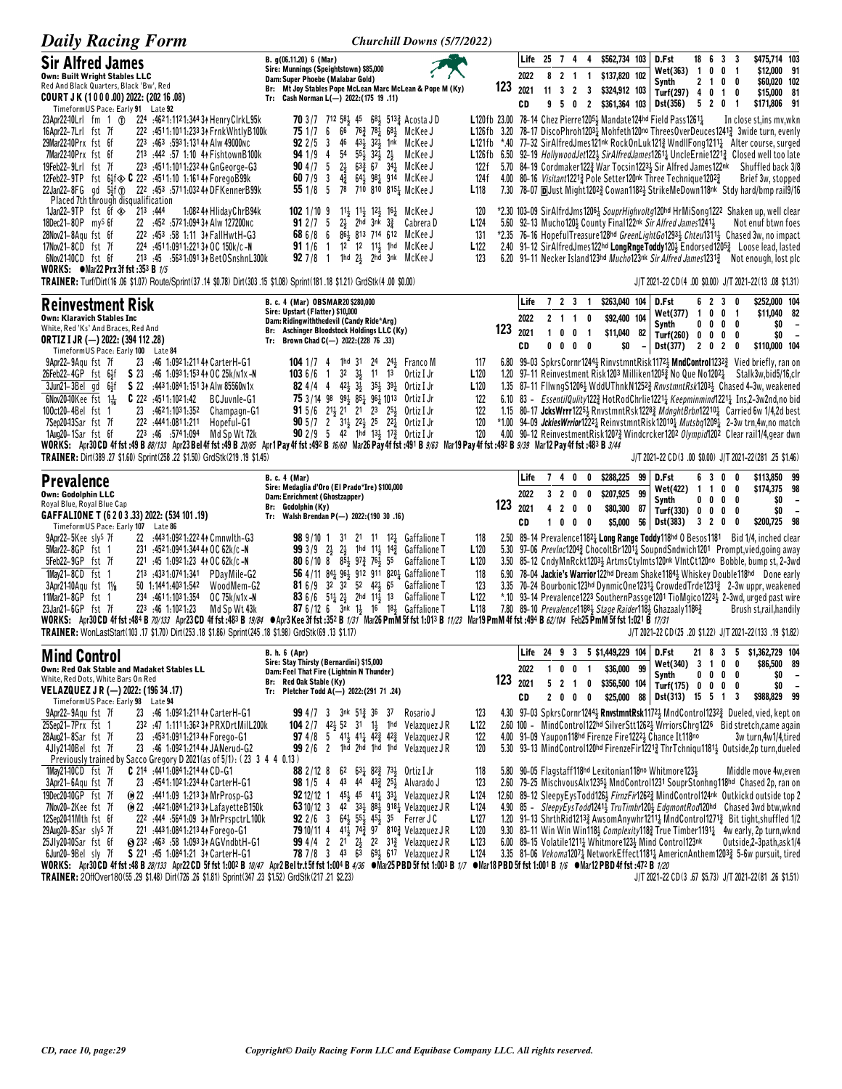| <b>Daily Racing Form</b>                                                                                                                                                                                                                                                                                                                                                                                                                   | Churchill Downs (5/7/2022)                                                                                                                                                                                                                                                                               |                                                                              |      |                            |              |                                                   |                      |                                                                        |                                |                                                                                                                                                                                                                                                                                                                                                                                                                                                   |                         |                                                     |                  |                                                              |                                                      |
|--------------------------------------------------------------------------------------------------------------------------------------------------------------------------------------------------------------------------------------------------------------------------------------------------------------------------------------------------------------------------------------------------------------------------------------------|----------------------------------------------------------------------------------------------------------------------------------------------------------------------------------------------------------------------------------------------------------------------------------------------------------|------------------------------------------------------------------------------|------|----------------------------|--------------|---------------------------------------------------|----------------------|------------------------------------------------------------------------|--------------------------------|---------------------------------------------------------------------------------------------------------------------------------------------------------------------------------------------------------------------------------------------------------------------------------------------------------------------------------------------------------------------------------------------------------------------------------------------------|-------------------------|-----------------------------------------------------|------------------|--------------------------------------------------------------|------------------------------------------------------|
| <b>Sir Alfred James</b><br><b>Own: Built Wright Stables LLC</b><br>Red And Black Quarters, Black 'Bw', Red                                                                                                                                                                                                                                                                                                                                 | B. g(06.11.20) 6 (Mar)<br>Sire: Munnings (Speightstown) \$85,000<br>Dam: Super Phoebe (Malabar Gold)                                                                                                                                                                                                     |                                                                              |      | 2022                       | Life 25 7 4  | 821                                               | 4<br>$\overline{1}$  | \$562,734 103<br>\$137,820 102                                         |                                | D.Fst<br>Wet(363)<br>Synth                                                                                                                                                                                                                                                                                                                                                                                                                        | $\overline{\mathbf{1}}$ | 18 6 3 3<br>0<br>0<br>$2 \t1 \t0$                   | -1<br>0          | \$475,714 103<br>\$12,000 91<br>\$60,020 102                 |                                                      |
| COURT JK (1000.00) 2022: (202 16.08)<br>TimeformUS Pace: Early 91 Late 92                                                                                                                                                                                                                                                                                                                                                                  | Br: Mt Joy Stables Pope McLean Marc McLean & Pope M (Ky)<br>Tr: Cash Norman L(-) 2022: (175 19 .11)                                                                                                                                                                                                      |                                                                              | 123  | 2021<br>CD                 |              | $11 \quad 3 \quad 2$<br>9 5 0 2                   | 3                    | \$324,912 103<br>\$361,364 103                                         |                                | Turf(297) 4<br>Dst(356)                                                                                                                                                                                                                                                                                                                                                                                                                           |                         | $\overline{1}$<br>0<br>5 2 0                        | 0<br>-1          | \$15,000 81<br>\$171,806 91                                  |                                                      |
| 23Apr2240Lrl fm 1 (f) 224 :4621:1121:344 34 Henry Clrk L95k<br>16Apr22-7Lrl fst 7f<br>222 :4511:1011:233 34 Frnk Whtly B100k<br>29Mar2240Prx fst 6f<br>223 :463 :5931:131 44 Alw 49000 NC<br>7Mar2240Prx fst 6f<br>213 :442 :57 1:10 44 FishtownB100k                                                                                                                                                                                      | <b>70</b> 3/7 712 581 45 681 5133 Acosta JD<br>751/76<br>66<br>763 781 681 McKee J<br>46<br>431<br>$32\frac{1}{2}$<br>92 2/5<br>- 3<br>1nk<br>McKee J<br>54<br>$55\frac{1}{2}$<br>$32\frac{1}{2}$<br>$2\frac{1}{2}$<br>941/94<br>McKee J                                                                 |                                                                              |      |                            |              |                                                   |                      |                                                                        |                                | L120fb 23.00 78-14 Chez Pierre12053 Mandate124hd Field Pass12613<br>L126fb 3.20 78-17 DiscoPhroh12031 Mohfeth120no ThreesOverDeuces12413 3wide turn, evenly<br>L121fb *.40 77-32 SirAlfredJmes121nk RockOnLuk1213 WndllFong12111 Alter course, surged<br>L126fb 6.50 92–19 HollywoodJet122} SirAlfredJames1261 $\frac{1}{4}$ UncleErnie1221 $\frac{3}{4}$ Closed well too late                                                                    |                         |                                                     |                  | In close st, ins mv, wkn                                     |                                                      |
| 19Feb22-9Lrl fst 7f<br>223 :4511:1011:232 44 GnGeorge-G3<br>12Feb22-9TP fst 6}f $\otimes$ C 222 :4511:10 1:16144 ForegoB99k<br>22Jan22-8FG gd 5}f (f) 222 :453 :5711:032 44 DFKennerB99k<br>Placed 7th through disqualification                                                                                                                                                                                                            | 904/75<br>$2\frac{1}{2}$<br>$63\frac{3}{4}$ 67<br>341 McKee J<br>607/9<br>- 3<br>43<br>$64\frac{1}{2}$ $98\frac{1}{4}$<br>914 McKee J<br>78<br>$551/8$ 5<br>710 810 8151 McKee J                                                                                                                         | 122 f<br>124 f<br>L <sub>118</sub>                                           |      |                            |              |                                                   |                      |                                                                        |                                | 5.70 84-19 Cordmaker1223 War Tocsin12233 Sir Alfred James122nk<br>4.00 80-16 Visitant12213 Pole Setter120nk Three Technique12023<br>7.30 78-07 <b>D</b> Just Might12023 Cowan11823 StrikeMeDown118nk Stdy hard/bmp rail9/16                                                                                                                                                                                                                       |                         |                                                     |                  | Shuffled back 3/8<br>Brief 3w, stopped                       |                                                      |
| 1Jan22-9TP fst $6f \otimes$<br>213 .444<br>1:082 44 Hliday Chr B94k<br>$18$ Dec $21 - 80$ P mys 6f<br>22 :452 :5721:094 34 Alw 127200 NC<br>28Nov21-8Aqu fst 6f<br>222 :453 :58 1:11 34 FallHwtH-G3<br>17Nov21-8CD fst 7f<br>224 :4511:0911:2213+ OC 150k/c -N<br>6Nov2140CD fst 6f<br>213 .45 .5631.09134 BetOSnshnL300k                                                                                                                  | 11} 11} 12} 16} McKee J<br>1021/109<br>912/75<br>$2\frac{1}{2}$<br>2hd 3nk<br>$3\frac{3}{4}$<br>Cabrera D<br>861 813 714 612 McKee J<br>68 6/8 6<br>12 12 113 1hd McKee J<br>91 1/6 1<br>92 7/8 1 1hd 2} 2hd 3nk McKee J                                                                                 | 120<br>L <sub>124</sub><br>131<br>L <sub>122</sub><br>123                    |      |                            |              |                                                   |                      |                                                                        |                                | *2.30 103–09 SirAlfrdJms12061 <i>SouprHighvoltg</i> 120hd HrMiSong1222 Shaken up, well clear<br>5.60 92-13 Mucho1204 County Final122nk Sir Alfred James12414<br>*2.35 76-16 HopefulTreasure128hd GreenLightGo12933 Chteu13113 Chased 3w, no impact<br>2.40 91-12 SirAlfredJmes122hd LongRngeToddy120} Endorsed12053 Loose lead, lasted<br>6.20 91-11 Necker Island123hd <i>Mucho</i> 123nk Sir Alfred James1231 <sup>3</sup> Not enough, lost plc |                         |                                                     |                  | Not enuf btwn foes                                           |                                                      |
| WORKS: $\bullet$ Mar22 Prx 3f fst :353 B 1/5<br>TRAINER: Turf/Dirt(16.06 \$1.07) Route/Sprint(37.14 \$0.78) Dirt(303.15 \$1.08) Sprint(181.18 \$1.21) GrdStk(4.00 \$0.00)                                                                                                                                                                                                                                                                  |                                                                                                                                                                                                                                                                                                          |                                                                              |      |                            |              |                                                   |                      |                                                                        |                                | J/T 2021-22 CD(4 .00 \$0.00) J/T 2021-22(13 .08 \$1.31)                                                                                                                                                                                                                                                                                                                                                                                           |                         |                                                     |                  |                                                              |                                                      |
| <b>Reinvestment Risk</b><br><b>Own: Klaravich Stables Inc</b><br>White, Red 'Ks' And Braces, Red And<br><b>ORTIZ I JR (-) 2022: (394 112 .28)</b>                                                                                                                                                                                                                                                                                          | B. c. 4 (Mar) OBSMAR20 \$280,000<br>Sire: Upstart (Flatter) \$10,000<br>Dam: Ridingwiththedevil (Candy Ride*Arg)<br>Br: Aschinger Bloodstock Holdings LLC (Ky)<br>Tr: Brown Chad C(-) 2022: (228 76 .33)                                                                                                 |                                                                              | 123  | Life<br>2022<br>2021<br>CD | $\mathbf{1}$ | 7 2 3 1<br>2 1 1<br>0<br>$0\quad 0\quad 0\quad 0$ | 0<br>0 <sub>1</sub>  | \$263,040 104<br>\$92,400 104<br>\$11,040<br>\$0                       | 82<br>$\overline{\phantom{a}}$ | D.Fst<br>Wet(377)<br>Synth<br>Turf(260) 0<br>Dst(377)                                                                                                                                                                                                                                                                                                                                                                                             | $\overline{1}$<br>0     | 623<br>$0 \t0 \t1$<br>0<br>0<br>$0\quad 0$<br>2 0 2 | 0<br>0<br>0<br>0 | \$252,000 104<br>\$11,040 82<br>\$0<br>\$0<br>\$110,000 104  | $\overline{\phantom{a}}$<br>$\overline{\phantom{a}}$ |
| TimeformUS Pace: Early 100 Late 84<br>9Apr22-9Aqu fst 7f<br>23<br>:46 1:0921:211 44 CarterH-G1<br>26Feb22-4GP fst 6}f<br>$S$ 23 :46 1:0931:1534 + OC 25k/n1x-N<br>3Jun21-3Bel gd 6 <sup>1</sup><br>$$22$ :443 1:084 1:151 34 Alw 85560 N 1x<br>6Nov20-10Kee fst $1\frac{1}{16}$<br>$C$ 222 :4511:1021:42<br>BCJuvnle-G1                                                                                                                    | 1041/74<br>24<br>24 <sup>3</sup> Franco M<br>1hd 31<br>1036/6<br>$\overline{1}$<br>32<br>$3\frac{1}{2}$<br>11 13<br>Ortiz I Jr<br>824/44<br>42} 3} 35} 39} Ortiz I Jr<br>75 3/14 98 993 853 963 1013 Ortiz I Jr                                                                                          | 117<br>L <sub>120</sub><br>L <sub>120</sub><br>122                           | 1.20 |                            |              |                                                   |                      |                                                                        |                                | 6.80 99-03 SpkrsCornr12443 RinvstmntRisk11723 MndControl1232 Vied briefly, ran on<br>97–11 Reinvestment Risk1203 Milliken12053 No Que No12021 Stalk3w,bid5/16,clr<br>1.35 87–11 FilwngS12063 WddUThnkN12523 RnvstmntRsk12033 Chased 4-3w, weakened<br>6.10 83 - EssentilQulity1223 HotRodChrlie12211 Keepminmind12211 Ins,2-3w2nd,no bid                                                                                                          |                         |                                                     |                  |                                                              |                                                      |
| 23 :4621:1031:352<br>100ct20-4Bel fst 1<br>Champagn-G1<br>7Sep2043Sar fst 7f<br>222 :4441:0811:211<br>Hopeful-G1<br>223 46 5741.094<br>1Aug20-1Sar fst 6f<br>Md Sp Wt 72k<br>WORKS: Apr30 CD 4f fst :49 B 88/133 Apr23 Bel 4f fst :49 B 20/85 Apr1 Pay 4f fst :492 B 16/60 Mar26 Pay 4f fst :491 B 9/63 Mar19 Pay 4f fst :492 B 9/39 Mar12 Pay 4f fst :492 B 9/39                                                                          | 91 5/6 213 21 21 23 253 Ortiz I Jr<br><b>90</b> 5/7 2 313 223 25 223 Ortiz I Jr<br>90 2/9 5 42 1ha $13\frac{1}{2}$ $17\frac{3}{4}$ Ortiz I Jr                                                                                                                                                            | 122<br>120<br>120                                                            |      |                            |              |                                                   |                      |                                                                        |                                | 1.15 80-17 JcksWrrr12254 RnvstmntRsk1228 $\frac{3}{2}$ MdnghtBrbn12210 $\frac{1}{4}$ Carried 6w 1/4,2d best<br>*1.00 94-09 Jckies Wrrior 1222 Reinvstmnt Risk 12010 Mutsbq 1209 1 2-3w trn, 4w, no match<br>4.00 90-12 ReinvestmentRisk12073 Windcrcker1202 Olympid1202 Clear rail1/4, gear dwn                                                                                                                                                   |                         |                                                     |                  |                                                              |                                                      |
| TRAINER: Dirt(389 .27 \$1.60) Sprint(258 .22 \$1.50) GrdStk(219 .19 \$1.45)<br><b>Prevalence</b>                                                                                                                                                                                                                                                                                                                                           | <b>B. c. 4 (Mar)</b>                                                                                                                                                                                                                                                                                     |                                                                              |      | Life                       |              | 740                                               | 0                    | \$288,225                                                              | 99                             | J/T 2021-22 CD(3 .00 \$0.00) J/T 2021-22(281 .25 \$1.46)<br>D.Fst                                                                                                                                                                                                                                                                                                                                                                                 | 6                       | 30                                                  | 0                | \$113,850 99                                                 |                                                      |
| Own: Godolphin LLC<br>Royal Blue, Royal Blue Cap<br>GAFFALIONE T (6 2 0 3 .33) 2022: (534 101 .19)<br>TimeformUS Pace: Early 107 Late 86                                                                                                                                                                                                                                                                                                   | Sire: Medaglia d'Oro (El Prado*Ire) \$100,000<br>Dam: Enrichment (Ghostzapper)<br>Br: Godolphin (Ky)<br>Tr: Walsh Brendan P(-) 2022: (190 30 .16)                                                                                                                                                        |                                                                              | 123  | 2022<br>2021<br>CD         | $\mathbf{1}$ | 320<br>4 2 0<br>0                                 | 0<br>0<br>$0\quad 0$ | \$207,925<br>\$80,300<br>\$5,000                                       | 99<br>87                       | <b>Wet(422)</b><br>Synth<br>Turf(330) 0<br>56 Dst(383)                                                                                                                                                                                                                                                                                                                                                                                            | 1 1<br>0<br>3           | 0<br>0<br>0<br>0<br>0<br>$\mathbf{2}$<br>0          | 0<br>0<br>0<br>0 | \$174,375 98<br>\$0<br>\$0<br>\$200,725 98                   | $\overline{\phantom{a}}$<br>$\overline{\phantom{a}}$ |
| 9Apr22-5Kee sly <sup>s</sup> 7f<br>22 :443 1:092 1:222 44 Cmnwlth-G3<br>5Mar22-8GP fst 1<br>231 :4521:0941:344 41 OC 62k/c -N<br>5Feb22-9GP fst 7f<br>221 :45 1:0921:23 44 OC 62k/c-N                                                                                                                                                                                                                                                      | 31 21 11 121 Gaffalione T<br>989/101<br>$993/9$ $2\frac{1}{2}$ $2\frac{1}{2}$<br>1hd 11, 14 <sub>2</sub><br><b>Gaffalione T</b><br><b>80</b> 6/10 8 8 <sup>51</sup> / <sub>2</sub> 9 <sup>7</sup> / <sub>2</sub> 7 <sup>61</sup> / <sub>2</sub> 55<br><b>Gaffalione T</b>                                | 118<br>L <sub>120</sub><br>L <sub>120</sub>                                  |      |                            |              |                                                   |                      |                                                                        |                                | 2.50 89-14 Prevalence11821 Long Range Toddy118hd 0 Besos1181 Bid 1/4, inched clear<br>5.30 97-06 Prevlnc1204 <sup>3</sup> ChocoltBr1201 <sup>1</sup> SoupndSndwich1201 Prompt, vied, going away<br>3.50 85-12 CndyMnRckt1203} ArtmsCtylmts120nk VIntCt120no Bobble, bump st, 2-3wd                                                                                                                                                                |                         |                                                     |                  |                                                              |                                                      |
| $1$ May21-8CD fst 1<br>213 4331.0741.341<br>PDayMile-G2<br>50 1:144 1:403 1:542<br>3Apr2140Aqu fst 11/8<br>WoodMem-G2<br>11Mar21-8GP fst 1<br>234 .4611:1031:354<br>OC 75k/n1x-N<br>23Jan21-6GP fst 7f<br>223 :46 1:1021:23<br>Md Sp Wt 43k<br>WORKS: Apr30 CD 4f fst :484 B 70/133 Apr23 CD 4f fst :483 B 19/84 OApr3 Kee 3f fst :352 B 1/31 Mar26 PmM 5f fst 1:013 B 11/23 Mar19 PmM 4f fst :494 B 62/104 Feb25 PmM 5f fst 1:021 B 17/31 | 56 4/11 841 961 912 911 8201 Gaffalione T<br>81 6/9 32 32 52 42 <sup>1</sup> / <sub>2</sub> 65 Gaffalione T<br>83 6/6 511 21 2hd 111 13<br>Gaffalione T<br>87 6/12 6 $3\bar{n}$ k 1 <sup>1</sup> / <sub>2</sub> 16 18 <sup>1</sup> / <sub>2</sub> Gaffalione T                                           | 118<br>123<br>L <sub>122</sub><br>L <sub>118</sub>                           |      |                            |              |                                                   |                      |                                                                        |                                | 6.90 78-04 Jackie's Warrior122hd Dream Shake11843 Whiskey Double118hd Done early<br>3.35 70-24 Bourbonic123hd DynmicOne12314 CrowdedTrde12314 2-3w uppr, weakened<br>*.10 93-14 Prevalence1223 SouthernPassge1201 TioMgico1223 32-3wd, urged past wire<br>7.80 89-10 Prevalence11881 Stage Raider1181 Ghazaaly11863                                                                                                                               |                         |                                                     |                  | Brush st, rail, handily                                      |                                                      |
| (17.13 \$1.17) GrdStk (69.13 \$1.17) Dirt (253.18 \$1.86) Sprint (245.18 \$1.98) GrdStk (69.13 \$1.17)                                                                                                                                                                                                                                                                                                                                     |                                                                                                                                                                                                                                                                                                          |                                                                              |      |                            |              |                                                   |                      |                                                                        |                                | J/T 2021-22 CD(25 .20 \$1.22) J/T 2021-22(133 .19 \$1.82)                                                                                                                                                                                                                                                                                                                                                                                         |                         |                                                     |                  |                                                              |                                                      |
| <b>Mind Control</b><br>Own: Red Oak Stable and Madaket Stables LL<br>White, Red Dots, White Bars On Red<br>VELAZQUEZ J R (-) 2022: (196 34 .17)<br>TimeformUS Pace: Early 98 Late 94                                                                                                                                                                                                                                                       | B. h. 6 (Apr)<br>Sire: Stay Thirsty (Bernardini) \$15,000<br>Dam: Feel That Fire (Lightnin N Thunder)<br>Br: Red Oak Stable (Ky)<br>Tr: Pletcher Todd A(-) 2022:(291 71 .24)                                                                                                                             |                                                                              | 123  | 2022<br>2021<br>CD         |              | 1001<br>5 2 1<br>2 0 0 0                          | 0                    | Life 24 9 3 5 \$1,449,229 104<br>\$36,000<br>\$356,500 104<br>\$25,000 | 99                             | D.Fst<br>Wet(340) 3 1 0<br>Synth<br>Turf(175) 0 0 0 0<br>88 Dst(313) 15 5 1 3                                                                                                                                                                                                                                                                                                                                                                     | 0                       | 21 8 3 5<br>$0\quad 0\quad$                         | 0<br>0           | \$1,362,729 104<br>\$86,500 89<br>\$0<br>\$0<br>\$988,829 99 | $\overline{\phantom{a}}$                             |
| 9Apr22-9Aqu fst 7f<br>23 .46 1:0921:211 44 CarterH-G1<br>25Sep21-7Prx fst 1<br>232 :47 1:1111:362 34 PRXDrtMilL200k<br>28Aug21-8Sar fst 7f<br>-453 1:091 1:213 4↑ Forego-G1<br>23<br>4Jly2140Bel fst 7f<br>23 .46 1:0921:214 44 JANerud-G2                                                                                                                                                                                                 | 99 4 /7 3 $3nk$ 51 $\frac{3}{4}$ 36 37<br>Rosario J<br>104 2/7 423 52 31 13 1hd Velazquez JR<br><b>97</b> 4/8 5 41 <sup>1</sup> / <sub>2</sub> 42 <sup>2</sup> / <sub>2</sub> 42 <sup>2</sup> / <sub>2</sub> Velazquez J R<br>99 2/6 2 1hd 2hd 1hd 1hd Velazquez JR                                      | 123<br>L <sub>122</sub><br>122<br>120                                        |      |                            |              |                                                   |                      |                                                                        |                                | 4.30 97-03 SpkrsCornr12443 RnvstmntRsk11723 MndControl12323 Dueled, vied, kept on<br>2.60 100 - MindControl122hd SilverStt1262 <sup>1</sup> WrriorsChrq1226 Bid stretch, came again<br>4.00 91-09 Yaupon118hd Firenze Fire12224 Chance It118ho<br>5.30 93-13 MindControl120hd FirenzeFir12213 ThrTchniqu11813 Outside, 2p turn, dueled                                                                                                            |                         |                                                     |                  | 3w turn,4w1/4,tired                                          |                                                      |
| Previously trained by Sacco Gregory D 2021(as of 5/1): (23 3 4 4 0.13)<br>C 214 :4411:0841:214 44 CD-G1<br>1May21–10CD fst 7f<br>3Apr21-6Aqu fst 7f<br>23 .4541:1021:23444 CarterH-G1<br>19Dec20-10GP fst 7f<br>@ 22 :4411:09 1:213 34 MrProsp-G3<br>7Nov20-2Kee fst 7f<br>(e) 22 :4421:0841:21334 Lafayette B150k                                                                                                                         | <b>88</b> 2/12 8 62 63 82 73 0rtiz I Jr<br><b>98</b> 1/5 4 43 44 43 $\frac{3}{4}$ 25 $\frac{1}{2}$ Alvarado J<br><b>92</b> 12/12 1 454 45 41 <sup>1</sup> / <sub>2</sub> 33 <sup>1</sup> / <sub>2</sub> Velazquez J R<br>63 10/12 3 42 33 $\frac{1}{2}$ 88 $\frac{1}{2}$ 918 $\frac{1}{4}$ Velazquez J R | 118<br>123<br>L <sub>124</sub><br>L <sub>124</sub>                           |      |                            |              |                                                   |                      |                                                                        |                                | 5.80 90-05 Flagstaff118hd Lexitonian118no Whitmore123}<br>2.60 79-25 MischvousAlx12353 MndControl1231 SouprStonhng118hd Chased 2p, ran on<br>12.60 89-12 SleepyEysTodd126} FirnzFir1262} MindControl124nk Outkickd outside top 2<br>4.90 85 - SleepyEysTodd12414 TruTimbr1204 EdgmontRod120hd Chased 3wd btw,wknd                                                                                                                                 |                         |                                                     |                  | Middle move 4w, even                                         |                                                      |
| 12Sep2041Mth fst 6f<br>222 :444 :5641:09 34 MrPrspctrL100k<br>29Aug20-8Sar sly <sup>s</sup> 7f<br>221 :443 1:084 1:213 44 Forego-G1<br>25Jly2040Sar fst 6f<br>S 232 :463 :58 1:093 3↑ AGVndbtH-G1<br>\$221 :45 1:0841:21 34 CarterH-G1<br>6Jun20-9Bel sly 7f                                                                                                                                                                               | 92 2/6 3 $64\frac{1}{2}$ 55 $\frac{1}{2}$ 45 $\frac{1}{2}$ 35 Ferrer JC<br>79 10/11 4 412 743 97 8103 Velazquez J R<br>99 4/4 2 21 23 22 31 <sup>3</sup> Velazquez J R<br>78 7/8 3 43 63 69 5 617 Velazquez JR                                                                                           | L <sub>127</sub><br>L <sub>120</sub><br>L <sub>123</sub><br>L <sub>124</sub> |      |                            |              |                                                   |                      |                                                                        |                                | 1.20 91-13 ShrthRid12133 AwsomAnywhr12113 MndControl12713 Bit tight, shuffled 1/2<br>9.30 83-11 Win Win Win1182 Complexity1183 True Timber11911 4w early, 2p turn, wknd<br>6.00 89-15 Volatile1211} Whitmore1233 Mind Control123nk<br>3.35 81-06 Vekoma12074 NetworkEffect11814 AmericnAnthem12034 5-6w pursuit, tired                                                                                                                            |                         |                                                     |                  | Outside, 2-3path, ask 1/4                                    |                                                      |
| WORKS: Apr30CD 4f fst :48 B 28/133 Apr22CD 5f fst 1:002 B 10/47 Apr2 Beltr.t 5f fst 1:004 B 4/36 ●Mar25 PBD 5f fst 1:003 B 1/7 ●Mar18 PBD 5f fst 1:001 B 1/6 ●Mar12 PBD 4f fst :472 B 1/20<br>(22.23) GrdStk(217.21 \$2.23) Sprint(347.23 \$1.52) GrdStk(217.21 \$2.23) TRAINER: 2OffOver180(55.29 \$1.48) Dirt                                                                                                                            |                                                                                                                                                                                                                                                                                                          |                                                                              |      |                            |              |                                                   |                      |                                                                        |                                | J/T 2021-22 CD(3 .67 \$5.73) J/T 2021-22(81 .26 \$1.51)                                                                                                                                                                                                                                                                                                                                                                                           |                         |                                                     |                  |                                                              |                                                      |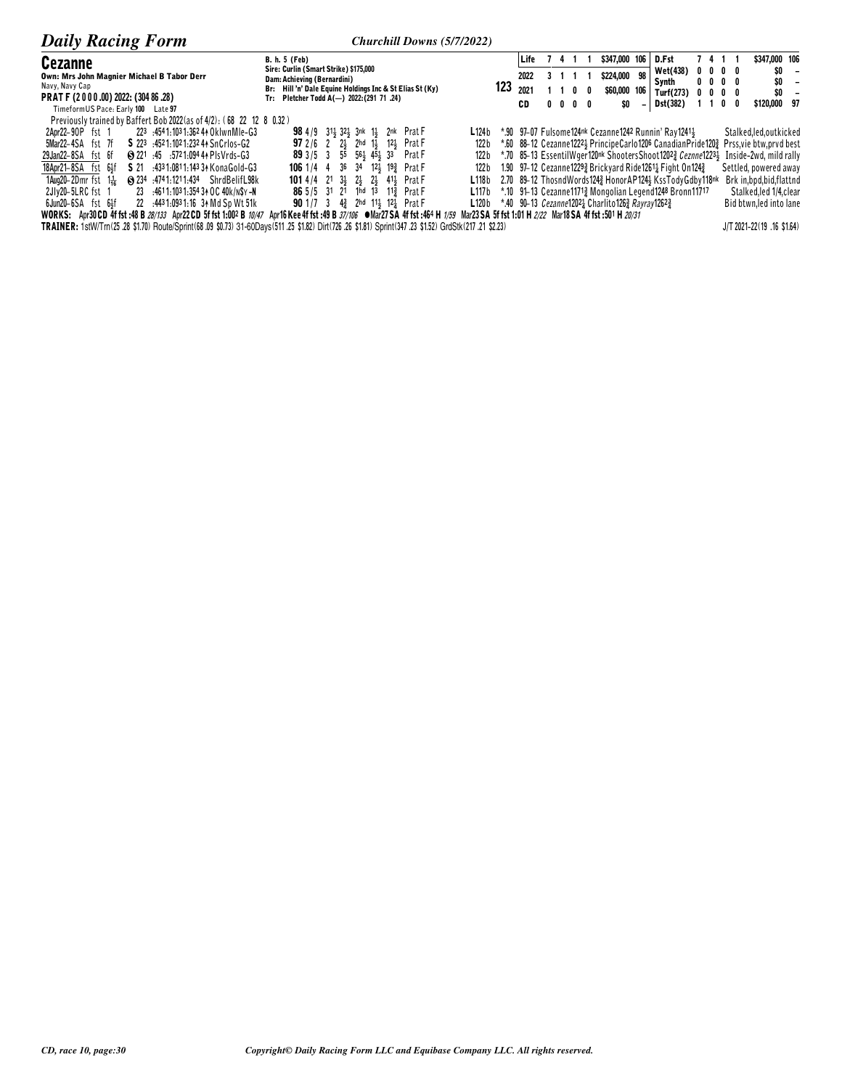| <b>Daily Racing Form</b>                                                                                                      | Churchill Downs (5/7/2022)                                           |             |            |            |                                                                               |     |                                                                                                    |                                                           |            |                           |                               |
|-------------------------------------------------------------------------------------------------------------------------------|----------------------------------------------------------------------|-------------|------------|------------|-------------------------------------------------------------------------------|-----|----------------------------------------------------------------------------------------------------|-----------------------------------------------------------|------------|---------------------------|-------------------------------|
| Cezanne                                                                                                                       | <b>B. h. 5 (Feb)</b>                                                 | Life        |            |            | \$347,000 106                                                                 |     | D.Fst                                                                                              | 7411                                                      |            | \$347,000 106             |                               |
| Own: Mrs John Magnier Michael B Tabor Derr                                                                                    | Sire: Curlin (Smart Strike) \$175,000<br>Dam: Achieving (Bernardini) | 2022        |            |            | \$224,000                                                                     | 98  | Wet(438)<br>Synth                                                                                  | $0\quad 0\quad 0\quad 0$<br>$0\quad 0\quad 0\quad 0\quad$ |            | \$0<br>\$0                | -<br>$\overline{\phantom{a}}$ |
| Navy, Navy Cap                                                                                                                | Br: Hill'n' Dale Equine Holdings Inc & St Elias St (Ky)              | 123<br>2021 |            |            | \$60,000                                                                      | 106 | Turf(273)                                                                                          | $0\quad 0\quad 0\quad 0\quad$                             |            | \$0                       | $\overline{\phantom{a}}$      |
| PRAT F (2000.00) 2022: (304 86.28)<br>TimeformUS Pace: Early 100 Late 97                                                      | Tr: Pletcher Todd A(-) 2022: (291 71 .24)                            | CD          | $0\quad 0$ | $0\quad 0$ | \$O                                                                           |     | <b>Dst(382)</b>                                                                                    |                                                           | $0\quad 0$ | \$120,000 97              |                               |
| Previously trained by Baffert Bob 2022 (as of 4/2): (68 22 12 8 0.32)                                                         |                                                                      |             |            |            |                                                                               |     |                                                                                                    |                                                           |            |                           |                               |
| 223 :4541:1031:362 44 OklwnMle-G3<br>2Apr22-90P fst 1                                                                         | 98 4/9 31 32 3nk 1 2nk Prat F<br>L124b                               |             |            |            |                                                                               |     | *.90 97-07 Fulsome124nk Cezanne1242 Runnin' Ray12411                                               |                                                           |            | Stalked, led, outkicked   |                               |
| S 223 :4521:1021:23244 SnCrlos-G2<br>5Mar22-4SA fst 7f                                                                        | <b>97</b> 2/6 2 2 2 2hd 1 1 12 Prat F<br>122 b                       |             |            |            |                                                                               |     | *.60 88–12 Cezanne12221 PrincipeCarlo1206 CanadianPride1202 Prss,vie btw,prvd best                 |                                                           |            |                           |                               |
| (3 221 ± 45 ± 572 1:094 44 Pls Vrds - G3<br>29Jan22-8SA fst 6f                                                                | 89 3/5 3 55 56 45 45 33<br>Prat F<br>122 b                           |             |            |            |                                                                               |     | *.70 85–13 EssentilWger120nk ShootersShoot12023 <i>Ceznne</i> 12231 Inside-2wd, mild rally         |                                                           |            |                           |                               |
| S 21 .4331:0811:1433 A Kona Gold-G3<br>18Apr21-8SA fst 6}f                                                                    | <b>106</b> 1/4 4 36 34 12 19 Prat F<br>122 b                         |             |            |            |                                                                               |     | 1.90 97–12 Cezanne 1229 $\frac{3}{4}$ Brickyard Ride 1261 $\frac{1}{4}$ Fight On 124 $\frac{3}{4}$ |                                                           |            | Settled, powered away     |                               |
| $1$ Aug20-2Dmr fst $1\frac{1}{26}$<br><b>8 234 :4741:1211:434 ShrdBelifL98k</b>                                               | <b>101</b> 4/4 21 33 23 23 413 Prat F<br>L118b                       |             |            |            |                                                                               |     | 2.70 89-12 ThosndWords1243 HonorAP1243 KssTodyGdby118nk                                            |                                                           |            | Brk in, bpd, bid, flattnd |                               |
| 2JIv20-5LRC fst 1<br>23 :4611:1031:3543+0C40k/n\$y-N                                                                          | 86 5/5 31 21 1hd 13 113 Prat F<br>L117 b                             |             |            |            |                                                                               |     | *.10 91-13 Cezanne11713 Mongolian Legend1248 Bronn11717                                            |                                                           |            | Stalked, led 1/4, clear   |                               |
| $6$ Jun20 $-6$ SA $fst$ $6\frac{1}{3}f$<br>22 :4431:0931:16 34 Md Sp Wt 51k                                                   | 90 1/7 3 43 2hd 113 123 Prat F                                       |             |            |            | <b>L120b</b> *.40 90-13 <i>Cezanne</i> 12021 Charlito1263 <i>Rayray</i> 12623 |     |                                                                                                    |                                                           |            | Bid btwn, led into lane   |                               |
| WORKS: Apr30 CD 4f fst :48 B 28/133 Apr22 CD 5f fst 1:002 B 10/47 Apr16 Kee 4f fst :49 B 37/106 ● Mar27 SA 4f fst :464 H 1/59 | Mar23 SA 5f fst 1:01 H 2/22 Mar18 SA 4f fst :501 H 20/31             |             |            |            |                                                                               |     |                                                                                                    |                                                           |            |                           |                               |

TRAINER: 1stW/Tm(25.28 \$1.70) Route/Sprint(68.09 \$0.73) 31-60Days(511.25 \$1.82) Dirt(726.26 \$1.81) Sprint(347.23 \$1.52) GrdStk(217.21 \$2.23)

J/T 2021-22(19 .16 \$1.64)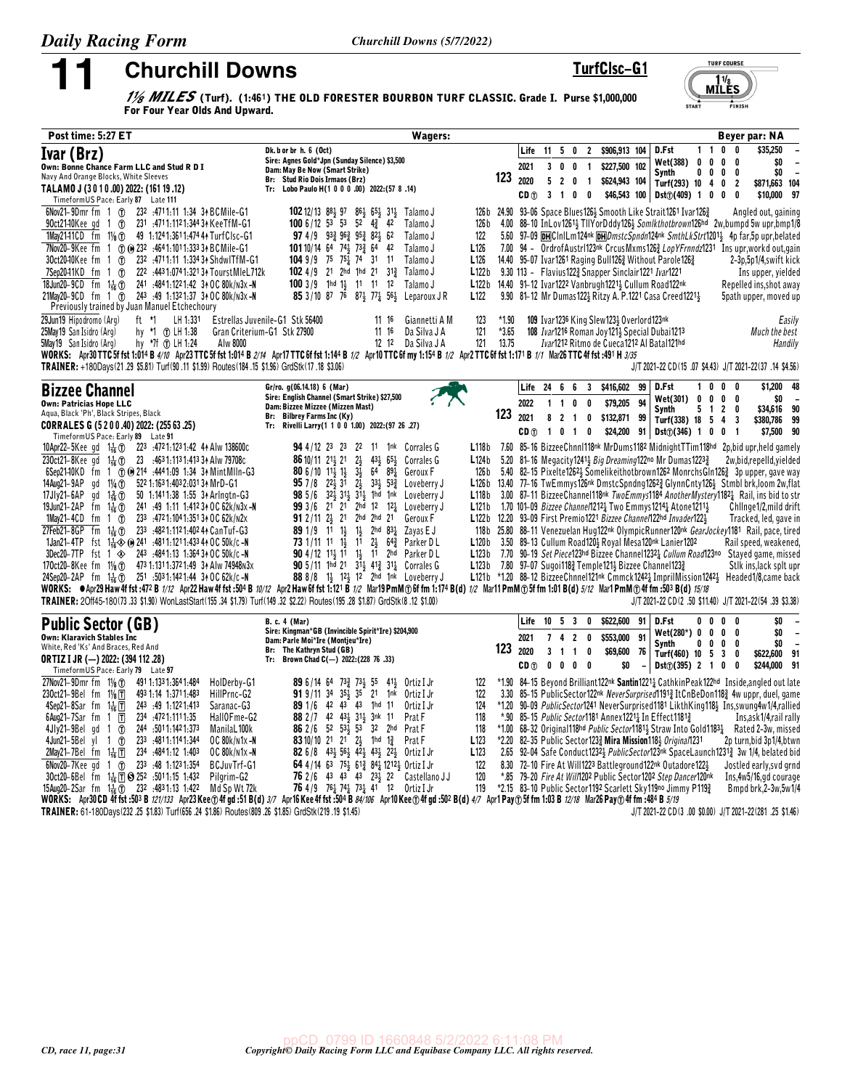TurfClsc-G1

**Churchill Downs** 1/<sub>8</sub> MILES (Turf). (1:461) THE OLD FORESTER BOURBON TURF CLASSIC. Grade I. Purse \$1,000,000<br>For Four Yoar Olds And Unward

 $MILES$ 

**TURF COURSE** 

**FINISH** 

| Post time: 5:27 ET                                                                                                                                                                                                                                                                                                                                                                                                                                                                                                                                                                                                                                                                                                                                                                                                                                                                                                                                                                                         | Wagers:                                                                                                                                                                                                                                                                                                                                                                                                                                                                                                                                                                                                                                                                                                                                                                                                                                                                                                                                                                                     |                                  |                                |                                                                         |                     |                                                                                |                                                                     |                |                                                                                                                                                                                                                                                                                                                                                                           |                                              |                   |                                         | Beyer par: NA                                                                                                                                                                                                                                                                                                                                                                                                                                                                                                                                                                                                                                                                                                                                                                                                                                                             |
|------------------------------------------------------------------------------------------------------------------------------------------------------------------------------------------------------------------------------------------------------------------------------------------------------------------------------------------------------------------------------------------------------------------------------------------------------------------------------------------------------------------------------------------------------------------------------------------------------------------------------------------------------------------------------------------------------------------------------------------------------------------------------------------------------------------------------------------------------------------------------------------------------------------------------------------------------------------------------------------------------------|---------------------------------------------------------------------------------------------------------------------------------------------------------------------------------------------------------------------------------------------------------------------------------------------------------------------------------------------------------------------------------------------------------------------------------------------------------------------------------------------------------------------------------------------------------------------------------------------------------------------------------------------------------------------------------------------------------------------------------------------------------------------------------------------------------------------------------------------------------------------------------------------------------------------------------------------------------------------------------------------|----------------------------------|--------------------------------|-------------------------------------------------------------------------|---------------------|--------------------------------------------------------------------------------|---------------------------------------------------------------------|----------------|---------------------------------------------------------------------------------------------------------------------------------------------------------------------------------------------------------------------------------------------------------------------------------------------------------------------------------------------------------------------------|----------------------------------------------|-------------------|-----------------------------------------|---------------------------------------------------------------------------------------------------------------------------------------------------------------------------------------------------------------------------------------------------------------------------------------------------------------------------------------------------------------------------------------------------------------------------------------------------------------------------------------------------------------------------------------------------------------------------------------------------------------------------------------------------------------------------------------------------------------------------------------------------------------------------------------------------------------------------------------------------------------------------|
| Ivar (Brz)<br>Own: Bonne Chance Farm LLC and Stud R D I<br>Navy And Orange Blocks, White Sleeves<br>TALAMO J (3010.00) 2022: (161 19.12)<br>Timeform US Pace: Early 87 Late 111                                                                                                                                                                                                                                                                                                                                                                                                                                                                                                                                                                                                                                                                                                                                                                                                                            | Dk. b or br h. 6 (Oct)<br>Sire: Agnes Gold*Jpn (Sunday Silence) \$3,500<br>Dam: May Be Now (Smart Strike)<br>Br: Stud Rio Dois Irmaos (Brz)<br>Tr: Lobo Paulo H(1 0 0 0 .00) 2022: (57 8 .14)                                                                                                                                                                                                                                                                                                                                                                                                                                                                                                                                                                                                                                                                                                                                                                                               | 123                              | Life<br>2021<br>2020<br>CD n   | $11 \t5 \t0$<br>3 <sub>0</sub><br>5 <sub>2</sub><br>$3 \quad 1 \quad 0$ | 0<br>$\mathbf 0$    | $\overline{2}$<br>$\overline{1}$<br>$\overline{1}$<br>$\overline{\phantom{a}}$ | \$906,913 104<br>\$227,500 102<br>\$624,943 104                     |                | D.Fst<br>Wet(388)<br><b>Synth</b><br>Turf(293) 10 4 0 2<br>$$46,543$ 100 Dst $@(409)$ 1 0 0                                                                                                                                                                                                                                                                               | $1\quad1$<br>$0\quad 0\quad 0$<br>$0\quad 0$ | $\mathbf{0}$<br>0 | 0<br>$\overline{\phantom{a}}$<br>0<br>0 | \$35,250<br>\$O<br>$\blacksquare$<br>\$0<br>$\sim$<br>\$871,663 104<br>\$10,000 97                                                                                                                                                                                                                                                                                                                                                                                                                                                                                                                                                                                                                                                                                                                                                                                        |
| 6Nov21-9Dmr fm 1 (f) 232 :4711:11 1:34 34 BCMile-G1<br>1May2141CD fm 11/8 (r) 49 1:1241:3611:474 4 TurfClsc-G1<br>7Nov20-9Kee fm 1 (7) (0) 232 :4641:1011:333 34 BCMile-G1<br>$30ct2040$ Kee fm 1 $0$<br>232 .4711:11 1:334 3↑ ShdwlTfM-G1<br>$7$ Sep2041KD fm 1 $1$<br>222 .443 1:074 1:321 34 Tourst MIeL 712k<br>18Jun20-9CD fm 11 (n) 241 :4841:1221:42 34 OC 80k/N3x -N<br>21May20-9CD fm 1 (r) 243 49 1:1321:37 34 OC 80k/n3x -N<br>Previously trained by Juan Manuel Etchechoury                                                                                                                                                                                                                                                                                                                                                                                                                                                                                                                    | <b>102</b> 12/13 8 <sup>8</sup> 97 8 <sup>6</sup> 55 8 <sup>5</sup> 31 <sup>2</sup> Talamo J<br>100 6/12 53 53 52 $4\frac{3}{4}$ 42<br>Talamo J<br>97 4/9 933 963 953 823 62<br>Talamo J<br>122<br><b>101</b> 10/14 64 74 73 64 42<br>L <sub>126</sub><br>Talamo J<br><b>104</b> 9/9 75 75 <sup>1</sup> / <sub>2</sub> 74 31 11<br>Talamo J<br>L <sub>126</sub><br>102 4/9 21 2hd 1hd 21 313 Talamo J<br>L122b<br>100 3/9 1hd 1 11 11 12 Talamo J<br>85 3/10 87 76 87 $\frac{1}{2}$ 77 $\frac{1}{4}$ 56 $\frac{1}{2}$ Leparoux JR<br>L <sub>122</sub>                                                                                                                                                                                                                                                                                                                                                                                                                                       | 126 b                            |                                |                                                                         |                     |                                                                                | 9.30 113 - Flavius 122 <sup>3</sup> Snapper Sinclair 1221 Ivar 1221 |                | 126b 24.90 93-06 Space Blues 126 <sup>1</sup> Smooth Like Strait 126 <sup>1</sup> Ivar 126 <sup>2</sup><br>14.40 95-07 Ivar1261 Raging Bull126 Without Parole 126 $\frac{3}{2}$<br>L122b 14.40 91-12 Ivar1222 Vanbrugh1221} Cullum Road122nk<br>9.90 81-12 Mr Dumas 122 Ritzy A. P.1221 Casa Creed 1221                                                                   |                                              |                   |                                         | Angled out, gaining<br>4.00 88-10 InLov1261 <sup>1</sup> / <sub>2</sub> TIIYorDddy126 <sup>1</sup> / <sub>2</sub> Somlkthotbrown126hd 2w,bumpd 5w upr,bmp1/8<br>5.60 97-09 DHCInILm124nk DHDmstcSpndn124nk SmthLkStrt12011 4p far.5p upr.belated<br>7.00 94 - OrdrofAustr1123nk CrcusMxms1263 LopYFrnndz1231 Ins upr.workd out.gain<br>2–3p,5p1/4,swift kick<br>Ins upper, yielded<br>Repelled ins, shot away<br>5path upper, moved up                                                                                                                                                                                                                                                                                                                                                                                                                                    |
| ft *1 LH 1:331<br>29Jun19 Hipodromo (Arg)<br>hy *1 ① LH 1:38<br>25May 19 San Isidro (Arg)<br>5May 19 San Isidro (Arg)<br>hy *7f (f) LH 1.24<br>Alw 8000<br>TRAINER: +180Days(21.29 \$5.81) Turf(90.11 \$1.99) Routes(184.15 \$1.96) GrdStk(17.18 \$3.06)                                                                                                                                                                                                                                                                                                                                                                                                                                                                                                                                                                                                                                                                                                                                                   | Estrellas Juvenile-G1 Stk 56400<br>Giannetti A M<br>123<br>11 16<br>1116<br>121<br>Gran Criterium-G1 Stk 27900<br>Da Silva J A<br>12 12 Da Silva J A<br>121<br>WORKS: Apr30 TTC 5f fst 1:014 B 4/10 Apr23 TTC 5f fst 1:014 B 2/14 Apr17 TTC 6f fst 1:144 B 1/2 Apr10 TTC 6f my 1:154 B 1/2 Apr2 TTC 6f fst 1:171 B 1/1 Mar26 TTC 4f fst :491 H 3/35                                                                                                                                                                                                                                                                                                                                                                                                                                                                                                                                                                                                                                         | $*1.90$<br>$*3.65$<br>13.75      |                                |                                                                         |                     |                                                                                | 109 Ivar1236 King Slew1233 Overlord123nk                            |                | 108 Ivar1216 Roman Joy121 & Special Dubai1213<br>Ivar1212 Ritmo de Cueca1212 Al Batal121hd                                                                                                                                                                                                                                                                                |                                              |                   |                                         | Easily<br>Much the best<br>Handily<br>J/T 2021-22 CD (15 .07 \$4.43) J/T 2021-22 (37 .14 \$4.56)                                                                                                                                                                                                                                                                                                                                                                                                                                                                                                                                                                                                                                                                                                                                                                          |
| <b>Bizzee Channel</b>                                                                                                                                                                                                                                                                                                                                                                                                                                                                                                                                                                                                                                                                                                                                                                                                                                                                                                                                                                                      | Gr/ro. g(06.14.18) 6 (Mar)                                                                                                                                                                                                                                                                                                                                                                                                                                                                                                                                                                                                                                                                                                                                                                                                                                                                                                                                                                  |                                  | Life 24 6 6 3                  |                                                                         |                     |                                                                                | \$416,602 99                                                        |                | D.Fst                                                                                                                                                                                                                                                                                                                                                                     | 10                                           | 0                 | 0                                       | \$1,200 48                                                                                                                                                                                                                                                                                                                                                                                                                                                                                                                                                                                                                                                                                                                                                                                                                                                                |
| <b>Own: Patricias Hope LLC</b><br>Aqua, Black 'Ph', Black Stripes, Black<br>CORRALES G (5 2 0 0 .40) 2022: (255 63 .25)<br>TimeformUS Pace: Early 89 Late 91                                                                                                                                                                                                                                                                                                                                                                                                                                                                                                                                                                                                                                                                                                                                                                                                                                               | Sire: English Channel (Smart Strike) \$27,500<br>Dam: Bizzee Mizzee (Mizzen Mast)<br>Br: Bilbrey Farms Inc (Ky)<br>Tr: Rivelli Larry(1 1 0 0 1.00) 2022: (97 26 .27)                                                                                                                                                                                                                                                                                                                                                                                                                                                                                                                                                                                                                                                                                                                                                                                                                        | 123                              | 2022<br>2021<br>CD (f)         | $1\quad1$<br>$8 \quad 2 \quad 1$                                        | 0                   | 0<br>$\mathbf 0$<br>1 0 1 0                                                    | \$79,205<br>\$132,871 99<br>\$24,200                                | 94             | Wet(301) 0 0 0 0<br><b>Synth</b><br>Turf(338) 18 5 4 3<br>$91$ Dst $\textcircled{1}(346)$ 1 0 0 1                                                                                                                                                                                                                                                                         |                                              | $5$ 1 2           | 0                                       | SO.<br>\$34,616 90<br>\$380,786 99<br>\$7,500 90                                                                                                                                                                                                                                                                                                                                                                                                                                                                                                                                                                                                                                                                                                                                                                                                                          |
| 10Apr22-5Kee gd 1 $\frac{1}{16}$ (i) 223 :4721:1231:42 44 Alw 138600c<br>230ct21-8Kee gd 1 $\frac{1}{16}$ (f) 23 :4631:1131:4133 Alw 79708c<br>6Sep2140KD fm 1 ① ① 214 :4441:09 1:34 34 MintMlln-G3<br>522 1:163 1:403 2:031 34 MrD-G1<br>14Aug21-9AP gd 11/ <sub>4</sub> (T)<br>17Jly21-6AP gd $1\frac{3}{16}$ ①<br>50 1:1411:38 1:55 34 Arlngtn-G3<br>19Jun21-2AP fm $1\frac{1}{16}$ ①<br>241 :49 1:11 1:412 34 OC 62k/n3x -N<br>1May21-4CD fm 1 $\circled{r}$<br>233 .472 1:104 1:351 3↑ OC 62k/N2x<br>27Feb21-8GP fm 1 $\frac{1}{16}$ (f) 23 <sup>3</sup> :4821:1121:4024 A Can Tuf-G3<br>1Jan21-4TP fst $1\frac{1}{16}$ (b) 241 :4811:1211:433 44 OC 50k/c -N<br>3Dec20-7TP fst 1 $\otimes$ 243 :4841:13 1:3643+0C 50k/c-N<br>170ct20-8Kee fm 11/ <sub>8</sub> (f) 473 1:131 1:372 1:49 34 Alw 74948 N3x<br>24Sep20-2AP fm 11 (1) 251 :5031:1421:44 34 OC 62k/c-N<br>TRAINER: 20ff45-180(73 .33 \$1.90) WonLastStart(155 .34 \$1.79) Turf(149 .32 \$2.22) Routes(195 .28 \$1.87) GrdStk(8 .12 \$1.00) | <b>94</b> 4/12 23 23 22 11 1nk Corrales G<br>$2\frac{1}{2}$ 43 $\frac{1}{2}$ 65 $\frac{1}{2}$ Corrales G<br><b>86</b> 10/11 21 $\frac{1}{2}$ 21<br>80 6/10 $11\frac{1}{2}$ $1\frac{1}{2}$<br>$3\frac{1}{2}$<br>64 89 $\frac{1}{4}$ Geroux F<br>$2\frac{1}{2}$ 33 <sup>1</sup> / <sub>2</sub> 53 <sup>2</sup> / <sub>4</sub> Loveberry J<br><b>95</b> 7/8 22 $\frac{1}{2}$ 31<br>98 5/6 32 31 31 1hd 1nk Loveberry J<br>99 3/6 21 21 2hd 12 121 Loveberry J<br>91 2/11 $2\frac{1}{2}$ 21 $2$ hd $2$ hd 21<br>Geroux F<br>89 1/9 11 11 11 2hd 831 Zayas EJ<br>73 1/11 11 13 11 23 64 <sup>3</sup> Parker D L<br>90 4/12 113 11 13 11 2hd Parker DL<br>90 5/11 1hd 21 $3\overline{1}$ 41 <sup>2</sup> 31 <sup>1</sup> / <sub>2</sub> Corrales G<br>88 8/8 11, 121, 12 2hd 1nk Loveberry J<br>WORKS: @Apr29 Haw 4f fst :472 B 1/12 Apr22 Haw 4f fst :504 B 10/12 Apr2 Haw 6f fst 1:121 B 1/2 Mar19 PmM ① 6f fm 1:174 B(d) 1/2 Mar11 PmM ① 5f fm 1:01 B(d) 5/12 Mar1 PmM ① 4f fm :503 B(d) 15/18 | L124b<br>126 b<br>L118b<br>L121b |                                |                                                                         |                     |                                                                                |                                                                     |                | 5.20 81-16 Megacity 1241 3 Big Dreaming 122no Mr Dumas 1223 3<br>1.70 101-09 Bizzee Channe/12121 Two Emmys12141 Atone12111<br>L122b 12.20 93-09 First Premio1221 Bizzee Channel122hd Invader1224<br>L120b 3.50 89-13 Cullum Road120} Royal Mesa120nk Lanier1202<br><b>L123b</b> 7.80 97-07 Sugoi118 $\frac{3}{2}$ Temple121 $\frac{1}{2}$ Bizzee Channel123 $\frac{3}{2}$ |                                              |                   |                                         | L118b 7.60 85-16 BizzeeChnnl118nk MrDums1182 MidnightTTim118hd 2p, bid upr, held gamely<br>2w,bid,repelld,yielded<br>5.40 82-15 Pixelte1262} Somelikeithotbrown1262 MonrchsGln1263 3p upper, gave way<br>L126b 13.40 77-16 TwEmmys126nk DmstcSpndng1262} GlynnCnty126} Stmbl brk, loom 2w, flat<br>3.00 87-11 Bizzee Channel 118 <sup>nk</sup> Two Emmys 1184 Another Mystery 1182 <sup>1</sup> Rail, ins bid to str<br>Chllnge1/2, mild drift<br>Tracked, led, gave in<br>118b 25.80 88-11 Venezuelan Hug122nk OlympicRunner120nk GearJockey1181 Rail, pace, tired<br>Rail speed, weakened,<br>L123b 7.70 90-19 Set Piece123hd Bizzee Channel1232 Lullum Road123no Stayed game, missed<br>Stik ins, lack splt upr<br>L121b *1.20 88-12 BizzeeChnnel121nk Cmmck12421 ImprilMission12421 Headed1/8.came back<br>J/T 2021-22 CD (2 .50 \$11.40) J/T 2021-22 (54 .39 \$3.38) |
| <b>Public Sector (GB)</b><br><b>Own: Klaravich Stables Inc</b><br>White, Red 'Ks' And Braces, Red And<br><b>ORTIZ I JR (-) 2022: (394 112 .28)</b><br>Timeform US Pace: Early 79 Late 97                                                                                                                                                                                                                                                                                                                                                                                                                                                                                                                                                                                                                                                                                                                                                                                                                   | <b>B. c. 4 (Mar)</b><br>Sire: Kingman*GB (Invincible Spirit*Ire) \$204,900<br>Dam: Parle Moi*Ire (Montjeu*Ire)<br>Br: The Kathryn Stud (GB)<br>Tr: Brown Chad C(-) 2022: (228 76 .33)                                                                                                                                                                                                                                                                                                                                                                                                                                                                                                                                                                                                                                                                                                                                                                                                       | 123                              | Life<br>2021<br>2020<br>CD (f) | 10<br>7 <sub>4</sub><br>3 <sub>1</sub><br>$\mathbf{0}$                  | 5 3<br>$\mathbf{0}$ | 0<br>$\overline{2}$<br>0<br>$1 \quad 0$<br>$0\quad 0$                          | \$622,600<br>\$553,000<br>\$69,600<br>\$0                           | 91<br>91<br>76 | D.Fst<br>$Wet(280*) 0 0 0 0$<br>Synth<br>Turf(460) 10 5 3 0<br>Dist(j(395) 2 1 0                                                                                                                                                                                                                                                                                          | $0\quad 0$                                   | 0<br>$0\ 0\ 0$    | 0<br>0<br>$\overline{\mathbf{0}}$       | \$0<br>$\sim$<br>\$O<br>$\overline{\phantom{a}}$<br>\$O<br>$\overline{\phantom{a}}$<br>\$622,600 91<br>\$244,000 91                                                                                                                                                                                                                                                                                                                                                                                                                                                                                                                                                                                                                                                                                                                                                       |
| 27Nov21-9Dmr fm $1\frac{1}{8}$ (T)<br>491 1:133 1:364 1:484<br>HolDerby-G1<br>493 1:14 1:371 1:483<br>230ct21-9Bel fm $1\frac{1}{8}$ $\overline{T}$<br>HillPrnc-G2<br>243 .49 1.1221.413<br>Saranac-G3<br>4Sep21-8Sar fm $1\frac{1}{16}$ T<br>234 :4721:1111:35<br>$6$ Aug21-7Sar fm 1 $\overline{T}$<br>HallOFme-G2<br>244 :5011:1421:373<br>4Jly21-9Belgd 1 $1$<br>ManilaL100k<br>4Jun21-5Bel yl 1 $\circ$<br>233 :4811:1141:344<br>OC 80k/n1x-N<br>234 4841.12 1.403<br>2May21-7Bel fm 1 $\frac{1}{16}$ 日<br>OC 80k/n1x-N<br>6Nov20-7Kee gd 1 (7) 233 :48 1:1231:354<br>BCJuvTrf-G1<br>30ct20_6Rel fm 11 FD @ 252 5011.15 1.432<br>Pilarim-G2                                                                                                                                                                                                                                                                                                                                                           | <b>89</b> 6/14 64 73 <sup>3</sup> / <sub>2</sub> 73 <sup>1</sup> / <sub>3</sub> 55 41 <sup>1</sup> / <sub>3</sub> Ortiz I Jr<br>122<br>91 9/11 34 351 35 21 1nk Ortiz I Jr<br>122<br>89 1/6 42 43 43 1hd 11<br>Ortiz I Jr<br>124<br>88 2 / 7 42 431 311 3nk 11<br>Prat F<br>118<br>86 2 / 6 52 534 53 32 2hd Prat F<br>118<br>83 10/10 21 21 23 1hd 13 Prat F<br>L <sub>123</sub><br>82 6/8 431 561 421 431 221 Ortiz I Jr<br>L <sub>123</sub><br>64 4/14 63 751 612 841 12121 Ortiz I Jr<br>122<br>76 2 /6 43 43 43 23 22 Castellano LL                                                                                                                                                                                                                                                                                                                                                                                                                                                    | 120                              |                                |                                                                         |                     |                                                                                |                                                                     |                | *.90 85–15 Public Sector1181 Annex12211 In Effect11813<br>*2.20 82-35 Public Sector 1233 Mira Mission 1183 Origina/1231<br>8.30 72-10 Fire At Will1223 Battleground122nk Outadore122}                                                                                                                                                                                     |                                              |                   |                                         | *1.90 84-15 Beyond Brilliant122 <sup>nk</sup> Santin1221 <sub>4</sub> CathkinPeak122 <sup>hd</sup> Inside, angled out late<br>3.30 85-15 PublicSector122 <sup>nk</sup> NeverSurprised11913 ItCnBeDon1183 4w uppr, duel, game<br>*1.20 90-09 PublicSector1241 NeverSurprised1181 LikthKing118} Ins, swung4w1/4, rallied<br>Ins,ask1/4,rail rally<br>*1.00 68-32 Original118hd Public Sector11814 Straw Into Gold11834 Rated 2-3w, missed<br>2p turn, bid 3p1/4, btwn<br>2.65 92-04 Safe Conduct12321 PublicSector123nk SpaceLaunch12313 3w 1/4, belated bid<br>Jostled early, svd grnd<br>*85 79-20 Fire 4t Will1202 Public Sector 1202 Step Dancer 120pk Ins 4w5/16 ad courage                                                                                                                                                                                            |

30ct20-6Bel fm 1<sub>1</sub><sub>6</sub> [1] (3) 25<sup>2</sup> :5011:15 1:432 Pilgrim-G2 **76** 2/6 43 43 43 23 22 Castellano J 7.85 79-20 Fire At Will ZUP Public Sector1202 Step Dancer120<sup>nk</sup> Ins,4w5/16,gd courage<br>15Aug20-2Sar fm 1<sub>16</sub> (6) 232 :4831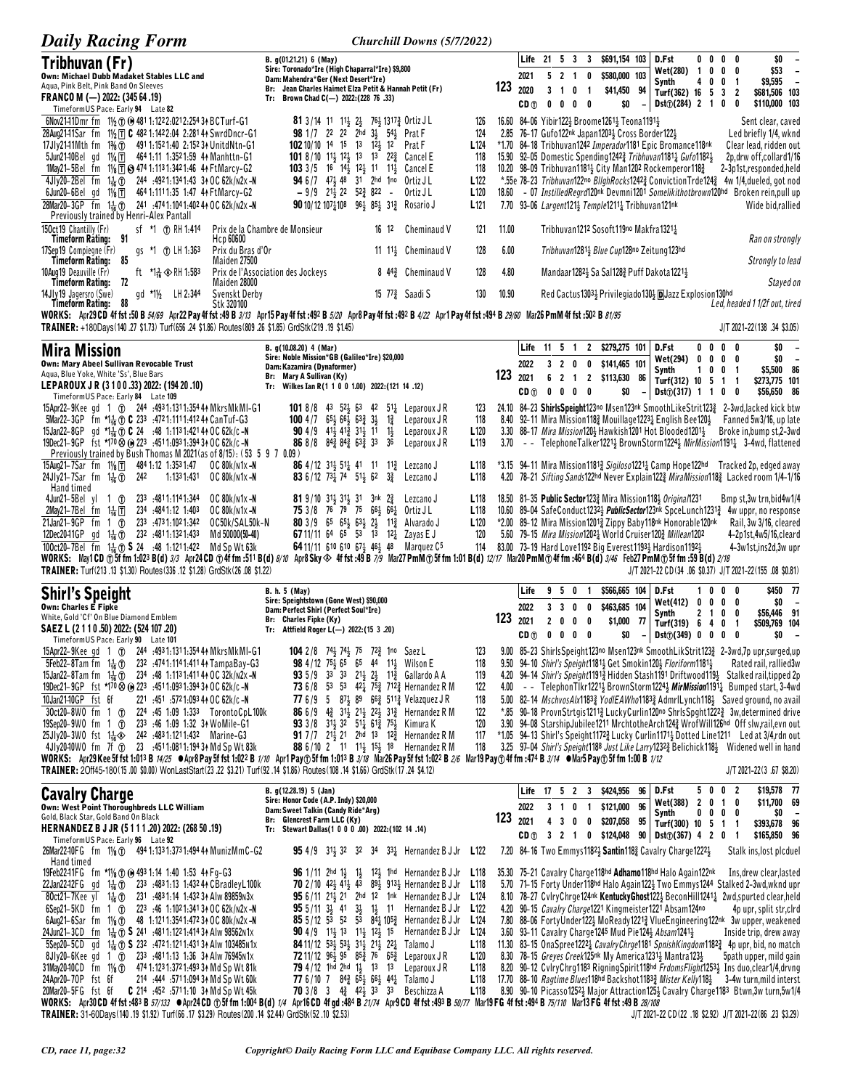| <b>Daily Racing Form</b>                                                                                                                                                                                                                                                                                          | Churchill Downs (5/7/2022)                                                                                                                                                                                                                  |                                      |              |                 |                                  |                                       |                                                   |               |                                                                                                                                                   |                     |                                     |                                                                                                                                                                                                       |
|-------------------------------------------------------------------------------------------------------------------------------------------------------------------------------------------------------------------------------------------------------------------------------------------------------------------|---------------------------------------------------------------------------------------------------------------------------------------------------------------------------------------------------------------------------------------------|--------------------------------------|--------------|-----------------|----------------------------------|---------------------------------------|---------------------------------------------------|---------------|---------------------------------------------------------------------------------------------------------------------------------------------------|---------------------|-------------------------------------|-------------------------------------------------------------------------------------------------------------------------------------------------------------------------------------------------------|
| Tribhuvan (Fr)                                                                                                                                                                                                                                                                                                    | B. g(01.21.21) 6 (May)<br>Sire: Toronado*Ire (High Chaparral*Ire) \$9,800                                                                                                                                                                   |                                      |              |                 |                                  | Life 21 5 3 3                         | \$691,154 103                                     |               | D.Fst<br>Wet(280)                                                                                                                                 | $\overline{1}$<br>0 | $0\,0\,0\,0$<br>0                   | \$0<br>\$53<br>0<br>$\overline{\phantom{a}}$                                                                                                                                                          |
| Own: Michael Dubb Madaket Stables LLC and<br>Aqua, Pink Belt, Pink Band On Sleeves                                                                                                                                                                                                                                | Dam: Mahendra*Ger (Next Desert*Ire)<br>Br: Jean Charles Haimet Elza Petit & Hannah Petit (Fr)                                                                                                                                               |                                      | 123          | 2021<br>2020    | 5 <sub>2</sub><br>3 <sub>1</sub> | $\overline{1}$<br>0<br>$\overline{1}$ | \$580,000 103<br>0                                | \$41,450 94   | Synth<br>Turf(362) 16 5 3 2                                                                                                                       | 4                   | $0 \t 0 \t 1$                       | \$9,595<br>$\overline{\phantom{a}}$<br>\$681,506 103                                                                                                                                                  |
| FRANCO M $(-)$ 2022: (345 64 .19)<br>TimeformUS Pace: Early 94 Late 82                                                                                                                                                                                                                                            | Tr: Brown Chad C(-) 2022: (228 76 .33)                                                                                                                                                                                                      |                                      |              | CD <sub>1</sub> | 0<br>0                           | 0<br>- 0                              |                                                   | \$0           | Dist(j(284) 2 1 0                                                                                                                                 |                     |                                     | \$110,000 103<br>0                                                                                                                                                                                    |
| 6Nov2141Dmr fm $1\frac{1}{2}$ (i) (e) 4811:1222:0212:2543+BCTurf-G1                                                                                                                                                                                                                                               | <b>81</b> 3/14 11 11 $\frac{1}{2}$ $\frac{21}{2}$ 7 <sup>6</sup> $\frac{1}{2}$ 1317 $\frac{3}{4}$ Ortiz JL                                                                                                                                  | 126                                  |              |                 |                                  |                                       | 16.60 84-06 Yibir122} Broome1261} Teona1191}      |               |                                                                                                                                                   |                     |                                     | Sent clear, caved                                                                                                                                                                                     |
| 11/2 T C 482 1:142 2:04 2:281 44 SwrdDncr-G1<br>28Aug2141Sar fm<br>$1\%$ ①<br>17Jly2141Mth fm<br>491 1:152 1:40 2:152 31 UnitdNtn-G1                                                                                                                                                                              | 98 1/7 22 22 2hd 33 543 Prat F<br>102 10/10 14 15 13 12 12 Prat F                                                                                                                                                                           | 124<br>L <sub>124</sub>              | 2.85         |                 |                                  |                                       | 76-17 Gufo122nk Japan12033 Cross Border1223       |               | *1.70 84-18 Tribhuvan1242 Imperador1181 Epic Bromance118nk                                                                                        |                     |                                     | Led briefly 1/4, wknd<br>Clear lead, ridden out                                                                                                                                                       |
| 11/ <sub>4</sub> T 464 1:11 1:352 1:59 44 Manhttn-G1<br>5Jun21-10Bel gd<br>1May21-5Bel fm 11/8 T 3 474 1:113 1:342 1:46 4 Ft Marcy-G2                                                                                                                                                                             | 101 8/10 113 123 13 13 22 <sup>3</sup> Cancel E<br>103 3/5 16 $14\frac{1}{2}$ 12 <sub>2</sub> 11 11 <sub>2</sub> Cancel E                                                                                                                   | 118<br>118                           |              |                 |                                  |                                       |                                                   |               | 15.90 92-05 Domestic Spending 12423 Tribhuvan11811 Gufo11821<br>10.20 98-09 Tribhuvan1181 $\frac{1}{2}$ City Man1202 Rockemperor118 $\frac{3}{4}$ |                     |                                     | 2p, drw off, collard 1/16<br>2-3p1st,responded,held                                                                                                                                                   |
| 4Jlv20-2Bel fm<br>$1\frac{1}{16}$ $\circledR$<br>244 :492 1:134 1:43 34 OC 62k/n2x -N                                                                                                                                                                                                                             | <b>94</b> 6/7 47 <sup>1</sup> / <sub>2</sub> 48 31 2hd 1no Ortiz JL                                                                                                                                                                         | L <sub>122</sub>                     |              |                 |                                  |                                       |                                                   |               |                                                                                                                                                   |                     |                                     | *.55e 78-23 Tribhuvan122no BllghRocks1242} ConvictionTrde124} 4w 1/4.dueled, got nod                                                                                                                  |
| 6Jun20-6Belgd<br>11/8 T<br>464 1:111 1:35 1:47 44 FtMarcy-G2<br>28Mar20-3GP fm 1 <sup>1</sup> / <sub>16</sub> (f) 241 :4741:1041:402 44 OC 62k/n2x -N                                                                                                                                                             | $-9/9$ $21\frac{1}{2}$ $22$ $52\frac{3}{4}$ $822$ -<br>Ortiz J L<br>90 10/12 1071 108 961 851 312 Rosario J                                                                                                                                 | L <sub>120</sub><br>L <sub>121</sub> | 18.60        |                 |                                  |                                       | 7.70 93-06 Largent121} Temple1211} Tribhuvan121nk |               |                                                                                                                                                   |                     |                                     | - 07 Instilled Regra 120nk Devmni 1201 Somelikithothrown 120hd Broken rein, pull up<br>Wide bid, rallied                                                                                              |
| Previously trained by Henri-Alex Pantall<br>150ct19 Chantilly (Fr)<br>sf *1 ① RH 1:414                                                                                                                                                                                                                            | Prix de la Chambre de Monsieur<br>16 12<br>Cheminaud V                                                                                                                                                                                      | 121                                  | 11.00        |                 |                                  |                                       | Tribhuvan1212 Sosoft119no Makfra13211             |               |                                                                                                                                                   |                     |                                     |                                                                                                                                                                                                       |
| 91<br>Timeform Rating:<br>Hcp 60600<br>Prix du Bras d'Or                                                                                                                                                                                                                                                          | 11 1 <sup>1</sup> <sup>3</sup> Cheminaud V                                                                                                                                                                                                  | 128                                  | 6.00         |                 |                                  |                                       |                                                   |               |                                                                                                                                                   |                     |                                     | Ran on strongly                                                                                                                                                                                       |
| 17Sep19 Compiegne (Fr)<br>gs *1 ① LH 1:363<br>85<br>Maiden 27500<br><b>Timeform Rating:</b>                                                                                                                                                                                                                       |                                                                                                                                                                                                                                             |                                      |              |                 |                                  |                                       |                                                   |               | Tribhuvan1281} Blue Cup128no Zeitung123hd                                                                                                         |                     |                                     | Strongly to lead                                                                                                                                                                                      |
| 10Aug19 Deauville (Fr)<br>ft $\sqrt{1.2} \otimes$ RH 1.583<br><b>Timeform Rating:</b><br>72<br>Maiden 28000                                                                                                                                                                                                       | Prix de l'Association des Jockeys<br>8 44 <sup>3</sup> Cheminaud V                                                                                                                                                                          | 128                                  | 4.80         |                 |                                  |                                       |                                                   |               | Mandaar 1282 5a Sal 128 Puff Dakota 1221 }                                                                                                        |                     |                                     | Stayed on                                                                                                                                                                                             |
| LH 2:344<br>gd *11/2<br>Svenskt Derby<br>14Jly19 Jagersro (Swe)<br>88<br>Stk 320100<br><b>Timeform Rating:</b>                                                                                                                                                                                                    | 15 $77\frac{3}{4}$ Saadi S                                                                                                                                                                                                                  | 130                                  | 10.90        |                 |                                  |                                       |                                                   |               | Red Cactus13031 Privilegiado1301 DJazz Explosion130hd                                                                                             |                     |                                     | Led, headed 1 1/2f out, tired                                                                                                                                                                         |
| WORKS: Apr29 CD 4f fst :50 B 54/69 Apr22 Pay 4f fst :49 B 3/13 Apr15 Pay 4f fst :492 B 5/20 Apr8 Pay 4f fst :492 B 4/22 Apr1 Pay 4f fst :494 B 29/60 Mar26 PmM 4f fst :502 B 81/95<br>TRAINER: +180Days(140.27 \$1.73) Turf(656.24 \$1.86) Routes(809.26 \$1.85) GrdStk(219.19 \$1.45)                            |                                                                                                                                                                                                                                             |                                      |              |                 |                                  |                                       |                                                   |               |                                                                                                                                                   |                     |                                     | $J/T 2021 - 22(138.34 $3.05)$                                                                                                                                                                         |
| <b>Mira Mission</b>                                                                                                                                                                                                                                                                                               | B. g(10.08.20) 4 (Mar)                                                                                                                                                                                                                      |                                      |              | Life            | 11 5 1                           |                                       | 2 \$279,275 101                                   |               | D.Fst                                                                                                                                             |                     | $0\,0\,0\,0$                        | \$0                                                                                                                                                                                                   |
| Own: Mary Abeel Sullivan Revocable Trust                                                                                                                                                                                                                                                                          | Sire: Noble Mission*GB (Galileo*Ire) \$20,000<br>Dam: Kazamira (Dynaformer)                                                                                                                                                                 |                                      |              | 2022            | 3 <sub>2</sub>                   | 0                                     | \$141,465 101<br>0                                |               | Wet(294) 0<br>Synth                                                                                                                               | $\mathbf{1}$<br>0   | $0\quad 0\quad 0$<br>0 <sub>1</sub> | \$0<br>$\overline{\phantom{a}}$<br>\$5,500 86                                                                                                                                                         |
| Aqua, Blue Yoke, White 'Ss', Blue Bars<br>LEPAROUX JR (3 1 0 0 .33) 2022: (194 20 .10)                                                                                                                                                                                                                            | Br: Mary A Sullivan (Ky)<br>Tr: Wilkes Ian R(1 1 0 0 1.00) 2022: (121 14 .12)                                                                                                                                                               |                                      | 123          | 2021<br>CD (f)  | 6<br>$\overline{2}$<br>0<br>0    | $\overline{1}$<br>$0\quad 0$          | 2 \$113,630                                       | 86<br>\$0     | Turf(312) 10 5 1 1<br>Dist([317) 1 1 0 0                                                                                                          |                     |                                     | \$273,775 101<br>\$56,650 86                                                                                                                                                                          |
| TimeformUS Pace: Early 84 Late 109<br>15Apr22-9Kee gd 1 ① 244 :4931:1311:3544 MkrsMkMI-G1                                                                                                                                                                                                                         | 101 8/8 43 524 63 42 514 Leparoux JR                                                                                                                                                                                                        | 123                                  |              |                 |                                  |                                       |                                                   |               |                                                                                                                                                   |                     |                                     | 24.10 84-23 ShirlsSpeight123no Msen123nk SmoothLikeStrit1233 2-3wd.lacked kick btw                                                                                                                    |
| 5Mar22-3GP fm $\star$ 1 <sub>46</sub> (f) C 233 :4721:1111:41244 CanTuf-G3                                                                                                                                                                                                                                        | 100 4 / 7 $65\frac{1}{2}$ $66\frac{1}{2}$ $63\frac{3}{4}$ $3\frac{1}{2}$<br>$1\frac{3}{4}$<br>Leparoux J R<br>Leparoux J R                                                                                                                  | 118<br>L <sub>120</sub>              |              |                 |                                  |                                       |                                                   |               |                                                                                                                                                   |                     |                                     | 8.40 92-11 Mira Mission118} Mouillage1223} English Bee120} Fanned 5w3/16, up late<br>Broke in, bump st, 2-3wd                                                                                         |
| 15Jan22-8GP gd *1 $\frac{1}{16}$ (f) C 24 :48 1:1131:421 44 OC 62k/c -N<br>19Dec21-9GP fst *170 $\otimes$ (0) 223 :4511:0931:3943 + OC 62k/c -N                                                                                                                                                                   | $1\frac{1}{2}$<br><b>90</b> 4/9 41 <sup>1</sup> / <sub>2</sub> 41 <sup>2</sup> / <sub>2</sub> 31 <sup>1</sup> / <sub>2</sub> 11<br>86 8/8 843 843 633 33<br>36<br>Leparoux J R                                                              | L <sub>119</sub>                     |              |                 |                                  |                                       |                                                   |               | 3.30 88-17 <i>Mira Mission</i> 1204 Hawkish1201 Hot Blooded12014                                                                                  |                     |                                     | 3.70 - TelephoneTalker12213 BrownStorm12243 MirMission11911 3-4wd, flattened                                                                                                                          |
| Previously trained by Bush Thomas M 2021 (as of 8/15): (53 5 9 7 0.09)<br>15Aug21-7Sar fm 11/ <sub>8</sub> TT 484 1:12 1:353 1:47<br>OC 80k/n1x-N                                                                                                                                                                 | <b>86</b> 4/12 31 $\frac{1}{2}$ 51 $\frac{1}{4}$ 41 11 11 $\frac{3}{4}$ Lezcano J                                                                                                                                                           | L <sub>118</sub>                     |              |                 |                                  |                                       |                                                   |               |                                                                                                                                                   |                     |                                     | *3.15 94–11 Mira Mission11813 Sigiloso12211 Camp Hope122hd Tracked 2p, edged away                                                                                                                     |
| 24Jly21-7Sar fm $1\frac{1}{16}$ <sup>1</sup><br>242<br>1:1331:431<br>OC 80k/n1x-N<br>Hand timed                                                                                                                                                                                                                   | <b>83</b> 6/12 73 <sup>1</sup> / <sub>4</sub> 74 51 <sup>1</sup> / <sub>2</sub> 62 3 <sup>3</sup> / <sub>4</sub><br>Lezcano J                                                                                                               | L <sub>118</sub>                     |              |                 |                                  |                                       |                                                   |               |                                                                                                                                                   |                     |                                     | 4.20 78-21 Sifting Sands122hd Never Explain1223 MiraMission1183 Lacked room 1/4-1/16                                                                                                                  |
| 4Jun21-5Bel yl 1 $\circ$<br>233 .4811.1141.344<br>OC 80k/n1x-N<br>234 :4841:12 1:403<br>OC 80k/n1x-N                                                                                                                                                                                                              | <b>81</b> 9/10 31 31 31 3nk 2 Lezcano J<br>75 3/8 76 79 75 661 661 Ortiz JL                                                                                                                                                                 | L <sub>118</sub><br>L <sub>118</sub> |              |                 |                                  |                                       |                                                   |               | 18.50 81-35 Public Sector 1233 Mira Mission 1184 Original 1231                                                                                    |                     |                                     | Bmp st, 3w trn, bid 4w1/4<br>10.60 89-04 SafeConduct1232 <sub>2</sub> PublicSector123 <sup>nk</sup> SpceLunch1231 <sub>3</sub> 4w uppr, no response                                                   |
| $1\frac{1}{16}$ $\Box$<br>2May21-7Belfm<br>21Jan21-9GP fm<br>$1 \circledcirc$<br>233 :4731:1021:342<br>OC50k/SAL50k-N                                                                                                                                                                                             | 80 3/9 65 65 63 23 112 Alvarado J                                                                                                                                                                                                           | L120                                 |              |                 |                                  |                                       |                                                   |               | *2.00 89-12 Mira Mission 12013 Zippy Baby 118nk Honorable 120nk                                                                                   |                     |                                     | Rail, 3w 3/16, cleared                                                                                                                                                                                |
| 12Dec20-11GP gd 1 <sup>1</sup> <sub>16</sub> (1) 232 :4811:1321:433<br>Md 50000(50-40)<br>100ct20-7Bel fm $1\frac{1}{16}$ (f) <b>S</b> 24 :48 1:1211:422 Md Sp Wt 63k                                                                                                                                             | 67 11/11 64 65 53 13 12 $\frac{1}{4}$ Zayas E J<br>64 11/11 610 610 673 463 48 Marquez C <sup>5</sup>                                                                                                                                       | 120<br>114                           |              |                 |                                  |                                       |                                                   |               | 5.60 79-15 Mira Mission12021 World Cruiser1203 Millean1202<br>83.00 73-19 Hard Love 1192 Big Everest 1193 Hardison 1192 }                         |                     |                                     | 4-2p1st,4w5/16,cleard<br>4-3w1st, ins2d, 3w upr                                                                                                                                                       |
| WORKS: May1CD ①5f fm 1:023 B(d) 3/3 Apr24CD ①4f fm :511 B(d) 8/10 Apr8Sky $\otimes$ 4f fst :49 B 7/9 Mar27 PmM①5f fm 1:01 B(d) 12/17 Mar20 PmM①4f fm :464 B(d) 3/46 Feb27 PmM①5f fm :59 B(d) 2/18                                                                                                                 |                                                                                                                                                                                                                                             |                                      |              |                 |                                  |                                       |                                                   |               |                                                                                                                                                   |                     |                                     |                                                                                                                                                                                                       |
| TRAINER: Turf(213.13 \$1.30) Routes(336.12 \$1.28) GrdStk(26.08 \$1.22)                                                                                                                                                                                                                                           | B. h. 5 (May)                                                                                                                                                                                                                               |                                      |              | Life            | 95                               | 0                                     | -1                                                | \$566,665 104 | D.Fst                                                                                                                                             | 0<br>1              | $0\quad 0$                          | J/T 2021-22 CD (34 .06 \$0.37) J/T 2021-22 (155 .08 \$0.81)<br>\$450 77                                                                                                                               |
| <b>Shirl's Speight</b><br><b>Own: Charles E Finke</b>                                                                                                                                                                                                                                                             | Sire: Speightstown (Gone West) \$90,000<br>Dam: Perfect Shirl (Perfect Soul*Ire)                                                                                                                                                            |                                      |              | 2022            | 3 <sup>3</sup>                   | 0                                     | 0                                                 | \$463,685 104 | <b>Wet(412)</b>                                                                                                                                   | $\mathbf 0$         | $0\quad 0\quad 0$                   | \$0                                                                                                                                                                                                   |
| White, Gold 'Cf' On Blue Diamond Emblem<br>SAEZ L (2 1 1 0 .50) 2022: (524 107 .20)                                                                                                                                                                                                                               | Br: Charles Fipke (Ky)<br>Tr: Attfield Roger $L(-)$ 2022:(15 3 .20)                                                                                                                                                                         |                                      | 123          | 2021            | $\mathbf{2}$<br>0                | 0                                     | 0<br>\$1,000                                      | - 77          | Synth<br>Turf(319) 6                                                                                                                              | 2<br>-1             | 0<br>40                             | \$56,446 91<br>0<br>\$509,769 104<br>$\overline{\mathbf{1}}$                                                                                                                                          |
| TimeformUS Pace: Early 90 Late 101<br>15Apr22-9Kee gd 1 ①                                                                                                                                                                                                                                                         | 104 2/8 743 743 75 723 1no Saez L                                                                                                                                                                                                           | 123                                  |              | CD <sub>①</sub> | 0 <sub>0</sub>                   | $0\quad 0$                            |                                                   | \$0           | $Dist(\hat{U})$ (349) 0 0 0 0                                                                                                                     |                     |                                     | \$0<br>$\overline{\phantom{a}}$<br>9.00 85-23 Shirls Speight 123no Msen123nk Smooth Lik Strit 123 2-3wd, 7p upr, surged, up                                                                           |
| 244 .493 1:131 1:354 44 MkrsMkMI-G1<br>5Feb22-8Tam fm $1\frac{1}{16}$ ①<br>232 .4741:1141:41141 TampaBay-G3                                                                                                                                                                                                       | 98 4/12 75 465 65 44 11 3 Wilson E                                                                                                                                                                                                          | 118                                  |              |                 |                                  |                                       |                                                   |               | 9.50 94-10 Shirl's Speight11811 Get Smokin1201 Floriform11811                                                                                     |                     |                                     | Rated rail, rallied3w                                                                                                                                                                                 |
| 15Jan22–8Tam fm $1\frac{1}{16}$ (f) 234 :48 1:1131:411 4 + 0 C 32k/n2x - N<br>19Dec21-9GP fst *170 $\otimes$ (e) 223 :4511:0931:39434 OC 62k/c-N                                                                                                                                                                  | 93 5/9 33 33 214 24 113 Gallardo A A<br>73 6/8 53 53 421 753 7123 Hernandez R M                                                                                                                                                             | 119<br>122                           | 4.00         |                 |                                  |                                       |                                                   |               |                                                                                                                                                   |                     |                                     | 4.20 94-14 Shirl's Speight11913 Hidden Stash1191 Driftwood1193 Stalked rail, tipped 2p<br>- TelephonTlkr1221 <sup>1</sup> BrownStorm1224 <sup>1</sup> MirMission1191 <sup>1</sup> Bumped start, 3-4wd |
| 10Jan2140GP fst 6f<br>221 :451 :572 1:093 44 OC 62k/c -N                                                                                                                                                                                                                                                          | 77 6/9 5 87 <sup>1</sup> / <sub>2</sub> 89 66 <sup>2</sup> / <sub>4</sub> Velazquez J R                                                                                                                                                     | 118                                  |              |                 |                                  |                                       |                                                   |               |                                                                                                                                                   |                     |                                     | 5.00 82-14 MschvosAlx11833 YodIEAWho11833 AdmrlLynch1183 Saved ground, no avail                                                                                                                       |
| 30ct20-8W0 fm 1 ①<br>224 :45 1:09 1:333 TorontoCpL100k<br>19Sep20-9WO fm 1 ①<br>233 :46 1:09 1:32 34 WoMile-G1                                                                                                                                                                                                    | 86 6/9 4 31 21 22 31 Hernandez R M<br>93 3/8 31 <sup>1</sup> / <sub>2</sub> 32 51 <sup>1</sup> / <sub>4</sub> 61 <sup>2</sup> / <sub>3</sub> 75 <sup>1</sup> / <sub>2</sub> Kimura K                                                        | 122<br>120                           | *.85         |                 |                                  |                                       |                                                   |               |                                                                                                                                                   |                     |                                     | 90-18 ProvnStrtgis1211} LuckyCurlin120no ShrlsSpght1222} 3w, determined drive<br>3.90 94-08 StarshipJubilee1211 MrchtotheArch124} WrofWill126hd Off slw,rail,evn out                                  |
| 25Jly20-3W0 fst 14 $\clubsuit$ 242 :4831:1211:432 Marine-G3<br>4JJy2040WO fm 7f (r) 23 :4511:0811:1943 AMd Sp Wt 83k                                                                                                                                                                                              | <b>91</b> 7/7 21 321 2hd 13 12 Hernandez R M<br>88 6/10 2 11 11 15 15 18 Hernandez R M                                                                                                                                                      | 117<br>118                           |              |                 |                                  |                                       |                                                   |               |                                                                                                                                                   |                     |                                     | *1.05 94-13 Shirl's Speight11723 Lucky Curlin1171 3Dotted Line1211 Led at 3/4,rdn out<br>3.25 97-04 Shirl's Speight1188 Just Like Larry12323 Belichick1183 Widened well in hand                       |
| WORKS: Apr29Kee 5f fst 1:013 B 14/25 ●Apr8 Pay 5f fst 1:022 B 1/10 Apr1 Pay①5f fm 1:013 B 3/18 Mar26 Pay 5f fst 1:022 B 2/6 Mar19 Pay①4f fm :474 B 3/14 ●Mar5 Pay①5f fm 1:00 B 1/12<br>TRAINER: 20ff45-180(15.00 \$0.00) WonLastStart(23.22 \$3.21) Turf(92.14 \$1.86) Routes(108.14 \$1.66) GrdStk(17.24 \$4.12) |                                                                                                                                                                                                                                             |                                      |              |                 |                                  |                                       |                                                   |               |                                                                                                                                                   |                     |                                     | J/T 2021-22(3.67 \$8.20)                                                                                                                                                                              |
|                                                                                                                                                                                                                                                                                                                   | B. g(12.28.19) 5 (Jan)                                                                                                                                                                                                                      |                                      |              |                 |                                  | Life 17 5 2 3                         | \$424,956                                         | 96            | D.Fst                                                                                                                                             |                     | 5 0 0 2                             | \$19,578 77                                                                                                                                                                                           |
| <b>Cavalry Charge</b><br><b>Own: West Point Thoroughbreds LLC William</b>                                                                                                                                                                                                                                         | Sire: Honor Code (A.P. Indy) \$20,000<br>Dam: Sweet Talkin (Candy Ride*Arg)                                                                                                                                                                 |                                      |              | 2022            |                                  | 3 1 0 1                               | \$121,000                                         | 96            | Wet(388) 2 0 1 0<br>Synth                                                                                                                         |                     | $0\ 0\ 0\ 0$                        | \$11,700 69<br>\$0                                                                                                                                                                                    |
| Gold, Black Star, Gold Band On Black<br>HERNANDEZ B J JR (5 1 1 1 .20) 2022: (268 50 .19)                                                                                                                                                                                                                         | Br: Glencrest Farm LLC (Ky)<br>Tr: Stewart Dallas(1 0 0 0 .00) 2022:(102 14 .14)                                                                                                                                                            |                                      | $123_{2021}$ |                 | 4 <sub>3</sub>                   | 0                                     | $\mathbf 0$<br>\$207,058                          | 95            | Turf(300) 10 5 1 1                                                                                                                                |                     |                                     | \$393,678 96                                                                                                                                                                                          |
| Timeform US Pace: Early 96 Late 92<br>26Mar22-10FG fm 11/ <sub>8</sub> (f) 494 1:133 1:373 1:494 4 Muniz MmC-G2                                                                                                                                                                                                   | <b>95</b> 4/9 31 32 32 34 33 Hernandez B J Jr L122                                                                                                                                                                                          |                                      |              | CD <sub>①</sub> | 3 2                              | $\overline{1}$                        | \$124,048<br>0                                    |               | $90$ Dst $\textcircled{1}$ (367) 4 2 0 1<br>7.20 84-16 Two Emmys11821 Santin1182 Cavalry Charge12221                                              |                     |                                     | \$165,850 96<br>Stalk ins, lost plcduel                                                                                                                                                               |
| Hand timed<br>19Feb22-11FG fm *11/8 10 (0 493 1:14 1:40 1:53 4 Fg-G3                                                                                                                                                                                                                                              | <b>96</b> 1/11 2hd 1 $\frac{1}{2}$ 1 $\frac{1}{2}$ 1 <sup>2</sup> $\frac{1}{2}$ 1hd Hernandez B J Jr <b>L</b> 118                                                                                                                           |                                      |              |                 |                                  |                                       |                                                   |               | 35.30 75-21 Cavalry Charge 118hd Adhamo 118hd Halo Again 122nk                                                                                    |                     |                                     | Ins, drew clear, lasted                                                                                                                                                                               |
| 233 .4831:13 1:432 44 CBradley L100k<br>22Jan22-12FG gd 1た①                                                                                                                                                                                                                                                       | <b>70</b> 2/10 42 <sup>1</sup> / <sub>2</sub> 41 <sup>2</sup> / <sub>2</sub> 43 89 <sup>1</sup> / <sub>2</sub> 913 <sup>1</sup> / <sub>2</sub> Hernandez B J Jr <b>L</b> 118                                                                |                                      |              |                 |                                  |                                       |                                                   |               |                                                                                                                                                   |                     |                                     | 5.70 71-15 Forty Under118hd Halo Again1223 Two Emmys1244 Stalked 2-3wd, wknd upr                                                                                                                      |
| 80ct21-7Kee yl<br>$1\frac{1}{16}$ $\circledR$<br>231 :4831:14 1:432 34 Alw 89859 N3x<br>$6$ Sep21-5KD fm 1 $1$<br>223 :46 1:1021:341 34 OC 62k/n2x -N                                                                                                                                                             | <b>95</b> 6/11 21 21 2hd 12 1nk Hernandez B J Jr L124<br>$955/1133$ 41<br>3} 1} 11 Hernandez B J Jr                                                                                                                                         | L <sub>122</sub>                     |              |                 |                                  |                                       |                                                   |               | 4.20 90-15 <i>Cavalry Charge</i> 1221 Kingmeister 1221 Absam 124no                                                                                |                     |                                     | 8.10 78-27 CylryChrge124nk KentuckyGhost122} BeconHill1241} 2wd, spurted clear, held<br>4p upr, split str,cIrd                                                                                        |
| 6Aug21-6Sar fm $1\frac{1}{8}$ (f) 48 1:1211:3541:472 3 + 0 C 80k/n2x -N<br>24Jun21-3CD fm 11 (1) S 241 :4811:1221:4143 Alw 98562 N1x                                                                                                                                                                              | 85 5/12 53 52 53 84 $\frac{1}{4}$ 105 $\frac{3}{4}$ Hernandez B J Jr<br><b>90</b> 4/9 1 <sup>1</sup> / <sub>2</sub> 1 <sup>3</sup> 1 <sup>1</sup> / <sub>2</sub> 1 <sup>2</sup> / <sub>2</sub> 1 <sup>5</sup> Hernandez B J Jr <b>L</b> 124 | L <sub>124</sub>                     |              |                 |                                  |                                       |                                                   |               | 3.60 93-11 Cavalry Charge 1245 Mud Pie 124 3 Absam 1241 3                                                                                         |                     |                                     | 7.80 88-06 FortyUnder122 <sup>1</sup> MoReady1221 <sup>3</sup> VlueEngineering122nk 3w upper, weakened<br>Inside trip, drew away                                                                      |
| 5Sep20-5CD gd 1 $\frac{1}{16}$ (r) S 232 :4721:1211:4313 Alw 103485 N1x                                                                                                                                                                                                                                           | <b>84</b> 11/12 53 53 53 31 $21\frac{1}{2}$ 22 Talamo J                                                                                                                                                                                     | L <sub>118</sub>                     |              |                 |                                  |                                       |                                                   |               |                                                                                                                                                   |                     |                                     | 11.30 83-15 OnaSpree12221 CavalryChrge1181 SpnishKingdom11823 4p upr, bid, no match                                                                                                                   |
| 8Jly20-6Kee gd 1 ① 233 :4811:13 1:36 34 Alw 76945N1x<br>31May20-10CD fm 11/8 (f) 474 1:123 1:372 1:493 34 Md Sp Wt 81k                                                                                                                                                                                            | 72 11/12 963 95 853 76 653 Leparoux JR<br><b>79</b> 4/12 1hd 2hd 11, 13 13 Leparoux JR                                                                                                                                                      | L <sub>120</sub><br>L118             |              |                 |                                  |                                       |                                                   |               | 8.30 78-15 Greyes Creek125nk My America1231 <sub>2</sub> Mantra123 <sub>2</sub>                                                                   |                     |                                     | 5path upper, mild gain<br>8.20 90-12 CvlryChrg1183 RigningSpirit118hd FrdomsFlight1253} Ins duo, clear1/4, drvng                                                                                      |
| 24Apr20-70P fst 6f<br>214 .444 .5711.094 3↑ Md Sp Wt 60k<br>20Mar20-5FG fst 6f   C 214 .452 .5711.10 3 Md Sp Wt 45k                                                                                                                                                                                               | 77 6/10 7 84 $\frac{3}{4}$ 65 $\frac{1}{2}$ 66 $\frac{1}{2}$ 44 $\frac{1}{4}$ Talamo J<br><b>70</b> 3/8 3 4 <sup>3</sup> 42 <sup>1</sup> / <sub>2</sub> 33 33 Beschizza A                                                                   | L <sub>118</sub><br>L <sub>118</sub> |              |                 |                                  |                                       |                                                   |               | 17.70 88-10 Ragtime Blues118hd Backshot11833 Mister Kelly1181                                                                                     |                     |                                     | 3-4w turn, mild interst<br>8.90 90-10 Picasso1252 Major Attraction125 + Cavalry Charge1183 Btwn, 3w turn, 5w1/4                                                                                       |
| WORKS: Apr30CD 4f fst :483 B 57/133 ● Apr24 CD ①5f fm 1:004 B(d) 1/4 Apr16 CD 4f gd :484 B 21/74 Apr9 CD 4f fst :493 B 50/77 Mar19 FG 4f fst :494 B 75/10 Mar13 FG 4f fst :49 B 28/108                                                                                                                            |                                                                                                                                                                                                                                             |                                      |              |                 |                                  |                                       |                                                   |               |                                                                                                                                                   |                     |                                     |                                                                                                                                                                                                       |
| TRAINER: 31-60Days(140.19 \$1.92) Turf(66.17 \$3.29) Routes(200.14 \$2.44) GrdStk(52.10 \$2.53)                                                                                                                                                                                                                   |                                                                                                                                                                                                                                             |                                      |              |                 |                                  |                                       |                                                   |               |                                                                                                                                                   |                     |                                     | J/T 2021-22 CD (22 .18 \$2.92) J/T 2021-22 (86 .23 \$3.29)                                                                                                                                            |

TRAINER: 31-60Days(140.19 \$1.92) Turf(66.17 \$3.29) Routes(200.14 \$2.44) GrdStk(52.10 \$2.53)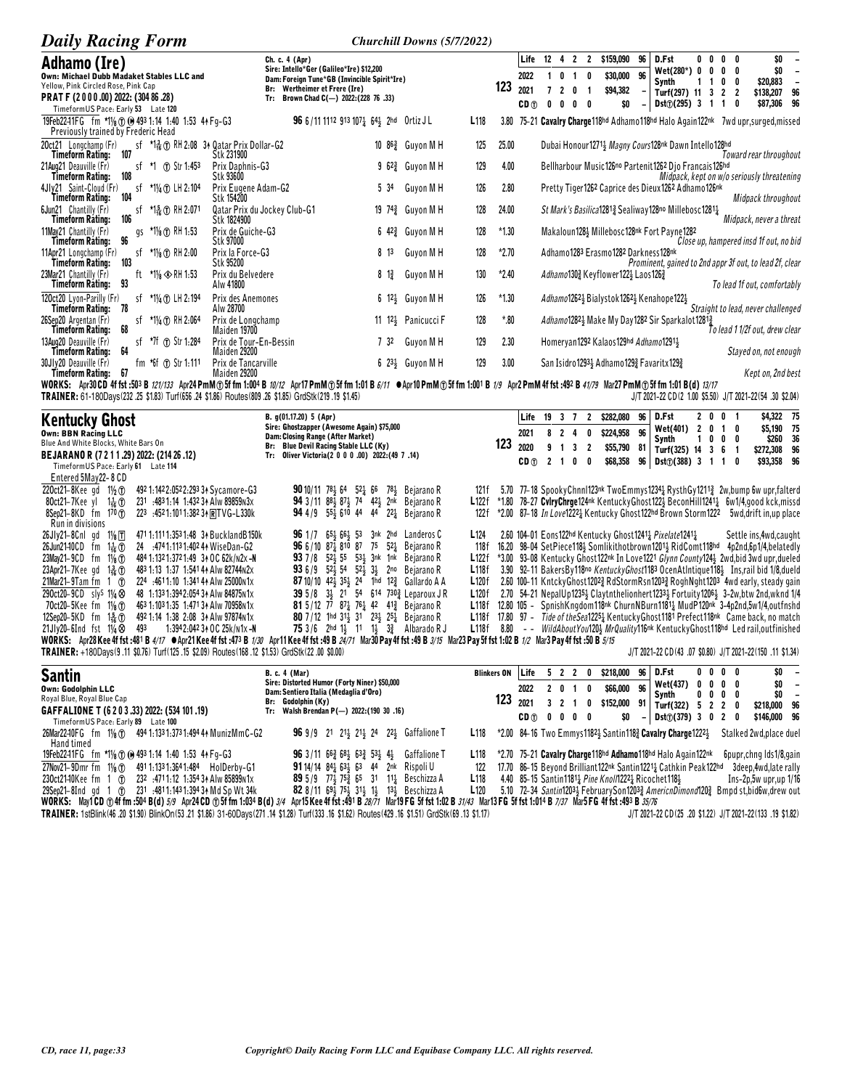| <b>Daily Racing Form</b>                                                                                                                                                     | Churchill Downs (5/7/2022)                                                                                                                                                               |                          |                                                                                                                                                                                                                                                                                                                                                                                                               |
|------------------------------------------------------------------------------------------------------------------------------------------------------------------------------|------------------------------------------------------------------------------------------------------------------------------------------------------------------------------------------|--------------------------|---------------------------------------------------------------------------------------------------------------------------------------------------------------------------------------------------------------------------------------------------------------------------------------------------------------------------------------------------------------------------------------------------------------|
| Adhamo (Ire)<br>Own: Michael Dubb Madaket Stables LLC and<br>Yellow, Pink Circled Rose, Pink Cap<br>PRAT F (2000.00) 2022: (304 86.28)<br>TimeformUS Pace: Early 53 Late 120 | Ch. c. 4 (Apr)<br>Sire: Intello*Ger (Galileo*Ire) \$12,200<br>Dam: Foreign Tune*GB (Invincible Spirit*Ire)<br>Br: Wertheimer et Frere (Ire)<br>Brown Chad C(-) 2022: (228 76 .33)<br>Tr: | 123                      | \$159,090<br>Life<br>12<br>96<br>D.Fst<br>4 2<br>$\overline{2}$<br>0 <sub>0</sub><br>\$O<br>0<br>Wet(280*) 0<br>\$0<br>0<br>0<br>0<br>\$30,000 96<br>2022<br>$\mathbf{0}$<br>0<br>-1<br>\$20,883<br>Synth<br>0<br>2021<br>\$94,382<br>$\overline{2}$<br>$\mathbf{0}$<br>Turf(297) 11<br>\$138,207<br>2<br>96<br>3<br>\$87,306 96<br>Dst $\textcircled{1}(295)$ 3<br>$CD \oplus$<br>\$O<br>n<br>0 <sub>0</sub> |
| 19Feb22-11FG fm *11/8 (f) (a) 493 1:14 1:40 1:53 44 Fg-G3<br>Previously trained by Frederic Head                                                                             | 96 6/11 1112 913 1071 641 2hd Ortiz JL                                                                                                                                                   | L <sub>118</sub><br>3.80 | 75-21 Cavalry Charge118hd Adhamo118hd Halo Again122nk 7wd upr, surged, missed                                                                                                                                                                                                                                                                                                                                 |
| 20ct21 Longchamp (Fr)<br>sf *13 1 RH 2:08 34 Qatar Prix Dollar-G2<br>107<br>Timeform Rating:                                                                                 | 10 86 <sup>3</sup> Guyon M H<br>Stk 231900                                                                                                                                               | 25.00<br>125             | Dubai Honour1271 <sup>1</sup> Magny Cours128 <sup>nk</sup> Dawn Intello128hd<br>Toward rear throughout                                                                                                                                                                                                                                                                                                        |
| *1 ① Str 1:453<br>21Aug21 Deauville (Fr)<br>sf<br>108<br>Timeform Ratino:                                                                                                    | 9 62 <sup>3</sup> Guyon M H<br>Prix Daphnis-G3<br>Stk 93600                                                                                                                              | 129<br>4.00              | Bellharbour Music126no Partenit1262 Djo Francais126hd<br>Midpack, kept on w/o seriously threatening                                                                                                                                                                                                                                                                                                           |
| *1¼ ① LH 2:104<br>4Jly21 Saint-Cloud (Fr)<br>sf<br>104<br>Timeform Rating:                                                                                                   | Guyon M H<br>Prix Eugene Adam-G2<br>5 34<br>Stk 154200                                                                                                                                   | 126<br>2.80              | Pretty Tiger1262 Caprice des Dieux1262 Adhamo126nk<br>Midpack throughout                                                                                                                                                                                                                                                                                                                                      |
| *1흛 ① RH 2:071<br>6Jun21 Chantilly (Fr)<br>st<br>106<br><b>Timeform Rating:</b>                                                                                              | Qatar Prix du Jockey Club-G1<br>19 74 <sup>3</sup> Guyon M H<br>Stk 1824900                                                                                                              | 24.00<br>128             | St Mark's Basilica12813 Sealiway 128no Millebosc12813<br>Midpack, never a threat                                                                                                                                                                                                                                                                                                                              |
| 11Mav21 Chantilly (Fr)<br>gs *1% T RH 1:53<br>96<br>Timeform Rating:                                                                                                         | Prix de Guiche-G3<br>6 $42\frac{3}{4}$ Guyon MH<br>Stk 97000                                                                                                                             | 128<br>$*1.30$           | Makaloun1284 Millebosc128nk Fort Payne1282<br>Close up, hampered insd 1f out, no bid                                                                                                                                                                                                                                                                                                                          |
| *1% ① RH 2:00<br>11Apr21 Longchamp (Fr)<br>sf<br>103<br>Timeform Rating:                                                                                                     | Prix la Force-G3<br>813<br>Guyon M H<br>Stk 95200                                                                                                                                        | 128<br>$*2.70$           | Adhamo1283 Erasmo1282 Darkness128nk<br>Prominent, gained to 2nd appr 3f out, to lead 2f, clear                                                                                                                                                                                                                                                                                                                |
| ft *11/8 $\otimes$ RH 1:53<br>23Mar21 Chantilly (Fr)<br>93<br>Timeform Rating:                                                                                               | Prix du Belvedere<br>Guyon M H<br>$8 \frac{13}{4}$<br>Alw 41800                                                                                                                          | 130<br>$*2.40$           | Adhamo1303 Keyflower1223 Laos1263<br>To lead 1f out, comfortably                                                                                                                                                                                                                                                                                                                                              |
| *11/4 (f) LH 2:194<br>120ct20 Lyon-Parilly (Fr)<br>sf<br>Timeform Rating: 78                                                                                                 | Prix des Anemones<br>$6\;12\frac{1}{2}\;$ Guyon M H<br>Alw 28700                                                                                                                         | $*1.30$<br>126           | Adhamo12623 Bialystok 12623 Kenahope1223<br>Straight to lead, never challenged                                                                                                                                                                                                                                                                                                                                |
| sf $*1\frac{1}{4}$ (f) RH 2:064<br>26Sep20 Argentan (Fr)<br>68<br>Timeform Rating:                                                                                           | 11 12 <sup>1</sup> / <sub>3</sub> Panicucci F<br>Prix de Longchamp<br>Maiden 19700                                                                                                       | 128<br>*.80              | Adhamo12821 Make My Day1282 Sir Sparkalot12813<br>To lead 1 1/2f out, drew clear                                                                                                                                                                                                                                                                                                                              |
| 13Aug20 Deauville (Fr)<br>sf *7f (r) Str 1:284<br>64<br>Timeform Rating:                                                                                                     | 732<br>Prix de Tour-En-Bessin<br>Guyon M H<br>Maiden 29200                                                                                                                               | 129<br>2.30              | Homeryan1292 Kalaos129hd Adhamo12911<br>Stayed on, not enough                                                                                                                                                                                                                                                                                                                                                 |
| fm $*$ 6f $\oplus$ Str 1:111<br>30Jly20 Deauville (Fr)<br>67<br>Timeform Ratinu:                                                                                             | Prix de Tancarville<br>$623\frac{1}{2}$ Guyon M H<br>Maiden 29200                                                                                                                        | 129<br>3.00              | San Isidro 1293 <sup>1</sup> Adhamo 129 <sup>2</sup> Favaritx 129 <sup>2</sup><br>Kept on, 2nd best                                                                                                                                                                                                                                                                                                           |

Timeform Rating: 67<br>WORKS: Apr30CD 4f fst :503 B 121/133 Apr24PmM ① 5f fm 1:004 B 10/12 Apr17PmM ① 5f fm 1:01 B 6/11 ● Apr10PmM ① 5f fm 1:001 B 1/9 Apr2PmM 4f fst :492 B 41/79 Mar27PmM ① 5f fm 1:01 B (d) 13/17<br>WORKS: Apr3 J/T 2021-22 CD(2 1.00 \$5.50) J/T 2021-22(54 .30 \$2.04)

| <b>Kentucky Ghost</b><br><b>Own: BBN Racing LLC</b><br>Blue And White Blocks, White Bars On<br>BEJARANO R (7 2 1 1 .29) 2022: (214 26 .12)<br>TimeformUS Pace: Early 61 Late 114                                                                                                                                                                                                                                                                                                                                        | B. $q(01.17.20)$ 5 (Apr)<br>Sire: Ghostzapper (Awesome Again) \$75,000<br>Dam: Closing Range (After Market)<br>Br: Blue Devil Racing Stable LLC (Ky)<br>Tr: Oliver Victoria(2 0 0 0 .00) 2022: (49 7 .14)                                                                                                                                                                                                                                                  | 123                                                                                                                                                                                                                                                                                                              | Life<br>2021<br>2020<br>CD <sub>(1)</sub> | 19 3 7<br>2 <sub>1</sub> | 8 2 4<br>9 1 3                         | 0 | $\mathbf{2}$<br>0<br>2<br>0 | \$282,080<br>\$224,958<br>\$55,790<br>\$68,358 | 96<br>96<br>81<br>96 | D.Fst<br>Wet(401)<br>Synth<br>Turf(325) 14 3 6 1<br>$Dist()$ (388) 3 1 1                                                                                                                                                                                                                                                                                                                                                                                                           |   | 2 0 0 1<br>2 0 1 0<br>0                             | $0\quad 0$                                       | 0        | \$4,322 75<br>\$5,190 75<br>\$260<br>\$272,308<br>\$93,358 96 | 36<br>96                                                   |
|-------------------------------------------------------------------------------------------------------------------------------------------------------------------------------------------------------------------------------------------------------------------------------------------------------------------------------------------------------------------------------------------------------------------------------------------------------------------------------------------------------------------------|------------------------------------------------------------------------------------------------------------------------------------------------------------------------------------------------------------------------------------------------------------------------------------------------------------------------------------------------------------------------------------------------------------------------------------------------------------|------------------------------------------------------------------------------------------------------------------------------------------------------------------------------------------------------------------------------------------------------------------------------------------------------------------|-------------------------------------------|--------------------------|----------------------------------------|---|-----------------------------|------------------------------------------------|----------------------|------------------------------------------------------------------------------------------------------------------------------------------------------------------------------------------------------------------------------------------------------------------------------------------------------------------------------------------------------------------------------------------------------------------------------------------------------------------------------------|---|-----------------------------------------------------|--------------------------------------------------|----------|---------------------------------------------------------------|------------------------------------------------------------|
| Entered 5May22-8 CD<br>220ct21-8Kee gd $1\frac{1}{2}$ (T)<br>492 1:142 2:052 2:293 34 Sycamore-G3<br>231 :4831:14 1:432 34 Alw 89859 n3x<br>80ct21-7Kee yl 1 $\frac{1}{16}$ ①<br>223 :4521:1011:38234 RTVG-L330k<br>$8$ Sep21-8KD fm 170 $\circ$<br>Run in divisions                                                                                                                                                                                                                                                    | <b>90</b> 10/11 78 64 52 66 78 Bejarano R<br>94 3/11 88 87 74 42 2nk Bejarano R<br><b>94</b> 4/9 55 610 44 44 22 Bejarano R                                                                                                                                                                                                                                                                                                                                | 121 f<br>L122f<br>122 f                                                                                                                                                                                                                                                                                          |                                           |                          |                                        |   |                             |                                                |                      | 5.70 77–18 SpookyChnnI123nk TwoEmmys12341 RysthGy12113 2w,bump 6w upr,falterd<br>*1.80 78-27 CvlryChrge124nk KentuckyGhost1223 BeconHill12413 6w1/4,good kck,missd<br>*2.00 87–18 In Love12221 Kentucky Ghost122hd Brown Storm1222                                                                                                                                                                                                                                                 |   |                                                     |                                                  |          | 5wd, drift in, up place                                       |                                                            |
| 471 1:111 1:353 1:48 34 Buckland B 150k<br>$26Jly21-8Cnl$ gd $1\frac{1}{8}\sqrt{1}$<br>24 :4741:1131:402 44 WiseDan-G2<br>26Jun2140CD fm $1\frac{1}{16}$ (f)<br>23May 21-9CD fm $1\frac{1}{8}$ T<br>484 1:132 1:372 1:49 3+ OC 62k/N2x -N<br>23Apr21-7Kee qd 1 $\frac{3}{16}$ ①<br>483 1:13 1:37 1:541 44 Alw 82744 N2x<br>224 :4611:10 1:341 44 Alw 25000 n1x<br>21Mar21–9Tam fm $1$ (T)<br>290ct20-9CD sly <sup>S</sup> 11/ <sub>4</sub> $\otimes$<br>48 1:133 1:394 2:054 34 Alw 84875 N1x                           | <b>96</b> 1/7 $65\frac{1}{2}$ 6 <sup>61</sup> / <sub>2</sub> 53 3nk 2hd Landeros C<br><b>96</b> 6/10 87 $\frac{1}{4}$ 810 87 75 52 $\frac{1}{4}$ Bejarano R<br><b>93</b> 7/8 $52\frac{1}{2}$ 55 $53\frac{1}{2}$ 3nk 1nk Bejarano R<br><b>93</b> 6/9 52 $\frac{1}{2}$ 54 52 $\frac{1}{2}$ 3 $\frac{1}{2}$ 2no Bejarano R<br><b>87</b> 10/10 42 $\frac{1}{2}$ 35 $\frac{1}{2}$ 24 1hd 12 $\frac{3}{4}$ Gallardo A A<br>39 5/8 34 21 54 614 730 } Leparoux JR | L <sub>124</sub><br>118f<br>L122f<br>L118f<br>L120f<br>L120f                                                                                                                                                                                                                                                     |                                           |                          |                                        |   |                             |                                                |                      | 2.60 104-01 Eons122hd Kentucky Ghost12412 Pixelate12412<br>16.20 98-04 SetPiece118} Somlikithotbrown1201} RidComt118hd<br>*3.00 93-08 Kentucky Ghost122nk In Love1221 Glynn County124} 2wd, bid 3wd upr, dueled<br>3.90 92–11 BakersBy118no KentuckyGhost1183 OcenAtIntique118} Ins,rail bid 1/8,dueld<br>2.60 100-11 KntckyGhost12023 RdStormRsn12033 RoghNght1203 4wd early, steady gain<br>2.70 54-21 NepalUp12354 Claytnthelionhert12334 Fortuity12064 3-2w, btw 2nd, wknd 1/4 |   |                                                     |                                                  |          | Settle ins, 4wd, caught<br>4p2nd,6p1/4,belatedly              |                                                            |
| 463 1:103 1:35 1:471 34 Alw 70958 N1x<br>70ct20-5Kee fm 11/ <sub>8</sub> (T)<br>12Sep20-5KD fm 1 $\frac{5}{6}$ (T)<br>492 1:14 1:38 2:08 34 Alw 97874 N1x<br>1:3942:042 34 OC 25k/n1x-N<br>21Jly20-6Ind fst $1\frac{1}{4}$<br>493<br>WORKS: Apr28 Kee 4f fst :481 B 4/17 •Apr21 Kee 4f fst :473 B 1/30 Apr11 Kee 4f fst :49 B 24/71 Mar30 Pay 4f fst :49 B 3/15 Mar23 Pay 5f fst 1:02 B 1/2 Mar3 Pay 4f fst :50 B 5/15<br>TRAINER: +180Days(9.11 \$0.76) Turf(125.15 \$2.09) Routes(168.12 \$1.53) GrdStk(22.00 \$0.00) | <b>81</b> 5/12 77 87 $\frac{1}{4}$ 76 $\frac{1}{4}$ 42 41 $\frac{3}{4}$ Bejarano R<br><b>80</b> 7/12 1hd 311 31 231 251 Bejarano R<br><b>75</b> $3/6$ 2hd 1, 11 1, $3\frac{3}{4}$ Albarado R J                                                                                                                                                                                                                                                             | L118f 12.80 105 - SpnishKngdom118nk ChurnNBurn11811 MudP120nk 3-4p2nd,5w1/4,outfnshd<br>L118f 17.80 97 - Tide of the Sea12254 Kentucky Ghost 1181 Prefect 118 <sup>nk</sup> Came back, no match<br>L118f 8.80 -- WildAboutYou120} MrQuality116 <sup>nk</sup> KentuckyGhost118 <sup>hd</sup> Led rail,outfinished |                                           |                          |                                        |   |                             |                                                |                      | J/T 2021-22 CD(43 .07 \$0.80) J/T 2021-22(150 .11 \$1.34)                                                                                                                                                                                                                                                                                                                                                                                                                          |   |                                                     |                                                  |          |                                                               |                                                            |
| <b>Santin</b><br>Own: Godolphin LLC<br>Royal Blue, Royal Blue Cap<br>GAFFALIONE T (6 2 0 3 .33) 2022: (534 101 .19)                                                                                                                                                                                                                                                                                                                                                                                                     | <b>B. c. 4 (Mar)</b><br>Sire: Distorted Humor (Forty Niner) \$50,000<br>Dam: Sentiero Italia (Medaglia d'Oro)<br>Br: Godolphin (Kv)<br>Tr: Walsh Brendan P(-) 2022: (190 30 .16)                                                                                                                                                                                                                                                                           | <b>Blinkers ON</b><br>123                                                                                                                                                                                                                                                                                        | Life<br>2022<br>2021<br>CD ∩              | nnnn                     | 5 <sub>2</sub><br>2 0 1<br>$3 \t2 \t1$ | 2 | 0<br>0<br>0                 | \$218,000<br>\$66,000<br>\$152,000<br>¢∩       | 96<br>96<br>91       | D.Fst<br><b>Wet(437)</b><br>Synth<br>Turf(322)<br>$n+2701$ 2 0 2                                                                                                                                                                                                                                                                                                                                                                                                                   | 0 | 0 <sub>0</sub><br>$0\quad 0$<br>0<br>5 <sub>2</sub> | $0\quad 0$<br>$0\quad 0$<br>00<br>$\overline{2}$ | - 0<br>n | \$0<br>\$0<br>\$0<br>\$218,000<br><b>C146 DOD OC</b>          | $\overline{\phantom{a}}$<br>$\overline{\phantom{a}}$<br>96 |

| Timeform US Pace: Early 89 Late 100                                                          |                                                                                                            | $CD \quad 0 \quad 0 \quad 0 \quad 0$ $D \quad 0$ $D \quad 0$ $D \quad 0$ $D \quad 0$ $D \quad 0$ $D \quad 0$ $D \quad 0$ $D \quad 0$ $D \quad 0$ |
|----------------------------------------------------------------------------------------------|------------------------------------------------------------------------------------------------------------|--------------------------------------------------------------------------------------------------------------------------------------------------|
| 26Mar2240FG fm 11/8 (f) 494 1:133 1:373 1:494 44 MunizMmC-G2                                 | <b>96</b> 9/9 21 21 21 21 24 22 Gaffalione T                                                               | L118 *2.00 84-16 Two Emmys11824 Santin1182 Cavalry Charge12224 Stalked 2wd.place duel                                                            |
| Hand timed                                                                                   |                                                                                                            |                                                                                                                                                  |
| 19Feb22-11FG fm *11/ <sub>8</sub> (T) (0 493 1:14 1:40 1:53 4 AFq-G3                         | <b>96</b> 3/11 $66\frac{3}{4}$ $68\frac{1}{2}$ $63\frac{3}{4}$ $53\frac{1}{2}$ $4\frac{1}{2}$ Gaffalione T | L118 *2.70 75-21 Cavalry Charge 118hd Adhamo 118hd Halo Again 122nk<br>6pupr, chng Ids 1/8, gain                                                 |
| 27Nov21-9Dmr fm 11/8 (T) 491 1:133 1:364 1:484 HolDerby-G1                                   | <b>91</b> 14/14 84 $^{1}_{2}$ 63 53 44 2nk Rispoli U                                                       | 122 17.70 86-15 Beyond Brilliant 122nk Santin 1221 & Cathkin Peak 122hd<br>3deep,4wd,late rally                                                  |
| 230ct2140Kee fm 1 (f) 232 :4711:12 1:35434 Alw 85899 n1x                                     | <b>89</b> 5/9 77 375 65 31 11 Beschizza A                                                                  | <b>L118</b> 4.40 85-15 Santin1181 <sub>4</sub> Pine Knol/1222 <sub>4</sub> Ricochet1184<br>Ins-2p,5w upr,up 1/16                                 |
| 29Sep21-8Ind qd 1 (n) 231 :4811:1431:3943 + Md Sp Wt 34k                                     | <b>82</b> 8/11 694 754 314 14 134 Beschizza A                                                              | 5.10 72–34 <i>Santin</i> 1203½ FebruarySon1203½ <i>AmericnDimond</i> 120½ Bmpd st,bid6w,drew out<br>L120                                         |
| <b>WORKS:</b> May1CD $\oplus$ 4f fm :504 B(d) $5/9$ Apr24 CD $\oplus$ 5f fm 1:034 B(d) $3/4$ |                                                                                                            | Apr15 Kee 4f fst :491 B 28/71 Mar19 FG 5f fst 1:02 B 31/43 Mar13 FG 5f fst 1:014 B 7/37 Mar5 FG 4f fst :493 B 35/76                              |

TRAINER: 1stBlink(46.20 \$1.90) BlinkOn(53.21 \$1.86) 31-60Days(271.14 \$1.28) Turf(333.16 \$1.62) Routes(429.16 \$1.51) GrdStk(69.13 \$1.17)

J/T 2021-22 CD(25 .20 \$1.22) J/T 2021-22(133 .19 \$1.82)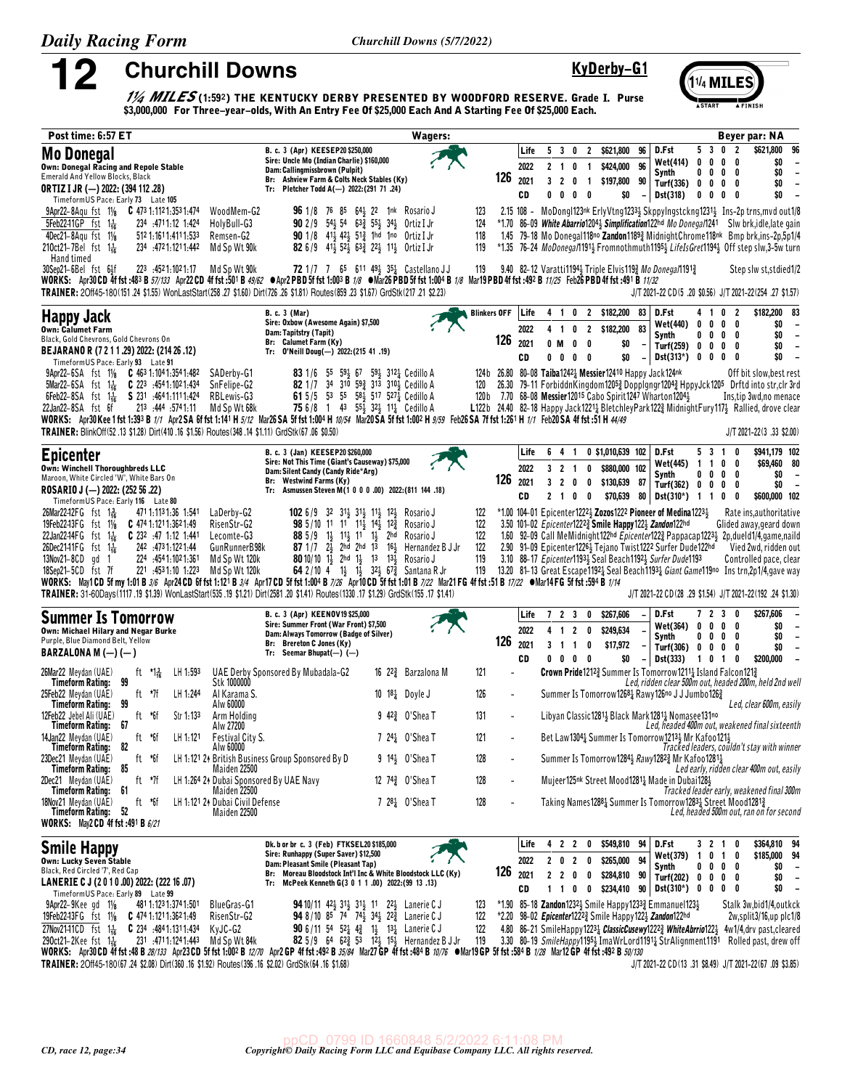12

**Churchill Downs** 

# KyDerby-G1

(1¼ MILE

 $\frac{1}{4}$  MILES (1:592) THE KENTUCKY DERBY PRESENTED BY WOODFORD RESERVE. Grade I. Purse \$3,000,000 For Three-year-olds, With An Entry Fee Of \$25,000 Each And A Starting Fee Of \$25,000 Each.

| Post time: 6:57 ET                                                                                                                                                                                                                                                                                                                                                                                                                                                                                                                                                                                                                                                                                                                                          |                                                                                                                                                                                                                                                                                                                                                                                                                       | <b>Wagers:</b>                         |                                                                                                                                                                              | Beyer par: NA                                                                                                                                                                                                                                                                                                                                                                                                                                                                                                                                    |
|-------------------------------------------------------------------------------------------------------------------------------------------------------------------------------------------------------------------------------------------------------------------------------------------------------------------------------------------------------------------------------------------------------------------------------------------------------------------------------------------------------------------------------------------------------------------------------------------------------------------------------------------------------------------------------------------------------------------------------------------------------------|-----------------------------------------------------------------------------------------------------------------------------------------------------------------------------------------------------------------------------------------------------------------------------------------------------------------------------------------------------------------------------------------------------------------------|----------------------------------------|------------------------------------------------------------------------------------------------------------------------------------------------------------------------------|--------------------------------------------------------------------------------------------------------------------------------------------------------------------------------------------------------------------------------------------------------------------------------------------------------------------------------------------------------------------------------------------------------------------------------------------------------------------------------------------------------------------------------------------------|
| <b>Mo Donegal</b><br><b>Own: Donegal Racing and Repole Stable</b><br><b>Emerald And Yellow Blocks, Black</b>                                                                                                                                                                                                                                                                                                                                                                                                                                                                                                                                                                                                                                                | B. c. 3 (Apr) KEESEP20 \$250,000<br>Sire: Uncle Mo (Indian Charlie) \$160,000<br>Dam: Callingmissbrown (Pulpit)<br>Br: Ashview Farm & Colts Neck Stables (Ky)                                                                                                                                                                                                                                                         | 126                                    | Life<br>53<br>2 \$621,800<br>0<br>2022<br>2 <sub>1</sub><br>0<br>$\mathbf{1}$<br>2021<br>3 <sub>2</sub><br>0<br>$\overline{1}$                                               | 5 3 0 2<br>\$621,800<br>96<br>D.Fst<br>96<br>0<br>\$0<br><b>Wet(414)</b><br>$0\quad 0$<br>0<br>96<br>\$424,000<br>\$0<br>Synth<br>0<br>$0\quad 0\quad 0$<br>$\overline{\phantom{a}}$<br>\$197,800<br>90<br>\$0<br>$\overline{\phantom{a}}$<br>Turf(336) 0 0 0 0                                                                                                                                                                                                                                                                                  |
| ORTIZ I JR (-) 2022: (394 112 .28)<br>TimeformUS Pace: Early 73 Late 105<br>9Apr22-8Aqu fst 11/8 C 473 1:112 1:353 1:474<br>WoodMem-G2<br>5Feb2241GP fst 1 <sup>1</sup> <sub>6</sub><br>HolyBull-G3<br>234 .4711.12 1.424                                                                                                                                                                                                                                                                                                                                                                                                                                                                                                                                   | Tr: Pletcher Todd A(-) 2022:(291 71 .24)<br><b>96</b> 1/8 76 85 64 <sup>2</sup> / <sub>2</sub> 22 1nk Rosario J<br>90 2/9 54} 54 63} 55} 34} Ortiz I Jr                                                                                                                                                                                                                                                               | 123<br>124                             | CD<br>0<br>0<br>0<br>0                                                                                                                                                       | $\overline{a}$<br>\$0<br>Dst(318)<br>\$0<br>$0\quad 0\quad 0\quad 0$<br>$\overline{\phantom{a}}$<br>2.15 108 - MoDongI123nk ErlyVtng12331 SkppyIngstckng12311 Ins-2p trns, mvd out1/8<br>*1.70 86-09 White Abarrio12043 Simplification122hd Mo Donegal1241 Slw brk, idle, late gain                                                                                                                                                                                                                                                              |
| 4Dec21-8Agu fst 11/8<br>512 1:161 1:411 1:533<br>Remsen-G2<br>210ct21-7Bel fst 1 <sup>1</sup><br>Md Sp Wt 90k<br>234 .4721.1211.442<br>Hand timed<br>223 :4521:1021:17<br>Md Sp Wt 90k                                                                                                                                                                                                                                                                                                                                                                                                                                                                                                                                                                      | 90 1/8 413 423 513 1hd 1no Ortiz I Jr<br>82 6/9 41 <sup>1</sup> / <sub>2</sub> 52 <sup>1</sup> / <sub>2</sub> 63 <sup>2</sup> / <sub>3</sub> 22 <sup>1</sup> / <sub>2</sub> 0rtiz I Jr<br>72 1/7 7 65 611 491 351 Castellano JJ                                                                                                                                                                                       | 118<br>119<br>119                      | 9.40 82-12 Varatti11943 Triple Elvis1193 Mo Donega/11913                                                                                                                     | 1.45 79-18 Mo Donegal118no Zandon11893 MidnightChrome118nk Bmp brk,ins-2p,5p1/4<br>*1.35 76-24 MoDonega/1191 <sub>2</sub> Fromnothmuth1195 <sub>2</sub> LifeIsGret1194 <sub>2</sub> Off step slw,3-5w turn                                                                                                                                                                                                                                                                                                                                       |
| 30Sep21-6Bel fst 6 <sup>1</sup><br>WORKS: Apr30 CD 4f fst :483 B 57/133 Apr22 CD 4f fst :501 B 49/62 ●Apr2 PBD 5f fst 1:003 B 1/8 ●Mar26 PBD 5f fst 1:004 B 1/8 Mar19 PBD 4f fst :492 B 11/25 Feb26 PBD 4f fst :491 B 11/32<br>TRAINER: 20ff45-180(151.24 \$1.55) WonLastStart(258.27 \$1.60) Dirt(726.26 \$1.81) Routes(859.23 \$1.67) GrdStk(217.21 \$2.23)                                                                                                                                                                                                                                                                                                                                                                                               |                                                                                                                                                                                                                                                                                                                                                                                                                       |                                        |                                                                                                                                                                              | Step slw st, stdied 1/2<br>J/T 2021-22 CD(5 .20 \$0.56) J/T 2021-22(254 .27 \$1.57)                                                                                                                                                                                                                                                                                                                                                                                                                                                              |
| <b>Happy Jack</b><br><b>Own: Calumet Farm</b><br>Black, Gold Chevrons, Gold Chevrons On<br>BEJARANO R (7 2 1 1 .29) 2022: (214 26 .12)                                                                                                                                                                                                                                                                                                                                                                                                                                                                                                                                                                                                                      | <b>B. c. 3 (Mar)</b><br>Sire: Oxbow (Awesome Again) \$7,500<br>Dam: Tapitstry (Tapit)<br>Br: Calumet Farm (Ky)<br>Tr: 0'Neill Doug(-) 2022: (215 41 .19)                                                                                                                                                                                                                                                              | <b>Blinkers OFF</b><br>126             | 2 \$182,200<br>Life<br>0<br>41<br>2022<br>$\mathbf{2}$<br>$\overline{1}$<br>0<br>2021<br>$\pmb{0}$<br>0 M<br>0<br>CD<br>0<br>0<br>0<br>0                                     | \$182,200 83<br>83<br>D.Fst<br>0 <sub>2</sub><br>41<br>\$0<br>Wet(440)<br>0<br>$0\quad 0$<br>- 0<br>$\overline{\phantom{a}}$<br>83<br>\$182,200<br>0<br>\$0<br>$\overline{\phantom{a}}$<br>Synth<br>$0\quad 0\quad 0$<br>\$0<br>\$0<br>Turf(259) 0 0 0 0<br>$\overline{a}$<br>\$0<br>$Dist(313*)$ 0 0 0<br>\$0<br>$\overline{\phantom{a}}$<br>0<br>$\overline{\phantom{a}}$                                                                                                                                                                      |
| TimeformUS Pace: Early 93 Late 91<br>9Apr22-6SA fst 11/8 C 463 1:104 1:354 1:482<br>SADerby-G1<br>5Mar22-6SA fst 1 <sup>1</sup> / <sub>16</sub> C 223 :4541:1021:434<br>SnFelipe-G2<br>\$231.4641.1111.424<br>RBLewis-G3<br>$6Feb22-8SA$ fst $1\frac{1}{16}$<br>213 :444 :5741:11<br>Md Sp Wt 68k<br>22Jan22-8SA fst 6f<br>WORKS: Apr30 Kee 1 fst 1:393 B 1/1 Apr2 SA 6f fst 1:141 H 5/12 Mar26 SA 5f fst 1:004 H 10/54 Mar20 SA 5f fst 1:002 H 9/59 Feb26 SA 7f fst 1:261 H 1/1 Feb20 SA 4f fst :51 H 4/49                                                                                                                                                                                                                                                 | 83 1/6<br>55<br>59½ 67 59½ 312½ Cedillo A<br>82 1/7 34 310 593 313 3104 Cedillo A<br>61 5/5 53 55 58 4517 527 $\frac{1}{4}$ Cedillo A<br><b>75</b> 6/8 1 43 55 $\frac{1}{2}$ 32 $\frac{1}{2}$ 11 $\frac{1}{4}$ Cedillo A                                                                                                                                                                                              | 120                                    | 124b 26.80 80-08 Taiba12421 Messier12410 Happy Jack124nk<br>120b 7.70 68-08 Messier12015 Cabo Spirit1247 Wharton12041                                                        | Off bit slow, best rest<br>26.30 79-11 ForbiddnKingdom12053 Dopplgngr12043 HppyJck1205 Drftd into str,clr 3rd<br>Ins, tip 3wd, no menace<br>L122b 24.40 82-18 Happy Jack1221 <sub>4</sub> BletchleyPark122 <sub>4</sub> MidnightFury117 <sub>2</sub> Rallied, drove clear                                                                                                                                                                                                                                                                        |
| TRAINER: BlinkOff(52 .13 \$1.28) Dirt(410 .16 \$1.56) Routes(348 .14 \$1.11) GrdStk(67 .06 \$0.50)<br><b>Epicenter</b>                                                                                                                                                                                                                                                                                                                                                                                                                                                                                                                                                                                                                                      | B. c. 3 (Jan) KEESEP20 \$260,000                                                                                                                                                                                                                                                                                                                                                                                      |                                        | Life<br>6<br>-4                                                                                                                                                              | J/T 2021-22(3 .33 \$2.00)<br>D.Fst<br>531<br>\$941,179 102<br>0 \$1,010,639 102<br>- 0                                                                                                                                                                                                                                                                                                                                                                                                                                                           |
| Own: Winchell Thoroughbreds LLC<br>Maroon, White Circled 'W', White Bars On<br>ROSARIO J (-) 2022: (252 56 .22)<br>TimeformUS Pace: Early 116 Late 80                                                                                                                                                                                                                                                                                                                                                                                                                                                                                                                                                                                                       | Sire: Not This Time (Giant's Causeway) \$75,000<br>Dam: Silent Candy (Candy Ride*Arg)<br>Br: Westwind Farms (Ky)<br>Tr: Asmussen Steven M(1 0 0 0 .00) 2022: (811 144 .18)                                                                                                                                                                                                                                            | 126                                    | 2022<br>$3 \t2 \t1$<br>0<br>2021<br>3<br>$\overline{2}$<br>0<br>0<br>CD<br>$2 \quad 1 \quad 0$<br>0                                                                          | Wet(445) 1 1 0 0<br>\$69,460 80<br>\$880,000 102<br>\$0<br>Synth<br>$0\ 0\ 0\ 0$<br>$\overline{\phantom{a}}$<br>\$130,639<br>87<br>\$0<br>Turf(362) 0<br>$0\quad 0\quad 0$<br>$\overline{\phantom{a}}$<br>\$70,639<br>\$600,000 102<br>80 Dst(310*) 1 1<br>0<br>0                                                                                                                                                                                                                                                                                |
| 26Mar22-12FG fst 1 용<br>471 1:113 1:36 1:541<br>LaDerby-G2<br>$C$ 474 1:121 1:362 1:49<br>19Feb22-13FG fst 11/8<br>RisenStr-G2<br>22Jan22-14FG $f$ st $1\frac{1}{16}$<br><b>C</b> 232 $:47$ 1:12 1:441<br>Lecomte-G3<br>26Dec21-11FG fst 1 <sup>1</sup> / <sub>16</sub><br>242 .4731.1221.44<br>GunRunnerB98k<br>13Nov21-8CD gd 1<br>224 :4541:1021:361<br>Md Sp Wt 120k<br>18Sep21-5CD fst 7f<br>221 4531.10 1.223<br>Md Sp Wt 120k<br>WORKS: May1CD 5f my 1:01 B 3/6 Apr24CD 6f fst 1:121 B 3/4 Apr17CD 5f fst 1:004 B 7/26 Apr10CD 5f fst 1:01 B 7/22 Mar21 FG 4f fst :51 B 17/22 • Mar14 FG 5f fst :594 B 1/14<br>TRAINER: 31-60Days(1117 .19 \$1.39) WonLastStart(535 .19 \$1.21) Dirt(2581 .20 \$1.41) Routes(1330 .17 \$1.29) GrdStk(155 .17 \$1.41) | <b>102</b> 6/9 32 31 31 11 12 Rosario J<br>98 5/10 11 11 11 14 14 12 3<br>Rosario J<br><b>88</b> 5/9 1 <sup>1</sup> / <sub>2</sub> 1 <sup>1</sup> / <sub>2</sub> 11 1 <sup>1</sup> / <sub>2</sub> 2 <sup>hd</sup> Rosario J<br>87 1/7 $2\frac{1}{2}$ 2hd 2hd 1 <sup>3</sup> 16 <sup>1</sup> / <sub>2</sub> Hernandez B J Jr<br>80 10/10 1} 2hd 1} 13 13 Rosario J<br>64 2/10 4 14 14 324 67 <sup>3</sup> Santana R Jr | 122<br>122<br>122<br>122<br>119<br>119 | 3.50 101-02 Epicenter12223 Smile Happy1221 Zandon122hd                                                                                                                       | *1.00 104-01 Epicenter12223 Zozos1222 Pioneer of Medina12233<br>Rate ins, authoritative<br>Glided away, geard down<br>1.60 92-09 Call MeMidnight122hd Epicenter1223 Pappacap12231 2p, dueld1/4, game, naild<br>2.90 91-09 Epicenter12263 Tejano Twist1222 Surfer Dude122hd<br>Vied 2wd, ridden out<br>3.10 88-17 Epicenter11933 Seal Beach11923 Surfer Dude1193<br>Controlled pace, clear<br>13.20 81-13 Great Escape11921 Seal Beach11931 Giant Game119no Ins trn, 2p1/4, gave way<br>J/T 2021-22 CD(28 .29 \$1.54) J/T 2021-22(192 .24 \$1.30) |
| <b>Summer Is Tomorrow</b><br>Own: Michael Hilary and Negar Burke<br>Purple, Blue Diamond Belt, Yellow<br>BARZALONA M $(-)$ $(-)$                                                                                                                                                                                                                                                                                                                                                                                                                                                                                                                                                                                                                            | B. c. 3 (Apr) KEENOV19 \$25,000<br>Sire: Summer Front (War Front) \$7,500<br>Dam: Always Tomorrow (Badge of Silver)<br>Br: Brereton C Jones (Ky)<br>$Tr:$ Seemar Bhupat(-) (-)                                                                                                                                                                                                                                        | 126                                    | Life<br>7 2 3<br>0<br>2022<br>$\overline{2}$<br>4<br>$\overline{1}$<br>0<br>2021<br>3<br>$\overline{1}$<br>$\mathbf{1}$<br>0<br>CD<br>$\mathbf{0}$<br>$\mathbf{0}$<br>0<br>0 | \$267,606<br>\$267,606<br>D.Fst<br>7230<br>Wet(364)<br>0<br>$0\quad 0$<br>\$0<br>- 0<br>\$249,634<br>\$0<br>Synth<br>$0\ 0\ 0\ 0$<br>$\overline{\phantom{a}}$<br>\$17,972<br>\$0<br>$\overline{\phantom{a}}$<br>Turf(306) 0 0 0<br>0<br>\$200,000<br>\$0<br>Dst(333)<br>101<br>0<br>$\overline{\phantom{a}}$                                                                                                                                                                                                                                     |
| 26Mar22 Meydan (UAE)<br>ft $*1\frac{3}{16}$<br>LH 1:593<br>Stk 1000000<br><b>Timeform Rating:</b><br>99                                                                                                                                                                                                                                                                                                                                                                                                                                                                                                                                                                                                                                                     | UAE Derby Sponsored By Mubadala-G2<br>16 22 <sup>3</sup> Barzalona M                                                                                                                                                                                                                                                                                                                                                  | 121<br>÷,                              |                                                                                                                                                                              | Crown Pride12123 Summer Is Tomorrow12111 Island Falcon1213<br>Led, ridden clear 500m out, headed 200m, held 2nd wel.                                                                                                                                                                                                                                                                                                                                                                                                                             |
| 25Feb22 Meydan (UAE)<br>ft *7f<br>LH 1:244<br>Al Karama S.<br>99<br>Alw 60000<br>Timeform Rating:                                                                                                                                                                                                                                                                                                                                                                                                                                                                                                                                                                                                                                                           | 10 $18\frac{1}{4}$ Doyle J                                                                                                                                                                                                                                                                                                                                                                                            | 126                                    |                                                                                                                                                                              | Summer Is Tomorrow 12681 Rawy 126no J J Jumbo 1263<br>Led, clear 600m, easily                                                                                                                                                                                                                                                                                                                                                                                                                                                                    |
| ft *6f<br>12Feb22 Jebel Ali (UAE)<br>Str 1:133<br>Arm Holding<br>67<br>Timeform Rating:<br>Alw 27200                                                                                                                                                                                                                                                                                                                                                                                                                                                                                                                                                                                                                                                        | 9 42 <sup>3</sup> 0'Shea T                                                                                                                                                                                                                                                                                                                                                                                            | 131                                    |                                                                                                                                                                              | Libyan Classic1281 <sup>1</sup> Black Mark1281 <sup>1</sup> Nomasee131no<br>Led, headed 400m out, weakened final sixteenth                                                                                                                                                                                                                                                                                                                                                                                                                       |
| ft *6f<br>LH 1:121<br>14Jan22 Meydan (UAE)<br>Festival City S.<br>82<br>Alw 60000<br><b>Timeform Rating:</b>                                                                                                                                                                                                                                                                                                                                                                                                                                                                                                                                                                                                                                                | 7 241 0'Shea T                                                                                                                                                                                                                                                                                                                                                                                                        | 121                                    |                                                                                                                                                                              | Bet Law13044 Summer Is Tomorrow12134 Mr Kafoo1214<br>Tracked leaders, couldn't stay with winner                                                                                                                                                                                                                                                                                                                                                                                                                                                  |
| 23Dec21 Meydan (UAE)<br>ft *6f<br>85<br>Maiden 22500<br>Timeform Rating:                                                                                                                                                                                                                                                                                                                                                                                                                                                                                                                                                                                                                                                                                    | LH 1:121 24 British Business Group Sponsored By D<br>9 14 0'Shea T                                                                                                                                                                                                                                                                                                                                                    | 128                                    |                                                                                                                                                                              | Summer Is Tomorrow12843 Rawy12823 Mr Kafoo12811<br>Led early, ridden clear 400m out, easily                                                                                                                                                                                                                                                                                                                                                                                                                                                      |
| ft *7f<br>LH 1:264 24 Dubai Sponsored By UAE Navy<br>2Dec21 Meydan (UAE)<br>Maiden 22500<br>61<br>Timeform Rating:                                                                                                                                                                                                                                                                                                                                                                                                                                                                                                                                                                                                                                          | 12 74 <sup>3</sup> 0'Shea T                                                                                                                                                                                                                                                                                                                                                                                           | 128                                    |                                                                                                                                                                              | Mujeer125nk Street Mood12811 Made in Dubai1281<br>Tracked leader early, weakened final 300m                                                                                                                                                                                                                                                                                                                                                                                                                                                      |
| ft *6f<br>LH 1:121 24 Dubai Civil Defense<br>18Nov21 Meydan (UAE)<br>-52<br>Timeform Rating:<br>Maiden 22500<br><b>WORKS:</b> May2 CD 4f fst :491 B $6/21$                                                                                                                                                                                                                                                                                                                                                                                                                                                                                                                                                                                                  | 7 281 0'Shea T                                                                                                                                                                                                                                                                                                                                                                                                        | 128                                    |                                                                                                                                                                              | Taking Names12881 Summer Is Tomorrow12831 Street Mood12813<br>Led, headed 500m out, ran on for second                                                                                                                                                                                                                                                                                                                                                                                                                                            |
| <b>Smile Happy</b><br><b>Own: Lucky Seven Stable</b><br>Black, Red Circled '7', Red Cap<br>LANERIE C J (2010.00) 2022: (222 16.07)                                                                                                                                                                                                                                                                                                                                                                                                                                                                                                                                                                                                                          | Dk. b or br c. 3 (Feb) FTKSEL20 \$185,000<br>Sire: Runhappy (Super Saver) \$12,500<br>Dam: Pleasant Smile (Pleasant Tap)<br>Br: Moreau Bloodstock Int'l Inc & White Bloodstock LLC (Ky)<br>Tr: McPeek Kenneth G(3 0 1 1 .00) 2022: (99 13 .13)                                                                                                                                                                        | 126                                    | 422<br>Life<br>$\mathbf{0}$<br>2022<br>$2 \t0 \t2$<br>0<br>2021<br>$\mathbf{2}$<br>2 <sub>0</sub><br>0<br>CD<br>0<br>$\mathbf{1}$<br>$\overline{\mathbf{1}}$                 | \$549,810 94<br>3 2 1 0<br>D.Fst<br>\$364,810 94<br>\$185,000 94<br>Wet(379) 1 0 1 0<br>\$265,000<br>94<br>$0\ 0\ 0\ 0$<br>\$0<br>Synth<br>$\overline{a}$<br>\$284,810 90<br>\$0<br>Turf(202) 0 0 0 0<br>$\overline{\phantom{a}}$<br>$\overline{\phantom{a}}$<br>0 \$234,410 90<br>$Dist(310^*)$ 0 0 0 0<br>\$0                                                                                                                                                                                                                                  |
| TimeformUS Pace: Early 89 Late 99<br>$9$ Apr22- $9$ Kee qd $1\frac{1}{8}$<br>481 1:123 1:374 1:501<br>BlueGras-G1<br>19Feb22-13FG fst 11/8<br>$C$ 474 1:121 1:362 1:49<br>RisenStr-G2<br>27Nov2141CD fst $1\frac{1}{16}$<br>$C$ 234 :4841:1311:434<br>KyJC-G2<br>231 :4711:1241:443<br>Md Sp Wt 84k<br>290ct21-2Kee fst $1\frac{1}{16}$                                                                                                                                                                                                                                                                                                                                                                                                                     | <b>94</b> 10/11 42 <sup>1</sup> / <sub>3</sub> 31 <sup>1</sup> / <sub>3</sub> 11 22 <sup>1</sup> / <sub>3</sub> Lanerie C J<br>94 8/10 85 74 74 34 22 22 Lanerie C J<br>90 6/11 54 521 42 11 131 Lanerie CJ<br>82 5/9 64 62 <sup>3</sup> 53 12 <sup>1</sup> 15 <sup>1</sup> Hernandez B J Jr                                                                                                                          | 123<br>122<br>122<br>119               | *2.20 98-02 <i>Epicenter</i> 1222 <sup>3</sup> Smile Happy122 <sup>1</sup> Zandon122hd                                                                                       | *1.90 85-18 Zandon12321 Smile Happy12332 Emmanuel1231<br>Stalk 3w,bid1/4,outkck<br>2w,split3/16,up plc1/8<br>4.80 86-21 SmileHappy12231 ClassicCusewy12223 WhiteAbrrio1223 4w1/4,drv past,cleared<br>3.30 80-19 SmileHappy11951 ImaWrLord11911 StrAlignment1191<br>Rolled past, drew off                                                                                                                                                                                                                                                         |
| WORKS: Apr30CD 4f fst:48 B 28/133 Apr23CD 5f fst 1:002 B 12/70 Apr2 GP 4f fst:492 B 35/84 Mar27 GP 4f fst:484 B 10/76 WMar19 GP 5f fst:584 B 1/28 Mar12 GP 4f fst:492 B 50/130<br>TRAINER: 20ff45-180(67.24 \$2.08) Dirt(360.16 \$1.92) Routes(396.16 \$2.02) GrdStk(64.16 \$1.68)                                                                                                                                                                                                                                                                                                                                                                                                                                                                          |                                                                                                                                                                                                                                                                                                                                                                                                                       |                                        |                                                                                                                                                                              | J/T 2021-22 CD (13 .31 \$8.49) J/T 2021-22 (67 .09 \$3.85)                                                                                                                                                                                                                                                                                                                                                                                                                                                                                       |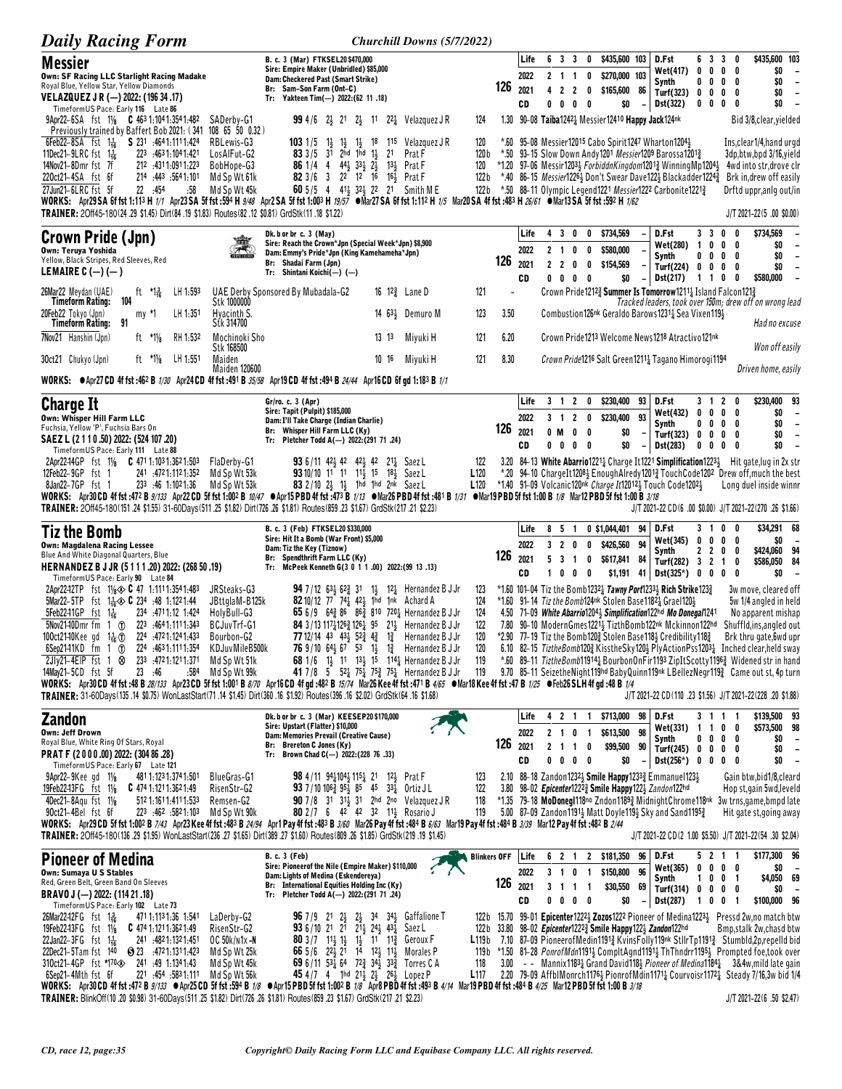| <b>Daily Racing Form</b>                                                                                                                                                                                                                                                                                                                                                                                                                                                                                                                                                                                                                                                                                                                                      |                                                                                                                                                                                                                                                                                                                                                                                    | Churchill Downs (5/7/2022)                                                                                                                                                                                                                                                                                                                                                                                                                                                                                                                                                                    |                                                              |                                                                                           |                                                                                                                                                                                                                                                                   |                                                                                                                                                                                                |                                                                                                                                                                                                                                                                                                                                                                                                                                                                                                                                                                  |
|---------------------------------------------------------------------------------------------------------------------------------------------------------------------------------------------------------------------------------------------------------------------------------------------------------------------------------------------------------------------------------------------------------------------------------------------------------------------------------------------------------------------------------------------------------------------------------------------------------------------------------------------------------------------------------------------------------------------------------------------------------------|------------------------------------------------------------------------------------------------------------------------------------------------------------------------------------------------------------------------------------------------------------------------------------------------------------------------------------------------------------------------------------|-----------------------------------------------------------------------------------------------------------------------------------------------------------------------------------------------------------------------------------------------------------------------------------------------------------------------------------------------------------------------------------------------------------------------------------------------------------------------------------------------------------------------------------------------------------------------------------------------|--------------------------------------------------------------|-------------------------------------------------------------------------------------------|-------------------------------------------------------------------------------------------------------------------------------------------------------------------------------------------------------------------------------------------------------------------|------------------------------------------------------------------------------------------------------------------------------------------------------------------------------------------------|------------------------------------------------------------------------------------------------------------------------------------------------------------------------------------------------------------------------------------------------------------------------------------------------------------------------------------------------------------------------------------------------------------------------------------------------------------------------------------------------------------------------------------------------------------------|
| <b>Messier</b><br>Own: SF Racing LLC Starlight Racing Madake<br>Royal Blue, Yellow Star, Yellow Diamonds<br>VELAZQUEZ J R (—) 2022: (196 34 .17)<br>TimeformUS Pace: Early 116 Late 86                                                                                                                                                                                                                                                                                                                                                                                                                                                                                                                                                                        | B. c. 3 (Mar) FTKSEL20 \$470,000<br>Sire: Empire Maker (Unbridled) \$85,000<br>Dam: Checkered Past (Smart Strike)<br>Br: Sam-Son Farm (Ont-C)<br>Tr: Yakteen Tim(-) 2022: (62 11 .18)                                                                                                                                                                                              |                                                                                                                                                                                                                                                                                                                                                                                                                                                                                                                                                                                               | Life<br>2022<br>126<br>2021<br>CD                            | 6 3 3<br>0<br>$2 \t1 \t1$<br>$\mathbf 0$<br>4 2 2 0<br>0<br>0<br>0<br>0                   | \$435,600 103<br>\$270,000 103<br>\$165,600 86<br>\$0                                                                                                                                                                                                             | D.Fst<br>6 3<br>0<br>0<br><b>Wet(417)</b><br>Synth<br>Turf(323)<br>$\mathbf{0}$<br>$\mathbf{0}$<br>Dst(322)<br>$0\ 0\ 0$                                                                       | \$435,600 103<br>3 <sub>0</sub><br>0<br>\$0<br>0<br>$\overline{\phantom{a}}$<br>\$0<br>$0\ 0\ 0\ 0$<br>$\overline{\phantom{a}}$<br>\$0<br>0<br>$\overline{\phantom{a}}$<br>0<br>0<br>\$0<br>$\overline{\phantom{a}}$                                                                                                                                                                                                                                                                                                                                             |
| 9Apr22-6SA fst 11/8 C 463 1:104 1:354 1:482<br>Previously trained by Baffert Bob 2021: (341 108 65 50 0.32)<br>6Feb22-8SA fst 11 S 231 4641.1111.424<br>11Dec21-9LRC fst $1\frac{1}{16}$<br>223 :4631:1041:421<br>14Nov21-8Dmr fst 7f<br>212 .4311.0911.223<br>220ct21-4SA fst 6f<br>214 .443 .564 1.101<br>27Jun21-6LRC fst 5f<br>22 .454<br>:58<br>WORKS: Apr29SA 6f fst 1:113 H 1/1 Apr23SA 5f fst :594 H 9/48 Apr2 SA 5f fst 1:003 H 19/57 OMar27SA 6f fst 1:112 H 1/5 Mar20SA 4f fst :483 H 26/61 OMar13SA 5f fst :592 H 1/62<br>TRAINER: 20ff45-180(24,29 \$1.45) Dirt(84,19 \$1.83) Routes(82,12 \$0.81) GrdStk(11,18 \$1.22)                                                                                                                          | SADerby-G1<br>RBLewis-G3<br>$1031/5$ 1<br>$1\frac{1}{2}$<br>83 $3/5$ 31 2hd 1hd 11<br>LosAIFut-G2<br>BobHope-G3<br><b>86</b> 1/4 4 $44\frac{1}{2}$ $33\frac{1}{2}$ $2\frac{1}{2}$<br>82 3/6 3 22 12 16 16 3 Prat F<br>Md Sp Wt 61k<br>Md Sp Wt 45k                                                                                                                                 | <b>99</b> 4/6 2 <sup>1</sup> 2 <sup>1</sup> 2 <sup>1</sup> 2 <sup>1</sup> 2 <sup>2</sup> <sup>1</sup> Velazquez J R<br>124<br>$1\frac{1}{2}$ 18<br>1 <sup>15</sup> Velazquez J R<br>120<br>21<br>Prat F<br>120 <sub>b</sub><br>13 $\frac{1}{2}$ Prat F<br>120<br>122 b<br>122 b<br><b>60</b> 5/5 4 414 324 22 21 Smith ME                                                                                                                                                                                                                                                                     |                                                              |                                                                                           | 1.30 90-08 Taiba12424 Messier12410 Happy Jack124nk<br>*.60 95-08 Messier12015 Cabo Spirit1247 Wharton1204}<br>*.50 93-15 Slow Down Andy 1201 Messier1209 Barossa 12013<br>*.50 88-11 Olympic Legend1221 Messier1222 Carbonite12213                                | *1.20 97–06 Messir12033 ForbiddnKingdom12013 WinningMp12043                                                                                                                                    | Bid 3/8, clear, yielded<br>Ins,clear1/4,hand urgd<br>3dp, btw, bpd 3/16, yield<br>4wd into str, drove clr<br>*.40 86-15 <i>Messier</i> 1226 <sub>3</sub> Don't Swear Dave122 <sub>3</sub> Blackadder1224 <sub>3</sub> Brk in, drew off easily<br>Drftd uppr,anlg out/in<br>$J/T 2021 - 22(5.00$ \$0.00)                                                                                                                                                                                                                                                          |
| <b>Crown Pride (Jpn)</b><br><b>Own: Teruya Yoshida</b><br>Yellow, Black Stripes, Red Sleeves, Red<br>LEMAIRE $C$ (-) (-)                                                                                                                                                                                                                                                                                                                                                                                                                                                                                                                                                                                                                                      | Dk. b or br c. 3 (May)<br>Sire: Reach the Crown*Jpn (Special Week*Jpn) \$8,900<br>Dam: Emmy's Pride*Jpn (King Kamehameha*Jpn)<br>Br: Shadai Farm (Jpn)<br>Tr: Shintani Koichi(-) (-)                                                                                                                                                                                               |                                                                                                                                                                                                                                                                                                                                                                                                                                                                                                                                                                                               | Life<br>2022<br>126<br>2021<br>CD                            | 4<br>2 <sub>1</sub><br>0<br>0<br>2 <sub>2</sub><br>0<br>0<br>$0 \t0 \t0 \t0$              | 3 0 0 \$734,569<br>\$580,000<br>\$154,569<br>\$0                                                                                                                                                                                                                  | 3 <sup>3</sup><br>D.Fst<br>Wet(280)<br>$\mathbf{1}$<br>0<br>Synth<br>00<br>Turf $(224)$ 0 0<br>Dst(217)<br>1 1 0                                                                               | 0<br>\$734,569<br>0<br>$0\quad 0$<br>\$0<br>\$0<br>$0\quad 0$<br>$\overline{\phantom{a}}$<br>\$0<br>$0\quad 0$<br>$\overline{\phantom{a}}$<br>\$580,000<br>0<br>$\overline{a}$                                                                                                                                                                                                                                                                                                                                                                                   |
| 26Mar22 Meydan (UAE)<br>ft $*1\frac{3}{16}$<br>LH 1.593<br>104<br>Timeform Rating:<br>$LH$ 1:351<br>20Feb22 Tokyo (Jpn)<br>my *1<br>91<br>Timeform Rating:                                                                                                                                                                                                                                                                                                                                                                                                                                                                                                                                                                                                    | UAE Derby Sponsored By Mubadala-G2<br>Stk 1000000<br>Hyacinth S.<br>Stk 314700                                                                                                                                                                                                                                                                                                     | 16 $12\frac{3}{4}$ Lane D<br>121<br>123<br>14 $63\frac{1}{2}$ Demuro M                                                                                                                                                                                                                                                                                                                                                                                                                                                                                                                        | 3.50                                                         |                                                                                           |                                                                                                                                                                                                                                                                   | Crown Pride12123 Summer Is Tomorrow12114 Island Falcon1213<br>Combustion126 <sup>nk</sup> Geraldo Barows1231 <sup>1</sup> Sea Vixen1194                                                        | Tracked leaders, took over 150m; drew off on wrong lead<br>Had no excuse                                                                                                                                                                                                                                                                                                                                                                                                                                                                                         |
| 7Nov21 Hanshin (Jpn)<br>RH 1:532<br>ft $*1\frac{1}{8}$<br>30ct21 Chukyo (Jpn)<br>ft $*1\frac{1}{8}$<br>LH 1.551<br>WORKS: $\bullet$ Apr27 CD 4f fst:462 B 1/30 Apr24 CD 4f fst:491 B 35/58 Apr19 CD 4f fst:494 B 24/44 Apr16 CD 6f gd 1:183 B 1/1                                                                                                                                                                                                                                                                                                                                                                                                                                                                                                             | Mochinoki Sho<br>Stk 168500<br>Maiden<br>Maiden 120600                                                                                                                                                                                                                                                                                                                             | $13 \t13$<br>Miyuki H<br>121<br>10 16<br>121<br>Miyuki H                                                                                                                                                                                                                                                                                                                                                                                                                                                                                                                                      | 6.20<br>8.30                                                 |                                                                                           |                                                                                                                                                                                                                                                                   | Crown Pride1213 Welcome News1218 Atractivo121nk<br>Crown Pride1216 Salt Green1211 <sup>1</sup> Tagano Himorogi1194                                                                             | Won off easily<br>Driven home, easily                                                                                                                                                                                                                                                                                                                                                                                                                                                                                                                            |
| <b>Charge It</b><br>Own: Whisper Hill Farm LLC<br>Fuchsia, Yellow 'P', Fuchsia Bars On<br>SAEZ L (2 1 1 0 .50) 2022: (524 107 .20)<br>TimeformUS Pace: Early 111 Late 88<br>2Apr22-14GP fst 11/8 C 471 1:103 1:362 1:503<br>12Feb22-9GP fst 1<br>241 4721.1121.352<br>233 :46 1:1021:36<br>8Jan22-7GP fst 1                                                                                                                                                                                                                                                                                                                                                                                                                                                   | Gr/ro. c. 3 (Apr)<br>Sire: Tapit (Pulpit) \$185,000<br>Dam: I'll Take Charge (Indian Charlie)<br>Br: Whisper Hill Farm LLC (Ky)<br>Tr: Pletcher Todd A(-) 2022:(291 71 .24)<br>FlaDerby-G1<br><b>93</b> 6/11 42 $\frac{1}{2}$ 42 42 $\frac{1}{2}$ 42 21 $\frac{1}{4}$ Saez L<br>93 10/10 11 11 11 15 18 Saez L<br>Md Sp Wt 53k<br>Md Sp Wt 53k<br>83 2/10 2} 1} 1hd 1hd 2nk Saez L | 122<br>L <sub>120</sub><br>L120                                                                                                                                                                                                                                                                                                                                                                                                                                                                                                                                                               | Life<br>2022<br>126<br>2021<br>CD                            | $3 \t1 \t2$<br>0<br>3 1<br>$\mathbf{2}$<br>0<br>0 M<br>0<br>0<br>$0\quad 0$<br>$0\quad 0$ | \$230,400 93<br>93<br>\$230,400<br>\$0<br>\$0<br>$\overline{\phantom{a}}$<br>*1.40 91-09 Volcanic120nk Charge It120123 Touch Code12023                                                                                                                            | D.Fst<br>3 1 2<br>Wet(432)<br>0<br>0<br>$0\quad 0$<br>Synth<br>Turf(323) 0<br>0<br>Dst(283)<br>0<br>0                                                                                          | \$230,400 93<br>0<br>0<br>\$0<br>0<br>$\overline{\phantom{a}}$<br>$0\quad 0$<br>\$0<br>$\overline{\phantom{a}}$<br>$\mathbf{0}$<br>\$0<br>$\overline{\phantom{m}}$<br>0<br>\$0<br>0<br>$\overline{\phantom{a}}$<br>0<br>3.20 84-13 White Abarrio 1221 <sub>4</sub> Charge It 1221 Simplification 1223 <sub>2</sub> Hit gate, lug in 2x str<br>*.20 94-10 ChargeIt12081 EnoughAlredy12013 TouchCode1202 Drew off, much the best<br>Long duel inside winnr                                                                                                         |
| WORKS: Apr30 CD 4f fst :472 B 9/133 Apr22 CD 5f fst 1:002 B 10/47 ●Apr15 PBD 4f fst :473 B 1/13 ●Mar26 PBD 4f fst :481 B 1/31 ●Mar19 PBD 5f fst 1:00 B 1/8 Mar12 PBD 5f fst 1:00 B 3/18<br>TRAINER: 20ff45-180(151.24 \$1.55) 31-60Days(511.25 \$1.82) Dirt(726.26 \$1.81) Routes(859.23 \$1.67) GrdStk(217.21 \$2.23)                                                                                                                                                                                                                                                                                                                                                                                                                                        |                                                                                                                                                                                                                                                                                                                                                                                    |                                                                                                                                                                                                                                                                                                                                                                                                                                                                                                                                                                                               |                                                              |                                                                                           |                                                                                                                                                                                                                                                                   |                                                                                                                                                                                                | J/T 2021-22 CD(6 .00 \$0.00) J/T 2021-22(270 .26 \$1.66)                                                                                                                                                                                                                                                                                                                                                                                                                                                                                                         |
|                                                                                                                                                                                                                                                                                                                                                                                                                                                                                                                                                                                                                                                                                                                                                               |                                                                                                                                                                                                                                                                                                                                                                                    |                                                                                                                                                                                                                                                                                                                                                                                                                                                                                                                                                                                               |                                                              |                                                                                           |                                                                                                                                                                                                                                                                   |                                                                                                                                                                                                |                                                                                                                                                                                                                                                                                                                                                                                                                                                                                                                                                                  |
| <b>Tiz the Bomb</b><br><b>Own: Magdalena Racing Lessee</b><br>Blue And White Diagonal Quarters, Blue<br>HERNANDEZ B J JR (5111.20) 2022: (268 50.19)<br>TimeformUS Pace: Early 90 Late 84                                                                                                                                                                                                                                                                                                                                                                                                                                                                                                                                                                     | B. c. 3 (Feb) FTKSEL20 \$330,000<br>Sire: Hit It a Bomb (War Front) \$5,000<br>Dam: Tiz the Key (Tiznow)<br>Br: Spendthrift Farm LLC (Ky)<br>Tr: McPeek Kenneth G(3 0 1 1 .00) 2022: (99 13 .13)                                                                                                                                                                                   |                                                                                                                                                                                                                                                                                                                                                                                                                                                                                                                                                                                               | Life<br>2022<br>126<br>2021<br>CD                            | 851<br>320<br>0<br>5 <sub>3</sub><br>0<br>$\overline{1}$<br>0<br>0<br>0                   | 0 \$1,044,401<br>\$426,560<br>94<br>\$617,841 84<br>$$1,191$ 41                                                                                                                                                                                                   | 94 D.Fst<br>31<br>Wet(345)<br>0<br>0<br>2 <sub>2</sub><br>Synth<br>Turf(282) 3 2 1<br>$Dist(325^*)$ 0 0 0                                                                                      | \$34,291 68<br>0<br>0<br>\$0<br>0<br>0<br>\$424,060 94<br>$0\quad 0$<br>\$586,050 84<br>0<br>\$0<br>0<br>$\overline{\phantom{a}}$                                                                                                                                                                                                                                                                                                                                                                                                                                |
| 2Apr22-12TP fst 11/8 $\otimes$ C 47 1:1111:3541:483<br>5Mar22-5TP fst $1\frac{1}{16}$ 6 234 :48 1:1221:44<br>$5$ Feb2241GP fst 1 $\frac{1}{16}$<br>234 .4711.12 1.424<br>$5$ Nov21-10Dmr fm 1 $1$<br>223 464 1:111 1:343<br>100ct2140Kee gd 1 <sup>1</sup> / <sub>6</sub> ① 224 :4721:1241:433<br>$6$ Sep2141KD fm 1 $\oplus$<br>224 :4631:1111:354<br>233 4721.1211.371<br>$2Jly21-4EIP$ fst 1 $\otimes$<br>14May21-5CD fst 5f<br>23 :46<br>:584<br>WORKS: Apr30CD 4f fst:48 B 28/133 Apr23CD 5f fst 1:001 B 8/70 Apr16CD 4f gd:482 B 15/74 Mar26 Kee 4f fst:471 B 4/65 ●Mar18 Kee 4f fst:47 B 1/25 ●Feb26 SLH 4f gd:48 B 1/4<br>TRAINER: 31-60Days(135.14 \$0.75) WonLastStart(71.14 \$1.45) Dirt(360.16 \$1.92) Routes(396.16 \$2.02) GrdStk(64.16 \$1.68) | JRSteaks-G3<br><b>94</b> 7/12 63, 62, 31<br>82 10/12 77 741 421 1hd 1nk Achard A<br>JBttglaM-B125k<br>HolyBull-G3<br>BCJuvTrf-G1<br>Bourbon-G2<br>KDJuvMileB500k<br>Md Sp Wt 51k<br>Md Sp Wt 99k                                                                                                                                                                                   | 1½ 12½ Hernandez B J Jr<br>123<br>124<br>65 6/9 64 $\frac{3}{4}$ 86 86 $\frac{3}{4}$ 810 720 <sup>1</sup> / <sub>2</sub> Hernandez B J Jr<br>124<br>84 3/13 1171 126 2 126 1 95 21 Hernandez B J Jr<br>122<br>77 12/14 43 43 $\frac{1}{2}$ 52 $\frac{3}{4}$ 4 $\frac{3}{4}$ 1 $\frac{3}{4}$ Hernandez B J Jr<br>120<br><b>76</b> 9/10 64 <sup>1</sup> / <sub>2</sub> 6 <sup>7</sup> 5 <sup>3</sup> 1 <sup>1</sup> / <sub>2</sub> 1 <sup>2</sup> / <sub>4</sub> Hernandez B J Jr<br>120<br>68 1/6 1} 11 13} 15 114} Hernandez B J Jr<br>119<br>41 7/8 5 52 75 75 75 75 Hernandez B J Jr<br>119 |                                                              |                                                                                           | *1.60 91-14 Tiz the Bomb124nk Stolen Base11821 Grael1201<br>*2.90 77-19 Tiz the Bomb1202 Stolen Base1183 Credibility1182                                                                                                                                          | *1.60 101-04 Tiz the Bomb12321 Tawny Port12331 Rich Strike 1233<br>4.50 71-09 White Abarrio12043 Simplification122hd Mo Donegal1241<br>7.80 90-10 ModernGmes12214 TizthBomb122nk Mckinnon122hd | 3w move, cleared off<br>5w 1/4 angled in held<br>No apparent mishap<br>Shuffld,ins,angled out<br>Brk thru gate, 6wd upr<br>6.10 82–15 TiztheBomb120 $\frac{3}{4}$ KisstheSky120 $\frac{1}{2}$ PlyActionPss1203 $\frac{1}{4}$ Inched clear, held sway<br>*.60 89-11 TiztheBomb119141 BourbonOnFir1193 ZipItScotty11963 Widened str in hand<br>9.70 85-11 SeizetheNight119hd BabyQuinn119hk LBellezNegr119} Came out st, 4p turn<br>J/T 2021-22 CD(110 .23 \$1.56) J/T 2021-22(228 .20 \$1.88)                                                                     |
| Zandon<br><b>Own: Jeff Drown</b><br>Royal Blue, White Ring Of Stars, Royal<br>PRAT F (2000.00) 2022: (304 86.28)                                                                                                                                                                                                                                                                                                                                                                                                                                                                                                                                                                                                                                              | Dk. b or br c. 3 (Mar) KEESEP20 \$170,000<br>Sire: Upstart (Flatter) \$10,000<br>Dam: Memories Prevail (Creative Cause)<br>Br: Brereton C Jones (Ky)<br>Tr: Brown Chad C(-) 2022: (228 76 .33)                                                                                                                                                                                     |                                                                                                                                                                                                                                                                                                                                                                                                                                                                                                                                                                                               | Life<br>2022<br>126<br>2021<br>CD                            | 4 2 1 1<br>2 1 0<br>$\blacksquare$<br>2 1 1 0<br>$0\quad 0\quad 0$<br>0                   | \$713,000 98 D.Fst<br>\$613,500 98<br>\$99,500 90<br>\$0                                                                                                                                                                                                          | Wet(331) 1 1 0<br>Synth<br>Turf(245) $0 \t 0 \t 0 \t 0$<br>$Dist(256*)$ 0 0 0 0                                                                                                                | \$139,500 93<br>3 1 1 1<br>\$573,500 98<br>0<br>$0\ 0\ 0\ 0$<br>\$0<br>$\overline{\phantom{a}}$<br>\$0<br>$\overline{\phantom{a}}$<br>\$0<br>$\overline{\phantom{a}}$                                                                                                                                                                                                                                                                                                                                                                                            |
| TimeformUS Pace: Early 67 Late 121<br>9Apr22-9Kee gd 11/8<br>481 1:123 1:374 1:501<br>19Feb22-13FG fst 11/8<br>$C$ 474 1:121 1:362 1:49<br>4Dec21-8Agu fst 11/8<br>512 1:161 1:411 1:533<br>223 :462 :5821:103<br>90ct21-4Bel fst 6f<br>WORKS: Apr29 CD 5f fst 1:002 B 7/43 Apr23 Kee 4f fst :483 B 24/94 Apr1 Pay 4f fst :483 B 3/60 Mar26 Pay 4f fst :484 B 6/63 Mar19 Pay 4f fst :484 B 3/39 Mar12 Pay 4f fst :482 B 2/44<br>TRAINER: 2Off45-180(136 .29 \$1.95) WonLastStart(236 .27 \$1.65) Dirt(389 .27 \$1.60) Routes(809 .26 \$1.85) GrdStk(219 .19 \$1.45)                                                                                                                                                                                           | <b>BlueGras-G1</b><br><b>98</b> 4/11 94 $\frac{1}{4}$ 104 $\frac{1}{5}$ 115 $\frac{1}{4}$ 21 12 $\frac{1}{5}$ Prat F<br>RisenStr-G2<br><b>93</b> 7/10 106 $\frac{3}{4}$ 95 $\frac{1}{2}$ 85 45 33 $\frac{1}{4}$ Ortiz JL<br>Remsen-G2<br>Md Sp Wt 90k<br>80 2/7 6 42 42 32 113 Rosario J                                                                                           | 123<br>122<br>90 7/8 31 31 31 2hd 2no Velazquez JR<br>118<br>119                                                                                                                                                                                                                                                                                                                                                                                                                                                                                                                              |                                                              |                                                                                           | 2.10 88-18 Zandon12323 Smile Happy12333 Emmanuel1233<br>3.80 98-02 <i>Epicenter</i> 1222 <sup>3</sup> / <sub>2</sub> Smile Happy 122 <sup>1</sup> / <sub>2</sub> Zandon <sup>122hd</sup><br>5.00 87-09 Zandon11914 Matt Doyle 1194 Sky and Sand1195 $\frac{3}{4}$ |                                                                                                                                                                                                | Gain btw,bid1/8,cleard<br>Hop st, gain 5wd, leveld<br>*1.35 79-18 MoDoneg1118no Zndon11893 MidnightChrome118nk 3w trns, game, bmpd late<br>Hit gate st, going away<br>J/T 2021-22 CD(2 1.00 \$5.50) J/T 2021-22(54 .30 \$2.04)                                                                                                                                                                                                                                                                                                                                   |
| <b>Pioneer of Medina</b><br>Own: Sumaya U S Stables<br>Red, Green Belt, Green Band On Sleeves<br>BRAVO J (-) 2022: (114 21 .18)<br>TimeformUS Pace: Early 102 Late 73                                                                                                                                                                                                                                                                                                                                                                                                                                                                                                                                                                                         | <b>B. c. 3 (Feb)</b><br>Sire: Pioneerof the Nile (Empire Maker) \$110,000<br>Dam: Lights of Medina (Eskendereya)<br>Br: International Equities Holding Inc (Ky)<br>Tr: Pletcher Todd A(-) 2022:(291 71 .24)                                                                                                                                                                        |                                                                                                                                                                                                                                                                                                                                                                                                                                                                                                                                                                                               | <b>Blinkers OFF</b><br>Life<br>2022<br>$126$ $_{2021}$<br>CD | 6 2 1<br>3 1<br>0<br>$\mathbf{1}$<br>3 1 1 1<br>$0\ 0\ 0\ 0$                              | 2 \$181,350<br>\$150,800 96<br>\$30,550 69<br>\$0                                                                                                                                                                                                                 | 96   D.Fst<br>Wet(365)<br>$1\quad 0$<br>Synth<br>Turf(314) 0 0 0 0<br>$-$ Dst(287)                                                                                                             | \$177,300 96<br>5 2 1 1<br>$0\ 0\ 0\ 0$<br>\$0<br>\$4,050 69<br>0 <sub>1</sub><br>SO.<br>1001<br>\$100,000 96                                                                                                                                                                                                                                                                                                                                                                                                                                                    |
| 26Mar22-12FG fst 1 용<br>471 1:113 1:36 1:541<br>19Feb22-13FG fst 11/8<br>$C$ 474 1:121 1:362 1:49<br>241 .4821:1321:451<br>22Jan22-3FG $f$ st $1\frac{1}{16}$<br>22Dec21-5Tam fst 140<br>3 472 1:131 1:423<br>310ct21-4GP fst *170<> 241 :49 1:1341:43<br>6Sep21-4Mth fst 6f<br>111:5831.111. 221<br>WORKS: Apr30 CD 4f fst :472 B 9/133 ●Apr25 CD 5f fst :594 B 1/8 ●Apr15 PBD 5f fst 1:002 B 1/8 Apr8 PBD 4f fst :493 B 4/14 Mar19 PBD 4f fst :484 B 4/25 Mar12 PBD 5f fst 1:00 B 3/18                                                                                                                                                                                                                                                                      | LaDerby-G2<br><b>96</b> 7/9 2 <sup>1</sup> 2 <sup>1</sup> / <sub>2</sub><br>RisenStr-G2<br>936/10 21 21<br>OC 50k/n1x-N<br><b>80</b> 3/7 1 <sup>1</sup> / <sub>3</sub> 1 <sup>1</sup> / <sub>3</sub><br>Md Sp Wt 25k<br>Md Sp Wt 45k<br>45 4/7 4 1hd $21\frac{1}{2}$ $2\frac{1}{2}$ $26\frac{1}{2}$ Lopez P<br>Md Sp Wt 56k                                                        | $2\frac{1}{2}$ 34 34 $\frac{1}{2}$ Gaffalione T<br>$21\frac{1}{2}$ $24\frac{1}{2}$ $43\frac{1}{4}$ Saez L<br>$1\frac{1}{2}$ 11 $1\frac{13}{4}$ Geroux F<br>L119b<br>66 5/6 22 21 14 12 11 11 Morales P<br>69 6/11 531 64 723 341 333 Torres C A<br>118<br>L117                                                                                                                                                                                                                                                                                                                                | 3.00                                                         |                                                                                           | 122b 33.80 98-02 <i>Epicenter</i> 1222 <sup>3</sup> Smile Happy122 $\frac{1}{2}$ Zandon122hd                                                                                                                                                                      |                                                                                                                                                                                                | 122b 15.70 99-01 Epicenter1222 <sup>1</sup> /2 <b>Zozos</b> 1222 Pioneer of Medina1223 <sup>1</sup> / <sub>2</sub> Pressd 2w,no match btw<br>Bmp, stalk 2w, chasd btw<br>7.10 87-09 PioneerofMedin11913 KvinsFolly119nk StllrTp11913 Stumbld,2p,repelld bid<br>119b *1.50 81-28 PonrofMdn1191} CompltAgnd1191} ThThndrr1195} Prompted foe, took over<br>$-$ - Mannix1183 <sub>4</sub> Grand David1184 <i>Pioneer of Medina</i> 1184 $\frac{1}{4}$ 3&4w, mild late gain<br>2.20 79-09 AffblMonrch1176 3 Pionrof Mdin1171 2 Courvoisr1172 3 Steady 7/16,3w bid 1/4 |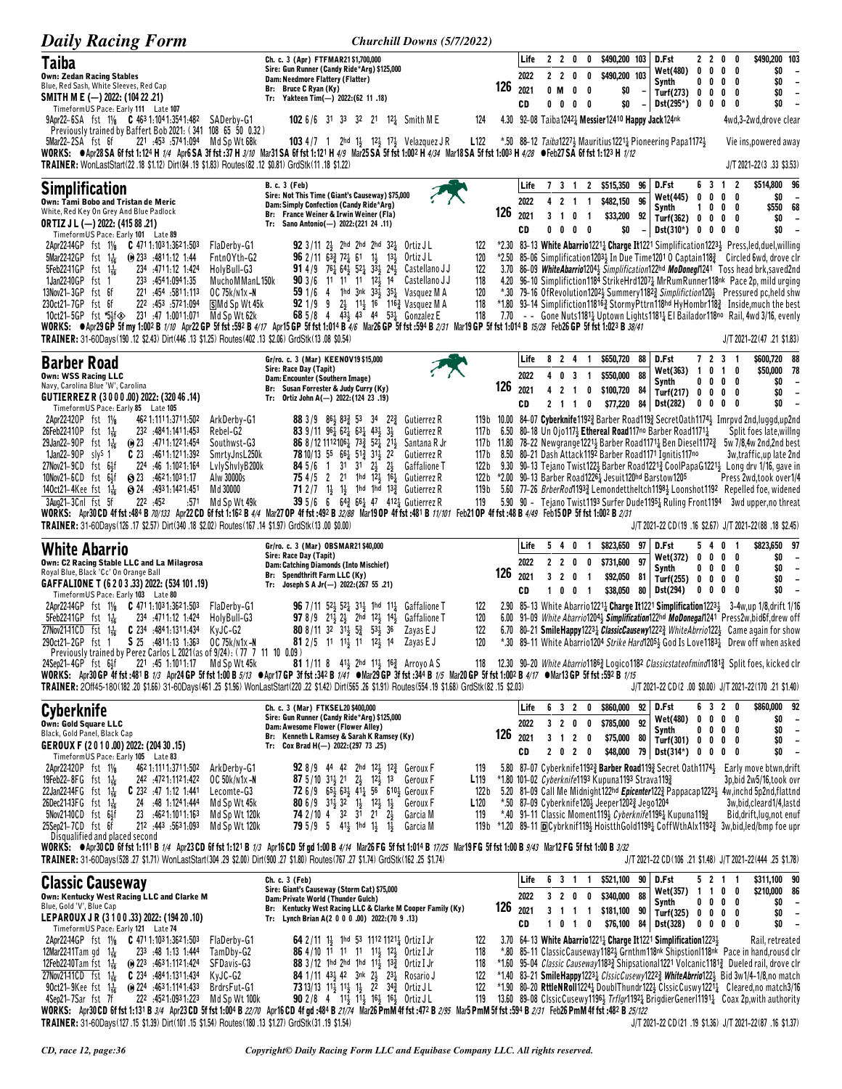| <b>Daily Racing Form</b>                                                                                                                                                                                                                                                                                                                                                                                                                                                                                                                                                                                                                                                                                                                                                                                                                                                                                   | Churchill Downs (5/7/2022)                                                                                                                                                                                                                                                                                                                                                                                                                                                                                                                                                     |                                                             |                                       |                                                                                                                               |                                                                                                                                                                                                                                                     |                                                                           |                                                 |                                                                                                                                                                                                                                                                                                                                                                                                                                                                                                                                                                                                                                                           |
|------------------------------------------------------------------------------------------------------------------------------------------------------------------------------------------------------------------------------------------------------------------------------------------------------------------------------------------------------------------------------------------------------------------------------------------------------------------------------------------------------------------------------------------------------------------------------------------------------------------------------------------------------------------------------------------------------------------------------------------------------------------------------------------------------------------------------------------------------------------------------------------------------------|--------------------------------------------------------------------------------------------------------------------------------------------------------------------------------------------------------------------------------------------------------------------------------------------------------------------------------------------------------------------------------------------------------------------------------------------------------------------------------------------------------------------------------------------------------------------------------|-------------------------------------------------------------|---------------------------------------|-------------------------------------------------------------------------------------------------------------------------------|-----------------------------------------------------------------------------------------------------------------------------------------------------------------------------------------------------------------------------------------------------|---------------------------------------------------------------------------|-------------------------------------------------|-----------------------------------------------------------------------------------------------------------------------------------------------------------------------------------------------------------------------------------------------------------------------------------------------------------------------------------------------------------------------------------------------------------------------------------------------------------------------------------------------------------------------------------------------------------------------------------------------------------------------------------------------------------|
| <b>Taiba</b><br><b>Own: Zedan Racing Stables</b><br>Blue, Red Sash, White Sleeves, Red Cap<br>SMITH M E (-) 2022: (104 22 .21)<br>TimeformUS Pace: Early 111 Late 107                                                                                                                                                                                                                                                                                                                                                                                                                                                                                                                                                                                                                                                                                                                                      | Ch. c. 3 (Apr) FTFMAR21\$1,700,000<br>Sire: Gun Runner (Candy Ride*Arg) \$125,000<br>Dam: Needmore Flattery (Flatter)<br>Br: Bruce C Ryan (Ky)<br>Yakteen Tim(—) 2022:(62 11 .18)<br>Tr:                                                                                                                                                                                                                                                                                                                                                                                       | 126                                                         | Life<br>2022<br>2021<br>CD            | $2 \t2 \t0$<br>$\mathbf 0$<br>2 <sub>2</sub><br>0<br>0<br>$0$ M<br>$0\quad 0$<br>$0\quad 0$<br>00                             | \$490,200 103<br>\$490,200 103<br>\$O<br>\$0                                                                                                                                                                                                        | D.Fst<br>Wet(480)<br><b>Synth</b><br>Turf(273)<br>$Dist(295*)$ 0 0 0 0    | 2 2 0 0<br>0<br>0<br>$0\quad 0$                 | \$490,200 103<br>$0\quad 0\quad 0$<br>\$0<br>$\overline{\phantom{a}}$<br>$0\quad 0\quad 0$<br>\$0<br>$\overline{\phantom{a}}$<br>\$0<br>$0\quad 0$<br>$\overline{\phantom{a}}$<br>\$0                                                                                                                                                                                                                                                                                                                                                                                                                                                                     |
| 9Apr22-6SA fst 11/ <sub>8</sub> C 463 1:104 1:354 1:482 SADerby-G1<br>Previously trained by Baffert Bob 2021: (341 108 65 50 0.32)<br>221 :453 :5741:094 Md Sp Wt 68k<br>5Mar22-2SA fst 6f<br>WORKS: OApr28SA 6f fst 1:124 H 1/4 Apr6SA 3f fst :37 H 3/10 Mar31SA 6f fst 1:121 H 4/9 Mar25SA 5f fst 1:002 H 4/34 Mar18SA 5f fst 1:003 H 4/28 OFeb27SA 6f fst 1:123 H 1/12<br>TRAINER: WonLastStart(22.18 \$1.12) Dirt(84.19 \$1.83) Routes(82.12 \$0.81) GrdStk(11.18 \$1.22)                                                                                                                                                                                                                                                                                                                                                                                                                              | <b>102</b> 6/6 31 33 32 21 12 <sup>1</sup> / <sub>2</sub> Smith M E<br><b>103</b> 4/7 1 2 <sup>hd</sup> 1 <sup>1</sup> / <sub>3</sub> 1 <sup>2</sup> / <sub>3</sub> 1 <sup>7</sup> / <sub>3</sub> Velazquez J R                                                                                                                                                                                                                                                                                                                                                                | 124<br>L <sub>122</sub>                                     |                                       |                                                                                                                               | 4.30 92-08 Taiba1242 <sup>1</sup> Messier12410 Happy Jack124nk<br>*.50 88-12 Taiba12273 Mauritius12213 Pioneering Papa11723                                                                                                                         |                                                                           |                                                 | 4wd,3-2wd,drove clear<br>Vie ins, powered away<br>J/T 2021-22(3 .33 \$3.53)                                                                                                                                                                                                                                                                                                                                                                                                                                                                                                                                                                               |
| <b>Simplification</b><br>Own: Tami Bobo and Tristan de Meric<br>White, Red Key On Grey And Blue Padlock<br><b>ORTIZ J L (-) 2022: (415 88 .21)</b><br>TimeformUS Pace: Early 101 Late 89                                                                                                                                                                                                                                                                                                                                                                                                                                                                                                                                                                                                                                                                                                                   | <b>B. c. 3 (Feb)</b><br>Sire: Not This Time (Giant's Causeway) \$75,000<br>Dam: Simply Confection (Candy Ride*Arg)<br>Br: France Weiner & Irwin Weiner (Fla)<br>Tr: Sano Antonio(-) 2022: (221 24 .11)                                                                                                                                                                                                                                                                                                                                                                         | 126                                                         | Life<br>2022<br>2021<br>CD            | 4<br>$2 \t1 \t1$<br>3 <sub>1</sub><br>0<br>$\overline{\mathbf{1}}$<br>$0\quad 0$<br>$0\quad 0$                                | 7 3 1 2 \$515,350 96<br>\$482,150 96<br>\$33,200 92<br>\$0<br>$\overline{\phantom{a}}$                                                                                                                                                              | D.Fst<br><b>Wet(445)</b><br>Synth<br>Turf(362) 0<br>$Dist(310^*)$ 0 0 0 0 | 6 3 1 2<br>0<br>1000                            | \$514,800 96<br>$0\quad 0\quad 0$<br>\$0<br>68<br>\$550<br>$0\quad 0\quad 0$<br>\$0<br>$\overline{\phantom{a}}$<br>\$0<br>$\blacksquare$                                                                                                                                                                                                                                                                                                                                                                                                                                                                                                                  |
| 2Apr22-44GP fst 11/8 C 471 1:103 1:362 1:503<br>FlaDerby-G1<br>$5$ Mar22-12GP fst $1\frac{1}{16}$<br>$@$ 233 :4811:12 1:44<br>Fntn0Yth-G2<br>$5Feb22-11GP$ fst $1\frac{1}{16}$<br>234 .4711.12 1.424<br>HolyBull-G3<br>1Jan22-10GP fst 1<br>233 .454 1:094 1:35<br>MuchoMManL150k<br>13Nov21-3GP fst 6f<br>113 454 5811.113<br>OC 75k/n1x-N<br>230ct21-7GP fst 6f<br>222 :453 :5721:094<br>SMd Sp Wt 45k<br>10ct21-5GP fst *5\}f<\bdot 231 :47 1:0011:071 Md Sp Wt 62k<br>WORKS: $\bullet$ Apr29 GP 5f my 1:002 B 1/10 Apr22 GP 5f fst :592 B 4/17 Apr15 GP 5f fst 1:014 B 4/6 Mar26 GP 5f fst :594 B 2/31 Mar19 GP 5f fst 1:014 B 15/28 Feb26 GP 5f fst 1:023 B 38/41<br>TRAINER: 31-60Days(190.12 \$2.43) Dirt(446.13 \$1.25) Routes(402.13 \$2.06) GrdStk(13.08 \$0.54)                                                                                                                                 | <b>92</b> $3/11$ 2 $\frac{1}{2}$ 2hd 2hd 2hd $32\frac{1}{4}$ Ortiz JL<br>96 2/11 $63\frac{3}{4}$ 72 $\frac{1}{4}$ 61 $1\frac{1}{2}$ 13 $\frac{1}{2}$ Ortiz JL<br>91 4/9 76 $\frac{1}{4}$ 64 $\frac{1}{2}$ 52 $\frac{1}{4}$ 33 $\frac{1}{2}$ 24 $\frac{1}{2}$ Castellano JJ<br><b>90</b> $3/6$ 11 11 11 12 $\frac{1}{2}$ 14 Castellano JJ<br>59 1/6 4 1hd 3nk 33 $\frac{1}{4}$ 35 $\frac{1}{4}$ Vasquez M A<br><b>92</b> 1/9 9 $2\frac{1}{2}$ 1 <sup>1</sup> / <sub>2</sub> 1 <sup>6</sup> 1 <sup>16</sup> / <sub>4</sub> Vasquez M A<br>68 5/8 4 43 43 44 53 46 60 6 68 5 68 5 | 122<br>120<br>122<br>118<br>120<br>118<br>118               |                                       |                                                                                                                               |                                                                                                                                                                                                                                                     |                                                                           |                                                 | *2.30 83-13 White Abarrio12214 Charge It1221 Simplification12234 Press,led,duel,willing<br>*2.50 85-06 Simplification12033 In Due Time1201 0 Captain1183 Circled 6wd, drove clr<br>3.70 86-09 WhiteAbarrio12043 Simplification122hd MoDoneg/1241 Toss head brk, saved2nd<br>4.20 96-10 Simplifiction1184 StrikeHrd12071 MrRumRunner118nk Pace 2p, mild urging<br>*.30 79-16 OfRevolution12023 Summery11823 Simplifiction1203 Pressured pc, held shw<br>*1.80 93-14 Simplifiction118163 StormyPttrn118hd HyHombr1183 Inside, much the best<br>7.70 - Gone Nuts1181 Uptown Lights1181 El Bailador118no Rail, 4wd 3/16, evenly<br>J/T 2021-22(47 .21 \$1.83) |
| <b>Barber Road</b><br><b>Own: WSS Racing LLC</b><br>Navy, Carolina Blue 'W', Carolina<br>GUTIERREZ R (3000.00) 2022: (320 46.14)<br>TimeformUS Pace: Early 85 Late 105                                                                                                                                                                                                                                                                                                                                                                                                                                                                                                                                                                                                                                                                                                                                     | Gr/ro. c. 3 (Mar) KEENOV19\$15,000<br>Sire: Race Day (Tapit)<br>Dam: Encounter (Southern Image)<br>Br: Susan Forrester & Judy Curry (Ky)<br>Tr: Ortiz John A(-) 2022: (124 23 .19)                                                                                                                                                                                                                                                                                                                                                                                             | 126                                                         | Life<br>2022<br>2021<br>CD            | 8<br>24<br>-1<br>$0 \quad 3 \quad 1$<br>4<br>4<br>$\overline{2}$<br>0<br>$\mathbf{1}$<br>2 1 1 0                              | \$650,720<br>88<br>\$550,000 88<br>\$100,720<br>84<br>\$77,220                                                                                                                                                                                      | D.Fst<br>Wet(363)<br><b>Synth</b><br>Turf $(217)$ 0<br>84   Dst(282)      | 7 2 3 1<br>$\overline{1}$<br>0<br>0<br>0<br>0   | \$600,720 88<br>\$50,000 78<br>0 1 0<br>$0\quad 0$<br>\$0<br>$\overline{\phantom{a}}$<br>\$0<br>$0\quad 0$<br>\$0<br>$0\quad 0\quad 0$<br>$\overline{\phantom{a}}$                                                                                                                                                                                                                                                                                                                                                                                                                                                                                        |
| 2Apr22420P fst 11/8<br>462 1:111 1:371 1:502<br>ArkDerby-G1<br>26Feb22-110P fst 1 <sup>1</sup> <sub>16</sub><br>232 .484 1:141 1:453<br>Rebel-G2<br>29Jan22-90P fst $1\frac{1}{16}$<br>$\omega$ 23 4711.1221.454<br>Southwst-G3<br>$1$ Jan22-90P sly <sup>s</sup> 1<br>$C$ 23 $.4611.1211.392$<br>SmrtyJnsL250k<br>27Nov21-9CD fst 64f<br>224 .46 1:1021:164<br>LvlyShvlyB200k<br>10Nov21-6CD fst 6}f<br>$\bullet$ 23 $\cdot$ 4621:1031:17<br>Alw 30000s<br>140ct21-4Kee fst $1\frac{1}{16}$<br>$\odot$ 24 $.4931:1421:451$<br>Md 30000<br>3Aug21-3Cnl fst 5f<br>222 .452<br>:571 Md Sp Wt 49k<br>WORKS: Apr30CD 4f fst :484 B 70/133 Apr22CD 6f fst 1:162 B 4/4 Mar27 OP 4f fst :492 B 32/88 Mar19 OP 4f fst :481 B 11/101 Feb21 OP 4f fst :48 B 4/49 Feb15 OP 5f fst 1:002 B 2/31<br>(10.00) GrdStk (13.00 \$0.00) TRAINER: 31-60Days (126.17 \$2.57) Dirt (340.18 \$2.02) Routes (167.14 \$1.97) GrdStk | <b>88</b> 3/9 86 3 83 3 34 22 3<br>Gutierrez R<br>83 9/11 961 621 631 431 31<br>Gutierrez R<br><b>86</b> 8/12 1112106 $\frac{1}{4}$ 73 $\frac{3}{4}$ 52 $\frac{1}{4}$ 21 $\frac{1}{5}$<br>Santana R Jr<br><b>78</b> 10/13 55 661 51 <sup>3</sup> 31 <sup>3</sup> 22<br>Gutierrez R<br>$845/6$ 1<br>$31 \quad 31 \quad 2\frac{1}{2} \quad 2\frac{1}{2}$<br><b>Gaffalione T</b><br>75 4/5 2 21 1hd $12\frac{1}{2}$ 16 <sup>1</sup> Gutierrez R<br>71 2/7 13 13 1hd 1hd 133 Gutierrez R<br>39 5/6 6 643 661 47 4121 Gutierrez R                                                   | 117 b<br>117 b<br>122 b<br>119 b<br>119                     |                                       |                                                                                                                               | 6.50 80-18 Un Ojo117 $\frac{1}{2}$ Ethereal Road117 <sup>no</sup> Barber Road117 <sup>1</sup> $\frac{1}{4}$<br>8.50 80-21 Dash Attack 1192 Barber Road 1171 Ignitis 117 <sup>no</sup><br>122b *2.00 90-13 Barber Road1226 & Jesuit120hd Barstow1205 |                                                                           |                                                 | 119b 10.00 84-07 Cyberknife1192 <sup>3</sup> Barber Road119 <sup>3</sup> SecretOath1174 <sup>1</sup> Imrpvd 2nd,luggd,up2nd<br>Split foes late, willing<br>117b 11.80 78-22 Newgrange1221 Barber Road1171 Ben Diesel1172 5w 7/8.4w 2nd, 2nd best<br>3w,traffic,up late 2nd<br>9.30 90-13 Tejano Twist122} Barber Road12213 CoolPapaG1221} Long drv 1/16, gave in<br>Press 2wd, took over 1/4<br>5.60 77-26 BrberRod11933 Lemondettheltch11983 Loonshot1192 Repelled foe, widened<br>5.90 90 - Tejano Twist1193 Surfer Dude11951 Ruling Front1194 3wd upper, no threat<br>J/T 2021-22 CD(19 .16 \$2.67) J/T 2021-22(88 .18 \$2.45)                         |
| <b>White Abarrio</b><br>Own: C2 Racing Stable LLC and La Milagrosa<br>Royal Blue, Black 'Cc' On Orange Ball<br>GAFFALIONE T (6 2 0 3 .33) 2022: (534 101 .19)<br>TimeformUS Pace: Early 103 Late 80                                                                                                                                                                                                                                                                                                                                                                                                                                                                                                                                                                                                                                                                                                        | Gr/ro. c. 3 (Mar) OBSMAR21 \$40,000<br>Sire: Race Day (Tapit)<br>Dam: Catching Diamonds (Into Mischief)<br>Br: Spendthrift Farm LLC (Ky)<br>Tr: Joseph S A Jr(-) 2022:(267 55 .21)                                                                                                                                                                                                                                                                                                                                                                                             | 126                                                         | Life<br>2022<br>2021<br>CD            | 5 4 0<br>$\mathbf{1}$<br>2 <sub>2</sub><br>0<br>0<br>3 <sub>2</sub><br>0<br>$\overline{\mathbf{1}}$<br>$1\quad 0$<br>0<br>- 1 | \$823,650 97<br>\$731,600<br>97<br>\$92,050 81<br>\$38,050                                                                                                                                                                                          | D.Fst<br><b>Wet(372)</b><br>Synth<br>Turf(255) 0<br>80 Dst(294)           | 5401<br>0<br>0<br>0<br>$0\quad 0$               | \$823,650 97<br>$0\quad 0\quad 0$<br>\$0<br>\$0<br>$0\quad 0\quad 0$<br>$\overline{\phantom{a}}$<br>$0\quad 0\quad 0$<br>\$0<br>$\overline{\phantom{a}}$<br>\$0<br>0<br>$\overline{\phantom{a}}$                                                                                                                                                                                                                                                                                                                                                                                                                                                          |
| 2Apr22-14GP fst 11/8 C 471 1:103 1:362 1:503<br>FlaDerby-G1<br>5Feb2241GP fst $1\frac{1}{16}$<br>234 :4711:12 1:424<br>HolyBull-G3<br>C 234 :4841:1311:434<br>KyJC-G2<br>27Nov2141CD fst $1\frac{1}{16}$<br>290ct21-2GP fst 1 S 25 :4811:13 1:363<br>OC 75k/n1x-N<br>Previously trained by Perez Carlos L 2021(as of 9/24): (77 7 11 10 0.09)                                                                                                                                                                                                                                                                                                                                                                                                                                                                                                                                                              | <b>96</b> 7/11 52} 52} 31} 1hd 11} Gaffalione T<br><b>97</b> 8/9 21 <sup>1</sup> / <sub>3</sub> 2 <sup>1</sup> / <sub>3</sub> 2 <sup>hd</sup> 1 <sup>2</sup> / <sub>3</sub> 1 <sup>4</sup> / <sub>3</sub> Gaffalione T<br>80 8/11 32 313 53 533 36<br>Zayas E J<br>81 2/5 11 11 11 12 14<br>Zayas E J                                                                                                                                                                                                                                                                          | 122<br>120<br>122<br>120                                    |                                       |                                                                                                                               |                                                                                                                                                                                                                                                     |                                                                           |                                                 | 2.90 85-13 White Abarrio 1221; Charge It 1221 Simplification 1223; 3-4w,up 1/8, drift 1/16<br>6.00 91-09 White Abarrio1204 <sub>3</sub> Simplification122hd MoDonegal1241 Press2w,bid6f,drew off<br>6.70 80-21 Smile Happy 1223 $\frac{1}{4}$ Classic Cause wy 1222 $\frac{3}{4}$ White Abrrio 122 $\frac{1}{4}$ Came again for show<br>*.30 89-11 White Abarrio 1204 Strike Hard 1205 4 God Is Love 1183 <sup>1</sup> Drew off when asked                                                                                                                                                                                                                |
| 24Sep21-4GP fst 6 <sup>1</sup> / <sub>2</sub> f 221 :45 1:1011:17 Md Sp Wt 45k<br>WORKS: Apr30 GP 4f fst:481 B 1/3 Apr24 GP 5f fst 1:00 B 5/13 @Apr17 GP 3f fst :342 B 1/41 @Mar29 GP 3f fst :344 B 1/5 Mar20 GP 5f fst 1:002 B 4/17 @Mar13 GP 5f fst :592 B 1/15<br>TRAINER: 20ff45-180(182.20 \$1.66) 31-60Days(461.25 \$1.96) WonLastStart(220.22 \$1.42) Dirt(565.26 \$1.91) Routes(554.19 \$1.68) GrdStk(82.15 \$2.03)                                                                                                                                                                                                                                                                                                                                                                                                                                                                                | 81 1/11 8 413 2hd 113 163 Arroyo A S                                                                                                                                                                                                                                                                                                                                                                                                                                                                                                                                           |                                                             |                                       |                                                                                                                               |                                                                                                                                                                                                                                                     |                                                                           |                                                 | 118 12.30 90-20 White Abarrio 1186 & Logico 1182 Classicstate of mind 1181 & Split foes, kicked clr<br>J/T 2021-22 CD(2 .00 \$0.00) J/T 2021-22(170 .21 \$1.40)                                                                                                                                                                                                                                                                                                                                                                                                                                                                                           |
| <b>Cyberknife</b><br>Own: Gold Square LLC<br>Black, Gold Panel, Black Cap<br>GEROUX F (2010.00) 2022: (204 30 .15)<br>TimeformUS Pace: Early 105 Late 83                                                                                                                                                                                                                                                                                                                                                                                                                                                                                                                                                                                                                                                                                                                                                   | Ch. c. 3 (Mar) FTKSEL20 \$400,000<br>Sire: Gun Runner (Candy Ride*Arg) \$125,000<br>Dam: Awesome Flower (Flower Alley)<br>Br: Kenneth L Ramsey & Sarah K Ramsey (Ky)<br>Tr: Cox Brad H(-) 2022:(297 73 .25)                                                                                                                                                                                                                                                                                                                                                                    |                                                             | Life<br>2022<br>$126$ $_{2021}$<br>CD | 6 3 2<br>0<br>320<br>0<br>3 1 2 0<br>2 0 2 0                                                                                  | \$860,000 92<br>\$785,000<br>92<br>\$75,000<br>\$48,000                                                                                                                                                                                             | D.Fst<br>Wet(480)<br>Synth<br>80 Turf(301) 0<br>79 Dst(314*) 0 0          | 6 3 2 0<br>0<br>0                               | \$860,000 92<br>$0\quad 0\quad 0$<br>\$0<br>$\overline{\phantom{a}}$<br>$0\quad 0\quad 0$<br>\$0<br>$\overline{\phantom{a}}$<br>\$0<br>$0\quad 0\quad 0$<br>$\overline{\phantom{a}}$<br>\$0<br>$0\quad 0$<br>$\overline{\phantom{a}}$                                                                                                                                                                                                                                                                                                                                                                                                                     |
| 2Apr22-120P fst 11/8<br>462 1:111 1:371 1:502<br>ArkDerby-G1<br>19Feb22-8FG fst 1 <sup>1</sup> <sub>16</sub><br>242 .4721.1121.422<br>OC 50k/n1x-N<br>22Jan22-14FG $f$ st $1\frac{1}{16}$<br><b>C</b> 232 $\cdot$ 47 1.12 1.441<br>Lecomte-G3<br>26Dec21-13FG fst 1 <sup>1</sup> / <sub>16</sub><br>24 .48 1:124 1:444<br>Md Sp Wt 45k<br>5Nov2140CD fst 6 <sup>1</sup><br>23 :4621:1011:163<br>Md Sp Wt 120k<br>212 :443 :5631:093<br>25Sep21-7CD fst 6f<br>Md Sp Wt 120k<br>Disqualified and placed second                                                                                                                                                                                                                                                                                                                                                                                               | <b>92</b> 8/9 44 42 2hd $12\frac{1}{2}$ 12 <sup>3</sup> Geroux F<br>87 5/10 31 $\frac{1}{2}$ 21 2 $\frac{1}{2}$ 12 $\frac{1}{2}$ 13 Geroux F<br>72 6/9 65 $\frac{1}{2}$ 63 $\frac{1}{2}$ 41 $\frac{1}{4}$ 56 610 $\frac{1}{2}$ Geroux F<br>80 6/9 31 $\frac{1}{2}$ 32 1 $\frac{1}{2}$ 12 $\frac{1}{2}$ 1 $\frac{1}{2}$ Geroux F<br>74 2/10 4 32 31 21 21<br>Garcia M<br>79 5/9 5 41 <sup>1</sup> / <sub>2</sub> 1hd 1 <sup>1</sup> / <sub>2</sub> 1 <sup>1</sup> / <sub>2</sub><br>Garcia M                                                                                    | 119<br>L <sub>119</sub><br>122 b<br>L <sub>120</sub><br>119 |                                       |                                                                                                                               | *1.80 101-02 Cyberknife1193 Kupuna1193 Strava1193<br>*.50 87-09 Cyberknife120} Jeeper1202} Jego1204<br>*.40 91-11 Classic Moment1193 Cyberknife11961 Kupuna1193                                                                                     |                                                                           |                                                 | 5.80 87-07 Cyberknife11923 Barber Road1193 Secret Oath11743 Early move btwn, drift<br>3p,bid 2w5/16,took ovr<br>5.20 81-09 Call Me Midnight122hd Epicenter1223 Pappacap12231 4w, inchd 5p2nd, flattnd<br>3w,bid,cleard1/4,lastd<br>Bid, drift, lug, not enuf<br>119b *1.20 89-11 $\overline{D}$ Cybrknif119} HoistthGold1199} CoffWthAlx1192} 3w,bid,led/bmp foe upr                                                                                                                                                                                                                                                                                      |
| WORKS: OApr30CD 6f fst 1:111 B 1/4 Apr23CD 6f fst 1:121 B 1/3 Apr16CD 5f gd 1:00 B 4/14 Mar26 FG 5f fst 1:014 B 17/25 Mar19 FG 5f fst 1:00 B 9/43 Mar12 FG 5f fst 1:00 B 3/32<br>TRAINER: 31-60Days(528 .27 \$1.71) WonLastStart(304 .29 \$2.00) Dirt(900 .27 \$1.80) Routes(767 .27 \$1.74) GrdStk(162 .25 \$1.74)                                                                                                                                                                                                                                                                                                                                                                                                                                                                                                                                                                                        |                                                                                                                                                                                                                                                                                                                                                                                                                                                                                                                                                                                |                                                             |                                       |                                                                                                                               |                                                                                                                                                                                                                                                     |                                                                           |                                                 | J/T 2021-22 CD(106 .21 \$1.48) J/T 2021-22(444 .25 \$1.78)                                                                                                                                                                                                                                                                                                                                                                                                                                                                                                                                                                                                |
| <b>Classic Causeway</b><br>Own: Kentucky West Racing LLC and Clarke M<br>Blue, Gold 'V', Blue Cap<br>LEPAROUX JR (3100.33) 2022: (194 20.10)<br>TimeformUS Pace: Early 121 Late 74                                                                                                                                                                                                                                                                                                                                                                                                                                                                                                                                                                                                                                                                                                                         | Ch. c. 3 (Feb)<br>Sire: Giant's Causeway (Storm Cat) \$75,000<br>Dam: Private World (Thunder Gulch)<br>Br: Kentucky West Racing LLC & Clarke M Cooper Family (Ky)<br>Tr: Lynch Brian A(2 0 0 0 .00) 2022:(70 9 .13)                                                                                                                                                                                                                                                                                                                                                            | 126                                                         | Life<br>2022<br>2021<br>CD            | 6 3 1 1<br>3 <sub>2</sub><br>0<br>$\mathbf{0}$<br>3 1 1 1<br>1 0 1 0                                                          | \$521,100 90 D.Fst<br>\$340,000<br>88<br>\$181,100 90<br>\$76,100 84 Dst(328)                                                                                                                                                                       | Wet(357)<br>Synth<br>Turf(325) $0 \t 0 \t 0 \t 0$                         | 5 2 1 1<br>1100<br>$0\,0\,0\,0$<br>$0\ 0\ 0\ 0$ | \$311,100 90<br>\$210,000 86<br>\$0<br>$\overline{\phantom{a}}$<br>\$0<br>$\overline{\phantom{a}}$<br>\$0<br>$\overline{\phantom{a}}$                                                                                                                                                                                                                                                                                                                                                                                                                                                                                                                     |
| 2Apr2244GP fst 11/8 C 471 1:103 1:362 1:503<br>FlaDerby-G1<br>12Mar2241Tam gd $1\frac{1}{16}$<br>233 :48 1:13 1:444<br>TamDby-G2<br>12Feb22-10Tam fst $1\frac{1}{16}$<br>$@$ 223 $:4631:1121.424$<br>SFDavis-G3<br>27Nov21-11CD fst 1 <sup>1</sup> <sub>16</sub><br>$C$ 234 :4841:1311:434<br>KyJC-G2<br>90ct21-9Kee fst $1\frac{1}{16}$<br>$@$ 224 :4631:1141:433<br>BrdrsFut-G1<br>222 :4521:0931:223 Md Sp Wt 100k<br>4Sep21-7Sar fst 7f<br>WORKS: Apr30 CD 6f fst 1:131 B 3/4 Apr23 CD 5f fst 1:004 B 2270 Apr16 CD 4f gd :484 B 2174 Mar26 PmM 4f fst :472 B 2/95 Mar5 PmM 5f fst :594 B 2/31 Feb26 PmM 4f fst :482 B 25/122<br>TRAINER: 31-60Days(127.15 \$1.39) Dirt(101.15 \$1.54) Routes(180.13 \$1.27) GrdStk(31.19 \$1.54)                                                                                                                                                                      | <b>64</b> 2/11 1 <sup>1</sup> / <sub>3</sub> 1hd 53 1112 1121 <sup>1</sup> / <sub>4</sub> Ortiz I Jr<br>86 4/10 11 11 11 11 12 0rtiz I Jr<br><b>88</b> 3/12 1hd 2hd 1hd 11 $\frac{1}{2}$ 13 $\frac{3}{4}$ Ortiz I Jr<br>84 1/11 433 42 3nk $2\frac{1}{2}$ $23\frac{1}{4}$ Rosario J<br>73 13/13 11 <sup>1</sup> / <sub>2</sub> 1 <sup>1</sup> / <sub>2</sub> 1 <sup>1</sup> / <sub>2</sub> 2 <sup>2</sup> 3 <sup>42</sup> / <sub>4</sub> Ortiz JL<br>90 2/8 4 11} 11} 16} 16} Ortiz JL                                                                                         | 122<br>118<br>118<br>122<br>122<br>119                      |                                       |                                                                                                                               | 3.70 64-13 White Abarrio12211 Charge It1221 Simplification12231                                                                                                                                                                                     |                                                                           |                                                 | Rail, retreated<br>*.80 85-11 Classic Causeway 1182 + Grnthm 118 <sup>nk</sup> Shipstion 118 <sup>nk</sup> Pace in hand, rousd clr<br>*1.60 95-04 Classic Causeway11833 Shipsational1221 Volcanic11813 Dueled rail, drove clr<br>*1.40 83-21 SmileHappy12231 ClssicCusewy12223 WhiteAbrrio1221 Bid 3w1/4-1/8,no match<br>*1.90 80–20 RttleNRoll12241 DoublThundr1221 ClssicCuswy12211 Cleared,no match3/16<br>13.60 89-08 ClssicCusewy11963 Trflgr1192 BrigdierGenerl1191 Coax 2p, with authority<br>J/T 2021-22 CD (21 .19 \$1.36) J/T 2021-22 (87 .16 \$1.37)                                                                                           |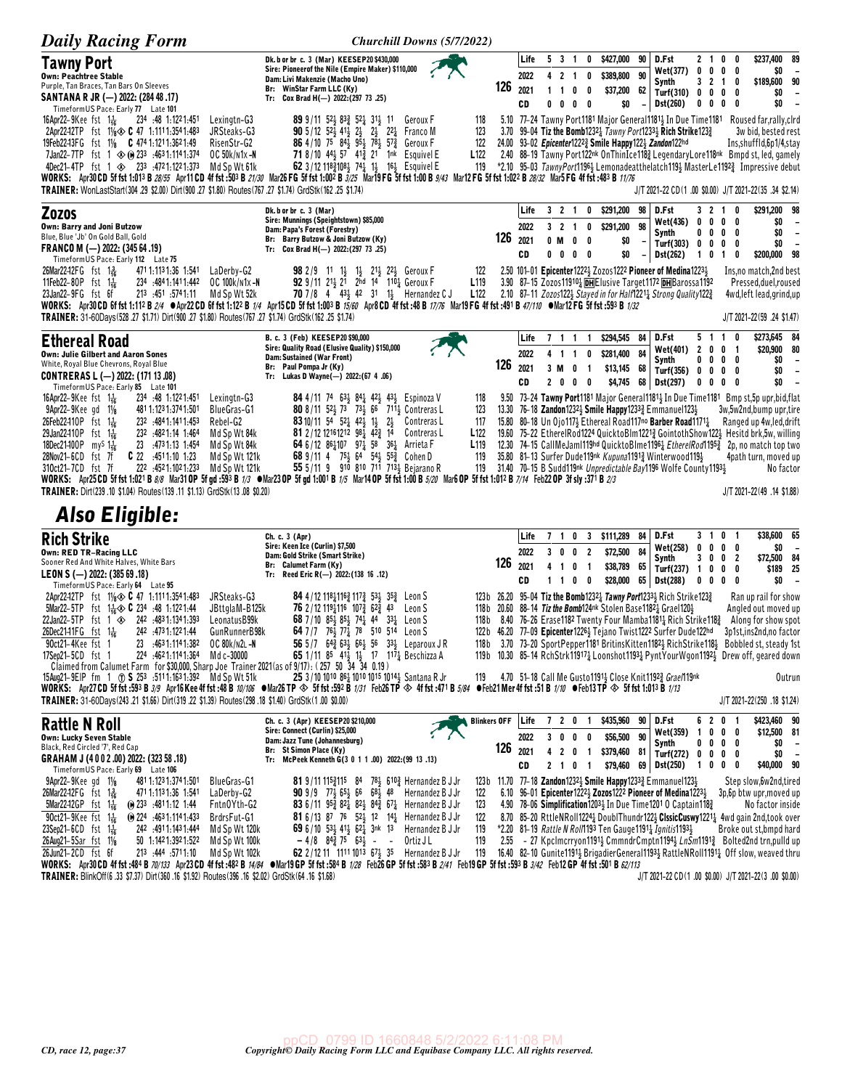| <b>Daily Racing Form</b>                                                                                                                                                                                                                                                                                                                                                                                                                                                                                                                                                                                                                                                                                                                                                                                                                        |                                                                                                                                                                                                                                                                                                                                                                                                                                                                                                   | Churchill Downs (5/7/2022)                                                                          |                                |                                            |                                                                              |                                                     |                                                                                                                                                                                                                                                                                                                                                                                                                                                                                                                                                                                                                                                                                                                         |                                                     |                                                                                        |                                                                                                                                                                                                                                                      |
|-------------------------------------------------------------------------------------------------------------------------------------------------------------------------------------------------------------------------------------------------------------------------------------------------------------------------------------------------------------------------------------------------------------------------------------------------------------------------------------------------------------------------------------------------------------------------------------------------------------------------------------------------------------------------------------------------------------------------------------------------------------------------------------------------------------------------------------------------|---------------------------------------------------------------------------------------------------------------------------------------------------------------------------------------------------------------------------------------------------------------------------------------------------------------------------------------------------------------------------------------------------------------------------------------------------------------------------------------------------|-----------------------------------------------------------------------------------------------------|--------------------------------|--------------------------------------------|------------------------------------------------------------------------------|-----------------------------------------------------|-------------------------------------------------------------------------------------------------------------------------------------------------------------------------------------------------------------------------------------------------------------------------------------------------------------------------------------------------------------------------------------------------------------------------------------------------------------------------------------------------------------------------------------------------------------------------------------------------------------------------------------------------------------------------------------------------------------------------|-----------------------------------------------------|----------------------------------------------------------------------------------------|------------------------------------------------------------------------------------------------------------------------------------------------------------------------------------------------------------------------------------------------------|
| <b>Tawny Port</b><br><b>Own: Peachtree Stable</b><br>Purple, Tan Braces, Tan Bars On Sleeves<br>SANTANA R JR (-) 2022: (284 48 .17)<br>TimeformUS Pace: Early 77 Late 101                                                                                                                                                                                                                                                                                                                                                                                                                                                                                                                                                                                                                                                                       | Dk. b or br c. 3 (Mar) KEESEP20 \$430,000<br>Sire: Pioneerof the Nile (Empire Maker) \$110,000<br>Dam: Livi Makenzie (Macho Uno)<br>Br: WinStar Farm LLC (Ky)<br>Tr: Cox Brad H(-) 2022: (297 73 .25)                                                                                                                                                                                                                                                                                             | 126                                                                                                 | Life<br>2022<br>2021<br>CD     | 5 3 1<br>4 2 1<br>$1\quad1$<br>$0\quad 0$  | 0<br>0<br>0<br>0<br>$0\quad 0$                                               | \$427,000<br>\$389,800<br>\$37,200<br>\$0           | 90<br>D.Fst<br>Wet(377)<br>90<br>Synth<br>62<br>Turf(310) 0 0<br>$-$ Dst(260)                                                                                                                                                                                                                                                                                                                                                                                                                                                                                                                                                                                                                                           | 2 <sub>1</sub><br>0<br>3 2 1<br>$0\ 0\ 0$           | $0\quad 0$<br>$0\quad 0\quad 0$<br>0<br>0<br>0<br>0                                    | \$237,400 89<br>\$0<br>$\overline{\phantom{a}}$<br>90<br>\$189,600<br>\$0<br>$\overline{\phantom{a}}$<br>\$0                                                                                                                                         |
| 16Apr22-9Kee fst $1\frac{1}{16}$<br>234 .48 1:1221:451<br>Lexingtn-G3<br>2Apr22-12TP fst $1\frac{1}{8}$ C 47 1.1111.3541.483<br>JRSteaks-G3<br>19Feb2243FG fst 11/8 C 474 1:121 1:362 1:49<br>RisenStr-G2<br>7Jan22-7TP fst 1 $\otimes$ (i) 233 :4631:1141:374<br>OC 50k/n1x -N<br>4Dec21-4TP fst 1 $\otimes$ 233 :4721:1221:373<br>Md Sp Wt 61k<br>WORKS: Apr30CD 5f fst 1:013 B 28/55 Apr11CD 4f fst :503 B 21/30 Mar26 FG 5f fst 1:002 B 3/25 Mar19 FG 5f fst 1:00 B 9/43 Mar12 FG 5f fst 1:022 B 28/32 Mar5 FG 4f fst :483 B 11/76<br>TRAINER: WonLastStart(304.29 \$2.00) Dirt(900.27 \$1.80) Routes(767.27 \$1.74) GrdStk(162.25 \$1.74)                                                                                                                                                                                                  | 89 9/11 52 83 52 31 1<br><b>90</b> 5/12 52 <sup>1</sup> / <sub>2</sub> 41 <sup>2</sup> / <sub>2</sub> 2 <sup>1</sup> / <sub>2</sub> 2 <sup>2</sup> / <sub>2</sub> Franco M<br><b>86</b> 4/10 75 84 $\frac{1}{2}$ 95 $\frac{1}{2}$ 78 $\frac{1}{2}$ 57 $\frac{3}{4}$<br>71 8/10 44} 57 41} 21 1nk Esquivel E<br>62 3/12 118 $\frac{3}{2}$ 108 $\frac{1}{2}$ 74 $\frac{1}{4}$ 1 $\frac{1}{2}$ 16 $\frac{1}{2}$ Esquivel E                                                                           | Geroux F<br>118<br>123<br>122<br>Geroux F<br>L <sub>122</sub><br>119                                | 3.70                           |                                            |                                                                              |                                                     | 5.10 77-24 Tawny Port1181 Major General1181 3 In Due Time1181 Roused far, rally, clrd<br>99-04 Tiz the Bomb1232 $\frac{1}{4}$ Tawny Port1233 $\frac{1}{2}$ Rich Strike123 $\frac{3}{4}$<br>24.00 93-02 Epicenter12223 Smile Happy1223 Zandon122hd<br>2.40 88-19 Tawny Port122nk OnThinIce1183 LegendaryLore118nk Bmpd st, led, gamely<br>*2.10 95-03 TawnyPort1196} Lemonadeatthelatch119} MasterLe1192} Impressive debut<br>J/T 2021-22 CD(1 .00 \$0.00) J/T 2021-22(35 .34 \$2.14)                                                                                                                                                                                                                                    |                                                     |                                                                                        | 3w bid, bested rest<br>Ins, shuffld, 6p1/4, stay                                                                                                                                                                                                     |
| <b>Zozos</b><br>Own: Barry and Joni Butzow<br>Blue, Blue 'Jb' On Gold Ball, Gold<br>FRANCO M (-) 2022: (345 64 .19)<br>TimeformUS Pace: Early 112 Late 75<br>26Mar22-12FG fst 1 용<br>471 1:113 1:36 1:541<br>LaDerby-G2<br>11Feb22-80P fst 1 <sup>1</sup> / <sub>16</sub><br>234 484 1:141 1:442<br>OC 100k/n1x-N<br>213 :451 :5741.11<br>23Jan22-9FG fst 6f<br>Md Sp Wt 52k<br>WORKS: Apr30CD 6f fst 1:112 B 2/4 @Apr22CD 6f fst 1:122 B 1/4 Apr15CD 5f fst 1:003 B 15/60 Apr8CD 4f fst :49 B 17/76 Mar19FG 4f fst :491 B 47/10 @Mar12FG 5f fst :593 B 1/32<br>(1.74) GrdStk(162.25 \$1.74) Dirt(900.27 \$1.80) Routes(767.27 \$1.74) GrdStk(162.25 \$1.74)                                                                                                                                                                                    | Dk. b or br c. 3 (Mar)<br>Sire: Munnings (Speightstown) \$85,000<br>Dam: Papa's Forest (Forestry)<br>Br: Barry Butzow & Joni Butzow (Ky)<br>Tr: Cox Brad H(-) 2022: (297 73 .25)<br><b>98</b> 2/9 11 1 <sup>1</sup> / <sub>2</sub><br>$1\frac{1}{2}$ $21\frac{1}{2}$ $22\frac{1}{2}$ Geroux F<br><b>92</b> 9/11 21 <sub>3</sub> 21 2hd 14 110 <sub>4</sub> Geroux F<br>70 7/8 4 43 42 31 1 Hernandez C J                                                                                          | 122<br>L <sub>119</sub><br>L122                                                                     | Life<br>2022<br>126 2021<br>CD | 321<br>3 <sub>2</sub><br>0 M<br>$0\quad 0$ | 0<br>0<br>$\overline{\mathbf{1}}$<br>$\mathbf{0}$<br>0<br>$0\quad 0$         | \$291,200<br>\$291,200<br>\$0<br>\$0                | 98<br>D.Fst<br>Wet(436)<br>98<br>Synth<br>Turf(303)<br>$-$ Dst(262)<br>2.50 101-01 Epicenter12223 Zozos1222 Pioneer of Medina12233<br>3.90 87-15 Zozos119102 DHE lusive Target1172 DHB arossa1192<br>2.10 87-11 Zozos1222 Stayed in for Half12211 Strong Quality1223                                                                                                                                                                                                                                                                                                                                                                                                                                                    | 32<br>0<br>0<br>00<br>$\mathbf 0$<br>0<br>$1\quad0$ | $\mathbf{1}$<br>O<br>$0\quad 0$<br>$\mathbf 0$<br>0<br>$0\quad 0$<br>0<br>$\mathbf{1}$ | \$291,200 98<br>\$0<br>$\overline{\phantom{a}}$<br>\$0<br>$\overline{\phantom{a}}$<br>\$0<br>$\overline{\phantom{a}}$<br>\$200,000 98<br>Ins, no match, 2nd best<br>Pressed, duel, roused<br>4wd, left lead, grind, up<br>J/T 2021-22(59 .24 \$1.47) |
| <b>Ethereal Road</b><br>Own: Julie Gilbert and Aaron Sones<br>White, Royal Blue Chevrons, Royal Blue<br>CONTRERAS L (-) 2022: (171 13.08)<br>Timeform US Pace: Early 85 Late 101                                                                                                                                                                                                                                                                                                                                                                                                                                                                                                                                                                                                                                                                | B. c. 3 (Feb) KEESEP20 \$90,000<br>Sire: Quality Road (Elusive Quality) \$150,000<br>Dam: Sustained (War Front)<br>Br: Paul Pompa Jr (Ky)<br>Tr: Lukas D Wayne(-) 2022:(67 4.06)                                                                                                                                                                                                                                                                                                                  | 126                                                                                                 | Life<br>2022<br>2021<br>CD     | 7 1 1<br>41<br>3 M<br>$\mathbf{2}$<br>0    | $\mathbf{1}$<br>$\overline{\mathbf{1}}$<br>0<br>0<br>- 1<br>0<br>- 0         | \$294,545 84<br>\$281,400<br>\$13,145 68<br>\$4,745 | D.Fst<br><b>Wet(401)</b><br>84<br>Synth<br>Turf(356) 0 0 0 0<br>68<br>Dst(297)                                                                                                                                                                                                                                                                                                                                                                                                                                                                                                                                                                                                                                          | 5 <sub>1</sub><br>$\overline{2}$<br>0<br>$0\quad 0$ | 0<br>$\mathbf{1}$<br>0<br>-1<br>$0\,0\,0\,0$<br>$0\quad 0$                             | \$273,645 84<br>\$20,900 80<br>\$0<br>$\overline{\phantom{a}}$<br>\$0<br>$\overline{\phantom{a}}$<br>\$0                                                                                                                                             |
| 16Apr22-9Kee fst $1\frac{1}{16}$<br>234 :48 1:1221:451<br>Lexingtn-G3<br>$9$ Apr22- $9$ Kee qd $1\frac{1}{8}$<br>481 1:123 1:374 1:501<br><b>BlueGras-G1</b><br>26Feb22410P fst 1 <sup>1</sup> / <sub>16</sub><br>232 .4841:1411.453<br>Rebel-G2<br>29Jan22410P fst 1 <sup>1</sup> / <sub>16</sub><br>232 .4821.14 1.464<br>Md Sp Wt 84k<br>18Dec21-100P my <sup>S</sup> 1 <sup>1</sup> / <sub>16</sub><br>23 :4731:13 1:454<br>Md Sp Wt 84k<br>$C$ 22 $.4511.10$ 1.23<br>28Nov21-6CD fst 7f<br>Md Sp Wt 121k<br>310ct21-7CD fst 7f<br>222 :4521:1021:233<br>Md Sp Wt 121k<br>WORKS: Apr25CD 5f fst 1:021 B 8/8 Mar31 OP 5f gd :593 B 1/3 $\bullet$ Mar23 OP 5f gd 1:001 B 1/5 Mar14 OP 5f fst 1:00 B 5/20 Mar6 OP 5f fst 1:012 B 7/14 Feb22 OP 3f sly :371 B 2/3<br>TRAINER: Dirt(239 .10 \$1.04) Routes(139 .11 \$1.13) GrdStk(13 .08 \$0.20) | <b>84</b> 4/11 74 63 <sup>1</sup> / <sub>3</sub> 84 <sup>1</sup> / <sub>4</sub> 42 <sup>1</sup> / <sub>3</sub> 43 <sup>1</sup> / <sub>3</sub> Espinoza V<br>80 8/11 52 73 73 66 711 Contreras L<br><b>83</b> 10/11 $54^{\frac{1}{2}} 52\frac{1}{4} 42\frac{1}{2} 1\frac{1}{2} 2\frac{1}{2}$ Contreras L<br>81 2/12 12161212 981 423 14<br>64 6/12 86 $\frac{1}{4}$ 107 97 $\frac{1}{4}$ 58 36 $\frac{1}{4}$ Arrieta F<br>68 9/11 4 75 64 54 55 2 Cohen D<br>55 5/11 9 910 810 711 7131 Bejarano R | 118<br>123<br>117<br>L <sub>122</sub><br>Contreras L<br>L <sub>119</sub><br>119<br>119              |                                |                                            |                                                                              |                                                     | 9.50 73-24 Tawny Port1181 Major General1181, In Due Time1181 Bmp st, 5p upr, bid, flat<br>13.30 76-18 Zandon1232 <sub>2</sub> Smile Happy1233 <sub>2</sub> Emmanuel123 <sub>2</sub><br>15.80 80-18 Un Ojo117} Ethereal Road117no Barber Road11711<br>19.60 75-22 EtherelRod1224 QuicktoBlm12213 GointothShow1223 Hesitd brk,5w, willing<br>12.30 74-15 CallMeJam1119hd QuicktoBlme1196 <sub>4</sub> EtherelRod1195 <sub>4</sub> 2p, no match top two<br>35.80 81-13 Surfer Dude119nk Kupuna11913 Winterwood1191<br>31.40 70-15 B Sudd119nk Unpredictable Bay1196 Wolfe County11931                                                                                                                                      |                                                     |                                                                                        | 3w,5w2nd,bump upr,tire<br>Ranged up 4w, led, drift<br>4path turn, moved up<br>No factor<br>J/T 2021-22(49 .14 \$1.88)                                                                                                                                |
| <b>Also Eligible:</b>                                                                                                                                                                                                                                                                                                                                                                                                                                                                                                                                                                                                                                                                                                                                                                                                                           |                                                                                                                                                                                                                                                                                                                                                                                                                                                                                                   |                                                                                                     |                                |                                            |                                                                              |                                                     |                                                                                                                                                                                                                                                                                                                                                                                                                                                                                                                                                                                                                                                                                                                         |                                                     |                                                                                        |                                                                                                                                                                                                                                                      |
| <b>Rich Strike</b><br><b>Own: RED TR-Racing LLC</b><br>Sooner Red And White Halves, White Bars<br>LEON S (-) 2022: (385 69.18)<br>TimeformUS Pace: Early 64 Late 95                                                                                                                                                                                                                                                                                                                                                                                                                                                                                                                                                                                                                                                                             | Ch. c. 3 (Apr)<br>Sire: Keen Ice (Curlin) \$7,500<br>Dam: Gold Strike (Smart Strike)<br>Br: Calumet Farm (Ky)<br>Tr: Reed Eric R(-) 2022: (138 16 .12)                                                                                                                                                                                                                                                                                                                                            | 126                                                                                                 | Life<br>2022<br>2021<br>CD     | 7 1 0<br>30<br>41<br>11                    | 3<br>0<br>$\overline{2}$<br>0<br>$\overline{\mathbf{1}}$<br>0<br>$\bm{0}$    | \$111,289<br>\$72,500<br>\$38,789<br>\$28,000       | 84<br>D.Fst<br>Wet(258)<br>84<br>Synth<br>65<br>Turf(237)<br>65<br><b>Dst(288)</b>                                                                                                                                                                                                                                                                                                                                                                                                                                                                                                                                                                                                                                      | 3 1<br>0<br>0<br>10<br>$0\ 0\ 0\ 0$                 | 0 <sub>1</sub><br>$0\quad 0$<br>3002<br>$0\quad 0$                                     | \$38,600 65<br>\$0<br>\$72,500 84<br>\$189 25<br>\$0                                                                                                                                                                                                 |
| 2Apr22-12TP fst 11/8 $\otimes$ C 47 1:1111:3541:483<br>JRSteaks-G3<br>5Mar22-5TP<br>fst $1\frac{1}{16}$ $\circledast$ C 234 :48 1:1221:44<br>JBttglaM-B125k<br>22Jan22-5TP fst 1 $\otimes$ 242 4831:1341:393<br>Leonatus B99k<br>26Dec21-11FG fst 1 <sup>1</sup> <sub>16</sub><br>242 .473 1:122 1:44<br>GunRunnerB98k<br>90ct21-4Kee fst 1<br>23 :4631:1141:382<br>OC 80k/N2L-N<br>17Sep21-5CD fst 1<br>224 :4621:1141:364 Md c-30000<br>Claimed from Calumet Farm for \$30,000, Sharp Joe Trainer 2021 (as of 9/17): (257 50 34 34 0.19)                                                                                                                                                                                                                                                                                                      | 84 4/12 11811163 1173 531 353<br>76 2/12 119116 1073 623 43<br>68 7/10 85 $\frac{1}{2}$ 85 $\frac{1}{2}$ 74 $\frac{1}{4}$ 44<br>$33\frac{1}{4}$ Leon S<br>64 7 /7 76 3 77 3 78 510 514<br>56 5/7 64 $\frac{3}{4}$ 63 $\frac{1}{2}$ 66 $\frac{1}{2}$ 56 33 $\frac{1}{2}$ Leparoux JR<br>65 1/11 85 41 <sup>1</sup> / <sub>2</sub> 1 <sup>1</sup> / <sub>2</sub> 17 11 <sup>7</sup> / <sub>4</sub> Beschizza A                                                                                      | Leon S<br>123 b<br>Leon S<br>118 b<br>Leon S<br>118 b                                               |                                |                                            |                                                                              |                                                     | 26.20 95-04 Tiz the Bomb12321 Tawny Port12331 Rich Strike1231<br>118b 20.60 88-14 Tiz the Bomb124nk Stolen Base11821 Grael1201<br>8.40 76-26 Erase1182 Twenty Four Mamba11811 Rich Strike1183<br>122b 46.20 77-09 Epicenter1226 <sup>1</sup> / <sub>2</sub> Tejano Twist1222 Surfer Dude122hd<br>3.70 73-20 SportPepper1181 BritinsKitten11823 RichStrike1183<br>119b 10.30 85-14 RchStrk11917 <sub>4</sub> Loonshot1193 <sub>4</sub> PyntYourWgon1192 <sub>3</sub> Drew off, geared down                                                                                                                                                                                                                               |                                                     |                                                                                        | Ran up rail for show<br>Angled out moved up<br>Along for show spot<br>3p1st,ins2nd,no factor<br>Bobbled st, steady 1st                                                                                                                               |
| 15Aug21-9EIP fm 1 (1) S 253 :5111:1631:392 Md Sp Wt 51k<br>WORKS: Apr27CD 5f fst:593 B 3/9 Apr16Kee 4f fst:48 B 10/106 ●Mar26TP ◇ 5f fst:592 B 1/31 Feb26TP ◇ 4f fst:471 B 5/8 ●Feb21 Mer 4f fst:51 B 1/10 ●Feb13TP ◇ 5f fst 1:013 B 1/13<br>TRAINER: 31-60Days(243.21 \$1.66) Dirt(319.22 \$1.39) Routes(298.18 \$1.40) GrdStk(1.00 \$0.00)                                                                                                                                                                                                                                                                                                                                                                                                                                                                                                    | 25 3/10 1010 861 1010 1015 1014 } Santana R Jr                                                                                                                                                                                                                                                                                                                                                                                                                                                    |                                                                                                     |                                |                                            |                                                                              |                                                     | 119 4.70 51-18 Call Me Gusto 1191 4 Close Knit 1192 3 Grae 119nk                                                                                                                                                                                                                                                                                                                                                                                                                                                                                                                                                                                                                                                        |                                                     |                                                                                        | Outrun<br>J/T 2021-22(250 .18 \$1.24)                                                                                                                                                                                                                |
| <b>Rattle N Roll</b><br>Own: Lucky Seven Stable<br>Black, Red Circled '7', Red Cap<br>GRAHAM J (4002.00) 2022: (323 58.18)<br>TimeformUS Pace: Early 69 Late 106                                                                                                                                                                                                                                                                                                                                                                                                                                                                                                                                                                                                                                                                                | Ch. c. 3 (Apr) KEESEP20 \$210,000<br>Sire: Connect (Curlin) \$25,000<br>Dam: Jazz Tune (Johannesburg)<br>Br: St Simon Place (Ky)<br>Tr: McPeek Kenneth G(3 0 1 1 .00) 2022: (99 13 .13)                                                                                                                                                                                                                                                                                                           | <b>Blinkers OFF</b><br>126                                                                          | Life<br>2022<br>2021<br>CD     | 720<br>30<br>$\overline{2}$<br>4<br>2 1 0  | -1<br>0<br>$\overline{\phantom{a}}$<br>0<br>$\overline{1}$<br>$\blacksquare$ | \$435,960<br>\$56,500<br>\$379,460<br>\$79,460      | 90 D.Fst<br>Wet(359)<br>90<br>Synth<br>$81$ Turf(272) 0 0 0 0<br>69 Dst(250)                                                                                                                                                                                                                                                                                                                                                                                                                                                                                                                                                                                                                                            | $\mathbf{1}$<br>1000                                | 6201<br>$0\quad 0\quad 0$<br>$0\,0\,0\,0$                                              | \$423,460 90<br>\$12,500 81<br>\$0<br>$\overline{\phantom{a}}$<br>\$0<br>$\overline{\phantom{a}}$<br>\$40,000 90                                                                                                                                     |
| $9$ Apr22- $9$ Keegd $1\frac{1}{8}$<br>481 1:123 1:374 1:501<br>BlueGras-G1<br>26Mar22-12FG fst 13<br>471 1:113 1:36 1:541<br>LaDerby-G2<br>5Mar2242GP fst $1\frac{1}{16}$<br>$@$ 233 :4811:12 1:44<br>Fntn0Yth-G2<br>90ct21-9Kee fst $1\frac{1}{16}$<br>$\omega$ 224 4631.1141.433<br>BrdrsFut-G1<br>23Sep21-6CD fst 116<br>242 .4911.1431.444<br>Md Sp Wt 120k<br>26Aug21-5Sar fst 11/8<br>$50 \quad 1:1421:3921:522$<br>Md Sp Wt 100k<br>26Jun21-2CD fst 6f<br>213 :444 :5711:10<br>Md Sp Wt 102k<br>WORKS: Apr30 CD 4f fst :484 B 70/133 Apr23 CD 4f fst :482 B 14/84 Mar19 GP 5f fst :584 B 1/28 Feb26 GP 5f fst :583 B 2/41 Feb19 GP 5f fst :593 B 3/42 Feb12 GP 4f fst :501 B 62/113<br>TRAINER: BlinkOff(6 .33 \$7.37) Dirt(360 .16 \$1.92) Routes(396 .16 \$2.02) GrdStk(64 .16 \$1.68)                                                | <b>81</b> 9/11 115 $\frac{3}{4}$ 115 84 78 $\frac{1}{2}$ 610 $\frac{3}{4}$ Hernandez B J Jr<br><b>90</b> 9/9 77 $\frac{1}{2}$ 65 $\frac{1}{2}$ 66 68 $\frac{1}{2}$ 48 Hernandez B J Jr<br><b>83</b> 6/11 95 $\frac{3}{4}$ 82 $\frac{1}{4}$ 82 $\frac{1}{2}$ 84 $\frac{3}{4}$ 67 $\frac{1}{4}$ Hernandez B J Jr<br><b>81</b> 6/13 87 76 52 12 14 Hernandez B J Jr<br>69 6/10 53, 41, 62, 3nk 13<br>$-4/8$ $84\frac{3}{4}$ 75 $63\frac{1}{2}$ - -<br>62 2/12 11 1111 1013 674 35                    | 122<br>123<br>122<br>Hernandez B J Jr<br>119<br>119<br>Ortiz J L<br>2.55<br>Hernandez B J Jr<br>119 |                                |                                            |                                                                              |                                                     | 123b 11.70 77-18 Zandon12323 Smile Happy12333 Emmanuel1233<br>6.10 96-01 Epicenter1222 $\frac{1}{2}$ Zozos1222 Pioneer of Medina1223 $\frac{1}{2}$<br>4.90 78-06 Simplification 1203 <sub>2</sub> In Due Time 1201 0 Captain 118 <sub>4</sub><br>8.70 85-20 RttleNRoll1224 boublThundr122 $\frac{1}{2}$ ClssicCuswy1221 $\frac{1}{4}$ 4wd gain 2nd, took over<br>*2.20 81-19 Rattle N Roll1193 Ten Gauge 1191 <sub>2</sub> Ignitis 1193 <sub>3</sub><br>- 27 Kpclmcrryon11913 CmmndrCmptn11943 LnSm11913 Bolted2nd trn, pulld up<br>16.40 82-10 Gunite1191 <sup>1</sup> Brigadier General1193 <sup>1</sup> Rattle NRoll1191 <sup>1</sup> Off slow, weaved thru<br>$J/T 2021-22 CD (1.00 $0.00) J/T 2021-22(3.00 $0.00)$ |                                                     |                                                                                        | Step slow, 6w2nd, tired<br>3p,6p btw upr, moved up<br>No factor inside<br>Broke out st, bmpd hard                                                                                                                                                    |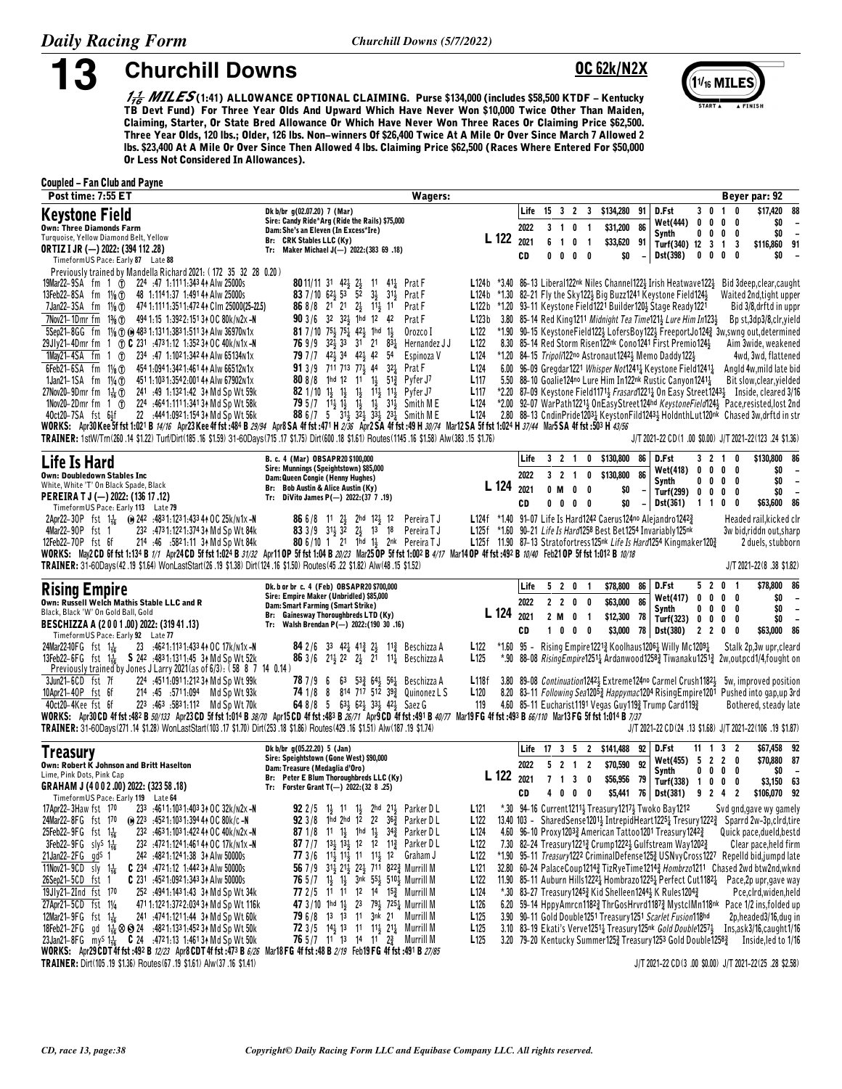13

**Churchill Downs** 

## **OC 62k/N2X**



 $\frac{1}{16}$  MILES(1:41) ALLOWANCE OPTIONAL CLAIMING. Purse \$134,000 (includes \$58,500 KTDF - Kentucky TB Devt Fund) For Three Year Olds And Upward Which Have Never Won \$10,000 Twice Other Than Maiden, Claiming, Starter, Or State Bred Allowance Or Which Have Never Won Three Races Or Claiming Price \$62,500. Three Year Olds, 120 lbs.; Older, 126 lbs. Non-winners Of \$26,400 Twice At A Mile Or Over Since March 7 Allowed 2 Ibs. \$23,400 At A Mile Or Over Since Then Allowed 4 lbs. Claiming Price \$62,500 (Races Where Entered For \$50,000 Or Less Not Considered In Allowances).

### **Coupled - Fan Club and Payne**

| Post time: 7:55 ET                                                                                                                                                                                                                                                                                                                                                                                                                                                                                                                                                                                                                                                                                                                                                                                                                                                                                                                                                                                                                                                                                                                        | Wagers:                                                                                                                                                                                                                                                                                                                                                                                                                                                                                                                                                                                                                                                                                                                                                                                                                                                                                                                                                 |                                                                                                                                                                                                                                  |                                              |                                       |                                            |                                                                                                                                                                                                                                                                                                                                                                                                                                                                                                       |                |                                                                         |                       |                                                        | Beyer par: 92                                                                                                                                                                                                                                                                                                                                                                                                                                                                                                                                                                                                                                                                                                                                                       |
|-------------------------------------------------------------------------------------------------------------------------------------------------------------------------------------------------------------------------------------------------------------------------------------------------------------------------------------------------------------------------------------------------------------------------------------------------------------------------------------------------------------------------------------------------------------------------------------------------------------------------------------------------------------------------------------------------------------------------------------------------------------------------------------------------------------------------------------------------------------------------------------------------------------------------------------------------------------------------------------------------------------------------------------------------------------------------------------------------------------------------------------------|---------------------------------------------------------------------------------------------------------------------------------------------------------------------------------------------------------------------------------------------------------------------------------------------------------------------------------------------------------------------------------------------------------------------------------------------------------------------------------------------------------------------------------------------------------------------------------------------------------------------------------------------------------------------------------------------------------------------------------------------------------------------------------------------------------------------------------------------------------------------------------------------------------------------------------------------------------|----------------------------------------------------------------------------------------------------------------------------------------------------------------------------------------------------------------------------------|----------------------------------------------|---------------------------------------|--------------------------------------------|-------------------------------------------------------------------------------------------------------------------------------------------------------------------------------------------------------------------------------------------------------------------------------------------------------------------------------------------------------------------------------------------------------------------------------------------------------------------------------------------------------|----------------|-------------------------------------------------------------------------|-----------------------|--------------------------------------------------------|---------------------------------------------------------------------------------------------------------------------------------------------------------------------------------------------------------------------------------------------------------------------------------------------------------------------------------------------------------------------------------------------------------------------------------------------------------------------------------------------------------------------------------------------------------------------------------------------------------------------------------------------------------------------------------------------------------------------------------------------------------------------|
| <b>Keystone Field</b><br><b>Own: Three Diamonds Farm</b><br>Turquoise, Yellow Diamond Belt, Yellow<br><b>ORTIZ I JR (-) 2022: (394 112 .28)</b>                                                                                                                                                                                                                                                                                                                                                                                                                                                                                                                                                                                                                                                                                                                                                                                                                                                                                                                                                                                           | Dk b/br g(02.07.20) 7 (Mar)<br>Sire: Candy Ride*Arg (Ride the Rails) \$75,000<br>Dam: She's an Eleven (In Excess*Ire)<br>Br: CRK Stables LLC (Ky)<br>Tr: Maker Michael J(-) 2022: (383 69 .18)                                                                                                                                                                                                                                                                                                                                                                                                                                                                                                                                                                                                                                                                                                                                                          | L 122                                                                                                                                                                                                                            | Life<br>2022<br>2021                         | $3 \quad 1 \quad 0$<br>6 <sub>1</sub> | $\blacksquare$<br>0<br>$\blacksquare$      | 15 3 2 3 \$134,280<br>\$31,200<br>\$33,620 91                                                                                                                                                                                                                                                                                                                                                                                                                                                         | 91<br>86       | D.Fst<br><b>Wet(444)</b><br>Synth<br>Turf(340) 12 3 1 3                 | $3 \t0 \t1$<br>0<br>0 | 0<br>$0\ 0\ 0\ 0$<br>$0\quad 0$                        | \$17,420<br>88<br>\$0<br>\$0<br>$\overline{\phantom{a}}$<br>\$116,860 91                                                                                                                                                                                                                                                                                                                                                                                                                                                                                                                                                                                                                                                                                            |
| TimeformUS Pace: Early 87 Late 88<br>Previously trained by Mandella Richard 2021: (172 35 32 28 0.20)<br>19Mar22-9SA fm 1 (1) 224 :47 1:1111:343 44 Alw 25000s<br>13Feb22-8SA fm 11/8 1<br>48 1:1141:37 1:491 44 Alw 25000s<br>7Jan22-3SA fm 11/ <sub>8</sub> (f) 474 1:111 1:351 1:472 4 A C lm 25000 (25-22.5)<br>7Nov21-1Dmr fm 1% (f) 494 1:15 1:392 2:151 34 OC 80k/n2x -N<br>5Sep21-8GG fm 11/8 (f) (a) 483 1:1311:383 1:511 34 Alw 36970 N1x<br>29Jly21-4Dmr fm 1 (r) C 231 :4731:12 1:352 34 OC 40k/n1x -N<br>1May 21-4SA fm 1 (1) 234 :47 1:1021:342 44 Alw 65134 N 1x<br>$6Feb21-6SA$ fm $1\%$ $\circ$<br>454 1:094 1:342 1:461 44 Alw 66512N1x<br>1 Jan 21 – 1 S A fm $1\frac{1}{4}$ (1)<br>451 1:103 1:354 2:001 44 Alw 67902N1x<br>27Nov20-9Dmr fm $1\frac{1}{16}$ ①<br>241 .49 1:1321:42 34 Md Sp Wt 59k<br>1Nov20-2Dmr fm 1 (f) 224 :4641:1111:3413 Md Sp Wt 58k<br>40ct20-7SA fst 64f<br>22 :4441:0921:15434 Md Sp Wt 56k<br>WORKS: Apr30Kee 5f fst 1:021 B 14/16 Apr23Kee 4f fst :484 B 29/94 Apr8 SA 4f fst :471 H 2/36 Apr2 SA 4f fst :49 H 30/74 Mar12 SA 5f fst 1:024 H 37/44 Mar5 SA 4f fst :503 H 43/56            | <b>80</b> 11/11 31 42 3 2 11 41 <sup>1</sup> Prat F<br><b>83</b> 7/10 62 $\frac{1}{2}$ 53 52<br>3} 31} Prat F<br><b>86</b> 8/8 21 21 2 <sub>3</sub> 11 <sub>3</sub> 11<br>Prat F<br>90 3/6 32 321 1hd 12 42<br>Prat F<br>81 7/10 751 751 421 1hd 11<br>Orozco I<br><b>76</b> 9/9 32 33 31 21<br>$83\frac{1}{4}$ Hernandez JJ<br><b>79</b> 7/7 42 <sup>1</sup> / <sub>3</sub> 34 42 <sup>1</sup> / <sub>3</sub> 42 54<br>Espinoza V<br>91 3/9 711 713 771 44<br>$32\frac{1}{4}$ Prat F<br>80 8/8 1hd 12 11 1 <sup>1</sup> / <sub>2</sub> 51 <sup>2</sup> / <sub>4</sub> Pyfer J <sup>7</sup><br><b>82</b> 1/10 1 <sup>1</sup> / <sub>2</sub> 1 <sup>1</sup> / <sub>2</sub> 1 <sup>1</sup> / <sub>2</sub> 1 <sup>1</sup> / <sub>2</sub> Pyfer J <sup>7</sup><br><b>79</b> 5/7 $1^{\overline{1}1}$ $1^{\overline{1}}_2$ $1^{\overline{1}}_2$ $1^{\overline{1}}_2$ $1^{\overline{1}}_2$ $31^{\overline{1}}_2$ Smith M E<br>88 6/7 5 31 32 33 23 23 Smith ME | L123b<br>L <sub>122</sub><br>L <sub>122</sub><br>L <sub>124</sub><br>L <sub>124</sub><br>L <sub>117</sub><br>L <sub>117</sub><br>L <sub>124</sub><br>L <sub>124</sub>                                                            | <b>CD</b>                                    | 0<br>0                                | $0\quad 0$                                 | \$0<br>L124b *1.30 82-21 Fly the Sky1223 Big Buzz1241 Keystone Field1243<br>L122b *1.20 93-11 Keystone Field1221 Builder120} Stage Ready1221<br>3.80 85-14 Red King1211 Midnight Tea Time121 <sub>2</sub> Lure Him In123 <sub>2</sub><br>8.30 85-14 Red Storm Risen122nk Cono1241 First Premio124}<br>*1.20 84-15 Tripoli122no Astronaut12423 Memo Daddy1223<br>6.00 96-09 Gregdar1221 Whisper Not12414 Keystone Field12414<br>5.50 88-10 Goalie124no Lure Him In122nk Rustic Canyon1241 <sup>1</sup> |                | Dst(398)                                                                |                       | $0\ 0\ 0\ 0$                                           | \$0<br>L124b *3.40 86-13 Liberal122nk Niles Channel1223 Irish Heatwave1223 Bid 3deep, clear, caught<br>Waited 2nd, tight upper<br>Bid 3/8, drftd in uppr<br>Bp st, 3dp3/8, clr, yield<br>*1.90 90-15 KeystoneField1223 LofersBoy1223 FreeportJo1243 3w, swng out, determined<br>Aim 3wide, weakened<br>4wd, 3wd, flattened<br>Angld 4w, mild late bid<br>Bit slow, clear, yielded<br>*2.20 87-09 Keystone Field1171 <sup>1</sup> Frasard1221 <sup>1</sup> On Easy Street1243 <sup>1</sup> Inside, cleared 3/16<br>*2.00 92-07 WarPath1221 <sup>1</sup> OnEasyStreet124hd KeystoneField124 <sup>1</sup> Pace,resisted,lost 2nd<br>2.80 88-13 CndinPride12034 KeystonFild12434 HoldnthLut120nk Chased 3w, drftd in str                                                |
| TRAINER: 1stW/Trn(260.14 \$1.22) Turf/Dirt(185.16 \$1.59) 31-60Days(715.17 \$1.75) Dirt(600.18 \$1.61) Routes(1145.16 \$1.58) Alw(383.15 \$1.76)<br><b>Life Is Hard</b><br><b>Own: Doubledown Stables Inc</b><br>White, White 'T' On Black Spade, Black<br>PEREIRA T J (-) 2022: (136 17 .12)<br>Timeform US Pace: Early 113 Late 79                                                                                                                                                                                                                                                                                                                                                                                                                                                                                                                                                                                                                                                                                                                                                                                                      | B. c. 4 (Mar) OBSAPR20 \$100,000<br>Sire: Munnings (Speightstown) \$85,000<br>Dam: Queen Congie (Henny Hughes)<br>Br: Bob Austin & Alice Austin (Ky)<br>Tr: DiVito James P(-) 2022: (37 7 .19)                                                                                                                                                                                                                                                                                                                                                                                                                                                                                                                                                                                                                                                                                                                                                          | L 124                                                                                                                                                                                                                            | Life<br>2022<br>2021<br>CD                   | 3 2 1<br>0 M<br>0<br>0                | $0\quad 0$<br>$0\quad 0$                   | 3 2 1 0 \$130,800<br>0 \$130,800<br>\$0<br>\$0                                                                                                                                                                                                                                                                                                                                                                                                                                                        | 86<br>86       | D.Fst<br><b>Wet(418)</b><br>Synth<br>Turf(299) 0 0 0 0<br>Dst(361)      | 32<br>1 1 0           | $\mathbf{1}$<br>0<br>$0\ 0\ 0\ 0$<br>$0\ 0\ 0\ 0$<br>0 | J/T 2021-22 CD(1 .00 \$0.00) J/T 2021-22(123 .24 \$1.36)<br>\$130,800 86<br>\$0<br>\$0<br>$\overline{\phantom{a}}$<br>\$0<br>$\overline{\phantom{0}}$<br>86<br>\$63,600                                                                                                                                                                                                                                                                                                                                                                                                                                                                                                                                                                                             |
| 2Apr22-30P fst $1\frac{1}{16}$ (e) 242 :4831:1231:4334 + 0C 25k/n1x -N<br>4Mar22-90P fst 1<br>232 :473 1:122 1:374 34 Md Sp Wt 84k<br>12Feb22-70P fst 6f<br>214 :46 :5821:11 34 Md Sp Wt 84k<br>WORKS: May2CD 6f fst 1:134 B 1/1 Apr24CD 5f fst 1:024 B 31/32 Apr11 OP 5f fst 1:04 B 20/23 Mar25 OP 5f fst 1:002 B 4/17 Mar14 OP 4f fst :492 B 10/40 Feb21 OP 5f fst 1:012 B 10/18<br>TRAINER: 31-60Days(42.19 \$1.64) WonLastStart(26.19 \$1.38) Dirt(124.16 \$1.50) Routes(45.22 \$1.82) Alw(48.15 \$1.52)                                                                                                                                                                                                                                                                                                                                                                                                                                                                                                                                                                                                                              | 86 6/8 11 2 <sup>1</sup> / <sub>2</sub> 2hd 12 <sup>1</sup> / <sub>2</sub> 12<br>Pereira T J<br><b>83</b> 3/9 $31\frac{1}{2}$ $3^{\frac{1}{2}}$ $2\frac{1}{2}$ 1 <sup>3</sup> 18 Pereira TJ<br>80 6/10 1 21 1hd 1} 2nk Pereira TJ                                                                                                                                                                                                                                                                                                                                                                                                                                                                                                                                                                                                                                                                                                                       |                                                                                                                                                                                                                                  |                                              |                                       |                                            | L124f *1.40 91-07 Life Is Hard1242 Caerus124no Aleiandro12423<br>L125f *1.60 90-21 Life Is Hard1258 Best Bet1254 Invariably125nk<br>L125f 11.90 87-13 Stratofortress125nk Life Is Hard1254 Kingmaker1203                                                                                                                                                                                                                                                                                              |                |                                                                         |                       |                                                        | Headed rail, kicked clr<br>3w bid,riddn out,sharp<br>2 duels, stubborn<br>J/T 2021-22(8 .38 \$1.82)                                                                                                                                                                                                                                                                                                                                                                                                                                                                                                                                                                                                                                                                 |
| <b>Rising Empire</b><br>Own: Russell Welch Mathis Stable LLC and R<br>Black, Black 'W' On Gold Ball, Gold<br>BESCHIZZA A (2001.00) 2022: (319 41.13)<br>TimeformUS Pace: Early 92 Late 77                                                                                                                                                                                                                                                                                                                                                                                                                                                                                                                                                                                                                                                                                                                                                                                                                                                                                                                                                 | Dk. b or br c. 4 (Feb) OBSAPR20 \$700,000<br>Sire: Empire Maker (Unbridled) \$85,000<br>Dam: Smart Farming (Smart Strike)<br>Br: Gainesway Thoroughbreds LTD (Ky)<br>Tr: Walsh Brendan P(-) 2022: (190 30 .16)                                                                                                                                                                                                                                                                                                                                                                                                                                                                                                                                                                                                                                                                                                                                          |                                                                                                                                                                                                                                  | Life<br>2022<br><b>L</b> 124 $_{2021}$<br>CD | 5 2 0<br>2 M                          | - 1<br>2200<br>0<br>$\overline{1}$<br>1000 | \$78,800<br>\$63,000<br>\$12,300<br>\$3,000                                                                                                                                                                                                                                                                                                                                                                                                                                                           | 86<br>86<br>78 | D.Fst<br><b>Wet(417)</b><br>Synth<br>Turf(323) 0 0<br>78 Dst(380)       | 00<br>220             | 5 2 0 1<br>0 0 0 0<br>$0\quad 0$<br>$0\quad 0$<br>0    | \$78,800 86<br>\$0<br>$\overline{\phantom{a}}$<br>\$0<br>$\overline{\phantom{a}}$<br>\$0<br>$\overline{\phantom{a}}$<br>\$63,000 86                                                                                                                                                                                                                                                                                                                                                                                                                                                                                                                                                                                                                                 |
| 24Mar2240FG fst $1\frac{1}{16}$<br>23 :4621:1131:4334 + OC 17k/n1x-N<br>13Feb22-6FG fst 1 <sup>1</sup> <sub>16</sub> S 242 :4831:1311:45 3 Mld Sp Wt 52k<br>Previously trained by Jones J Larry 2021(as of $6/3$ ): (58 8 7 14 0.14)<br>3Jun21-6CD fst 7f<br>224 :4511:0911:212 34 Md Sp Wt 99k                                                                                                                                                                                                                                                                                                                                                                                                                                                                                                                                                                                                                                                                                                                                                                                                                                           | <b>84</b> 2/6 33 42 <sup>1</sup> / <sub>2</sub> 41 <sup>2</sup> / <sub>2</sub> 2 <sup>1</sup> / <sub>2</sub><br>11 <sup>3</sup> Beschizza A<br>86 3/6 21 22 2 23 21<br>1 <sup>1</sup> <sub>4</sub> Beschizza A<br><b>78</b> 7/9 6 63 53 <sup>3</sup> / <sub>2</sub> 64 <sup>1</sup> / <sub>2</sub> 56 <sup>1</sup> / <sub>2</sub> Beschizza A                                                                                                                                                                                                                                                                                                                                                                                                                                                                                                                                                                                                           | L <sub>122</sub><br>L <sub>125</sub><br>L <sub>118</sub> f                                                                                                                                                                       | *.90                                         |                                       |                                            | *1.60 95 - Rising Empire 1221 $\frac{3}{4}$ Koolhaus 1206 $\frac{1}{4}$ Willy Mc1209 $\frac{1}{4}$                                                                                                                                                                                                                                                                                                                                                                                                    |                |                                                                         |                       |                                                        | Stalk 2p,3w upr,cleard<br>88-08 Rising Empire12511 Ardanwood12583 Tiwanaku12513 2w, outpcd1/4, fought on<br>3.80 89-08 Continuation1242} Extreme124no Carmel Crush1182} 5w, improved position                                                                                                                                                                                                                                                                                                                                                                                                                                                                                                                                                                       |
| 10Apr21-40P fst 6f<br>214 :45 :5711:094 Md Sp Wt 93k<br>40ct20-4Kee fst 6f<br>223 :463 :5831:112 Md Sp Wt 70k<br>WORKS: Apr30CD 4f fst :482 B 50/133 Apr23CD 5f fst 1:014 B 38/70 Apr15CD 4f fst :483 B 26/71 Apr9CD 4f fst :491 B 40/77 Mar19 FG 4f fst :493 B 66/110 Mar13 FG 5f fst 1:014 B 7/37<br>TRAINER: 31-60Days(271.14 \$1.28) WonLastStart(103.17 \$1.70) Dirt(253.18 \$1.86) Routes(429.16 \$1.51) Alw(187.19 \$1.74)                                                                                                                                                                                                                                                                                                                                                                                                                                                                                                                                                                                                                                                                                                         | 74 1/8 8 814 717 512 39 2Quinonez L S<br>64 8 / 8 5 63 42 62 5 63 42 5 aez G                                                                                                                                                                                                                                                                                                                                                                                                                                                                                                                                                                                                                                                                                                                                                                                                                                                                            | L <sub>120</sub><br>119                                                                                                                                                                                                          |                                              |                                       |                                            | 4.60 85-11 Eucharist1191 Vegas Guy1193 Trump Card1193                                                                                                                                                                                                                                                                                                                                                                                                                                                 |                |                                                                         |                       |                                                        | 8.20 83-11 Following Sea12053 Happymac1204 Rising Empire1201 Pushed into gap,up 3rd<br>Bothered, steady late<br>J/T 2021-22 CD(24 .13 \$1.68) J/T 2021-22(106 .19 \$1.87)                                                                                                                                                                                                                                                                                                                                                                                                                                                                                                                                                                                           |
| Treasury<br>Own: Robert K Johnson and Britt Haselton<br>Lime, Pink Dots, Pink Cap<br>GRAHAM J (4002.00) 2022: (323 58.18)<br>Timeform US Pace: Early 119 Late 64                                                                                                                                                                                                                                                                                                                                                                                                                                                                                                                                                                                                                                                                                                                                                                                                                                                                                                                                                                          | Dk b/br q(05.22.20) 5 (Jan)<br>Sire: Speightstown (Gone West) \$90,000<br>Dam: Treasure (Medaglia d'Oro)<br>Br: Peter E Blum Thoroughbreds LLC (Ky)<br>Tr: Forster Grant $T(-)$ 2022:(32 8 .25)                                                                                                                                                                                                                                                                                                                                                                                                                                                                                                                                                                                                                                                                                                                                                         | L 122                                                                                                                                                                                                                            | 2022<br>2021<br>CD                           |                                       | 5 2 1 2<br>7 1 3 0<br>4000                 | Life 17 3 5 2 \$141,488<br>\$70,590 92<br>\$56,956                                                                                                                                                                                                                                                                                                                                                                                                                                                    | 92<br>79       | D.Fst<br>Wet(455) 5 2 2 0<br>Synth<br>Turf(338)<br>$$5,441$ 76 Dst(381) | 11 1 3<br>100         | -2<br>$0\ 0\ 0\ 0$<br>0<br>9242                        | \$67,458 92<br>\$70,880 87<br>\$0<br>$\overline{\phantom{a}}$<br>\$3,150 63<br>\$106,070 92                                                                                                                                                                                                                                                                                                                                                                                                                                                                                                                                                                                                                                                                         |
| 233 :4611:1031:40334 OC 32k/n2x-N<br>17Apr22-3Haw fst 170<br>24Mar22-8FG fst 170<br>$\Theta$ 223 :4521:1031:3944 + OC 80k/c - N<br>25Feb22-9FG fst $1\frac{1}{16}$<br>232 :4631:1031:4224 + OC 40k/n2x-N<br>$3Feb22-9FG$ slys $1\frac{1}{16}$<br>232 :4721:1241:461 44 OC 17k/n1x -N<br>$21$ Jan22-2FG gd <sup>s</sup> 1<br>242 :4821:1241:38 34 Alw 50000s<br>11Nov21-9CD sly 1 <sup>1</sup> <sub>16</sub><br>C 234 :4721:12 1:442 34 Alw 50000s<br>26Sep21-5CD fst 1<br><b>C</b> 231 :4521:0921:343 34 Alw 50000s<br>19Jly21-2Ind fst 170<br>252 :4941:1431:43 31 Md Sp Wt 34k<br>27Apr21-5CD fst 11/4<br>471 1:122 1:372 2:034 34 Md Sp Wt 116k<br>12Mar21-9FG fst $1\frac{1}{16}$<br>241 .4741.1211.44 34 Md Sp Wt 60k<br>18Feb21-2FG gd 1 <sup>1</sup> <sub>16</sub> $\otimes$ $\otimes$ 24 :4821:1331:45234 Md Sp Wt 50k<br>23Jan21-8FG my <sup>S</sup> 1 <sup>1</sup> / <sub>16</sub> C 24 :4721:13 1:461 34 Md Sp Wt 50k<br>WORKS: Apr29 CDT 4f fst :492 B 12/23 Apr8 CDT 4f fst :473 B 6/26 Mar18 FG 4f fst :48 B 2/19 Feb19 FG 4f fst :491 B 27/85<br>TOATNED, Dirt(105, 10, 01, 20) Douton(07, 10, 01, 01) Aby(27, 10, 01, 41) | 922/5<br>1 <sup>1</sup> / <sub>2</sub> 11 1 <sup>1</sup> / <sub>2</sub> 2hd 21 <sup>1</sup> / <sub>2</sub> Parker D L<br><b>92</b> 3/8 1hd 2hd 12 22 36 <sup>3</sup> / <sub>2</sub> Parker D L<br>87 1/8 11 1 <sup>1</sup> / <sub>2</sub> 1hd 1 <sup>1</sup> / <sub>2</sub><br>34 <sup>3</sup> Parker D L<br>87 7 / 7 13 13 13 12 12 11 Parker D L<br><b>77</b> 3/6 $11\frac{1}{2}$ 11 <sub>2</sub> 11 11 <sub>2</sub> 12<br>Graham J<br>56 7/9 31 21 22 711 822 Murrill M<br>76 5/7 1} 1} 3nk 55} 510} Murrill M<br>77 2/5 11 11 12 14 153 Murrill M<br>47 3/10 1hd 1} 23 79} 725} Murrill M<br>79 6/8 13 13 11 3nk 21 Murrill M<br><b>72</b> $3/5$ 14 $\frac{1}{2}$ 13 11 11 $\frac{1}{2}$ 21 $\frac{1}{4}$ Murrill M<br><b>76</b> 5/7 11 13 14 11 2 $\frac{3}{4}$ Murrill M                                                                                                                                                                          | L <sub>121</sub><br>L <sub>122</sub><br>L <sub>124</sub><br>L122<br>L <sub>122</sub><br>L <sub>121</sub><br>L <sub>122</sub><br>L <sub>124</sub><br>L <sub>126</sub><br>L <sub>125</sub><br>L <sub>125</sub><br>L <sub>125</sub> |                                              |                                       |                                            | *.30 94-16 Current1211 <sup>1</sup> / <sub>2</sub> Treasury 1217 <sup>1</sup> / <sub>2</sub> Twoko Bay 1212<br>4.60 96-10 Proxy12033 American Tattoo1201 Treasury12423<br>7.30 82-24 Treasury 12213 Crump 12223 Gulfstream Way 12023<br>*.30 83–27 Treasury 12453 Kid Shelleen 12443 K Rules 12043<br>3.90 90-11 Gold Double1251 Treasury 1251 Scarlet Fusion 118hd<br>3.10 83-19 Ekati's Verve12514 Treasury125nk Gold Double12574<br>3.20 79-20 Kentucky Summer1253 Treasury1253 Gold Double12583   |                |                                                                         |                       |                                                        | Syd gnd, gave wy gamely<br>13.40 103 - SharedSense1201 <sup>1</sup> / <sub>2</sub> IntrepidHeart1225 <sup>1</sup> / <sub>4</sub> Tresury1222 <sup>2</sup> / <sub>4</sub> Sparrd 2w-3p, clrd, tire<br>Quick pace, dueld, bestd<br>Clear pace, held firm<br>*1.90 95-11 Treasury1222 CriminalDefense1253 USNvyCross1227 Repelld bid, jumpd late<br>32.80 60-24 PalaceCoup12143 TizRyeTime12143 Hombrzo1211 Chased 2wd btw2nd,wknd<br>11.90 85–11 Auburn Hills1222 Hombrazo1225 Perfect Cut1182 Pace, 2p upr, gave way<br>Pce,clrd,widen,held<br>6.20 59-14 HppyAmrcn11823 ThrGosHrvrd11873 MystclMn118nk Pace 1/2 instrolded up<br>2p,headed3/16,dug in<br>Ins,ask3/16,caught1/16<br>Inside, led to 1/16<br>$1/T$ 2021 22 $C D / 2$ 00 $C 000$ $1/T 2021 22722 22722$ |

TRAINER: Dirt(105 .19 \$1.36) Routes(67 .19 \$1.61) Alw(37 .16 \$1.41)

J/T 2021-22 CD(3 .00 \$0.00) J/T 2021-22(25 .28 \$2.58)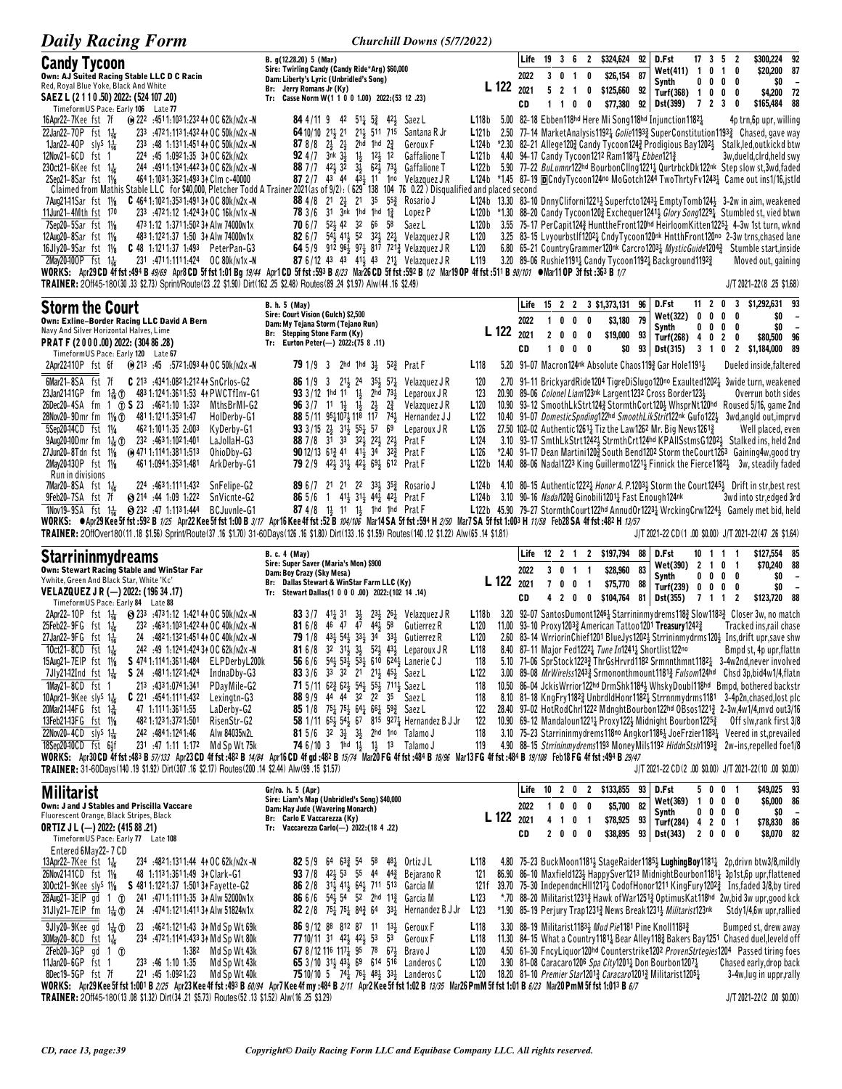| <b>Daily Racing Form</b>                                                                                                                                                                                                                                                                                                                                                                                                                                                                                                                                                                                                                                                                                                                                                                                                                                                                                                                                                                                                                                                 | Churchill Downs (5/7/2022)                                                                                                                                                                                                                                                                                                                                                                                                                                                                                                                                                                                                                                                                                                                                                                                                                                                                                                                                                                                                                                                                                                                                                                                                                                                                                                                                                                   |       |                                  |                                                          |                                                       |                                   |                                                                                            |                |                                                                                                                                                                                                                                            |                                          |                                                                     |                                                                                                                                                                                                                                                                                                                                                                                                                                                                                                                                                                                                                                                                                                                                                                                                                                                                                                                                                                                                                                                                                                                                       |
|--------------------------------------------------------------------------------------------------------------------------------------------------------------------------------------------------------------------------------------------------------------------------------------------------------------------------------------------------------------------------------------------------------------------------------------------------------------------------------------------------------------------------------------------------------------------------------------------------------------------------------------------------------------------------------------------------------------------------------------------------------------------------------------------------------------------------------------------------------------------------------------------------------------------------------------------------------------------------------------------------------------------------------------------------------------------------|----------------------------------------------------------------------------------------------------------------------------------------------------------------------------------------------------------------------------------------------------------------------------------------------------------------------------------------------------------------------------------------------------------------------------------------------------------------------------------------------------------------------------------------------------------------------------------------------------------------------------------------------------------------------------------------------------------------------------------------------------------------------------------------------------------------------------------------------------------------------------------------------------------------------------------------------------------------------------------------------------------------------------------------------------------------------------------------------------------------------------------------------------------------------------------------------------------------------------------------------------------------------------------------------------------------------------------------------------------------------------------------------|-------|----------------------------------|----------------------------------------------------------|-------------------------------------------------------|-----------------------------------|--------------------------------------------------------------------------------------------|----------------|--------------------------------------------------------------------------------------------------------------------------------------------------------------------------------------------------------------------------------------------|------------------------------------------|---------------------------------------------------------------------|---------------------------------------------------------------------------------------------------------------------------------------------------------------------------------------------------------------------------------------------------------------------------------------------------------------------------------------------------------------------------------------------------------------------------------------------------------------------------------------------------------------------------------------------------------------------------------------------------------------------------------------------------------------------------------------------------------------------------------------------------------------------------------------------------------------------------------------------------------------------------------------------------------------------------------------------------------------------------------------------------------------------------------------------------------------------------------------------------------------------------------------|
| <b>Candy Tycoon</b><br>Own: AJ Suited Racing Stable LLC D C Racin<br>Red, Royal Blue Yoke, Black And White<br>SAEZ L (2 1 1 0 .50) 2022: (524 107 .20)                                                                                                                                                                                                                                                                                                                                                                                                                                                                                                                                                                                                                                                                                                                                                                                                                                                                                                                   | B. g(12.28.20) 5 (Mar)<br>Sire: Twirling Candy (Candy Ride*Arg) \$60,000<br>Dam: Liberty's Lyric (Unbridled's Song)<br>Br: Jerry Romans Jr (Ky)<br>Tr: Casse Norm W(1 1 0 0 1.00) 2022:(53 12 .23)                                                                                                                                                                                                                                                                                                                                                                                                                                                                                                                                                                                                                                                                                                                                                                                                                                                                                                                                                                                                                                                                                                                                                                                           |       | Life<br>2022<br>L 122 2021       | $19 \quad 3 \quad 6$<br>3 <sub>0</sub><br>5 <sub>2</sub> | $\overline{1}$<br>$\overline{1}$                      | $\overline{\mathbf{c}}$<br>0<br>0 | \$324,624<br>\$26,154<br>\$125,660 92                                                      | 92<br>87       | D.Fst<br>Wet(411) 1<br>Synth<br>Turf(368) 1 0 0 0                                                                                                                                                                                          | $17$ 3 5 2                               | 0 <sub>1</sub><br>0<br>$0\,0\,0\,0$                                 | \$300,224 92<br>\$20,200 87<br>\$0<br>$\overline{\phantom{a}}$<br>\$4,200 72                                                                                                                                                                                                                                                                                                                                                                                                                                                                                                                                                                                                                                                                                                                                                                                                                                                                                                                                                                                                                                                          |
| TimeformUS Pace: Early 106 Late 77<br>16Apr22-7Kee fst 7f<br><b>(0)</b> 222 :4511:1031:232 4↑ OC 62k/n2x -N<br>22Jan22-70P fst $1\frac{1}{16}$<br>233 :4721:1131:43244 OC 50k/n2x-N<br>1Jan22-40P sly <sup>s</sup> 1 <sup>1</sup> / <sub>16</sub><br>233 :48 1:1311:451 44 OC 50k/n2x-N<br>12Nov21-6CD fst 1<br>224 .45 1.0921.35 34 OC 62k/N2x<br>230ct21-6Kee fst $1\frac{1}{16}$<br>244 :4911:1341:442 34 OC 62k/n2x -N<br>464 1:103 1:362 1:493 34 Clm c-40000<br>2Sep21-8Sar fst 11/8<br>$C$ 464 1:102 1:353 1:491 34 OC 80k/n2x -N<br>7Aug2141Sar fst 11/ <sub>8</sub><br>11Jun21-4Mth fst 170<br>233 :4721:12 1:424 34 OC 16k/n1x -N<br>7Sep20-5Sar fst 11/8<br>473 1:12 1:371 1:502 34 Alw 74000 n1x<br>12Aug20-8Sar fst 11/8<br>483 1:122 1:37 1:50 34 Alw 74000 N1x<br>$16Jly20-9Sar$ fst $1\frac{1}{8}$<br>C 48 1:1211:37 1:493 PeterPan-G3<br>2May20400P fst 1 <sup>1</sup> / <sub>6</sub><br>231 :4711:1111:424 0C 80k/n1x-N<br>TRAINER: 20ff45-180(30.33 \$2.73) Sprint/Route (23.22 \$1.90) Dirt (162.25 \$2.48) Routes (89.24 \$1.97) Alw (44.16 \$2.49) | <b>84</b> 4/11 9 42 511 53 421 Saez L<br>211 511 715<br>$6410/10$ $21\frac{1}{2}$ $21$<br>L121 <sub>b</sub><br>Santana R Jr<br>87 8/8 $2\frac{1}{2}$ $2\frac{1}{2}$<br>2hd 1hd $2\frac{3}{4}$<br>Geroux F<br><b>92</b> 4/7 $3nk$ $3\frac{1}{2}$<br>$1\frac{1}{2}$ $12\frac{1}{2}$ 12<br><b>Gaffalione T</b><br><b>88</b> 7/7 42 <sup>1</sup> / <sub>2</sub> 32 3 <sup>1</sup> / <sub>2</sub> 62 <sup>1</sup> / <sub>2</sub> 73 <sup>1</sup> / <sub>2</sub> Gaffalione T<br>L122b<br>87 2/7 43 44 $43\frac{1}{2}$ 11 1 <sup>no</sup> Velazquez JR<br>Claimed from Mathis Stable LLC for \$40,000, Pletcher Todd A Trainer 2021 (as of 9/2): (629 138 104 76 0.22) Disqualified and placed second<br>88 4/8 21 23 21 35 55 Rosario J<br><b>78</b> $3/6$ $31$ $3nk$ $1hd$ $1hd$ $1\frac{3}{6}$<br>Lopez P<br>70 6 / 7 5 2 4 4 2 3 2 6 5 5 8<br>Saez L<br>L120b<br>82 6/7 543 413 52 323 223 Velazquez JR<br>L <sub>120</sub><br>64 5/9 912 96 $\frac{1}{2}$ 97 817 721 & Velazquez J R<br>L120<br><b>87</b> 6/12 43 43 414 43 214 Velazquez JR<br>L <sub>119</sub><br>WORKS: Apr29CD 4f fst:494 B 49/69 Apr8 CD 5f fst 1:01 Bg 19/44 Apr1 CD 5f fst:593 B 8/23 Mar26CD 5f fst:592 B 1/2 Mar19 OP 4f fst:511 B 90/101 War11 OP 3f fst:363 B 1/7                                                                                                                                                  | L118b | CD                               | $1\quad1$                                                | 0                                                     | 0                                 | \$77,380<br>L121b 4.40 94-17 Candy Tycoon1212 Ram1187 $\frac{1}{4}$ Ebben121 $\frac{3}{4}$ |                | 92 Dst(399)<br>5.00 82-18 Ebben118hd Here Mi Song118hd Injunction11821<br>3.20 89-06 Rushie11911 Candy Tycoon11921 Background11921                                                                                                         | 723                                      | 0                                                                   | \$165,484 88<br>4p trn,6p upr, willing<br>2.50 77-14 MarketAnalysis1192 <sub>4</sub> Golie1193 <sub>4</sub> SuperConstitution1193 <sub>4</sub> Chased, gave way<br>L124b $*2.30$ 82-21 Allege120 $\frac{3}{4}$ Candy Tycoon124 $\frac{3}{4}$ Prodigious Bay1202 $\frac{1}{2}$ Stalk, led, outkickd btw<br>3w, dueld, cird, held swy<br>5.90 77-22 BuLumnr122hd BourbonClIng12211 QurtrbckDk122nk Step slow st, 3wd, faded<br>L124b *1.45 87-19 DCndyTycoon124no MoGotch1244 TwoThrtyFv12431 Came out ins1/16,jstld<br>L124b 13.30 83-10 DnnyCliforni1221 <sub>2</sub> Superfcto1243 <sub>2</sub> EmptyTomb124 $\frac{1}{2}$ 3-2w in aim, weakened<br>$L120b$ *1.30 88-20 Candy Tycoon120 $\frac{3}{2}$ Exchequer1241 $\frac{1}{2}$ Glory Song1229 $\frac{1}{4}$ Stumbled st, vied btwn<br>3.55 75-17 PerCapit1243 HunttheFront120hd HeirloomKitten12251 4-3w 1st turn, wknd<br>3.25 83-15 Lyyourbstlf12021 CndyTycoon120nk HntthFront120no 2-3w trns, chased lane<br>6.80 65-21 Country Grammer 120nk Carcro 120 <sup>3</sup> Mystic Guide 120 <sup>4</sup> 3 Stumble start, inside<br>Moved out, gaining<br>J/T 2021-22(8.25 \$1.68) |
| <b>Storm the Court</b><br>Own: Exline-Border Racing LLC David A Bern<br>Navy And Silver Horizontal Halves, Lime<br>PRAT F (2000.00) 2022: (304 86.28)<br>TimeformUS Pace: Early 120 Late 67                                                                                                                                                                                                                                                                                                                                                                                                                                                                                                                                                                                                                                                                                                                                                                                                                                                                              | B. h. 5 (May)<br>Sire: Court Vision (Gulch) \$2,500<br>Dam: My Tejana Storm (Tejano Run)<br>Br: Stepping Stone Farm (Ky)<br>Tr: Eurton Peter(-) 2022:(75 8.11)                                                                                                                                                                                                                                                                                                                                                                                                                                                                                                                                                                                                                                                                                                                                                                                                                                                                                                                                                                                                                                                                                                                                                                                                                               |       | Life<br>2022<br>L 122 2021<br>CD | 0<br>1<br>2 <sub>0</sub><br>$1\quad 0$                   | 0<br>$\pmb{0}$<br>$0\quad 0$                          | 0<br>0                            | 15 2 2 3 \$1,373,131<br>\$3,180<br>\$19,000<br>\$0                                         | 96<br>79<br>93 | D.Fst<br>Wet(322)<br>Synth<br>Turf(268)<br>93 Dst(315)                                                                                                                                                                                     | 11 2<br>0<br>0<br>00<br>4<br>0<br>3 1 0  | 3<br>0<br>0<br>0<br>0<br>0<br>$\overline{2}$<br>0<br>$\overline{2}$ | \$1,292,631 93<br>\$0<br>\$0<br>\$80,500<br>96<br>\$1,184,000 89                                                                                                                                                                                                                                                                                                                                                                                                                                                                                                                                                                                                                                                                                                                                                                                                                                                                                                                                                                                                                                                                      |
| 2Apr22410P fst 6f<br>(a) 213 :45 :5721:093 44 OC 50k/n2x -N<br>6Mar21-8SA fst 7f<br>C 213 :4341:0821:21244 SnCrlos-G2<br>23Jan2141GP<br>fm $1\frac{3}{16}$ $\textcircled{1}$<br>26Dec20-4SA fm 1 ① S 23 :4621:10 1:332<br>MthsBrMI-G2<br>28Nov20-9Dmr fm 11/ <sub>8</sub> (f) 481 1:121 1:353 1:47<br>HolDerby-G1<br>5Sep20-14CD fst 11/4<br>462 1:101 1:35 2:003<br>KyDerby-G1<br>9Aug20-10Dmr fm 1 <sup>1</sup> <sub>16</sub> (1) 232 :4631:1021:401<br>LaJollaH-G3<br>27Jun20-8Tdn fst 11/8 (0 471 1:114 1:381 1:513<br>OhioDby-G3<br>2May20430P fst 11/8<br>4611:0941:3531:481<br>ArkDerby-G1                                                                                                                                                                                                                                                                                                                                                                                                                                                                        | L <sub>118</sub><br>2hd 1hd $3\frac{1}{2}$ 52 $\frac{3}{4}$ Prat F<br>791/93<br>120<br>$21\frac{1}{2}$ 24 $35\frac{1}{2}$ 57 $\frac{1}{4}$ Velazquez J R<br><b>86</b> 1/9 3<br>$933/12$ 1hd 11 1<br>2hd $73\frac{1}{2}$<br>123<br>Leparoux J R<br><b>96</b> $3/7$ 11 1 $\frac{1}{2}$ 1 $\frac{1}{2}$<br>$2\frac{1}{2}$<br>$2\frac{3}{4}$<br>Velazquez J R<br>L120<br><b>88</b> 5/11 $95\frac{1}{4}$ 107 $\frac{1}{2}$ 118 117 74 $\frac{1}{2}$<br>Hernandez J J<br>L122<br><b>93</b> 3/15 2 $\frac{1}{2}$ 31 $\frac{1}{2}$ 55 $\frac{1}{4}$ 57<br>L <sub>126</sub><br>69<br>Leparoux JR<br>88 7 / 8 31 33 32 32 22 3 22 3<br>L <sub>124</sub><br>Prat F<br><b>90</b> 12/13 61 <sub>2</sub> 41 41 <sub>2</sub> 34 32 <sub>3</sub><br>Prat F<br>L <sub>126</sub><br>79 2/9 423 313 423 693 612 Prat F<br>L122b                                                                                                                                                                                                                                                                                                                                                                                                                                                                                                                                                                                 |       |                                  |                                                          |                                                       |                                   |                                                                                            |                | 5.20 91-07 Macron124nk Absolute Chaos1193 Gar Hole11911<br>20.90 89-06 Colonel Liam123nk Largent1232 Cross Border1233<br>27.50 102-02 Authentic12611 Tiz the Law1262 Mr. Big News12612                                                     |                                          |                                                                     | Dueled inside, faltered<br>2.70 91-11 BrickyardRide1204 TigreDiSlugo120no Exaulted12021 3wide turn, weakened<br>Overrun both sides<br>10.90 93–12 SmoothLkStrt1243 StormthCort1203 WhsprNt120hd Roused 5/16, game 2nd<br>10.40 91-07 DomesticSpnding122hd SmoothLikStrit122nk Gufo1223 3wd,angld out, imprvd<br>Well placed, even<br>3.10 93-17 SmthLkStrt1242} StrmthCrt124hd KPAIISstmsG1202} Stalked ins, held 2nd<br>*2.40 91-17 Dean Martini120 <sup>3</sup> South Bend1202 Storm the Court1263 Gaining 4w, good try<br>14.40 88-06 Nadal1223 King Guillermo1221; Finnick the Fierce1182; 3w, steadily faded                                                                                                                                                                                                                                                                                                                                                                                                                                                                                                                     |
| Run in divisions<br>7Mar20-8SA fst $1\frac{1}{16}$<br>224 4631.1111.432<br>SnFelipe-G2<br>9Feb20-7SA fst 7f<br>● 214 44 1:09 1:222<br>SnVicnte-G2<br>1Nov19-9SA fst 1 $\frac{1}{16}$ (323 :47 1:1131:444<br>BCJuvnle-G1                                                                                                                                                                                                                                                                                                                                                                                                                                                                                                                                                                                                                                                                                                                                                                                                                                                  | 89 6 / 7 21 21 22 33 35 35 2<br>Rosario J<br><b>86</b> 5/6 1 41 31 44 42 $\frac{1}{4}$ Prat F<br>87 4/8 1} 11 1} 1hd 1hd Prat F<br>WORKS: ● Apr29 Kee 5f fst :592 B 1/25 Apr22 Kee 5f fst 1:00 B 3/17 Apr16 Kee 4f fst :52 B 104/106 Mar14SA 5f fst :594 H 2/50 Mar7 SA 5f fst 1:003 H 11/58 Feb28 SA 4f fst :482 H 13/57<br>TRAINER: 2OffOver180(11.18 \$1.56) Sprint/Route(37.16 \$1.70) 31-60Days(126.16 \$1.80) Dirt(133.16 \$1.59) Routes(140.12 \$1.22) Alw(65.14 \$1.81)                                                                                                                                                                                                                                                                                                                                                                                                                                                                                                                                                                                                                                                                                                                                                                                                                                                                                                              |       |                                  |                                                          |                                                       |                                   |                                                                                            |                | L124b 3.10 90-16 Nada/120 $\frac{3}{4}$ Ginobili1201 $\frac{1}{4}$ Fast Enough 124nk                                                                                                                                                       |                                          |                                                                     | L124b 4.10 80-15 Authentic1222 <sub>4</sub> Honor A. P.1203 <sub>2</sub> Storm the Court1245 <sub>2</sub> Drift in str, best rest<br>3wd into str, edged 3rd<br>L122b 45.90 79-27 StormthCourt122hd AnnudOr1223 $\frac{1}{4}$ WrckingCrw1224 $\frac{1}{2}$ Gamely met bid, held<br>J/T 2021-22 CD(1.00 \$0.00) J/T 2021-22(47.26 \$1.64)                                                                                                                                                                                                                                                                                                                                                                                                                                                                                                                                                                                                                                                                                                                                                                                              |
| <b>Starrininmydreams</b><br>Own: Stewart Racing Stable and WinStar Far<br>Ywhite, Green And Black Star, White 'Kc'<br>VELAZQUEZ J R (-) 2022: (196 34 .17)                                                                                                                                                                                                                                                                                                                                                                                                                                                                                                                                                                                                                                                                                                                                                                                                                                                                                                               | <b>B. c. 4 (May)</b><br>Sire: Super Saver (Maria's Mon) \$900<br>Dam: Boy Crazy (Sky Mesa)<br>Br: Dallas Stewart & WinStar Farm LLC (Ky)<br>Tr: Stewart Dallas(1 0 0 0 .00) 2022:(102 14 .14)                                                                                                                                                                                                                                                                                                                                                                                                                                                                                                                                                                                                                                                                                                                                                                                                                                                                                                                                                                                                                                                                                                                                                                                                |       | Life<br>2022<br>L 122 2021<br>CD | $12 \t2 \t1$<br>30<br>70<br>42                           | $\overline{1}$<br>0                                   | -1<br>$\overline{1}$              | 2 \$197,794<br>\$28,960<br>\$75,770                                                        | 88<br>83<br>88 | D.Fst<br>Wet(390)<br>Synth<br>Turf(239) 0<br>0 0 \$104,764 81 Dst(355)                                                                                                                                                                     | 10 1 1<br>$\overline{2}$<br>0<br>7 1 1 2 | -1<br>101<br>$0\,0\,0\,0$<br>$\mathbf 0$<br>0                       | \$127,554 85<br>\$70,240 88<br>\$0<br>$\overline{\phantom{a}}$<br>\$0<br>$\overline{\phantom{a}}$<br>\$123,720 88                                                                                                                                                                                                                                                                                                                                                                                                                                                                                                                                                                                                                                                                                                                                                                                                                                                                                                                                                                                                                     |
| TimeformUS Pace: Early 84 Late 88<br>2Apr22-10P fst $1\frac{1}{16}$ $\bigcirc$ 233 :4731:12 1:4214+0C 50k/n2x -N<br>25Feb22-9FG fst 116<br>232 :463 1:103 1:422 44 OC 40k/n2x -N<br>27Jan22-9FG fst 1 <sup>1</sup> <sub>16</sub><br>24 :4821:1321:451 44 OC 40k/n2x -N<br>242 :49 1:124 1:424 34 OC 62k/n2x -N<br>10ct21-8CD fst 1 <del>1<sub>6</sub></del><br>15Aug21-7EIP fst 11/8<br>S 474 1:114 1:361 1:484<br>ELPDerbyL200k<br>7Jly2142Ind fst $1\frac{1}{16}$<br>S 24 .4811.1221.424<br>IndnaDby-G3<br>1May21-8CD fst 1<br>213 .4331:0741:341<br>PDayMile-G2<br>10Apr21-9Kee sly <sup>S</sup> $1\frac{1}{16}$<br><b>C</b> 221 $.4541.1111.432$<br>Lexingtn-G3<br>20Mar21–14FG fst 1 용<br>47 1:1111:3611:55<br>LaDerby-G2<br>13Feb2143FG fst 11/8<br>482 1:123 1:372 1:501<br>RisenStr-G2<br>22Nov20-4CD sly <sup>S</sup> 1 <sup>1</sup> / <sub>16</sub><br>Alw 84035N2L<br>242 :484 1:124 1:46<br>18Sep20-10CD fst 64f<br>231 47 1.11 1.172<br>Md Sp Wt 75k<br>TRAINER: 31-60Days(140 .19 \$1.92) Dirt(307 .16 \$2.17) Routes(200 .14 \$2.44) Alw(99 .15 \$1.57)   | <b>83</b> 3/7 41 <sup>1</sup> / <sub>2</sub> 31 3 <sup>1</sup> / <sub>3</sub> 23 <sup>1</sup> / <sub>3</sub> 26 <sup>1</sup> / <sub>2</sub> Velazquez JR<br><b>81</b> 6/8 46 47 47 44 58<br>L120<br>Gutierrez R<br>79 1/8 433 543 333 34 333 Gutierrez R<br>L <sub>120</sub><br><b>81</b> 6/8 32 31 <sup>1</sup> / <sub>2</sub> 3 <sup>1</sup> / <sub>2</sub> 52 <sup>1</sup> / <sub>2</sub> 43 <sup>1</sup> / <sub>2</sub> Leparoux JR<br>L <sub>118</sub><br>56 6/6 $54\frac{1}{2}$ 53 $\frac{1}{2}$ 53 $\frac{1}{2}$ 610 624 $\frac{1}{2}$ Lanerie C J<br>118<br>83 3/6 33 32 21 21 45 Saez L<br>L <sub>122</sub><br>71 5/11 623 623 543 553 7113 Saez L<br>118<br>88 9/9 44 44 32 22 35 Saez L<br>118<br><b>85</b> 1/8 7 <sup>5</sup> <sup>1</sup> <sub>4</sub> 7 <sup>5</sup> <sup>1</sup> <sub>3</sub> 6 <sup>4</sup> <sup>1</sup> <sub>4</sub> 6 <sup>6</sup> <sup>1</sup> <sub>4</sub> 5 <sup>9</sup> <sup>2</sup> <sub>4</sub> Saez L<br>122<br>58 1/11 65 $\frac{1}{2}$ 54 $\frac{1}{2}$ 67 815 927 $\frac{1}{4}$ Hernandez B J Jr<br>122<br>81 5/6 32 3 $\frac{1}{2}$ 3 $\frac{1}{2}$ 2hd 1no Talamo J<br>118<br>119<br><b>74</b> 6/10 3 1hd 1 $\frac{1}{2}$ 1 $\frac{1}{2}$ 13 Talamo J<br>WORKS: Apr30 CD 4f fst :483 B 57/133 Apr23 CD 4f fst :482 B 14/84 Apr16 CD 4f gd :482 B 15/74 Mar20 FG 4f fst :484 B 18/96 Mar13 FG 4f fst :484 B 19/108 Feb18 FG 4f fst :494 B 29/47 |       |                                  |                                                          |                                                       |                                   |                                                                                            |                | 11.00 93-10 Proxy12033 American Tattoo1201 Treasury12423<br>8.40 87-11 Major Fed12221 Tune In12411 Shortlist122no<br>10.90 69-12 Mandaloun1221 $\frac{1}{4}$ Proxy122 $\frac{1}{2}$ Midnight Bourbon1225 $\frac{3}{4}$                     |                                          |                                                                     | L118b 3.20 92-07 SantosDumont12464 Starrininmydrems1184 Slow11834 Closer 3w, no match<br>Tracked ins.rail chase<br>2.60 83-14 WrriorinChief1201 BlueJys12023 Strrininmydrms1203 Ins, drift upr, save shw<br>Bmpd st, 4p upr, flattn<br>5.10 71-06 SprStock12233 ThrGsHrvrd1182 Srmnnthmnt11821 3-4w2nd, never involved<br>3.00 89-08 MrWirelss12433 Srmononthmount11813 Fulsom124hd Chsd 3p, bid4w1/4, flatn<br>10.50 86-04 JckisWrrior122hd DrmShk11841 WhskyDoubl118hd Bmpd, bothered backstr<br>8.10 81-18 KngFry11823 UnbrdldHonr11821 Strrnnmydrms1181 3-4p2n, chased, lost plc<br>28.40 97-02 HotRodChrI1222 MdnghtBourbon122hd OBsos1221} 2-3w,4w1/4,mvd out3/16<br>Off slw,rank first 3/8<br>3.10 75-23 Starrininmy drems 118 <sup>no</sup> Angkor 1186 <sub>4</sub> Joe Frzier 1183 <sub>4</sub> Veered in st, prevailed<br>4.90 88-15 Strrininmydrems1193 MoneyMils1192 HiddnStsh11933 2w-ins, repelled foe1/8<br>$J/T 2021-22 CD (2.00 $0.00) J/T 2021-22 (10.00 $0.00)$                                                                                                                                                   |
| <b>Militarist</b><br>Own: J and J Stables and Priscilla Vaccare<br>Fluorescent Orange, Black Stripes, Black<br><b>ORTIZ J L (-) 2022: (415 88 .21)</b><br>TimeformUS Pace: Early 77 Late 108                                                                                                                                                                                                                                                                                                                                                                                                                                                                                                                                                                                                                                                                                                                                                                                                                                                                             | Gr/ro. h. 5 (Apr)<br>Sire: Liam's Map (Unbridled's Song) \$40,000<br>Dam: Hay Jude (Wavering Monarch)<br>Br: Carlo E Vaccarezza (Kv)<br>Tr: Vaccarezza Carlo(-) 2022: (18 4 .22)                                                                                                                                                                                                                                                                                                                                                                                                                                                                                                                                                                                                                                                                                                                                                                                                                                                                                                                                                                                                                                                                                                                                                                                                             |       | Life<br>2022<br>L 122 2021<br>CD | 10<br>1<br>4 <sub>1</sub>                                | 2 0 2<br>0<br>$0\quad 0$<br>0 <sub>1</sub><br>2 0 0 0 |                                   | \$133,855 93 D.Fst<br>\$5,700<br>\$78,925 93<br>\$38,895                                   | 82             | Wet(369)<br>Synth<br>Turf(284) 4 2 0 1<br>93 Dst(343)                                                                                                                                                                                      | 1000<br>2000                             | 5 0 0 1<br>$0\,0\,0\,0$                                             | \$49,025 93<br>\$6,000 86<br>\$0<br>\$78,830 86<br>\$8,070 82                                                                                                                                                                                                                                                                                                                                                                                                                                                                                                                                                                                                                                                                                                                                                                                                                                                                                                                                                                                                                                                                         |
| Entered 6May22-7 CD<br>13Apr22-7Kee fst $1\frac{1}{16}$<br>234 :4821:1311:44 41 OC 62k/n2x -N<br>26Nov2141CD fst 11/8<br>48 1:113 1:361 1:49 34 Clark-G1<br>300ct21-9Kee sly <sup>s</sup> 11/ <sub>8</sub><br>S 481 1:122 1:37 1:501 34 Fayette-G2<br>28Aug21-3EIP gd 1 1<br>241 .4711.1111.35 34 Alw 52000 N1x<br>31Jly21-7EIP fm 1倍①<br>24 :4741:1211:41131 Alw 51824N1x                                                                                                                                                                                                                                                                                                                                                                                                                                                                                                                                                                                                                                                                                               | <b>82</b> 5/9 64 63 <sup>3</sup> <sub>4</sub> 54 58 48 <sup>1</sup> <sub>4</sub> Ortiz JL<br>L118<br>93 7/8 42 53 55 44 44 Bejarano R<br>121<br><b>86</b> 2/8 3 <sup>1</sup> / <sub>2</sub> 4 <sup>1</sup> / <sub>2</sub> 6 <sup>4</sup> / <sub>2</sub> 7 <sup>11</sup> 5 <sup>13</sup> Garcia M<br>86 6/6 543 54 52 2hd 11 $\frac{3}{4}$ Garcia M<br>L123<br><b>82</b> 2/8 75 <sup>1</sup> / <sub>4</sub> 75 <sup>1</sup> / <sub>4</sub> 84 <sup>2</sup> / <sub>4</sub> 64 33 <sup>1</sup> / <sub>4</sub> Hernandez B J Jr<br>L <sub>123</sub>                                                                                                                                                                                                                                                                                                                                                                                                                                                                                                                                                                                                                                                                                                                                                                                                                                              | 121 f |                                  |                                                          |                                                       |                                   |                                                                                            |                | *1.90 85-19 Perjury Trap12313 News Break12313 Militarist123nk                                                                                                                                                                              |                                          |                                                                     | 4.80 75-23 BuckMoon1181 <sup>1</sup> / <sub>3</sub> StageRaider118 <sup>51</sup> / <sub>3</sub> LughingBoy1181 <sup>1</sup> / <sub>4</sub> 2p, drivn btw3/8, mildly<br>86.90 86-10 Maxfield1234 HappySver1213 MidnightBourbon11814 3p1st, 6p upr, flattened<br>39.70 75-30 IndependncHII12171 CodofHonor1211 KingFury12023 Ins, faded 3/8, by tired<br>*.70 88-20 Militarist12313 Hawk of War12513 Optimus Kat118hd 2w, bid 3w upr, good kck<br>Stdy1/4,6w upr,rallied                                                                                                                                                                                                                                                                                                                                                                                                                                                                                                                                                                                                                                                                |
| 9Jly20-9Kee gd 1 <sup>1</sup> <sub>16</sub> 1<br>23 :4621:1211:43 3 Md Sp Wt 69k<br>30May20-8CD fst $1\frac{1}{16}$<br>234 .4721:1141:433 34 Md Sp Wt 80k<br>$2Feb20-3GP$ gd 1 $\pi$<br>1:382 Md Sp Wt 43k<br>11Jan20-6GP fst 1<br>233 46 1.10 1.35<br>Md Sp Wt 43k<br>8Dec19-5GP fst 7f<br>221 .45 1:0921:23<br>Md Sp Wt 40k                                                                                                                                                                                                                                                                                                                                                                                                                                                                                                                                                                                                                                                                                                                                            | 86 9/12 88 812 87 11 131 Geroux F<br>L <sub>118</sub><br><b>77</b> 10/11 31 42 <sub>3</sub> 42 <sub>3</sub> 53 53<br>L <sub>118</sub><br>Geroux F<br>L <sub>120</sub><br><b>67</b> 8/12 116 117 95 78 67 Brave J<br>65 3/10 313 433 69 614 516 Landeros C<br>L <sub>120</sub><br><b>75</b> 10/10 5 74 <sup>2</sup> 76 <sup>2</sup> 48 <sup>2</sup> 33 <sup>2</sup> Landeros C<br>L <sub>120</sub><br>WORKS: Apr29 Kee 5f fst 1:001 B 2/25 Apr23 Kee 4f fst :493 B 60/94 Apr7 Kee 4f my :484 B 2/11 Apr2 Kee 5f fst 1:02 B 13/35 Mar26 PmM 5f fst 1:01 B 6/23 Mar20 PmM 5f fst 1:01 B 6/7                                                                                                                                                                                                                                                                                                                                                                                                                                                                                                                                                                                                                                                                                                                                                                                                     |       |                                  |                                                          |                                                       |                                   |                                                                                            |                | 3.30 88-19 Militarist11833 Mud Pie1181 Pine Knoll11833<br>3.90 81-08 Caracaro1206 Spa City12011 Don Bourbon12071<br>18.20 81-10 <i>Premier Star</i> 1201 <sup>3</sup> Caracaro1201 <sup>3</sup> Militarist1205 <sup>1</sup> / <sub>2</sub> |                                          |                                                                     | Bumped st, drew away<br>11.30 84-15 What a Country 1181 <sub>4</sub> Bear Alley 118 <sub>4</sub> Bakers Bay 1251 Chased duel, leveld off<br>4.50 61-30 FncyLiquor120hd Counterstrike1202 ProvenStrtegies1204 Passed tiring foes<br>Chased early, drop back<br>3-4w, lug in uppr, rally                                                                                                                                                                                                                                                                                                                                                                                                                                                                                                                                                                                                                                                                                                                                                                                                                                                |
| TRAINER: 2Off45-180(13.08 \$1.32) Dirt(34.21 \$5.73) Routes(52.13 \$1.52) Alw(16.25 \$3.29)                                                                                                                                                                                                                                                                                                                                                                                                                                                                                                                                                                                                                                                                                                                                                                                                                                                                                                                                                                              |                                                                                                                                                                                                                                                                                                                                                                                                                                                                                                                                                                                                                                                                                                                                                                                                                                                                                                                                                                                                                                                                                                                                                                                                                                                                                                                                                                                              |       |                                  |                                                          |                                                       |                                   |                                                                                            |                |                                                                                                                                                                                                                                            |                                          |                                                                     | J/T 2021-22(2.00 \$0.00)                                                                                                                                                                                                                                                                                                                                                                                                                                                                                                                                                                                                                                                                                                                                                                                                                                                                                                                                                                                                                                                                                                              |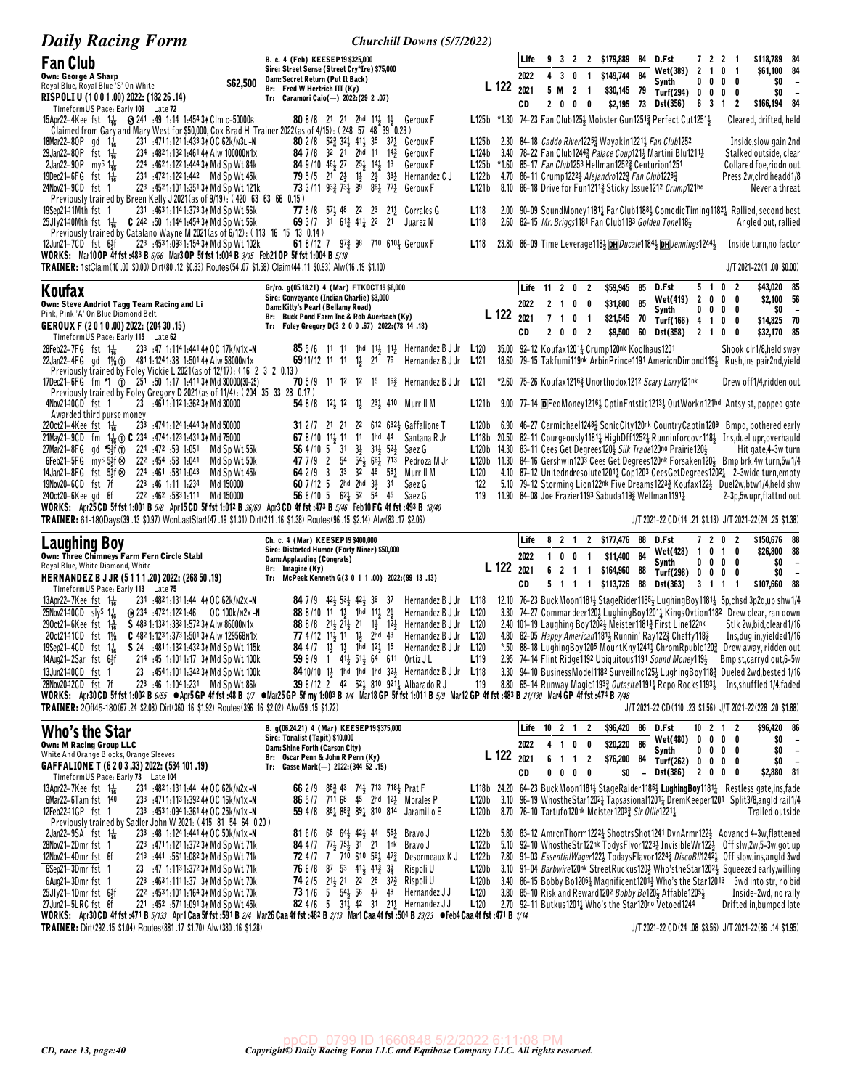| <b>Daily Racing Form</b>                                                                                                                                                                                                                                                                                                                                                                                                                                                                                                                                                                                                                                                                                                                                                                                                                                                                | Churchill Downs (5/7/2022)                                                                                                                                                                                                                                                                                                                                                                                                                                                                                                                                                                                                   |                                                                                                     |                                                                                                                                                                                                                                                                                                                                                                                                                                                                                                                                                                                                                                                                                                                                                                                                                                                                                                                                              |
|-----------------------------------------------------------------------------------------------------------------------------------------------------------------------------------------------------------------------------------------------------------------------------------------------------------------------------------------------------------------------------------------------------------------------------------------------------------------------------------------------------------------------------------------------------------------------------------------------------------------------------------------------------------------------------------------------------------------------------------------------------------------------------------------------------------------------------------------------------------------------------------------|------------------------------------------------------------------------------------------------------------------------------------------------------------------------------------------------------------------------------------------------------------------------------------------------------------------------------------------------------------------------------------------------------------------------------------------------------------------------------------------------------------------------------------------------------------------------------------------------------------------------------|-----------------------------------------------------------------------------------------------------|----------------------------------------------------------------------------------------------------------------------------------------------------------------------------------------------------------------------------------------------------------------------------------------------------------------------------------------------------------------------------------------------------------------------------------------------------------------------------------------------------------------------------------------------------------------------------------------------------------------------------------------------------------------------------------------------------------------------------------------------------------------------------------------------------------------------------------------------------------------------------------------------------------------------------------------------|
| <b>Fan Club</b><br>Own: George A Sharp<br>\$62,500<br>Royal Blue, Royal Blue 'S' On White<br>RISPOLI U (1001.00) 2022: (182 26 .14)<br>TimeformUS Pace: Early 109 Late 72                                                                                                                                                                                                                                                                                                                                                                                                                                                                                                                                                                                                                                                                                                               | B. c. 4 (Feb) KEESEP19 \$325,000<br>Sire: Street Sense (Street Cry*Ire) \$75,000<br>Dam: Secret Return (Put It Back)<br>Br: Fred W Hertrich III (Ky)<br>Tr: Caramori Caio(-) 2022:(29 2 .07)                                                                                                                                                                                                                                                                                                                                                                                                                                 | L 122 2021                                                                                          | \$118,789 84<br>Life<br>9 3 2 2 \$179,889<br>D.Fst<br>$\overline{2}$<br>84<br>72<br>$\overline{\mathbf{1}}$<br>Wet(389) 2 1 0 1<br>\$61,100 84<br>\$149,744 84<br>2022<br>4 3 0 1<br>$$0 -$<br>Synth<br>0<br>$0\quad 0$<br>0<br>5 M<br>$2 \quad 1$<br>\$30,145 79<br>\$0<br>$0\quad 0\quad 0$<br>Turf(294) 0<br>$\overline{\phantom{a}}$<br>2000<br>\$2,195<br>\$166,194 84<br>CD<br>73 Dst(356)<br>6 3 1<br>$\overline{2}$                                                                                                                                                                                                                                                                                                                                                                                                                                                                                                                  |
| 15Apr22-4Kee fst 1 <sup>1</sup> / <sub>16</sub> S 241 :49 1:14 1:454 3 Clm c-50000B<br>Claimed from Gary and Mary West for \$50,000, Cox Brad H Trainer 2022 (as of 4/15): (248 57 48 39 0.23)<br>18Mar22-80P gd $1\frac{1}{16}$<br>231 :4711:1211:433 34 OC 62k/N3L-N<br>29Jan22-80P fst 1 <sup>1</sup> / <sub>16</sub><br>234 :4821:1321:461 44 Alw 100000N1x<br>2Jan22-90P my <sup>S</sup> $1\frac{1}{16}$<br>224 :4621:1221:4443 Md Sp Wt 84k<br>$19Dec21-6FG$ fst $1\frac{7}{16}$<br>234 :4721:1221:442 Md Sp Wt 45k<br>24Nov21-9CD fst 1<br>223 :4521:1011:3513 Md Sp Wt 121k<br>Previously trained by Breen Kelly J 2021 (as of 9/19): (420 63 63 66 0.15)<br>231 :463 1:114 1:373 34 Md Sp Wt 56k<br>19Sep21–11Mth fst 1                                                                                                                                                        | 808/8 21 21 2hd 113 13 Geroux F<br><b>80</b> 2/8 52 $\frac{3}{4}$ 32 $\frac{1}{2}$ 41 $\frac{1}{2}$ 35 37 $\frac{1}{4}$ Geroux F<br>84 7/8 32 21 2hd 11 14 <sup>3</sup> Geroux F<br><b>84</b> 9/10 46 $\frac{1}{2}$ 27 25 $\frac{1}{2}$ 14 $\frac{1}{2}$ 13<br>Geroux F<br><b>79</b> 5/5 21 $2\frac{1}{2}$ 1 <sup>1</sup> / <sub>2</sub> $2\frac{1}{2}$ 3 <sup>2</sup> / <sub>4</sub> Hernandez C J<br>73 3/11 93 $\frac{3}{4}$ 73 $\frac{1}{4}$ 89 86 $\frac{1}{4}$ 77 $\frac{1}{4}$ Geroux F<br><b>77</b> 5/8 57 <sup>1</sup> / <sub>2</sub> 48 22 23 21 <sup>1</sup> / <sub>2</sub> Corrales G                            | L125b<br>L124b<br>L122 b<br>L121b<br>L118                                                           | L125b *1.30 74-23 Fan Club1253 Mobster Gun12513 Perfect Cut12513<br>Cleared, drifted, held<br>2.30 84-18 <i>Caddo River</i> 1225 <sup>3</sup> Wayakin1221 <sup>1</sup> Fan Club1252<br>Inside, slow gain 2nd<br>3.40 78-22 Fan Club12443 Palace Coup1213 Martini Blu12111<br>Stalked outside, clear<br>L125b *1.60 85-17 Fan Club1253 Hellman12523 Centurion1251<br>Collared foe,riddn out<br>4.70 86-11 Crump1222 <sub>2</sub> Alejandro122 <sub>3</sub> Fan Club1228 <sub>3</sub><br>Press 2w,clrd,headd1/8<br>8.10 86-18 Drive for Fun1211 <sup>3</sup> Sticky Issue1212 Crump121hd<br>Never a threat<br>2.00 90-09 SoundMoney11814 FanClub11884 ComedicTiming11824 Rallied, second best                                                                                                                                                                                                                                                  |
| 25Jly2140Mth fst 11 C 242 :50 1:1441:454 34 Md Sp Wt 56k<br>Previously trained by Catalano Wayne M 2021 (as of 6/12): (113 16 15 13 0.14)<br>223 :453 1:093 1:154 34 Md Sp Wt 102k<br>12Jun21-7CD fst 6½f<br>WORKS: Mar10 OP 4f fst:483 B 6/66 Mar3 OP 5f fst 1:004 B 3/15 Feb21 OP 5f fst 1:004 B 5/18<br>TRAINER: 1stClaim(10.00 \$0.00) Dirt(80.12 \$0.83) Routes(54.07 \$1.58) Claim(44.11 \$0.93) Alw(16.19 \$1.10)                                                                                                                                                                                                                                                                                                                                                                                                                                                                | 69 3 / 7 31 6 1 $\frac{3}{4}$ 4 1 $\frac{1}{4}$ 2 21<br>Juarez N<br>61 8/12 7 97 $\frac{3}{4}$ 98 710 610 $\frac{1}{4}$ Geroux F                                                                                                                                                                                                                                                                                                                                                                                                                                                                                             | L <sub>118</sub><br>L <sub>118</sub>                                                                | 2.60 82-15 Mr. Briggs1181 Fan Club1183 Golden Tone1181<br>Angled out, rallied<br>23.80 86-09 Time Leverage 118 5 DH Ducale 1184 5 DH Jennings 1244 3<br>Inside turn, no factor<br>J/T 2021-22(1.00 \$0.00)                                                                                                                                                                                                                                                                                                                                                                                                                                                                                                                                                                                                                                                                                                                                   |
| Koufax<br>Own: Steve Andriot Tagg Team Racing and Li<br>Pink, Pink 'A' On Blue Diamond Belt<br>GEROUX F (2010.00) 2022: (204 30.15)<br>TimeformUS Pace: Early 115 Late 62                                                                                                                                                                                                                                                                                                                                                                                                                                                                                                                                                                                                                                                                                                               | Gr/ro. g(05.18.21) 4 (Mar) FTKOCT19\$8,000<br>Sire: Conveyance (Indian Charlie) \$3,000<br>Dam: Kitty's Pearl (Bellamy Road)<br>Br: Buck Pond Farm Inc & Rob Auerbach (Ky)<br>Tr: Foley Gregory D(3 2 0 0 .67) 2022:(78 14 .18)                                                                                                                                                                                                                                                                                                                                                                                              | L 122                                                                                               | D.Fst<br>0<br>\$43,020 85<br>Life 11 2 0 2<br>\$59,945<br>85<br>51<br>-2<br>\$2,100 56<br>Wet(419)<br>$\overline{2}$<br>$0\quad 0$<br>0<br>2022<br>2 1 0 0<br>\$31,800<br>85<br>Synth<br>0<br>$0\quad 0$<br>0<br>\$0<br>$\overline{\phantom{a}}$<br>2021<br>7 1 0 1<br>\$21,545<br>70<br>Turf(166) 4 1<br>\$14,825 70<br>0<br>0<br>CD<br>2 0 0 2<br>\$9,500<br>\$32,170 85<br>60<br>Dst(358)<br>2 1 0<br>0                                                                                                                                                                                                                                                                                                                                                                                                                                                                                                                                   |
| 28Feb22-7FG $f$ st $1\frac{1}{16}$<br>233 :47 1:1141:441 44 OC 17k/n1x -N<br>22Jan22-4FG gd 11/8 \to 481 1:124 1:38 1:501 44 Alw 58000 n1x<br>Previously trained by Foley Vickie L 2021 (as of 12/17): (16 2 3 2 0.13)<br>17Dec21-6FG fm *1 0 251 50 1:17 1:411 34 Md 30000(30-25)<br>Previously trained by Foley Gregory D 2021(as of 11/4): (204 35 33 28 0.17)<br>23 :4611:1121:362 34 Md 30000<br>4Nov2140CD fst 1                                                                                                                                                                                                                                                                                                                                                                                                                                                                  | <b>85</b> 5/6 11 11 1 <sup>1</sup> 1 <sup>1</sup> 1 <sup>1</sup> 1 <sup>1</sup> 1 <sup>1</sup> Hernandez B J Jr <b>L</b> 120<br><b>69</b> 11/12 11 11 1 <sub>3</sub> 21 76 Hernandez B J Jr L121<br>70 5/9 11 12 12 15 16 <sup>3</sup> Hernandez B J Jr<br><b>54</b> 8/8 12 <sup>1</sup> / <sub>3</sub> 12 1 <sup>1</sup> / <sub>3</sub> 2 <sup>3</sup> / <sub>1</sub> 410 Murrill M                                                                                                                                                                                                                                         | L121<br>L121b                                                                                       | 35.00 92-12 Koufax12014 Crump120nk Koolhaus1201<br>Shook clr1/8,held sway<br>18.60 79-15 Takfumi119nk ArbinPrince1191 AmericnDimond1194 Rush, ins pair2nd, yield<br>*2.60 75-26 Koufax12163 Unorthodox1212 Scary Larry121nk<br>Drew off1/4,ridden out<br>9.00 77-14 DFedMoney12164 CptinFntstic12134 OutWorkn121hd Antsy st, popped gate                                                                                                                                                                                                                                                                                                                                                                                                                                                                                                                                                                                                     |
| Awarded third purse money<br>233 :4741:1241:44434 Md 50000<br>220ct21-4Kee fst 116<br>21May21-9CD fm 1 <sup>1</sup> / <sub>16</sub> (b) C 234 :4741:1231:4313 + Md 75000<br>27Mar21-8FG gd *51f 1<br>224 :472 :59 1:051<br>Md Sp Wt 55k<br>$6Feb21-5FG$ my <sup>s</sup> $5\frac{1}{2}f$ $\otimes$<br>222 :454 :58 1:041<br>Md Sp Wt 50k<br>14Jan21-8FG fst 5∯⊗<br>224 461 5811.043<br>Md Sp Wt 45k<br>223 46 1.11 1.234<br>19Nov20-6CD fst 7f<br>Md 150000<br>240ct20-6Kee gd 6f<br>222 462 5831.111<br>Md 150000<br>WORKS: Apr25 CD 5f fst 1:001 B $5\%$ Apr15 CD 5f fst 1:012 B $36/60$ Apr3 CD 4f fst :473 B $5/46$ Feb10 FG 4f fst :493 B $18/40$<br>TRAINER: 61-180Days(39.13 \$0.97) WonLastStart(47.19 \$1.31) Dirt(211.16 \$1.38) Routes(96.15 \$2.14) Alw(83.17 \$2.06)                                                                                                        | 31 2/7 21 21 22 612 632 Gaffalione T<br>67 8/10 11 11 11 1 1 14 Santana R Jr<br>56 4/10 5 31 34 314 524 Saez G<br>47 7/9 2 54 5 $\frac{1}{2}$ 66 $\frac{1}{4}$ 713 Pedroza M Jr<br>64 2/9 3 33 32 46 58 <sup>1</sup> / <sub>2</sub> Murrill M<br>60 7/12 5 2hd 2hd 31 34<br>Saez G<br>56 6/10 5 621 52 54 45 Saez G                                                                                                                                                                                                                                                                                                          | L120b<br>L <sub>120</sub><br>122<br>119                                                             | 6.90 46-27 Carmichael1248 <sub>2</sub> SonicCity120 <sup>nk</sup> CountryCaptin1209 Bmpd, bothered early<br>L118b 20.50 82-11 Courgeously1181 HighDff1252 kunninforcovr118 Ins, duel upr, overhauld<br>L120b 14.30 83-11 Cees Get Degrees 120} Silk Trade120no Prairie 120}<br>Hit gate, 4-3w turn<br>L120b 11.30 84-16 Gershwin1203 Cees Get Degrees120nk Forsaken120} Bmp brk,4w turn,5w1/4<br>4.10 87-12 Unitedndresolute12011 Cop1203 CeesGetDegrees12021 2-3wide turn, empty<br>5.10 79-12 Storming Lion122nk Five Dreams12233 Koufax1223 Duel2w, btw1/4, held shw<br>11.90 84-08 Joe Frazier1193 Sabuda1193 Wellman11911<br>2-3p,5wupr,flattnd out<br>J/T 2021-22 CD (14 .21 \$1.13) J/T 2021-22 (24 .25 \$1.38)                                                                                                                                                                                                                       |
| Laughing Boy<br>Own: Three Chimneys Farm Fern Circle Stabl<br>Royal Blue, White Diamond, White<br>HERNANDEZ B J JR (5111.20) 2022: (268 50.19)<br>Timeform US Pace: Early 113 Late 75                                                                                                                                                                                                                                                                                                                                                                                                                                                                                                                                                                                                                                                                                                   | Ch. c. 4 (Mar) KEESEP19 \$400,000<br>Sire: Distorted Humor (Forty Niner) \$50,000<br>Dam: Applauding (Congrats)<br>Br: Imagine (Ky)<br>Tr: McPeek Kenneth G(3 0 1 1 .00) 2022: (99 13 .13)                                                                                                                                                                                                                                                                                                                                                                                                                                   | <b>L</b> 122 $_{2021}$                                                                              | D.Fst<br>7202<br>\$150,676 88<br>Life<br>8 2 1 2 \$177,476<br>88<br>Wet(428) $1 \t0 \t1$<br>0<br>\$26,800 88<br>84<br>2022<br>1 0 0 1<br>\$11,400<br>\$0<br>$0\ 0\ 0\ 0$<br>Synth<br>$\overline{\phantom{a}}$<br>6 2 1 1<br>\$164,960<br>88<br>Turf(298) 0<br>\$0<br>$0\quad 0$<br>0<br>$\overline{\phantom{a}}$<br>5 1 1 1 \$113,726<br>CD<br>88 Dst(363)<br>3 1 1 1<br>\$107,660 88                                                                                                                                                                                                                                                                                                                                                                                                                                                                                                                                                        |
| 13Apr22-7Kee fst $1\frac{1}{16}$<br>234 :4821:1311:44 41 OC 62k/N2x -N<br>$25$ Nov $2140CD$ slys $1\frac{1}{16}$<br>$\Theta$ 234 :4721:1221:46 OC 100k/n2x-N<br>290ct21-6Kee fst 1휿<br>$S$ 483 1:133 1:383 1:572 34 Alw 86000 N1 $\times$<br>20ct2141CD fst 11/8<br>C 482 1:123 1:373 1:501 34 Alw 129568 N1x<br>19Sep21-4CD fst 1 <sup>1</sup> <sub>16</sub> S 24 :4811:1321:4323 A Md Sp Wt 115k<br>$14$ Aug21-2Sar fst $6\frac{1}{2}$ f<br>214 :45 1:1011:17 34 Md Sp Wt 100k<br>13Jun2140CD fst 1<br>23 :4541:1011:342 34 Md Sp Wt 100k<br>28Nov2042CD fst 7f<br>223 :46 1:1041:231 Md Sp Wt 86k<br>WORKS: Apr30 CD 5f fst 1:002 B 6/55 @Apr5 GP 4f fst :48 B 1/7 @Mar25 GP 5f my 1:003 B 1/4 Mar18 GP 5f fst 1:011 B 5/9 Mar12 GP 4f fst :438 B 21/130 Mar4 GP 4f fst :474 B 7/48<br>TRAINER: 20ff45-180(67.24 \$2.08) Dirt(360.16 \$1.92) Routes(396.16 \$2.02) Alw(59.15 \$1.72) | <b>84</b> 7 / 9 4 <sup>2</sup> 4 $\frac{1}{2}$ 5 $\frac{3}{2}$ 4 $\frac{2}{2}$ 3 6 3 7<br>Hernandez B J Jr<br>88 8/10 11 11 1hd 111 21<br>Hernandez B J Jr<br>88 8/8 21 21 21 1 1 1 2 Hernandez B J Jr<br>77 4/12 11 <sub>2</sub> 11 1 <sub>2</sub> 2hd 43<br>Hernandez B J Jr<br><b>84</b> 4/7 $1\frac{1}{2}$ $1\frac{1}{2}$ 1 <sup>h</sup> d $12\frac{1}{2}$ 1 <sup>5</sup> Hernandez B J Jr<br>59 9/9 1 41 <sup>1</sup> / <sub>2</sub> 51 <sup>1</sup> / <sub>2</sub> 64 611 Ortiz JL<br>84 10/10 1 <sup>1</sup> / <sub>2</sub> 1hd 1hd 1hd $32\frac{1}{2}$ Hernandez B J Jr L118<br>39 6/12 2 42 52 810 921 Albarado R J | L118<br>L <sub>120</sub><br>L <sub>120</sub><br>L <sub>120</sub><br>L120<br>L <sub>119</sub><br>119 | 12.10 76-23 BuckMoon1181 <sup>1</sup> / <sub>2</sub> StageRider1185 <sup>1</sup> / <sub>2</sub> LughingBoy1181 <sup>1</sup> / <sub>4</sub> 5p,chsd 3p2d,up shw1/4<br>3.30 74-27 Commandeer1204 LughingBoy12014 KingsOvtion1182 Drew clear, ran down<br>2.40 101-19 Laughing Boy 1202 Meister 1181 First Line 122nk<br>Stlk 2w, bid, cleard 1/16<br>4.80 82-05 Happy American1181 <sup>1</sup> / <sub>2</sub> Runnin' Ray122 <sup>3</sup> / <sub>4</sub> Cheffy118 <sup>3</sup> / <sub>4</sub><br>Ins, dug in, yielded 1/16<br>*.50 88-18 LughingBoy1205 MountKny12412 ChromRpublc1202 Drew away, ridden out<br>2.95 74-14 Flint Ridge1192 Ubiquitous1191 Sound Money1191 Bmp st, carryd out, 6-5w<br>3.30 94-10 BusinessModel1182 Surveillnc1251 LughingBoy1183 Dueled 2wd, bested 1/16<br>8.80 65-14 Runway Magic11933 Outasite11911 Repo Rocks11931 Ins, shuffled 1/4, faded<br>J/T 2021-22 CD(110 .23 \$1.56) J/T 2021-22(228 .20 \$1.88) |
| Who's the Star<br><b>Own: M Racing Group LLC</b><br>White And Orange Blocks, Orange Sleeves<br>GAFFALIONE T (6 2 0 3 .33) 2022: (534 101 .19)<br>TimeformUS Pace: Early 73 Late 104                                                                                                                                                                                                                                                                                                                                                                                                                                                                                                                                                                                                                                                                                                     | B. g(06.24.21) 4 (Mar) KEESEP19 \$375,000<br>Sire: Tonalist (Tapit) \$10,000<br>Dam: Shine Forth (Carson City)<br>Br: Oscar Penn & John R Penn (Ky)<br>Tr: Casse Mark(-) 2022: (344 52 .15)                                                                                                                                                                                                                                                                                                                                                                                                                                  | L 122 2021                                                                                          | Life 10 2 1 2<br>\$96,420<br>D.Fst<br>\$96,420 86<br>86  <br>$10 \t2 \t1 \t2$<br>Wet(480) 0 0 0 0<br>$$0 -$<br>86<br>\$20,220<br>2022<br>4 1 0 0<br>$$0 -$<br>Synth<br>$0\,$ 0 $\,$ 0 $\,$ 0<br>\$76,200 84 Turf(262) 0 0 0 0<br>6 1 1 2<br>$$0 -$<br>$0\quad 0\quad 0\quad 0$<br>CD<br>\$0<br><b>Dst(386)</b><br>2 0 0 0<br>\$2,880 81<br>$\equiv$                                                                                                                                                                                                                                                                                                                                                                                                                                                                                                                                                                                          |
| 13Apr22-7Kee fst $1\frac{1}{16}$<br>234 :4821:1311:44 44 OC 62k/n2x-N<br>6Mar22-6Tam fst 140<br>233 :4711:1131:392 44 OC 16k/n1x-N<br>12Feb2241GP fst 1<br>233 :453 1:094 1:361 44 OC 25k/n1x-N<br>Previously trained by Sadler John W 2021: (415 81 54 64 0.20)<br>233 :48 1:124 1:441 44 OC 50k/n1x -N<br>$2$ Jan22-9SA fst 1 $\frac{1}{16}$                                                                                                                                                                                                                                                                                                                                                                                                                                                                                                                                          | 66 2/9 853 43 743 713 7183 Prat F<br>86 5/7 711 68 45 2hd 121 Morales P<br>59 4/8 861 882 891 810 814 Jaramillo E<br><b>81</b> 6/6 65 64 42 44 55 Rrave J                                                                                                                                                                                                                                                                                                                                                                                                                                                                    | L120 b<br>L122 b                                                                                    | L118b 24.20 64-23 Buck Moon1181 <sup>1</sup> / <sub>2</sub> Stage Raider 1185 <sup>1</sup> / <sub>2</sub> Lughing Boy 1181 <sup>1</sup> / <sub>4</sub> Restless gate, ins, fade<br>3.10 96–19 Whosthe Star 1202 <sup>1</sup> Tapsasional 1201 <sup>1</sup> Drem Keeper 1201 Split 3/8, angld rail 1/4<br>L120b 8.70 76-10 Tartufo120nk Meister12033 Sir Ollie12211<br>Trailed outside<br>5.80 83-12 AmrcnThorm12221 ShootrsShot1241 DvnArmr1221 Advancd 4-3w,flattened                                                                                                                                                                                                                                                                                                                                                                                                                                                                       |
| 28Nov21-2Dmr fst 1<br>223 :4711:1211:372 34 Md Sp Wt 71k<br>12Nov21-4Dmr fst 6f<br>213 :441 :5611:082 34 Md Sp Wt 71k<br>6Sep21-3Dmr fst 1<br>23 :47 1:113 1:372 34 Md Sp Wt 71k<br>6Aug21-3Dmr fst 1<br>223 :4631:1111:37 34 Md Sp Wt 70k<br>$25Jly21-1Dmr$ fst $6Jf$<br>222 :4531:1011:164 34 Md Sp Wt 70k<br>27Jun21-5LRC fst 6f<br>221 :452 :5711:09131 Md Sp Wt 45k<br>WORKS: Apr30 CD 4f fst :471 B 5/133 Apr1 Caa 5f fst :591 B 2/4 Mar26 Caa 4f fst :482 B 2/13 Mar1 Caa 4f fst :504 B 23/23 • Feb4 Caa 4f fst :471 B 1/14                                                                                                                                                                                                                                                                                                                                                      | <b>84</b> 4/7 77 $\frac{1}{2}$ 75 $\frac{1}{2}$ 31 21 1nk Bravo J<br>72 4/7 7 710 610 58 $\frac{1}{2}$ 47 $\frac{3}{4}$ Desormeaux KJ<br>76 6/8 87 53 41 <sup>1</sup> / <sub>2</sub> 41 <sup>2</sup> / <sub>4</sub> 3 <sup>2</sup> / <sub>4</sub> Rispoli U<br>74 2/5 212 21 22 25 373 Rispoli U<br>73 1/6 5 54 56 47 48 Hernandez JJ<br>82 4/6 5 31 $\frac{1}{2}$ 42 31 21 <sub>4</sub> Hernandez JJ                                                                                                                                                                                                                        | L122 b<br>L122 b<br>L120 b<br>L120<br>L120                                                          | 5.10 92-10 WhostheStr122nk TodysFlvor12231 InvisibleWr1221 Off slw,2w,5-3w,got up<br>7.80 91-03 EssentialWager1223 TodaysFlavor12243 DiscoBI/124 <sup>2</sup> 3 Off slow, ins, angld 3wd<br>3.10 91-04 Barbwire120nk StreetRuckus1201 Who'stheStar12021 Squeezed early, willing<br>L120b 3.40 86-15 Bobby Bo1206 <sup>1</sup> Magnificent1201 <sup>1</sup> Who's the Star12013 3wd into str, no bid<br>3.80 85-10 Risk and Reward1202 Bobby Bo1201 Affable12051<br>Inside-2wd, no rally<br>2.70 92-11 Butkus12011 Who's the Star120no Vetoed1244<br>Drifted in, bumped late                                                                                                                                                                                                                                                                                                                                                                  |
| TRAINER: Dirt(292.15 \$1.04) Routes(881.17 \$1.70) Alw(380.16 \$1.28)                                                                                                                                                                                                                                                                                                                                                                                                                                                                                                                                                                                                                                                                                                                                                                                                                   |                                                                                                                                                                                                                                                                                                                                                                                                                                                                                                                                                                                                                              |                                                                                                     | J/T 2021-22 CD (24 .08 \$3.56) J/T 2021-22 (86 .14 \$1.95)                                                                                                                                                                                                                                                                                                                                                                                                                                                                                                                                                                                                                                                                                                                                                                                                                                                                                   |

 $\label{eq:2022} \begin{array}{c} \text{ppCD} \quad 0799 \text{ ID } 1660848 \text{ 5/}2/2022 \text{ 6:11:08 PM}\\ \textit{Copyrights Daily Racing Form LLC and Equibase Company LLC. All rights reserved.} \end{array}$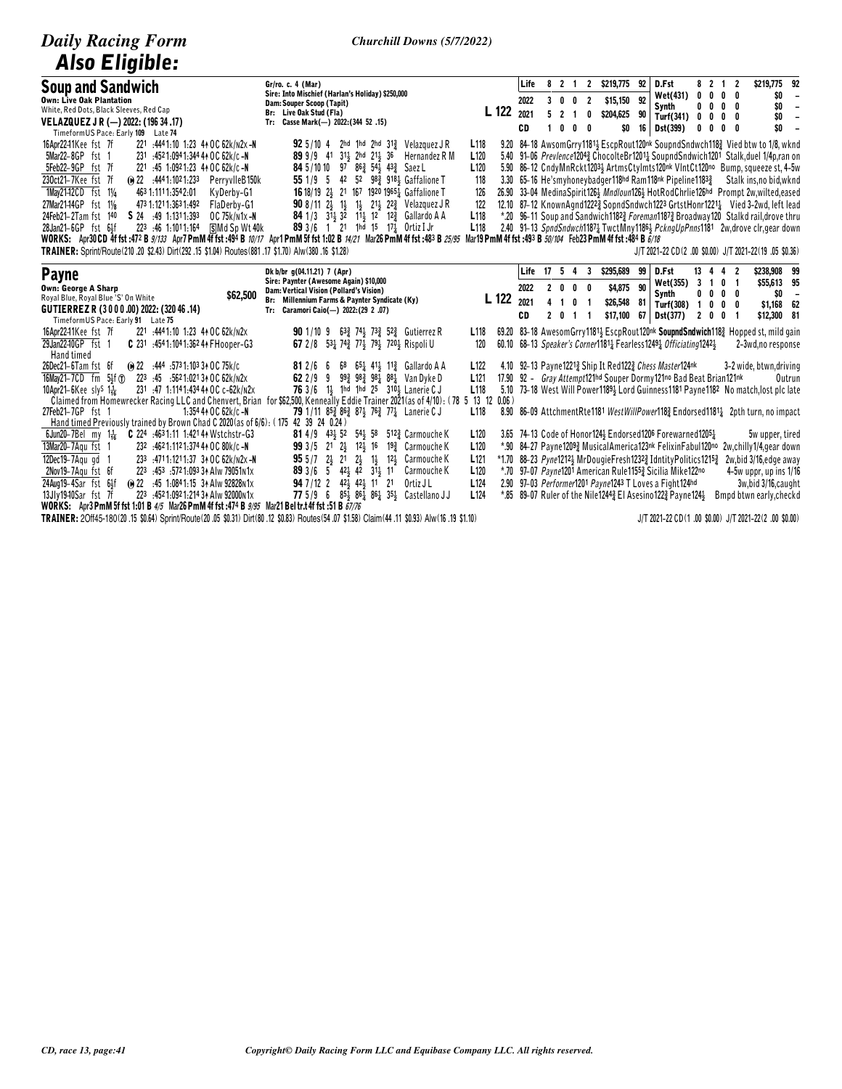| <b>Daily Racing Form</b><br><b>Also Eligible:</b>                                                                                                                                                                                                                                                                                                                                                                                                                                                                                                                                                                                                                                                                                           | <b>Churchill Downs (5/7/2022)</b>                                                                                                                                                                                                                                                                                                                                                                                                                                                                                                                                   |                                                                                                                                                                                                                                                                                                                                                                                                                                                                                                                                                                                                                                                                                                                                                                                                                                                                |
|---------------------------------------------------------------------------------------------------------------------------------------------------------------------------------------------------------------------------------------------------------------------------------------------------------------------------------------------------------------------------------------------------------------------------------------------------------------------------------------------------------------------------------------------------------------------------------------------------------------------------------------------------------------------------------------------------------------------------------------------|---------------------------------------------------------------------------------------------------------------------------------------------------------------------------------------------------------------------------------------------------------------------------------------------------------------------------------------------------------------------------------------------------------------------------------------------------------------------------------------------------------------------------------------------------------------------|----------------------------------------------------------------------------------------------------------------------------------------------------------------------------------------------------------------------------------------------------------------------------------------------------------------------------------------------------------------------------------------------------------------------------------------------------------------------------------------------------------------------------------------------------------------------------------------------------------------------------------------------------------------------------------------------------------------------------------------------------------------------------------------------------------------------------------------------------------------|
| <b>Soup and Sandwich</b><br><b>Own: Live Oak Plantation</b><br>White, Red Dots, Black Sleeves, Red Cap<br>VELAZQUEZ J R (-) 2022: (196 34 .17)<br>TimeformUS Pace: Early 109 Late 74                                                                                                                                                                                                                                                                                                                                                                                                                                                                                                                                                        | Gr/ro. c. 4 (Mar)<br>Sire: Into Mischief (Harlan's Holiday) \$250,000<br>Dam: Souper Scoop (Tapit)<br>L 122<br>Br: Live Oak Stud (Fla)<br>Tr: Casse Mark(-) 2022: (344 52 .15)                                                                                                                                                                                                                                                                                                                                                                                      | D.Fst<br>8 2 1 2<br>\$219,775 92<br>Life<br>8 2 1 2<br>\$219,775 92<br>Wet(431)<br>0<br>$0\quad 0\quad 0$<br>\$O<br>\$15,150 92<br>2022<br>3 0 0 2<br>0<br>\$0<br>Synth<br>$0\quad 0\quad 0$<br>$\sim$<br>2021<br>521<br>\$204,625 90<br>0<br><b>Turf(341)</b><br>0<br>\$0<br>0<br>0<br>0<br>$\blacksquare$<br>\$0<br>16 Dst(399)<br>CD<br>1000<br>\$0<br>0<br>0<br>0<br>0<br>$\overline{\phantom{a}}$                                                                                                                                                                                                                                                                                                                                                                                                                                                         |
| 16Apr2241Kee fst 7f<br>221 :4441:10 1:23 44 OC 62k/n2x-N<br>5Mar22-8GP fst 1<br>231 :4521:0941:344 44 OC 62k/c-N<br>5Feb22-9GP fst 7f<br>221 :45 1:0921:23 44 OC 62k/c -N<br>230ct21-7Kee fst 7f<br>(a) 22 :4441:1021:233<br>PerryvlleB150k<br>1Mav21-12CD fst 11/4<br>463 1:111 1:354 2:01<br>KvDerbv-G1<br>27Mar21-14GP fst 11/8<br>473 1:121 1:363 1:492<br>FlaDerby-G1<br>24Feb21-2Tam fst 140<br>S 24 :49 1:1311:393<br>OC 75k/n1x-N<br>28Jan21-6GP fst 64f<br>223 :46 1:1011:164<br>§Md Sp Wt 40k<br>WORKS: Apr30 CD 4f fst :472 B 9/133 Apr7 PmM 4f fst :494 B 10/17 Apr1 PmM 5f fst 1:02 B 14/21 Mar26 PmM 4f fst :483 B 25/95<br>TRAINER: Sprint/Route(210.20 \$2.43) Dirt(292.15 \$1.04) Routes(881.17 \$1.70) Alw(380.16 \$1.28) | <b>92</b> $5/10$ 4 2hd 1hd 2hd $31\frac{3}{2}$ Velazquez JR<br>L <sub>118</sub><br>89 9/9 41 311 2hd 211 36<br>L <sub>120</sub><br>Hernandez R M<br>84 5/10 10 97 863 543 433 Saez L<br>L120<br>55 1/9 5 42 52 98 <sup>3</sup> / <sub>4</sub> 918 <sup>1</sup> / <sub>2</sub> Gaffalione T<br>118<br>16 18/19 24 21 167 1920 19654 Gaffalione T<br>126<br><b>90</b> 8/11 2} 1} 1} 21} 22} Velazquez JR<br>122<br>84 1/3 31 32 11 12 12 Gallardo A A<br>L <sub>118</sub><br>89 3/6 1 21 1hd 15 171 Ortiz I Jr<br>L <sub>118</sub>                                    | 9.20 84-18 Awsom Grry 1181 3 Escp Rout 120nk Soupnd Sndwch 118 3 Vied btw to 1/8, wknd<br>5.40 91-06 Prevlence12043 ChocolteBr12011 SoupndSndwich1201 Stalk, duel 1/4p, ran on<br>5.90 86-12 CndyMnRckt12033 ArtmsCtylmts120nk VIntCt120no Bump, squeeze st, 4-5w<br>3.30 65-16 He'smyhoneybadger118hd Ram118nk Pipeline11833<br>Stalk ins.no bid.wknd<br>26.90 33-04 MedinaSpirit126} Mndloun126} HotRodChrlie126hd Prompt 2w,wilted,eased<br>12.10 87-12 KnownAgnd12223 SopndSndwch1223 GrtstHonr1221 3 Vied 3-2wd, left lead<br>*.20 96-11 Soup and Sandwich 1182 <sup>3</sup> Foreman 1187 <sup>3</sup> Broadway 120 Stalkd rail, drove thru<br>2.40 91-13 SpndSndwch11871 TwctMny11861 PckngUpPnns1181 2w, drove clr, gear down<br>Mar19 PmM 4f fst :493 B 50/104 Feb23 PmM 4f fst :484 B 6/18<br>J/T 2021-22 CD(2 .00 \$0.00) J/T 2021-22(19 .05 \$0.36) |
| <b>Payne</b><br><b>Own: George A Sharp</b><br>\$62,500<br>Royal Blue, Royal Blue 'S' On White<br>GUTIERREZ R (3000.00) 2022: (32046.14)<br>TimeformUS Pace: Early 91 Late 75                                                                                                                                                                                                                                                                                                                                                                                                                                                                                                                                                                | Dk b/br q(04.11.21) 7 (Apr)<br>Sire: Paynter (Awesome Again) \$10,000<br>Dam: Vertical Vision (Pollard's Vision)<br>L 122<br>Br: Millennium Farms & Paynter Syndicate (Ky)<br>Tr: Caramori Caio(-) 2022:(29 2 .07)                                                                                                                                                                                                                                                                                                                                                  | Life 17 5 4 3<br>\$295,689<br>99<br>\$238,908 99<br>D.Fst<br>$13 \t4 \t4 \t2$<br>\$55,613 95<br>Wet(355) 3 1 0 1<br>2000<br>\$4,875 90<br>2022<br><b>Synth</b><br>$0\quad 0\quad 0\quad 0$<br>\$0<br>$\overline{\phantom{a}}$<br>2021<br>4 1 0 1<br>\$26,548 81<br>Turf(308)<br>$\overline{1}$<br>\$1,168 62<br>$\mathbf{0}$<br>$0\quad 0$<br>CD<br>\$17,100<br>67 Dst(377)<br>\$12,300 81<br>$2 \t0 \t1$<br>$\mathbf{2}$<br>0 <sub>0</sub><br>- 1<br>-1                                                                                                                                                                                                                                                                                                                                                                                                       |
| 221 :4441:10 1:23 44 OC 62k/N2x<br>16Apr2241Kee fst 7f<br>29Jan22-10GP fst 1<br>C 231 :4541:1041:36244 FHooper-G3<br>Hand timed                                                                                                                                                                                                                                                                                                                                                                                                                                                                                                                                                                                                             | <b>90</b> 1/10 9 63 $\frac{3}{2}$ 74 $\frac{1}{2}$ 73 $\frac{3}{2}$ 52 $\frac{3}{4}$ Gutierrez R<br>L <sub>118</sub><br>67 2/8 531 742 771 791 7201 Rispoli U<br>120<br>60.10                                                                                                                                                                                                                                                                                                                                                                                       | 69.20 83-18 Awesom Grry 1181 5 Escp Rout 120 <sup>nk</sup> Soupnd Sndwich 118 3 Hopped st, mild gain<br>68–13 Speaker's Corner11811 Fearless 12491 Officiating 12421<br>2-3wd, no response                                                                                                                                                                                                                                                                                                                                                                                                                                                                                                                                                                                                                                                                     |
| (a) 22 :444 :573 1:103 34 OC 75k/c<br>26Dec21-6Tam fst 6f<br>16May21-7CD fm $5\frac{1}{2}$ f (T)<br>223 :45 :5621:02134 OC 62k/N2x<br>231 :47 1:114 1:434 44 OC c-62k/n2x<br>10Apr21-6Kee sly <sup>s</sup> 1 <sup>1</sup> / <sub>16</sub><br>27Feb21-7GP fst 1<br>1:354 44 OC 62k/c-N                                                                                                                                                                                                                                                                                                                                                                                                                                                       | 812/66<br>68 $65\frac{1}{4}$ 41 $11\frac{3}{4}$ Gallardo A A<br>L <sub>122</sub><br>62 2/9 9 993 983 981 881 Van Dyke D<br>L121<br>76 3/6 11 1hd 1hd 25 3101 Lanerie CJ<br>L <sub>118</sub><br>Claimed from Homewrecker Racing LLC and Chenvert, Brian for \$62,500, Kenneally Eddie Trainer 2021(as of 4/10): (78 5 13 12 0.06)<br>79 1/11 85 $\frac{3}{4}$ 86 $\frac{3}{4}$ 87 $\frac{1}{2}$ 76 $\frac{3}{4}$ 77 $\frac{1}{4}$ Lanerie C J<br>L118                                                                                                                | 4.10 92-13 Payne12213 Ship It Red1223 Chess Master124nk<br>3-2 wide, btwn, driving<br>17.90 92 - Gray Attempt121hd Souper Dormy121no Bad Beat Brian121nk<br>Outrun<br>5.10 73-18 West Will Power11894 Lord Guinness 1181 Payne1182 No match, lost plc late<br>8.90 86-09 AttchmentRte1181 WestWillPower118 <sup>3</sup> Endorsed1181 <sup>1</sup> 2pth turn, no impact                                                                                                                                                                                                                                                                                                                                                                                                                                                                                         |
| Hand timed Previously trained by Brown Chad C 2020 (as of 6/6): (175 42 39 24 0.24)<br>6Jun20-7Bel my $1\frac{1}{16}$<br>$C$ 224 :4631:11 1:42144 Wstchstr-G3<br>232 :4621:1121:374 44 OC 80k/c-N<br>13Mar20-7Agu fst 1<br>12Dec19-7Aau ad 1<br>233 :4711:1211:37 34 OC 62k/n2x-N<br>2Nov19-7Aqu fst 6f<br>223 :453 :5721:093 34 Alw 79051N1x<br>24Aug19-4Sar fst 6}f<br>(e) 22 :45 1:0841:15 34 Alw 92828N1x                                                                                                                                                                                                                                                                                                                               | <b>81</b> 4/9 43 <sup>1</sup> / <sub>2</sub> 52 54 <sup>1</sup> / <sub>2</sub> 58 512 <sup>2</sup> / <sub>4</sub> Carmouche K<br>L120<br>99 3/5 21 23 123 16 193 Carmouche K<br>L <sub>120</sub><br>$955/7$ $2\frac{1}{2}$ $21$<br>$2\frac{1}{2}$ $1\frac{1}{2}$ $12\frac{1}{2}$ Carmouche K<br>L <sub>121</sub><br><b>89</b> 3/6 5 $42\frac{1}{2}$ $42\frac{1}{2}$ 31 <sup>1</sup> / <sub>2</sub> 11<br>L <sub>120</sub><br>Carmouche K<br><b>94</b> 7 / 12 2 42 <sup>1</sup> / <sub>2</sub> 42 <sup>1</sup> / <sub>2</sub> 11 21<br>L <sub>124</sub><br>Ortiz J L | 3.65 74-13 Code of Honor124 Endorsed1206 Forewarned1205 }<br>5w upper, tired<br>*.90 84-27 Payne12093 MusicalAmerica123nk FelixinFabul120no 2w,chilly1/4, gear down<br>*1.70 88-23 Pyne1212} MrDougieFresh1232} IdntityPolitics1215} 2w,bid 3/16,edge away<br>*.70 97-07 Payne1201 American Rule11553 Sicilia Mike122no<br>$4-5w$ uppr, up ins $1/16$<br>2.90 97-03 Performer1201 Payne1243 T Loves a Fight124hd<br>3w, bid 3/16, caught                                                                                                                                                                                                                                                                                                                                                                                                                       |

TRAINER: 20ff45-180(20.15 \$0.64) Sprint/Route (20.05 \$0.31) Dirt(80.12 \$0.83) Routes (54.07 \$1.58) Claim (44.11 \$0.93) Alw (16.19 \$1.10)

J/T 2021-22 CD(1 .00 \$0.00) J/T 2021-22(2 .00 \$0.00)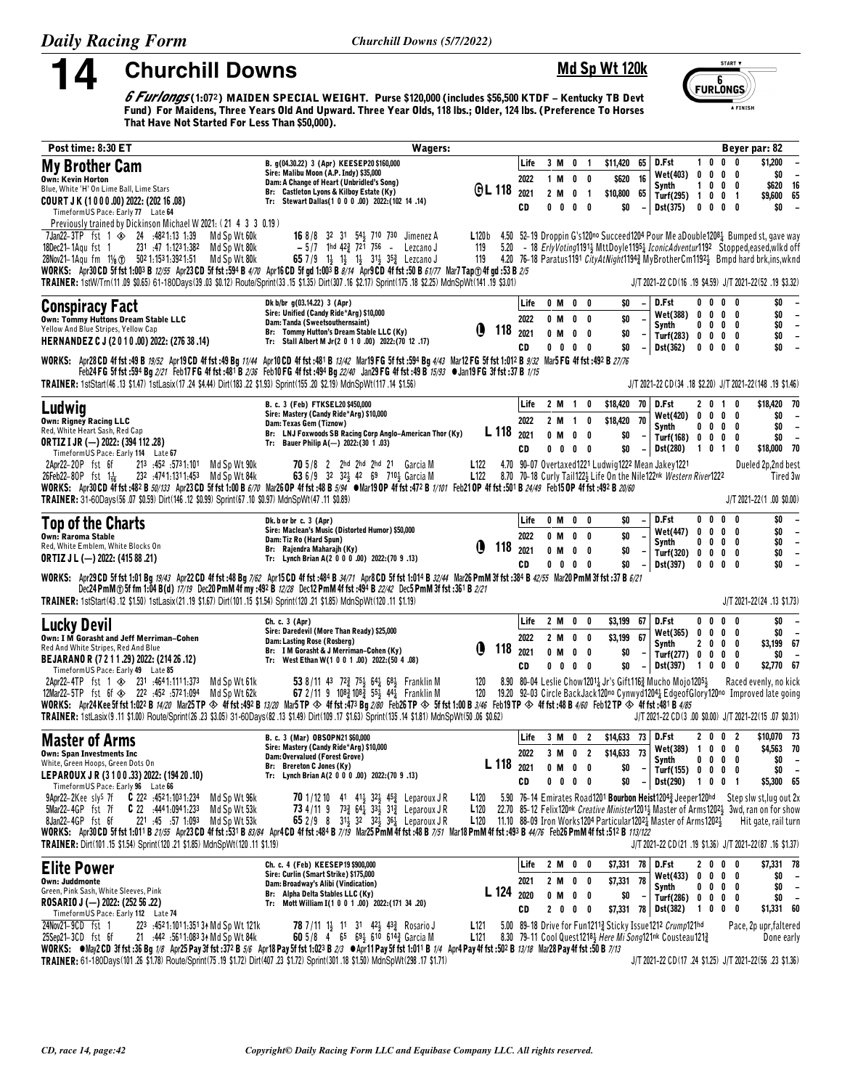14

**Churchill Downs** 

## Md Sp Wt 120k

START V  $rac{6}{5}$  FURLONGS A FINISH

*G Furlongs* (1:072) MAIDEN SPECIAL WEIGHT. Purse \$120,000 (includes \$56,500 KTDF – Kentucky TB Devt Fund) For Maidens, Three Years Old And Upward. Three Years Old And Upward. Three Years Olds, 118 lbs.; Older, 124 lbs. (P

| Post time: 8:30 ET                                                                                                                                                                                                                                                                                                                                                                                                                                                                                                                                                                                                                                                                                                                  | <b>Wagers:</b>                                                                                                                                                                                                                                                                                                                                                                          |                                                    |     |                            |                                               |                                                       |                     |                                            |                                                      |                                                                                                                                                                                                       |              |                                                     |                                                                            | Beyer par: 82                                                                                                                                                                                                                                                                                                                                                        |
|-------------------------------------------------------------------------------------------------------------------------------------------------------------------------------------------------------------------------------------------------------------------------------------------------------------------------------------------------------------------------------------------------------------------------------------------------------------------------------------------------------------------------------------------------------------------------------------------------------------------------------------------------------------------------------------------------------------------------------------|-----------------------------------------------------------------------------------------------------------------------------------------------------------------------------------------------------------------------------------------------------------------------------------------------------------------------------------------------------------------------------------------|----------------------------------------------------|-----|----------------------------|-----------------------------------------------|-------------------------------------------------------|---------------------|--------------------------------------------|------------------------------------------------------|-------------------------------------------------------------------------------------------------------------------------------------------------------------------------------------------------------|--------------|-----------------------------------------------------|----------------------------------------------------------------------------|----------------------------------------------------------------------------------------------------------------------------------------------------------------------------------------------------------------------------------------------------------------------------------------------------------------------------------------------------------------------|
| <b>My Brother Cam</b><br><b>Own: Kevin Horton</b><br>Blue, White 'H' On Lime Ball, Lime Stars<br>COURT J K (1000.00) 2022: (202 16.08)<br>TimeformUS Pace: Early 77 Late 64                                                                                                                                                                                                                                                                                                                                                                                                                                                                                                                                                         | B. q(04.30.22) 3 (Apr) KEESEP20 \$160,000<br>Sire: Malibu Moon (A.P. Indy) \$35,000<br>Dam: A Change of Heart (Unbridled's Song)<br>Br: Castleton Lyons & Kilboy Estate (Ky)<br>Tr: Stewart Dallas(1 0 0 0 .00) 2022:(102 14 .14)                                                                                                                                                       | <b>GL 118</b>                                      |     | Life<br>2022<br>2021<br>CD | 2 M                                           | 3 M 0 1<br>1 M O O<br>0<br>$0\quad 0\quad 0\quad$     | $\blacksquare$<br>0 | \$11,420 65<br>\$620<br>\$10,800 65<br>\$0 | - 16                                                 | D.Fst<br>Wet(403) 0<br>Synth<br>Turf(295) $1 \t0 \t0 \t1$<br>Dst(375)                                                                                                                                 | $\mathbf{1}$ |                                                     | 1000<br>$0\quad 0\quad 0$<br>$0\quad 0\quad 0$<br>$0\quad 0\quad 0\quad 0$ | \$1,200<br>\$O<br>$\overline{\phantom{a}}$<br>16<br>\$620<br>\$9,600<br>65<br>\$0                                                                                                                                                                                                                                                                                    |
| Previously trained by Dickinson Michael W 2021: (21 4 3 3 0.19)<br>7Jan22-3TP fst 1 $\otimes$ 24 :4821:13 1:39<br>Md Sp Wt 60k<br>18Dec21-1Agu fst 1<br>231 47 1:1231:382<br>Md Sp Wt 80k<br>28Nov21-1Agu fm 1/8 1 502 1:153 1:392 1:51<br>Md Sp Wt 80k<br>WORKS: Apr30 CD 5f fst 1:003 B 12/55 Apr23 CD 5f fst :594 B 4/70 Apr16 CD 5f gd 1:003 B 8/14 Apr9 CD 4f fst :50 B 61/77 Mar7 Tap @ 4f gd :53 B 2/5<br>TRAINER: 1stW/Tm(11.09 \$0.65) 61-180Days(39.03 \$0.12) Route/Sprint(33.15 \$1.35) Dirt(307.16 \$2.17) Sprint(175.18 \$2.25) MdnSpWt(141.19 \$3.01)                                                                                                                                                                | <b>16</b> 8/8 32 31 54 710 730 Jimenez A<br>$-5/7$ 1hd 42 $\frac{3}{4}$ 721 756 - Lezcano J<br>65 7/9 14 14 14 314 353 Lezcano J                                                                                                                                                                                                                                                        | 119<br>119                                         |     |                            |                                               |                                                       |                     |                                            |                                                      |                                                                                                                                                                                                       |              |                                                     |                                                                            | L120b 4.50 52-19 Droppin G's120 <sup>no</sup> Succeed1204 Pour Me aDouble120 <sup>8</sup> $\frac{1}{4}$ Bumped st, gave way<br>5.20 - 18 ErlyVoting11913 MttDoyle11953 IconicAdventur1192 Stopped, eased, wlkd off<br>4.20 76-18 Paratus1191 CityAtNight1194 MyBrotherCm1192 3Bmpd hard brk, ins, wknd<br>J/T 2021-22 CD (16 .19 \$4.59) J/T 2021-22 (52 .19 \$3.32) |
| Conspiracy Fact<br>Own: Tommy Huttons Dream Stable LLC<br>Yellow And Blue Stripes, Yellow Cap<br>HERNANDEZ C J (2010.00) 2022: (276 38 .14)<br>WORKS: Apr28 CD 4f fst :49 B 19/52 Apr19 CD 4f fst :49 Bg 11/44 Apr10 CD 4f fst :491 B 13/42 Mar19 FG 5f fst :594 Bg 4/43 Mar12 FG 5f fst 1:012 B 9/32 Mar5 FG 4f fst :492 B 27/76<br>TRAINER: 1stStart(46 .13 \$1.47) 1stLasix(17 .24 \$4.44) Dirt(183 .22 \$1.93) Sprint(155 .20 \$2.19) MdnSpWt(117 .14 \$1.56)                                                                                                                                                                                                                                                                   | Dk b/br g(03.14.22) 3 (Apr)<br>Sire: Unified (Candy Ride*Arg) \$10,000<br>Dam: Tanda (Sweetsouthernsaint)<br>Br: Tommy Hutton's Dream Stable LLC (Ky)<br>Tr: Stall Albert M Jr(2 0 1 0 .00) 2022: (70 12 .17)<br>Feb24 FG 5f fst :594 Bg 2/21 Feb17 FG 4f fst :481 B 2/36 Feb10 FG 4f fst :494 Bg 22/40 Jan29 FG 4f fst :49 B 15/93 ● Jan19 FG 3f fst :37 B 1/15                        | O<br>118                                           |     | Life<br>2022<br>2021<br>CD | 0 M                                           | 0 M 0 0<br>0 M 0 0<br>$0\quad 0$<br>$0\ 0\ 0\ 0$      |                     | SO.<br>\$0<br>\$0<br>\$O                   | $\overline{\phantom{a}}$                             | D.Fst<br>Wet(388)<br>Synth<br>Turf(283) 0 0 0 0<br>Dst(362)                                                                                                                                           | $\mathbf 0$  |                                                     | $0\,$ 0 $\,$ 0 $\,$ 0<br>$0\quad 0\quad 0$<br>$0\ 0\ 0\ 0$<br>$0\ 0\ 0\ 0$ | \$0<br>$\overline{\phantom{a}}$<br>\$0<br>$\overline{\phantom{a}}$<br>\$0<br>$\overline{\phantom{a}}$<br>$\overline{\phantom{a}}$<br>\$0<br>\$0<br>$\sim$<br>J/T 2021-22 CD(34 .18 \$2.20) J/T 2021-22(148 .19 \$1.46)                                                                                                                                               |
| Ludwig<br><b>Own: Rigney Racing LLC</b><br>Red, White Heart Sash, Red Cap<br><b>ORTIZ I JR (-) 2022: (394 112 .28)</b><br>TimeformUS Pace: Early 114 Late 67<br>2Apr22-20P fst 6f<br>213 :452 :5731:101 Md Sp Wt 90k<br>232 :4741:1311:453 Md Sp Wt 84k<br>$26$ Feb22-80P fst 1 $\frac{1}{16}$<br>WORKS: Apr30 CD 4f fst :482 B 50/133 Apr23 CD 5f fst 1:00 B 6/70 Mar26 OP 4f fst :48 B 5/94 Mar19 OP 4f fst :472 B 1/101 Feb21 OP 4f fst :501 B 24/49 Feb15 OP 4f fst :492 B 20/60<br>TRAINER: 31-60Days(56.07 \$0.59) Dirt(146.12 \$0.99) Sprint(67.10 \$0.97) MdnSpWt(47.11 \$0.89)                                                                                                                                             | B. c. 3 (Feb) FTKSEL20 \$450,000<br>Sire: Mastery (Candy Ride*Arg) \$10,000<br>Dam: Texas Gem (Tiznow)<br>Br: LNJ Foxwoods SB Racing Corp Anglo-American Thor (Ky)<br>Tr: Bauer Philip A(-) 2022: (30 1.03)<br>70 5/8 2 2hd 2hd 2hd 21 Garcia M<br>63 6/9 32 32 42 69 710 3 Garcia M                                                                                                    | L 118<br>L122<br>L <sub>122</sub>                  |     | Life<br>2022<br>2021<br>CD | 0 M<br>$0\quad 0$                             | 2 M 1<br>2 M 1<br>0<br>$0\quad 0$                     | 0<br>0<br>0         | \$18,420 70<br>\$18,420<br>\$0<br>\$0      | 70<br>$\overline{\phantom{a}}$                       | D.Fst<br>Wet(420) 0 0 0 0<br>Synth<br>Turf(168) 0 0 0 0<br><b>Dst(280)</b><br>4.70 90-07 Overtaxed1221 Ludwig1222 Mean Jakey1221<br>8.70 70-18 Curly Tail1223 Life On the Nile122nk Western River1222 |              | 1 0 1                                               | 2 0 1 0<br>$0\,$ 0 $\,$ 0 $\,$ 0<br>0                                      | \$18,420 70<br>\$0<br>$\overline{\phantom{a}}$<br>\$0<br>$\overline{\phantom{a}}$<br>\$0<br>$\overline{\phantom{a}}$<br>\$18,000 70<br>Dueled 2p,2nd best<br>Tired 3w<br>J/T 2021-22(1.00 \$0.00)                                                                                                                                                                    |
| Top of the Charts<br><b>Own: Raroma Stable</b><br>Red, White Emblem, White Blocks On<br><b>ORTIZ J L (-) 2022: (415 88 .21)</b><br>WORKS: Apr29 CD 5f fst 1:01 Bg 19/43 Apr22 CD 4f fst :48 Bg 7/62 Apr15 CD 4f fst :484 B 34/71 Apr8 CD 5f fst 1:014 B 32/44 Mar26 PmM 3f fst :384 B 42/55 Mar20 PmM 3f fst :37 B 6/21                                                                                                                                                                                                                                                                                                                                                                                                             | Dk. b or br c. 3 (Apr)<br>Sire: Maclean's Music (Distorted Humor) \$50,000<br>Dam: Tiz Ro (Hard Spun)<br>Br: Rajendra Maharajh (Ky)<br>Tr: Lynch Brian A(2 0 0 0 .00) 2022:(70 9 .13)                                                                                                                                                                                                   | O                                                  | 118 | Life<br>2022<br>2021<br>CD | 0 M<br>0 M<br>$0\quad 0$                      | 0 M 0<br>0<br>0<br>$0\quad 0$                         | 0<br>0<br>0         | \$0<br>\$0<br>\$0<br>\$0                   |                                                      | D.Fst<br>Wet(447)<br>Synth<br>Turf(320) $0 \t 0 \t 0 \t 0$<br>Dst(397)                                                                                                                                | $\mathbf{0}$ | $0\quad 0$                                          | $0\quad 0$<br>$0\quad 0\quad 0$<br>$0\,$ 0 $\,$ 0 $\,$ 0<br>$0\ 0\ 0\ 0$   | \$0<br>$\overline{\phantom{a}}$<br>\$0<br>$\overline{\phantom{a}}$<br>\$0<br>$\overline{\phantom{a}}$<br>\$0<br>$\overline{\phantom{a}}$<br>\$0                                                                                                                                                                                                                      |
| TRAINER: 1stStart(43 .12 \$1.50) 1stLasix(21 .19 \$1.67) Dirt(101 .15 \$1.54) Sprint(120 .21 \$1.85) MdnSpWt(120 .11 \$1.19)                                                                                                                                                                                                                                                                                                                                                                                                                                                                                                                                                                                                        | Dec24 PmM @ 5f fm 1:04 B(d) 17/19 Dec20 PmM 4f my :492 B 12/28 Dec12 PmM 4f fst :494 B 22/42 Dec5 PmM 3f fst :361 B 2/21                                                                                                                                                                                                                                                                |                                                    |     |                            |                                               |                                                       |                     |                                            |                                                      |                                                                                                                                                                                                       |              |                                                     |                                                                            | J/T 2021-22(24 .13 \$1.73)                                                                                                                                                                                                                                                                                                                                           |
| <b>Lucky Devil</b><br>Own: I M Gorasht and Jeff Merriman-Cohen<br>Red And White Stripes, Red And Blue<br>BEJARANO R (7 2 1 1 .29) 2022: (214 26 .12)<br>TimeformUS Pace: Early 49 Late 85<br>2Apr22-4TP fst 1 $\otimes$ 231 :4641:1111:373<br>Md Sp Wt 61k<br>12Mar22-5TP fst 6f $\otimes$ 222 :452 :5721:094 Md Sp Wt 62k<br>WORKS: Apr24 Kee 5f fst 1:022 B 14/20 Mar25 TP $\otimes$ 4f fst :492 B 13/20 Mar5 TP $\otimes$ 4f fst :473 Bg 2/80 Feb26 TP $\otimes$ 5f fst 1:00 B 3/46 Feb19 TP $\otimes$ 4f fst :48 B 4/60 Feb12 TP $\otimes$ 4f fst :48 B 4/67 B 4/85 are 10<br>TRAINER: 1stLasix(9.11 \$1.00) Route/Sprint(26.23 \$3.05) 31-60Days(82.13 \$1.49) Dirt(109.17 \$1.63) Sprint(135.14 \$1.81) MdnSpWt(50.06 \$0.62) | Ch. c. 3 (Apr)<br>Sire: Daredevil (More Than Ready) \$25,000<br>Dam: Lasting Rose (Rosberg)<br>Br: I M Gorasht & J Merriman-Cohen (Ky)<br>Tr: West Ethan W(1 0 0 1 .00) 2022: (50 4 .08)<br>53 8/11 43 72 <sup>3</sup> / <sub>2</sub> 75 <sup>1</sup> / <sub>3</sub> 64 <sup>1</sup> / <sub>2</sub> 68 <sup>1</sup> / <sub>3</sub> Franklin M<br>67 2/11 9 108 3 108 3 55 44 Franklin M | O<br>118<br>120<br>120                             |     | Life<br>2022<br>2021<br>CD | 2 M<br>$2 \,$ M<br>0 M<br>0<br>0              | $\pmb{0}$<br>$\mathbf{0}$<br>$0\quad 0$<br>$0\quad 0$ | 0<br>0              | \$3,199<br>\$3,199<br>\$0<br>\$0           | 67<br>67                                             | D.Fst<br>Wet(365) 0<br>Synth<br>Turf(277) 0 0 0 0<br>Dst(397)<br>8.90 80-04 Leslie Chow12011 Jr's Gift1162 Mucho Mojo12051                                                                            |              | $0\quad 0$<br>$\mathbf{0}$<br>2 <sub>0</sub><br>100 | $0\quad 0$<br>$0\quad 0$<br>$0\quad 0$<br>- 0                              | \$0<br>$\overline{\phantom{a}}$<br>\$0<br>$\overline{\phantom{a}}$<br>\$3,199 67<br>\$0<br>$\overline{\phantom{a}}$<br>\$2,770 67<br>Raced evenly, no kick<br>19.20 92-03 Circle BackJack120no Cynwyd1204 EdgeofGlory120no Improved late going<br>J/T 2021-22 CD(3 .00 \$0.00) J/T 2021-22(15 .07 \$0.31)                                                            |
| <b>Master of Arms</b><br><b>Own: Span Investments Inc</b><br>White, Green Hoops, Green Dots On<br>LEPAROUX JR (3100.33) 2022: (194 20.10)<br>TimeformUS Pace: Early 96 Late 66<br>9Apr22-2Kee sly <sup>s</sup> 7f<br>$C$ 222 :4521:1031:234<br>Md Sp Wt 96k<br>5Mar22-4GP fst 7f<br>$C$ 22 $.4441.0941.233$<br>Md Sp Wt 53k                                                                                                                                                                                                                                                                                                                                                                                                         | B. c. 3 (Mar) OBSOPN21 \$60,000<br>Sire: Mastery (Candy Ride*Arg) \$10,000<br>Dam: Overvalued (Forest Grove)<br>Br: Brereton C Jones (Ky)<br>Tr: Lynch Brian A(2 0 0 0 .00) 2022: (70 9 .13)<br><b>70</b> 1/12 10 41 414 324 453 Leparoux JR<br>73 4/11 9 73 $\frac{3}{4}$ 64 $\frac{1}{4}$ 33 $\frac{1}{2}$ 31 $\frac{3}{4}$ Leparoux JR                                               | L 118 2021<br>L <sub>120</sub><br>L <sub>120</sub> |     | Life<br>2022<br>CD         | 3 M 0 2<br>3 M 0 2<br>0 M<br>$\mathbf 0$<br>0 | $0\quad 0$                                            | $0\quad 0$          | $$14,633$ 73<br>\$14,633 73<br>\$0<br>\$0  | $\overline{\phantom{a}}$<br>$\overline{\phantom{a}}$ | D.Fst<br>Wet(389) 1<br>Synth<br>Turf(155) $0 \t 0 \t 0 \t 0$<br><b>Dst(290)</b><br>5.90 76-14 Emirates Road1201 Bourbon Heist12043 Jeeper120hd                                                        |              | $0\quad 0$                                          | 2 0 0 2<br>- 0<br>$0\ 0\ 0\ 0$<br>1001                                     | \$10,070 73<br>\$4,563 70<br>\$0<br>$\overline{\phantom{a}}$<br>\$0<br>$\overline{\phantom{a}}$<br>\$5,300 65<br>Step slw st, lug out 2x<br>22.70 85-12 Felix120nk Creative Minister12011 Master of Arms12021 3wd, ran on for show                                                                                                                                   |
| 8Jan22-4GP fst 6f<br>221 45 57 1.093<br>Md Sp Wt 53k<br>WORKS: Apr30 CD 5f fst 1:011 B 21/55 Apr23 CD 4f fst :531 B 83/84 Apr4 CD 4f fst :484 B 7/19 Mar25 PmM 4f fst :48 B 7/51 Mar18 PmM 4f fst :493 B 44/76 Feb26 PmM 4f fst :512 B 113/122<br>TRAINER: Dirt(101.15 \$1.54) Sprint(120.21 \$1.85) MdnSpWt(120.11 \$1.19)                                                                                                                                                                                                                                                                                                                                                                                                         | 65 2/9 8 314 32 324 364 Leparoux JR                                                                                                                                                                                                                                                                                                                                                     |                                                    |     |                            |                                               |                                                       |                     |                                            |                                                      | <b>L120</b> 11.10 88-09 Iron Works 1204 Particular 1202 Master of Arms 1202 $\frac{1}{2}$                                                                                                             |              |                                                     |                                                                            | Hit gate, rail turn<br>J/T 2021-22 CD (21 .19 \$1.36) J/T 2021-22 (87 .16 \$1.37)                                                                                                                                                                                                                                                                                    |
| <b>Elite Power</b><br><b>Own: Juddmonte</b><br>Green, Pink Sash, White Sleeves, Pink<br>ROSARIO J (-) 2022: (252 56 .22)<br>TimeformUS Pace: Early 112 Late 74<br>24Nov21-9CD fst 1<br>223 :4521:1011:3513 Md Sp Wt 121k                                                                                                                                                                                                                                                                                                                                                                                                                                                                                                            | Ch. c. 4 (Feb) KEESEP19 \$900,000<br>Sire: Curlin (Smart Strike) \$175,000<br>Dam: Broadway's Alibi (Vindication)<br>Br: Alpha Delta Stables LLC (Ky)<br>Tr: Mott William I(1 0 0 1 .00) 2022: (171 34 .20)<br><b>78</b> 7/11 1 <sup>1</sup> / <sub>3</sub> 11 31 42 <sup>1</sup> / <sub>3</sub> 43 <sup>2</sup> / <sub>4</sub> Rosario J                                               | L 124<br>L <sub>121</sub>                          |     | Life<br>2021<br>2020<br>CD | $0$ M                                         | 2 M 0 0<br>2 M O O<br>$0\quad 0$<br>2 0 0 0           |                     | \$7,331 78<br>\$7,331<br>\$0               | 78                                                   | D.Fst<br>Wet(433)<br>Synth<br>Turf(286) 0 0 0 0<br>\$7,331 78 Dst(382)<br>5.00 89-18 Drive for Fun12112 Sticky Issue1212 Crump121hd                                                                   |              |                                                     | 2000<br>$0\ 0\ 0\ 0$<br>$0\ 0\ 0\ 0$<br>1000                               | \$7,331 78<br>\$0<br>$\overline{\phantom{a}}$<br>\$0<br>$\overline{a}$<br>\$0<br>$\overline{\phantom{a}}$<br>\$1,331 60<br>Pace, 2p upr, faltered                                                                                                                                                                                                                    |
| 21 :442 :5611:083 34 Md Sp Wt 84k<br>25Sep21-3CD fst 6f<br>WORKS: ●May2 CD 3f fst :36 Bg 1/8 Apr25 Pay 3f fst :372 B 5/6 Apr18 Pay 5f fst 1:023 B 2/3 ●Apr11 Pay 5f fst 1:011 B 1/4 Apr4 Pay 4f fst :502 B 13/18 Mar28 Pay 4f fst :50 B 7/13<br>TRAINER: 61-180Days(101.26 \$1.78) Route/Sprint(75.19 \$1.72) Dirt(407.23 \$1.72) Sprint(301.18 \$1.50) MdnSpWt(298.17 \$1.71)                                                                                                                                                                                                                                                                                                                                                      | 60 5/8 4 65 693 610 6143 Garcia M                                                                                                                                                                                                                                                                                                                                                       | L121                                               |     |                            |                                               |                                                       |                     |                                            |                                                      | 8.30 79-11 Cool Quest1218} Here Mi Song121nk Cousteau121}                                                                                                                                             |              |                                                     |                                                                            | Done early<br>J/T 2021-22 CD (17 .24 \$1.25) J/T 2021-22 (56 .23 \$1.36)                                                                                                                                                                                                                                                                                             |